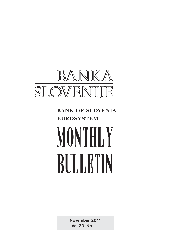

# **BANK OF SLOVENIA EUROSYSTEM**

# MONTHLY BULLEMEN

**November 2011 Vol 20 No. 11**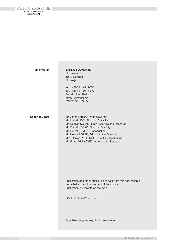

| Published by:           | <b>BANKA SLOVENIJE</b><br>Slovenska 35,<br>1000 Ljubljana<br>Slovenija<br>tel.: +386 (1) 4719000<br>fax.: +386 (1) 2515516<br>E-mail: bilten@bsi.si<br>http://www.bsi.si/<br>SWIFT: BSLJ SI 2X                                                                                                                                          |
|-------------------------|-----------------------------------------------------------------------------------------------------------------------------------------------------------------------------------------------------------------------------------------------------------------------------------------------------------------------------------------|
| <b>Editorial Board:</b> | Mr. Janez FABIJAN, Vice Governor<br>Mr. Matjaž NOČ, Financial Statistics<br>Mr. Damjan KOZAMERNIK, Analysis and Research<br>Mr. Tomaž KOŠAK, Financial Stability<br>Mr. Ernest ERMENC, Accounting<br>Mr. Neven BORAK, Advisor to the Governor<br>Mrs. Danica PRELOVŠEK, Banking Operations<br>Mr. Franc DRENOVEC, Analysis and Research |
|                         | Publication and other public use of data from this publication is<br>permitted subject to statement of the source.<br>Publication is available on the Web.                                                                                                                                                                              |
|                         | ISSN 1518-209X (online)                                                                                                                                                                                                                                                                                                                 |
|                         | Ta publikacija je na voljo tudi v slovenščini.                                                                                                                                                                                                                                                                                          |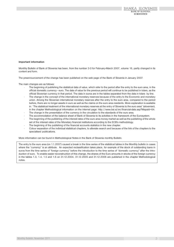#### **Important information**

Monthly Bulletin of Bank of Slovenia has been, from the number 2-3 for February-March 2007, volume 16, partly changed in its content and form.

The preannouncement of the change has been published on the web page of the Bank of Slovenia in January 2007.

The main changes are as follows:

- The beginning of publishing the statistical data of value, which refer to the period after the entry to the euro area, in the official domestic currency - euro. The data of value for the previous period will continue to be published in tolars, as the official Slovenian currency in that period. The data in euros are in the tables separated from the data in tolars by line.
- The change in the concept of the international monetary reserves because of the entry to the Economic and monetary union. Among the Slovenian international monetary reserves after the entry to the euro area, compared to the period before, there are no longer assets in euro as well as the claims on the euro area residents. More explanation is available in: "The statistical treatment of the international monetary reserves at the entry of Slovenia to the euro area" (slovenian), in the chapter Methodological information on the internet page: http://www.bsi.si/en/financial-data.asp?MapaId=64.
- The change in the presentation of the currency in the circulation to the standards of the euro area.
- The accommodation of the balance sheet of Bank of Slovenia to its activities in the framework of the Eurosystem.
- The beginning of the publishing of the interest rates of the euro area money market as well as the publishing of the whole set of the interest rates of the Monetary financial institutions according to the ECB's methodology.
- The beginning of the publishing of the financial accounts statistics in the new chapter.
- · Colour separation of the individual statistical chapters, to alleviate search and because of the link of the chapters to the specialised publications.

More information can be found in Methodological Notes in the Bank of Slovenia monthly Bulletin.

The entry to the euro area (on 1.1.2007) caused a break in the time series of the statistical tables in the Monthly bulletin in cases where the "currency" is an attribute. An expected reclassification takes place, for example of the stock of outstanding loans in euros from the time series of "foreign currency" before the introduction to the time series of "domestic currency" after the introduction of euro. To enable easier reconstruction of this change, the shares of the Euro amounts in stocks of the foreign currency in the tables 1.3, 1.4, 1.5 and 1.6 on 31.12.2004, 31.12.2005 and 31.12.2006 are published in the chapter Methodological notes.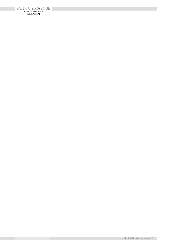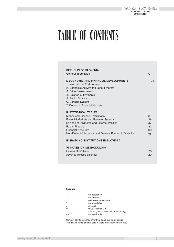# TABLE OF CONTENTS

#### **REPUBLIC OF SLOVENIA:** General Information **I. ECONOMIC AND FINANCIAL DEVELOPMENTS** 1. International Environment 2. Economic Activity and Labour Market 3. Price Developments 4. Balance of Payments 5. Public Finance 6. Banking System 7. Domestic Financial Markets **II. STATISTICAL TABLES** Money and Financial Institutions Financial Markets and Payment Systems Balance of Payments and External Position Public Finance Financial Accounts Non-Financial Accounts and General Economic Statistics **III. BANKING INSTITUTIONS IN SLOVENIA VI. NOTES ON METHODOLOGY** Review of the links Advance release calendar 6 1-26 1 3 28 47 83 90 98 1 1 28 29

#### **Legend:**

|                   | no occurence                           |
|-------------------|----------------------------------------|
|                   | not available                          |
|                   | provisional or estimated               |
| $\star$           | corrected data                         |
|                   | average                                |
| $\Omega$          | value less than 0.5                    |
| $1, 2, 3, \ldots$ | footnote, explained in Notes Methology |
| n.a.              | not applicable                         |

Sums of part figures may differ from totals due to roundings. The data in euros and the data in tolars are separated with line.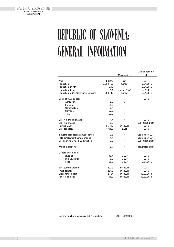# REPUBLIC OF SLOVENIA: GENERAL INFORMATION

|                                        |            |                 | Date or period of |
|----------------------------------------|------------|-----------------|-------------------|
|                                        |            | Measured in:    | data:             |
|                                        |            |                 |                   |
| Area                                   | 20,273     | km <sup>2</sup> | 2011              |
| Population                             | 2,050,189  | number          | 12.31.2010        |
| Population growth                      | 0.16       | $\frac{0}{0}$   | 12.31.2010        |
| Population density                     | 101.1      | number / $km^2$ | 12.31.2010        |
| Population of City Community Ljubljana | 280,140    | number          | 12.31.2010        |
| Origin of value added:                 |            |                 | 2010              |
| Agriculture                            | 2.5        | $\frac{0}{0}$   |                   |
| Industry                               | 23.6       | $\%$            |                   |
| Construction                           | 6.4        | $\frac{0}{0}$   |                   |
| Services                               | 67.7       | $\frac{0}{0}$   |                   |
| Total                                  | 100.0      | $\frac{0}{0}$   |                   |
| GDP real annual change                 | 1.4        | $\frac{0}{0}$   | 2010              |
| GDP real change                        | $-0.5$     | $\frac{0}{0}$   | Jul. - Sept. 2011 |
| Nominal GDP                            | 35,416     | mio EUR         | 2010              |
| GDP per capita                         | 17,286     | <b>EUR</b>      | 2010              |
|                                        |            |                 |                   |
| Industrial production annual change    | 2.5        | $\frac{0}{0}$   | September, 2011   |
| Total employment annual change         | $-1.4$     | $\frac{0}{0}$   | September, 2011   |
| Unemployment rate (ILO definition)     | 7.9        | $\frac{0}{0}$   | Jul. - Sept. 2011 |
| Annual inflation rate                  | 2.7        | $\frac{0}{0}$   | November, 2011    |
| General government:                    |            |                 |                   |
| revenue                                | 43.4       | % BDP           | 2010              |
| surplus/deficit                        | $-5.6$     | % BDP           | 2010              |
| debt                                   | 38.0       | % BDP           | 12.31.2010        |
|                                        |            |                 |                   |
| BOP current account                    | $-297.3$   | mio EUR         | 2010              |
| Trade balance                          | $-1,204.9$ | mio EUR         | 2010              |
| Gross foreign debt                     | 42,754     | mio EUR         | 09.30.2011        |
| Net foreign debt                       | 11,202     | mio EUR         | 09.30.2011        |

Currency unit since January 2007: Euro (EUR) 1EUR = 239.64 SIT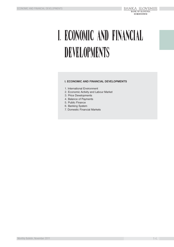# I. ECONOMIC AND FINANCIAL DEVELOPMENTS

#### **I. ECONOMIC AND FINANCIAL DEVELOPMENTS**

- 1. International Environment
- 2. Economic Activity and Labour Market
- 3. Price Developments
- 4. Balance of Payments
- 5. Public Finance
- 6. Banking System
- 7. Domestic Financial Markets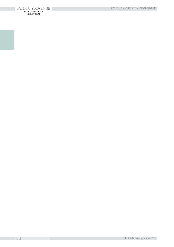**EUROSYSTEM**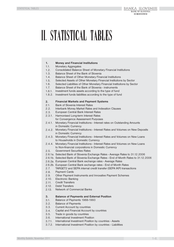# II. STATISTICAL TABLES

#### **1. Money and Financial Institutions**

- 1.1. Monetary Aggregates
- 1.2. Consolidated Balance Sheet of Monetary Financial Institutions
- 1.3. Balance Sheet of the Bank of Slovenia
- 1.4. Balance Sheet of Other Monetary Financial Institutions
- 1.5. Selected Assets of Other Monetary Financial Institutions by Sector
- 1.6. Selected Liabilities of Other Monetary Financial Institutions by Sector
- 1.7. Balance Sheet of the Bank of Slovenia - instruments
- 1.8.1. Investment funds assets according to the type of fund
- 1.8.2. Investment funds liabilities according to the type of fund

#### **2. Financial Markets and Payment Systems**

- 2.1. Bank of Slovenia Interest Rates
- 2.2. Interbank Money Market Rates and Indexation Clauses
- 2.3. European Central Bank Interest Rates
- 2.3.1. Harmonised Long-term Interest Rates for Convergence Assessment Purposes
- 2.4.1. Monetary Financial Institutions - Interest rates on Outstanding Amounts in Domestic Currency
- 2.4.2. Monetary Financial Institutions Interest Rates and Volumes on New Deposits in Domestic Currency
- 2.4.3. Monetary Financial Institutions Interest Rates and Volumes on New Loans to Households in Domestic Currency
- 2.4.4. Monetary Financial Institutions Interest Rates and Volumes on New Loans to Non-financial corporations in Domestic Currency
- 2.5. Government Securities Rates
- 2.6.1a. Selected Bank of Slovenia Exchange Rates Average Rates to 31.12.2006
- 2.6.1b. Selected Bank of Slovenia Exchange Rates End of Month Rates to 31.12.2006
- 2.6.2a. European Central Bank exchange rates Average Rates
- 2.6.2b. European Central Bank exchange rates End of Month Rates
- 2.7. TARGET2 and SEPA internal credit transfer (SEPA IKP) transactions
- 2.8. Payment Cards
- 2.9. Other Payment Instruments and Innovative Payment Schemes
- 2.10. Electronic Banking
- $2.11.$ Credit Transfers
- 2.12. Debit Transfers
- 2.13. Network of Commercial Banks

#### **3. Balance of Payments and External Position**

- 3.1. Balance of Payments 1988-1993
- 3.2. Balance of Payments
- 3.3. Current Account by countries
- 3.4. Capital and Financial Account by countries
- 3.5. Trade in goods by countries
- 3.6. International Investment Position
- 3.7.1. International Investment Position by countries - Assets
- 3.7.2. International Investment Position by countries Liabilities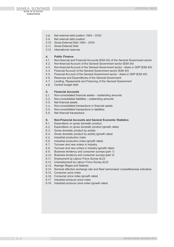- 3.8. Net external debt position 1994 2000
- 3.9. Net external debt position
- 3.10. Gross External Debt 1994 2000
- 3.11. Gross External Debt
- 3.12. International reserves

#### **4. Public Finance**

- 4.1. Non-financial and Financial Accounts (ESA 95) of the General Government sector
- 4.2. Non-financial Account of the General Government sector (ESA 95)
- 4.3. Non-financial Account of the General Government sector - share in GDP (ESA 95)
- 4.4. Financial Account of the General Government sector (ESA 95)
- 4.5. Financial Account of the General Government sector - share in GDP (ESA 95)
- 4.6. Revenues and Expenditures of the General Government
- 4.7. Lending, Repayments and Financing of the General Government
- 4.8. Central budget debt

#### **5. Financial Accounts**

- 5.1. Non-consolidated financial assets - outstanding amounts
- 5.2. Non-consolidated liabilities outstanding amounts
- 5.3. Net financial assets
- 5.4. Non-consolidated transactions in financial assets
- 5.5. Non-consolidated transactions in liabilities
- 5.6. Net financial transactions

#### **6. Non-Financial Accounts and General Economic Statistics**

- 6.1. Expenditure on gross domestic product
- 6.2. Expenditure on gross domestic product (growth rates)
- 6.3. Gross domestic product by activity
- 6.4. Gross domestic product by activity (growth rates)
- 6.5. Industrial production index
- 6.6. Industrial production index (growth rates)
- 6.7. Turnover and new orders in industry
- 6.8. Turnover and new orders in industry (growth rates)
- 6.9. Business tendency and consumer surveys (part 1)
- 6.10. Business tendency and consumer surveys (part 2)
- 6.11. Employment by Labour Force Survey (ILO)
- 6.12. Unemployment by Labour Force Survey (ILO)
- 6.13. Average Wages and Salaries
- 6.14. Nominal effective exchange rate and Real harmonised competitiveness indicators
- 6.15. Consumer price index
- 6.16. Consumer price index (growth rates)
- 6.17. Industrial producer price index
- 6.18. Industrial producer price index (growth rates)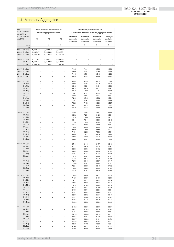# 1.1. Monetary Aggregates

| Until        |                      |                        | Before the entry of Slovenia into EMU |                          | After the entry of Slovenia into EMU |                                                            |                                |                            |  |  |
|--------------|----------------------|------------------------|---------------------------------------|--------------------------|--------------------------------------|------------------------------------------------------------|--------------------------------|----------------------------|--|--|
|              | 31.12.2006 in        |                        | Monetary aggregates of Slovenia       |                          |                                      | The contribution of Slovenia to monetary aggregates of EMU |                                |                            |  |  |
| mio SIT from |                      |                        |                                       |                          |                                      |                                                            |                                |                            |  |  |
| mio EUR      | 01.01.2007 in        | M1                     | M <sub>2</sub>                        | M <sub>3</sub>           | M1 (without<br>currency in           | M2 (without<br>currency in                                 | M3 (without<br>currency in     | Currency in<br>circulation |  |  |
|              |                      |                        |                                       |                          | circulation)                         | circulation)                                               | circulation)                   | (ECB key)                  |  |  |
|              |                      |                        |                                       |                          |                                      |                                                            |                                |                            |  |  |
|              | Column               | $\mathbf{1}$           | $\overline{\mathbf{c}}$               | 3                        | $\sqrt{4}$                           | 5                                                          | 6                              | 7                          |  |  |
|              | Code                 |                        |                                       |                          |                                      |                                                            |                                |                            |  |  |
| 2004<br>2005 | 31. Dec.<br>31. Dec. | 1,370,415              | 3,239,945                             | 3,980,215                | $\overline{\phantom{m}}$             | $\overline{\phantom{m}}$                                   | $\overline{\phantom{m}}$<br>ä, |                            |  |  |
| 2006         | 31. Dec.             | 1,682,477<br>1,834,106 | 3,493,226<br>3,778,032                | 3,502,771<br>3,786,146   |                                      |                                                            | i.                             |                            |  |  |
|              |                      |                        |                                       |                          |                                      |                                                            |                                |                            |  |  |
| 2006         | 31. Oct.             | 1,777,451              | 3,690,771                             | 3,698,299                |                                      |                                                            |                                |                            |  |  |
|              | 30. Nov.             | 1,777,757              | 3,710,262                             | 3,718,196                |                                      |                                                            | ä,                             |                            |  |  |
|              | 31. Dec.             | 1,834,106              | 3,778,032                             | 3,786,146                |                                      |                                                            | L,                             |                            |  |  |
|              |                      |                        |                                       |                          |                                      |                                                            |                                |                            |  |  |
| 2007         | 31. Dec.             |                        |                                       | -                        | 7,149                                | 17,441                                                     | 16,595                         | 2,698                      |  |  |
| 2008         | 31. Dec.             |                        | L,                                    |                          | 6,886                                | 18,341                                                     | 18,065                         | 2,995                      |  |  |
| 2009         | 31. Dec.             |                        |                                       | ٠                        | 7,419                                | 18,791                                                     | 18,540                         | 3,288                      |  |  |
| 2010         | 31. Dec.             |                        |                                       |                          | 8,420                                | 19,095                                                     | 18,984                         | 3,449                      |  |  |
|              | 2007 31. Jan.        |                        |                                       | ä,                       | 6,993                                | 15,373                                                     | 15,412                         | 2,340                      |  |  |
|              | 28. Feb.             |                        |                                       |                          | 6,955                                | 15,353                                                     | 15,276                         | 2,420                      |  |  |
|              | 31. Mar.             |                        |                                       | ٠                        | 6,948                                | 15,581                                                     | 15,451                         | 2,500                      |  |  |
|              | 30. Apr.             |                        |                                       | ÷                        | 6,974                                | 15,520                                                     | 15,422                         | 2,487                      |  |  |
|              | 31. May.             |                        |                                       | ä,                       | 7,146                                | 15,856                                                     | 15,764                         | 2,536                      |  |  |
|              | 30. Jun.             |                        |                                       | i,                       | 7,287                                | 16,157                                                     | 16,073                         | 2,575                      |  |  |
|              | 31. Jul.             |                        | ä,                                    | ٠                        | 7,355                                | 16,557                                                     | 16,447                         | 2,597                      |  |  |
|              | 31. Aug.             |                        |                                       | ÷,                       | 7,240                                | 16,740                                                     | 16,552                         | 2,584                      |  |  |
|              | 30. Sep.             |                        | ä,                                    | ä,                       | 7,257                                | 16,767                                                     | 16,598                         | 2,599                      |  |  |
|              | 31. Oct.<br>30. Nov. |                        |                                       | ٠                        | 7,028                                | 17,106                                                     | 16,686                         | 2,587                      |  |  |
|              | 31. Dec.             |                        |                                       | ÷,                       | 6,871<br>7,149                       | 16,819<br>17,441                                           | 15,943<br>16,595               | 2,625<br>2,698             |  |  |
|              |                      |                        |                                       |                          |                                      |                                                            |                                |                            |  |  |
| 2008         | 31. Jan.             |                        |                                       | ÷,                       | 7,168                                | 17,261                                                     | 16,557                         | 2,580                      |  |  |
|              | 29. Feb.             |                        | ٠                                     | ٠                        | 6,862                                | 17,201                                                     | 16,425                         | 2,601                      |  |  |
|              | 31. Mar.             |                        |                                       | ۰                        | 7,070                                | 17,489                                                     | 16,456                         | 2,627                      |  |  |
|              | 30. Apr.             |                        | ÷.                                    | ä,                       | 6,944                                | 17,641                                                     | 16,500                         | 2,648                      |  |  |
|              | 31. May.             |                        |                                       |                          | 7,120                                | 17,853                                                     | 16,385                         | 2,681                      |  |  |
|              | 30. Jun.             |                        |                                       | ä,                       | 7,341                                | 18,083                                                     | 16,589                         | 2,687                      |  |  |
|              | 31. Jul.             |                        |                                       |                          | 7,020                                | 18,029                                                     | 16,694                         | 2,734                      |  |  |
|              | 31. Aug.<br>30. Sep. |                        |                                       | L,<br>i.                 | 6,986                                | 17,999                                                     | 16,669                         | 2,737                      |  |  |
|              | 31. Oct.             |                        | ٠                                     | ä,                       | 7,191<br>6,880                       | 18,283<br>17,921                                           | 17,058<br>16,836               | 2,731<br>2,898             |  |  |
|              | 30. Nov.             |                        |                                       | ٠                        | 6,888                                | 17,935                                                     | 17,472                         | 2,932                      |  |  |
|              | 31. Dec.             |                        |                                       | L,                       | 6,886                                | 18,341                                                     | 18,065                         | 2,995                      |  |  |
|              |                      |                        |                                       |                          |                                      |                                                            |                                |                            |  |  |
| 2009         | 31. Jan.             |                        |                                       | ä,                       | 6,716                                | 18,416                                                     | 18,177                         | 3,043                      |  |  |
|              | 28. Feb.             |                        |                                       | ۰                        | 6,712                                | 18,630                                                     | 18,019                         | 3,061                      |  |  |
|              | 31. Mar.             |                        |                                       | ä,                       | 6,838                                | 18,675                                                     | 18,462                         | 3,075                      |  |  |
|              | 30. Apr.             |                        |                                       |                          | 6,839                                | 18,563                                                     | 18,250                         | 3,102                      |  |  |
|              | 31. May.<br>30. Jun. |                        |                                       |                          | 7,184                                | 18,711                                                     | 18,713                         | 3,136                      |  |  |
|              | 31. Jul.             |                        |                                       |                          | 7,419<br>7,135                       | 18,787<br>18,613                                           | 18,783<br>18,370               | 3,131<br>3,166             |  |  |
|              | 31. Aug.             |                        |                                       |                          | 7,279                                | 18,643                                                     | 18,387                         | 3,147                      |  |  |
|              | 30. Sep.             |                        | ٠                                     | ÷,                       | 7,340                                | 18,701                                                     | 18,445                         | 3,151                      |  |  |
|              | 31. Oct.             |                        | $\overline{\phantom{m}}$              | -                        | 7,224                                | 18,600                                                     | 18,343                         | 3,172                      |  |  |
|              | 30. Nov.             | ÷,                     | ä,                                    | ÷,                       | 7,330                                | 18,664                                                     | 18,434                         | 3,182                      |  |  |
|              | 31. Dec.             |                        |                                       | -                        | 7,419                                | 18,791                                                     | 18,540                         | 3,288                      |  |  |
|              |                      |                        |                                       |                          |                                      |                                                            |                                |                            |  |  |
|              | 2010 31. Jan.        |                        |                                       | -                        | 7,449                                | 18,856                                                     | 18,677                         | 3,228                      |  |  |
|              | 28. Feb.<br>31. Mar. | ÷,                     | ä,                                    |                          | 7,429                                | 18,757                                                     | 18,463                         | 3,235                      |  |  |
|              | 30. Apr.             | ٠                      | ٠                                     | $\overline{\phantom{0}}$ | 7,617<br>7,663                       | 18,917<br>18,928                                           | 18,653<br>18,633               | 3,276<br>3,273             |  |  |
|              | 31. May.             |                        |                                       | -                        | 7,976                                | 19,184                                                     | 18,884                         | 3,310                      |  |  |
|              | 30. Jun.             |                        | ä,                                    | ÷,                       | 8,272                                | 19,037                                                     | 18,750                         | 3,339                      |  |  |
|              | 31. Jul.             |                        | ÷,                                    | $\overline{\phantom{0}}$ | 8,190                                | 19,071                                                     | 18,885                         | 3,394                      |  |  |
|              | 31. Aug.             | ٠                      | ä,                                    | $\overline{\phantom{0}}$ | 8,292                                | 19,083                                                     | 18,868                         | 3,352                      |  |  |
|              | 30. Sep.             |                        |                                       | -                        | 8,233                                | 18,962                                                     | 18,777                         | 3,346                      |  |  |
|              | 31. Oct.             | ä,                     | ä,                                    | $\frac{1}{2}$            | 8,231                                | 18,948                                                     | 18,754                         | 3,369                      |  |  |
|              | 30. Nov.             | $\overline{a}$         | ÷,                                    | $\overline{\phantom{0}}$ | 8,363                                | 19,115                                                     | 18,979                         | 3,373                      |  |  |
|              | 31. Dec.             | ٠                      | ä,                                    | -                        | 8,420                                | 19,095                                                     | 18,984                         | 3,449                      |  |  |
| 2011         | 31. Jan.             |                        |                                       | $\overline{\phantom{0}}$ | 8,482                                | 19,086                                                     | 18,969                         | 3,377                      |  |  |
|              | 28. Feb.             |                        |                                       | $\overline{\phantom{0}}$ | 8,492                                | 19,143                                                     | 19,020                         | 3,369                      |  |  |
|              | 31. Mar.             | ٠                      | ä,                                    | $\overline{\phantom{0}}$ | 8,424                                | 19,008                                                     | 18,883                         | 3,384                      |  |  |
|              | 30. Apr.             |                        |                                       | -                        | 8,514                                | 18,998                                                     | 18,914                         | 3,411                      |  |  |
|              | 31. May.             | ä,                     | ä,                                    | ÷,                       | 8,553                                | 19,207                                                     | 19,149                         | 3,445                      |  |  |
|              | 30. Jun.             |                        |                                       | $\overline{\phantom{0}}$ | 8,507                                | 19,228                                                     | 19,161                         | 3,475                      |  |  |
|              | 31. Jul.             |                        |                                       | $\overline{\phantom{0}}$ | 8,554                                | 19,405                                                     | 19,343                         | 3,537                      |  |  |
|              | 31. Aug.             |                        | ä,                                    | $\overline{\phantom{0}}$ | 8,576                                | 19,413                                                     | 19,365                         | 3,504                      |  |  |
|              | 30. Sep.<br>31. Oct. |                        |                                       | ÷,<br>×,                 | 8,540                                | 19,455                                                     | 19,397                         | 3,532                      |  |  |
|              |                      |                        |                                       |                          | 8,358                                | 19,400                                                     | 19,490                         | 3,568                      |  |  |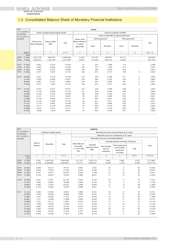**EUROSYSTEM**

# 1.2. Consolidated Balance Sheet of Monetary Financial Institutions

| Until        |               |                                   | Assets                                     |             |                                              |                                            |            |                             |                          |                 |  |  |  |
|--------------|---------------|-----------------------------------|--------------------------------------------|-------------|----------------------------------------------|--------------------------------------------|------------|-----------------------------|--------------------------|-----------------|--|--|--|
| mio SIT from | 31.12.2006 in |                                   | Claims on foreign sectors (foreign assets) |             |                                              |                                            |            | Claims on domestic non-MFIs |                          |                 |  |  |  |
|              | 01.01.2007 in |                                   |                                            |             |                                              | Claims of other MFIs on general government |            |                             |                          |                 |  |  |  |
| mio EUR      |               |                                   |                                            |             | Claims of the                                | Central government                         |            |                             | Other government         |                 |  |  |  |
|              |               | Claims of the<br>Bank of Slovenia | Claims of other<br><b>MFIs</b>             | Total       | Bank of Slovenia<br>on central<br>government | Loans                                      | Securities | Loans                       | Securities               | Total           |  |  |  |
|              | Column        | $\mathbf{1}$                      | $\overline{2}$                             | $3 = 1 + 2$ | $\overline{4}$                               | 5                                          | 6          | $\overline{7}$              | 8                        | $9 = 5 + . + 8$ |  |  |  |
|              | Code          |                                   |                                            |             |                                              |                                            |            |                             |                          |                 |  |  |  |
| 2005         | 31.Dec.       | 1,637,708                         | 848,375                                    | 2,486,083   | 17,423                                       | 140,707                                    | 639,815    | 23,141                      | $\overline{\phantom{a}}$ | 803,663         |  |  |  |
| 2006         | 31.Dec.       | 1,290,334                         | 1,182,156                                  | 2,472,490   | 16,591                                       | 131,884                                    | 644,754    | 24,940                      | ٠                        | 801,579         |  |  |  |
|              | 31.Dec.       | 5,591                             | 9,735                                      | 15,326      | 67                                           | 401                                        | 1,966      | 118                         |                          |                 |  |  |  |
| 2007         |               |                                   |                                            |             |                                              |                                            |            |                             |                          | 2,486           |  |  |  |
| 2008         | 31.Dec.       | 5,350                             | 9,280                                      | 14,630      | 68                                           | 373                                        | 1.789      | 212                         |                          | 2,374           |  |  |  |
| 2009         | 31.Dec.       | 4,903                             | 9.705                                      | 14,608      | 160                                          | 495                                        | 3,003      | 376                         | ٠                        | 3.874           |  |  |  |
| 2010         | 31.Dec.       | 5,077                             | 7,645                                      | 12,722      | 138                                          | 672                                        | 2,747      | 526                         | $\Omega$                 | 3,945           |  |  |  |
| 2010         | 30.Sep.       | 5,021                             | 8,778                                      | 13.799      | 140                                          | 626                                        | 2.796      | 417                         | 0                        | 3,840           |  |  |  |
|              | 31.Oct.       | 5.025                             | 8,506                                      | 13,531      | 139                                          | 664                                        | 2.783      | 434                         | 0                        | 3.882           |  |  |  |
|              | 30.Nov.       | 5.067                             | 8.787                                      | 13,853      | 139                                          | 647                                        | 2.806      | 497                         | 0                        | 3.951           |  |  |  |
|              | 31.Dec.       | 5,077                             | 7,645                                      | 12,722      | 138                                          | 672                                        | 2,747      | 526                         | 0                        | 3,945           |  |  |  |
| 2011         | 31.Jan.       | 5,074                             | 8,347                                      | 13,421      | 132                                          | 625                                        | 2,708      | 538                         | 0                        | 3,870           |  |  |  |
|              | 28.Feb.       | 5,108                             | 8,085                                      | 13,192      | 101                                          | 632                                        | 2,694      | 536                         | 0                        | 3,862           |  |  |  |
|              | 31.Mar.       | 5.106                             | 8.430                                      | 13,536      | 99                                           | 626                                        | 2.783      | 541                         | $\Omega$                 | 3,949           |  |  |  |
|              | 30.Apr.       | 5,101                             | 8,131                                      | 13,232      | 76                                           | 627                                        | 2,693      | 532                         | 0                        | 3,851           |  |  |  |
|              | 31.May        | 5,148                             | 8.066                                      | 13,214      | 76                                           | 630                                        | 2.697      | 530                         | $\Omega$                 | 3,857           |  |  |  |
|              | 30.Jun.       | 5,148                             | 7,992                                      | 13,140      | 76                                           | 611                                        | 2,671      | 533                         | 0                        | 3,815           |  |  |  |
|              | 31.Jul.       | 5.176                             | 8,282                                      | 13,458      | 76                                           | 607                                        | 2,669      | 534                         | 0                        | 3,810           |  |  |  |
|              | 31.Aug.       | 5.417                             | 8,139                                      | 13,556      | 76                                           | 606                                        | 2,722      | 536                         | 0                        | 3,864           |  |  |  |
|              | 30.Sep.       | 5,542                             | 7,875                                      | 13,417      | 77                                           | 607                                        | 2,748      | 535                         | 0                        | 3,890           |  |  |  |
|              | 31.Oct        | 5,539                             | 7,818                                      | 13,357      | 76                                           | 604                                        | 2,783      | 541                         | $\Omega$                 | 3,929           |  |  |  |
|              |               |                                   |                                            |             |                                              |                                            |            |                             |                          |                 |  |  |  |

| Until                         |         | Liabilities         |                                |             |                                                       |                                               |                                           |                                                                         |             |                 |
|-------------------------------|---------|---------------------|--------------------------------|-------------|-------------------------------------------------------|-----------------------------------------------|-------------------------------------------|-------------------------------------------------------------------------|-------------|-----------------|
| 31.12.2006 in<br>mio SIT from |         |                     | Liabilities to foreign sectors |             |                                                       |                                               |                                           | Banknotes and coins and instruments up to 2 years                       |             |                 |
| 01.01.2007 in                 |         |                     |                                |             |                                                       |                                               |                                           | Banknotes and coins and deposits up to 2 years                          |             |                 |
| mio EUR                       |         |                     |                                |             |                                                       |                                               | Banknotes and coins and ovemight deposits |                                                                         |             |                 |
|                               |         |                     |                                |             |                                                       |                                               |                                           | Ovemight deposits at the Bank of Slovenia                               |             |                 |
|                               |         | Bank of<br>Slovenia | Other MFIs                     | Total       | Banknotes and<br>coins (after<br>1.1.2007 ECB<br>key) | Overnight<br>deposits at other<br><b>MFIs</b> | Non-monetary<br>financial<br>institutions | Other government<br>sector (Central<br>Total<br>government<br>excluded) |             | Total           |
|                               | Column  | $\mathbf{1}$        | $\overline{c}$                 | $3 = 1 + 2$ | $\overline{4}$                                        | 5                                             | 6                                         | $\overline{7}$                                                          | $8 = 6 + 7$ | $9 = 4 + 5 + 8$ |
|                               | Code    |                     |                                |             |                                                       |                                               |                                           |                                                                         |             |                 |
| 2005                          | 31.Dec. | 2.061               | 2,062,303                      | 2,064,364   | 217,313                                               | 1,491,012                                     | 2,847                                     | 2.690                                                                   | 5.537       | 1,713,862       |
| 2006                          | 31.Dec. | 3,738               | 2,649,902                      | 2,653,641   | 172,771                                               | 1,694,551                                     | 5,048                                     | 1,345                                                                   | 6,393       | 1,873,715       |
| 2007                          | 31.Dec. | 3,560               | 16,217                         | 19,777      | 2,947                                                 | 7,057                                         | 47                                        | 6                                                                       | 53          | 10,057          |
| 2008                          | 31.Dec. | 3,603               | 17,879                         | 21,482      | 3,255                                                 | 6,799                                         | 37                                        | 6                                                                       | 43          | 10,097          |
| 2009                          | 31.Dec. | 3,361               | 16.673                         | 20,034      | 3,536                                                 | 7,338                                         | 27                                        | 10                                                                      | 37          | 10,911          |
| 2010                          | 31.Dec. | 2,126               | 16,904                         | 19,030      | 3,686                                                 | 8,351                                         | 17                                        | 8                                                                       | 25          | 12,062          |
| 2010                          | 30.Sep. | 2,781               | 17.321                         | 20.102      | 3,572                                                 | 8,165                                         | 16                                        | $\overline{7}$                                                          | 24          | 11,761          |
|                               | 31.Oct. | 3,099               | 16.897                         | 19.996      | 3,580                                                 | 8,164                                         | 16                                        | 6                                                                       | 23          | 11,766          |
|                               | 30.Nov. | 2,982               | 17.045                         | 20.027      | 3,588                                                 | 8,294                                         | 17                                        | 9                                                                       | 26          | 11,908          |
|                               | 31.Dec. | 2,126               | 16,904                         | 19,030      | 3,686                                                 | 8,351                                         | 17                                        | 8                                                                       | 25          | 12,062          |
| 2011                          | 31.Jan. | 2,265               | 16,592                         | 18,857      | 3,598                                                 | 8,401                                         | 23                                        | 9                                                                       | 32          | 12,031          |
|                               | 28.Feb. | 1,939               | 16.646                         | 18.585      | 3,593                                                 | 8,420                                         | 16                                        | 10                                                                      | 26          | 12,039          |
|                               | 31.Mar. | 1,321               | 16,656                         | 17,977      | 3,612                                                 | 8,348                                         | 16                                        | 10                                                                      | 26          | 11,985          |
|                               | 30.Apr. | 1,731               | 16,266                         | 17,998      | 3,656                                                 | 8,435                                         | 18                                        | 11                                                                      | 29          | 12,121          |
|                               | 31.May  | 1,751               | 16,111                         | 17,861      | 3,672                                                 | 8,476                                         | 17                                        | 11                                                                      | 27          | 12,176          |
|                               | 30.Jun. | 1,956               | 15,850                         | 17,806      | 3,711                                                 | 8,428                                         | 14                                        | 13                                                                      | 27          | 12,166          |
|                               | 31.Jul. | 2,090               | 16,044                         | 18,133      | 3,750                                                 | 8,474                                         | 15                                        | 12                                                                      | 27          | 12,250          |
|                               | 31.Aug. | 2,365               | 15,933                         | 18,298      | 3,724                                                 | 8,492                                         | 20                                        | 12                                                                      | 32          | 12,248          |
|                               | 30.Sep. | 2,358               | 15,622                         | 17,979      | 3,757                                                 | 8,449                                         | 24                                        | 11                                                                      | 35          | 12,241          |
|                               | 31.Oct. | 2,565               | 15,336                         | 17,901      | 3.787                                                 | 8,278                                         | 19                                        | 11                                                                      | 30          | 12,095          |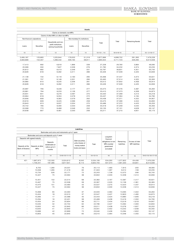2,495,187 125,683 1,025,944 179,533 51,319 3,877,666 4,698,752 291,393 7,476,228 3,083,689 152,357 1,289,432 309,165 58,911 4,893,554 5,711,723 329,295 8,513,508 17,413 692 6,818 1,966 339 27,228 29,780 3,984 49,090 20,599 550 7,827 2,539 276 31,790 34,232 4,374 53,235 20,812 892 8,413 2,349 331 32,797 36,831 4,301 55,740 20,829 818 9,282 2,211 286 33,426 37,509 4,425 54,656 21,139 722 9,119 2,193 295 33,468 37,447 4,374 55,621 21,091 757 9,149 2,201 295 33,493 37,514 4,320 55,365 20,980 810 9,225 2,206 291 33,512 37,602 4,458 55,914 20,829 818 9,282 2,211 286 33,426 37,509 4,425 54,656 20,997 795 9,226 2,177 277 33,473 37,476 4,387 55,284 20,981 794 9,233 2,126 277 33,410 37,373 4,308 54,873 20,931 841 9,276 2,097 275 33,420 37,469 4,213 55,218 20,964 818 9,304 2,078 272 33,437 37,364 4,194 54,790 20,906 808 9,383 2,079 262 33,438 37,371 4,322 54,907 20,916 809 9,425 2,066 259 33,475 37,366 4,344 54,850 20,843 813 9,507 2,054 270 33,486 37,372 4,423 55,253 20,742 795 9,490 2,033 259 33,319 37,259 4,540 55,355 20,599 770 9,468 2,046 252 33,135 37,101 4,629 55,147 **Assets** Claims on domestic non-MFIs Total Remaining Assets Total Claims of other MFIs on other non-MFIs Total Non-financial corporations Households and nonprofit institutions Loans | Securities | serving households | Loans | Securities Non-monetary fin.institutions 10 | 11 | 12 | 13 | 14 | 15=10+..+14 | 16=4+9+15 | 17 | 18=3+16+17

20,638 807 9,481 2,030 256 33,211 37,215 4,601 55,173

|                                     | Liabilities                                                                                      |                                                          |                                                                                                  |                                                                        |                                                                                                  |                                                                                        |                                                                                                  |                                                                                                                      |                                                                                                  |  |  |  |  |  |
|-------------------------------------|--------------------------------------------------------------------------------------------------|----------------------------------------------------------|--------------------------------------------------------------------------------------------------|------------------------------------------------------------------------|--------------------------------------------------------------------------------------------------|----------------------------------------------------------------------------------------|--------------------------------------------------------------------------------------------------|----------------------------------------------------------------------------------------------------------------------|--------------------------------------------------------------------------------------------------|--|--|--|--|--|
|                                     |                                                                                                  |                                                          | Banknotes and coins and instruments up to 2 years                                                |                                                                        |                                                                                                  |                                                                                        |                                                                                                  |                                                                                                                      |                                                                                                  |  |  |  |  |  |
|                                     | Banknotes and coins and deposits up to 2 years                                                   |                                                          |                                                                                                  |                                                                        |                                                                                                  |                                                                                        |                                                                                                  |                                                                                                                      |                                                                                                  |  |  |  |  |  |
|                                     | Deposits with agreed maturity                                                                    |                                                          |                                                                                                  |                                                                        |                                                                                                  | Long-term<br>financial                                                                 |                                                                                                  |                                                                                                                      |                                                                                                  |  |  |  |  |  |
| Deposits at the<br>Bank of Slovenia | Deposits at other<br><b>MFIs</b>                                                                 | Deposits<br>reedemable at<br>notice up to 3<br>months    | Total                                                                                            | Debt securities,<br>units/shares of<br>money market<br>funds and repos | Total                                                                                            | obligations to non-<br>MFIs (central<br>government<br>excluded)                        | Remaining<br>liabilities                                                                         | Excess of inter-<br><b>MFI</b> liabilities                                                                           | Total                                                                                            |  |  |  |  |  |
| 10                                  | $\overline{11}$                                                                                  | 12                                                       | $13=9+10+11+12$                                                                                  | $\overline{14}$                                                        | $15 = 13 + 14$                                                                                   | 16                                                                                     | 17                                                                                               | 18                                                                                                                   | $19=3+15+16+17+18$                                                                               |  |  |  |  |  |
|                                     |                                                                                                  |                                                          |                                                                                                  |                                                                        |                                                                                                  |                                                                                        |                                                                                                  |                                                                                                                      |                                                                                                  |  |  |  |  |  |
| 421                                 | 1,687,973                                                                                        | 122,355                                                  | 3,524,612                                                                                        | 9,545                                                                  | 3,534,156                                                                                        | 534,292                                                                                | 1,377,822                                                                                        | $-34,406$                                                                                                            | 7,476,228                                                                                        |  |  |  |  |  |
| $\sim$                              | 1,746,441                                                                                        | 197,485                                                  | 3,817,641                                                                                        | 8,114                                                                  | 3,825,755                                                                                        | 507,374                                                                                | 1,581,540                                                                                        | $-54,801$                                                                                                            | 8,513,508                                                                                        |  |  |  |  |  |
|                                     | 8,700<br>10.058<br>10,734<br>10,427<br>10,401<br>10.467<br>10,475<br>10,427                      | 1,280<br>1,265<br>526<br>75<br>152<br>75<br>101<br>75    | 20,037<br>21,419<br>22,171<br>22,564<br>22,314<br>22,308<br>22,483<br>22,564                     | 76<br>83<br>72<br>38<br>68<br>59<br>43<br>38                           | 20,113<br>21,503<br>22,243<br>22,602<br>22,382<br>22,367<br>22,527<br>22,602                     | 1,485<br>1.397<br>1,738<br>2,330<br>2,167<br>2,225<br>2,275<br>2,330                   | 7,915<br>9,012<br>12,072<br>12,208<br>12,387<br>12,158<br>12,523<br>12,208                       | $-200$<br>$-159$<br>$-346$<br>$-1,514$<br>$-1, 417$<br>$-1,381$<br>$-1,437$<br>$-1,514$                              | 49,090<br>53,235<br>55,740<br>54,656<br>55,621<br>55,365<br>55,914<br>54,656                     |  |  |  |  |  |
|                                     | 10,368<br>10,454<br>10,395<br>10,294<br>10,454<br>10,535<br>10,652<br>10,640<br>10,686<br>10,805 | 65<br>18<br>17<br>16<br>24<br>32<br>43<br>41<br>42<br>45 | 22,463<br>22,510<br>22,398<br>22,431<br>22,654<br>22,734<br>22,945<br>22,930<br>22,969<br>22,945 | 37<br>37<br>45<br>58<br>58<br>62<br>66<br>71<br>72<br>65               | 22,500<br>22,547<br>22,443<br>22,489<br>22,711<br>22,796<br>23,011<br>23,001<br>23,040<br>23,010 | 2,364<br>2,427<br>2,424<br>2,436<br>2,434<br>2,447<br>2,438<br>2,452<br>2,436<br>2,364 | 13,065<br>12,803<br>13,980<br>13,416<br>13,519<br>13,394<br>13,278<br>13,242<br>13,294<br>13,348 | $-1,502$<br>$-1,490$<br>$-1,606$<br>$-1,550$<br>$-1,618$<br>$-1,593$<br>$-1,607$<br>$-1,638$<br>$-1,602$<br>$-1,450$ | 55,284<br>54,873<br>55,218<br>54,790<br>54,907<br>54,850<br>55,253<br>55,355<br>55,147<br>55,173 |  |  |  |  |  |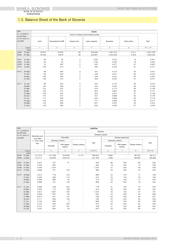**EUROSYSTEM**

#### 1.3. Balance Sheet of the Bank of Slovenia

| Until        | 31.12.2006 in |                |                                            |                         | Assets          |                |              |                |  |  |  |  |
|--------------|---------------|----------------|--------------------------------------------|-------------------------|-----------------|----------------|--------------|----------------|--|--|--|--|
| mio SIT from |               |                | Claims on foreign sectors (foreign assets) |                         |                 |                |              |                |  |  |  |  |
|              |               |                |                                            |                         |                 |                |              |                |  |  |  |  |
| mio EUR      | 01.01.2007 in |                |                                            |                         |                 |                |              |                |  |  |  |  |
|              |               | Gold           | Receivable from IMF                        | Foreign cash            | Loans, deposits | Securities     | Other claims | Total          |  |  |  |  |
|              |               |                |                                            |                         |                 |                |              |                |  |  |  |  |
|              | Column        | $\overline{1}$ | $\overline{2}$                             | $\overline{\mathbf{3}}$ | $\overline{4}$  | $\overline{5}$ | 6            | $7 = 1 +  + 6$ |  |  |  |  |
|              | Code          |                |                                            |                         |                 |                |              |                |  |  |  |  |
| 2005         | 31.Dec.       | 16,873         | 12,803                                     | 58                      | 305,094         | 1,297,370      | 5,511        | 1,637,708      |  |  |  |  |
| 2006         | 31.Dec.       | 18,793         | 8,919                                      | 60                      | 222,681         | 1,034,539      | 5,343        | 1,290,334      |  |  |  |  |
|              |               |                |                                            |                         |                 |                |              |                |  |  |  |  |
| 2007         | 31.Dec.       | 58             | 26                                         | $\mathsf O$             | 1,635           | 3,797          | 75           | 5,591          |  |  |  |  |
| 2008         | 31.Dec.       | 64             | 42                                         | 0                       | 1,165           | 4,003          | 78           | 5,350          |  |  |  |  |
| 2009         | 31.Dec.       | 78             | 262                                        | 0                       | 405             | 4,077          | 81           | 4,903          |  |  |  |  |
| 2010         | 31.Dec.       | 108            | 315                                        | 0                       | 363             | 4,200          | 91           | 5,077          |  |  |  |  |
|              |               |                |                                            |                         |                 |                |              |                |  |  |  |  |
| 2010         | 30.Sep.       | 98             | 284                                        | $\mathsf{O}\xspace$     | 341             | 4,215          | 84           | 5,021          |  |  |  |  |
|              | 31.Oct.       | 99             | 283                                        | $\circ$                 | 339             | 4,221          | 83           | 5,025          |  |  |  |  |
|              | 30.Nov.       | 109            | 293                                        | 0                       | 349             | 4,231          | 84           | 5,067          |  |  |  |  |
|              | 31.Dec.       | 108            | 315                                        | 0                       | 363             | 4,200          | 91           | 5,077          |  |  |  |  |
|              |               |                |                                            |                         |                 |                |              |                |  |  |  |  |
| 2011         | $31$ Jan.     | 99             | 323                                        | $\circ$                 | 420             | 4,142          | 90           | 5,074          |  |  |  |  |
|              | 28.Feb.       | 104            | 308                                        | 0                       | 402             | 4,203          | 90           | 5,108          |  |  |  |  |
|              | 31.Mar.       | 103            | 322                                        | 0                       | 476             | 4,115          | 90           | 5,106          |  |  |  |  |
|              | 30.Apr.       | 106            | 314                                        | $\circ$                 | 604             | 3,987          | 90           | 5,101          |  |  |  |  |
|              | 31.May        | 109            | 324                                        | 0                       | 622             | 4,001          | 91           | 5,148          |  |  |  |  |
|              | 30.Jun.       | 107            | 347                                        | $\circ$                 | 613             | 3,989          | 92           | 5,148          |  |  |  |  |
|              | 31.Jul.       | 117            | 358                                        | 0                       | 624             | 3,983          | 93           | 5,176          |  |  |  |  |
|              | 31.Aug.       | 128            | 355                                        | $\circ$                 | 751             | 4,089          | 93           | 5,417          |  |  |  |  |
|              | 30.Sep.       | 123            | 369                                        | $\circ$                 | 621             | 4,337          | 92           | 5,542          |  |  |  |  |
|              | 31.Oct.       | 126            | 358                                        | 0                       | 633             | 4,330          | 91           | 5,539          |  |  |  |  |
|              |               |                |                                            |                         |                 |                |              |                |  |  |  |  |

| Until        |               |                               | Liabilities      |                         |                  |           |          |                         |                  |           |  |  |  |  |
|--------------|---------------|-------------------------------|------------------|-------------------------|------------------|-----------|----------|-------------------------|------------------|-----------|--|--|--|--|
|              | 31.12.2006 in |                               |                  |                         |                  | Deposits  |          |                         |                  |           |  |  |  |  |
| mio SIT from | 01.01.2007 in |                               | Domestic sectors |                         |                  |           |          |                         |                  |           |  |  |  |  |
| mio EUR      |               | Banknotes and<br>coins (after |                  | Other MFIs              |                  |           |          | General government      |                  |           |  |  |  |  |
|              |               | 1.1.2007 ECB                  |                  | Domestic currency       |                  |           |          | Domestic currency       |                  |           |  |  |  |  |
|              |               | key)                          | Ovemight         | With agreed<br>maturity | Foreign currency | Total     | Ovemight | With agreed<br>maturity | Foreign currency | Total     |  |  |  |  |
|              | Column        | $\mathbf{1}$                  | $\overline{2}$   | $\overline{3}$          | $\overline{4}$   | $5=2+3+4$ | 6        | $\overline{7}$          | $\overline{8}$   | $9=6+7+8$ |  |  |  |  |
|              | Code          |                               |                  |                         |                  |           |          |                         |                  |           |  |  |  |  |
| 2005         | 31.Dec.       | 217,313                       | 101,438          | 204,990                 | 2,174            | 308,602   | 2,682    | ٠                       | 66,730           | 69,412    |  |  |  |  |
| 2006         | 31.Dec.       | 172,771                       | 95,946           | 325,519                 |                  | 421,465   | 1,296    | ٠                       | 96,992           | 98,288    |  |  |  |  |
| 2007         | 31.Dec.       | 2,947                         | 337              | 21                      |                  | 358       | 86       | 306                     | 66               | 458       |  |  |  |  |
| 2008         | 31.Dec.       | 3,255                         | 994              |                         |                  | 994       | 18       | 250                     | 72               | 339       |  |  |  |  |
| 2009         | 31.Dec.       | 3,536                         | 1,234            | ٠                       |                  | 1,234     | 21       | 250                     | 69               | 339       |  |  |  |  |
| 2010         | 31.Dec.       | 3,686                         | 761              | 135                     |                  | 896       | 20       | 250                     | 76               | 345       |  |  |  |  |
|              |               |                               |                  |                         |                  |           |          |                         |                  |           |  |  |  |  |
| 2010         | 30.Sep.       | 3,572                         | 718              | 150                     |                  | 868       | 22       | 100                     | 77               | 198       |  |  |  |  |
|              | 31.Oct.       | 3,580                         | 495              | 115                     |                  | 610       | 20       | 100                     | 76               | 196       |  |  |  |  |
|              | 30.Nov.       | 3,588                         | 699              | 25                      |                  | 724       | 23       | 100                     | 77               | 200       |  |  |  |  |
|              | 31.Dec.       | 3,686                         | 761              | 135                     |                  | 896       | 20       | 250                     | 76               | 345       |  |  |  |  |
|              |               |                               |                  |                         |                  |           |          |                         |                  |           |  |  |  |  |
| 2011         | 31.Jan.       | 3,598                         | 528              | 250                     | ٠                | 778       | 31       | 100                     | 70               | 202       |  |  |  |  |
|              | 28.Feb.       | 3,593                         | 715              | 198                     |                  | 913       | 26       | 250                     | 69               | 345       |  |  |  |  |
|              | 31.Mar.       | 3,612                         | 1,287            | 245                     | ٠                | 1,532     | 25       | 100                     | 67               | 191       |  |  |  |  |
|              | 30.Apr.       | 3,656                         | 567              | 85                      | ٠                | 652       | 24       | 500                     | 64               | 588       |  |  |  |  |
|              | 31.May        | 3,672                         | 641              | 127                     | ٠                | 768       | 25       | 500                     | 66               | 591       |  |  |  |  |
|              | 30.Jun.       | 3,711                         | 649              | 135                     |                  | 784       | 25       | 250                     | 65               | 340       |  |  |  |  |
|              | 31.Jul.       | 3,750                         | 663              | 5                       |                  | 668       | 23       | 250                     | 65               | 338       |  |  |  |  |
|              | 31.Aug.       | 3,724                         | 562              | 250                     |                  | 812       | 25       | 250                     | 64               | 339       |  |  |  |  |
|              | 30.Sep.       | 3,757                         | 607              | 191                     |                  | 798       | 21       | 250                     | 68               | 340       |  |  |  |  |
|              | 31.Oct.       | 3,787                         | 940              | 30                      |                  | 970       | 25       | 250                     | 66               | 341       |  |  |  |  |
|              |               |                               |                  |                         |                  |           |          |                         |                  |           |  |  |  |  |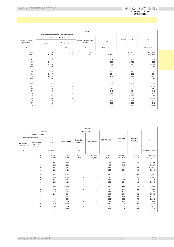|                                 |                         |                                                     | Assets       |            |                  |              |
|---------------------------------|-------------------------|-----------------------------------------------------|--------------|------------|------------------|--------------|
|                                 |                         | Claims on domestic sectors (domestic assets)        |              |            |                  |              |
|                                 | Claims on domestic MFIs |                                                     |              |            | Remaining assets | Total        |
| Claims on central<br>government | Loans                   | Claims on other domestic<br>sectors<br>Other claims |              | Total      |                  |              |
| $\overline{8}$                  | $\overline{9}$          | 10                                                  | 11           | $12=8++11$ | 13               | $14=7+12+13$ |
|                                 |                         |                                                     |              |            |                  |              |
| 17,423                          | 113                     | 84                                                  | 264          | 17,883     | 42,151           | 1,697,742    |
| 16,591                          | 1,300                   | 323                                                 | 229          | 18,442     | 57,375           | 1,366,151    |
| 67                              | 156                     | $\overline{4}$                                      | $\mathbf{1}$ | 228        | 2,590            | 8,409        |
| 68                              | 1,230                   | $\mathbf{1}$                                        |              | 1,300      | 2,736            | 9,387        |
| 160                             | 2,115                   | 72                                                  |              | 2,349      | 2,795            | 10,047       |
| 138                             | 602                     | 115                                                 | 1            | 856        | 2,683            | 8,616        |
|                                 |                         |                                                     |              |            |                  |              |
| 140                             | 985                     | 114                                                 |              | 1,240      | 2,730            | 8,991        |
| 139                             | 1,097                   | 114                                                 | $\mathbf{1}$ | 1,351      | 2,686            | 9,061        |
| 139                             | 1,073                   | 113                                                 |              | 1,326      | 2,719            | 9,112        |
| 138                             | 602                     | 115                                                 |              | 856        | 2,683            | 8,616        |
| 132                             | 437                     | 115                                                 |              | 685        | 2,624            | 8,384        |
| 101                             | 452                     | 115                                                 |              | 668        | 2,558            | 8,334        |
| 99                              | 365                     | 115                                                 |              | 580        | 2,501            | 8,187        |
| 76                              | 355                     | 115                                                 |              | 546        | 2,494            | 8,142        |
| 76                              | 447                     | 115                                                 |              | 639        | 2,530            | 8,317        |
| 76                              | 437                     | 115                                                 |              | 628        | 2,542            | 8,318        |
| 76                              | 464                     | 115                                                 |              | 655        | 2,567            | 8,398        |
| 76                              | 553                     | 115                                                 |              | 745        | 2,615            | 8,777        |
| 77                              | 423                     | 114                                                 |              | 616        | 2,655            | 8,812        |
| 76                              | 834                     | 114                                                 |              | 1,025      | 2,612            | 9,176        |
|                                 |                         |                                                     |              |            |                  |              |

|                               | Liabilities                               |                                         |                                           |                      |                                         |                               |                                       |                                 |                                            |  |  |  |  |
|-------------------------------|-------------------------------------------|-----------------------------------------|-------------------------------------------|----------------------|-----------------------------------------|-------------------------------|---------------------------------------|---------------------------------|--------------------------------------------|--|--|--|--|
|                               |                                           | Deposits                                |                                           |                      | Securities issued                       |                               |                                       |                                 |                                            |  |  |  |  |
|                               | Domestic sectors                          |                                         |                                           |                      |                                         |                               |                                       |                                 |                                            |  |  |  |  |
|                               | Other domestic sectors                    |                                         |                                           |                      |                                         |                               |                                       |                                 |                                            |  |  |  |  |
| Non-financial<br>corporations | Non-monetary<br>financial<br>institutions | Total                                   | Foreign sectors                           | Domestic<br>currency | Foreign currency                        | <b>SDR Allocation</b>         | Capital and<br>reserves               | Remaining<br>liabilities        | Total                                      |  |  |  |  |
| 10                            | 11                                        | $12=5+9+10+11$                          | 13                                        | 14                   | 15                                      | 16                            | 17                                    | 18                              | $19=1+12+13+14+18$                         |  |  |  |  |
|                               |                                           |                                         |                                           |                      |                                         |                               |                                       |                                 |                                            |  |  |  |  |
|                               | 3,268                                     | 381,282                                 | 2,061                                     | 525,195              | 323,927                                 | 7,358                         | 206,291                               | 34,316                          | 1,697,742                                  |  |  |  |  |
| ٠                             | 5,582                                     | 525,335                                 | 3,738                                     | 402,381              | 32,449                                  | 6,956                         | 187,473                               | 35,049                          | 1,366,151                                  |  |  |  |  |
|                               | 51<br>42<br>29<br>18<br>18                | 867<br>1,375<br>1,603<br>1,260<br>1,084 | 3,560<br>3,603<br>3,361<br>2,126<br>2,781 |                      | ٠<br>٠<br>×<br>$\overline{\phantom{a}}$ | 27<br>28<br>235<br>250<br>246 | 848<br>915<br>1,010<br>1,134<br>1,070 | 159<br>211<br>303<br>160<br>239 | 8,409<br>9,387<br>10,047<br>8,616<br>8,991 |  |  |  |  |
|                               | 18                                        | 823                                     | 3,099                                     |                      | $\overline{\phantom{a}}$                | 245                           | 1,068                                 | 246                             | 9,061                                      |  |  |  |  |
|                               | 19                                        | 943                                     | 2,982                                     |                      | ×                                       | 253                           | 1,068                                 | 278                             | 9,112                                      |  |  |  |  |
|                               | 18                                        | 1,260                                   | 2,126                                     |                      | ×                                       | 250                           | 1,134                                 | 160                             | 8,616                                      |  |  |  |  |
|                               | 25<br>18                                  | 1,005                                   | 2,265                                     |                      | ٠                                       | 246                           | 1,115                                 | 154                             | 8,384                                      |  |  |  |  |
|                               | 18                                        | 1,276<br>1,742                          | 1,939<br>1,321                            |                      | $\overline{a}$<br>×                     | 245<br>241                    | 1,116<br>1,127                        | 164<br>145                      | 8,334<br>8,187                             |  |  |  |  |
|                               | 21                                        | 1,261                                   | 1,731                                     |                      | $\overline{a}$                          | 235                           | 1,104                                 | 154                             | 8,142                                      |  |  |  |  |
|                               | 18                                        | 1,377                                   | 1,751                                     |                      | ٠                                       | 239                           | 1,118                                 | 159                             | 8,317                                      |  |  |  |  |
|                               | 16                                        | 1,140                                   | 1,956                                     |                      | $\sim$                                  | 239                           | 1,100                                 | 170                             | 8,318                                      |  |  |  |  |
|                               | 17                                        | 1,023                                   | 2,090                                     |                      | ٠                                       | 242                           | 1,116                                 | 178                             | 8,398                                      |  |  |  |  |
|                               | 22                                        | 1,173                                   | 2,365                                     |                      | ÷.                                      | 240                           | 1,082                                 | 192                             | 8,777                                      |  |  |  |  |
|                               | 26                                        | 1,164                                   | 2,358                                     |                      | $\blacksquare$                          | 250                           | 1,066                                 | 219                             | 8,812                                      |  |  |  |  |
|                               | 21                                        | 1,332                                   | 2,565                                     |                      | ٠                                       | 243                           | 1,028                                 | 222                             | 9,176                                      |  |  |  |  |
|                               |                                           |                                         |                                           |                      |                                         |                               |                                       |                                 |                                            |  |  |  |  |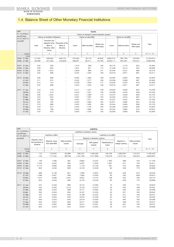# 1.4. Balance Sheet of Other Monetary Financial Institutions

| Until        |                                                                                                    | Assets                                        |                                                                         |                                          |                                                             |                                                       |                                               |                                                                    |                                                             |                                               |                                                                    |  |
|--------------|----------------------------------------------------------------------------------------------------|-----------------------------------------------|-------------------------------------------------------------------------|------------------------------------------|-------------------------------------------------------------|-------------------------------------------------------|-----------------------------------------------|--------------------------------------------------------------------|-------------------------------------------------------------|-----------------------------------------------|--------------------------------------------------------------------|--|
|              | 31.12.2006 in                                                                                      |                                               |                                                                         |                                          |                                                             | Claims on domestic sectors (domestic assets)          |                                               |                                                                    |                                                             |                                               |                                                                    |  |
| mio SIT from |                                                                                                    |                                               | Claims on the Bank of Slovenia                                          |                                          |                                                             | Claims on other MFIs                                  |                                               | Claims on non-MFIs                                                 |                                                             |                                               |                                                                    |  |
| mio EUR      | 01.01.2007 in                                                                                      | Cash                                          | Accounts and<br>deposits at the<br>Bank of<br>Slovenia, other<br>claims | Securities of the<br>Bank of<br>Slovenia | Loans                                                       | Debt securities                                       | Shares and<br>other equity                    | Loans                                                              | Debt securities                                             | Shares and<br>other equity                    | Total                                                              |  |
|              | Column                                                                                             | $\overline{1}$                                | $\overline{2}$                                                          | 3                                        | $\overline{4}$                                              | 5                                                     | 6                                             | $\overline{7}$                                                     | 8                                                           | 9                                             | $10 = 1 +  + 9$                                                    |  |
|              | Code                                                                                               |                                               |                                                                         |                                          |                                                             |                                                       |                                               |                                                                    |                                                             |                                               |                                                                    |  |
|              | 2005 31.Dec.                                                                                       | 31,302                                        | 308,602                                                                 | 849,121                                  | 125,494                                                     | 78,119                                                | 46,846                                        | 3,864,512                                                          | 691,756                                                     | 125,062                                       | 6,120,813                                                          |  |
|              | 2006 31.Dec.                                                                                       | 39,286                                        | 421,465                                                                 | 434,830                                  | 186,601                                                     | 90,011                                                | 25,769                                        | 4,839,111                                                          | 691,801                                                     | 164,221                                       | 6,893,095                                                          |  |
|              | 2007 31.Dec.<br>2008 31.Dec.<br>2009 31.Dec.<br>2010 31.Dec.<br>2010 30.Sep.<br>31.Oct.<br>30.Nov. | 245<br>259<br>246<br>234<br>226<br>211<br>214 | 358<br>994<br>1,234<br>896<br>868<br>610<br>724                         | ٠<br>ä,<br>ä,<br>ä,<br>٠<br>٠<br>ä,      | 1.470<br>1,941<br>2,948<br>3,422<br>3,082<br>3.022<br>3,428 | 386<br>621<br>969<br>1,334<br>1,280<br>1,277<br>1,359 | 186<br>110<br>151<br>159<br>169<br>169<br>177 | 26,716<br>31,549<br>32,445<br>33,519<br>33,494<br>33,539<br>33,556 | 2,176<br>2,013<br>3,231<br>2,971<br>2,950<br>2,938<br>3,032 | 822<br>602<br>995<br>881<br>864<br>897<br>876 | 32,360<br>38,089<br>42,218<br>43,417<br>42,933<br>42,665<br>43,365 |  |
|              | 31.Dec.                                                                                            | 234                                           | 896                                                                     | ٠                                        | 3.422                                                       | 1,334                                                 | 159                                           | 33,519                                                             | 2,971                                                       | 881                                           | 43,417                                                             |  |
|              | 2011 31.Jan.                                                                                       | 219                                           | 778                                                                     | ä,                                       | 3,411                                                       | 1,327                                                 | 158                                           | 33,563                                                             | 2,930                                                       | 850                                           | 43,236                                                             |  |
|              | 28.Feb.<br>31.Mar.                                                                                 | 222<br>226                                    | 913<br>1,532                                                            |                                          | 3,325<br>3,401                                              | 1,347<br>1,396                                        | 155<br>175                                    | 33,508<br>33,470                                                   | 2,916<br>3,006                                              | 849<br>893                                    | 43,235<br>44,100                                                   |  |
|              | 30.Apr.                                                                                            | 243                                           | 652                                                                     | ٠                                        | 3,267                                                       | 1,097                                                 | 163                                           | 33,505                                                             | 2,916                                                       | 867                                           | 42,710                                                             |  |
|              | 31.May                                                                                             | 225                                           | 768                                                                     | ٠                                        | 3,267                                                       | 1,077                                                 | 163                                           | 33,527                                                             | 2,922                                                       | 846                                           | 42,795                                                             |  |
|              | 30.Jun.                                                                                            | 234                                           | 784                                                                     | ٠                                        | 3,225                                                       | 1,085                                                 | 165                                           | 33,551                                                             | 2,895                                                       | 844                                           | 42,784                                                             |  |
|              | 31.Jul.                                                                                            | 210                                           | 668                                                                     | ٠                                        | 3,302                                                       | 1,085                                                 | 169                                           | 33,544                                                             | 2,894                                                       | 858                                           | 42,730                                                             |  |
|              | 31.Aug.                                                                                            | 218                                           | 812                                                                     | ٠                                        | 3,340                                                       | 1,105                                                 | 165                                           | 33,406                                                             | 2,949                                                       | 828                                           | 42,823                                                             |  |
|              | 30.Sep.                                                                                            | 223                                           | 798                                                                     | ä,                                       | 3,340                                                       | 1,084                                                 | 154                                           | 33,254                                                             | 2,960                                                       | 810                                           | 42,622                                                             |  |
|              | 31.Oct.                                                                                            | 218                                           | 970                                                                     |                                          | 3,293                                                       | 1,078                                                 | 150                                           | 33,293                                                             | 2,993                                                       | 853                                           | 42,849                                                             |  |

| Until<br>31.12.2006 in |                         | Liabilities                                     |                                    |                           |                                 |                               |                         |                                 |                           |                  |  |  |  |
|------------------------|-------------------------|-------------------------------------------------|------------------------------------|---------------------------|---------------------------------|-------------------------------|-------------------------|---------------------------------|---------------------------|------------------|--|--|--|
|                        |                         |                                                 |                                    |                           | Liabilities to domestic sectors |                               |                         |                                 |                           |                  |  |  |  |
| mio SIT from           | 01.01.2007 in           |                                                 | Liabilities to MFIs                |                           |                                 |                               | Liabilities to non-MFIs |                                 |                           |                  |  |  |  |
| mio EUR                |                         |                                                 |                                    |                           |                                 | Deposits in domestic currency |                         |                                 |                           | Total            |  |  |  |
|                        |                         | Deposits, Ioans<br>from the Bank of<br>Slovenia | Deposits, Ioans<br>from other MFIs | Debt securities<br>issued | Ovemight                        | With agreed<br>maturity       | Reedemable at<br>notice | Deposits in<br>foreign currency | Debt securities<br>issued |                  |  |  |  |
|                        | Column                  | $\mathbf{1}$                                    | $\overline{2}$                     | 3                         | $\overline{4}$                  | 5                             | 6                       | $\overline{7}$                  | 8                         | $9 = 1 +  + 8$   |  |  |  |
|                        | Code                    |                                                 |                                    |                           |                                 |                               |                         |                                 |                           |                  |  |  |  |
|                        | 2005 31.Dec.            | 110                                             | 132,645                            | 65,998                    | 980,327                         | 1,438,465                     | 136,195                 | 1,269,092                       | 172,573                   | 4,195,405        |  |  |  |
|                        | 2006 31.Dec.            | 102                                             | 171,042                            | 88,766                    | 1,161,185                       | 1,471,968                     | 179,476                 | 1,374,144                       | 163,254                   | 4,609,937        |  |  |  |
|                        | 2007 31.Dec.            | 156                                             | 1,496                              | 387                       | 6,882                           | 10,202                        | 1,363                   | 488                             | 752                       | 21,726           |  |  |  |
|                        | 2008 31.Dec.            | 1,230                                           | 2,040                              | 590                       | 6,597                           | 11,930                        | 1,381                   | 441                             | 703                       | 24,911           |  |  |  |
|                        | 2009 31.Dec.            | 2,115                                           | 2,995                              | 838                       | 7,178                           | 15,139                        | 561                     | 410                             | 684                       | 29,920           |  |  |  |
|                        | 2010 31.Dec.            | 602                                             | 3,446                              | 993                       | 8,135                           | 14,528                        | 82                      | 438                             | 775                       | 28,999           |  |  |  |
|                        | 2010 30.Sep.<br>31.Oct. | 986<br>1,098                                    | 3.148<br>3,091                     | 951<br>948                | 7,956<br>7,894                  | 14,604<br>14,556              | 160<br>83               | 428<br>430                      | 813<br>809                | 29,046<br>28,910 |  |  |  |
|                        | 30.Nov.                 | 1.073                                           | 3.488                              | 1.022                     | 8,067                           | 14.775                        | 108                     | 445                             | 794                       | 29,772           |  |  |  |
|                        | 31.Dec.                 | 602                                             | 3,446                              | 993                       | 8,135                           | 14,528                        | 82                      | 438                             | 775                       | 28,999           |  |  |  |
| 2011                   | 31.Jan.<br>28.Feb.      | 437<br>452                                      | 3,436<br>3,355                     | 989<br>1,010              | 8,215<br>8,155                  | 15,492<br>15,270              | 73<br>23                | 429<br>433                      | 772<br>769                | 29,843<br>29,467 |  |  |  |
|                        | 31.Mar.                 | 365                                             | 3,425                              | 966                       | 8,771                           |                               | 23                      | 430                             | 752                       |                  |  |  |  |
|                        |                         | 355                                             | 3,305                              | 655                       |                                 | 15,564                        | 22                      | 427                             | 762                       | 30,296<br>28,942 |  |  |  |
|                        | 30.Apr.<br>31.May       | 447                                             | 3.294                              | 634                       | 8,187<br>8,198                  | 15,229<br>15.253              | 30                      | 441                             | 755                       | 29,051           |  |  |  |
|                        | 30.Jun.                 | 437                                             | 3,265                              | 645                       |                                 | 15.439                        | 40                      | 445                             | 757                       | 29,250           |  |  |  |
|                        | 31.Jul.                 | 464                                             | 3,322                              | 645                       | 8,222<br>8,279                  | 15,300                        | 51                      | 464                             | 762                       | 29,286           |  |  |  |
|                        | 31.Aug.                 | 553                                             | 3,354                              | 662                       | 8,217                           | 15,265                        | 52                      | 458                             | 761                       | 29,321           |  |  |  |
|                        | 30.Sep.                 | 423                                             | 3,362                              | 669                       | 8,221                           | 15,307                        | 49                      | 461                             | 755                       | 29,247           |  |  |  |
|                        | 31.Oct.                 | 835                                             | 3,323                              | 812                       | 8,040                           | 15,400                        | 53                      | 473                             | 722                       | 29,658           |  |  |  |
|                        |                         |                                                 |                                    |                           |                                 |                               |                         |                                 |                           |                  |  |  |  |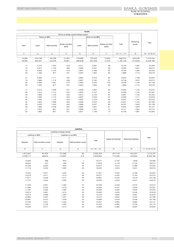| <b>Assets</b> |                |                 |                                            |                |                    |                            |                   |                     |                  |  |  |  |
|---------------|----------------|-----------------|--------------------------------------------|----------------|--------------------|----------------------------|-------------------|---------------------|------------------|--|--|--|
|               |                |                 | Claims on foreign sectors (foreign assets) |                |                    |                            |                   |                     |                  |  |  |  |
|               |                | Claims on MFIs  |                                            |                | Claims on non-MFIs |                            |                   |                     |                  |  |  |  |
| Cash          | Loans          | Debt securities | Shares and other<br>equity                 | Loans          | Debt securities    | Shares and other<br>equity | Total             | Remaining<br>assets | Total            |  |  |  |
| 11            | 12             | 13              | 14                                         | 15             | 16                 | 17                         | $18 = 11 +  + 17$ | 19                  | $20 = 10+18+19$  |  |  |  |
|               |                |                 |                                            |                |                    |                            |                   |                     |                  |  |  |  |
| 13,096        | 374,789        | 90,238          | 51,954                                     | 179,985        | 123,453            | 14,860                     | 848,375           | 250,536             | 7,219,724        |  |  |  |
| 18,080        | 362,491        | 153,235         | 52,661                                     | 286,638        | 291,509            | 17,542                     | 1,182,156         | 273,935             | 8,349,186        |  |  |  |
| 17            | 2,753          | 1,452           | 318                                        | 2,511          | 2,587              | 98                         | 9,735             | 1,397               | 43,493           |  |  |  |
| 16            | 2,221          | 1,135           | 385                                        | 2.995          | 2,441              | 86                         | 9,280             | 1,641               | 49,010           |  |  |  |
| 22            | 2,930          | 1,123           | 419                                        | 2,961          | 2,168              | 82                         | 9,705             | 1,480               | 53,404           |  |  |  |
| 20            | 1,492          | 977             | 441                                        | 2,944          | 1,932              | 82                         | 7,889             | 1,710               | 53,016           |  |  |  |
| 21<br>19      | 2,093<br>1,886 | 1.111<br>1.116  | 447<br>448                                 | 2,964<br>2,981 | 2,274<br>2,190     | 94<br>97                   | 9,003<br>8,736    | 1,708<br>1.672      | 53,644<br>53,073 |  |  |  |
| 20            | 2,365          | 1,091           | 472                                        | 2,963          | 2,022              | 103                        | 9.036             | 1.746               | 54,148           |  |  |  |
| 20            | 1,492          | 977             | 441                                        | 2,944          | 1,932              | 82                         | 7,889             | 1,710               | 53,016           |  |  |  |
| 17<br>20      | 2,012<br>1,613 | 1,038<br>1.112  | 441<br>442                                 | 2,939<br>2,923 | 2,062<br>2.137     | 84<br>91                   | 8,594<br>8,338    | 1,742<br>1,734      | 53,572<br>53,307 |  |  |  |
| 20            | 1,966          | 1,140           | 442                                        | 2,910          | 2,125              | 87                         | 8,691             | 1,742               | 54,533           |  |  |  |
| 24            | 1,566          | 1.170           | 440                                        | 2,897          | 2,206              | 87                         | 8,390             | 1.717               | 52,818           |  |  |  |
| 25            | 1,592          | 1,118           | 440                                        | 2,905          | 2,152              | 92                         | 8,323             | 1.797               | 52,916           |  |  |  |
| 32            | 1,623          | 1,098           | 463                                        | 2,899          | 2,042              | 93                         | 8,251             | 1,754               | 52,789           |  |  |  |
| 29            | 2,005          | 1,045           | 452                                        | 2,889          | 2,027              | 90                         | 8,537             | 1,842               | 53,109           |  |  |  |
| 26            | 1,986          | 1,028           | 452                                        | 2,880          | 1,937              | 91                         | 8,400             | 1,925               | 53,147           |  |  |  |
| 21            | 1,922          | 997             | 451                                        | 2,888          | 1,787              | 74                         | 8,141             | 1,952               | 52,715           |  |  |  |
| 22            | 1,980          | 951             | 451                                        | 2,921          | 1,706              | 74                         | 8,106             | 1,981               | 52,935           |  |  |  |
|               |                |                 |                                            |                |                    |                            |                   |                     |                  |  |  |  |

| Liabilities      |                        |                                |                         |                   |                      |                       |                         |  |  |  |  |  |
|------------------|------------------------|--------------------------------|-------------------------|-------------------|----------------------|-----------------------|-------------------------|--|--|--|--|--|
|                  |                        | Liabilities to foreign sectors |                         |                   |                      |                       |                         |  |  |  |  |  |
|                  | Liabilities to MFIs    |                                | Liabilities to non-MFIs |                   |                      |                       |                         |  |  |  |  |  |
| Deposits         | Debt securities issued | Deposits                       | Debt securities issued  | Total             | Capital and reserves | Remaining liabilities | Total                   |  |  |  |  |  |
| 10               | 11                     | 12                             | 13                      | $14 = 10 +  + 13$ | 15                   | 16                    | $17 = 9 + 14 + 15 + 16$ |  |  |  |  |  |
|                  |                        |                                |                         |                   |                      |                       |                         |  |  |  |  |  |
| 1,872,623        | 87,606                 | 101,988                        | 85                      | 2,062,303         | 657,418              | 304,597               | 7,219,724               |  |  |  |  |  |
| 2,439,177        | 99,644                 | 110,867                        | 215                     | 2,649,902         | 712,426              | 376,922               | 8,349,186               |  |  |  |  |  |
| 14,925<br>16,643 | 388<br>437             | 902<br>768                     | $\overline{1}$<br>30    | 16,217<br>17,879  | 3,700<br>4,118       | 1,849<br>2,102        | 43,493<br>49,010        |  |  |  |  |  |
| 13,436           | 2,263                  | 929                            | 45                      | 16,673            | 4,414                | 2,396                 | 53,404                  |  |  |  |  |  |
| 11,774           | 3,254                  | 1.460                          | 34                      | 16,522            | 4,254                | 3,241                 | 53,016                  |  |  |  |  |  |
|                  |                        |                                |                         |                   |                      |                       |                         |  |  |  |  |  |
| 12,424           | 3,221                  | 1,320                          | 35                      | 17,001            | 4,430                | 3,168                 | 53,644                  |  |  |  |  |  |
| 12,018           | 3,211                  | 1,313                          | 35                      | 16,577            | 4,432                | 3,154                 | 53,073                  |  |  |  |  |  |
| 11,911           | 3,259                  | 1,477                          | 35                      | 16,681            | 4,376                | 3,319                 | 54,148                  |  |  |  |  |  |
| 11,774           | 3,254                  | 1,460                          | 34                      | 16.522            | 4,254                | 3,241                 | 53,016                  |  |  |  |  |  |
| 11,434           | 3,261                  | 1,480                          | 34                      | 16,209            | 4,249                | 3,272                 | 53,572                  |  |  |  |  |  |
| 11,508           | 3,243                  | 1,479                          | 34                      | 16,263            | 4,247                | 3,330                 | 53,307                  |  |  |  |  |  |
| 11.197           | 3,582                  | 1,480                          | 33                      | 16,292            | 4,305                | 3,640                 | 54,533                  |  |  |  |  |  |
| 10,814           | 3.581                  | 1.472                          | 33                      | 15,900            | 4,530                | 3,446                 | 52,818                  |  |  |  |  |  |
| 10,616           | 3,589                  | 1,494                          | 33                      | 15,733            | 4,665                | 3,467                 | 52,916                  |  |  |  |  |  |
| 10,684           | 3,297                  | 1,457                          | 33                      | 15,472            | 4,644                | 3,423                 | 52,789                  |  |  |  |  |  |
| 10,881           | 3,313                  | 1,438                          | 33                      | 15,666            | 4,618                | 3,539                 | 53,109                  |  |  |  |  |  |
| 10,746           | 3,331                  | 1,446                          | 33                      | 15,557            | 4,584                | 3,685                 | 53,147                  |  |  |  |  |  |
| 10,611           | 3,106                  | 1,494                          | 34                      | 15,245            | 4,480                | 3,743                 | 52,715                  |  |  |  |  |  |
| 10,336           | 3,077                  | 1,513                          | 34                      | 14,959            | 4,480                | 3,837                 | 52,935                  |  |  |  |  |  |
|                  |                        |                                |                         |                   |                      |                       |                         |  |  |  |  |  |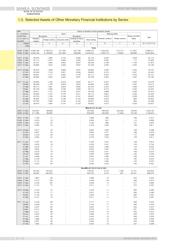**EUROSYSTEM**

# 1.5. Selected Assets of Other Monetary Financial Institutions by Sector

| Until                         | Claims on domestic sectors (domestic assets) |                  |                 |                                 |                                |                   |                  |                            |                         |  |  |
|-------------------------------|----------------------------------------------|------------------|-----------------|---------------------------------|--------------------------------|-------------------|------------------|----------------------------|-------------------------|--|--|
| 31.12.2006 in                 |                                              |                  | Loans           |                                 |                                | Debt securities   |                  |                            |                         |  |  |
| mio SIT from<br>01.01.2007 in | Domestic                                     | By currency      |                 | By purpose<br>Lending for house |                                | Domestic currency | Foreign currency | Shares and other<br>equity | Total                   |  |  |
| mio EUR                       | currency                                     | Foreign currency | Consumer credit | purchase                        | Other lending                  |                   |                  |                            |                         |  |  |
| Column                        | $\mathbf{1}$                                 | $\overline{c}$   | 3               | $\overline{4}$                  | 5                              | 6                 | $\boldsymbol{7}$ | 8                          | $9 = 1 + 2 + 6 + 7 + 8$ |  |  |
| Code                          |                                              |                  |                 |                                 | Total                          |                   |                  |                            |                         |  |  |
| 2005 31.Dec.                  | 2,099,189                                    | 2,199,419        | 471,462         | 327,736                         | 3,499,410                      | 1,203,222         | 415,774          | 171,907                    | 6,089,511               |  |  |
| 2006 31.Dec.                  | 2,298,192                                    | 3,148,985        | 547,955         | 468,689                         | 4,430,534                      | 1,096,779         | 119,864          | 189,989                    | 6,853,809               |  |  |
|                               |                                              |                  |                 |                                 |                                |                   |                  |                            |                         |  |  |
| 2007 31.Dec.                  | 26,555                                       | 1,990            | 2,743           | 2,668                           | 23,134                         | 2,562             | ÷.               | 1,008                      | 32,115                  |  |  |
| 2008 31.Dec.                  | 32,113                                       | 2,370            | 2,884           | 3,395                           | 28,204                         | 2,634             | ä,               | 712                        | 37,830                  |  |  |
| 2009 31.Dec.                  | 34,731                                       | 1,895            | 2,900           | 3,927                           | 29,799                         | 4,199             |                  | 1,146                      | 41,972                  |  |  |
| 2010 31.Dec.                  | 35,994                                       | 1,843            | 2,833           | 4,837                           | 30,168                         | 4,305             |                  | 1,040                      | 43,182                  |  |  |
| 2010 30.Sep.                  | 35,616                                       | 1,828            | 2,863           | 4,627                           | 29,953                         | 4,230             |                  | 1,033                      | 42,707                  |  |  |
| 31.Oct.                       | 35,430                                       | 1,742            | 2,857           | 4,649                           | 29,665                         | 4,215             |                  | 1,067                      | 42,454                  |  |  |
| 30.Nov.                       | 35,931                                       | 1,777            | 2,850           | 4,740                           | 30,117                         | 4,391             |                  | 1,053                      | 43,151                  |  |  |
| 31.Dec.                       | 35,994                                       | 1,843            | 2,833           | 4,837                           | 30,168                         | 4,305             | ٠                | 1,040                      | 43,182                  |  |  |
|                               |                                              |                  |                 |                                 |                                |                   |                  |                            |                         |  |  |
| 2011 31.Jan.<br>28.Feb.       | 35,993<br>36,008                             | 1,760<br>1,739   | 2,816<br>2,803  | 4,820<br>4,852                  | 30,117<br>30,092               | 4,257<br>4,262    |                  | 1,008                      | 43,018<br>43,013        |  |  |
| 31.Mar.                       | 36,712                                       | 1,691            | 2,803           | 4,880                           | 30,720                         | 4,402             | ÷,               | 1,004<br>1,068             | 43,873                  |  |  |
| 30.Apr.                       | 35,736                                       | 1,689            | 2,786           | 4,926                           | 29,712                         | 4,013             | ä,               | 1,030                      | 42,467                  |  |  |
| 31.May.                       | 35,811                                       | 1,751            | 2,783           | 5,021                           | 29,758                         | 3,999             | ä,               | 1,009                      | 42,570                  |  |  |
| 30.Jun.                       | 35,836                                       | 1,724            | 2,776           | 5,071                           | 29,713                         | 3,981             |                  | 1,009                      | 42,550                  |  |  |
| 31.Jul.                       | 35,720                                       | 1,794            | 2,786           | 5,161                           | 29,567                         | 3,979             |                  | 1,028                      | 42,520                  |  |  |
| 31.Aug.                       | 35,854                                       | 1,705            | 2,766           | 5,144                           | 29,648                         | 4,053             | ٠                | 993                        | 42,604                  |  |  |
| 30.Sep.<br>31.Oct.            | 35,763<br>35,975                             | 1,628<br>1,580   | 2,760<br>2,747  | 5,130<br>5,153                  | 29,501<br>29,655               | 4,044<br>4,072    |                  | 964<br>1,003               | 42,399<br>42,631        |  |  |
|                               |                                              |                  |                 |                                 |                                |                   |                  |                            |                         |  |  |
|                               |                                              |                  |                 |                                 | MFIs (S.121, S.122)            |                   |                  |                            |                         |  |  |
| 2005 31.Dec.                  | 345,097                                      | 88,999           |                 | ÷,                              | 434,096                        | 594,946           | 332,295          | 46,846                     | 1,408,182               |  |  |
| 2006 31.Dec.                  | 511,086                                      | 96,980           | ÷,              | $\overline{\phantom{a}}$        | 608,066                        | 482,995           | 41,846           | 25,769                     | 1,158,676               |  |  |
| 2007 31.Dec.                  | 1,758                                        | 71               |                 |                                 | 1,829                          | 386               |                  | 186                        | 2,401                   |  |  |
| 2008 31.Dec.                  | 2,918                                        | 16               |                 | ä,                              | 2,935                          | 621               |                  | 110                        | 3,666                   |  |  |
| 2009 31.Dec.                  | 4,160                                        | 22               |                 |                                 | 4,182                          | 969               |                  | 151                        | 5,302                   |  |  |
| 2010 31.Dec.                  | 4,294                                        | 24               |                 | í.                              | 4,318                          | 1,334             | ä,               | 159                        | 5,811                   |  |  |
|                               |                                              |                  |                 |                                 |                                |                   |                  |                            |                         |  |  |
| 2010 30.Sep.                  | 3,917                                        | 33               |                 |                                 | 3,950                          | 1,280             |                  | 169                        | 5,399                   |  |  |
| 31.Oct.<br>30.Nov.            | 3,607<br>4,126                               | 25<br>26         |                 | í.                              | 3,632<br>4,152                 | 1,277<br>1,359    |                  | 169<br>177                 | 5,079<br>5,688          |  |  |
| 31.Dec.                       | 4,294                                        | 24               |                 |                                 | 4,318                          | 1,334             |                  | 159                        | 5,811                   |  |  |
|                               |                                              |                  |                 |                                 |                                |                   |                  |                            |                         |  |  |
| 2011 31.Jan.                  | 4,167                                        | 22               |                 |                                 | 4,190                          | 1,327             |                  | 158                        | 5,674                   |  |  |
| 28.Feb.                       | 4,220                                        | 18<br>17         |                 | Ĭ.<br>ä,                        | 4,239<br>4,933                 | 1,347             |                  | 155                        | 5,740<br>6,504          |  |  |
| 31.Mar.<br>30.Apr.            | 4,916<br>3,902                               | 17               |                 | í.                              | 3,919                          | 1,396<br>1,097    |                  | 175<br>163                 | 5,179                   |  |  |
| 31.May.                       | 4,018                                        | 16               |                 |                                 | 4,035                          | 1,077             |                  | 163                        | 5,275                   |  |  |
| 30.Jun.                       | 3,992                                        | 18               |                 |                                 | 4,009                          | 1,085             |                  | 165                        | 5,259                   |  |  |
| 31.Jul.                       | 3,946                                        | 23               |                 |                                 | 3,970                          | 1,085             |                  | 169                        | 5,224                   |  |  |
| 31.Aug.                       | 4,136                                        | 16               |                 | ٠                               | 4,152                          | 1,105             |                  | 165                        | 5,422                   |  |  |
| 30.Sep.                       | 4,113                                        | 24               |                 |                                 | 4,137                          | 1,084             |                  | 154                        | 5,375                   |  |  |
| 31.Oct.                       | 4,242                                        | 20               |                 |                                 | 4,262                          | 1,078             |                  | 150                        | 5,491                   |  |  |
|                               |                                              |                  |                 |                                 | Non-MFIs (S.123, S.124, S.125) |                   |                  |                            |                         |  |  |
| 2005 31.Dec.                  | 39,180                                       | 140,353          |                 |                                 | 179,533                        | 2,419             | 1,799            | 47,101                     | 230,852                 |  |  |
| 2006 31.Dec.                  | 46,800                                       | 262,365          |                 |                                 | 309,165                        | 2,753             | 857              | 55,301                     | 368,076                 |  |  |
| 2007 31.Dec.                  | 1,867                                        | 99               |                 |                                 | 1,966                          | 15                |                  | 324                        | 2,305                   |  |  |
| 2008 31.Dec.                  | 2,413                                        | 126              |                 |                                 | 2,539                          | 20                |                  | 255                        | 2,815                   |  |  |
| 2009 31.Dec.                  | 2,248                                        | 100              |                 |                                 | 2,349                          | 14                |                  | 317                        | 2,680                   |  |  |
| 2010 31.Dec.                  | 2,137                                        | 73               |                 |                                 | 2,211                          | 11                |                  | 275                        | 2,497                   |  |  |
|                               |                                              |                  |                 |                                 |                                |                   |                  |                            |                         |  |  |
| 2010 30.Sep.<br>31.Oct.       | 2,120<br>2,130                               | 73<br>71         |                 |                                 | 2,193<br>2,201                 | 11<br>11          |                  | 284<br>284                 | 2,488<br>2,496          |  |  |
| 30.Nov.                       | 2,132                                        | 73               |                 |                                 | 2,206                          | 11                |                  | 280                        | 2,497                   |  |  |
| 31.Dec.                       | 2,137                                        | 73               |                 |                                 | 2,211                          | 11                |                  | 275                        | 2,497                   |  |  |
|                               |                                              |                  |                 |                                 |                                |                   |                  |                            |                         |  |  |
| 2011 31.Jan.                  | 2,108                                        | 69               |                 |                                 | 2,177                          | 11                |                  | 266                        | 2,454                   |  |  |
| 28.Feb.<br>31.Mar.            | 2,056                                        | 70               |                 |                                 | 2,126                          | 11                |                  | 265<br>264                 | 2,402                   |  |  |
| 30.Apr.                       | 2,031<br>2,014                               | 65<br>65         |                 |                                 | 2,097<br>2,078                 | 11<br>11          |                  | 261                        | 2,372<br>2,350          |  |  |
| 31.May.                       | 2,011                                        | 68               |                 |                                 | 2,079                          | 10                |                  | 252                        | 2,341                   |  |  |
| 30.Jun.                       | 2,020                                        | 46               |                 |                                 | 2,066                          | 10                |                  | 249                        | 2,325                   |  |  |
| 31.Jul.                       | 2,007                                        | 46               |                 |                                 | 2,054                          | 10                |                  | 259                        | 2,323                   |  |  |
| 31.Aug.                       | 1,988                                        | 45               |                 |                                 | 2,033                          | 10                |                  | 249                        | 2,292                   |  |  |
| 30.Sep.<br>31.Oct.            | 2,007<br>1,992                               | 39<br>38         |                 |                                 | 2,046<br>2,030                 | 10<br>10          |                  | 242<br>247                 | 2,298<br>2,286          |  |  |
|                               |                                              |                  |                 |                                 |                                |                   |                  |                            |                         |  |  |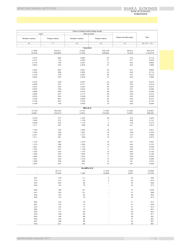|                   |                  | Claims on foreign sectors (foreign assets) |                           |                         |              |
|-------------------|------------------|--------------------------------------------|---------------------------|-------------------------|--------------|
| Loans             |                  | Debt securities                            |                           |                         |              |
| Domestic currency | Foreign currency | Domestic currency                          | Foreign currency          | Shares and other equity | Total        |
| 10                | 11               | 12                                         | 13                        | 14                      | $15=10+.+14$ |
|                   |                  |                                            |                           |                         |              |
|                   |                  | Total $(S.2)$                              |                           |                         |              |
| 11,963            | 542,811          | 12,943                                     | 200,748                   | 66,814                  | 835,279      |
| 20,446            | 628,683          | 14,760                                     | 429,984                   | 70,203                  | 1,164,076    |
|                   |                  |                                            |                           |                         |              |
| 4,570             | 693              | 3,984                                      | 54                        | 416                     | 9,718        |
| 4,472             | 743              | 3,555                                      | 21                        | 471                     | 9,263        |
| 5,145             | 746              | 3,281                                      | 10                        | 502                     | 9,683        |
| 3,903             | 533              | 2,878                                      | 31                        | 524                     | 7,869        |
|                   |                  |                                            |                           |                         |              |
| 4,454             | 602              | 3,361                                      | 23                        | 541                     | 8,982        |
| 4,269             | 599              | 3,282                                      | 23                        | 545                     | 8,718        |
| 4,749             | 579              | 3,087                                      | 26                        | 575                     | 9,016        |
| 3,903             | 533              | 2,878                                      | 31                        | 524                     | 7,869        |
|                   |                  |                                            |                           |                         |              |
| 4,443             | 508              | 3,067                                      | 33                        | 525                     | 8,576        |
| 4,009             | 527              | 3,217                                      | 33                        | 532                     | 8,318        |
| 4,357             | 520              | 3,234                                      | 30                        | 529                     | 8,670        |
| 3,934             | 529              | 3,352                                      | 23                        | 527                     | 8,366        |
| 3,889             | 608              | 3,242                                      | 28                        | 532                     | 8,299        |
| 3,895             | 627              | 3,113                                      | 28                        | 556                     | 8,219        |
| 4,252             | 642              | 3,048                                      | 24                        | 542                     | 8,508        |
| 4,205             | 661              | 2,940                                      | 25                        | 543                     | 8,374        |
| 4,159             | 652              | 2,762                                      | 22                        | 525                     | 8,120        |
| 4,196             | 706              | 2,638                                      | 19                        | 525                     | 8,084        |
|                   |                  | MFIs(S.2)                                  |                           |                         |              |
| 10,739            | 364,050          | 12,742                                     | 77,495                    | 51,954                  | 516,981      |
| 18,981            | 343,510          | 12,870                                     | 140,364                   | 52,661                  | 568,387      |
|                   |                  |                                            |                           |                         |              |
| 2,376             | 377              | 1,425                                      | 26                        | 318                     | 4,522        |
| 1,850             | 370              | 1,128                                      | $\overline{7}$            | 385                     | 3,741        |
| 2,528             | 402              | 1,119                                      | $\overline{a}$            | 419                     | 4,473        |
| 1,211             | 281              | 959                                        | 19                        | 441                     | 2,910        |
|                   |                  |                                            |                           |                         |              |
| 1,762             | 330              | 1,092                                      | 19                        | 447                     | 3,651        |
| 1,550             | 336              | 1,097                                      | 18                        | 448                     | 3,450        |
| 2,057             | 308              | 1,072                                      | 19                        | 472                     | 3,928        |
| 1,211             | 281              | 959                                        | 19                        | 441                     | 2,910        |
|                   |                  |                                            |                           |                         |              |
| 1,732             | 280              | 1,019                                      | 19                        | 441                     | 3,491        |
| 1,315             | 298              | 1,093                                      | 19                        | 442                     | 3,167        |
| 1,661             | 305              | 1,123                                      | 17                        | 442                     | 3,548        |
| 1,245             | 321              | 1,159                                      | 11                        | 440                     | 3,176        |
| 1,250             | 342              | 1,103                                      | 15                        | 440                     | 3,150        |
| 1,293             | 330              | 1,084                                      | 15                        | 463                     | 3,185        |
| 1,680             | 325              | 1,034                                      | 11                        | 452                     | 3,502        |
| 1,634             | 353              | 1,016                                      | 12                        | 452                     | 3,466        |
| 1,586             | 336              | 985                                        | 12                        | 451                     | 3,370        |
| 1,620             | 361              | 941                                        | 10                        | 451                     | 3,382        |
|                   |                  |                                            |                           |                         |              |
| ÷,                | 29,770           | Non-MFIs (S.2)<br>$\overline{\phantom{a}}$ | 17,340                    | 5,854                   | 52,965       |
|                   | 75,559           | 1,492                                      | 26,809                    | 6,697                   | 110,556      |
|                   |                  |                                            |                           |                         |              |
| 367               | 178              | 111                                        | $\ensuremath{\mathsf{3}}$ | 33                      | 692          |
| 473               | 212              | 97                                         | $\sqrt{2}$                | 35                      | 819          |
| 520               | 205              | 92                                         | $\mathbf{1}$              | 40                      | 858          |
| 646               | 144              | 79                                         |                           | 44                      | 913          |
|                   |                  |                                            |                           |                         |              |
| 636               | 166              | 151                                        |                           | 47                      | 1,000        |
| 641               | 160              | 151                                        |                           | 47                      | 998          |
| 635               | 164              | 87                                         |                           | 48                      | 934          |
| 646               | 144              | 79                                         |                           | 44                      | 913          |
|                   |                  |                                            |                           |                         |              |
| 662               | 133              | 76                                         |                           | 41                      | 912          |
| 687               | 135              | 72                                         |                           | 41                      | 935          |
| 672               | 122              | 77                                         |                           | 41                      | 913          |
| 685               | 121              | 79                                         |                           | 45                      | 931          |
| 650               | 174              | 84                                         |                           | 50                      | 957          |
| 642               | 189              | 90                                         |                           | 49                      | 971          |
| 663               | 190              | 89                                         |                           | 49                      | 991          |
| 653               | 183              | 84                                         |                           | 47                      | 967          |
| 637               | 188              | 86                                         |                           | 40                      | 951          |
| 635               | 221              | 85                                         |                           | 40                      | 981          |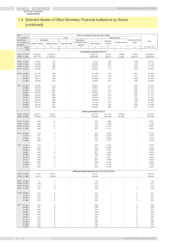### 1.5. Selected Assets of Other Monetary Financial Institutions by Sector (continued)

| Until         | Claims on domestic sectors (domestic assets) |                  |                           |                                                   |                                   |          |                           |                          |               |
|---------------|----------------------------------------------|------------------|---------------------------|---------------------------------------------------|-----------------------------------|----------|---------------------------|--------------------------|---------------|
| 31.12.2006 in |                                              |                  | Loans                     |                                                   |                                   |          | Debt securities           |                          |               |
| mio SIT from  |                                              | By currency      |                           | By purpose                                        |                                   | Domestic |                           | Shares and other         | Total         |
| 01.01.2007 in | Domestic currency                            | Foreign currency | Consumer credit           | Lending for house                                 | Other lending                     | currency | Foreign currency          | equity                   |               |
| mio EUR       |                                              |                  |                           | purchase                                          |                                   |          |                           |                          |               |
| Column        | $\mathbf{1}$                                 | $\boldsymbol{2}$ | $\ensuremath{\mathsf{3}}$ | $\sqrt{4}$                                        | $\,$ 5 $\,$                       | 6        | $\overline{\mathfrak{c}}$ | 8                        | $9=1+2+6+7+8$ |
| Code          |                                              |                  |                           |                                                   |                                   |          |                           |                          |               |
|               |                                              |                  |                           |                                                   | Non-financial corporations (S.11) |          |                           |                          |               |
| 2005 31.Dec.  | 956,334                                      | 1,538,853        | ٠                         | ÷                                                 | 2,495,187                         | 28,724   | 18,999                    | 77,960                   | 2,620,870     |
| 2006 31.Dec.  | 927,775                                      | 2,155,914        | ä,                        | ÷                                                 | 3,083,689                         | 28,541   | 14,897                    | 108,919                  | 3,236,046     |
|               |                                              |                  |                           |                                                   |                                   |          |                           |                          |               |
| 2007 31.Dec.  | 16,643                                       | 770              | ÷.                        | ×,                                                | 17,413                            | 194      | ÷,                        | 498                      | 18,105        |
| 2008 31.Dec.  | 19,834                                       | 765              |                           |                                                   | 20,599                            | 204      |                           | 346                      | 21,149        |
| 2009 31.Dec.  | 20,326                                       | 486              |                           | ٠                                                 | 20,812                            | 214      | $\overline{\phantom{a}}$  | 678                      | 21,704        |
| 2010 31.Dec.  | 20,398                                       | 430              |                           | ÷                                                 | 20,829                            | 212      |                           | 606                      | 21,646        |
|               |                                              |                  |                           |                                                   |                                   |          | ÷.                        |                          |               |
| 2010 30.Sep.  | 20,700                                       | 439              |                           | ÷,                                                | 21,139                            | 142      |                           | 581                      | 21,862        |
| 31.Oct.       | 20,674                                       | 416              |                           | ä,                                                | 21,091                            | 144      |                           | 614                      | 21,848        |
| 30.Nov.       | 20,571                                       | 409              |                           | ÷                                                 | 20,980                            | 214      | ÷.                        | 596                      | 21,790        |
| 31.Dec.       | 20,398                                       | 430              | ä,                        | ۰                                                 | 20,829                            | 212      | ÷,                        | 606                      | 21,646        |
|               |                                              |                  |                           |                                                   |                                   |          |                           |                          |               |
| 2011 31.Jan.  | 20,587                                       | 410              |                           |                                                   | 20,997                            | 211      |                           | 584                      | 21,793        |
| 28.Feb.       | 20,587                                       | 394              |                           | ٠                                                 | 20,981                            | 211      | ٠                         | 583                      | 21,775        |
| 31.Mar.       | 20,546                                       | 386              |                           |                                                   | 20,931                            | 212      | ä,                        | 629                      | 21,772        |
| 30.Apr.       | 20,583                                       | 381              |                           | ä,                                                | 20,964                            | 212      |                           | 606                      | 21,782        |
| 31.May.       | 20,520                                       | 386              |                           | ٠                                                 | 20,906                            | 215      | ×                         | 594                      | 21,714        |
| 30.Jun.       | 20,535                                       | 382              |                           | ٠                                                 | 20,916                            | 214      |                           | 595                      | 21,725        |
| 31.Jul.       | 20,453                                       | 389              |                           | ä,                                                | 20,843                            | 214      | ä,                        | 599                      | 21,656        |
| 31.Aug.       | 20,374                                       | 368              |                           |                                                   | 20,742                            | 216      |                           | 579                      | 21,537        |
| 30.Sep.       | 20,252                                       | 347              |                           | ä,                                                | 20,599                            | 203      |                           | 568                      | 21,369        |
| 31.Oct.       | 20,312                                       | 326              |                           | ÷,                                                | 20,638                            | 200      | Ĭ.                        | 607                      | 21,444        |
|               |                                              |                  |                           |                                                   |                                   |          |                           |                          |               |
|               |                                              |                  |                           |                                                   | Central government (S.1311)       |          |                           |                          |               |
| 2005 31.Dec.  | 108,217                                      | 32,491           | ×,<br>ä,                  | $\overline{\phantom{a}}$<br>÷.                    | 140,707                           | 577,133  | 62,682                    | ÷,                       | 780,523       |
| 2006 31.Dec.  | 110,035                                      | 21,849           |                           |                                                   | 131,884                           | 582,490  | 62,265                    | ×.                       | 776,638       |
|               | 394                                          | 6                | ٠                         | ÷,                                                |                                   |          |                           | ٠                        |               |
| 2007 31.Dec.  |                                              | $\overline{7}$   |                           |                                                   | 401                               | 1,966    |                           |                          | 2,367         |
| 2008 31.Dec.  | 366                                          | 6                |                           |                                                   | 373                               | 1,789    |                           |                          | 2,162         |
| 2009 31.Dec.  | 488                                          | $\overline{7}$   |                           |                                                   | 495                               | 3,003    |                           |                          | 3,497         |
| 2010 31.Dec.  | 665                                          |                  |                           | ٠                                                 | 672                               | 2,747    |                           |                          | 3,419         |
| 2010 30.Sep.  | 619                                          | $\overline{7}$   |                           | ÷.                                                | 626                               | 2,796    |                           | ×.                       | 3,422         |
|               | 657                                          | $\overline{7}$   |                           |                                                   | 664                               |          |                           |                          |               |
| 31.Oct.       |                                              |                  |                           |                                                   |                                   | 2,783    |                           |                          | 3,447         |
| 30.Nov.       | 640                                          | $\boldsymbol{7}$ |                           | ٠                                                 | 647                               | 2,806    |                           | ٠                        | 3,453         |
| 31.Dec.       | 665                                          | $\overline{7}$   |                           |                                                   | 672                               | 2,747    |                           |                          | 3,419         |
|               |                                              |                  |                           |                                                   |                                   |          |                           |                          |               |
| 2011 31.Jan.  | 618                                          | $\overline{7}$   |                           |                                                   | 625                               | 2,708    |                           |                          | 3,332         |
| 28.Feb.       | 625                                          | $\overline{7}$   |                           |                                                   | 632                               | 2,694    |                           |                          | 3,326         |
| 31.Mar.       | 620                                          | $\overline{7}$   |                           | ÷.                                                | 626                               | 2,783    |                           | ×.                       | 3,409         |
| 30.Apr.       | 620                                          | 6                |                           |                                                   | 627                               | 2,693    |                           |                          | 3,319         |
| 31.May.       | 623                                          | $\overline{7}$   |                           |                                                   | 630                               | 2,697    |                           |                          | 3,327         |
| 30.Jun.       | 604                                          | 6                |                           |                                                   | 611                               | 2,671    |                           |                          | 3,282         |
| 31.Jul.       | 600                                          | $\boldsymbol{7}$ |                           |                                                   | 607                               | 2,669    |                           |                          | 3,276         |
| 31.Aug.       | 599                                          | 6                |                           |                                                   | 606                               | 2,722    |                           |                          | 3,328         |
| 30.Sep.       | 601                                          | $\overline{7}$   |                           |                                                   | 607                               | 2,748    |                           |                          | 3,355         |
| 31.Oct.       | 598                                          | $\boldsymbol{7}$ | ٠                         | ÷,                                                | 604                               | 2,783    |                           |                          | 3,387         |
|               |                                              |                  |                           | Other government sectors (S.1312, S.1313, S.1314) |                                   |          |                           |                          |               |
| 2005 31.Dec.  | 8,139                                        | 15,001           | ÷                         |                                                   | 23,141                            | ÷,       | ÷,                        | Ĭ.                       | 23,141        |
| 2006 31.Dec.  | 8,412                                        | 16,529           | ä,                        | ÷,                                                | 24,940                            | ÷,       |                           | ÷.                       | 24,940        |
|               |                                              |                  |                           |                                                   |                                   |          |                           |                          |               |
| 2007 31.Dec.  | 111                                          | $\boldsymbol{7}$ | í.                        | ä,                                                | 118                               | í.       | ä,                        | ä,                       | 118           |
| 2008 31.Dec.  | 204                                          | $\boldsymbol{7}$ |                           | ä,                                                | 212                               |          |                           | $\overline{\phantom{a}}$ | 212           |
| 2009 31.Dec.  | 370                                          | 6                |                           |                                                   | 376                               |          |                           | ÷,                       | 376           |
| 2010 31.Dec.  | 520                                          | 6                |                           | ٠                                                 | 526                               |          |                           | $\mathsf O$              | 526           |
|               |                                              |                  |                           |                                                   |                                   |          |                           |                          |               |
| 2010 30.Sep.  | 412                                          | 6                |                           | ٠                                                 | 417                               |          |                           | $\mathsf O$              | 417           |
| 31.Oct.       | 429                                          | 6                |                           | ٠                                                 | 434                               |          |                           | $\mathsf O$              | 434           |
| 30.Nov.       | 491                                          | 6                |                           |                                                   | 497                               |          |                           | $\mathsf O$              | 497           |
| 31.Dec.       | 520                                          | 6                |                           | ٠                                                 | 526                               |          |                           | $\mathsf O$              | 526           |
|               |                                              |                  |                           |                                                   |                                   |          |                           |                          |               |
| 2011 31.Jan.  | 532                                          | 6                |                           |                                                   | 538                               |          |                           | $\mathsf O$              | 538           |
| 28.Feb.       | 531                                          | 6                |                           |                                                   | 536                               |          |                           | $\mathsf O$              | 536           |
| 31.Mar.       | 535                                          | 6                |                           |                                                   | 541                               |          |                           | $\mathsf O$              | 541           |
| 30.Apr.       | 526                                          | 6                |                           |                                                   | 532                               |          |                           | $\mathsf O$              | 532           |
| 31.May.       | 524                                          | 6                |                           |                                                   | 530                               |          |                           | $\mathsf O$              | 530           |
| 30.Jun.       | 527                                          | 6                |                           |                                                   | 533                               |          |                           | $\mathsf O$              | 533           |
| 31.Jul.       | 528                                          | 6                |                           |                                                   | 534                               |          |                           | $\mathsf O$              | 534           |
| 31.Aug.       | 530                                          | 6                |                           |                                                   | 536                               |          |                           | $\mathsf O$              | 536           |
| 30.Sep.       | 529                                          | 6                |                           |                                                   | 535                               |          |                           | $\mathsf{O}\xspace$      | 535           |
| 31.Oct.       | 536                                          | 6                |                           |                                                   | 541                               |          |                           | $\mathsf O$              | 541           |
|               |                                              |                  |                           |                                                   |                                   |          |                           |                          |               |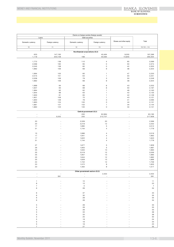|                          |                  | Claims on foreign sectors (foreign assets) |                                    |                          |                  |
|--------------------------|------------------|--------------------------------------------|------------------------------------|--------------------------|------------------|
|                          | Loans            | Debt securities                            |                                    |                          |                  |
| Domestic currency        | Foreign currency | Domestic currency                          | Foreign currency                   | Shares and other equity  | Total            |
| 10                       | 11               | 12                                         | 13                                 | 14                       | $15=10++14$      |
|                          |                  |                                            |                                    |                          |                  |
|                          |                  | Non-financial corporations (S.2)           |                                    |                          |                  |
| 633                      | 147,193          | $\overline{\phantom{a}}$                   | 40,464                             | 9,005                    | 197,296          |
| 1,119                    | 203,109          | 198                                        | 50,084                             | 10,845                   | 265,354          |
| 1,772                    | 138              | 110                                        | $\overline{4}$                     | 65                       | 2,089            |
| 2,068                    | 160              | 95                                         | $\mathsf{O}\xspace$                | 50                       | 2,374            |
| 2,045                    | 138              | 80                                         | $\mathsf{O}\xspace$                | 42                       | 2,305            |
| 1,982                    | 106              | 68                                         | $\boldsymbol{9}$                   | 38                       | 2,204            |
|                          |                  |                                            |                                    |                          |                  |
| 1,994                    | 105              | 85                                         | $\mathbf{1}$                       | 47                       | 2,233            |
| 2,015                    | 101              | 64                                         | $\mathbf{1}$                       | 50                       | 2,231            |
| 2,008                    | 106              | 78                                         | 3                                  | 55                       | 2,249            |
| 1,982                    | 106              | 68                                         | $\mathsf g$                        | 38                       | 2,204            |
|                          |                  |                                            |                                    |                          |                  |
| 1,989                    | 94               | 68                                         | $\bf8$                             | 43                       | 2,202            |
| 1,947                    | 93               | 69                                         | 8                                  | 50                       | 2,167            |
| 1,964                    | 92               | 62                                         | $\mathbf{1}$                       | 46                       | 2,163            |
| 1,944                    | 86               | 63                                         | $\mathbf{1}$                       | 42                       | 2,135            |
| 1,930                    | 91               | 65                                         | 1                                  | 42                       | 2,129            |
| 1,901                    | 106              | 70                                         | 1                                  | 43                       | 2,121            |
| 1,850                    | 126              | 78                                         | $\mathsf{O}\xspace$                | 41                       | 2,095            |
| 1,863                    | 124              | 100                                        | $\mathsf{O}\xspace$                | 44                       | 2,131            |
| 1,881<br>1,883           | 127<br>123       | 102<br>100                                 | $\mathbf 1$<br>$\mathsf{O}\xspace$ | 34<br>34                 | 2,144<br>2,141   |
|                          |                  |                                            |                                    |                          |                  |
|                          |                  | Central government (S.2)                   |                                    |                          |                  |
|                          | ä,               | 200                                        | 62,994                             | ÷,                       | 63,195           |
| $\overline{\phantom{a}}$ | 5,032            | 200                                        | 212,727                            | $\overline{\phantom{a}}$ | 217,959          |
|                          |                  |                                            |                                    |                          |                  |
| 20                       | ä,               | 2,328                                      | 20                                 |                          | 2,368            |
| 20                       |                  | 2,219                                      | 12                                 |                          | 2,252            |
| $17$                     |                  | 1,990                                      | $\,$ 5                             |                          | 2,012            |
| 31                       |                  | 1,744                                      | $\overline{4}$                     |                          | 1,779            |
|                          |                  |                                            |                                    |                          |                  |
| 15<br>17                 |                  | 1,996                                      | $\overline{4}$<br>$\overline{4}$   |                          | 2,016            |
| 17                       |                  | 1,941<br>1,822                             | $\sqrt{4}$                         |                          | 1,962<br>1,843   |
| 31                       |                  | 1,744                                      | $\sqrt{4}$                         |                          | 1,779            |
|                          |                  |                                            |                                    |                          |                  |
| 27                       |                  | 1,877                                      | $\mathbf 5$                        |                          | 1,909            |
| 26                       |                  | 1,955                                      | $\sqrt{5}$                         |                          | 1,987            |
| 25                       |                  | 1,945                                      | 13                                 |                          | 1,983            |
| 25                       |                  | 2,019                                      | 12                                 |                          | 2,056            |
| 25                       |                  | 1,957                                      | 13                                 |                          | 1,995            |
| 25                       |                  | 1,844                                      | 12                                 |                          | 1,882            |
| 25                       |                  | 1,829                                      | 13                                 |                          | 1,866            |
| 24                       |                  | 1,722                                      | 12                                 |                          | 1,759            |
| 23                       | ٠                | 1,572                                      | $\mathsf g$                        |                          | 1,605            |
| 23                       |                  | 1,484                                      | 9                                  |                          | 1,517            |
|                          |                  | Other government sectors (S.2)             |                                    |                          |                  |
|                          | ä,               | ÷,                                         | 2,454                              |                          | 2,454            |
|                          | 391              |                                            |                                    |                          | 391              |
|                          |                  |                                            |                                    |                          |                  |
| $\mathbf 1$              |                  | $10$                                       |                                    |                          | 11               |
| 8                        |                  | 15                                         |                                    |                          | 23               |
| $\boldsymbol{7}$         |                  | $\mathsf{O}\xspace$                        |                                    |                          | $\boldsymbol{7}$ |
| 6                        |                  | 28                                         |                                    |                          | 34               |
|                          |                  |                                            |                                    |                          |                  |
| 6                        |                  | 37                                         |                                    |                          | 43               |
| 6                        |                  | 30                                         |                                    |                          | 35               |
| 6<br>6                   |                  | 28<br>28                                   |                                    |                          | 34<br>34         |
|                          |                  |                                            |                                    |                          |                  |
| 5                        |                  | 28                                         |                                    |                          | 33               |
| 5                        |                  | 28                                         |                                    |                          | 33               |
| 5                        |                  | 28                                         |                                    |                          | 33               |
| 5                        |                  | 33                                         |                                    |                          | 38               |
| 5                        |                  | 33                                         |                                    |                          | 38               |
| 5                        |                  | 25                                         |                                    |                          | 30               |
| 5                        |                  | 19                                         |                                    |                          | 24               |
| 5                        |                  | 18                                         |                                    |                          | 23               |
| 5                        |                  | 18                                         |                                    |                          | 23               |
| $\overline{7}$           |                  | 27                                         |                                    |                          | 35               |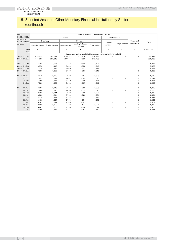### 1.5. Selected Assets of Other Monetary Financial Institutions by Sector (continued)

| Until        |               |                   |                  |                 |                                                                        | Claims on domestic sectors (domestic assets) |                      |                  |              |               |
|--------------|---------------|-------------------|------------------|-----------------|------------------------------------------------------------------------|----------------------------------------------|----------------------|------------------|--------------|---------------|
|              | 31.12.2006 in |                   |                  | Loans           |                                                                        |                                              | Debt securities      |                  |              |               |
| mio SIT from | 01.01.2007 in |                   | By currency      |                 | By purpose                                                             |                                              |                      |                  | Shares and   |               |
| mio EUR      |               | Domestic currency | Foreign currency | Consumer credit | Lending for house<br>purchase                                          | Other lending                                | Domestic<br>currency | Foreign currency | other equity | Total         |
|              | Column        | 1                 | $\overline{c}$   | 3               | 4                                                                      | 5                                            | 6                    | $\overline{7}$   | 8            | $9=1+2+6+7+8$ |
|              | Code          |                   |                  |                 |                                                                        |                                              |                      |                  |              |               |
|              |               |                   |                  |                 | Households and non-profit institutions serving households (S.14, S.15) |                                              |                      |                  |              |               |
| 2005         | 31.Dec.       | 642,223           | 383,721          | 471,462         | 327,736                                                                | 226,746                                      |                      |                  |              | 1,025,944     |
|              | 2006 31.Dec.  | 694,085           | 595,348          | 547,955         | 468.689                                                                | 272,788                                      |                      |                  |              | 1,289,432     |
| 2007         | 31.Dec.       | 5,782             | 1,036            | 2,743           | 2,668                                                                  | 1,407                                        |                      |                  |              | 6,818         |
| 2008         | 31.Dec.       | 6,378             | 1,449            | 2,884           | 3,395                                                                  | 1,548                                        |                      |                  |              | 7,827         |
|              | 2009 31.Dec.  | 7,139             | 1.274            | 2.900           | 3.927                                                                  | 1,586                                        |                      |                  |              | 8,413         |
|              | 2010 31.Dec.  | 7,980             | 1,302            | 2,833           | 4,837                                                                  | 1,612                                        |                      |                  | $\mathbf 0$  | 9,282         |
|              |               |                   |                  |                 |                                                                        |                                              |                      |                  |              |               |
| 2010         | 30.Sep.       | 7,849             | 1,270            | 2,863           | 4,627                                                                  | 1,628                                        |                      |                  | $\circ$      | 9,119         |
|              | 31.Oct.       | 7,932             | 1,217            | 2,857           | 4.649                                                                  | 1.643                                        |                      |                  | $\mathbf 0$  | 9,149         |
|              | 30.Nov.       | 7.969             | 1,256            | 2,850           | 4.740                                                                  | 1.635                                        |                      |                  | $\mathbf 0$  | 9,225         |
|              | 31.Dec.       | 7,980             | 1,302            | 2,833           | 4,837                                                                  | 1,612                                        |                      |                  | $\Omega$     | 9,282         |
|              |               |                   |                  |                 |                                                                        |                                              |                      |                  |              |               |
| 2011         | 31.Jan.       | 7,981             | 1,246            | 2,816           | 4,820                                                                  | 1,590                                        |                      |                  | $\circ$      | 9,226         |
|              | 28.Feb.       | 7,988             | 1,245            | 2,803           | 4,852                                                                  | 1,578                                        |                      |                  | $\mathbf 0$  | 9,233         |
|              | 31.Mar.       | 8,065             | 1,211            | 2,803           | 4,880                                                                  | 1,593                                        |                      |                  | $\Omega$     | 9,276         |
|              | 30.Apr.       | 8,090             | 1,214            | 2,786           | 4,926                                                                  | 1,591                                        |                      |                  | $\mathbf 0$  | 9,304         |
|              | 31.May.       | 8,115             | 1,268            | 2,783           | 5,021                                                                  | 1,579                                        |                      |                  | $\mathbf 0$  | 9,383         |
|              | 30.Jun.       | 8,158             | 1,267            | 2.776           | 5,071                                                                  | 1,578                                        |                      |                  | $\mathbf 0$  | 9,425         |
|              | 31.Jul.       | 8,185             | 1,322            | 2,786           | 5,161                                                                  | 1,560                                        |                      |                  | 0            | 9,507         |
|              | 31.Aug.       | 8,226             | 1,263            | 2,766           | 5,144                                                                  | 1,580                                        |                      |                  | $\mathbf 0$  | 9,490         |
|              | 30.Sep.       | 8,261             | 1,206            | 2,760           | 5,130                                                                  | 1,577                                        |                      |                  | $\mathbf 0$  | 9,468         |
|              | 31.Oct.       | 8,296             | 1,184            | 2,747           | 5,153                                                                  | 1,580                                        |                      |                  | $\mathbf 0$  | 9,481         |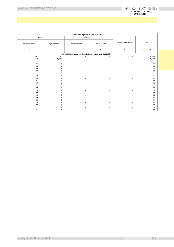| Claims on foreign sectors (foreign assets) |                  |                                                                 |                  |                         |                |  |  |  |  |  |  |  |
|--------------------------------------------|------------------|-----------------------------------------------------------------|------------------|-------------------------|----------------|--|--|--|--|--|--|--|
| Loans                                      |                  |                                                                 | Debt securities  |                         |                |  |  |  |  |  |  |  |
| Domestic currency                          | Foreign currency | Domestic currency                                               | Foreign currency | Shares and other equity | Total          |  |  |  |  |  |  |  |
| 10                                         | 11               | 12                                                              | 13               | 14                      | $15=10+.+14$   |  |  |  |  |  |  |  |
|                                            |                  |                                                                 |                  |                         |                |  |  |  |  |  |  |  |
|                                            |                  | Households and non-profit institutions serving households (S.2) |                  |                         |                |  |  |  |  |  |  |  |
| 591<br>346                                 | 1,797<br>1,083   |                                                                 | ٠                |                         | 2,388<br>1,429 |  |  |  |  |  |  |  |
|                                            |                  |                                                                 |                  |                         |                |  |  |  |  |  |  |  |
| 34                                         |                  |                                                                 |                  |                         | 35             |  |  |  |  |  |  |  |
| 53                                         |                  |                                                                 |                  |                         | 54             |  |  |  |  |  |  |  |
| 29                                         |                  |                                                                 |                  |                         | 30             |  |  |  |  |  |  |  |
| 27                                         |                  |                                                                 |                  |                         | 29             |  |  |  |  |  |  |  |
|                                            |                  |                                                                 |                  |                         |                |  |  |  |  |  |  |  |
| 40                                         |                  |                                                                 |                  |                         | 41             |  |  |  |  |  |  |  |
| 40                                         |                  |                                                                 |                  |                         | 41             |  |  |  |  |  |  |  |
| 27                                         |                  |                                                                 |                  |                         | 28             |  |  |  |  |  |  |  |
| 27                                         |                  |                                                                 |                  |                         | 29             |  |  |  |  |  |  |  |
|                                            |                  |                                                                 |                  |                         |                |  |  |  |  |  |  |  |
| 28                                         |                  |                                                                 |                  |                         | 29             |  |  |  |  |  |  |  |
| 28                                         |                  |                                                                 |                  |                         | 29             |  |  |  |  |  |  |  |
| 29                                         |                  |                                                                 |                  |                         | 30             |  |  |  |  |  |  |  |
| 29                                         |                  |                                                                 |                  |                         | 30             |  |  |  |  |  |  |  |
| 29                                         |                  |                                                                 |                  |                         | 30             |  |  |  |  |  |  |  |
| 29                                         |                  |                                                                 |                  |                         | 31             |  |  |  |  |  |  |  |
| 29                                         |                  |                                                                 |                  |                         | 31             |  |  |  |  |  |  |  |
| 26                                         |                  |                                                                 |                  |                         | 28             |  |  |  |  |  |  |  |
| 27                                         |                  |                                                                 |                  |                         | 28             |  |  |  |  |  |  |  |
| 27                                         |                  |                                                                 |                  |                         | 28             |  |  |  |  |  |  |  |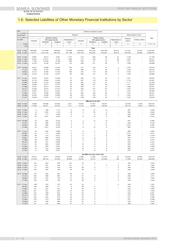**EUROSYSTEM**

# 1.6. Selected Liabilities of Other Monetary Financial Institutions by Sector

| Until                         | Liabilities to domestic sectors |                         |                      |                                |                           |                                          |                     |                                |                      |                          |                  |
|-------------------------------|---------------------------------|-------------------------|----------------------|--------------------------------|---------------------------|------------------------------------------|---------------------|--------------------------------|----------------------|--------------------------|------------------|
| 31.12.2006 in<br>mio SIT from |                                 |                         |                      | Deposits                       |                           |                                          |                     |                                |                      | Debt securities issued   |                  |
| 01.01.2007 in                 |                                 |                         | Domestic currency    |                                |                           | Foreign currency                         |                     |                                |                      |                          | Total            |
| mio EUR                       | Overnight                       |                         | With agreed maturity | Reedemable at                  | Ovemight                  | With agreed maturity                     |                     | Reedemable at                  | Domestic<br>currency | Foreign currency         |                  |
|                               |                                 | Short-term              | Long-term            | notice                         |                           | Short-term                               | Long-term           | notice                         |                      |                          | $11=3++10$       |
| Column<br>Code                | $\mathbf{1}$                    | $\overline{\mathbf{c}}$ | 3                    | $\overline{4}$                 | $\mathbf 5$               | 6                                        | $\overline{7}$      | 8                              | 9                    | 10                       |                  |
|                               |                                 |                         |                      |                                |                           | Total                                    |                     |                                |                      |                          |                  |
| 2005 31.Dec.                  | 986,985                         | 1,175,499               | 309,939              | 137,836                        | 534,802                   | 481,200                                  | 295,169             | 35,404                         | 177,327              | 61,245                   | 4,195,405        |
| 2006 31.Dec.                  | 1,178,571                       | 1,251,225               | 292,397              | 181,198                        | 552,743                   | 545,504                                  | 318,261             | 38,019                         | 193,038              | 58,982                   | 4,609,937        |
| 2007 31.Dec.                  | 6,887                           | 8,913                   | 2,857                | 1,372                          | 218                       | 248                                      | 56                  | 37                             | 1,139                | $\sim$                   | 21,726           |
| 2008 31.Dec.                  | 6,605                           | 10,971                  | 4,157                | 1,396                          | 215                       | 198                                      | 41                  | 36                             | 1,293                |                          | 24,911           |
| 2009 31.Dec                   | 7,200                           | 10,408                  | 9,788                | 569                            | 238                       | 141                                      | 45                  | 10                             | 1,521                |                          | 29,920           |
| 2010 31.Dec.                  | 8,155                           | 8,193                   | 10,337               | 82                             | 285                       | 121                                      | 55                  | $\overline{\mathbf{c}}$        | 1,768                | $\overline{a}$           | 28,999           |
| 2010 30.Sep.                  | 8,031                           | 8,096                   | 10,532               | 160                            | 277                       | 125                                      | 57                  | $\ensuremath{\mathsf{3}}$      | 1,763                | $\ddot{\phantom{a}}$     | 29,046           |
| 31.Oct.                       | 7,926                           | 8,100                   | 10,587               | 83                             | 286                       | 113                                      | 55                  | $\mathbf 2$                    | 1,758                |                          | 28,910           |
| 30.Nov.                       | 8,119                           | 8,256                   | 11,003               | 108                            | 291                       | 118                                      | 59                  | 3                              | 1,816                |                          | 29,772           |
| 31.Dec.                       | 8,155                           | 8,193                   | 10,337               | 82                             | 285                       | 121                                      | 55                  | $\sqrt{2}$                     | 1,768                |                          | 28,999           |
| 2011 31.Jan.                  | 8,245                           | 8,816                   | 10,496               | 73                             | 282                       | 115                                      | 53                  | $\mathbf 2$                    | 1,761                |                          | 29,843           |
| 28.Feb.                       | 8,179                           | 8,483                   | 10,550               | 23                             | 287                       | 116                                      | 49                  | 1                              | 1,779                |                          | 29,467           |
| 31.Mar.                       | 8,799                           | 8,724                   | 10,583               | 23                             | 284                       | 113                                      | 51                  | $\overline{1}$                 | 1,717                |                          | 30,296           |
| 30.Apr.                       | 8,206                           | 8,477                   | 10,375               | 22                             | 286                       | 107                                      | 50                  | -1                             | 1,417                |                          | 28,942           |
| 31.May.                       | 8,237                           | 8,614                   | 10,324               | 30                             | 295                       | 111                                      | 52                  | $\mathbf{1}$<br>$\overline{1}$ | 1,389                |                          | 29,051           |
| 30.Jun.<br>31.Jul.            | 8,259<br>8,303                  | 8,615<br>8,471          | 10,470<br>10,567     | 40<br>51                       | 304<br>317                | 107<br>113                               | 52<br>57            | 1                              | 1,402<br>1,407       |                          | 29,250<br>29,286 |
| 31.Aug.                       | 8,241                           | 8,468                   | 10,662               | 52                             | 305                       | 108                                      | 62                  | $\overline{1}$                 | 1,422                |                          | 29,321           |
| 30.Sep.                       | 8,236                           | 8,369                   | 10,683               | 49                             | 320                       | 109                                      | 57                  | $\circ$                        | 1,424                |                          | 29,247           |
| 31.Oct.                       | 8,056                           | 8,375                   | 11,145               | 53                             | 329                       | 109                                      | 55                  | $\mathbf{1}$                   | 1,534                |                          | 29,658           |
|                               |                                 |                         |                      |                                |                           | MFIs (S.121, S.122)                      |                     |                                |                      |                          |                  |
| 2005 31.Dec.                  | 6,658                           | 26,368                  | 20,605               | 1,641                          | 10,605                    | 17,442                                   | 49,437              | $\overline{a}$                 | 62,759               | 3,239                    | 198,754          |
| 2006 31.Dec.                  | 17,386                          | 49,451                  | 22,204               | 1,721                          | 13,434                    | 18,484                                   | 48,464              | ÷,                             | 85,143               | 3,623                    | 259,910          |
| 2007 31.Dec.                  | 5                               | 458                     | 1,110                | $\mathbf 9$                    | 9                         | 47                                       | 15                  |                                | 387                  |                          | 2,039            |
| 2008 31.Dec.                  | 8                               | 1,492                   | 1,705                | 16                             | 5                         | 35                                       | 9                   |                                | 590                  |                          | 3,860            |
| 2009 31.Dec.                  | 22                              | 777                     | 4,280                | 9                              | $\overline{7}$            | 3                                        | 12                  |                                | 838                  |                          | 5,948            |
| 2010 31.Dec.                  | 20                              | 1,001                   | 3,002                | $\circ$                        | 6                         | 14                                       | 6                   | ÷,                             | 993                  |                          | 5,040            |
| 2010 30.Sep.                  | 75                              | 655                     | 3,370                | 0                              | $\overline{\mathfrak{c}}$ | 15                                       | 13                  |                                | 951                  |                          | 5,085            |
| 31.Oct.                       | 33                              | 696                     | 3,435                | 0                              | 6                         | $\overline{7}$                           | 12                  |                                | 948                  |                          | 5,138            |
| 30.Nov.                       | 52                              | 689                     | 3,795                | 0                              | $\overline{7}$            | $\overline{7}$                           | 12                  | $\overline{a}$                 | 1,022                |                          | 5,584            |
| 31.Dec.                       | 20                              | 1,001                   | 3,002                | 0                              | 6                         | 14                                       | 6                   | ä,                             | 993                  |                          | 5,040            |
| 2011 31.Jan.                  | 30                              | 835                     | 2,985                | 0                              | 6                         | 11                                       | 6                   |                                | 989                  |                          | 4,862            |
| 28.Feb.                       | 24                              | 777                     | 2,985                | 0                              | 6                         | $\scriptstyle{7}$                        | 6                   | ä,                             | 1,010                |                          | 4,817            |
| 31.Mar.                       | 28                              | 772                     | 2,971                | 0                              | 6                         | $\overline{7}$                           | 6                   |                                | 966                  |                          | 4,756            |
| 30.Apr.                       | 19                              | 689                     | 2,935                | 0                              | 6                         | 6                                        | 5                   |                                | 655                  |                          | 4,315            |
| 31.May.                       | 38                              | 837                     | 2,848                | $\mathsf{O}\xspace$            | 6                         | 5                                        | 6                   | ä,                             | 634                  |                          | 4,374            |
| 30.Jun.                       | 38                              | 761                     | 2,885                | $\mathsf{O}\xspace$            | $\overline{7}$            | 5                                        | 6                   |                                | 645                  |                          | 4,347            |
| 31.Jul.                       | 24                              | 850                     | 2,887                | $\mathsf{O}\xspace$<br>$\circ$ | 13                        | 5<br>3                                   | 6                   | ä,                             | 645                  |                          | 4,430            |
| 31.Aug.<br>30.Sep.            | 23<br>15                        | 949<br>815              | 2,916<br>2,930       | 1                              | 8<br>15                   | 4                                        | 6<br>6              |                                | 662<br>669           |                          | 4,568<br>4,454   |
| 31.Oct.                       | 17                              | 729                     | 3,391                | 1                              | 9                         | 6                                        | 6                   |                                | 812                  |                          | 4,970            |
|                               |                                 |                         |                      |                                |                           |                                          |                     |                                |                      |                          |                  |
| 2005 31.Dec.                  | 10,513                          | 73,011                  | 75,832               | 18,349                         | 5,086                     | Non-MFIs (S.123, S.124, S.125)<br>11,650 | 110,765             | 35                             | 63,255               | 34,923                   | 403,418          |
| 2006 31.Dec.                  | 21,978                          | 86,140                  | 55,483               | 36,869                         | 18,536                    | 10,513                                   | 134,836             | 138                            | 71,909               | 32,264                   | 468,666          |
|                               |                                 |                         |                      |                                |                           |                                          |                     |                                |                      |                          |                  |
| 2007 31.Dec.<br>2008 31.Dec.  | 181<br>118                      | 504<br>491              | 259<br>303           | 213<br>151                     | 16<br>17                  | 3<br>1                                   | $\mathsf{O}\xspace$ | $\overline{7}$<br>$\circ$      | 493<br>481           |                          | 1,676<br>1,562   |
| 2009 31.Dec.                  | 111                             | 322                     | 578                  | 150                            | 36                        | $\mathsf{O}\xspace$                      | $\sim$              | $\mathsf{O}\xspace$            | 489                  | ÷,                       | 1,686            |
| 2010 31.Dec.                  | 163                             | 335                     | 756                  | 18                             | 39                        | $\mathsf{O}$                             |                     | $\mathsf{O}\xspace$            | 538                  | $\sim$                   | 1,848            |
|                               |                                 |                         |                      |                                |                           |                                          |                     |                                |                      |                          |                  |
| 2010 30.Sep.<br>31.Oct.       | 174<br>204                      | 356<br>388              | 687<br>697           | 46<br>19                       | 31<br>37                  | ÷,<br>$\mathsf O$                        |                     | 0<br>$\mathsf{O}\xspace$       | 569<br>566           | $\overline{\phantom{a}}$ | 1,862<br>1,911   |
| 30.Nov.                       | 187                             | 397                     | 720                  | 21                             | 43                        | $\mathsf{O}\xspace$                      |                     | 0                              | 556                  | ÷,                       | 1,924            |
| 31.Dec.                       | 163                             | 335                     | 756                  | 18                             | 39                        | $\mathsf{O}$                             | $\sim$              | $\mathsf{O}\xspace$            | 538                  | $\overline{\phantom{a}}$ | 1,848            |
|                               |                                 |                         |                      |                                |                           |                                          |                     |                                |                      |                          |                  |
| 2011 31.Jan.<br>28.Feb.       | 199<br>199                      | 343<br>396              | 767<br>771           | 23<br>9                        | 33<br>36                  | $\overline{\phantom{a}}$<br>$\mathsf O$  |                     | $\mathsf{O}\xspace$<br>÷,      | 536<br>542           |                          | 1,901<br>1,954   |
| 31.Mar.                       | 181                             | 342                     | 814                  | $\mathbf 9$                    | 28                        | $\mathsf O$                              |                     | ÷,                             | 525                  |                          | 1,900            |
| 30.Apr.                       | 201                             | 351                     | 824                  | 10                             | 30                        | $\mathsf{O}\xspace$                      |                     | ÷,                             | 534                  | ÷,                       | 1,950            |
| 31.May.                       | 191                             | 459                     | 837                  | 14                             | 33                        | $\mathsf{O}\xspace$                      |                     | ÷,                             | 532                  |                          | 2,067            |
| 30.Jun.                       | 207                             | 405                     | 849                  | 24                             | 35                        | $\mathsf{O}\xspace$                      |                     | $\overline{\phantom{a}}$       | 532                  | ä,                       | 2,052            |
| 31.Jul.                       | 204                             | 381                     | 879                  | 35                             | 33                        | $\mathsf{O}\xspace$                      |                     | ÷,                             | 537                  | $\blacksquare$           | 2,068            |
| 31.Aug.                       | 216                             | 370                     | 908                  | 32                             | 25                        | $\mathsf{O}\xspace$                      |                     | ÷,                             | 537                  |                          | 2,088            |
| 30.Sep.                       | 187                             | 359                     | 896                  | 32                             | 33                        | 0                                        |                     | ÷,                             | 534                  |                          | 2,040            |
| 31.Oct.                       | 141                             | 447                     | 833                  | 27                             | 41                        | $\overline{c}$                           |                     |                                | 496                  |                          | 1,987            |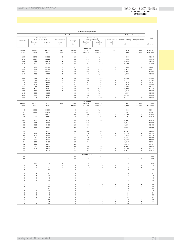| Liabilities to foreign sectors |                     |                      |                                       |                          |                      |                        |                                |                        |                                                      |                        |  |
|--------------------------------|---------------------|----------------------|---------------------------------------|--------------------------|----------------------|------------------------|--------------------------------|------------------------|------------------------------------------------------|------------------------|--|
|                                |                     |                      |                                       | Deposits                 |                      |                        |                                | Debt securities issued |                                                      |                        |  |
|                                |                     | Domestic currency    |                                       |                          | Foreign currency     |                        |                                |                        |                                                      | Total                  |  |
| Ovemight                       |                     | With agreed maturity | Reedemable at                         | Ovemight                 | With agreed maturity |                        | Reedemable at                  | Domestic currency      | Foreign currency                                     |                        |  |
|                                | Short-term          | Long-term            | notice                                |                          | Short-term           | Long-term              | notice                         |                        |                                                      |                        |  |
| 12                             | 13                  | $14$                 | 15                                    | 16                       | 17                   | 18                     | 19                             | $20\,$                 | 21                                                   | $22 - 12 +  + 21$      |  |
|                                |                     |                      |                                       |                          | Total (S.2)          |                        |                                |                        |                                                      |                        |  |
| 21,896                         | 42,339              | 55,272               | 463                                   | 36,869                   | 232,897              | 1,584,184              | 691                            | 249                    | 87,443                                               | 2,062,303              |  |
| 28,714                         | 5,474               | 9,620                | 110                                   | 38,450                   | 313,813              | 2,153,848              | 14                             | 1,093                  | 98,766                                               | 2,649,902              |  |
|                                |                     |                      |                                       |                          |                      |                        |                                |                        |                                                      |                        |  |
| 257                            | 2,573               | 11,288               | $\,$ 5 $\,$                           | 23                       | 251                  | 1,432                  | $\mathsf{O}\xspace$            | 390                    | $\ddot{\phantom{a}}$                                 | 16,217                 |  |
| 210                            | 3,087               | 12,076               | $\sqrt{4}$                            | 22                       | 269                  | 1,744                  | $\mathsf{O}$                   | 468                    | $\overline{\phantom{a}}$                             | 17,879                 |  |
| 308                            | 1,722               | 10,813               | $\sqrt{2}$                            | 50                       | 163                  | 1,307                  | $\mathsf{O}$                   | 2,308                  | ÷,<br>$\overline{\phantom{a}}$                       | 16,673                 |  |
| 216                            | 1,708               | 9,902                | $\mathsf{O}$                          | 57                       | 207                  | 1,143                  | $\mathsf{O}$                   | 3,288                  |                                                      | 16,522                 |  |
| 318                            | 1,629               | 10,349               | $\mathsf{O}\xspace$                   | 47                       | 289                  | 1,111                  | $\mathsf{O}\xspace$            | 3,256                  | ÷,                                                   | 17,001                 |  |
| 230                            | 1,437               | 10,288               | $\mathsf{O}\xspace$                   | 46                       | 226                  | 1,105                  | $\mathsf{O}\xspace$            | 3,245                  | ÷,                                                   | 16,577                 |  |
| 237                            | 1,383               | 10,369               | $\mathbf 2$                           | 53                       | 203                  | 1,140                  | $\mathsf{O}$                   | 3,294                  | $\overline{\phantom{a}}$                             | 16,681                 |  |
| 216                            | 1,708               | 9,902                | $\mathsf{O}$                          | 57                       | 207                  | 1,143                  | $\mathsf{O}$                   | 3,288                  | $\overline{\phantom{a}}$                             | 16,522                 |  |
|                                |                     |                      |                                       |                          |                      |                        |                                |                        |                                                      |                        |  |
| 230                            | 1,514               | 9,816                | $\sqrt{2}$                            | 53                       | 244                  | 1,054                  | $\mathsf{O}\xspace$            | 3,295                  |                                                      | 16,209                 |  |
| 292                            | 1,329               | 10,024               | $\mathsf{O}\xspace$                   | 45                       | 240                  | 1,057                  | ÷,                             | 3,277                  | ÷,                                                   | 16,263                 |  |
| 229<br>224                     | 1,286<br>1,149      | 9,888<br>9,653       | $\mathsf{O}\xspace$<br>$\overline{a}$ | 47<br>47                 | 202<br>187           | 1,025<br>1,025         | ÷,<br>$\sim$                   | 3,615<br>3,615         | $\overline{\phantom{a}}$<br>$\overline{\phantom{a}}$ | 16,292                 |  |
| 232                            | 1,086               | 9,489                | $\mathsf{O}\xspace$                   | 48                       | 177                  | 1,078                  | ÷,                             | 3,623                  | ÷,                                                   | 15,900<br>15,733       |  |
| 260                            | 1,165               | 9,418                | $\mathsf{O}\xspace$                   | 52                       | 183                  | 1,064                  |                                | 3,330                  | ÷,                                                   | 15,472                 |  |
| 237                            | 1,134               | 9,619                | 0                                     | 56                       | 152                  | 1,121                  |                                | 3,347                  | ÷,                                                   | 15,666                 |  |
| 245                            | 1,020               | 9,633                | ÷                                     | 60                       | 153                  | 1,081                  | ÷,                             | 3,365                  | $\overline{\phantom{a}}$                             | 15,557                 |  |
| 273                            | 909                 | 9,678                | ÷,                                    | 58                       | 158                  | 1,029                  | $\overline{\phantom{a}}$       | 3,140                  | ÷,                                                   | 15,245                 |  |
| 229                            | 851                 | 9,545                | ÷,                                    | 54                       | 151                  | 1,018                  | Î.                             | 3,111                  | $\sim$                                               | 14,959                 |  |
|                                |                     |                      |                                       |                          |                      |                        |                                |                        |                                                      |                        |  |
|                                |                     |                      |                                       |                          | MFIs(S.2)            |                        |                                |                        |                                                      |                        |  |
| 14,836<br>20,031               | 38,958<br>2,562     | 54,705<br>9,249      | 308<br>÷,                             | 8,108                    | 217,019<br>293,780   | 1,538,579<br>2,102,275 | 110                            | 201<br>1,020           | 87,406<br>98,624                                     | 1,960,229<br>2,538,821 |  |
|                                |                     |                      |                                       | 11,281                   |                      |                        |                                |                        |                                                      |                        |  |
| 45                             | 2,225               | 11,071               | ÷,                                    | $\mathbf 5$              | 231                  | 1,348                  |                                | 388                    | $\overline{\phantom{a}}$                             | 15,314                 |  |
| 71                             | 2,893               | 11,815               | ÷,                                    | $\overline{7}$           | 251                  | 1,607                  |                                | 437                    | ÷,                                                   | 17,081                 |  |
| 163                            | 1,538               | 10,403               |                                       | 30                       | 150                  | 1,152                  |                                | 2,263                  | ÷,                                                   | 15,699                 |  |
| 59                             | 1,533               | 8,994                |                                       | 29                       | 197                  | 962                    | ÷,                             | 3,254                  | ÷,                                                   | 15,028                 |  |
|                                |                     |                      |                                       |                          |                      |                        |                                |                        |                                                      |                        |  |
| 163                            | 1,433               | 9,594                |                                       | 22                       | 272                  | 940                    | $\sim$                         | 3,221                  | ÷,                                                   | 15,645                 |  |
| 72                             | 1,241               | 9,529                |                                       | 21                       | 217                  | 938                    |                                | 3,211                  | ä,                                                   | 15,229                 |  |
| 82                             | 1,189               | 9,460                |                                       | 23                       | 193                  | 963                    | ÷,                             | 3,259                  | ÷,<br>÷,                                             | 15,170                 |  |
| 59                             | 1,533               | 8,994                |                                       | 29                       | 197                  | 962                    |                                | 3,254                  |                                                      | 15,028                 |  |
| 70                             | 1,336               | 8,888                |                                       | 28                       | 233                  | 880                    |                                | 3,261                  | ÷,                                                   | 14,695                 |  |
| 136                            | 1,144               | 9,097                |                                       | 21                       | 228                  | 881                    |                                | 3,243                  | ä,                                                   | 14,750                 |  |
| 69                             | 1,109               | 8,949                |                                       | 22                       | 191                  | 856                    | $\overline{\phantom{a}}$       | 3,582                  | $\sim$                                               | 14,778                 |  |
| 70                             | 972                 | 8,714                |                                       | 22                       | 176                  | 859                    | $\overline{\phantom{a}}$       | 3,581                  | ÷,                                                   | 14,395                 |  |
| 66                             | 908                 | 8,552                |                                       | 21                       | 166                  | 903                    |                                | 3,589                  |                                                      | 14,205                 |  |
| 101                            | 1,011               | 8,482                |                                       | 27                       | 174                  | 888                    |                                | 3,297                  | ÷,                                                   | 13,981                 |  |
| 72                             | 981                 | 8,714                |                                       | 29                       | 144                  | 940                    | ÷,                             | 3,313                  | ÷,                                                   | 14,194                 |  |
| 73                             | 879                 | 8,711                | ÷,                                    | 34                       | 145                  | 904                    | $\sim$                         | 3,331                  | $\overline{\phantom{a}}$                             | 14,077                 |  |
| 108                            | 754                 | 8,714                | ÷,<br>$\overline{a}$                  | 31                       | 149                  | 854                    | $\overline{\phantom{a}}$<br>÷, | 3,106                  | $\sim$<br>÷,                                         | 13,717                 |  |
| 77                             | 688                 | 8,554                |                                       | 27                       | 142                  | 847                    |                                | 3,077                  |                                                      | 13,413                 |  |
|                                |                     |                      |                                       |                          | Non-MFIs (S.2)       |                        |                                |                        |                                                      |                        |  |
| 35                             |                     | Ĭ.                   | ÷,                                    | 35                       |                      | 295                    | 1                              | ÷,                     | ÷,                                                   | 366                    |  |
| 38                             |                     | ä,                   | ÷,                                    | 106                      | 13                   | 197                    | $\overline{\mathbf{c}}$        | $\overline{c}$         | $\mathsf O$                                          | 359                    |  |
|                                |                     |                      |                                       |                          |                      |                        |                                |                        |                                                      |                        |  |
| $\mathbf{1}$                   | 267                 | 2<br>÷,              | 0                                     |                          | 4                    | 0                      |                                | 0                      |                                                      | 275                    |  |
| 12<br>10                       | $\mathbf{1}$<br>3   | 40                   | 0<br>0                                | 0<br>$\mathsf{O}\xspace$ | 3                    |                        |                                | $\sqrt{2}$<br>18       |                                                      | 19<br>71               |  |
| $\mathbf 5$                    | $\mathsf{O}\xspace$ | 43                   |                                       | 0                        |                      |                        |                                | 0                      |                                                      | 49                     |  |
|                                |                     |                      |                                       |                          |                      |                        |                                |                        |                                                      |                        |  |
| 8                              | 1                   | 40                   |                                       | $\mathsf{O}\xspace$      | $\overline{7}$       |                        |                                | 0                      |                                                      | 57                     |  |
| 8                              | $\mathbf{1}$        | 40                   |                                       | 0                        |                      |                        |                                | 0                      |                                                      | 49                     |  |
| 6                              | 1                   | 40                   |                                       | $\mathsf{O}\xspace$      |                      |                        |                                | 0                      |                                                      | 47                     |  |
| 5                              | 0                   | 43                   |                                       | 0                        |                      |                        |                                | 0                      |                                                      | 49                     |  |
| $\mathbf 5$                    | $\mathsf{O}\xspace$ | 43                   |                                       | $\mathsf O$              |                      |                        |                                | 0                      |                                                      | 49                     |  |
| 5                              | 0                   | 43                   |                                       | 0                        |                      |                        |                                | 0                      |                                                      | 49                     |  |
| $\overline{7}$                 | 0                   | 43                   |                                       | 0                        |                      |                        |                                | 0                      |                                                      | 51                     |  |
| 5                              | 0                   | 43                   |                                       | 0                        |                      |                        |                                | 0                      |                                                      | 49                     |  |
| $\scriptstyle{7}$              | O                   | 43                   |                                       | 0                        |                      |                        |                                | 20                     |                                                      | 71                     |  |
| $\overline{\mathfrak{c}}$      | O                   | 43                   |                                       | 0                        |                      |                        |                                | 20                     |                                                      | 70                     |  |
| 10                             | 1                   | 43                   |                                       | 0                        |                      |                        |                                | 20                     |                                                      | 74                     |  |
| 5                              | 0                   | 47                   |                                       | 0                        |                      |                        |                                | 20                     |                                                      | $72\,$                 |  |
| 5                              | 0                   | 47                   |                                       | 0                        |                      |                        |                                | 20                     |                                                      | $72\,$                 |  |
| 6                              | $\mathbf{1}$        | 45                   |                                       | 0                        |                      |                        |                                | 20                     |                                                      | 71                     |  |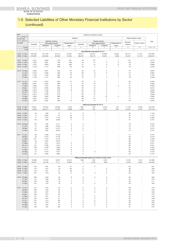### 1.6. Selected Liabilities of Other Monetary Financial Institutions by Sector (continued)

| Until                         | Liabilities to domestic sectors |                      |                |                                  |                                            |                                                   |                                          |                                    |          |                               |                |
|-------------------------------|---------------------------------|----------------------|----------------|----------------------------------|--------------------------------------------|---------------------------------------------------|------------------------------------------|------------------------------------|----------|-------------------------------|----------------|
| 31.12.2006 in                 |                                 |                      |                | Deposits                         |                                            |                                                   |                                          |                                    |          | Debt securities issued        |                |
| mio SIT from<br>01.01.2007 in |                                 | Domestic currency    |                |                                  |                                            |                                                   |                                          |                                    |          |                               |                |
| mio EUR                       |                                 | With agreed maturity |                | Reedemable at                    |                                            |                                                   | Foreign currency<br>With agreed maturity | Reedemable at                      | Domestic | Foreign currency              | Total          |
|                               | Overnight                       | Short-term           | Long-term      | notice                           | Ovemight                                   | Short-term                                        | Long-term                                | notice                             | currency |                               |                |
| Column                        | $\mathbf 1$                     | $\boldsymbol{2}$     | 3              | 4                                | $\mathbf 5$                                | $\,6\,$                                           | $\overline{7}$                           | 8                                  | 9        | 10                            | $11=3++10$     |
| Code                          |                                 |                      |                |                                  |                                            |                                                   |                                          |                                    |          |                               |                |
| 2005 31.Dec.                  | 185,785                         | 317,159              | 34,773         | 51,807                           | 85,077                                     | Non-financial corporations (S.11)<br>53,414       | 22,685                                   | 6,835                              | 26,714   | 11,241                        | 795,490        |
| 2006 31.Dec.                  | 219,967                         | 305,864              | 30,992         | 72,094                           | 89,487                                     | 63,215                                            | 18,941                                   | 7,486                              | 18,331   | 12,170                        | 838,547        |
|                               |                                 |                      |                |                                  |                                            |                                                   |                                          |                                    |          |                               |                |
| 2007 31.Dec.                  | 1,301                           | 1,800                | 126            | 351                              | 49                                         | 24                                                | $\mathbf{1}$                             | $\overline{\mathfrak{c}}$          | 116      | ÷,                            | 3,774          |
| 2008 31.Dec.                  | 1,250                           | 1,881                | 166            | 339                              | 45                                         | 12                                                | $\mathsf{O}$                             | 8                                  | 99       |                               | 3,800          |
| 2009 31.Dec.                  | 1,372                           | 1,829                | 225            | 306                              | 41                                         | 14                                                | $\mathsf{O}$                             | 6                                  | 74       |                               | 3,868          |
| 2010 31.Dec.                  | 1,748                           | 1,712                | 396            | 52                               | 43                                         | $\sqrt{4}$                                        | $\sqrt{2}$                               | $\mathbf{1}$                       | 79       | ÷,                            | 4,038          |
| 2010 30.Sep.                  | 1,585                           | 1,621                | 404            | 91                               | 53                                         | 10                                                | $\mathsf{O}\xspace$                      | $\mathbf{1}$                       | 75       |                               | 3,842          |
| 31.Oct.                       | 1,618                           | 1,665                | 406            | 50                               | 59                                         | 8                                                 | $\mathsf O$                              | $\mathbf{1}$                       | 75       |                               | 3,882          |
| 30.Nov.                       | 1,726                           | 1,780                | 384            | 72                               | 51                                         | 9                                                 | $\overline{1}$                           | $\sqrt{2}$                         | 75       |                               | 4,100          |
| 31.Dec.                       | 1,748                           | 1,712                | 396            | 52                               | 43                                         | $\sqrt{4}$                                        | $\sqrt{2}$                               | $\mathbf{1}$                       | 79       | $\overline{\phantom{a}}$      | 4,038          |
| 2011 31.Jan.                  | 1,703                           | 1,637                | 383            | 37                               | 54                                         | 6                                                 | $\sqrt{2}$                               | 1                                  | 80       |                               | 3,904          |
| 28.Feb.                       | 1,691                           | 1,681                | 390            | 5                                | 57                                         | 10                                                | $\mathsf O$                              |                                    | 74       |                               | 3,909          |
| 31.Mar.                       | 1,658                           | 1,707                | 397            | 6                                | 63                                         | $\mathsf g$                                       | $\ensuremath{\mathsf{3}}$                | $\mathsf{O}\xspace$                | 77       |                               | 3,922          |
| 30.Apr.                       | 1,674                           | 1,690                | 380            | 5                                | 67                                         | 10                                                | $\sqrt{4}$                               | $\sim$                             | 79       | ÷.                            | 3,910          |
| 31.May                        | 1,579                           | 1,702                | 379            | $\mathbf 9$                      | 62                                         | 12                                                | $\ensuremath{\mathsf{3}}$                | $\sim$                             | 74       |                               | 3,820          |
| 30.Jun.                       | 1,575                           | 1,736                | 374            | $\overline{7}$<br>$\overline{7}$ | 67                                         | 10                                                | 3                                        | $\sim$                             | 76       |                               | 3,848          |
| 31.Jul.<br>31.Aug.            | 1,612<br>1,605                  | 1,790<br>1,800       | 378<br>380     | $\overline{7}$                   | 65<br>68                                   | 13<br>11                                          | $\,$ 5 $\,$<br>10                        | $\mathsf O$                        | 77<br>77 |                               | 3,948<br>3,960 |
| 30.Sep.                       | 1,624                           | 1,901                | 351            | $\overline{7}$                   | 58                                         | 10                                                | $\ensuremath{\mathsf{3}}$                |                                    | 77       |                               | 4,032          |
| 31.Oct.                       | 1,542                           | 1,897                | 328            | 15                               | 63                                         | 11                                                | $\ensuremath{\mathsf{3}}$                | $\overline{\phantom{a}}$           | 76       | ä,                            | 3,934          |
|                               |                                 |                      |                |                                  |                                            |                                                   |                                          |                                    |          |                               |                |
| 2005 31.Dec.                  | 12,647                          | 97,654               | 12,958         | 1,609                            | 865                                        | Central government (S.1311)<br>432                | 3,223                                    | 410                                | 17,106   | 5,649                         | 152,553        |
| 2006 31.Dec.                  | 4,659                           | 154,577              | 16,720         | 2,998                            | 1,283                                      | 704                                               | 1,647                                    | 627                                | 10,347   | 4,187                         | 197,749        |
|                               |                                 |                      |                |                                  |                                            |                                                   |                                          |                                    |          |                               |                |
| 2007 31.Dec.                  | 34                              | 928                  | 77             | 11                               | $\mathsf{O}\xspace$                        | $\mathbf{1}$                                      |                                          |                                    | 53       | ٠                             | 1,105          |
| 2008 31.Dec.                  | 8                               | 1,364                | 37             | 22                               | $\mathsf{O}\xspace$                        | ä,                                                |                                          |                                    | 40       |                               | 1,470          |
| 2009 31.Dec.<br>2010 31.Dec.  | 71<br>64                        | 1,722<br>555         | 1,715<br>2,055 | 29<br>3                          | $\mathsf{O}\xspace$<br>$\mathsf{O}\xspace$ |                                                   |                                          |                                    | 43<br>73 | ÷,                            | 3,580<br>2,751 |
|                               |                                 |                      |                |                                  |                                            |                                                   |                                          |                                    |          |                               |                |
| 2010 30.Sep.                  | 62                              | 769                  | 2,111          | 4                                | $\mathsf{O}\xspace$                        |                                                   |                                          |                                    | 76       |                               | 3,023          |
| 31.Oct.                       | 10                              | 668                  | 2,040          | 3                                | $\mathsf{O}\xspace$                        |                                                   |                                          |                                    | 75       |                               | 2,797          |
| 30.Nov.                       | 57                              | 805                  | 2,074          | 3                                | $\mathsf{O}\xspace$                        |                                                   |                                          |                                    | 75       |                               | 3,015          |
| 31.Dec.                       | 64                              | 555                  | 2,055          | 3                                | $\mathsf{O}\xspace$                        |                                                   |                                          |                                    | 73       | ÷,                            | 2,751          |
| 2011 31.Jan.                  | 90                              | 1,448                | 2,148          | 3                                | $\mathsf{O}\xspace$                        |                                                   |                                          |                                    | 71       |                               | 3,761          |
| 28.Feb.                       | 16                              | 1,073                | 2,153          |                                  | 0                                          |                                                   |                                          |                                    | 69       |                               | 3,310          |
| 31.Mar.                       | 701                             | 1,416                | 2,144          |                                  | $\mathsf{O}\xspace$                        |                                                   |                                          |                                    | 68       | $\overline{\phantom{a}}$      | 4,329          |
| 30.Apr.                       | 32                              | 1,291                | 2,019          |                                  | $\mathsf{O}\xspace$                        |                                                   |                                          |                                    | 66       |                               | 3,407          |
| 31.May.                       | 10                              | 1,201                | 1,973          | $\mathsf{O}\xspace$              | $\mathsf{O}\xspace$                        |                                                   |                                          |                                    | 66       |                               | 3,251          |
| 30.Jun.<br>31.Jul.            | 91<br>109                       | 1,288<br>1,048       | 1,974<br>1,980 | 3<br>$\overline{\mathbf{c}}$     | 0<br>0                                     |                                                   |                                          |                                    | 66<br>64 |                               | 3,421<br>3,203 |
| 31.Aug.                       | 22                              | 1,011                | 1,982          | 6                                | $\mathsf{O}\xspace$                        | ä,                                                |                                          |                                    | 62       |                               | 3,082          |
| 30.Sep.                       | 77                              | 1,019                | 1,977          | $\sqrt{2}$                       | $\mathsf{O}\xspace$                        | 0                                                 |                                          |                                    | 60       |                               | 3,135          |
| 31.Oct.                       | 81                              | 1,039                | 1,984          | 3                                | 0                                          |                                                   |                                          |                                    | 49       | Ĭ.                            | 3,157          |
|                               |                                 |                      |                |                                  |                                            | Other government sectors (S.1312, S.1313, S.1314) |                                          |                                    |          |                               |                |
| 2005 31.Dec.                  | 18,488                          | 37,244               | 8,257          | 18,215                           | 386                                        | 264                                               | 1,020                                    | 0                                  | 6,182    | 1,612                         | 91,668         |
| 2006 31.Dec.                  | 20,507                          | 42,158               | 4,711          | 15,994                           | 5                                          | 2,763                                             | 696                                      | $\sim$                             | 6,243    | 2,284                         | 95,363         |
|                               |                                 |                      |                |                                  |                                            |                                                   |                                          |                                    |          |                               |                |
| 2007 31.Dec.<br>2008 31.Dec.  | 122<br>119                      | 281<br>247           | 40<br>19       | 57<br>60                         | $\mathsf{O}\xspace$<br>0                   | 2<br>L,                                           | ÷,<br>$\mathsf{O}\xspace$                |                                    | 50<br>36 | Ĭ.<br>ä,                      | 551<br>482     |
| 2009 31.Dec.                  | 123                             | 231                  | 47             | 46                               | 0                                          | ÷                                                 | $\mathsf O$                              | $\overline{\phantom{a}}$           | 28       | $\overline{a}$                | 476            |
| 2010 31.Dec.                  | 157                             | 219                  | 19             | $\mathsf{O}\xspace$              | $\mathsf{O}\xspace$                        | 0                                                 | $\mathsf{O}\xspace$                      | ÷,                                 | 28       | $\overline{\phantom{a}}$      | 425            |
|                               |                                 |                      |                |                                  |                                            |                                                   |                                          |                                    |          |                               |                |
| 2010 30.Sep.                  | 169                             | 243                  | 33             | 8                                | $\mathsf{O}\xspace$                        | 0                                                 | $\mathsf{O}$                             | $\sim$                             | 30       | $\sim$                        | 484            |
| 31.Oct.                       | 174                             | 236                  | 33             | $\mathbf{1}$                     | 0                                          | ÷,                                                | $\mathsf O$                              | ÷,                                 | 32       | ÷,                            | 476            |
| 30.Nov.<br>31.Dec.            | 164<br>157                      | 199<br>219           | 18<br>19       | $\sqrt{2}$<br>0                  | $\mathsf{O}\xspace$<br>$\mathsf{O}\xspace$ | $\overline{\phantom{a}}$<br>0                     | $\mathsf O$<br>$\mathsf{O}\xspace$       | $\overline{\phantom{a}}$<br>$\sim$ | 28<br>28 | ÷<br>$\overline{\phantom{a}}$ | 411<br>425     |
|                               |                                 |                      |                |                                  |                                            |                                                   |                                          |                                    |          |                               |                |
| 2011 31.Jan.                  | 141                             | 225                  | 24             | $\mathsf O$                      | $\mathsf{O}\xspace$                        | 0                                                 | $\mathsf{O}\xspace$                      | $\sim$                             | 28       | $\sim$                        | 418            |
| 28.Feb.                       | 139                             | 225                  | 50             | 0                                | 0                                          | 0                                                 | $\mathsf{O}\xspace$                      | $\sim$                             | 29       | $\overline{\phantom{a}}$      | 443            |
| 31.Mar.                       | 152                             | 227                  | 40             | 0                                | $\overline{1}$                             | 0                                                 | $\mathsf O$                              | ÷,                                 | 28       | ä,                            | 449            |
| 30.Apr.<br>31.May             | 146<br>121                      | 219<br>221           | 42<br>47       | 0<br>0                           | 0<br>0                                     | ÷,<br>0                                           | $\mathsf{O}\xspace$<br>$\mathsf O$       |                                    | 29<br>30 | ÷,<br>÷,                      | 437<br>419     |
| 30.Jun.                       | 135                             | 222                  | 51             | 0                                | 0                                          | 0                                                 | $\mathsf{O}\xspace$                      | ÷                                  | 30       | ÷,                            | 438            |
| 31.Jul.                       | 131                             | 214                  | 60             | 0                                | 0                                          | 0                                                 | $\mathsf{O}\xspace$                      | $\sim$                             | 30       | $\overline{\phantom{a}}$      | 434            |
| 31.Aug.                       | 149                             | 215                  | 61             | $\mathsf O$                      | 0                                          | 0                                                 | $\mathsf{O}\xspace$                      | $\sim$                             | 30       | ä,                            | 455            |
| 30.Sep.                       | 131                             | 200                  | 78             | $\mathsf{O}\xspace$              | 0                                          | 0                                                 | $\mathsf{O}\xspace$                      | $\sim$                             | 30       | $\overline{\phantom{a}}$      | 440            |
| 31.Oct.                       | 129                             | 187                  | 150            | $\overline{\mathbf{c}}$          | 0                                          | ÷,                                                | $\mathsf{O}\xspace$                      | ÷,                                 | 47       | ÷,                            | 515            |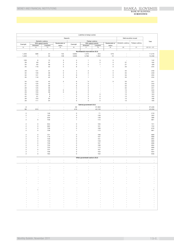| Liabilities to foreign sectors                     |                                            |                                                                                          |                                         |                                            |                                                                                                                                                                                                                                                                                                                                                                                                                                                            |                                            |                                                                                     |                                                                                                                      |                                     |                          |
|----------------------------------------------------|--------------------------------------------|------------------------------------------------------------------------------------------|-----------------------------------------|--------------------------------------------|------------------------------------------------------------------------------------------------------------------------------------------------------------------------------------------------------------------------------------------------------------------------------------------------------------------------------------------------------------------------------------------------------------------------------------------------------------|--------------------------------------------|-------------------------------------------------------------------------------------|----------------------------------------------------------------------------------------------------------------------|-------------------------------------|--------------------------|
|                                                    |                                            |                                                                                          | Deposits                                |                                            |                                                                                                                                                                                                                                                                                                                                                                                                                                                            |                                            |                                                                                     |                                                                                                                      | Debt securities issued              |                          |
|                                                    |                                            | Domestic currency<br>With agreed maturity                                                | Reedemable at                           |                                            |                                                                                                                                                                                                                                                                                                                                                                                                                                                            | Foreign currency<br>With agreed maturity   | Reedemable at                                                                       | Domestic currency                                                                                                    | Foreign currency                    | Total                    |
| Ovemight                                           | Short-term                                 | Long-term                                                                                | notice                                  | Ovemight                                   | Short-term                                                                                                                                                                                                                                                                                                                                                                                                                                                 | Long-term                                  | notice                                                                              |                                                                                                                      |                                     |                          |
| 12                                                 | 13                                         | 14                                                                                       | 15                                      | 16                                         | $17\,$                                                                                                                                                                                                                                                                                                                                                                                                                                                     | 18                                         | 19                                                                                  | 20                                                                                                                   | 21                                  | $22 - 12 +  + 21$        |
|                                                    |                                            |                                                                                          |                                         |                                            | Non-financial corporations (S.2)                                                                                                                                                                                                                                                                                                                                                                                                                           |                                            |                                                                                     |                                                                                                                      |                                     |                          |
| 1,329                                              | 686                                        | 24                                                                                       | 155                                     | 6,864                                      | 1,075                                                                                                                                                                                                                                                                                                                                                                                                                                                      | 304                                        | 579                                                                                 |                                                                                                                      |                                     | 11,016                   |
| 1,229                                              | $\mathbf{1}$                               | 33                                                                                       | 109                                     | 5,955                                      | 3,768                                                                                                                                                                                                                                                                                                                                                                                                                                                      | 1,352                                      | 10                                                                                  | ÷,                                                                                                                   | ÷,                                  | 12,458                   |
|                                                    |                                            |                                                                                          |                                         |                                            |                                                                                                                                                                                                                                                                                                                                                                                                                                                            |                                            |                                                                                     |                                                                                                                      |                                     |                          |
| 109                                                | 6                                          | 12                                                                                       | 5                                       | $\sqrt{4}$                                 | $\mathbf{1}$                                                                                                                                                                                                                                                                                                                                                                                                                                               | $\,$ 5 $\,$                                | $\mathsf{O}$                                                                        | Ĭ.                                                                                                                   | Ĭ.                                  | 142                      |
| 28<br>34                                           | 83<br>82                                   | 37<br>39                                                                                 | 3<br>$\overline{c}$                     | $\ensuremath{\mathsf{3}}$<br>$\mathbf 5$   | $\mathbf{1}$<br>0                                                                                                                                                                                                                                                                                                                                                                                                                                          | $\overline{\mathbf{c}}$<br>1               | $\mathsf O$<br>$\mathsf O$                                                          | 27<br>27                                                                                                             | $\overline{a}$                      | 184<br>189               |
| 35                                                 | 116                                        | 42                                                                                       | $\mathsf O$                             | 6                                          | 1                                                                                                                                                                                                                                                                                                                                                                                                                                                          | ł,                                         | $\mathsf O$                                                                         | 33                                                                                                                   | Ĭ.                                  | 234                      |
|                                                    |                                            |                                                                                          |                                         |                                            |                                                                                                                                                                                                                                                                                                                                                                                                                                                            |                                            |                                                                                     |                                                                                                                      |                                     |                          |
| 29                                                 | 131                                        | 47                                                                                       | $\mathsf{O}$                            | $\sqrt{4}$                                 | $\mathbf 2$                                                                                                                                                                                                                                                                                                                                                                                                                                                |                                            | $\mathsf{O}$                                                                        | 34                                                                                                                   | ä,                                  | 248                      |
| 32<br>32                                           | 130<br>131                                 | 46<br>45                                                                                 | $\circ$<br>$\overline{c}$               | $\overline{4}$<br>9                        | $\overline{c}$<br>1                                                                                                                                                                                                                                                                                                                                                                                                                                        |                                            | $\mathsf{o}$<br>$\mathsf O$                                                         | 34<br>34                                                                                                             |                                     | 249<br>255               |
| 35                                                 | 116                                        | 42                                                                                       | $\circ$                                 | 6                                          | 1                                                                                                                                                                                                                                                                                                                                                                                                                                                          |                                            | $\mathsf O$                                                                         | 33                                                                                                                   | $\overline{a}$                      | 234                      |
|                                                    |                                            |                                                                                          |                                         |                                            |                                                                                                                                                                                                                                                                                                                                                                                                                                                            |                                            |                                                                                     |                                                                                                                      |                                     |                          |
| 34                                                 | 122                                        | 42                                                                                       | $\overline{c}$                          | 6                                          | $\mathbf 2$                                                                                                                                                                                                                                                                                                                                                                                                                                                |                                            | $\mathsf{O}$                                                                        | 33                                                                                                                   | ä,                                  | 241                      |
| 32                                                 | 125                                        | 42<br>36                                                                                 | $\overline{\phantom{a}}$                | $\mathbf 5$<br>6                           | 3<br>$\overline{c}$                                                                                                                                                                                                                                                                                                                                                                                                                                        |                                            | $\sim$<br>÷,                                                                        | 33                                                                                                                   | ä,                                  | 240                      |
| 31<br>29                                           | 125<br>125                                 | 36                                                                                       |                                         | 5                                          | 3                                                                                                                                                                                                                                                                                                                                                                                                                                                          |                                            |                                                                                     | 33<br>33                                                                                                             |                                     | 233<br>231               |
| 34                                                 | 125                                        | 39                                                                                       | $\mathsf O$                             | $\overline{7}$                             | 3                                                                                                                                                                                                                                                                                                                                                                                                                                                          |                                            |                                                                                     | 13                                                                                                                   |                                     | 220                      |
| 29                                                 | 105                                        | 38                                                                                       | $\mathsf{O}$                            | 6                                          | $\mathbf 2$                                                                                                                                                                                                                                                                                                                                                                                                                                                |                                            | $\overline{a}$                                                                      | 13                                                                                                                   | L                                   | 193                      |
| 35                                                 | 100                                        | $\mathbf 9$                                                                              |                                         | $\mathbf 5$                                | $\mathbf 2$                                                                                                                                                                                                                                                                                                                                                                                                                                                | 0                                          |                                                                                     | 13                                                                                                                   | ä,                                  | 163                      |
| 42<br>39                                           | 91<br>103                                  | $\mathbf 9$<br>25                                                                        |                                         | $\mathbf 5$<br>$\mathbf 5$                 | 3<br>3                                                                                                                                                                                                                                                                                                                                                                                                                                                     | 0<br>$\mathsf{O}\xspace$                   | $\sim$                                                                              | 13<br>13                                                                                                             | ä,                                  | 162<br>188               |
| 28                                                 | 111                                        | 24                                                                                       |                                         | 5                                          | $\overline{4}$                                                                                                                                                                                                                                                                                                                                                                                                                                             | $\mathsf O$                                |                                                                                     | 13                                                                                                                   | $\overline{a}$                      | 185                      |
|                                                    |                                            |                                                                                          |                                         |                                            |                                                                                                                                                                                                                                                                                                                                                                                                                                                            |                                            |                                                                                     |                                                                                                                      |                                     |                          |
|                                                    |                                            |                                                                                          | $\sim$                                  |                                            | Central government (S.2)                                                                                                                                                                                                                                                                                                                                                                                                                                   |                                            |                                                                                     |                                                                                                                      |                                     |                          |
| 8<br>98                                            | $\overline{\phantom{a}}$<br>610            | ÷<br>r.                                                                                  |                                         | 58<br>416                                  | $\overline{\phantom{a}}$<br>$\overline{\phantom{a}}$                                                                                                                                                                                                                                                                                                                                                                                                       | 37,363<br>42,133                           | $\sim$<br>÷,                                                                        | $\overline{\phantom{a}}$<br>÷,                                                                                       | ÷                                   | 37,428<br>43,258         |
|                                                    |                                            |                                                                                          |                                         |                                            |                                                                                                                                                                                                                                                                                                                                                                                                                                                            |                                            |                                                                                     |                                                                                                                      |                                     |                          |
| $\overline{c}$                                     | ÷,                                         | 146                                                                                      |                                         | $\mathsf 0$                                | ÷,                                                                                                                                                                                                                                                                                                                                                                                                                                                         | 71                                         |                                                                                     |                                                                                                                      | $\overline{a}$                      | 219                      |
| $\sqrt{2}$                                         | J.                                         | 163                                                                                      |                                         | $\mathsf{O}\xspace$                        |                                                                                                                                                                                                                                                                                                                                                                                                                                                            | 128                                        |                                                                                     |                                                                                                                      |                                     | 293                      |
| 1<br>$\sqrt{2}$                                    | ł,<br>$\mathsf{O}\xspace$                  | 235<br>706                                                                               |                                         | 0<br>$\mathbf{1}$                          | ÷<br>$\sim$                                                                                                                                                                                                                                                                                                                                                                                                                                                | 149<br>172                                 | ä,<br>$\sim$                                                                        |                                                                                                                      | ä,                                  | 386<br>881               |
|                                                    |                                            |                                                                                          |                                         |                                            |                                                                                                                                                                                                                                                                                                                                                                                                                                                            |                                            |                                                                                     |                                                                                                                      |                                     |                          |
| $\overline{c}$                                     | $\mathsf{O}\xspace$                        | 554                                                                                      |                                         | $\mathsf 0$                                | ä,                                                                                                                                                                                                                                                                                                                                                                                                                                                         | 165                                        |                                                                                     |                                                                                                                      |                                     | 721                      |
| $\overline{c}$                                     | $\mathsf{O}\xspace$                        | 560                                                                                      |                                         | $\mathsf{O}\xspace$                        |                                                                                                                                                                                                                                                                                                                                                                                                                                                            | 161                                        |                                                                                     |                                                                                                                      |                                     | 722                      |
| $\overline{\mathbf{c}}$<br>$\overline{\mathbf{c}}$ | $\mathsf{O}\xspace$<br>$\mathsf{O}\xspace$ | 708<br>706                                                                               |                                         | 0<br>1                                     | ÷<br>÷,                                                                                                                                                                                                                                                                                                                                                                                                                                                    | 168<br>172                                 | ä,                                                                                  |                                                                                                                      | ä,                                  | 878<br>881               |
|                                                    |                                            |                                                                                          |                                         |                                            |                                                                                                                                                                                                                                                                                                                                                                                                                                                            |                                            |                                                                                     |                                                                                                                      |                                     |                          |
| $\sqrt{2}$                                         | $\mathsf{O}\xspace$                        | 721                                                                                      |                                         | $\mathsf 0$                                |                                                                                                                                                                                                                                                                                                                                                                                                                                                            | 166                                        |                                                                                     |                                                                                                                      |                                     | 889                      |
| $\overline{\mathbf{c}}$                            | $\mathsf{O}\xspace$                        | 719                                                                                      |                                         | $\mathsf{O}\xspace$                        |                                                                                                                                                                                                                                                                                                                                                                                                                                                            | 167                                        |                                                                                     |                                                                                                                      |                                     | 888                      |
| $\overline{\mathbf{c}}$<br>$\overline{c}$          | $\mathsf{O}\xspace$<br>$\mathsf{O}\xspace$ | 729<br>728                                                                               |                                         | $\mathsf{O}\xspace$<br>$\mathsf{O}\xspace$ | $\overline{a}$                                                                                                                                                                                                                                                                                                                                                                                                                                             | 161<br>159                                 |                                                                                     |                                                                                                                      |                                     | 892<br>889               |
| $\sqrt{2}$                                         | $\mathsf{O}\xspace$                        | 728                                                                                      |                                         | $\mathsf{O}\xspace$                        |                                                                                                                                                                                                                                                                                                                                                                                                                                                            | 167                                        |                                                                                     |                                                                                                                      |                                     | 898                      |
| $\sqrt{2}$                                         | $\mathsf{O}\xspace$                        | 725                                                                                      |                                         | $\mathsf{O}\xspace$                        | ٠                                                                                                                                                                                                                                                                                                                                                                                                                                                          | 166                                        |                                                                                     |                                                                                                                      | ÷                                   | 894                      |
| 3                                                  | 1                                          | 723                                                                                      |                                         | $\mathsf 0$                                | ä,                                                                                                                                                                                                                                                                                                                                                                                                                                                         | 172                                        |                                                                                     |                                                                                                                      |                                     | 899                      |
| $\sqrt{2}$<br>$\overline{c}$                       | $\mathsf 0$<br>1                           | 737<br>756                                                                               |                                         | $\mathsf 0$<br>$\mathsf{O}\xspace$         |                                                                                                                                                                                                                                                                                                                                                                                                                                                            | 167<br>164                                 |                                                                                     |                                                                                                                      |                                     | 907<br>924               |
| $\overline{\mathbf{c}}$                            | $\mathsf{O}\xspace$                        | 783                                                                                      |                                         | $\mathsf{O}\xspace$                        |                                                                                                                                                                                                                                                                                                                                                                                                                                                            | 162                                        | ÷,                                                                                  | J.                                                                                                                   | l,                                  | 948                      |
|                                                    |                                            |                                                                                          |                                         |                                            |                                                                                                                                                                                                                                                                                                                                                                                                                                                            |                                            |                                                                                     |                                                                                                                      |                                     |                          |
| $\sim$                                             |                                            |                                                                                          |                                         | Î.                                         | Other government sectors (S.2)                                                                                                                                                                                                                                                                                                                                                                                                                             |                                            | $\sim$                                                                              |                                                                                                                      | ä,                                  |                          |
|                                                    | $\overline{a}$                             |                                                                                          |                                         | L.                                         | ÷,                                                                                                                                                                                                                                                                                                                                                                                                                                                         |                                            | ÷,                                                                                  |                                                                                                                      |                                     |                          |
|                                                    |                                            |                                                                                          |                                         |                                            |                                                                                                                                                                                                                                                                                                                                                                                                                                                            |                                            |                                                                                     |                                                                                                                      |                                     |                          |
|                                                    |                                            |                                                                                          |                                         |                                            |                                                                                                                                                                                                                                                                                                                                                                                                                                                            |                                            |                                                                                     |                                                                                                                      |                                     |                          |
|                                                    | $\overline{\phantom{a}}$                   | $\overline{\phantom{a}}$                                                                 | $\overline{\phantom{a}}$                |                                            |                                                                                                                                                                                                                                                                                                                                                                                                                                                            | $\overline{\phantom{a}}$                   | $\overline{\phantom{a}}$                                                            |                                                                                                                      |                                     |                          |
|                                                    | $\sim$<br>$\sim$                           | $\sim$<br>$\sim$                                                                         | $\sim$<br>$\omega_{\rm{eff}}$           | $\sim$<br>$\sim$                           | $\sim$<br>$\sim$                                                                                                                                                                                                                                                                                                                                                                                                                                           | $\sim$<br>$\omega_{\rm{max}}$              | $\omega$<br>$\Delta \sim 10^4$                                                      | ÷.<br>$\omega$ .                                                                                                     | $\sim$<br>$\sim$                    |                          |
|                                                    |                                            |                                                                                          |                                         |                                            |                                                                                                                                                                                                                                                                                                                                                                                                                                                            |                                            |                                                                                     |                                                                                                                      |                                     |                          |
|                                                    |                                            | $\sigma_{\rm{max}}$ and<br>$\frac{1}{2}$ , $\frac{1}{2}$ , $\frac{1}{2}$ , $\frac{1}{2}$ |                                         | $\sigma_{\rm{max}}=0.01$                   | $\frac{1}{2} \left( \frac{1}{2} \right)$ .<br>$\frac{1}{2} \left( \frac{1}{2} \right)$                                                                                                                                                                                                                                                                                                                                                                     |                                            | $\frac{1}{2} \left( \frac{1}{2} \right)$ , $\frac{1}{2} \left( \frac{1}{2} \right)$ | $\frac{1}{2} \left( \frac{1}{2} \right)$ , $\frac{1}{2} \left( \frac{1}{2} \right)$<br>$\frac{1}{2}$ , $\frac{1}{2}$ | $\sigma_{\rm{eff}}$                 |                          |
| $\overline{\phantom{a}}$                           | $\Delta \sim 10^4$                         | $\bar{\mathcal{A}}$                                                                      | $\omega_{\rm{max}}$                     |                                            |                                                                                                                                                                                                                                                                                                                                                                                                                                                            |                                            |                                                                                     |                                                                                                                      | $\sim$                              | $\Box$                   |
|                                                    | $\sim$<br>$\sim$                           | $\sim$<br>$\hat{\mathcal{A}}$                                                            | $\omega$<br>$\omega$                    | $\sim$<br>$\sim$                           | $\omega_{\rm{eff}}$<br>$\omega_{\rm c}$                                                                                                                                                                                                                                                                                                                                                                                                                    | $\omega_{\rm{eff}}$<br>$\omega_{\rm{eff}}$ | $\omega$<br>$\mathbb{Z}^2$                                                          | $\omega$ .<br>$\omega$                                                                                               | $\mathcal{L}$<br>$\bar{\mathbf{z}}$ | $\overline{\phantom{a}}$ |
|                                                    |                                            |                                                                                          |                                         |                                            |                                                                                                                                                                                                                                                                                                                                                                                                                                                            |                                            |                                                                                     |                                                                                                                      |                                     |                          |
|                                                    | $\sigma_{\rm{max}}$ and                    |                                                                                          | $\sigma_{\rm{max}}=0.1$                 |                                            |                                                                                                                                                                                                                                                                                                                                                                                                                                                            |                                            | $\frac{1}{2} \left( \frac{1}{2} \right)$ .                                          | $\frac{1}{2} \left( \frac{1}{2} \right)$ , $\frac{1}{2} \left( \frac{1}{2} \right)$<br>$\frac{1}{2}$                 | $\overline{\phantom{a}}$            |                          |
| $\blacksquare$                                     | $1 -$                                      |                                                                                          | $\omega_{\rm{max}}$                     | $\frac{1}{2}$ ) (                          | $\begin{array}{l} \frac{1}{2} \left( \begin{array}{cc} 1 & 0 \\ 0 & 1 \end{array} \right) & \mbox{if} \quad \frac{1}{2} \left( \begin{array}{cc} 1 & 0 \\ 0 & 1 \end{array} \right) & \mbox{if} \quad \frac{1}{2} \left( \begin{array}{cc} 1 & 0 \\ 0 & 1 \end{array} \right) & \mbox{if} \quad \frac{1}{2} \left( \begin{array}{cc} 1 & 0 \\ 0 & 1 \end{array} \right) & \mbox{if} \quad \frac{1}{2} \left( \begin{array}{cc} 1 & 0 \\ 0 & 1 \end{array}$ |                                            |                                                                                     |                                                                                                                      | $\omega$                            | $\mathbf{1}$             |
| $\blacksquare$                                     | $\sim 10^{-1}$<br>$\sim$                   |                                                                                          | $\omega_{\rm{max}}$<br>$\omega_{\rm c}$ | $\mathbb{Z}^{\mathbb{Z}}$                  | $\omega_{\rm{max}}$                                                                                                                                                                                                                                                                                                                                                                                                                                        | $\omega_{\rm{max}}$<br>$\omega_{\rm{max}}$ | $\omega_{\rm{max}}$<br>$\omega_{\rm{max}}$                                          | $\omega_{\rm{max}}$<br>$\omega_{\rm{max}}$                                                                           | $\Box$<br>$\blacksquare$            |                          |
|                                                    | $\sim$                                     | $\omega$                                                                                 | $\omega_{\rm{max}}$                     | $\sim$                                     | $\omega_{\rm{max}}$                                                                                                                                                                                                                                                                                                                                                                                                                                        | $\sim$                                     | $\sim$                                                                              | $\sim$                                                                                                               | $\mathcal{L}_{\mathcal{A}}$         |                          |
|                                                    | $\omega_{\rm{max}}$                        | $\sigma_{\rm{max}}$                                                                      | $\omega_{\rm{max}}$                     | $\Delta \sim 100$                          | $\omega_{\rm{max}}$                                                                                                                                                                                                                                                                                                                                                                                                                                        | $\omega_{\rm{max}}$                        | $\Delta \sim 100$                                                                   | $\omega_{\rm{max}}$                                                                                                  |                                     |                          |
|                                                    | $\sim$                                     | $\sim$                                                                                   | $\sim$                                  | $\sim$                                     | $\sim$                                                                                                                                                                                                                                                                                                                                                                                                                                                     | $\sim$                                     | $\omega_{\rm{max}}$                                                                 | $\omega_{\rm c}$                                                                                                     | $\overline{\phantom{a}}$            |                          |
|                                                    | $\sim 10$                                  | t.<br>P                                                                                  | $\omega_{\rm c}$<br>$\overline{a}$      | $\sim$                                     | $\sim$                                                                                                                                                                                                                                                                                                                                                                                                                                                     | $\sim$                                     | $\sim$                                                                              | $\omega$                                                                                                             | $\blacksquare$                      |                          |
|                                                    |                                            |                                                                                          |                                         |                                            |                                                                                                                                                                                                                                                                                                                                                                                                                                                            |                                            |                                                                                     |                                                                                                                      |                                     |                          |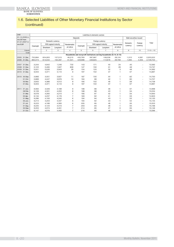### 1.6. Selected Liabilities of Other Monetary Financial Institutions by Sector (continued)

| Until        |               |           |                |                      |                |          | Liabilities to domestic sectors |                                                                        |                |                      |                        |            |
|--------------|---------------|-----------|----------------|----------------------|----------------|----------|---------------------------------|------------------------------------------------------------------------|----------------|----------------------|------------------------|------------|
|              | 31.12.2006 in |           |                |                      |                |          |                                 |                                                                        |                |                      | Debt securities issued |            |
| mio SIT from |               |           |                |                      |                | Deposits |                                 |                                                                        |                |                      |                        |            |
|              | 01.01.2007 in |           |                | Domestic currency    |                |          |                                 | Foreign currency                                                       |                |                      |                        | Total      |
| mio EUR      |               |           |                | With agreed maturity | Reedemable     |          |                                 | With agreed maturity                                                   | Reedemable     | Domestic<br>currency | Foreign<br>currency    |            |
|              |               | Overnight | Short-term     | Long-term            | at notice      | Ovemight | Short-term                      | Long-term                                                              | at notice      |                      |                        |            |
|              | Column        | 1         | $\overline{2}$ | 3                    | $\overline{4}$ | 5        | 6                               | $\overline{7}$                                                         | 8              | 9                    | 10                     | $11=3++10$ |
|              | Code          |           |                |                      |                |          |                                 |                                                                        |                |                      |                        |            |
|              |               |           |                |                      |                |          |                                 | Households and non-profit institutions serving households (S.14, S.15) |                |                      |                        |            |
|              | 2005 31.Dec.  | 752.894   | 624,063        | 157,515              | 46,215         | 432,783  | 397,997                         | 108,039                                                                | 28,124         | 1,310                | 4,581                  | 2,553,522  |
|              | 2006 31.Dec.  | 894.073   | 613,034        | 162,287              | 51,521         | 429,998  | 449,825                         | 113,676                                                                | 29,769         | 1,065                | 4,455                  | 2,749,703  |
|              |               |           |                |                      |                |          |                                 |                                                                        |                |                      |                        |            |
|              | 2007 31.Dec.  | 5,244     | 4,942          | 1,246                | 732            | 143      | 171                             | 40                                                                     | 24             | 40                   | ۰                      | 12,582     |
|              | 2008 31.Dec.  | 5,103     | 5,495          | 1,927                | 809            | 147      | 150                             | 31                                                                     | 29             | 48                   |                        | 13,737     |
|              | 2009 31.Dec.  | 5,501     | 5,526          | 2,943                | 29             | 154      | 124                             | 32                                                                     | 3              | 49                   |                        | 14,362     |
|              | 2010 31.Dec.  | 6,003     | 4,371          | 4,110                | 9              | 197      | 102                             | 47                                                                     | $\overline{1}$ | 57                   |                        | 14,897     |
|              |               |           |                |                      |                |          |                                 |                                                                        |                |                      |                        |            |
|              | 2010 30.Sep.  | 5,966     | 4,451          | 3,927                | 11             | 187      | 100                             | 44                                                                     |                | 62                   |                        | 14,750     |
|              | 31.Oct.       | 5,889     | 4,447          | 3,976                | 10             | 184      | 98                              | 42                                                                     |                | 60                   | ۰                      | 14,707     |
|              | 30.Nov.       | 5,933     | 4,386          | 4,012                | 9              | 190      | 102                             | 46                                                                     |                | 59                   | ۰                      | 14.739     |
|              | 31.Dec.       | 6,003     | 4,371          | 4,110                | 9              | 197      | 102                             | 47                                                                     | 1              | 57                   | ٠                      | 14,897     |
|              |               |           |                |                      |                |          |                                 |                                                                        |                |                      |                        |            |
| 2011         | 31.Jan.       | 6,083     | 4,328          | 4,189                | 9              | 188      | 98                              | 46                                                                     |                | 57                   | ۰                      | 14,998     |
|              | 28.Feb.       | 6,109     | 4,331          | 4,202                | 8              | 188      | 98                              | 43                                                                     |                | 54                   | ۰                      | 15,034     |
|              | 31.Mar.       | 6,078     | 4,260          | 4,215                | $\overline{7}$ | 185      | 97                              | 42                                                                     |                | 54                   | ۰                      | 14,940     |
|              | 30.Apr.       | 6,134     | 4,237          | 4,176                | $\overline{7}$ | 183      | 92                              | 41                                                                     |                | 53                   | ä,                     | 14,923     |
|              | 31.May.       | 6,296     | 4,193          | 4,240                | 6              | 194      | 94                              | 43                                                                     |                | 53                   | ۰                      | 15,120     |
|              | 30.Jun.       | 6,214     | 4,203          | 4,337                | 6              | 194      | 92                              | 43                                                                     |                | 54                   | ٠                      | 15,145     |
|              | 31.Jul.       | 6,223     | 4,188          | 4,383                | 6              | 205      | 95                              | 46                                                                     |                | 55                   |                        | 15,203     |
|              | 31.Aug.       | 6,225     | 4,123          | 4,415                | $\overline{7}$ | 203      | 93                              | 46                                                                     |                | 55                   | ۰                      | 15,168     |
|              | 30.Sep.       | 6,203     | 4,074          | 4,451                | $\overline{7}$ | 214      | 95                              | 47                                                                     | $\Omega$       | 55                   |                        | 15,146     |
|              | 31.Oct.       | 6.147     | 4,076          | 4,460                | $\overline{7}$ | 216      | 90                              | 46                                                                     |                | 54                   |                        | 15,096     |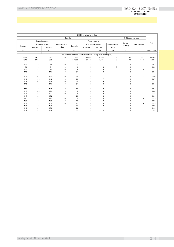|          |            |                      |                          |          | Liabilities to foreign sectors |                                                                 |                |              |                          |             |
|----------|------------|----------------------|--------------------------|----------|--------------------------------|-----------------------------------------------------------------|----------------|--------------|--------------------------|-------------|
|          |            |                      |                          | Deposits |                                |                                                                 |                |              | Debt securities issued   |             |
|          |            | Domestic currency    |                          |          |                                | Foreign currency                                                |                |              |                          |             |
|          |            | With agreed maturity | Reedemable at            |          |                                | With agreed maturity                                            | Reedemable at  | Domestic     | Foreign currency         | Total       |
| Ovemight | Short-term | Long-term            | notice                   | Ovemight | Short-term                     | Long-term                                                       | notice         | currency     |                          |             |
| 12       | 13         | 14                   | 15                       | 16       | 17                             | 18                                                              | 19             | 20           | 21                       | $22=12++21$ |
|          |            |                      |                          |          |                                |                                                                 |                |              |                          |             |
|          |            |                      |                          |          |                                | Households and non-profit institutions serving households (S.2) |                |              |                          |             |
| 5,688    | 2,695      | 543                  | 0                        | 21,805   | 14,803                         | 7,642                                                           | $\mathbf{1}$   | 48           | 37                       | 53,263      |
| 7,319    | 2,301      | 338                  | 1                        | 20,692   | 16,252                         | 7,891                                                           | $\overline{c}$ | 71           | 142                      | 55,007      |
|          |            |                      |                          |          |                                |                                                                 |                |              |                          |             |
| 100      | 75         | 56                   | 0                        | 14       | 15                             | $\overline{7}$                                                  | ٠              | $\mathbf{1}$ | ٠                        | 267         |
| 96       | 110        | 61                   | 0                        | 13       | 15                             | 6                                                               | $\circ$        | 1            | ٠                        | 302         |
| 100      | 99         | 95                   | 0                        | 16       | 12                             | 5                                                               | ä,             | 1            | ٠                        | 327         |
| 115      | 60         | 117                  | 0                        | 21       | 8                              | $\overline{9}$                                                  | ÷              | $\mathbf{1}$ | ٠                        | 331         |
|          |            |                      |                          |          |                                |                                                                 |                |              |                          |             |
| 116      | 64         | 114                  | 0                        | 20       | 8                              | $\overline{7}$                                                  | ä,             | 1            | $\overline{\phantom{a}}$ | 329         |
| 116      | 64         | 112                  | 0                        | 20       | $\overline{7}$                 | $\overline{7}$                                                  | ä,             | $\mathbf{1}$ | ٠                        | 327         |
| 115      | 62         | 116                  | 0                        | 20       | 9                              | 9                                                               |                | 1            | ٠                        | 331         |
| 115      | 60         | 117                  | 0                        | 21       | 8                              | $\overline{9}$                                                  |                | 1            | ٠                        | 331         |
|          |            |                      |                          |          |                                |                                                                 |                |              |                          |             |
| 119      | 56         | 123                  | 0                        | 19       | 9                              | 8                                                               | ٠              | 1            | ٠                        | 334         |
| 117      | 58         | 124                  | 0                        | 19       | 8                              | $\overline{9}$                                                  | ٠              | $\mathbf{1}$ | ٠                        | 335         |
| 119      | 52         | 131                  | 0                        | 19       | 8                              | 8                                                               | ä,             |              | $\overline{\phantom{a}}$ | 338         |
| 117      | 52         | 132                  | ٠                        | 20       | 8                              | 8                                                               | ä,             |              | ٠                        | 336         |
| 123      | 53         | 127                  | 0                        | 19       | 8                              | 8                                                               | ٠              | $\mathbf{1}$ | ٠                        | 339         |
| 120      | 48         | 130                  | 0                        | 19       | $\overline{7}$                 | 9                                                               | ٠              |              | ٠                        | 333         |
| 118      | 51         | 130                  | 0                        | 22       | 6                              | 9                                                               | ä,             |              | ÷                        | 335         |
| 122      | 49         | 130                  | ۰                        | 21       | 6                              | 10                                                              | ٠              |              | ٠                        | 338         |
| 119      | 51         | 136                  |                          | 22       | 6                              | 11                                                              |                |              | ٠                        | 344         |
| 115      | 52         | 138                  | $\overline{\phantom{a}}$ | 22       | 5                              | 10                                                              | ٠              |              | ٠                        | 342         |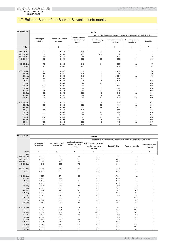**EUROSYSTEM**

#### 1.7. Balance Sheet of the Bank of Slovenia - instruments

| Millions of EUR | Assets                       |                                      |                                                         |                                |                                                                                       |                                   |                |  |  |  |  |  |
|-----------------|------------------------------|--------------------------------------|---------------------------------------------------------|--------------------------------|---------------------------------------------------------------------------------------|-----------------------------------|----------------|--|--|--|--|--|
|                 |                              |                                      |                                                         |                                | Lending to euro area credit institutionsrelated to monetary policy operations in euro |                                   |                |  |  |  |  |  |
|                 | Gold and gold<br>receivables | Claims on non-euro area<br>residents | Claims on euro area<br>residents in foreign<br>currency | Main refinancing<br>operations | Longer-term refinancing<br>operations                                                 | Fine-tuning reverse<br>operations | Securities     |  |  |  |  |  |
| Column          | $\mathbf{1}$                 | $\overline{c}$                       | 3                                                       | $\overline{4}$                 | 5                                                                                     | 6                                 | $\overline{7}$ |  |  |  |  |  |
| Code            |                              |                                      |                                                         |                                |                                                                                       |                                   |                |  |  |  |  |  |
| 2007 31.Dec.    | 58                           | 1,740                                | 498                                                     | 80                             | 76                                                                                    | $\cdots$                          | $\cdots$       |  |  |  |  |  |
| 2008 31.Dec.    | 64                           | 1,758                                | 262                                                     | 134                            | 1,064                                                                                 | $\cdots$                          | $\ldots$       |  |  |  |  |  |
| 2009 31.Dec.    | 78                           | 1,550                                | 245                                                     | $\mathbf{1}$                   | 2,114                                                                                 | $\cdots$                          | 85             |  |  |  |  |  |
| 2010 31.Dec.    | 108                          | 1,459                                | 259                                                     | 53                             | 539                                                                                   | 10                                | 669            |  |  |  |  |  |
|                 |                              |                                      |                                                         |                                |                                                                                       |                                   |                |  |  |  |  |  |
| 2009 30.Nov.    | 70                           | 1,665                                | 248                                                     | 14                             | 1,277                                                                                 | $\cdots$                          | 77             |  |  |  |  |  |
| 31.Dec.         | 78                           | 1,550                                | 245                                                     | $\mathbf{1}$                   | 2,114                                                                                 | $\cdots$                          | 85             |  |  |  |  |  |
|                 |                              |                                      |                                                         |                                |                                                                                       |                                   |                |  |  |  |  |  |
| 2010 31.Jan.    | 78                           | 1,542                                | 298                                                     | $\mathbf{1}$                   | 2,104                                                                                 | $\cdots$                          | 95             |  |  |  |  |  |
| 28.Feb.         | 78                           | 1,637                                | 316                                                     | $\mathbf{1}$                   | 2,094                                                                                 | $\cdots$                          | 150            |  |  |  |  |  |
| 31.Mar.         | 84                           | 1,556                                | 319                                                     | $\mathbf{1}$                   | 2,084                                                                                 |                                   | 179            |  |  |  |  |  |
| 30.Apr.         | 84                           | 1,504                                | 333                                                     | $\mathbf{1}$                   | 2,174                                                                                 | $\cdots$                          | 213            |  |  |  |  |  |
| 31.May.         | 84                           | 1,572                                | 273                                                     | $\mathbf{1}$                   | 2,171                                                                                 |                                   | 615            |  |  |  |  |  |
| 30.Jun.         | 103                          | 1,480                                | 276                                                     | 11                             | 2,051                                                                                 | $\cdots$                          | 665            |  |  |  |  |  |
| 31.Jul.         | 103                          | 1,597                                | 262                                                     | $\mathbf{1}$                   | 1,184                                                                                 | $\cdots$                          | 665            |  |  |  |  |  |
| 31.Aug.         | 103                          | 1,505                                | 249                                                     | $\mathbf{1}$                   | 1,248                                                                                 | $\cdots$                          | 665            |  |  |  |  |  |
| 30.Sep.         | 98                           | 1,475                                | 240                                                     | 21                             | 929                                                                                   | 35                                | 664            |  |  |  |  |  |
| 31.Oct.         | 98                           | 1,452                                | 260                                                     | 48                             | 1,049                                                                                 | $\cdots$                          | 664            |  |  |  |  |  |
| 30.Nov.         | 98                           | 1,460                                | 245                                                     | 8                              | 1,065                                                                                 | $\cdots$                          | 664            |  |  |  |  |  |
| 31.Dec.         | 108                          | 1,459                                | 259                                                     | 53                             | 539                                                                                   | 10                                | 669            |  |  |  |  |  |
|                 |                              |                                      |                                                         |                                |                                                                                       |                                   |                |  |  |  |  |  |
| 2011 31.Jan.    | 108                          | 1,467                                | 277                                                     | 28                             | 409                                                                                   | $\cdots$                          | 677            |  |  |  |  |  |
| 28.Feb.         | 108                          | 1,466                                | 272                                                     | 38                             | 414                                                                                   | $\cdots$                          | 681            |  |  |  |  |  |
| 31.Mar.         | 103                          | 1,508                                | 231                                                     | 38                             | 327                                                                                   |                                   | 673            |  |  |  |  |  |
| 30.Apr.         | 103                          | 1,494                                | 245                                                     | $\cdots$                       | 355                                                                                   | $\cdots$                          | 673            |  |  |  |  |  |
| 31.May.         | 103                          | 1,488                                | 243                                                     | 18                             | 429                                                                                   | $\cdots$                          | 673            |  |  |  |  |  |
| 30.Jun.         | 107                          | 1,530                                | 245                                                     | 38                             | 399                                                                                   | $\cdots$                          | 653            |  |  |  |  |  |
| 31.Jul.         | 107                          | 1,543                                | 241                                                     | 43                             | 421                                                                                   |                                   | 643            |  |  |  |  |  |
| 31.Aug.         | 107                          | 1,502                                | 254                                                     | 8                              | 545                                                                                   | $\cdots$                          | 909            |  |  |  |  |  |
| 30.Sep.         | 123                          | 1,512                                | 299                                                     | 8                              | 415                                                                                   |                                   | 1,017          |  |  |  |  |  |
| 31.Oct.         | 123                          | 1,483                                | 244                                                     | $\cdots$                       | 834                                                                                   | $\cdots$                          | 1,047          |  |  |  |  |  |

| Millions of EUR | Liabilities                 |                                           |                                                              |                                                              |                                                                                           |                     |                                   |  |  |  |  |  |
|-----------------|-----------------------------|-------------------------------------------|--------------------------------------------------------------|--------------------------------------------------------------|-------------------------------------------------------------------------------------------|---------------------|-----------------------------------|--|--|--|--|--|
|                 |                             |                                           |                                                              |                                                              | Liabilities to euro area credit instiutions related to monetary policy operations in euro |                     |                                   |  |  |  |  |  |
|                 | Banknotes in<br>circulation | Liabilities to non-euro<br>area residents | Liabilities to euro area<br>residents in foreign<br>currency | Current accounts (covering<br>the minimum reserve<br>system) | Deposit facility                                                                          | Fixed-term deposits | Fine-tuning reverse<br>operations |  |  |  |  |  |
| Column          | $\mathbf{1}$                | $\overline{c}$                            | 3                                                            | $\overline{4}$                                               | 5                                                                                         | 6                   | $\overline{7}$                    |  |  |  |  |  |
| Code            |                             |                                           |                                                              |                                                              |                                                                                           |                     |                                   |  |  |  |  |  |
| 2007 31. Dec.   | 2,900                       | 97                                        | 66                                                           | 335                                                          | 16                                                                                        | 5                   | $\cdots$                          |  |  |  |  |  |
| 2008 31. Dec.   | 3,215                       | 62                                        | 72                                                           | 403                                                          | 582                                                                                       | $\cdots$            | $\cdots$                          |  |  |  |  |  |
| 2009 31. Dec.   | 3,496                       | 251                                       | 69                                                           | 415                                                          | 805                                                                                       | $\cdots$            |                                   |  |  |  |  |  |
| 2010 31. Dec.   | 3,640                       | 283                                       | 76                                                           | 442                                                          | 305                                                                                       | 135                 |                                   |  |  |  |  |  |
|                 |                             |                                           |                                                              |                                                              |                                                                                           |                     |                                   |  |  |  |  |  |
| 2009 30. Nov.   | 3,364                       | 317                                       | 68                                                           | 407                                                          | 480                                                                                       | $\cdots$            |                                   |  |  |  |  |  |
| 31. Dec.        | 3,496                       | 251                                       | 69                                                           | 415                                                          | 805                                                                                       | $\cdots$            |                                   |  |  |  |  |  |
|                 |                             |                                           |                                                              |                                                              |                                                                                           |                     |                                   |  |  |  |  |  |
| 2010 31. Jan.   | 3,397                       | 271                                       | 69                                                           | 408                                                          | 1,725                                                                                     | $\cdots$            | $\cdots$                          |  |  |  |  |  |
| 28. Feb.        | 3,400                       | 244                                       | 70                                                           | 455                                                          | 623                                                                                       | $\cdots$            |                                   |  |  |  |  |  |
| 31. Mar.        | 3,455                       | 276                                       | 72                                                           | 557                                                          | 270                                                                                       | $\cdots$            |                                   |  |  |  |  |  |
| 30. Apr.        | 3,460                       | 273                                       | 73                                                           | 444                                                          | 510                                                                                       | $\cdots$            |                                   |  |  |  |  |  |
| 31. May.        | 3,491                       | 247                                       | 74                                                           | 447                                                          | 490                                                                                       | 75                  | $\cdots$                          |  |  |  |  |  |
| 30. Jun.        | 3,520                       | 271                                       | 80                                                           | 566                                                          | 732                                                                                       | 115                 |                                   |  |  |  |  |  |
| 31. Jul.        | 3,557                       | 280                                       | 80                                                           | 455                                                          | 308                                                                                       | 162                 | $\cdots$                          |  |  |  |  |  |
| 31. Aug.        | 3,528                       | 278                                       | 84                                                           | 448                                                          | 289                                                                                       | 21                  |                                   |  |  |  |  |  |
| 30. Sep.        | 3,526                       | 310                                       | 77                                                           | 459                                                          | 230                                                                                       | 150                 | $\cdots$                          |  |  |  |  |  |
| 31. Oct.        | 3,533                       | 299                                       | 77                                                           | 409                                                          | 74                                                                                        | 115                 |                                   |  |  |  |  |  |
| 30. Nov.        | 3,541                       | 256                                       | 74                                                           | 422                                                          | 264                                                                                       | 25                  |                                   |  |  |  |  |  |
| 31. Dec.        | 3,640                       | 283                                       | 76                                                           | 442                                                          | 305                                                                                       | 135                 |                                   |  |  |  |  |  |
|                 |                             |                                           |                                                              |                                                              |                                                                                           |                     |                                   |  |  |  |  |  |
| 2011 31. Jan.   | 3,552                       | 267                                       | 72                                                           | 415                                                          | 101                                                                                       | 250                 | $\cdots$                          |  |  |  |  |  |
| 28. Feb.        | 3,548                       | 261                                       | 72                                                           | 535                                                          | 168                                                                                       | 198                 |                                   |  |  |  |  |  |
| 31. Mar.        | 3,564                       | 284                                       | 67                                                           | 1,079                                                        | 192                                                                                       | 245                 | $\cdots$                          |  |  |  |  |  |
| 30. Apr.        | 3,609                       | 276                                       | 67                                                           | 453                                                          | 99                                                                                        | 85                  | $\cdots$                          |  |  |  |  |  |
| 31. May.        | 3,624                       | 253                                       | 66                                                           | 476                                                          | 153                                                                                       | 127                 | $\cdots$                          |  |  |  |  |  |
| 30. Jun.        | 3,663                       | 249                                       | 65                                                           | 424                                                          | 170                                                                                       | 135                 |                                   |  |  |  |  |  |
| 31. Jul.        | 3,701                       | 246                                       | 64                                                           | 442                                                          | 209                                                                                       | 5                   | $\cdots$                          |  |  |  |  |  |
| 31. Aug.        | 3,675                       | 298                                       | 64                                                           | 422                                                          | 121                                                                                       | 250                 |                                   |  |  |  |  |  |
| 30. Sep.        | 3,708                       | 273                                       | 68                                                           | 422                                                          | 148                                                                                       | 191                 |                                   |  |  |  |  |  |
| 31. Oct.        | 3,738                       | 261                                       | 68                                                           | 509                                                          | 410                                                                                       | 30                  | $\cdots$                          |  |  |  |  |  |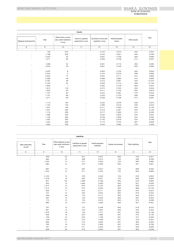| Assets                    |       |                                                             |                                         |                                              |                            |              |        |  |  |  |  |
|---------------------------|-------|-------------------------------------------------------------|-----------------------------------------|----------------------------------------------|----------------------------|--------------|--------|--|--|--|--|
| Marginal lending facility | Total | Other claims on euro<br>area credit institutions<br>in euro | Claims on general<br>government in euro | Securities of euro area<br>residents in euro | Intra-Eurosystem<br>claims | Other assets | Total  |  |  |  |  |
| 8                         | 9     | 10                                                          | 11                                      | 12                                           | 13                         | 14           | 15     |  |  |  |  |
|                           |       |                                                             |                                         |                                              |                            |              |        |  |  |  |  |
| $\cdots$                  | 156   | 972                                                         |                                         | 2,103                                        | 2,574                      | 220          | 8,321  |  |  |  |  |
|                           | 1,198 | 636                                                         |                                         | 2,442                                        | 2,651                      | 329          | 9,338  |  |  |  |  |
| $\cdots$                  | 2,200 | 20                                                          |                                         | 2,857                                        | 2,756                      | 283          | 9,990  |  |  |  |  |
| $\cdots$                  | 1,271 | 95                                                          |                                         | 2,428                                        | 2,728                      | 214          | 8,561  |  |  |  |  |
|                           |       |                                                             |                                         |                                              |                            |              |        |  |  |  |  |
| $\cdots$                  | 1,369 | 22                                                          |                                         | 2,921                                        | 2,715                      | 284          | 9,294  |  |  |  |  |
| $\cdots$                  | 2,200 | 20                                                          |                                         | 2,857                                        | 2,756                      | 283          | 9,990  |  |  |  |  |
|                           |       |                                                             |                                         |                                              |                            |              |        |  |  |  |  |
| $\cdots$                  | 2,200 | 8                                                           |                                         | 2,834                                        | 2,700                      | 282          | 9,943  |  |  |  |  |
| $\cdots$                  | 2,245 | 5                                                           |                                         | 2,734                                        | 2,679                      | 288          | 9,982  |  |  |  |  |
| $\cdots$                  | 2,264 | 77                                                          |                                         | 2,632                                        | 2,717                      | 310          | 9,960  |  |  |  |  |
| $\cdots$                  | 2,388 | 49                                                          |                                         | 2,489                                        | 2,680                      | 310          | 9,836  |  |  |  |  |
| $\cdots$                  | 2,787 | 59                                                          | $\cdots$                                | 2,472                                        | 2,691                      | 332          | 10,270 |  |  |  |  |
| $\cdots$                  | 2,726 | 97                                                          |                                         | 2,358                                        | 2,710                      | 399          | 10,150 |  |  |  |  |
| $\cdots$                  | 1,849 | $\mathbf{1}$                                                |                                         | 2,364                                        | 2,746                      | 383          | 9,307  |  |  |  |  |
| $\cdots$                  | 1,913 | 119                                                         |                                         | 2,372                                        | 2,750                      | 332          | 9,344  |  |  |  |  |
| $\cdots$                  | 1,650 | 84                                                          |                                         | 2,411                                        | 2,732                      | 284          | 8,975  |  |  |  |  |
| $\cdots$                  | 1,761 | 82                                                          | $\cdots$                                | 2,425                                        | 2,697                      | 279          | 9,054  |  |  |  |  |
|                           | 1,737 | 89                                                          |                                         | 2,425                                        | 2,725                      | 286          | 9,066  |  |  |  |  |
| $\cdots$                  | 1,271 | 95                                                          |                                         | 2,428                                        | 2,728                      | 214          | 8,561  |  |  |  |  |
|                           |       |                                                             |                                         |                                              |                            |              |        |  |  |  |  |
| $\cdots$                  | 1,113 | 163                                                         | $\cdots$                                | 2,355                                        | 2,678                      | 209          | 8,370  |  |  |  |  |
| $\cdots$                  | 1,132 | 126                                                         |                                         | 2,398                                        | 2,616                      | 206          | 8,324  |  |  |  |  |
| $\cdots$                  | 1,037 | 185                                                         | $\cdots$                                | 2,311                                        | 2,560                      | 204          | 8,139  |  |  |  |  |
| $\cdots$                  | 1,027 | 292                                                         | $\cdots$                                | 2,216                                        | 2,551                      | 202          | 8,130  |  |  |  |  |
| $\cdots$                  | 1,119 | 309                                                         |                                         | 2,217                                        | 2,590                      | 214          | 8,283  |  |  |  |  |
|                           | 1,089 | 259                                                         |                                         | 2,232                                        | 2,603                      | 225          | 8,291  |  |  |  |  |
| $\cdots$                  | 1,106 | 266                                                         | $\cdots$                                | 2,228                                        | 2,636                      | 222          | 8,350  |  |  |  |  |
| $\cdots$                  | 1,462 | 392                                                         |                                         | 2,140                                        | 2,676                      | 234          | 8,766  |  |  |  |  |
| $\cdots$                  | 1,440 | 296                                                         |                                         | 2,173                                        | 2,705                      | 287          | 8,836  |  |  |  |  |
| $\cdots$                  | 1,880 | 338                                                         |                                         | 2,232                                        | 2,682                      | 276          | 9,258  |  |  |  |  |

| Liabilities                 |                |                                                                  |                                              |                                 |                      |                   |        |  |  |  |  |  |
|-----------------------------|----------------|------------------------------------------------------------------|----------------------------------------------|---------------------------------|----------------------|-------------------|--------|--|--|--|--|--|
| Debt certificates<br>issued | Total          | Other liabilities to euro<br>area credit institutions<br>in euro | Liabilities to general<br>government in euro | Intra-Eurosystem<br>liabilities | Capital and reserves | Other liabilities | Total  |  |  |  |  |  |
| 8                           | $\overline{9}$ | 10                                                               | 11                                           | 12                              | 13                   | 14                | 15     |  |  |  |  |  |
|                             |                |                                                                  |                                              |                                 |                      |                   |        |  |  |  |  |  |
| $\ldots$                    | 356            | 53                                                               | 341                                          | 3,491                           | 800                  | 218               | 8,321  |  |  |  |  |  |
| $\cdots$                    | 984            | 10                                                               | 268                                          | 3,570                           | 752                  | 406               | 9,338  |  |  |  |  |  |
| $\cdots$                    | 1,220          | 14                                                               | 271                                          | 3,345                           | 724                  | 600               | 9,990  |  |  |  |  |  |
| $\cdots$                    | 882            | 14                                                               | 270                                          | 2,093                           | 802                  | 501               | 8,561  |  |  |  |  |  |
|                             |                |                                                                  |                                              |                                 |                      |                   |        |  |  |  |  |  |
| $\cdots$                    | 887            | 13                                                               | 287                                          | 3,027                           | 722                  | 608               | 9,294  |  |  |  |  |  |
| $\cdots$                    | 1,220          | 14                                                               | 271                                          | 3,345                           | 724                  | 600               | 9,990  |  |  |  |  |  |
|                             | 2,132          | 13                                                               | 279                                          | 2,440                           | 724                  | 618               | 9,943  |  |  |  |  |  |
| $\cdots$                    | 1,078          | 16                                                               | 820                                          | 3,001                           | 724                  | 628               | 9,982  |  |  |  |  |  |
|                             | 827            | 84                                                               | 1,069                                        | 2,759                           | 802                  | 616               | 9,960  |  |  |  |  |  |
| $\cdots$                    | 954            | 14                                                               | 1,066                                        | 2,563                           | 802                  | 631               | 9,836  |  |  |  |  |  |
|                             | 1,012          | 12                                                               | 870                                          | 3,124                           | 802                  | 639               | 10,270 |  |  |  |  |  |
| $\cdots$                    | 1,414          | 13                                                               | 270                                          | 3,094                           | 802                  | 686               | 10,150 |  |  |  |  |  |
|                             | 925            | 11                                                               | 270                                          | 2,711                           | 802                  | 670               | 9,307  |  |  |  |  |  |
|                             | 757            | 12                                                               | 220                                          | 3,044                           | 802                  | 618               | 9,344  |  |  |  |  |  |
| $\cdots$                    | 839            | 29                                                               | 122                                          | 2,717                           | 802                  | 554               | 8,975  |  |  |  |  |  |
|                             | 597            | 13                                                               | 120                                          | 3,046                           | 802                  | 567               | 9,054  |  |  |  |  |  |
| $\cdots$                    | 710            | 13                                                               | 123                                          | 2,972                           | 802                  | 575               | 9,066  |  |  |  |  |  |
| $\cdots$                    | 882            | 14                                                               | 270                                          | 2,093                           | 802                  | 501               | 8,561  |  |  |  |  |  |
| $\cdots$                    |                |                                                                  |                                              |                                 |                      |                   |        |  |  |  |  |  |
|                             | 767            | 12                                                               | 131                                          | 2,248                           | 802                  | 519               | 8,370  |  |  |  |  |  |
| $\cdots$                    | 901            | 12                                                               | 276                                          | 1,927                           | 802                  | 525               | 8,324  |  |  |  |  |  |
| $\cdots$                    | 1,516          | 16                                                               | 125                                          | 1,277                           | 831                  | 459               | 8,139  |  |  |  |  |  |
|                             | 636            | 16                                                               | 524                                          | 1,696                           | 831                  | 475               | 8,130  |  |  |  |  |  |
| $\cdots$                    | 756            | 12                                                               | 525                                          | 1,739                           | 831                  | 477               | 8,283  |  |  |  |  |  |
|                             | 729            | 55                                                               | 275                                          | 1,946                           | 831                  | 478               | 8,291  |  |  |  |  |  |
|                             | 656            | 11                                                               | 273                                          | 2,083                           | 831                  | 485               | 8,350  |  |  |  |  |  |
|                             | 793            | 19                                                               | 275                                          | 2,306                           | 831                  | 505               | 8,766  |  |  |  |  |  |
| $\cdots$                    | 761            | 37                                                               | 271                                          | 2,335                           | 831                  | 553               | 8,836  |  |  |  |  |  |
|                             | 949            | 20                                                               | 275                                          | 2,553                           | 831                  | 562               | 9,258  |  |  |  |  |  |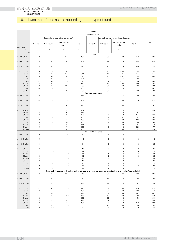**EUROSYSTEM**

#### 1.8.1. Investment funds assets according to the type of fund

|            |                       |              |                           |                                                      |                | Assets                   |                         |                                                          |                                                                                                                                     |            |
|------------|-----------------------|--------------|---------------------------|------------------------------------------------------|----------------|--------------------------|-------------------------|----------------------------------------------------------|-------------------------------------------------------------------------------------------------------------------------------------|------------|
|            |                       |              |                           |                                                      |                | Domestic assets          |                         |                                                          |                                                                                                                                     |            |
|            |                       |              |                           | Outstanding amount to financial sectors <sup>1</sup> |                |                          |                         | Outstanding amount to non-financial sectors <sup>2</sup> |                                                                                                                                     |            |
| in mio EUR |                       | Deposits     | Debt securities           | Shares and other<br>equity                           | Total          | Deposits                 | Debt securities         | Shares and other<br>equity                               | Total                                                                                                                               | Total      |
|            | Column                | $\mathbf{1}$ | $\overline{2}$            | $\overline{\mathbf{3}}$                              | $\overline{4}$ | $\overline{5}$           | $\overline{6}$          | $\boldsymbol{7}$                                         | $\overline{8}$                                                                                                                      | 9          |
|            | Code                  |              |                           |                                                      |                |                          |                         |                                                          |                                                                                                                                     |            |
|            |                       |              |                           |                                                      |                | Total                    |                         |                                                          |                                                                                                                                     |            |
|            | 2008 31.Dec           | 182          | 76                        | 175                                                  | 434            |                          | 58                      | 489                                                      | 546                                                                                                                                 | 981        |
|            | 2009 31.Dec           | 173          | 61                        | 191                                                  | 425            |                          | 54                      | 468                                                      | 522                                                                                                                                 | 947        |
|            | 2010 31.Dec           | 148          | 58                        | 146                                                  | 352            |                          | 43                      | 363                                                      | 406                                                                                                                                 | 759        |
|            | 2011 31.Jan           | 150          | 58                        | 142                                                  | 350            |                          | 43                      | 350                                                      | 393                                                                                                                                 | 743        |
|            | 28.Feb                | 147          | 55                        | 140                                                  | 341            |                          | 43                      | 331                                                      | 374                                                                                                                                 | 715        |
|            | 31.Mar                | 126          | 53                        | 139                                                  | 318            |                          | 41                      | 331                                                      | 372                                                                                                                                 | 690        |
|            | 30.Apr                | 134          | 53                        | 117                                                  | 305            |                          | 39                      | 316                                                      | 355                                                                                                                                 | 660        |
|            | 31.May                | 147          | 53                        | 118                                                  | 318            |                          | 37                      | 311                                                      | 348                                                                                                                                 | 666        |
|            | 30.Jun                | 148          | 51                        | 112                                                  | 311            |                          | 37                      | 303                                                      | 340                                                                                                                                 | 651        |
|            | $31$ .Jul             | 133          | 50                        | 106                                                  | 289            |                          | 36                      | 298                                                      | 335                                                                                                                                 | 624        |
|            | 31.Aug                | 108          | 50                        | 97                                                   | 255            |                          | 36                      | 276                                                      | 312                                                                                                                                 | 567        |
|            | 30.Sep                | 101          | 48                        | 83                                                   | 233            | $\overline{\phantom{a}}$ | 34                      | 255                                                      | 290                                                                                                                                 | 522        |
|            | 2008 31.Dec           | 99           | $\,$ 5 $\,$               | 72                                                   | 176            | Open-end equity funds    | $\mathbf{1}$            | 155                                                      | 156                                                                                                                                 | 332        |
|            | 2009 31.Dec           | 84           | $\ensuremath{\mathsf{3}}$ | 76                                                   | 164            |                          | 1                       | 158                                                      | 158                                                                                                                                 | 322        |
|            | 2010 31.Dec           | 72           | $\,$ 5 $\,$               | 69                                                   | 146            |                          | 1                       | 150                                                      | 152                                                                                                                                 | 297        |
|            | 2011 31.Jan<br>28.Feb | 74<br>65     | 5<br>$\overline{4}$       | 68<br>65                                             | 146<br>134     |                          | 1<br>$\overline{c}$     | 146<br>142                                               | 147<br>143                                                                                                                          | 293<br>277 |
|            | 31.Mar                | 59           | $\overline{4}$            | 63                                                   | 126            |                          | $\overline{\mathbf{c}}$ | 142                                                      | 144                                                                                                                                 | 270        |
|            | 30.Apr                | 67           | 4                         | 59                                                   | 130            |                          | $\overline{c}$          | 161                                                      | 162                                                                                                                                 | 293        |
|            | 31.May                | 73           | $\overline{4}$            | 58                                                   | 135            |                          | $\overline{\mathbf{c}}$ | 163                                                      | 165                                                                                                                                 | 300        |
|            | 30.Jun                | 70           | $\overline{4}$            | 55                                                   | 129            |                          | $\overline{c}$          | 159                                                      | 160                                                                                                                                 | 289        |
|            | $31$ .Jul             | 63           | 4                         | 51                                                   | 118            |                          | $\sqrt{2}$              | 155                                                      | 157                                                                                                                                 | 275        |
|            | 31 Aug                | 65           | 14                        | 78                                                   | 157            |                          | $\sqrt{2}$              | 218                                                      | 220                                                                                                                                 | 377        |
|            | 30.Sep                | 61           | 14                        | 65                                                   | 140            |                          | $\overline{c}$          | 202                                                      | 203                                                                                                                                 | 344        |
|            |                       |              |                           |                                                      |                | Open-end bond funds      |                         |                                                          |                                                                                                                                     |            |
|            | 2008 31.Dec           | 5            | $\,$ 5 $\,$               | $\mathsf O$                                          | 10             |                          | $\overline{7}$          | $\mathsf O$                                              | $\boldsymbol{7}$                                                                                                                    | 17         |
|            | 2009 31.Dec           | 5            | $\overline{4}$            | $\mathsf{O}\xspace$                                  | $\mathsf g$    |                          | 8                       | $\mathsf O$                                              | 8                                                                                                                                   | 18         |
|            | 2010 31.Dec           | 9            | $\overline{4}$            | $\mathsf{O}\xspace$                                  | 14             |                          | 8                       | $\mathsf O$                                              | 8                                                                                                                                   | 22         |
|            | 2011 31.Jan           | 9            | $\overline{4}$            | 0                                                    | 13             |                          | 8                       | $\mathsf O$                                              | 8                                                                                                                                   | 21         |
|            | 28.Feb                | 12           | 4                         | $\mathsf{O}\xspace$                                  | 17             |                          | 8                       | $\mathsf O$                                              | 8                                                                                                                                   | 25         |
|            | 31.Mar                | 11           | 4                         | 0                                                    | 16             |                          | 8                       | $\mathsf O$                                              | 8                                                                                                                                   | 24         |
|            | 30.Apr                | 13           | $\overline{4}$            | 0                                                    | 17             |                          | $\overline{7}$          | $\mathbf 0$                                              | 8                                                                                                                                   | 25         |
|            | 31.May                | 13           | 4                         | 0                                                    | 17             |                          | $\overline{7}$          | $\mathsf O$                                              | $\boldsymbol{7}$                                                                                                                    | 25         |
|            | 30.Jun                | 10           | 4                         | $\circ$                                              | 15             |                          | $\overline{7}$          | $\circ$                                                  | $\overline{7}$                                                                                                                      | 22         |
|            | $31$ .Jul             | 11           | 4                         | $\mathsf{O}\xspace$                                  | 15             |                          | $\boldsymbol{7}$        | $\mathsf{O}\xspace$                                      | $\boldsymbol{7}$                                                                                                                    | 22         |
|            | 31.Aug                | $10$         | 4                         | $\mathsf{O}\xspace$                                  | 15             |                          | 8                       | $\mathsf{O}\xspace$                                      | 8                                                                                                                                   | 23         |
|            | 30.Sep                | 8            | 4                         | $\mathsf{O}\xspace$                                  | 12             |                          | $\boldsymbol{7}$        | $\mathsf O$                                              | $\overline{7}$                                                                                                                      | 20         |
|            |                       |              |                           |                                                      |                |                          |                         |                                                          | Other funds (close-end equity, close-end mixed, open-end mixed and open-end other funds; money market funds excluded <sup>3</sup> ) |            |
|            | 2008 31.Dec           | 79           | 66                        | 103                                                  | 248            |                          | 50                      | 334                                                      | 383                                                                                                                                 | 631        |
|            | 2009 31.Dec           | 84           | 53                        | 115                                                  | 252            |                          | 45                      | 310                                                      | 355                                                                                                                                 | 607        |
|            | 2010 31.Dec           | 67           | 49                        | $7\,7$                                               | 193            |                          | 34                      | 213                                                      | 247                                                                                                                                 | 439        |
|            | 2011 31.Jan           | 67           | 49                        | 74                                                   | 190            |                          | 34                      | 204                                                      | 238                                                                                                                                 | 428        |
|            | 28.Feb                | 69           | 46                        | 75                                                   | 190            |                          | 34                      | 190                                                      | 223                                                                                                                                 | 413        |
|            | 31.Mar                | 57           | 45                        | 75                                                   | 176            |                          | 32                      | 189                                                      | 221                                                                                                                                 | 397        |
|            | 30.Apr                | 54           | 45                        | 59                                                   | 157            |                          | 30                      | 155                                                      | 185                                                                                                                                 | 342        |
|            | 31.May                | 62           | 44                        | 60                                                   | 166            |                          | 28                      | 148                                                      | 176                                                                                                                                 | 341        |
|            | 30.Jun                | 68           | 43                        | 56                                                   | 167            |                          | 28                      | 144                                                      | 172                                                                                                                                 | 339        |
|            | $31$ .Jul             | 60           | 42                        | 54                                                   | 156            |                          | 28                      | 143                                                      | 170                                                                                                                                 | 327        |
|            | 31.Aug                | 32           | 32                        | 20                                                   | 83             |                          | 26                      | 58                                                       | 84                                                                                                                                  | 168        |
|            | 30.Sep                | 32           | 30                        | 18                                                   | 80             |                          | 26                      | 53                                                       | 79                                                                                                                                  | 159        |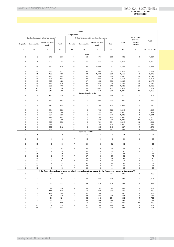|                           |                          |                                                                                                                                     |                |                          | Assets                |                                                          |       |       |                                       |                    |
|---------------------------|--------------------------|-------------------------------------------------------------------------------------------------------------------------------------|----------------|--------------------------|-----------------------|----------------------------------------------------------|-------|-------|---------------------------------------|--------------------|
|                           |                          |                                                                                                                                     |                | Foreign assets           |                       |                                                          |       |       |                                       |                    |
|                           |                          | Outstanding amount to financial sectors <sup>1</sup>                                                                                |                |                          |                       | Outstanding amount to non-financial sectors <sup>2</sup> |       |       | Other assets                          |                    |
| Deposits                  | Debt securities          | Shares and other<br>equity                                                                                                          | Total          | Deposits                 | Debt securities       | Shares and other<br>equity                               | Total | Total | (including<br>financial<br>derivates) | Total              |
| 10                        | 11                       | 12                                                                                                                                  | 13             | 14                       | 15                    | 16                                                       | 17    | 18    | 19                                    | $20 = 9 + 18 + 19$ |
|                           |                          |                                                                                                                                     |                |                          |                       |                                                          |       |       |                                       |                    |
| $\overline{c}$            | 5                        | 247                                                                                                                                 | 277            | $\mathsf O$              | Total<br>59           | 571                                                      | 630   | 908   | 6                                     | 1,894              |
| 3                         | $\overline{7}$           | 303                                                                                                                                 | 344            | $\mathsf O$              | 70                    | 851                                                      | 922   | 1,266 | $\overline{7}$                        | 2,220              |
| $\overline{\mathbf{c}}$   | 13                       | 370                                                                                                                                 | 415            | $\mathsf O$              | 89                    | 1,002                                                    | 1,091 | 1,506 | 12                                    | 2,277              |
| $\boldsymbol{2}$          | 13                       | 385                                                                                                                                 | 431            | $\mathsf O$              | 92                    | 990                                                      | 1,082 | 1,513 | 13                                    | 2,269              |
| 3                         | 14                       | 409                                                                                                                                 | 456            | $\mathsf{O}\xspace$      | 94                    | 1,003                                                    | 1,096 | 1,552 | 9                                     | 2,276              |
| 3                         | 15                       | 410                                                                                                                                 | 457            | $\mathsf O$              | 93                    | 996                                                      | 1,089 | 1,547 | 10                                    | 2,247              |
| $\ensuremath{\mathsf{3}}$ | 15                       | 395                                                                                                                                 | 443            | $\mathsf O$              | 94                    | 980                                                      | 1,075 | 1,518 | 13                                    | 2,204              |
| 3                         | 15                       | 379                                                                                                                                 | 426            | $\circ$                  | 97                    | 956                                                      | 1,053 | 1,480 | 17                                    | 2,175              |
| $\overline{c}$            | 16                       | 371                                                                                                                                 | 419            | $\mathsf{O}\xspace$      | 99                    | 940                                                      | 1,039 | 1,459 | 19                                    | 2,132              |
| 3                         | 16                       | 363                                                                                                                                 | 413            | $\circ$                  | 101                   | 910                                                      | 1,010 | 1,422 | 25                                    | 2,100              |
| $\overline{\mathbf{4}}$   | 45                       | 328                                                                                                                                 | 378            | $\mathsf{O}\xspace$      | 101                   | 832                                                      | 933   | 1,311 | 11                                    | 1,889              |
| 5                         | 42                       | 312                                                                                                                                 | 359            | $\mathsf{O}\xspace$      | 104                   | 759                                                      | 863   | 1,222 | 10                                    | 1,755              |
|                           |                          |                                                                                                                                     |                |                          | Open-end equity funds |                                                          |       |       |                                       |                    |
| $\overline{c}$            | $\sqrt{2}$               | 172                                                                                                                                 | 175            | $\mathsf O$              | 0                     | 396                                                      | 396   | 570   | $\overline{c}$                        | 905                |
| $\overline{c}$            | $\mathbf{1}$             | 243                                                                                                                                 | 247            | $\mathsf{O}\xspace$      | $\mathsf{O}\xspace$   | 600                                                      | 600   | 847   | $\overline{4}$                        | 1,173              |
| $\overline{\mathbf{c}}$   | 1                        | 276                                                                                                                                 | 279            | $\mathsf O$              | $\mathsf O$           | 730                                                      | 730   | 1,009 | $\overline{7}$                        | 1,313              |
| $\sqrt{2}$                | 1                        | 284                                                                                                                                 | 286            | $\circ$                  | $\mathsf{O}\xspace$   | 729                                                      | 729   | 1,015 | 5                                     | 1,313              |
| $\overline{\mathbf{c}}$   | 1                        | 296                                                                                                                                 | 299            | $\mathsf{O}\xspace$      | 0                     | 741                                                      | 741   | 1,040 | 5                                     | 1,321              |
| $\overline{c}$            | 1                        | 294                                                                                                                                 | 296            | $\circ$                  | 0                     | 741                                                      | 741   | 1,038 | 3                                     | 1,311              |
| $\overline{\mathbf{c}}$   | 1                        | 294                                                                                                                                 | 297            | $\mathsf O$              | 0                     | 760                                                      | 760   | 1,057 | 8                                     | 1,358              |
| $\overline{c}$            | $\mathbf{1}$             | 286                                                                                                                                 | 289            | $\circ$                  | 0                     | 740                                                      | 740   | 1,029 | 10                                    | 1,339              |
| $\overline{c}$            | 1                        | 276                                                                                                                                 | 279            | $\mathsf{O}\xspace$      | 0                     | 731                                                      | 731   | 1,010 | 12                                    | 1,311              |
| $\overline{c}$            | 1                        | 274                                                                                                                                 | 277            | $\mathsf O$              | 0                     | 724                                                      | 724   | 1,000 | 10                                    | 1,285              |
| 3                         | $\mathbf{1}$             | 238                                                                                                                                 | 242            | $\mathsf{O}\xspace$      | 0                     | 645                                                      | 645   | 887   | $\overline{\mathcal{I}}$              | 1,271              |
| $\overline{4}$            | $\mathbf{1}$             | 227                                                                                                                                 | 232            | $\mathsf{O}\xspace$      | $\circ$               | 593                                                      | 593   | 825   | 5                                     | 1,174              |
|                           |                          |                                                                                                                                     |                |                          | Open-end bond funds   |                                                          |       |       |                                       |                    |
| $\mathsf{O}\xspace$       | $\overline{4}$           | $\circ$                                                                                                                             | $\overline{4}$ | $\overline{\phantom{0}}$ | 10                    | $\mathbf{1}$                                             | 10    | 14    | 0                                     | 32                 |
| $\circ$                   | 5                        | $\mathbf{1}$                                                                                                                        | 6              |                          | 15                    | $\mathbf{1}$                                             | 15    | 21    | 0                                     | 39                 |
| $\circ$                   | 12                       | $\overline{c}$                                                                                                                      | 13             |                          | 31                    | $\mathsf O$                                              | 32    | 45    | $\mathbf{1}$                          | 68                 |
| $\circ$                   | 12                       | $\overline{c}$                                                                                                                      | 14             |                          | 33                    | $\mathsf O$                                              | 33    | 47    | $\mathsf{O}\xspace$                   | 69                 |
| 0                         | 13                       | $\overline{c}$                                                                                                                      | 15             |                          | 35                    | $\mathsf O$                                              | 35    | 50    | $\mathsf{O}\xspace$                   | 75                 |
| 0                         | 14                       | $\sqrt{2}$                                                                                                                          | 16             |                          | 36                    | $\mathbf{1}$                                             | 37    | 53    | 1                                     | 77                 |
| $\mathbf 0$               | 15                       | $\sqrt{2}$                                                                                                                          | 17             |                          | 37                    | 0                                                        | 37    | 53    | 1                                     | 79                 |
| 0                         | 15                       | $\overline{c}$                                                                                                                      | 16             | ۰                        | 39                    | $\mathsf{O}\xspace$                                      | 39    | 55    | $\mathsf{O}\xspace$                   | 80                 |
| $\circ$                   | 15                       | $\overline{c}$                                                                                                                      | 17             |                          | 40                    | $\circ$                                                  | 41    | 57    | $\circ$                               | 80                 |
| $\mathsf{O}\xspace$       | 15                       | $\sqrt{2}$                                                                                                                          | 17             |                          | 42                    | $\mathsf O$                                              | 42    | 59    | 0                                     | 82                 |
| $\mathsf{O}\xspace$       | 15                       | $\sqrt{2}$                                                                                                                          | $17$           |                          | 44                    | 0                                                        | 44    | 61    | 0                                     | 84                 |
| $\mathsf O$               | 14                       | $\overline{\mathbf{c}}$                                                                                                             | 16             |                          | 44                    | $\mathsf{O}\xspace$                                      | 44    | 60    | 0                                     | 80                 |
|                           |                          | Other funds (close-end equity, close-end mixed, open-end mixed and open-end other funds; money market funds excluded <sup>3</sup> ) |                |                          |                       |                                                          |       |       |                                       |                    |
| $\mathsf 0$               | $\overline{\phantom{a}}$ | 76                                                                                                                                  | 99             |                          | 50                    | 175                                                      | 224   | 323   | 3                                     | 958                |
| 1                         |                          | 60                                                                                                                                  | 91             |                          | 56                    | 250                                                      | 306   | 397   | $\overline{c}$                        | 1,007              |
| 0                         |                          | 92                                                                                                                                  | 123            |                          | 58                    | 272                                                      | 329   | 452   | $\overline{4}$                        | 896                |
| 1                         |                          | 99                                                                                                                                  | 130            |                          | 59                    | 261                                                      | 320   | 451   | 8                                     | 887                |
| 1                         |                          | 111                                                                                                                                 | 143            |                          | 59                    | 262                                                      | 321   | 463   | $\overline{4}$                        | 880                |
| 1                         |                          | 114                                                                                                                                 | 145            |                          | 58                    | 254                                                      | 311   | 456   | 6                                     | 859                |
| 1                         |                          | 98                                                                                                                                  | 129            |                          | 58                    | 220                                                      | 278   | 408   | 4                                     | 766                |
| 1                         |                          | 91                                                                                                                                  | 121            |                          | 58                    | 216                                                      | 274   | 395   | $\overline{7}$                        | 756                |
| 0                         |                          | 92                                                                                                                                  | 123            |                          | 59                    | 209                                                      | 268   | 391   | $\overline{7}$                        | 741                |
| 0                         |                          | 87                                                                                                                                  | 119            |                          | 59                    | 186                                                      | 244   | 363   | 15                                    | 733                |
| $\overline{\mathbf{c}}$   | 30                       | 87                                                                                                                                  | 119            |                          | 57                    | 186                                                      | 244   | 363   | $\overline{\mathbf{4}}$               | 534                |
| $\overline{\mathbf{c}}$   | 27                       | 82                                                                                                                                  | 111            |                          | 60                    | 166                                                      | 226   | 337   | 5                                     | 501                |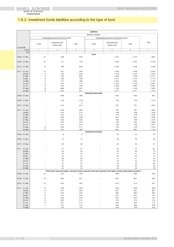# 1.8.2. Investment funds liabilities according to the type of fund

|            |                  |             |                                                      |                    | Liabilities                                                                                                                         |                                                          |                 |                |
|------------|------------------|-------------|------------------------------------------------------|--------------------|-------------------------------------------------------------------------------------------------------------------------------------|----------------------------------------------------------|-----------------|----------------|
|            |                  |             |                                                      |                    | Domestic liabilities                                                                                                                |                                                          |                 |                |
|            |                  |             | Outstanding amount to financial sectors <sup>1</sup> |                    |                                                                                                                                     | Outstanding amount to non-financial sectors <sup>2</sup> |                 |                |
|            |                  | Loans       | Investment fund                                      | Total              |                                                                                                                                     | Investment fund                                          | Total           | Total          |
| in mio EUR |                  |             | shares/units                                         |                    | Loans                                                                                                                               | shares/units                                             |                 |                |
|            | Column           | 1           | $\overline{2}$                                       | $\overline{3}$     | $\overline{4}$                                                                                                                      | $\overline{5}$                                           | $6\overline{6}$ | $\overline{7}$ |
|            | Code             |             |                                                      |                    |                                                                                                                                     |                                                          |                 |                |
|            |                  |             |                                                      |                    | Total                                                                                                                               |                                                          |                 |                |
|            | 2008 31.Dec      | 24          | 528                                                  | 552                |                                                                                                                                     | 1,315                                                    | 1,315           | 1,867          |
|            | 2009 31.Dec      | 16          | 717                                                  | 733                |                                                                                                                                     | 1,450                                                    | 1,450           | 2,183          |
|            | 2010 31.Dec      | 13          | 796                                                  | 809                |                                                                                                                                     | 1,429                                                    | 1,429           | 2,238          |
|            | 2011 31.Jan      | 13          | 781                                                  | 793                |                                                                                                                                     | 1,436                                                    | 1,436           | 2,230          |
|            | 28.Feb           | 9           | 794                                                  | 803                |                                                                                                                                     | 1,429                                                    | 1,429           | 2,232          |
|            | 31.Mar           | 9           | 793                                                  | 802                |                                                                                                                                     | 1,409                                                    | 1,409           | 2,211          |
|            | 30.Apr           | 9           | 789                                                  | 798                |                                                                                                                                     | 1,373                                                    | 1,373           | 2,170          |
|            | 31.May           | 9           | 777                                                  | 786                |                                                                                                                                     | 1,353                                                    | 1,353           | 2,140          |
|            | 30.Jun           | 9           | 765                                                  | 774                |                                                                                                                                     | 1,316                                                    | 1,316           | 2,091          |
|            | $31$ .Jul        | 9           | 753                                                  | 762                |                                                                                                                                     | 1,292                                                    | 1,292           | 2,054          |
|            | 31.Aug           | 9           | 688                                                  | 697                |                                                                                                                                     | 1,156                                                    | 1,156           | 1,853          |
|            | 30.Sep           | 9           | 642                                                  | 651                | ä,                                                                                                                                  | 1,071                                                    | 1,071           | 1,722          |
|            |                  |             |                                                      |                    | Open-end equity funds                                                                                                               |                                                          |                 |                |
|            | 2008 31.Dec      | ä,          | 288                                                  | 288                |                                                                                                                                     | 603                                                      | 603             | 891            |
|            | 2009 31.Dec      |             | 419                                                  | 419<br>$\mathsf O$ |                                                                                                                                     | 733                                                      | 733             | 1,152          |
|            | 2010 31.Dec      |             | 513                                                  | 513                |                                                                                                                                     | 781                                                      | 781             | 1,294          |
|            | 2011 31.Jan      |             | 506                                                  | 506                |                                                                                                                                     | 787                                                      | 787             | 1,294          |
|            | 28.Feb           |             | 514                                                  | 514                |                                                                                                                                     | 788                                                      | 788             | 1,302          |
|            | 31.Mar           |             | 516                                                  | 516                |                                                                                                                                     | 778                                                      | 778             | 1,294          |
|            | 30.Apr           |             | 538                                                  | 538                |                                                                                                                                     | 801                                                      | 801             | 1,339          |
|            | 31.May           |             | 530                                                  | 530                |                                                                                                                                     | 788                                                      | 788             | 1,319          |
|            | 30.Jun           |             | 524                                                  | 524                |                                                                                                                                     | 764                                                      | 764             | 1,288          |
|            | $31$ .Jul        |             | 515                                                  | 515                |                                                                                                                                     | 746                                                      | 746             | 1,261          |
|            | 31.Aug           | 9           | 508                                                  | 517                |                                                                                                                                     | 729                                                      | 729             | 1,245          |
|            | 30.Sep           | 9           | 474                                                  | 483                |                                                                                                                                     | 667                                                      | 667             | 1,150          |
|            |                  |             |                                                      |                    | Open-end bond funds                                                                                                                 |                                                          |                 |                |
|            | 2008 31.Dec      |             | $\,$ 8 $\,$                                          | 8                  |                                                                                                                                     | 23                                                       | 23              | 32             |
|            | 2009 31.Dec      |             | 13                                                   | 13                 |                                                                                                                                     | 26                                                       | 26              | 39             |
|            | 2010 31.Dec      |             | 33                                                   | 33                 |                                                                                                                                     | 34                                                       | 34              | 67             |
|            | 2011 31.Jan      |             | 27                                                   | 27                 |                                                                                                                                     | 40                                                       | 40              | 67             |
|            | 28.Feb           |             | 33                                                   | 33                 |                                                                                                                                     | 40                                                       | 40              | 73             |
|            | 31.Mar           |             | 34                                                   | 34                 |                                                                                                                                     | 41                                                       | 41              | 74             |
|            | 30.Apr           |             | 37                                                   | 37                 |                                                                                                                                     | 40                                                       | 40              | 77             |
|            | 31.May           |             | 38                                                   | 38                 |                                                                                                                                     | 41                                                       | 41              | 79             |
|            | 30.Jun           |             | 37                                                   | 37                 |                                                                                                                                     | 42                                                       | 42              | 79             |
|            | $31$ .Jul        |             | 37                                                   | 37                 |                                                                                                                                     | 43                                                       | 43              | 80             |
|            | 31.Aug           |             | 37                                                   | 37                 |                                                                                                                                     | 45                                                       | 45              | 82             |
|            | 30.Sep           |             | 34                                                   | 34                 |                                                                                                                                     | 45                                                       | 45              | 79             |
|            |                  |             |                                                      |                    | Other funds (close-end equity, close-end mixed, open-end mixed and open-end other funds; money market funds excluded <sup>3</sup> ) |                                                          |                 |                |
|            | 2008 31.Dec      | 24          | 232                                                  | 256                |                                                                                                                                     | 688                                                      | 688             | 944            |
|            | 2009 31.Dec      | 16          | 285                                                  | 301                |                                                                                                                                     | 691                                                      | 691             | 992            |
|            | 2010 31.Dec      | 13          | 250                                                  | 263                |                                                                                                                                     | 614                                                      | 614             | 877            |
|            | 2011 31.Jan      | 13          | 248                                                  | 260                |                                                                                                                                     | 609                                                      | 609             | 869            |
|            | 28.Feb           | $\mathsf g$ | 247                                                  | 256                |                                                                                                                                     | 601                                                      | 601             | 857            |
|            | 31.Mar           | $\mathsf g$ | 243                                                  | 252                |                                                                                                                                     | 590                                                      | 590             | 843            |
|            | 30.Apr           | 9           | 213                                                  | 222                |                                                                                                                                     | 531                                                      | 531             | 754            |
|            |                  | 9           | 209                                                  | 218                |                                                                                                                                     | 524                                                      | 524             | 742            |
|            | 31.May<br>30.Jun | 9           | 205                                                  | 214                |                                                                                                                                     | 510                                                      | 510             | 724            |
|            |                  |             |                                                      |                    |                                                                                                                                     |                                                          |                 |                |
|            | $31$ .Jul        | 9           | 201                                                  | 210                |                                                                                                                                     | 502                                                      | 502             | 712            |
|            | 31.Aug           |             | 144                                                  | 144                |                                                                                                                                     | 382                                                      | 382             | 526            |
|            | 30.Sep           |             | 134                                                  | 134                |                                                                                                                                     | 359                                                      | 359             | 493            |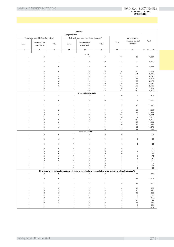|                |                                                      |                           |                          | Liabilities                                                                                                                         |                                |                     |                                    |                    |
|----------------|------------------------------------------------------|---------------------------|--------------------------|-------------------------------------------------------------------------------------------------------------------------------------|--------------------------------|---------------------|------------------------------------|--------------------|
|                |                                                      |                           | Foreign liabilities      |                                                                                                                                     |                                |                     |                                    |                    |
|                | Outstanding amount to financial sectors <sup>1</sup> |                           |                          | Outstanding amount to non-financial sectors <sup>2</sup>                                                                            |                                |                     | Other liabilities                  |                    |
| Loans          | Investment fund<br>shares/units                      | Total                     | Loans                    | Investment fund<br>shares/units                                                                                                     | Total                          | Total               | (including financial<br>derivates) | Total              |
|                |                                                      |                           |                          |                                                                                                                                     |                                |                     |                                    |                    |
| $\overline{8}$ | $\overline{9}$                                       | 10                        | 11                       | 12                                                                                                                                  | 13                             | 14                  | 15                                 | $16 = 7 + 14 + 15$ |
|                |                                                      |                           |                          |                                                                                                                                     |                                |                     |                                    |                    |
|                | $\overline{\mathbf{4}}$                              | $\overline{4}$            |                          | Total<br>$\mathsf g$                                                                                                                | $\mathsf g$                    | 13                  | 15                                 | 1,894              |
|                |                                                      |                           |                          |                                                                                                                                     |                                |                     |                                    |                    |
|                | $\sqrt{4}$                                           | $\overline{4}$            |                          | 10                                                                                                                                  | 10                             | 15                  | 22                                 | 2,220              |
|                | 5                                                    | $\,$ 5 $\,$               |                          | $10$                                                                                                                                | 10                             | 14                  | 24                                 | 2,277              |
|                | $\sqrt{4}$                                           | $\overline{4}$            |                          | $\mathsf g$                                                                                                                         | $\mathsf g$                    | 14                  | 25                                 | 2,269              |
|                | $\overline{4}$                                       | 4                         |                          | 10                                                                                                                                  | 10                             | 14                  | 31                                 | 2,276              |
|                | $\overline{4}$                                       | 4                         |                          | 10                                                                                                                                  | 10                             | 14                  | 20                                 | 2,246              |
|                | 5                                                    | 5                         |                          | 11                                                                                                                                  | 11                             | 15                  | 17                                 | 2,204              |
|                | 6                                                    | 6                         |                          | 10                                                                                                                                  | 10                             | 16                  | 20                                 | 2,175              |
|                | 5                                                    | 5                         |                          | 10                                                                                                                                  | 10                             | 16                  | 26                                 | 2,132              |
|                |                                                      | $\,$ 5 $\,$               |                          | 10                                                                                                                                  | 10                             |                     |                                    |                    |
|                | 5                                                    |                           |                          |                                                                                                                                     |                                | 16                  | 30                                 | 2,100              |
|                | $\sqrt{5}$                                           | $\,$ 5 $\,$               |                          | 14                                                                                                                                  | 14                             | 18                  | 18                                 | 1,889              |
| ٠              | $\ensuremath{4}$                                     | $\overline{4}$            | $\sim$                   | 12                                                                                                                                  | 12                             | 17                  | 16                                 | 1,755              |
|                | $\sqrt{4}$                                           | $\ensuremath{\mathsf{4}}$ | ÷,                       | Open-end equity funds<br>6                                                                                                          | 6                              | 10                  | $\overline{4}$                     | 905                |
|                | $\sqrt{4}$                                           | $\overline{4}$            | ٠                        | 8                                                                                                                                   | 8                              | 12                  | $\mathsf g$                        | 1,173              |
|                | $\sqrt{2}$                                           | $\overline{c}$            |                          | $\boldsymbol{7}$                                                                                                                    | $\sqrt{7}$                     | $\mathsf g$         | 10                                 | 1,313              |
|                | $\sqrt{2}$                                           | $\sqrt{2}$                |                          | $\overline{7}$                                                                                                                      | $\overline{7}$                 | $\mathsf g$         | 11                                 | 1,313              |
|                | $\sqrt{2}$                                           | $\overline{\mathbf{c}}$   |                          | $\overline{7}$                                                                                                                      | $\overline{7}$                 | $\mathsf g$         | 11                                 | 1,321              |
|                | $\sqrt{2}$                                           | $\sqrt{2}$                |                          | 8                                                                                                                                   | 8                              | 10                  | $\overline{7}$                     | 1,311              |
|                | $\sqrt{2}$                                           | $\sqrt{2}$                |                          | 8                                                                                                                                   | 8                              | 10                  | $\boldsymbol{9}$                   | 1,358              |
|                | 3                                                    | $\ensuremath{\mathsf{3}}$ |                          | 8                                                                                                                                   | 8                              | 11                  | 10                                 | 1,339              |
|                | 3                                                    | 3                         |                          | $\overline{7}$                                                                                                                      | $\overline{7}$                 | 10                  | 13                                 | 1,311              |
|                | 3                                                    | $\ensuremath{\mathsf{3}}$ |                          | $\overline{7}$                                                                                                                      | $\overline{7}$                 | 10                  | 14                                 | 1,285              |
|                | 3                                                    | 3                         |                          | 11                                                                                                                                  | 11                             | 14                  | 12                                 | 1,271              |
| ٠              | 3                                                    | 3                         | $\sim$                   | 10                                                                                                                                  | 10                             | 13                  | 11                                 | 1,174              |
|                |                                                      |                           |                          | Open-end bond funds                                                                                                                 |                                |                     |                                    |                    |
|                | $\mathsf{O}\xspace$                                  | $\mathsf{O}\xspace$       | $\frac{1}{2}$            | $\mathsf{O}\xspace$                                                                                                                 | $\mathsf O$                    | $\mathsf{O}\xspace$ | $\mathsf O$                        | 32                 |
|                | $\mathsf{O}\xspace$                                  | $\mathsf{O}\xspace$       | $\overline{\phantom{0}}$ | $\mathsf O$                                                                                                                         | $\mathsf{O}\xspace$            | $\mathsf{O}\xspace$ | $\mathsf{O}\xspace$                | 39                 |
|                | $\mathsf{O}\xspace$                                  | $\mathsf{O}\xspace$       |                          | $\mathsf O$                                                                                                                         | $\mathsf{O}\xspace$            | $\mathsf{O}\xspace$ | $\mathsf{O}\xspace$                | 68                 |
|                | $\mathsf{O}\xspace$                                  | $\mathsf{O}\xspace$       |                          | $\mathsf O$                                                                                                                         | $\mathsf{O}\xspace$            | $\mathsf O$         | $\sqrt{2}$                         | 69                 |
|                | $\circ$                                              | $\mathsf O$               |                          | $\mathsf{O}\xspace$                                                                                                                 | $\mathsf O$                    | $\mathsf O$         | $\mathbf{1}$                       | 75                 |
|                | $\mathsf{O}\xspace$                                  | $\mathsf{O}\xspace$       |                          | $\mathsf{O}\xspace$                                                                                                                 | $\mathsf{O}\xspace$            | $\mathsf{O}\xspace$ | $\sqrt{2}$                         | 76                 |
|                | $\circ$                                              | $\circ$                   |                          | $\mathsf O$                                                                                                                         | $\mathsf O$                    | $\mathsf O$         | $\mathbf{1}$                       | 79                 |
|                |                                                      |                           |                          |                                                                                                                                     |                                |                     |                                    |                    |
|                | $\mathsf{O}\xspace$<br>$\circ$                       | $\mathsf O$<br>$\circ$    |                          | $\mathsf{O}\xspace$<br>$\mathsf{O}\xspace$                                                                                          | $\mathsf{O}\xspace$<br>$\circ$ | 1                   | $\mathbf{1}$                       | 80<br>80           |
|                |                                                      |                           |                          |                                                                                                                                     |                                | 1                   | $\mathsf O$                        |                    |
|                | 1                                                    | $\mathbf{1}$              |                          | $\mathsf{O}\xspace$                                                                                                                 | $\mathsf{O}\xspace$            | 1                   | $\mathsf O$                        | 82                 |
|                | $\mathbf{1}$                                         | 1                         |                          | $\mathsf{O}\xspace$                                                                                                                 | $\mathsf{O}\xspace$            | $\mathbf{1}$        | $\overline{c}$                     | 84                 |
|                | 1                                                    | $\mathbf{1}$              |                          | $\mathsf{O}\xspace$                                                                                                                 | $\mathsf{O}\xspace$            | $\mathbf{1}$        | $\mathsf{O}\xspace$                | 80                 |
|                |                                                      |                           |                          | Other funds (close-end equity, close-end mixed, open-end mixed and open-end other funds; money market funds excluded <sup>3</sup> ) |                                |                     |                                    |                    |
|                | $\mathsf{O}\xspace$                                  | $\mathsf O$               |                          | $\sqrt{2}$                                                                                                                          | $\sqrt{2}$                     | $\overline{c}$      | 11                                 | 958                |
|                | $\mathsf{O}\xspace$                                  | $\mathsf{O}\xspace$       |                          | $\sqrt{2}$                                                                                                                          | $\sqrt{2}$                     | $\overline{c}$      | 12                                 | 1,007              |
|                | $\overline{c}$                                       | $\overline{c}$            |                          | $\sqrt{2}$                                                                                                                          | $\sqrt{2}$                     | $\,$ 5 $\,$         | 14                                 | 896                |
|                | $\overline{c}$                                       | $\overline{c}$            |                          | $\overline{c}$                                                                                                                      | $\sqrt{2}$                     | $\sqrt{5}$          | 13                                 | 887                |
|                | $\sqrt{2}$                                           | $\overline{c}$            |                          | $\sqrt{2}$                                                                                                                          | $\sqrt{2}$                     | 5                   | 19                                 | 880                |
|                |                                                      | $\overline{\mathbf{c}}$   |                          |                                                                                                                                     | $\sqrt{2}$                     |                     |                                    |                    |
|                | $\sqrt{2}$                                           |                           |                          | $\overline{\mathbf{c}}$                                                                                                             |                                | 5                   | 12                                 | 859                |
|                | $\sqrt{2}$                                           | $\overline{\mathbf{c}}$   |                          | $\mathbf 2$                                                                                                                         | $\sqrt{2}$                     | 5                   | 8                                  | 766                |
|                | $\sqrt{2}$                                           | $\overline{\mathbf{c}}$   |                          | $\overline{c}$                                                                                                                      | $\sqrt{2}$                     | 5                   | $\mathsf g$                        | 756                |
|                | $\sqrt{2}$                                           | $\overline{\mathbf{c}}$   |                          | $\overline{c}$                                                                                                                      | $\sqrt{2}$                     | 4                   | 13                                 | 741                |
|                | $\sqrt{2}$                                           | $\overline{\mathbf{c}}$   |                          | $\sqrt{2}$                                                                                                                          | $\sqrt{2}$                     | 4                   | 16                                 | 733                |
|                | $\mathbf{1}$                                         | 1                         |                          | $\sqrt{2}$                                                                                                                          | $\sqrt{2}$                     | 4                   | $\,$ 5 $\,$                        | 534                |
|                | $\mathbf{1}$                                         | 1                         |                          | $\overline{c}$                                                                                                                      | $\sqrt{2}$                     | 3                   | 5                                  | 501                |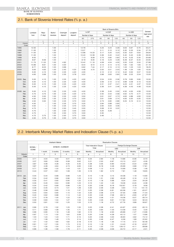**EUROSYSTEM**

#### 2.1. Bank of Slovenia Interest Rates (% p. a.)

|              |                |                          |                         |                          |                          | Bank of Slovenia Bills |                          |                |                |              |              |                 |              |                     |
|--------------|----------------|--------------------------|-------------------------|--------------------------|--------------------------|------------------------|--------------------------|----------------|----------------|--------------|--------------|-----------------|--------------|---------------------|
|              | Lombard        | Repo                     | Banks'                  | Ovemight                 | Longterm                 |                        | In SIT                   |                | In EUR         |              |              | In USD          |              | General             |
|              | loan           | $(7-day)$                | reserves                | deposit                  | deposit                  |                        | Number of days           |                | Number of days |              |              | Number of days  |              | legal penal<br>rate |
|              |                |                          |                         |                          |                          | 60                     | 270                      | 60             | 90             | 120          | 60           | 90              | 120          |                     |
|              | n              | n                        | n                       | $\mathsf{n}$             | n                        | n                      | n                        | r.             | $\mathbf{r}$   | $\mathbf{r}$ | $\mathbf{r}$ | $\mathbf{r}$    | $\mathbf{r}$ | n                   |
| Column       | $\overline{1}$ | $\overline{2}$           | $\overline{\mathbf{3}}$ | $\overline{4}$           | 5                        | $\overline{6}$         | $\overline{7}$           | $\overline{8}$ | $\overline{9}$ | 10           | 11           | $\overline{12}$ | 13           | 14                  |
| Code         |                |                          |                         |                          |                          |                        |                          |                |                |              |              |                 |              |                     |
| 1995         | 12.50          | $\sim$                   | 1.00                    | ×.                       | $\overline{\phantom{a}}$ | 12.78                  | ×                        | 4.23           | 4.24           | 4.29         | 5.63         | 5.67            | 5.70         | 32.21               |
| 1996         | 11.00          | ×.                       | 1.00                    | ×.                       | $\overline{\phantom{a}}$ | 13.27                  | $\sim$                   | 3.11           | 3.10           | 3.10         | 5.30         | 5.33            | 5.34         | 27.76               |
| 1997         | 11.00          | $\overline{\phantom{a}}$ | 1.00                    | $\overline{\phantom{a}}$ | $\overline{\phantom{a}}$ | 12.98                  | 14.33                    | 3.17           | 3.20           | 3.23         | 5.55         | 5.61            | 5.62         | 26.84               |
| 1998         | 11.00          | ÷                        | 1.00                    | ×.                       | $\overline{\phantom{a}}$ | 10.40                  | 12.39                    | 3.36           | 3.40           | 3.42         | 5.40         | 5.40            | 5.39         | 26.55               |
| 1999         | 9.00           | ä,                       | 1.00                    | ä,                       | $\overline{\phantom{a}}$ | 7.13                   | 9.08                     | 2.75           | 2.80           | 2.83         | 5.16         | 5.25            | 5.30         | 20.68               |
| 2000         | 9.67           | 9.56                     | 1.00                    | $\overline{a}$           | $\overline{\phantom{a}}$ | 8.19                   | 9.35                     | 4.16           | 4.23           | 4.29         | 6.29         | 6.37            | 6.40         | 24.65               |
| 2001         | 11.75          | 11.02                    | 1.00                    | 4.92                     | $\overline{\phantom{a}}$ | 10.42                  | 11.16                    | 4.08           | 4.04           | 4.00         | 3.55         | 3.52            | 3.50         | 27.99               |
| 2002         | 10.96          | 9.61                     | 1.00                    | 4.00                     | $\overline{\phantom{a}}$ | 8.44                   | 9.72                     | 3.14           | 3.14           | 3.15         | 1.60         | 1.62            | 1.65         | 21.16               |
| 2003         | 8.77           | 8.03                     | 1.00                    | 3.69                     | ٠                        | 6.92                   | 7.44                     | 2.17           | 2.15           | 2.13         | 1.03         | 1.03            | 1.03         | 18.25               |
| 2004         | 5.63           | 4.63                     | 1.00                    | 2.40                     | 4.20                     | 4.48                   | 4.70                     | 2.00           | 2.01           | 2.03         | 1.48         | 1.54            | 1.60         | 15.50               |
| 2005         | 5.00           | 4.10                     | 1.00                    | 2.25                     | 4.20                     | 4.00                   | $\overline{\phantom{a}}$ | 2.10           | 2.12           | 2.14         | 3.42         | 3.50            | 3.57         | 15.50               |
| 2006         | 4.65           | 3.69                     | 1.00                    | 2.35                     | 3.78                     | 3.52                   | $\overline{\phantom{a}}$ | 2.88           | 2.83           | 2.83         | 1.99         | 2.02            | 2.04         | 13.00               |
|              |                |                          |                         |                          |                          |                        |                          |                |                |              |              |                 |              |                     |
| Sep.<br>2005 | 5.00           | 4.10                     | 1.00                    | 2.25                     | 4.20                     | 4.00                   | $\overline{\phantom{a}}$ | 2.04           | 2.05           | 2.06         | 3.79         | 3.85            | 3.90         | 15.50               |
| Oct.         | 5.00           | 4.10                     | 1.00                    | 2.25                     | 4.20                     | 4.00                   | $\overline{\phantom{a}}$ | 2.06           | 2.10           | 2.12         | 3.99         | 4.09            | 4.15         | 15.50               |
| Nov.         | 5.00           | 4.10                     | 1.00                    | 2.25                     | 4.20                     | 4.00                   | ٠                        | 2.31           | 2.37           | 2.41         | 4.23         | 4.31            | 4.37         | 15.50               |
| Dec.         | 5.00           | 4.10                     | 1.00                    | 2.25                     | 4.20                     | 4.00                   | ä,                       | 2.36           | 2.41           | 2.46         | 4.38         | 4.43            | 4.48         | 15.50               |
|              |                |                          |                         |                          |                          |                        |                          |                |                |              |              |                 |              |                     |
| 2006<br>Jan. | 5.00           | 4.10                     | 1.00                    | 2.25                     | 4.20                     | 4.00                   | $\overline{\phantom{a}}$ | 2.38           | 2.45           | 2.50         | 4.50         | 4.55            | 4.59         | 13.50               |
| Feb.         | 4.75           | 3.75                     | 1.00                    | 2.25                     | 4.20                     | 3.75                   | $\overline{\phantom{a}}$ | 2.50           | 2.54           | 2.58         | 4.62         | 4.70            | 4.77         | 13.50               |
| Mar.         | 4.50           | 3.50                     | 1.00                    | 2.25                     | 4.20                     | 3.50                   | $\overline{\phantom{a}}$ | 2.61           | 2.67           | 2.73         | 4.83         | 4.89            | 4.93         | 13.50               |
| Apr.         | 4.50           | 3.50                     | 1.00                    | 2.25                     | 3.70                     | 3.50                   | $\overline{\phantom{a}}$ | 2.61           | 2.69           | 2.74         | 4.93         | 5.00            | 5.05         | 13.50               |
| May          | 4.50           | 3.50                     | 1.00                    | 2.25                     | 3.70                     | 3.50                   | $\overline{\phantom{a}}$ | 2.73           | 2.80           | 2.86         | 5.05         | 5.10            | 5.14         | 13.50               |
| Jun.         | 4.50           | ÷,                       | 1.00                    | 2.25                     | 3.70                     | 3.25                   | $\overline{\phantom{a}}$ | 2.84           | 2.88           | 2.93         | ÷            |                 | ÷.           | 13.50               |
| Jul.         | 4.50           | ٠                        | 1.00                    | 2.25                     | 3.70                     | 3.25                   | $\overline{\phantom{a}}$ | 2.94           | 3.00           | 3.06         | ÷.           |                 | ٠            | 12.50               |
| Aug.         | 4.75           | ٠                        | 1.00                    | 2.50                     | 3.45                     | 3.50                   | $\overline{\phantom{a}}$ | 3.08           | 3.16           | 3.22         | ÷            | ÷               | $\sim$       | 12.50               |
| Sep.         | 4.75           | $\overline{\phantom{a}}$ | 1.00                    | 2.50                     | 3.45                     | 3.50                   | $\overline{\phantom{a}}$ | 3.20           | 3.28           |              |              | ×.              | ×.           | 12.50               |
| Oct.         | 4.75           | ÷,                       | 1.00                    | 2.50                     | 3.70                     | 3.50                   | $\overline{\phantom{a}}$ | 3.30           |                |              |              | $\sim$          | $\sim$       | 12.50               |
| Nov.         | 4.75           | 3.75                     | 1.00                    | 2.50                     | 3.70                     | 3.50                   | $\overline{\phantom{a}}$ | 3.46           | ä,             |              |              |                 | $\sim$       | 12.50               |
| Dec.         | 4.50           | 3.75                     | 1.00                    | 2.50                     | 3.70                     | 3.50                   |                          |                |                |              | ÷.           |                 | ÷.           | 12.50               |

#### 2.2. Interbank Money Market Rates and Indexation Clause (% p. a.)

|      |              | <b>Interbank Market</b> |                   |          |                |        | <b>Revaluation Clauses</b>                   |                |                          |                |         |            |
|------|--------------|-------------------------|-------------------|----------|----------------|--------|----------------------------------------------|----------------|--------------------------|----------------|---------|------------|
|      |              |                         |                   |          |                |        |                                              |                |                          |                |         |            |
|      |              | SIONIA/                 | SITIBOR / EURIBOR |          |                |        | <b>Tolar Indexation Clause</b><br><b>TOM</b> |                | Foreign Exchange Clauses |                |         |            |
|      |              | <b>EONIA</b>            |                   |          |                |        |                                              |                | <b>USD</b>               |                | CHF     |            |
|      |              |                         | 1 month           | 3 months | 6 months       | 1 year | Monthly                                      | Annualized     | Monthly                  | Annualized     | Monthly | Annualized |
|      | Column       | $\mathbf{1}$            | $\overline{c}$    | 3        | $\overline{4}$ | 5      | 6                                            | $\overline{7}$ | 8                        | $\overline{9}$ | 10      | 11         |
|      | Code         |                         |                   |          |                |        |                                              |                |                          |                |         |            |
| 2005 |              | 3.71                    | 4.04              | 4.03     | 4.01           | 3.94   | 0.24                                         | 2.94           | 1.18                     | 14.86          | $-0.06$ | $-0.70$    |
| 2006 |              | 3.37                    | 3.60              | 3.58     | 3.58           | 3.62   | 0.21                                         | 2.53           | $-0.87$                  | $-10.13$       | $-0.27$ | $-3.26$    |
| 2007 |              | 3.87                    | 4.08              | 4.28     | 4.35           | 4.45   | 0.28                                         | 3.35           | $-0.90$                  | $-10.40$       | $-0.22$ | $-2.68$    |
| 2008 |              | 3.87                    | 4.28              | 4.64     | 4.73           | 4.83   | 0.50                                         | 6.18           | 0.49                     | 25.69          | 0.89    | 17.81      |
| 2009 |              | 0.71                    | 0.89              | 1.22     | 1.43           | 1.61   | 0.09                                         | 1.12           | $-0.10$                  | 10.69          | 0.08    | 1.46       |
| 2010 |              | 0.44                    | 0.57              | 0.81     | 1.08           | 1.35   | 0.16                                         | 1.92           | 0.72                     | 7.81           | 1.48    | 18.65      |
| 2010 |              | 0.34                    | 0.44              | 0.68     | 0.98           | 1.23   | 0.10                                         | 1.18           | 3.15                     | 44.08          | 1.19    | 14.90      |
|      | Jan.<br>Feb. | 0.34                    | 0.42              | 0.66     | 0.96           | 1.23   | 0.10                                         | 1.31           | 2.92                     | 45.49          | 0.16    | 2.16       |
|      |              |                         |                   |          |                |        |                                              |                |                          |                |         |            |
|      | Mar.         | 0.35                    | 0.41              | 0.65     | 0.95           | 1.22   | 0.10                                         | 1.18           | 0.68                     | 8.24           | 2.54    | 34.29      |
|      | Apr.         | 0.35                    | 0.40              | 0.64     | 0.96           | 1.23   | 0.10                                         | 1.22           | 1.23                     | 16.06          | $-0.45$ | $-5.38$    |
|      | May          | 0.34                    | 0.42              | 0.69     | 0.98           | 1.25   | 0.20                                         | 2.38           | 8.19                     | 152.67         | 0.78    | 9.58       |
|      | Jun.         | 0.35                    | 0.45              | 0.73     | 1.01           | 1.28   | 0.20                                         | 2.46           | 0.29                     | 3.63           | 7.13    | 131.15     |
|      | Jul.         | 0.48                    | 0.58              | 0.85     | 1.10           | 1.37   | 0.20                                         | 2.38           | $-5.81$                  | $-50.58$       | $-1.91$ | $-20.27$   |
|      | Aug.         | 0.43                    | 0.64              | 0.90     | 1.15           | 1.42   | 0.20                                         | 2.38           | 2.74                     | 37.55          | 4.68    | 71.44      |
|      | Sep.         | 0.45                    | 0.62              | 0.88     | 1.14           | 1.42   | 0.20                                         | 2.46           | $-7.09$                  | $-59.14$       | $-2.65$ | $-27.87$   |
|      | Oct.         | 0.70                    | 0.78              | 1.00     | 1.22           | 1.50   | 0.20                                         | 2.38           | $-1.51$                  | $-16.38$       | $-3.07$ | $-30.74$   |
|      | Nov.         | 0.59                    | 0.83              | 1.04     | 1.27           | 1.54   | 0.20                                         | 2.46           | 6.61                     | 117.84         | 5.53    | 92.43      |
|      | Dec.         | 0.50                    | 0.81              | 1.02     | 1.25           | 1.53   | 0.10                                         | 1.18           | $-2.72$                  | $-27.76$       | 3.89    | 56.67      |
| 2011 | Jan.         | 0.66                    | 0.79              | 1.02     | 1.25           | 1.55   | 0.20                                         | 2.38           | $-2.41$                  | $-24.97$       | $-3.00$ | $-30.15$   |
|      | Feb.         | 0.71                    | 0.89              | 1.09     | 1.35           | 1.71   | 0.20                                         | 2.64           | $-1.03$                  | $-12.58$       | 0.40    | 5.30       |
|      | Mar.         | 0.66                    | 0.90              | 1.18     | 1.48           | 1.92   | 0.10                                         | 1.18           | $-2.63$                  | $-26.89$       | $-1.27$ | $-13.96$   |
|      | Apr.         | 0.97                    | 1.13              | 1.32     | 1.62           | 2.09   | 0.20                                         | 2.46           | $-4.39$                  | $-42.12$       | 1.07    | 13.86      |
|      | May          | 1.03                    | 1.24              | 1.43     | 1.71           | 2.15   | 0.20                                         | 2.38           | 3.30                     | 46.60          | 4.82    | 74.12      |
|      | Jun.         | 1.12                    | 1.28              | 1.49     | 1.75           | 2.14   | 0.20                                         | 2.46           | $-0.47$                  | $-5.58$        | 1.69    | 22.62      |
|      | Jul.         | 1.01                    | 1.42              | 1.60     | 1.82           | 2.18   | 0.10                                         | 1.18           | 1.35                     | 17.15          | 5.72    | 92.48      |
|      |              | 0.91                    | 1.37              |          | 1.75           |        |                                              |                |                          |                |         |            |
|      | Aug.         |                         |                   | 1.55     |                | 2.10   | 0.10                                         | 1.18           | $-1.31$                  | $-14.43$       | $-2.16$ | $-22.67$   |
|      | Sep.         | 1.01                    | 1.35              | 1.54     | 1.74           | 2.07   | 0.10                                         | 1.22           | 7.01                     | 128.12         | $-4.11$ | $-39.98$   |
|      | Oct.         | 0.96                    | 1.36              | 1.58     | 1.78           | 2.11   | 0.20                                         | 2.38           | $-3.56$                  | $-34.72$       | $-0.17$ | $-2.01$    |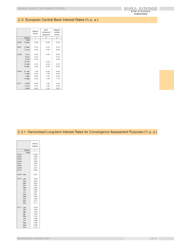# 2.3. European Central Bank Interest Rates (% p. a.)

|      |         | Deposit<br>facility | Main<br>refinancing<br>operations | Marginal<br>lending<br>facility |
|------|---------|---------------------|-----------------------------------|---------------------------------|
|      | Column  | 1                   | 2                                 | 3                               |
|      | Code    |                     |                                   |                                 |
| 2006 | 13 Dec. | 2.50                | 3.50                              | 4.50                            |
| 2007 | 14 Mar. | 2.75                | 3.75                              | 4.75                            |
|      | 13 Jun. | 3.00                | 4.00                              | 5.00                            |
| 2008 | 9 Jul.  | 3.25                | 4.25                              | 5.25                            |
|      | 8 Oct.  | 2.75                |                                   | 4.75                            |
|      | 9 Oct.  | 3.25                |                                   | 4.25                            |
|      | 15 Oct. |                     | 3.75                              |                                 |
|      | 12 Nov. | 2.75                | 3.25                              | 3.75                            |
|      | 10 Dec. | 2.00                | 2.50                              | 3.00                            |
| 2009 | 21 Jan. | 1.00                | 2.00                              | 3.00                            |
|      | 11 Mar. | 0.50                | 1.50                              | 2.50                            |
|      | 8 Apr.  | 0.25                | 1.25                              | 2.25                            |
|      | 13 May. | 0.25                | 1.00                              | 1.75                            |
| 2011 | 13 Apr. | 0.50                | 1.25                              | 2.00                            |
|      | 13 Jul. | 0.75                | 1.50                              | 2.25                            |
|      | 9 Nov.  | 0.50                | 1.25                              | 2.00                            |

### 2.3.1. Harmonised Long-term Interest Rates for Convergence Assessment Purposes (% p. a.)

|      |        | Yield to<br>maturity |
|------|--------|----------------------|
|      | Column | 1                    |
|      | Code   |                      |
| 2003 |        | 6.38                 |
| 2004 |        | 4.68                 |
| 2005 |        | 3.81                 |
| 2006 |        | 3.85                 |
| 2007 |        | 4.53                 |
| 2008 |        | 4.61                 |
| 2009 |        | 4.37                 |
| 2010 |        | 3.83                 |
|      |        |                      |
| 2009 | Dec.   | 3.91                 |
| 2010 | Jan.   | 4.00                 |
|      | Feb.   | 3.84                 |
|      | Mar.   | 3.94                 |
|      | Apr.   | 3.94                 |
|      | May    | 3.82                 |
|      | Jun.   | 3.83                 |
|      | Jul.   | 3.87                 |
|      | Aug.   | 3.67                 |
|      | Sep.   | 3.64                 |
|      | Oct.   | 3.56                 |
|      | Nov.   | 3.77                 |
|      | Dec.   | 4.11                 |
| 2011 | Jan.   | 4.29                 |
|      | Feb.   | 4.26                 |
|      | Mar.   | 4.30                 |
|      | Apr.   | 4.53                 |
|      | May    | 4.43                 |
|      | Jun.   | 4.58                 |
|      | Jul.   | 4.89                 |
|      | Aug.   | 4.99                 |
|      | Sep.   | 4.86                 |
|      | Oct.   | 5.16                 |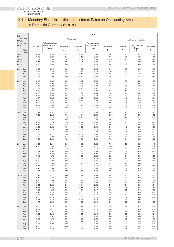### 2.4.1. Monetary Financial Institutions - Interest Rates on Outstanding Amounts in Domestic Currency (% p. a.)

|                     |              |                    |              |                | Loans              |              |                |                            |              |
|---------------------|--------------|--------------------|--------------|----------------|--------------------|--------------|----------------|----------------------------|--------------|
| Until<br>31.12.2006 |              |                    |              |                |                    |              |                |                            |              |
| SIT after           |              |                    |              | Households     |                    |              |                | Non-financial corporations |              |
| 01.01.2007          |              | For house purchase |              |                | For consumption    |              |                |                            |              |
| <b>EUR</b>          | Up to 1 year | Over 1 and up to   | Over 5 years | Up to 1 year   | Over 1 and up to 5 | Over 5 years | Up to 1 year   | Over 1 and up to           | Over 5 years |
|                     |              | 5 years            |              |                | years              |              |                | 5 years                    |              |
| Column              | $\mathbf{1}$ | $\overline{c}$     | 3            | $\overline{4}$ | 5                  | 6            | $\overline{7}$ | 8                          | 9            |
| Code                |              |                    |              |                |                    |              |                |                            |              |
| 2006                | 5.68         | 5.50               | 6.12         | 9.65           | 7.90               | 7.94         | 5.41           | 5.34                       | 5.35         |
| 2007                | 6.00         | 6.20               | 6.71         | 8.10           | 7.42               | 7.67         | 5.33           | 5.33                       | 5.19         |
| 2008                | 7.02         | 6.93               | 7.42         | 8.32           | 7.69               | 8.10         | 6.23           | 6.04                       | 5.77         |
| 2009                | 5.44         | 4.62               | 4.64         | 7.61           | 6.82               | 6.24         | 5.64           | 4.28                       | 3.12         |
| 2010                | 4.87         | 3.99               | 3.53         | 7.01           | 6.20               | 5.52         | 5.58           | 4.45                       | 2.90         |
|                     |              |                    |              |                |                    |              |                |                            |              |
| 2006<br>Sep.        | 6.61         | 6.12               | 6.68         | 9.32           | 7.95               | 8.10         | 5.38           | 5.30                       | 5.36         |
| Oct.                | 5.93         | 5.48               | 5.99         | 9.16           | 7.74               | 7.86         | 5.31           | 5.21                       | 5.25         |
| Nov.                | 4.83         | 4.92               | 5.37         | 9.12           | 7.49               | 7.55         | 5.27           | 5.19                       | 5.15         |
| Dec.                | 5.84         | 5.54               | 6.04         | 8.91           | 7.66               | 7.82         | 5.30           | 5.22                       | 5.22         |
| 2007 Jan.           |              |                    | 6.30         |                |                    | 7.33         | 4.95           |                            | 4.66         |
| Feb                 | 5.18<br>5.62 | 5.82               | 6.38         | 8.37<br>8.44   | 7.33<br>7.38       | 7.45         | 5.01           | 4.86<br>4.97               |              |
| Mar                 | 4.93         | 5.95<br>5.89       | 6.36         | 8.28           | 7.36               | 7.48         | 5.09           | 5.05                       | 4.77<br>4.90 |
|                     | 5.54         | 5.96               | 6.43         | 8.15           | 7.37               | 7.52         | 5.12           | 5.12                       | 5.00         |
| Apr                 | 5.70         | 5.96               | 6.43         | 8.00           | 7.34               | 7.52         | 5.16           | 5.17                       | 5.06         |
| May.<br>Jun.        | 5.77         | 5.99               | 6.47         | 7.95           | 7.34               | 7.52         | 5.24           | 5.24                       | 5.15         |
| Jul.                | 5.74         | 6.23               | 6.81         | 7.95           | 7.43               | 7.72         | 5.33           | 5.34                       | 5.26         |
|                     |              |                    | 6.87         |                | 7.43               | 7.75         | 5.40           |                            |              |
| Aug.<br>Sep.        | 6.27<br>6.68 | 6.35<br>6.37       | 6.92         | 8.05<br>8.12   | 7.46               | 7.84         | 5.59           | 5.43<br>5.58               | 5.34<br>5.45 |
| Oct                 | 6.33         | 6.48               | 7.04         | 8.04           | 7.50               | 7.90         | 5.63           | 5.69                       | 5.52         |
| Nov.                | 6.94         | 6.63               | 7.20         | 7.93           | 7.55               | 7.96         | 5.59           | 5.70                       | 5.54         |
| Dec.                | 7.35         | 6.76               | 7.30         | 7.97           | 7.58               | 8.03         | 5.83           | 5.79                       | 5.63         |
|                     |              |                    |              |                |                    |              |                |                            |              |
| 2008<br>Jan.        | 7.38         | 6.81               | 7.35         | 8.07           | 7.62               | 8.04         | 5.80           | 5.75                       | 5.63         |
| Feb.                | 7.40         | 6.85               | 7.36         | 8.11           | 7.64               | 8.02         | 5.74           | 5.70                       | 5.57         |
| Mar.                | 7.36         | 6.78               | 7.28         | 8.10           | 7.61               | 7.99         | 5.79           | 5.77                       | 5.59         |
| Apr.                | 7.08         | 6.86               | 7.38         | 8.07           | 7.62               | 8.03         | 5.99           | 5.87                       | 5.67         |
| May.                | 6.24         | 6.74               | 7.34         | 8.14           | 7.60               | 8.02         | 6.11           | 5.94                       | 5.73         |
| Jun.                | 6.32         | 6.81               | 7.35         | 8.15           | 7.61               | 8.04         | 6.23           | 6.04                       | 5.80         |
| Jul.                | 6.65         | 6.88               | 7.54         | 8.29           | 7.69               | 8.17         | 6.40           | 6.21                       | 5.93         |
| Aug                 | 6.89         | 7.13               | 7.60         | 8.44           | 7.74               | 8.23         | 6.51           | 6.25                       | 5.97         |
| Sep.                | 7.15         | 7.11               | 7.56         | 8.56           | 7.79               | 8.25         | 6.61           | 6.38                       | 6.07         |
| Oct.                | 7.39         | 7.17               | 7.64         | 8.64           | 7.86               | 8.31         | 6.82           | 6.52                       | 6.13         |
| Nov.                | 7.32         | 7.08               | 7.42         | 8.71           | 7.78               | 8.10         | 6.59           | 6.29                       | 5.88         |
| Dec.                | 7.02         | 7.00               | 7.22         | 8.60           | 7.69               | 7.93         | 6.21           | 5.80                       | 5.22         |
|                     |              |                    |              |                |                    |              |                |                            |              |
| 2009<br>Jan.        | 6.93         | 6.41               | 6.36         | 8.12           | 7.38               | 7.31         | 5.56           | 4.83                       | 4.40         |
| Feb.                | 6.98         | 5.49               | 5.97         | 7.99           | 7.22               | 7.04         | 5.50           | 4.62                       | 4.04         |
| Mar.                | 7.02         | 5.35               | 5.70         | 8.02           | 7.12               | 6.79         | 5.59           | 4.43                       | 3.80         |
| Apr.                | 7.11         | 4.88               | 5.06         | 7.96           | 6.94               | 6.46         | 5.59           | 4.18                       | 3.40         |
| May.                | 7.14         | 4.84               | 4.83         | 7.96           | 6.90               | 6.34         | 5.65           | 4.33                       | 3.13         |
| Jun.                | 7.10         | 4.73               | 4.63         | 7.90           | 6.86               | 6.26         | 5.74           | 4.34                       | 2.97         |
| Jul.                | 7.10         | 4.42               | 4.19         | 7.24           | 6.73               | 5.97         | 5.72           | 4.15                       | 2.68         |
| Aug.                | 5.30         | 4.00               | 3.98         | 7.29           | 6.65               | 5.85         | 5.64           | 3.98                       | 2.65         |
| Sep.                | 3.08         | 3.86               | 3.90         | 7.23           | 6.61               | 5.79         | 5.73           | 4.08                       | 2.61         |
| Oct.                | 2.47         | 3.86               | 3.73         | 7.22           | 6.53               | 5.71         | 5.68           | 4.07                       | 2.55         |
| Nov.                | 2.45         | 3.84               | 3.67         | 7.25           | 6.50               | 5.68         | 5.64           | 4.10                       | 2.55         |
| Dec.                | 2.57         | 3.78               | 3.66         | 7.16           | 6.45               | 5.64         | 5.59           | 4.19                       | 2.64         |
|                     |              |                    |              |                |                    |              |                |                            |              |
| 2010 Jan.           | 2.45         | 3.71               | 3.60         | 7.28           | 6.39               | 5.58         | 5.63           | 4.21                       | 2.61         |
| Feb.                | 2.43         | 3.60               | 3.55         | 7.22           | 6.33               | 5.54         | 5.62           | 4.25                       | 2.64         |
| Mar.                | 6.18         | 3.64               | 3.51         | 7.19           | 6.28               | 5.51         | 5.59           | 4.29                       | 2.67         |
| Apr.                | 5.63         | 3.58               | 3.47         | 7.18           | 6.23               | 5.49         | 5.50           | 4.33                       | 2.69         |
| May.                | 5.62         | 3.88               | 3.48         | 7.14           | 6.20               | 5.47         | 5.51           | 4.36                       | 2.74         |
| Jun.                | 6.63         | 4.23               | 3.42         | 6.78           | 6.12               | 5.42         | 5.56           | 4.43                       | 2.84         |
| Jul.                | 6.38         | 4.38               | 3.51         | 6.81           | 6.17               | 5.53         | 5.55           | 4.49                       | 2.96         |
| Aug.                | 5.46         | 4.26               | 3.53         | 6.88           | 6.15               | 5.54         | 5.55           | 4.54                       | 3.00         |
| Sep.                | 4.86         | 4.25               | 3.54         | 6.80           | 6.15               | 5.55         | 5.57           | 4.56                       | 3.06         |
| Oct.                | 3.05         | 4.24               | 3.57         | 6.90           | 6.15               | 5.57         | 5.62           | 4.59                       | 3.12         |
| Nov.                | 4.97         | 4.14               | 3.59         | 6.96           | 6.13               | 5.53         | 5.55           | 4.64                       | 3.22         |
| Dec.                | 4.75         | 3.93               | 3.57         | 6.93           | 6.10               | 5.53         | 5.65           | 4.69                       | 3.27         |
| 2011 Jan.           | 6.20         | 4.18               | 3.64         | 7.11           | 6.11               | 5.55         | 5.55           | 4.74                       | 3.35         |
| Feb.                | 6.21         | 4.22               | 3.67         | 7.12           | 6.10               | 5.55         | 5.60           | 4.78                       | 3.36         |
| Mar.                | 6.10         | 3.81               | 3.66         | 7.05           | 6.11               | 5.57         | 5.54           | 4.83                       | 3.43         |
| Apr.                | 5.93         | 3.94               | 3.79         | 7.05           | 6.15               | 5.63         | 5.57           | 4.91                       | 3.54         |
| May.                | 3.76         | 3.97               | 3.82         | 7.03           | 6.20               | 5.66         | 5.58           | 4.96                       | 3.63         |
| Jun.                | 3.82         | 4.02               | 3.87         | 7.07           | 6.23               | 5.70         | 5.60           | 5.09                       | 3.76         |
| Jul.                | 4.03         | 4.12               | 3.99         | 7.17           | 6.31               | 5.82         | 5.69           | 5.20                       | 3.93         |
| Aug.                | 3.97         | 4.22               | 4.06         | 7.21           | 6.34               | 5.85         | 5.72           | 5.22                       | 3.96         |
| Sep.                | 5.79         | 4.22               | 4.08         | 7.23           | 6.35               | 5.86         | 5.67           | 5.22                       | 3.94         |
| Oct                 | 5.66         | 4.28               | 4.12         | 7.24           | 6.38               | 5.86         | 5.69           | 5.21                       | 3.93         |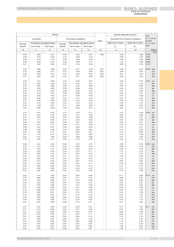#### BANKA SLOVENIJE BANK OF SLOVENIA **EUROSYSTEM**

|                      |               | Deposits                           |                      |                            |                                    |                                            | Deposits redeemable at notice |                                           | Until                   |
|----------------------|---------------|------------------------------------|----------------------|----------------------------|------------------------------------|--------------------------------------------|-------------------------------|-------------------------------------------|-------------------------|
|                      | Households    |                                    |                      | Non-financial corporations |                                    |                                            |                               | Households and non-financial corporations | 31.12.2006              |
|                      |               | Time deposits with agreed maturity |                      |                            | Time deposits with agreed maturity | Repos                                      | Notice up to 3 months         | Notice over 3 months                      | SIT after<br>01.01.2007 |
| Ovemight<br>deposits | Up to 2 years | Over 2 years                       | Ovemight<br>deposits | Up to 2 years              | Over 2 years                       |                                            | IR                            | IR                                        | <b>EUR</b>              |
| 10                   | 11            | 12                                 | 13                   | 14                         | 15                                 | 16                                         | 17                            | 18                                        | Stolpec                 |
|                      |               |                                    |                      |                            |                                    |                                            |                               |                                           | Koda                    |
| 0.32                 | 2.99          | 4.31                               | 0.56                 | 3.33                       | 3.91                               | 3.89                                       | 2.99                          | 4.09                                      | 2006                    |
| 0.36                 | 3.29          | 4.38                               | 0.43                 | 3.93                       | 4.19                               | ÷,                                         | 3.60                          | 4.47                                      | 2007                    |
| 0.46                 | 4.35          | 5.19                               | 0.50                 | 4.69                       | 4.78                               | ä,                                         | 4.05                          | 5.56                                      | 2008                    |
| 0.28                 | 3.48          | 4.04                               | 0.32                 | 2.93                       | 4.17                               | ÷,<br>$\overline{a}$                       | 1.23                          | 2.98<br>2.22                              | 2009<br>2010            |
| 0.21                 | 2.62          | 3.93                               | 0.27                 | 2.16                       | 4.08                               |                                            | 0.63                          |                                           |                         |
| 0.28                 | 2.86          | 4.96                               | 0.55                 | 3.27                       | 4.30                               | 3.87                                       | 2.93                          | 5.04                                      | 2006<br>Sep.            |
| 0.27                 | 2.82          | 4.07                               | 0.51                 | 3.29                       | 3.82                               | 3.87                                       | 2.93                          | 3.91                                      | Oct.                    |
| 0.28                 | 2.83          | 3.24                               | 0.50                 | 3.30                       | 3.81                               | 3.95                                       | 2.91                          | 2.97                                      | Nov.                    |
| 0.27                 | 2.84          | 4.05                               | 0.44                 | 3.27                       | 3.96                               | 3.95                                       | 2.92                          | 3.83                                      | Dec.                    |
| 0.33                 | 2.81          | 3.89                               | 0.43                 | 3.36                       | 3.87                               | ٠                                          | 2.99                          | 3.91                                      | 2007<br>Jan.            |
| 0.33                 | 2.87          | 4.06                               | 0.42                 | 3.43                       | 4.01                               | ÷                                          | 3.21                          | 4.14                                      | Feb                     |
| 0.33                 | 2.94          | 3.88                               | 0.39                 | 3.55                       | 3.99                               | ÷,                                         | 3.33                          | 3.93                                      | Mar                     |
| 0.34                 | 3.02          | 3.93                               | 0.39                 | 3.66                       | 4.06                               | ÷                                          | 3.45                          | 3.97                                      | Apr                     |
| 0.34                 | 3.10          | 4.02                               | 0.46                 | 3.76                       | 4.02                               | ٠                                          | 3.47                          | 3.97                                      | May.                    |
| 0.34                 | 3.19          | 4.01                               | 0.39                 | 3.88                       | 4.03                               | ÷,                                         | 3.52                          | 4.01                                      | Jun.                    |
| 0.35<br>0.35         | 3.29<br>3.36  | 4.54<br>4.55                       | 0.47<br>0.37         | 3.99<br>4.10               | 4.28<br>4.29                       | ÷,<br>ä,                                   | 3.70<br>3.74                  | 4.58<br>4.67                              | Jul.<br>Aug.            |
| 0.37                 | 3.48          | 4.60                               | 0.46                 | 4.24                       | 4.33                               | $\overline{\phantom{a}}$                   | 3.94                          | 4.72                                      | Sep.                    |
| 0.42                 | 3.70          | 4.59                               | 0.45                 | 4.32                       | 4.24                               | ÷,                                         | 4.06                          | 4.72                                      | Oct                     |
| 0.40                 | 3.78          | 5.07                               | 0.41                 | 4.38                       | 4.60                               | ä,                                         | 3.89                          | 5.32                                      | Nov.                    |
| 0.40                 | 3.92          | 5.38                               | 0.39                 | 4.50                       | 4.57                               | ×,                                         | 3.87                          | 5.70                                      | Dec.                    |
|                      |               |                                    |                      |                            |                                    |                                            |                               |                                           |                         |
| 0.44<br>0.41         | 4.01<br>4.00  | 5.35<br>5.45                       | 0.75<br>0.42         | 4.43<br>4.41               | 4.71<br>4.68                       | $\overline{a}$<br>÷,                       | 4.21<br>3.93                  | 5.63<br>5.68                              | 2008<br>Jan.<br>Feb.    |
| 0.41                 | 4.02          | 5.28                               | 0.43                 | 4.49                       | 4.68                               | ÷,                                         | 3.92                          | 5.31                                      | Mar.                    |
| 0.43                 | 4.11          | 5.36                               | 0.47                 | 4.54                       | 4.80                               | $\overline{a}$                             | 4.04                          | 5.69                                      | Apr.                    |
| 0.46                 | 4.22          | 5.06                               | 0.49                 | 4.61                       | 4.64                               | ÷,                                         | 4.07                          | 5.41                                      | May.                    |
| 0.46                 | 4.31          | 5.11                               | 0.46                 | 4.72                       | 4.63                               | ä,                                         | 4.07                          | 5.44                                      | Jun.                    |
| 0.48                 | 4.42          | 5.37                               | 0.48                 | 4.80                       | 4.94                               | ä,                                         | 4.19                          | 5.77                                      | Jul.                    |
| 0.48                 | 4.49          | 5.38                               | 0.46                 | 4.85                       | 4.94                               | $\overline{\phantom{m}}$                   | 4.18                          | 5.91                                      | Aug                     |
| 0.48<br>0.51         | 4.58<br>4.70  | 5.17<br>5.13                       | 0.51<br>0.54         | 5.02<br>5.07               | 4.91<br>4.94                       | ÷,<br>ä,                                   | 4.15<br>4.19                  | 5.63<br>5.59                              | Sep.<br>Oct.            |
| 0.52                 | 4.70          | 4.94                               | 0.49                 | 4.89                       | 4.86                               | ÷,                                         | 4.27                          | 5.45                                      | Nov.                    |
| 0.43                 | 4.65          | 4.70                               | 0.48                 | 4.46                       | 4.66                               | $\overline{\phantom{a}}$                   | 3.40                          | 5.18                                      | Dec.                    |
|                      |               |                                    |                      |                            |                                    |                                            |                               |                                           |                         |
| 0.48                 | 4.54          | 4.45                               | 0.46                 | 4.20                       | 4.27                               | ä,                                         | 2.66                          | 4.90                                      | 2009<br>Jan.            |
| 0.40<br>0.34         | 4.31<br>4.02  | 4.40<br>4.31                       | 0.44<br>0.38         | 3.84<br>3.52               | 4.30<br>4.22                       | ÷<br>٠                                     | 2.09<br>1.60                  | 3.19<br>3.22                              | Feb.<br>Mar.            |
| 0.28                 | 3.78          | 4.29                               | 0.33                 | 3.13                       | 4.11                               | ä,                                         | 1.31                          | 3.12                                      | Apr.                    |
| 0.25                 | 3.56          | 4.03                               | 0.34                 | 3.00                       | 4.20                               | ÷,                                         | 1.15                          | 2.57                                      | May.                    |
| 0.23                 | 3.34          | 4.05                               | 0.31                 | 2.81                       | 4.19                               | ÷                                          | 1.07                          | 2.68                                      | Jun.                    |
| 0.23                 | 3.20          | 3.79                               | 0.27                 | 2.67                       | 4.12                               | ٠                                          | 1.10                          | 2.51                                      | Jul.                    |
| 0.23                 | 3.14          | 3.75                               | 0.26                 | 2.61                       | 4.13                               | ÷                                          | 0.87                          | 2.50                                      | Aug.                    |
| 0.23                 | 3.07          | 3.80                               | 0.25                 | 2.50                       | 4.11                               | ä,                                         | 0.79                          | 2.65                                      | Sep.                    |
| 0.23<br>0.23         | 2.98<br>2.93  | 3.83<br>3.82                       | 0.26<br>0.25         | 2.38<br>2.24               | 4.12<br>4.12                       | $\blacksquare$                             | 0.71<br>0.70                  | 2.75<br>2.79                              | Oct.<br>Nov.            |
| 0.23                 | 2.85          | 3.92                               | 0.26                 | 2.22                       | 4.20                               | $\blacksquare$                             | 0.73                          | 2.89                                      | Dec.                    |
|                      |               |                                    |                      |                            |                                    |                                            |                               |                                           |                         |
| 0.22                 | 2.76          | 3.92                               | 0.25                 | 2.26                       | 4.08                               | $\blacksquare$                             | 0.71                          | 2.89                                      | 2010<br>Jan.            |
| 0.22                 | 2.68          | 3.89                               | 0.26                 | 2.21                       | 4.07                               | $\overline{\phantom{a}}$                   | 0.66                          | 2.91                                      | Feb.                    |
| 0.22                 | 2.64          | 3.89                               | 0.27                 | 2.22                       | 4.08                               | $\blacksquare$                             | 0.65                          | 2.90                                      | Mar.                    |
| 0.22<br>0.21         | 2.60<br>2.60  | 3.90<br>3.96                       | 0.27<br>0.25         | 2.19<br>2.15               | 4.07<br>4.08                       | $\blacksquare$<br>$\overline{\phantom{a}}$ | 0.67<br>0.64                  | 2.91<br>2.93                              | Apr.<br>May.            |
| 0.22                 | 2.55          | 3.94                               | 0.30                 | 2.07                       | 4.05                               | $\blacksquare$                             | 0.53                          | 3.29                                      | Jun.                    |
| 0.19                 | 2.56          | 3.97                               | 0.26                 | 2.07                       | 4.09                               | $\overline{\phantom{a}}$                   | 0.54                          | 1.43                                      | Jul.                    |
| 0.19                 | 2.58          | 3.97                               | 0.25                 | 2.12                       | 4.15                               | $\blacksquare$                             | 0.51                          | 1.29                                      | Aug.                    |
| 0.19                 | 2.60          | 3.97                               | 0.27                 | 2.14                       | 4.10                               | $\frac{1}{2}$                              | 0.54                          | 1.25                                      | Sep.                    |
| 0.20                 | 2.62          | 3.98                               | 0.28                 | 2.16                       | 4.09                               | $\overline{\phantom{a}}$                   | 0.67                          | 1.31                                      | Oct.                    |
| 0.20<br>0.20         | 2.63<br>2.65  | 3.94<br>3.89                       | 0.31<br>0.28         | 2.13<br>2.19               | 4.07<br>4.01                       | $\overline{\phantom{a}}$<br>$\blacksquare$ | 1.00<br>0.47                  | 1.72<br>1.82                              | Nov.<br>Dec.            |
|                      |               |                                    |                      |                            |                                    |                                            |                               |                                           |                         |
| 0.21                 | 2.69          | 3.98                               | 0.29                 | 2.29                       | 4.04                               | $\overline{\phantom{a}}$                   | 0.47                          | 1.84                                      | 2011<br>Jan.            |
| 0.21                 | 2.70          | 3.96                               | 0.32                 | 2.27                       | 4.04                               | $\blacksquare$                             | 0.67                          | 1.83                                      | Feb.                    |
| 0.21                 | 2.74          | 3.92                               | 0.29                 | 2.30                       | 4.03                               | $\blacksquare$                             | 0.85                          | 1.95                                      | Mar.                    |
| 0.21                 | 2.78          | 3.96<br>3.95                       | 0.31                 | 2.34                       | 4.11<br>4.12                       | $\overline{\phantom{a}}$<br>$\blacksquare$ | 0.83                          | 2.07                                      | Apr.                    |
| 0.21<br>0.21         | 2.85<br>2.90  | 3.97                               | 0.29<br>0.28         | 2.46<br>2.51               | 4.16                               | $\overline{\phantom{a}}$                   | 1.27<br>1.13                  | 2.15<br>2.34                              | May.<br>Jun.            |
| 0.23                 | 2.93          | 3.95                               | 0.29                 | 2.60                       | 3.86                               | $\blacksquare$                             | 1.14                          | 2.30                                      | Jul.                    |
| 0.23                 | 2.97          | 3.95                               | 0.30                 | 2.62                       | 3.87                               | $\overline{\phantom{a}}$                   | 1.37                          | 2.39                                      | Aug.                    |
| 0.24                 | 3.00          | 3.97                               | 0.30                 | 2.55                       | 3.85                               | $\overline{\phantom{a}}$                   | 1.38                          | 2.39                                      | Sep.                    |
| 0.24                 | 3.04          | 4.03                               | 0.28                 | 2.60                       | 3.57                               |                                            | 1.66                          | 2.47                                      | Oct                     |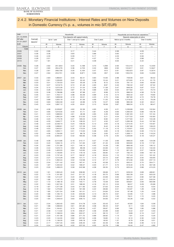BANKA SLOVENIJE BANK OF SLOVENIA **EUROSYSTEM**

### 2.4.2. Monetary Financial Institutions - Interest Rates and Volumes on New Deposits in Domestic Currency (% p. a., volumes in mio SIT/EUR)

| Until          |              |                |                      | Households                         |                  |              | Households and non-financial corporations $1, 2$ |              |                               |              |                  |
|----------------|--------------|----------------|----------------------|------------------------------------|------------------|--------------|--------------------------------------------------|--------------|-------------------------------|--------------|------------------|
| 31.12.2006     |              |                |                      | Time deposits with agreed maturity |                  |              |                                                  |              | Deposits redeemable at notice |              |                  |
| SIT after      | Ovemight     |                | Up to 1 year         | Over 1 and up to 2 years           |                  |              | Over 2 years                                     |              | Notice up to 3 months         |              | Over 3 months    |
| 01.01.2007     | deposits     |                |                      |                                    |                  |              |                                                  |              |                               |              |                  |
| <b>EUR</b>     |              | IR             | Volume               | IR                                 | Volume           | IR.          | Volume                                           | IR           | Volume                        | <b>IR</b>    | Volume           |
| Column<br>Code | $\mathbf{1}$ | $\overline{c}$ | 3                    | $\overline{4}$                     | 5                | 6            | $\overline{7}$                                   | 8            | 9                             | 10           | 11               |
| 2006           | 0.32         | 2.96           |                      | 3.17                               |                  | 3.44         |                                                  | 2.99         | $\cdots$                      | 4.09         |                  |
| 2007           | 0.36         | 3.36           | $\cdots$             | 3.93                               | $\cdots$         | 3.86         |                                                  | 3.60         | $\cdots$                      | 4.47         |                  |
| 2008           | 0.46         | 4.30           | $\cdots$             | 5.09                               | $\cdots$         | 5.17         |                                                  | 4.05         | $\cdots$                      | 5.56         |                  |
| 2009           | 0.28         | 2.51           | $\cdots$             | 3.91                               |                  | 4.37         |                                                  | 1.23         | $\cdots$                      | 2.98         | $\cdots$         |
| 2010           | 0.21         | 1.81           |                      | 3.41                               | $\ldots$         | 4.09         |                                                  | 0.63         | $\cdots$                      | 2.22         |                  |
|                |              |                |                      |                                    |                  |              |                                                  |              |                               |              |                  |
| 2006<br>Sep.   | 0.28         | 2.82           | 251,653              | 3.30                               | 4,189            | 3.70         | 1,099                                            | 2.93         | 104,410                       | 5.04         | 12,400           |
| Oct.           | 0.27         | 2.80           | 264,476              | 3.36                               | 4,725            | 3.32         | 868                                              | 2.93         | 103,917                       | 3.91         | 12,847           |
| Nov.           | 0.28         | 2.81           | 268,756              | 3.30                               | 5,164            | 3.47         | 815                                              | 2.91         | 108,423                       | 2.97         | 12,674           |
| Dec.           | 0.27         | 2.84           | 253,751              | 3.39                               | 6,971            | 3.55         | 657                                              | 2.92         | 109,316                       | 3.83         | 14,300           |
|                |              |                |                      |                                    |                  |              |                                                  |              |                               |              |                  |
| 2007<br>Jan    | 0.33         | 2.83           | 1,968.61             | 3.33                               | 82.41            | 3.60         | 14.93                                            | 2.99         | 709.56                        | 3.91         | 56.42            |
| Feb<br>Mar     | 0.33<br>0.33 | 2.91<br>3.01   | 1,559.60<br>1,720.53 | 3.42<br>3.54                       | 52.43<br>50.26   | 3.80<br>2.78 | 12.44<br>9.72                                    | 3.21<br>3.33 | 670.60<br>781.10              | 4.14<br>3.93 | 61.75<br>63.60   |
| Apr            | 0.34         | 3.07           | 1,618.75             | 3.72                               | 61.46            | 4.93         | 9.97                                             | 3.45         | 780.32                        | 3.97         | 67.52            |
| May.           | 0.34         | 3.15           | 1,670.29             | 3.72                               | 51.54            | 3.36         | 11.08                                            | 3.47         | 846.26                        | 3.97         | 72.01            |
| Jun.           | 0.34         | 3.26           | 1,659.44             | 3.87                               | 61.18            | 3.89         | 4.59                                             | 3.52         | 877.82                        | 4.01         | 75.70            |
| Jul.           | 0.35         | 3.36           | 1,789.88             | 4.06                               | 87.88            | 4.21         | 9.99                                             | 3.70         | 896.33                        | 4.58         | 75.76            |
| Aug.           | 0.35         | 3.41           | 1,763.17             | 3.98                               | 63.36            | 3.99         | 4.16                                             | 3.74         | 956.42                        | 4.67         | 79.90            |
| Sep.           | 0.37         | 3.61           | 1,669.59             | 4.19                               | 53.51            | 4.23         | 2.70                                             | 3.94         | 997.80                        | 4.72         | 78.78            |
| Oct.           | 0.42         | 3.89           | 1,920.19             | 4.40                               | 61.56            | 4.69         | 11.05                                            | 4.06         | 1,019.52                      | 4.72         | 76.28            |
| Nov.           | 0.40         | 3.83           | 1,664.59             | 4.42                               | 45.96            | 3.79         | 12.27                                            | 3.89         | 995.56                        | 5.32         | 83.41            |
| Dec.           | 0.40         | 4.04           | 1,897.12             | 4.55                               | 55.61            | 3.10         | 18.56                                            | 3.87         | 986.54                        | 5.70         | 96.47            |
|                |              |                |                      |                                    |                  |              |                                                  |              |                               |              |                  |
| 2008<br>Jan.   | 0.44         | 4.08           | 2,028.87             | 4.60                               | 52.36            | 4.65         | 4.06                                             | 4.21         | 1,036.89                      | 5.63         | 102.84           |
| Feb.           | 0.41         | 3.95           | 1,816.55             | 4.40                               | 51.71            | 4.81         | 4.28                                             | 3.93         | 1,060.00                      | 5.68         | 105.76           |
| Mar.           | 0.41         | 4.03           | 1,888.64             | 4.61                               | 48.38            | 4.65         | 4.26                                             | 3.92         | 1,081.93                      | 5.31         | 101.54           |
| Apr.           | 0.43         | 4.14           | 1,992.24             | 4.98                               | 212.05           | 5.23         | 5.21                                             | 4.04         | 1,077.52                      | 5.69         | 102.83           |
| May.           | 0.46         | 4.20           | 1,775.76             | 5.07                               | 195.03           | 5.33         | 6.90                                             | 4.07         | 1,077.60                      | 5.41         | 104.28           |
| Jun.           | 0.46         | 4.30           | 1,846.77             | 5.18                               | 106.53           | 5.17         | 4.50                                             | 4.07         | 1,095.36                      | 5.44         | 107.90           |
| Jul.<br>Aug.   | 0.48<br>0.48 | 4.40<br>4.39   | 2,048.73<br>1,699.61 | 5.24<br>5.27                       | 106.05<br>137.29 | 5.12<br>5.51 | 2.93<br>9.42                                     | 4.19<br>4.18 | 1,074.45<br>1,067.80          | 5.77<br>5.91 | 104.87<br>108.23 |
| Sep            | 0.48         | 4.53           | 1,943.51             | 5.30                               | 173.04           | 5.45         | 11.19                                            | 4.15         | 1,103.61                      | 5.63         | 113.22           |
| Oct.           | 0.51         | 4.65           | 1,906.11             | 5.51                               | 110.63           | 5.38         | 4.85                                             | 4.19         | 1,084.34                      | 5.59         | 115.13           |
| Nov.           | 0.52         | 4.56           | 1,794.95             | 5.47                               | 96.76            | 5.34         | 2.65                                             | 4.27         | 1,069.11                      | 5.45         | 116.24           |
| Dec.           | 0.43         | 4.45           | 2,083.31             | 5.42                               | 180.65           | 5.38         | 3.79                                             | 3.40         | 1,026.94                      | 5.18         | 120.27           |
|                |              |                |                      |                                    |                  |              |                                                  |              |                               |              |                  |
| 2009<br>Jan.   | 0.48         | 4.08           | 2,010.66             | 5.19                               | 210.17           | 5.07         | 11.09                                            | 2.66         | 999.00                        | 4.90         | 124.08           |
| Feb.           | 0.40         | 3.40           | 1,656.15             | 4.73                               | 141.63           | 4.97         | 21.40                                            | 2.09         | 906.60                        | 3.19         | 117.91           |
| Mar.           | 0.34         | 2.82           | 1,701.89             | 4.21                               | 146.14           | 4.43         | 14.28                                            | 1.60         | 866.48                        | 3.22         | 106.12           |
| Apr.           | 0.28         | 2.44           | 1,523.74             | 3.82                               | 96.09            | 4.43         | 24.66                                            | 1.31         | 839.50                        | 3.12         | 134.30           |
| May.           | 0.25         | 2.28           | 1,463.03             | 3.64                               | 143.95           | 4.34         | 36.94                                            | 1.15         | 821.25                        | 2.57         | 148.56           |
| Jun.           | 0.23         | 2.40           | 1,726.90             | 3.73                               | 179.16           | 4.44         | 36.90                                            | 1.07         | 782.70                        | 2.68         | 167.16           |
| Jul.           | 0.23         | 2.35           | 1,737.45             | 3.77                               | 192.97           | 4.19         | 33.24                                            | 1.10         | 727.43                        | 2.51         | 161.02           |
| Aug.           | 0.23         | 2.27           | 1,510.29             | 3.69                               | 131.71           | 4.14         | 23.72                                            | 0.87         | 682.23                        | 2.50         | 183.95           |
| Sep.<br>Oct.   | 0.23<br>0.23 | 2.14<br>2.04   | 1,392.44             | 3.52<br>3.53                       | 142.68<br>197.41 | 4.12<br>4.18 | 27.17<br>42.08                                   | 0.79<br>0.71 | 674.56<br>650.41              | 2.65<br>2.75 | 237.10<br>304.71 |
| Nov.           | 0.23         | 1.97           | 1,371.42<br>1,330.02 | 3.52                               | 169.37           | 4.03         | 21.77                                            | 0.70         | 619.40                        | 2.79         | 357.36           |
| Dec.           | 0.23         | 2.00           | 1,499.23             | 3.59                               | 242.98           | 4.08         | 26.35                                            | 0.73         | 625.24                        | 2.89         | 415.25           |
|                |              |                |                      |                                    |                  |              |                                                  |              |                               |              |                  |
| 2010 Jan.      | 0.22         | 1.91           | 1,393.43             | 3.49                               | 308.95           | 4.12         | 28.68                                            | 0.71         | 629.33                        | 2.89         | 469.81           |
| Feb.           | 0.22         | 1.75           | 1,161.82             | 3.47                               | 311.57           | 4.18         | 30.70                                            | 0.66         | 562.39                        | 2.91         | 503.33           |
| Mar.           | 0.22         | 1.69           | 1,214.37             | 3.40                               | 287.78           | 4.06         | 24.69                                            | 0.65         | 535.51                        | 2.90         | 527.58           |
| Apr.           | 0.22         | 1.66           | 1,147.13             | 3.28                               | 218.78           | 4.20         | 22.17                                            | 0.67         | 567.94                        | 2.91         | 545.04           |
| May.           | 0.21         | 1.72           | 1,189.18             | 3.32                               | 155.71           | 3.78         | 15.59                                            | 0.64         | 508.81                        | 2.93         | 563.68           |
| Jun.           | 0.22         | 1.83           | 1,307.55             | 3.31                               | 188.55           | 4.16         | 25.12                                            | 0.53         | 96.57                         | 3.29         | 25.68            |
| Jul.           | 0.19         | 1.87           | 1,377.09             | 3.40                               | 211.95           | 4.20         | 27.63                                            | 0.54         | 92.42                         | 1.43         | 6.54             |
| Aug.           | 0.19         | 1.82           | 1,276.92             | 3.40                               | 181.69           | 4.22         | 28.66                                            | 0.51         | 104.87                        | 1.29         | 5.38             |
| Sep.           | 0.19         | 1.85           | 1,201.54             | 3.39                               | 161.01           | 4.11         | 24.84                                            | 0.54         | 97.48                         | 1.25         | 4.44             |
| Oct.           | 0.20         | 1.86           | 1,195.15             | 3.45                               | 220.65           | 4.13         | 29.70                                            | 0.67         | 54.95                         | 1.31         | 4.98             |
| Nov.           | 0.20         | 1.88           | 1,204.47<br>1,349.43 | 3.44                               | 239.99           | 3.92         | 33.20                                            | 1.00         | 78.31                         | 1.72         | 5.20             |
| Dec.           | 0.20         | 1.94           |                      | 3.63                               | 306.72           | 4.01         | 34.93                                            | 0.47         | 55.26                         | 1.82         | 5.52             |
| 2011 Jan.      | 0.21         | 2.04           | 1,283.40             | 3.63                               | 314.79           | 4.24         | 33.43                                            | 0.47         | 40.80                         | 1.84         | 5.59             |
| Feb.           | 0.21         | 1.98           | 1,088.63             | 3.61                               | 291.80           | 4.08         | 39.43                                            | 0.67         | 8.11                          | 1.83         | 5.44             |
| Mar.           | 0.21         | 2.04           | 1,164.61             | 3.73                               | 329.30           | 4.37         | 29.97                                            | 0.85         | 7.85                          | 1.95         | 5.88             |
| Apr.           | 0.21         | 2.08           | 1,114.50             | 3.76                               | 258.47           | 4.36         | 25.99                                            | 0.83         | 6.42                          | 2.07         | 5.53             |
| May.           | 0.21         | 2.15           | 1,168.53             | 3.84                               | 302.07           | 4.10         | 39.10                                            | 1.27         | 9.89                          | 2.15         | 5.47             |
| Jun.           | 0.21         | 2.20           | 1,161.58             | 3.86                               | 271.70           | 3.99         | 28.92                                            | 1.13         | 7.91                          | 2.34         | 5.25             |
| Jul.           | 0.23         | 2.20           | 1,144.55             | 3.92                               | 257.62           | 4.36         | 19.80                                            | 1.14         | 8.10                          | 2.30         | 5.20             |
| Aug.           | 0.23         | 2.18           | 1,136.35             | 3.95                               | 249.18           | 4.29         | 18.50                                            | 1.37         | 8.79                          | 2.39         | 5.01             |
| Sep.           | 0.24         | 2.17           | 1,057.45             | 3.93                               | 226.45           | 4.81         | 32.49                                            | 1.38         | 9.08                          | 2.39         | 5.12             |
| Oct            | 0.24         | 2.24           | 1,047.69             | 4.02                               | 237.53           | 4.05         | 22.79                                            | 1.66         | 16.44                         | 2.47         | 4.90             |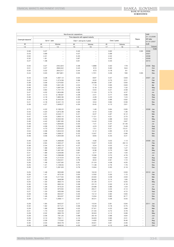|                   |      |              | Non-financial corporations         |          |      |              |                          | Until                   |
|-------------------|------|--------------|------------------------------------|----------|------|--------------|--------------------------|-------------------------|
|                   |      |              | Time deposits with agreed maturity |          |      |              |                          | 31.12.2006              |
| Ovemight deposits |      | Up to 1 year | Over 1 and up to 2 years           |          |      | Over 2 years | Repos                    | SIT after<br>01.01.2007 |
| IR.               | IR.  | Volume       | IR                                 | Volume   | IR   | Volume       |                          | <b>EUR</b>              |
| 12                | 13   | 14           | 15                                 | 16       | 17   | 18           | 19                       | Column                  |
|                   |      |              |                                    |          |      |              |                          | Code                    |
| 0.56              | 3.27 | $\cdots$     | 3.45                               | $\cdots$ | 3.62 | $\ddotsc$    | 3.95                     | 2006                    |
| 0.43              | 3.89 |              | 4.07                               | $\cdots$ | 3.99 | $\cdots$     | ä,                       | 2007                    |
| 0.50              | 4.31 | $\cdots$     | 5.20                               | $\cdots$ | 4.52 | $\cdots$     | ÷,                       | 2008                    |
| 0.32              | 1.91 | $\cdots$     | 3.87                               | $\cdots$ | 3.42 |              | ÷,                       | 2009                    |
| 0.27              | 1.38 |              | 3.61                               |          | 3.33 |              | ÷                        | 2010                    |
|                   |      | $\cdots$     |                                    | $\cdots$ |      | $\cdots$     |                          |                         |
|                   |      |              | 3.38                               |          |      | 179          | $\overline{a}$           | 2006 Sep.               |
| 0.55              | 3.27 | 240,323      |                                    | 1,688    | 3.50 |              |                          |                         |
| 0.51              | 3.27 | 268,042      | 3.43                               | 510      | 5.83 | 544          | ÷,                       | Oct.                    |
| 0.50              | 3.22 | 264,317      | 3.44                               | 473      | 3.18 | 81           | ÷,                       | Nov.                    |
| 0.44              | 3.20 | 267,801      | 3.55                               | 1,701    | 3.26 | 190          | 3.95                     | Dec.                    |
|                   |      |              |                                    |          |      |              |                          |                         |
| 0.43              | 3.28 | 1,567.12     | 3.54                               | 8.97     | 3.37 | 0.83         | ÷                        | 2007<br>Jan             |
| 0.42              | 3.44 | 1,374.58     | 3.98                               | 8.50     | 3.75 | 2.51         | ٠                        | Feb                     |
| 0.39              | 3.59 | 1,570.82     | 4.11                               | 34.99    | 2.97 | 0.60         | ÷,                       | Mar                     |
| 0.39              | 3.69 | 1,841.26     | 4.04                               | 7.19     | 3.95 | 0.83         | ٠                        | Apr                     |
| 0.46              | 3.77 | 1,697.59     | 3.79                               | 5.18     | 4.00 | 1.32         | ÷,                       | May.                    |
| 0.39              | 3.92 | 1,741.74     | 3.80                               | 0.54     | 4.21 | 2.58         | ٠                        | Jun.                    |
| 0.47              | 4.02 | 1,904.86     | 4.26                               | 11.03    | 5.75 | 4.37         | ä,                       | Jul.                    |
|                   |      |              |                                    |          |      |              | ٠                        |                         |
| 0.37              | 4.12 | 2,190.87     | 4.29                               | 2.41     | 3.77 | 0.96         |                          | Aug.                    |
| 0.46              | 4.19 | 1,860.36     | 4.30                               | 4.29     | 4.23 | 1.24         |                          | Sep.                    |
| 0.45              | 4.18 | 2,443.00     | 4.03                               | 0.85     | 3.96 | 0.82         | ä,                       | Oct.                    |
| 0.41              | 4.18 | 2,441.15     | 4.43                               | 3.54     | 3.84 | 0.56         | ÷,                       | Nov.                    |
| 0.39              | 4.27 | 1,949.27     | 4.34                               | 6.45     | 4.13 | 2.61         | ٠                        | Dec.                    |
|                   |      |              |                                    |          |      |              |                          |                         |
| 0.75              | 4.22 | 2,166.22     | 4.54                               | 1.46     | 3.84 | 0.85         | ÷                        | 2008<br>Jan.            |
| 0.42              | 4.20 | 1,872.38     | 4.85                               | 3.72     | 3.50 | 1.36         | ÷,                       | Feb.                    |
| 0.43              | 4.31 | 2,045.11     | 5.21                               | 6.37     | 4.87 | 6.12         | ٠                        | Mar.                    |
| 0.47              | 4.35 | 1,850.15     | 5.25                               | 11.51    | 4.51 | 2.75         | ٠                        | Apr.                    |
| 0.49              | 4.33 | 2,052.56     | 5.15                               | 7.54     | 4.98 | 3.53         | ÷.                       | May.                    |
|                   |      |              |                                    |          |      |              |                          |                         |
| 0.46              | 4.42 | 1,991.85     | 5.36                               | 14.42    | 3.55 | 0.87         | ÷,                       | Jun.                    |
| 0.48              | 4.52 | 1,859.85     | 5.53                               | 7.41     | 5.37 | 31.46        | ٠                        | Jul.                    |
| 0.46              | 4.58 | 1,704.49     | 4.99                               | 4.23     | 3.97 | 0.49         | ÷,                       | Aug.                    |
| 0.51              | 4.73 | 1,934.63     | 5.15                               | 7.51     | 5.21 | 15.31        | $\sim$                   | Sep                     |
| 0.54              | 4.58 | 1,944.53     | 5.68                               | 5.12     | 4.95 | 2.18         | ÷,                       | Oct.                    |
| 0.49              | 3.96 | 1,568.37     | 5.22                               | 12.67    | 4.01 | 0.96         | ٠                        | Nov.                    |
| 0.48              | 3.56 | 1,934.69     | 5.45                               | 8.65     | 5.43 | 3.31         | ÷,                       | Dec.                    |
|                   |      |              |                                    |          |      |              |                          |                         |
| 0.46              | 3.29 | 1,468.69     | 4.91                               | 4.56     | 3.02 | 1.13         | ÷,                       | 2009<br>Jan.            |
| 0.44              | 2.64 | 1,300.47     | 4.39                               | 13.67    | 5.00 | 29.13        | $\overline{\phantom{a}}$ | Feb.                    |
| 0.38              | 2.34 | 1,462.73     | 4.27                               | 3.24     | 4.02 | 1.10         | ÷,                       | Mar.                    |
|                   |      |              |                                    |          |      |              |                          |                         |
| 0.33              | 1.98 | 1,463.47     | 3.18                               | 10.02    | 2.68 | 1.27         | ٠                        | Apr.                    |
| 0.34              | 1.86 | 1,361.95     | 3.82                               | 6.38     | 3.75 | 1.66         | ä,                       | May.                    |
| 0.31              | 1.89 | 1,526.86     | 3.81                               | 3.77     | 2.34 | 1.00         | ٠                        | Jun.                    |
| 0.27              | 1.62 | 1,296.89     | 3.14                               | 10.96    | 3.70 | 4.76         |                          | Jul.                    |
| 0.26              | 1.56 | 1,214.54     | 3.81                               | 6.82     | 3.49 | 1.50         | ÷                        | Aug.                    |
| 0.25              | 1.62 | 1,052.61     | 3.79                               | 8.04     | 2.91 | 1.72         |                          | Sep.                    |
| 0.26              | 1.48 | 1,037.80     | 3.81                               | 21.03    | 4.08 | 4.05         |                          | Oct.                    |
| 0.25              | 1.31 | 1,129.55     | 3.72                               | 11.38    | 2.76 | 1.76         |                          | Nov.                    |
| 0.26              | 1.37 | 1,281.83     | 3.76                               | 15.84    | 3.30 | 2.19         |                          | Dec.                    |
|                   |      |              |                                    |          |      |              |                          |                         |
| 0.25              | 1.48 | 953.89       | 3.69                               | 16.33    | 3.11 | 0.93         | ٠                        | 2010 Jan.               |
| 0.26              | 1.41 | 872.30       | 3.55                               | 12.92    | 3.35 | 1.15         | $\overline{\phantom{a}}$ | Feb.                    |
| 0.27              | 1.46 | 1,017.94     | 3.86                               | 24.60    | 4.09 | 2.93         | ٠                        | Mar.                    |
|                   |      |              |                                    |          |      |              |                          |                         |
| 0.27              | 1.36 | 948.98       | 3.75                               | 36.62    | 3.14 | 1.85         |                          | Apr.                    |
| 0.25              | 1.30 | 863.74       | 3.59                               | 31.26    | 3.77 | 5.05         | ٠                        | May.                    |
| 0.30              | 1.30 | 892.34       | 3.39                               | 23.10    | 2.00 | 4.18         |                          | Jun.                    |
| 0.26              | 1.26 | 915.22       | 3.59                               | 24.88    | 2.86 | 1.03         | ä,                       | Jul.                    |
| 0.25              | 1.26 | 870.94       | 3.43                               | 28.41    | 4.04 | 2.14         |                          | Aug.                    |
| 0.27              | 1.33 | 930.99       | 3.62                               | 17.37    | 3.59 | 4.72         | ٠                        | Sep.                    |
| 0.28              | 1.39 | 852.67       | 3.45                               | 15.12    | 2.82 | 0.65         |                          | Oct.                    |
| 0.31              | 1.46 | 954.67       | 3.62                               | 15.94    | 3.80 | 8.77         | ٠                        | Nov.                    |
| 0.28              | 1.51 | 1,068.11     | 3.81                               | 30.01    | 3.36 | 5.55         | ÷,                       | Dec.                    |
|                   |      |              |                                    |          |      |              |                          |                         |
| 0.29              | 1.64 | 842.07       | 3.77                               | 15.04    | 2.81 | 0.94         | $\overline{\phantom{a}}$ | 2011<br>Jan.            |
| 0.32              | 1.62 | 817.21       | 3.56                               | 16.49    | 3.16 | 0.75         | $\frac{1}{2}$            | Feb.                    |
| 0.29              | 1.69 |              |                                    | 27.61    |      | 2.66         | ÷,                       |                         |
|                   |      | 884.88       | 4.02                               |          | 4.22 |              |                          | Mar.                    |
| 0.31              | 1.73 | 722.32       | 4.00                               | 21.55    | 3.72 | 3.79         | $\overline{\phantom{m}}$ | Apr.                    |
| 0.29              | 2.02 | 883.78       | 3.67                               | 30.63    | 4.12 | 5.99         |                          | May.                    |
| 0.28              | 2.06 | 791.25       | 3.98                               | 26.18    | 3.98 | 4.84         |                          | Jun.                    |
| 0.29              | 2.13 | 762.11       | 4.10                               | 34.63    | 3.95 | 2.31         |                          | Jul.                    |
| 0.30              | 2.09 | 770.82       | 3.99                               | 14.80    | 3.90 | 9.46         | $\overline{\phantom{m}}$ | Aug.                    |
| 0.30              | 2.03 | 853.79       | 3.41                               | 33.61    | 3.61 | 2.06         |                          | Sep.                    |

0.28 | 2.08 848.55 | 4.25 12.67 | 4.12 3.48 | - Oct

L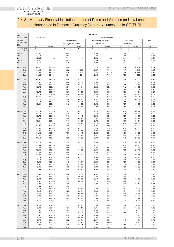## 2.4.3. Monetary Financial Institutions - Interest Rates and Volumes on New Loans to Households in Domestic Currency (% p. a., volumes in mio SIT/EUR)

| Until                |                             |                          |                            |                          | Households               |                 |                             |                |              |
|----------------------|-----------------------------|--------------------------|----------------------------|--------------------------|--------------------------|-----------------|-----------------------------|----------------|--------------|
| 31.12.2006           | Bank overdraft <sup>1</sup> |                          |                            |                          |                          | For consumption |                             |                |              |
| SIT after            |                             |                          | Floating rate or           |                          | Over 1 and up to 5 years |                 | Over 5 years                |                | <b>APRC</b>  |
| 01.01.2007           |                             |                          |                            |                          |                          |                 |                             |                |              |
| <b>EUR</b>           |                             |                          | up to 1 year rate fixation |                          | rate fixation            |                 | rate fixation               |                |              |
| Column               | IR<br>$\mathbf{1}$          | Volume<br>$\overline{2}$ | IR<br>3                    | Volume<br>$\overline{4}$ | IR<br>5                  | Volume<br>6     | <b>IR</b><br>$\overline{7}$ | Volume<br>8    | IR<br>9      |
| Code                 |                             |                          |                            |                          |                          |                 |                             |                |              |
| 2006                 | 11.83                       | $\cdots$                 | 6.49                       |                          | 7.64                     |                 | 7.74                        | $\cdots$       | 9.18         |
| 2007                 | 10.78                       |                          | 6.82                       |                          | 7.44                     |                 | 7.68                        | $\cdots$       | 8.68         |
| 2008                 | 10.85                       |                          | 7.41                       | $\cdots$                 | 7.90                     | $\cdots$        | 8.41                        | $\cdots$       | 9.54         |
| 2009                 | 9.37                        |                          | 5.47                       |                          | 7.49                     |                 | 7.67                        | $\cdots$       | 8.16         |
| 2010                 | 8.59                        | $\cdots$                 | 4.72                       | $\cdots$                 | 6.99                     | $\cdots$        | 7.04                        | $\cdots$       | 7.29         |
|                      |                             |                          |                            |                          |                          |                 |                             |                |              |
| 2006<br>Sep.         | 11.65                       | 85,206                   | 6.20                       | 7,679                    | 7.53                     | 7,605           | 7.68                        | 6,791          | 9.01         |
| Oct.                 | 11.45                       | 86,072                   | 6.52                       | 7,180                    | 7.37                     | 7,512           | 7.47                        | 6,642          | 9.02         |
| Nov.<br>Dec.         | 11.55<br>11.35              | 87,816                   | 6.36<br>6.61               | 8,205<br>6,534           | 7.40<br>6.93             | 7,350<br>7,355  | 7.55<br>7.55                | 6,678<br>4,992 | 8.84<br>8.69 |
|                      |                             | 82,529                   |                            |                          |                          |                 |                             |                |              |
| 2007<br>Jan.         | 10.85                       | 347.70                   | 6.65                       | 62.78                    | 7.47                     | 28.61           | 7.43                        | 27.39          | 8.45         |
| Feb.                 | 10.82                       | 346.17                   | 6.78                       | 50.64                    | 7.53                     | 29.51           | 7.67                        | 27.96          | 8.74         |
| Mar.                 | 10.82                       | 349.53                   | 6.55                       | 69.23                    | 7.46                     | 39.36           | 7.46                        | 39.71          | 8.38         |
| Apr.                 | 10.74                       | 352.20                   | 6.61                       | 65.14                    | 7.33                     | 36.26           | 7.42                        | 34.36          | 8.48         |
| May                  | 10.75                       | 341.93                   | 6.67                       | 68.92                    | 7.30                     | 40.47           | 7.64                        | 33.08          | 8.80         |
| Jun.                 | 10.74                       | 329.47                   | 6.60                       | 79.90                    | 7.34                     | 44.77           | 7.60                        | 31.54          | 8.37         |
| Jul.                 | 10.74                       | 337.89                   | 6.98                       | 68.92                    | 7.40                     | 46.21           | 7.73                        | 35.43          | 8.82         |
| Aug.                 | 10.76                       | 359.81                   | 6.94                       | 70.26                    | 7.40                     | 48.89           | 7.85                        | 36.34          | 8.68         |
| Sep.                 | 10.79                       | 369.94                   | 7.23                       | 68.40                    | 7.42                     | 49.83           | 7.85                        | 36.54          | 9.01         |
| Oct.                 | 10.78                       | 380.11                   | 7.16                       | 64.28                    | 7.40                     | 50.56           | 7.85                        | 38.06          | 8.92         |
| Nov.                 | 10.81                       | 392.49                   | 6.42                       | 148.96                   | 7.58                     | 44.44           | 7.87                        | 34.83          | 8.25         |
| Dec.                 | 10.77                       | 379.53                   | 7.23                       | 48.89                    | 7.62                     | 31.28           | 7.85                        | 27.03          | 9.03         |
| 2008<br>Jan.         | 10.74                       | 386.40                   | 7.21                       | 60.55                    | 7.73                     | 42.09           | 8.14                        | 33.47          | 9.17         |
| Feb.                 | 10.77                       | 391.75                   | 7.19                       | 65.00                    | 7.54                     | 41.64           | 7.78                        | 36.86          | 9.00         |
| Mar.                 | 10.72                       | 391.42                   | 7.19                       | 63.42                    | 7.49                     | 43.19           | 7.87                        | 38.07          | 9.25         |
| Apr.                 | 10.68                       | 393.46                   | 7.45                       | 66.75                    | 7.61                     | 49.66           | 7.96                        | 45.17          | 9.28         |
| May.                 | 10.81                       | 383.31                   | 7.46                       | 52.90                    | 7.73                     | 40.37           | 8.20                        | 36.84          | 9.39         |
| Jun.                 | 10.75                       | 376.38                   | 7.50                       | 53.10                    | 7.78                     | 41.11           | 8.30                        | 38.51          | 9.50         |
| Jul.                 | 10.83                       | 406.38                   | 7.56                       | 70.98                    | 8.05                     | 44.96           | 8.77                        | 38.82          | 9.86         |
| Aug.                 | 10.83                       | 419.81                   | 7.69                       | 50.69                    | 8.14                     | 38.80           | 8.84                        | 31.60          | 10.02        |
| Sep.                 | 10.97                       | 426.49                   | 7.75                       | 63.74                    | 8.24                     | 45.09           | 8.89                        | 37.29          | 9.99         |
| Oct.                 | 11.02                       | 432.71                   | 7.50                       | 65.40                    | 8.26                     | 39.68           | 8.96                        | 35.86          | 9.92         |
| Nov.                 | 11.00                       | 434.54                   | 7.57                       | 57.73                    | 8.27                     | 27.01           | 8.70                        | 24.85          | 9.94         |
| Dec.                 | 11.13                       | 429.61                   | 6.89                       | 61.86                    | 7.96                     | 25.10           | 8.48                        | 20.23          | 9.17         |
|                      |                             |                          |                            |                          |                          |                 |                             |                |              |
| 2009<br>Jan.<br>Feb. | 10.13<br>10.04              | 442.46<br>440.28         | 6.36<br>5.99               | 56.82<br>70.28           | 8.08<br>7.71             | 23.18<br>26.19  | 8.30<br>8.04                | 20.94<br>23.48 | 9.10<br>8.47 |
| Mar                  | 10.05                       | 444.54                   | 5.89                       | 73.56                    | 7.61                     | 31.76           | 7.95                        | 27.69          | 8.74         |
| Apr.                 | 10.05                       | 446.09                   | 5.73                       | 71.83                    | 7.50                     | 28.11           | 7.80                        | 21.70          | 8.55         |
| May.                 | 10.09                       | 433.13                   | 5.68                       | 71.01                    | 7.49                     | 26.99           | 7.37                        | 29.65          | 8.23         |
| Jun.                 | 10.02                       | 418.91                   | 5.42                       | 81.59                    | 7.41                     | 29.15           | 7.55                        | 22.74          | 7.99         |
| Jul.                 | 8.74                        | 451.74                   | 5.38                       | 80.05                    | 7.35                     | 31.09           | 7.62                        | 20.49          | 8.16         |
| Aug.                 | 8.74                        | 461.16                   | 5.22                       | 79.22                    | 7.39                     | 26.60           | 7.55                        | 16.47          | 7.95         |
| Sep.                 | 8.66                        | 468.52                   | 5.18                       | 91.91                    | 7.38                     | 29.80           | 7.57                        | 18.90          | 8.01         |
| Oct.                 | 8.67                        | 4/0.94                   | 4.92                       | 87.99                    | 7.31                     | 26.50           | 7.36                        | 17.22          | 7.62         |
| Nov.                 | 8.65                        | 474.81                   | 4.92                       | 81.08                    | 7.32                     | 22.15           | 7.56                        | 13.38          | 7.63         |
| Dec.                 | 8.64                        | 467.00                   | 4.99                       | 92.18                    | 7.35                     | 19.46           | 7.40                        | 11.77          | 7.49         |
| 2010 Jan.            | 8.63                        | 467.09                   | 4.92                       | 79.92                    | 7.37                     | 20.70           | 7.56                        | 10.76          | 7.60         |
| Feb.                 | 8.61                        | 464.55                   | 4.91                       | 80.65                    | 7.36                     | 19.33           | 7.54                        | 11.02          | 7.57         |
| Mar.                 | 8.64                        | 474.11                   | 4.67                       | 90.03                    | 7.17                     | 25.34           | 7.30                        | 15.32          | 7.55         |
| Apr.                 | 8.61                        | 473.80                   | 4.59                       | 66.49                    | 6.75                     | 23.01           | 6.96                        | 12.88          | 7.25         |
| May.                 | 8.60                        | 459.12                   | 4.55                       | 77.25                    | 6.99                     | 22.49           | 6.90                        | 14.13          | 6.94         |
| Jun.                 | 8.54                        | 454.12                   | 4.59                       | 71.98                    | 6.77                     | 22.11           | 6.81                        | 17.36          | 7.01         |
| Jul.                 | 8.54                        | 454.20                   | 4.75                       | 64.56                    | 7.02                     | 20.36           | 6.83                        | 16.27          | 7.37         |
| Aug.                 | 8.45                        | 474.47                   | 4.76                       | 58.91                    | 6.95                     | 18.49           | 6.81                        | 14.76          | 7.42         |
| Sep.                 | 8.45                        | 484.42                   | 4.73                       | 68.77                    | 6.91                     | 20.73           | 6.79                        | 16.77          | 7.32         |
| Oct.                 | 8.66                        | 487.29                   | 4.65                       | 63.88                    | 7.04                     | 16.09           | 7.01                        | 12.75          | 7.36         |
| Nov.                 | 8.70                        | 494.10                   | 4.73                       | 62.75                    | 6.84                     | 17.52           | 7.01                        | 12.17          | 7.28         |
| Dec.                 | 8.60                        | 504.96                   | 4.73                       | 74.38                    | 6.74                     | 15.22           | 6.96                        | 9.27           | 6.80         |
| 2011<br>Jan.         | 8.62                        | 501.52                   | 4.71                       | 63.59                    | 7.03                     | 14.04           | 6.98                        | 10.86          | 7.12         |
| Feb.                 | 8.62                        | 502.90                   | 4.87                       | 64.14                    | 7.01                     | 15.11           | 6.94                        | 12.36          | 7.28         |
| Mar.                 | 8.62                        | 502.43                   | 4.90                       | 72.31                    | 7.03                     | 25.22           | 7.11                        | 10.03          | 7.39         |
| Apr.                 | 8.62                        | 500.20                   | 4.97                       | 51.94                    | 6.99                     | 23.20           | 7.15                        | 9.53           | 7.75         |
| May.                 | 8.61                        | 479.19                   | 5.06                       | 53.87                    | 7.04                     | 25.38           | 7.17                        | 11.96          | 7.79         |
| Jun.                 | 8.62                        | 487.99                   | 5.18                       | 56.64                    | 7.06                     | 26.36           | 7.12                        | 12.47          | 7.64         |
| Jul.                 | 8.78                        | 484.43                   | 5.22<br>5.23               | 53.34                    | 7.07<br>7.03             | 23.44<br>23.00  | 7.17<br>7.32                | 11.04          | 7.74<br>7.90 |
| Aug.<br>Sep.         | 8.79<br>8.80                | 504.12<br>508.14         | 5.23                       | 48.70<br>56.51           | 7.06                     | 25.12           | 7.19                        | 9.69<br>11.57  | 7.82         |
| Oct                  | 8.75                        | 516.02                   | 5.16                       | 52.04                    | 7.00                     | 21.47           | 7.24                        | 9.55           | 7.83         |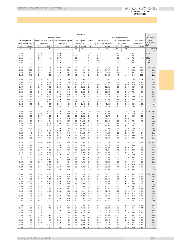|              |                            |              |                                                    |                    |               |              | Households    |              |              |                            |                          |                          |              |               | Until      |              |
|--------------|----------------------------|--------------|----------------------------------------------------|--------------------|---------------|--------------|---------------|--------------|--------------|----------------------------|--------------------------|--------------------------|--------------|---------------|------------|--------------|
|              |                            |              |                                                    | For house purchase |               |              |               |              |              |                            | Loans for other purposes |                          |              |               | 31.12.2006 |              |
|              | Floating rate or           |              | Over 1 and up to 5 years Over 5 and up to 10 years |                    |               |              | Over 10 years | <b>APRC</b>  |              | Floating rate or           |                          | Over 1 and up to 5 years |              | Over 5 years  | SIT after  |              |
|              | up to 1 year rate fixation |              | rate fixation                                      |                    | rate fixation |              | rate fixation |              |              | up to 1 year rate fixation |                          | rate fixation            |              | rate fixation | 01.01.2007 |              |
| IR           | Volume                     | IR           | Volume                                             | IR.                | Volume        | IR           | Volume        | IR           | IR           | Volume                     | IR.                      | Volume                   | <b>IR</b>    | Volume        | <b>EUR</b> |              |
| 10           | 11                         | 12           | 13                                                 | 14                 | 15            | 16           | 17            | 18           | 19           | 20                         | 21                       | 22                       | 23           | 24            |            | Column       |
|              |                            |              |                                                    |                    |               |              |               |              |              |                            |                          |                          |              |               |            | Code         |
| 5.40         | $\cdots$                   | 4.96         | $\cdots$                                           | 4.56               |               | 4.03         | $\cdots$      | 5.64         | 6.76         | $\cdots$                   | 6.45                     | $\cdots$                 | 6.12         | $\cdots$      | 2006       |              |
| 6.16         | $\cdots$                   | 5.93         |                                                    | 5.80               | $\cdots$      | 6.07         | $\cdots$      | 6.47         | 6.16         | $\ddotsc$                  | 6.46                     | $\ddotsc$                | 6.81         |               | 2007       |              |
| 6.69         | $\cdots$                   | 6.80         |                                                    | 6.77               | $\cdots$      | 6.92         | $\ldots$      | 7.03         | 6.96         | $\cdots$                   | 6.89                     | $\cdots$                 | 7.21         |               | 2008       |              |
| 4.05         | $\cdots$                   | 5.58         | $\cdots$                                           | 6.43               | $\cdots$      | 5.95         | $\ldots$      | 4.39         | 6.08         | $\cdots$                   | 5.91                     | $\cdots$                 | 5.93         | $\cdots$      | 2009       |              |
| 3.21         | $\cdots$                   | 3.97         |                                                    | 5.53               | $\cdots$      | 5.02         | $\cdots$      | 3.48         | 5.63         | $\cdots$                   | 6.08                     | $\cdots$                 | 6.01         | $\cdots$      | 2010       |              |
|              |                            |              |                                                    |                    |               | 4.05         |               | 5.75         |              |                            |                          |                          |              |               |            |              |
| 5.46<br>5.58 | 1,630<br>2,280             | 4.68<br>5.49 | 64<br>$\overline{7}$                               | 4.60<br>4.42       | 216<br>254    | 3.81         | 712<br>781    | 5.84         | 6.95<br>6.53 | 2,458<br>2,707             | 6.40<br>5.64             | 138<br>187               | 5.59<br>6.38 | 116<br>143    | 2006       | Sep.<br>Oct. |
| 5.43         | 2,160                      | 5.01         | 33                                                 | 5.19               | 163           | 4.33         | 584           | 5.83         | 6.62         | 2,943                      | 5.79                     | 323                      | 6.61         | 55            |            | Nov.         |
| 5.92         | 3,713                      | 5.09         | 136                                                | 4.29               | 157           | 4.18         | 881           | 5.98         | 6.61         | 3,385                      | 6.47                     | 203                      | 5.49         | 260           |            | Dec.         |
|              |                            |              |                                                    |                    |               |              |               |              |              |                            |                          |                          |              |               |            |              |
| 5.89         | 32.40                      | 6.38         | 0.29                                               | 5.16               | 1.52          | 6.05         | 4.30          | 6.21         | 5.75         | 38.21                      | 5.76                     | 0.75                     | 5.93         | 0.61          | 2007       | Jan.         |
| 6.06         | 30.60                      | 5.74         | 0.37                                               | 5.44               | 1.30          | 5.78         | 4.01          | 6.43         | 5.71         | 36.98                      | 6.57                     | 0.68                     | 6.39         | 0.43          |            | Feb.         |
| 5.97         | 48.33                      | 5.40         | 0.42                                               | 5.50               | 2.71          | 5.73         | 6.10          | 6.26         | 6.07         | 40.61                      | 6.49                     | 1.90                     | 6.76         | 0.97          |            | Mar.         |
| 5.97         | 45.31                      | 5.47         | 0.55                                               | 5.35               | 4.25          | 5.64         | 6.84          | 6.20         | 6.09         | 32.43                      | 6.80                     | 1.55                     | 6.97         | 1.43          |            | Apr.         |
| 6.04         | 55.44                      | 5.35         | 0.67                                               | 5.37               | 5.19          | 5.75         | 7.99          | 6.24         | 5.97         | 39.38                      | 5.93                     | 5.33                     | 5.92         | 1.95          |            | May          |
| 6.08         | 48.28                      | 5.63         | 0.50                                               | 5.36               | 3.18          | 5.70         | 6.29          | 6.33         | 6.09         | 50.92                      | 6.29                     | 1.52                     | 7.21         | 1.31          |            | Jun.         |
| 6.11         | 45.26                      | 5.79         | 0.62                                               | 5.79               | 3.06          | 5.84         | 5.65          | 6.41         | 6.20         | 40.44                      | 6.36                     | 1.24                     | 7.12         | 0.88          |            | Jul.         |
| 6.20         | 42.46                      | 5.86         | 0.72                                               | 5.98               | 3.11          | 6.03         | 8.44          | 6.51         | 6.28         | 36.10                      | 6.12                     | 1.78                     | 6.80         | 0.54          |            | Aug.         |
| 6.31         | 44.43                      | 6.27         | 0.47                                               | 6.16               | 3.23          | 6.54         | 6.12          | 6.64         | 6.37         | 41.05                      | 6.72                     | 1.61                     | 6.90         | 1.14          |            | Sep.         |
| 6.46         | 39.40                      | 6.31         | 0.52                                               | 6.45               | 3.02          | 6.58         | 7.50          | 6.77         | 6.49         | 42.14                      | 6.71                     | 3.66                     | 7.13         | 0.94          |            | Oct.         |
| 6.42         | 35.79                      | 6.64         | 0.35                                               | 6.44               | 1.90          | 6.54         | 7.48          | 6.69         | 6.35         | 45.20                      | 6.84                     | 2.38                     | 6.86         | 2.20          |            | Nov.         |
| 6.45         | 33.21                      | 6.30         | 1.17                                               | 6.58               | 1.41          | 6.71         | 12.76         | 6.76         | 6.55         | 45.15                      | 6.90                     | 2.43                     | 7.68         | 13.10         |            | Dec.         |
|              |                            |              |                                                    |                    |               |              |               |              |              |                            |                          |                          |              |               |            |              |
| 6.49         | 29.29                      | 6.61         | 0.79                                               | 6.75               | 1.79          | 6.67         | 7.21          | 6.86         | 6.44         | 25.85                      | 7.51                     | 0.87                     | 7.33         | 1.04          | 2008       | Jan.         |
| 6.37         | 34.16                      | 6.10         | 0.23                                               | 6.40               | 2.52          | 6.66         | 8.08          | 6.71         | 6.36         | 40.93                      | 6.07                     | 3.48                     | 6.79         | 1.77          |            | Feb.         |
| 6.30         | 46.09                      | 6.67         | 0.52                                               | 6.61               | 2.58          | 6.52         | 8.54          | 6.66         | 6.58         | 40.75                      | 6.84                     | 2.06                     | 6.97         | 1.82          |            | Mar.         |
| 6.50         | 58.17                      | 6.84         | 1.11                                               | 6.53               | 3.36          | 6.70         | 14.82         | 6.84         | 6.72         | 59.21                      | 6.51                     | 1.99                     | 7.23         | 1.69          |            | Apr.         |
| 6.61         | 46.36                      | 6.60         | 1.04                                               | 6.53               | 2.77          | 6.69         | 14.52         | 6.92         | 6.91         | 50.13                      | 6.52                     | 2.83                     | 7.55         | 1.79          |            | May.         |
| 6.63         | 47.79                      | 6.52         | 0.87                                               | 6.63               | 3.51          | 6.79         | 15.04         | 6.98         | 7.05         | 50.41                      | 6.72                     | 3.59                     | 7.35         | 1.80          |            | Jun.         |
| 6.79         | 41.09                      | 6.76         | 0.53                                               | 6.71               | 3.14          | 6.91         | 14.85         | 7.13         | 7.15         | 44.34                      | 7.15                     | 1.95                     | 7.87         | 1.28          |            | Jul.         |
| 6.91         | 28.96                      | 6.82         | 1.60                                               | 6.95               | 2.74          | 7.07         | 12.96         | 7.28         | 7.27         | 30.38                      | 7.27                     | 2.00                     | 7.50         | 0.86          |            | Aug.         |
| 7.05         | 33.62                      | 6.98         | 0.94                                               | 6.99               | 4.84          | 7.32         | 15.47         | 7.43         | 7.32         | 47.78                      | 7.60                     | 1.93                     | 7.61         | 2.98          |            | Sep.         |
| 7.25         | 36.49                      | 7.17         | 1.24                                               | 7.10               | 5.48          | 7.44         | 14.24         | 7.55         | 7.66         | 41.38                      | 6.92                     | 1.73                     | 7.64         | 1.84          |            | Oct.         |
| 7.05         | 38.22                      | 7.25         | 0.47                                               | 7.17               | 3.36          | 7.34         | 10.13         | 7.38         | 7.29         | 37.54                      | 6.83                     | 2.68                     | 6.66         | 1.65          |            | Nov.         |
| 6.28         | 41.82                      | 7.30         | 0.94                                               | 6.88               | 1.94          | 6.94         | 6.20          | 6.64         | 6.73         | 46.50                      | 6.77                     | 2.56                     | 6.09         | 1.46          |            | Dec.         |
|              |                            |              |                                                    |                    |               |              |               |              |              |                            |                          |                          |              |               |            |              |
| 5.50         | 42.02                      | 7.02         | 0.18                                               | 7.05               | 0.60          | 6.65         | 3.07          | 5.85         | 6.10         | 33.69                      | 4.95                     | 0.40                     | 6.18         | 0.55          | 2009       | Jan.         |
| 4.75         | 47.76                      | 6.47         | 1.02                                               | 6.63               | 1.01          | 6.28         | 2.98          | 5.16         | 6.41         | 40.16                      | 6.62                     | 0.61                     | 5.05         | 1.20          |            | Feb.         |
| 4.64         | 66.67                      | 5.00         | 0.45                                               | 5.75               | 2.09          | 6.69         | 4.71          | 5.06         | 6.46         | 44.05                      | 5.86                     | 1.50                     | 5.72         | 3.29          |            | Mar          |
| 4.34         | 66.17                      | 6.76         | 0.51                                               | 6.75               | 0.76          | 6.40         | 2.60          | 4.73         | 6.44         | 43.81                      | 5.16                     | 2.13                     | 6.08         | 1.18          |            | Apr.         |
| 4.10         | 82.75                      | 5.56         | 0.22                                               | 6.37               | 1.15          | 6.20         | 2.96          | 4.46         | 6.08         | 48.38                      | 5.61                     | 1.82                     | 5.77         | 2.16          |            | May.         |
| 4.11         | 78.43                      | 6.60         | 0.36                                               | 6.59               | 0.87          | 6.33         | 2.74          | 4.46         | 5.87         | 50.69                      | 6.32                     | 2.63                     | 5.56         | 1.65          |            | Jun.         |
| 3.92<br>3.57 | 84.08<br>74.70             | 6.32<br>3.92 | 0.06<br>0.12                                       | 6.74<br>6.57       | 0.91<br>0.56  | 6.14<br>5.78 | 1.99<br>0.99  | 4.25<br>3.89 | 5.86<br>6.24 | 35.09<br>32.84             | 5.68<br>6.39             | 2.68<br>2.21             | 6.21<br>6.07 | 1.18          |            | Jul.<br>Aug. |
| 3.52         | 90.12                      | 5.28         | 0.17                                               | 6.64               | 0.84          | 5.49         | 1.55          | 3.83         | 6.05         | 43.32                      | 5.96                     | 3.49                     | 6.10         | 1.17<br>1.56  |            | Sep.         |
| 3.46         | 90.10                      | 5.91         | 0.77                                               | 6.74               | 0.71          | 5.22         | 1.41          | 3.76         | 6.07         | 37.22                      | 6.11                     | 2.53                     | 6.00         | 0.84          |            | Oct.         |
| 3.38         | 90.35                      | 2.95         | 0.06                                               | 5.00               | 0.35          | 5.09         | 1.72          | 3.61         | 6.08         | 37.23                      | 6.21                     | 2.10                     | 6.34         | 0.87          |            | Nov.         |
| 3.36         | 104.45                     | 5.17         | 0.10                                               | 6.28               | 0.33          | 5.08         | 1.28          | 3.56         | 5.32         | 48.56                      | 6.03                     | 3.58                     | 6.04         | 1.32          |            | Dec.         |
|              |                            |              |                                                    |                    |               |              |               |              |              |                            |                          |                          |              |               |            |              |
| 3.39         | 73.66                      | 0.00         | 0.03                                               | 6.11               | 0.12          | 4.38         | 1.29          | 3.61         | 5.92         | 23.21                      | 5.63                     | 0.90                     | 5.87         | 0.85          | 2010       | Jan.         |
| 3.27         | 81.94                      | 3.84         | 0.06                                               | 6.08               | 0.28          | 4.32         | 1.27          | 3.51         | 5.77         | 38.41                      | 5.84                     | 1.28                     | 6.13         | 0.76          |            | Feb.         |
| 3.15         | 109.59                     | 4.13         | 0.13                                               | 5.33               | 0.34          | 4.39         | 2.45          | 3.42         | 5.46         | 50.45                      | 5.76                     | 2.81                     | 6.01         | 0.97          |            | Mar.         |
| 3.08         | 105.45                     | 6.25         | 0.25                                               | 5.80               | 0.54          | 5.04         | 2.21          | 3.37         | 5.79         | 42.85                      | 5.63                     | 1.07                     | 5.95         | 1.51          |            | Apr.         |
| 3.06         | 116.02                     | 3.11         | 0.16                                               | 5.38               | 0.62          | 4.45         | 3.27          | 3.31         | 5.41         | 38.09                      | 6.07                     | 1.39                     | 4.58         | 1.75          |            | May.         |
| 3.04         | 126.27                     | 4.20         | 2.99                                               | 5.42               | 0.62          | 5.29         | 3.06          | 3.32         | 5.44         | 43.71                      | 6.23                     | 2.03                     | 6.21         | 0.35          |            | Jun.         |
| 3.13         | 101.36                     | 3.98         | 3.35                                               | 5.12               | 0.54          | 5.27         | 2.16          | 3.43         | 5.68         | 42.91                      | 6.34                     | 0.56                     | 5.84         | 0.45          |            | Jul.         |
| 3.26         | 83.60                      | 4.29         | 2.42                                               | 5.33               | 0.56          | 5.42         | 1.41          | 3.58         | 5.45         | 32.70                      | 6.70                     | 0.69                     | 7.19         | 0.19          |            | Aug.         |
| 3.22         | 99.34                      | 4.13         | 2.50                                               | 5.17               | 0.38          | 5.07         | 2.34          | 3.50         | 5.57         | 33.78                      | 6.56                     | 1.15                     | 6.27         | 0.13          |            | Sep.         |
| 3.23         | 98.78                      | 3.96         | 1.49                                               | 5.50               | 0.35          | 5.52         | 1.33          | 3.47         | 5.80         | 36.14                      | 6.07                     | 0.63                     | 6.49         | 0.17          |            | Oct.         |
| 3.35         | 89.37                      | 4.27         | 1.98                                               | 5.43               | 0.34          | 5.45         | 1.32          | 3.60         | 5.88         | 30.59                      | 5.87                     | 0.83                     | 5.98         | 0.39          |            | Nov.         |
| 3.35         | 97.76                      | 5.46         | 2.20                                               | 5.65               | 0.35          | 5.60         | 1.45          | 3.63         | 5.42         | 59.41                      | 6.28                     | 0.97                     | 5.64         | 0.30          |            | Dec.         |
|              |                            |              |                                                    |                    |               |              |               |              |              |                            |                          |                          |              |               |            |              |
| 3.29         | 66.17                      | 3.58         | 1.39                                               | 5.85               | 0.12          | 5.52         | 1.25          | 3.56         | 5.81         | 21.58                      | 6.33                     | 1.56                     | 5.35         | 0.48          | 2011       | Jan.         |
| 3.41         | 72.00                      | 3.62         | 1.49                                               | 5.17               | 0.67          | 5.27         | 1.53          | 3.70         | 5.71         | 22.28                      | 5.77                     | 0.71                     | 4.74         | 0.11          |            | Feb.         |
| 3.48         | 90.84                      | 5.23         | 2.66                                               | 5.45               | 1.41          | 6.11         | 1.24          | 3.82         | 5.59         | 37.29                      | 6.18                     | 1.77                     | 7.01         | 0.38          |            | Mar.         |
| 3.60         | 75.60                      | 5.32         | 1.69                                               | 5.51               | 1.66          | 6.15         | 1.12          | 4.04         | 5.79         | 39.12                      | 6.33                     | 2.13                     | 6.62         | 0.48          |            | Apr.         |
| 3.68         | 85.75                      | 5.25         | 2.11                                               | 5.42               | 1.82          | 6.41         | 0.90          | 3.99         | 5.95         | 26.99                      | 6.00                     | 2.62                     | 6.62         | 0.50          |            | May.         |
| 3.74         | 85.50                      | 5.45         | 1.13                                               | 5.52               | 1.94          | 6.11         | 1.43          | 4.06         | 5.62         | 42.31                      | 6.61                     | 1.57                     | 7.35         | 0.55          |            | Jun.         |
| 3.82         | 70.68                      | 5.19         | 1.40                                               | 5.39               | 1.29          | 5.87         | 0.94          | 4.13         | 6.05         | 23.15                      | 6.64                     | 1.63                     | 5.26         | 0.35          |            | Jul.         |
| 3.83         | 61.34                      | 5.40         | 1.01                                               | 5.49               | 1.97          | 6.38         | 1.33          | 4.24         | 5.90         | 25.79                      | 6.87                     | 0.99                     | 6.41         | 0.35          |            | Aug.         |
| 3.86         | 70.77                      | 5.31         | 0.68                                               | 5.45               | 1.56          | 5.68         | 1.37          | 4.23         | 6.18         | 27.53                      | 6.60                     | 0.70                     | 3.74         | 0.42          |            | Sep.         |
| 3.88         | 67.18                      | 5.24         | 1.45                                               | 5.50               | 1.27          | 6.06         | 1.04          | 4.19         | 5.87         | 26.63                      | 6.48                     | 1.23                     | 5.94         | 0.42          |            | Oct          |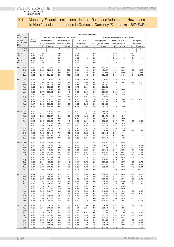BANKA SLOVENIJE BANK OF SLOVENIA **EUROSYSTEM**

# 2.4.4. Monetary Financial Institutions - Interest Rates and Volumes on New Loans to Non-financial corporations in Domestic Currency (% p. a., mio SIT/EUR)

| Until      |              |              |                      |                            |              |                                              |              | Non-financial corporations |              |                            |              |                                             |                          |                          |
|------------|--------------|--------------|----------------------|----------------------------|--------------|----------------------------------------------|--------------|----------------------------|--------------|----------------------------|--------------|---------------------------------------------|--------------------------|--------------------------|
| 31.12.2006 |              |              |                      |                            |              | Other loans up to an amount of EUR 1 million |              |                            |              |                            |              | Other loans over an amount of EUR 1 million |                          |                          |
| SIT after  |              | Bank         |                      | Floating rate or           |              | Over 1 and up to 5                           |              | Over 5 years               |              | Floating rate or           |              | Over 1 and up to 5                          |                          | Over 5 years             |
| 01.01.2007 |              | overdraft    |                      |                            |              |                                              |              |                            |              |                            |              |                                             |                          |                          |
| <b>EUR</b> |              |              |                      | up to 1 year rate fixation |              | years rate fixation                          |              | rate fixation              |              | up to 1 year rate fixation |              | years rate fixation                         |                          | rate fixation            |
|            | Column       | $\mathbf{1}$ | IR<br>$\overline{c}$ | Volume<br>3                | IR<br>4      | Volume<br>5                                  | IR<br>6      | Volume<br>$\overline{7}$   | ΙR<br>8      | Volume<br>9                | IR.<br>10    | Volume<br>11                                | IR<br>12                 | Volume<br>13             |
|            | Code         |              |                      |                            |              |                                              |              |                            |              |                            |              |                                             |                          |                          |
| 2006       |              | 6.33         | 5.99                 |                            | 5.66         | $\cdots$                                     | 5.74         |                            | 4.56         | $\cdots$                   | 4.64         |                                             | 5.21                     | $\cdots$                 |
| 2007       |              | 5.92         | 5.91                 |                            | 6.08         | $\cdots$                                     | 6.35         | $\cdots$                   | 5.22         | $\cdots$                   | 5.76         | $\cdots$                                    | 5.18                     | $\cdots$                 |
| 2008       |              | 6.58         | 6.66                 |                            | 6.91         | $\cdots$                                     | 6.45         | $\cdots$                   | 6.24         |                            | 6.62         | $\cdots$                                    | 6.54                     | $\cdots$                 |
| 2009       |              | 6.01         | 5.91                 |                            | 6.54         | $\cdots$                                     | 5.74         |                            | 5.29         | $\cdots$                   | 6.28         | $\cdots$                                    | 5.92                     |                          |
| 2010       |              | 5.70         | 5.68                 |                            | 6.16         | $\cdots$                                     | 5.67         | $\cdots$                   | 4.89         | $\cdots$                   | 5.76         | $\cdots$                                    | 6.08                     | $\ddotsc$                |
|            |              |              |                      |                            |              |                                              |              |                            |              |                            |              |                                             |                          |                          |
| 2006 Sep.  |              | 6.29         | 5.89                 | 30,735                     | 5.46         | 676                                          | 5.14         | 32                         | 4.91         | 45,186                     | 3.61         | 2,802                                       |                          |                          |
|            | Oct.         | 6.25         | 5.89                 | 27,312                     | 5.48         | 966                                          | 5.34         | 319                        | 4.47         | 45,007                     | 4.66         | 4,660                                       | 4.80                     | 1,075                    |
|            | Nov.<br>Dec. | 6.08         | 5.81<br>5.90         | 33,479<br>30,048           | 5.59<br>5.85 | 1,171<br>1,768                               | 5.70<br>5.48 | 664<br>662                 | 4.51         | 45,031                     | 5.04<br>5.11 | 2,550<br>3,435                              | 5.12<br>5.34             | 1,588<br>9,070           |
|            |              | 6.22         |                      |                            |              |                                              |              |                            | 4.47         | 99,605                     |              |                                             |                          |                          |
| 2007       | Jan.         | 5.67         | 5.59                 | 278.20                     | 5.25         | 3.00                                         | 5.21         | 1.68                       | 4.74         | 875.73                     | 5.49         | 4.40                                        |                          |                          |
|            | Feb.         | 5.74         | 5.60                 | 277.66                     | 6.24         | 2.72                                         | 5.98         | 1.30                       | 4.62         | 871.23                     | 6.53         | 3.61                                        | 5.22                     | 2.00                     |
|            | Mar.         | 5.63         | 5.57                 | 347.78                     | 5.52         | 6.41                                         | 5.83         | 0.25                       | 4.95         | 863.40                     |              |                                             | 5.09                     | 2.00                     |
|            | Apr.         | 5.80         | 5.64                 | 339.52                     | 5.76         | 4.08                                         | 6.70         | 0.01                       | 4.89         | 1,253.23                   |              |                                             |                          |                          |
|            | May.         | 5.85         | 5.71                 | 319.42                     | 5.92         | 13.66                                        | 6.06         | 2.57                       | 5.10         | 760.10                     | 4.86         | 5.56                                        |                          |                          |
|            | Jun.         | 5.82         | 5.77                 | 355.02                     | 6.05         | 6.43                                         | 7.98         | 0.09                       | 5.07         | 886.34                     | 5.12         | 1.12                                        |                          |                          |
|            | Jul.         | 5.92         | 5.88                 | 305.78                     | 6.11         | 3.93                                         | 6.68         | 0.40                       | 5.11         | 1,241.36                   | 6.49         | 1.24                                        |                          |                          |
|            | Aug.         | 5.92         | 6.14                 | 237.22                     | 6.39         | 3.14                                         | 6.73         | 1.35                       | 5.32         | 822.76                     |              |                                             | ä,                       |                          |
|            | Sep.         | 6.05         | 6.25                 | 280.13                     | 6.44         | 2.37                                         | 6.66         | 2.51                       | 5.68         | 797.01                     | 5.76         | 3.00                                        | 5.23                     | 10.00                    |
|            | Oct.<br>Nov. | 6.18<br>6.17 | 6.22<br>6.18         | 320.21<br>328.25           | 6.47<br>6.97 | 6.23<br>3.35                                 | 6.12<br>6.09 | 0.90<br>0.62               | 5.65<br>5.59 | 1,041.85<br>1,064.39       | 5.59         | 7.00                                        | ä,                       |                          |
|            | Dec.         | 6.29         | 6.40                 | 345.51                     | 5.91         | 4.37                                         | 6.13         | 2.61                       | 5.96         | 1,463.74                   | 6.25         | 4.80                                        |                          |                          |
|            |              |              |                      |                            |              |                                              |              |                            |              |                            |              |                                             |                          |                          |
| 2008 Jan.  |              | 6.19         | 6.22                 | 268.30                     | 6.29         | 2.95                                         | 6.35         | 0.27                       | 5.62         | 1,270.31                   | ٠            |                                             |                          | ÷,                       |
|            | Feb.         | 6.22         | 6.15                 | 310.76                     | 6.44         | 3.77                                         | 4.99         | 0.31                       | 5.59         | 1,085.17                   |              | ä,                                          |                          | ÷.                       |
|            | Mar.         | 6.19         | 6.24                 | 358.57                     | 6.42         | 2.50                                         | 5.73         | 1.63                       | 5.76         | 1,281.71                   | 5.63         | 2.17                                        |                          | ä,                       |
|            | Apr.         | 6.30         | 6.47                 | 450.03                     | 6.66         | 4.40                                         | 6.95         | 0.73                       | 6.07         | 1,449.20                   | 6.32         | 5.40                                        |                          |                          |
|            | May.         | 6.40         | 6.63                 | 382.61                     | 7.03         | 5.45                                         | 6.05         | 0.81                       | 6.24         | 1,022.31                   | 5.47         | 7.00                                        | 5.93                     | 8.65                     |
|            | Jun.         | 6.55         | 6.73                 | 457.89                     | 6.85         | 3.29                                         | 7.02         | 2.13                       | 6.25         | 1,405.80                   | 6.63         | 3.13                                        | 6.53                     | 1.50                     |
|            | Jul.         | 6.72         | 6.83                 | 378.49                     | 7.18         | 2.30                                         | 6.90         | 4.36                       | 6.57         | 1,357.51                   | 6.91         | 10.72                                       |                          |                          |
|            | Aug.         | 6.78         | 6.90                 | 271.29                     | 7.07         | 2.29                                         | 7.46         | 1.01                       | 6.64         | 1,267.33                   | 0.00         | 1.15                                        | ÷,                       |                          |
|            | Sep.<br>Oct  | 6.76<br>6.98 | 7.04<br>7.32         | 375.81<br>354.14           | 7.28<br>7.30 | 2.46<br>5.97                                 | 6.82<br>7.18 | 3.64<br>2.22               | 6.71<br>6.88 | 1,215.43<br>1,064.15       | 6.94<br>6.76 | 1.50<br>11.18                               | 7.17                     | 3.26                     |
|            | Nov.         | 7.02         | 6.98                 | 341.95                     | 7.03         | 6.81                                         | 6.60         | 0.80                       | 6.58         | 1,022.14                   | 7.24         | 19.02                                       |                          |                          |
|            | Dec.         | 6.88         | 6.39                 | 505.04                     | 7.30         | 9.29                                         | 5.39         | 1.21                       | 5.93         | 1,811.14                   | 7.74         | 11.39                                       |                          |                          |
|            |              |              |                      |                            |              |                                              |              |                            |              |                            |              |                                             |                          |                          |
| 2009       | Jan.         | 6.00         | 5.89                 | 379.36                     | 7.03         | 4.39                                         | 5.33         | 2.51                       | 5.44         | 1,662.80                   | 6.61         | 27.22                                       |                          |                          |
|            | Feb.         | 6.09         | 5.84                 | 384.01                     | 7.27         | 4.01                                         | 5.37         | 1.21                       | 5.38         | 1,732.07                   | 6.35         | 15.15                                       | 6.01                     | 3.34                     |
|            | Mar.         | 6.00         | 6.02                 | 468.50                     | 6.60         | 23.66                                        | 6.18         | 4.00                       | 5.53         | 1,507.53                   | 6.34         | 73.39                                       | 6.50                     | 5.59                     |
|            | Apr.         | 5.89         | 6.00                 | 445.90                     | 6.62         | 20.92                                        | 6.09         | 3.34                       | 5.54         | 1,221.16                   | 6.05         | 200.88                                      | 4.11                     | 6.00                     |
|            | May.<br>Jun. | 5.97<br>6.02 | 6.00<br>5.98         | 397.94<br>475.98           | 6.43<br>6.30 | 26.82<br>44.11                               | 6.37<br>6.62 | 7.57<br>4.69               | 5.54<br>5.49 | 1,269.87<br>1,396.00       | 6.10<br>6.19 | 293.55<br>204.22                            | 4.36<br>6.12             | 2.62<br>22.84            |
|            | Jul.         | 5.95         | 5.84                 | 407.94                     | 6.37         | 27.23                                        | 4.53         | 8.18                       | 5.27         | 1,407.13                   | 6.36         | 153.73                                      | 4.84                     | 11.71                    |
|            | Aug.         | 6.13         | 5.88                 | 343.26                     | 6.32         | 11.16                                        | 4.29         | 3.15                       | 5.22         | 1,698.82                   | 6.20         | 73.41                                       |                          |                          |
|            | Sep.         | 6.08         | 5.91                 | 429.53                     | 6.38         | 16.45                                        | 6.14         | 3.72                       | 5.25         | 1,309.88                   | 6.66         | 126.77                                      | 6.80                     | 2.70                     |
|            | Oct.         | 5.93         | 6.01                 | 361.91                     | 6.29         | 11.26                                        | 5.35         | 2.34                       | 5.15         | 1,237.80                   | 6.47         | 66.75                                       | 6.72                     | 10.48                    |
|            | Nov          | 6.07         | 5.87                 | 316.78                     | 6.74         | 8.69                                         | 6.36         | 1.62                       | 5.03         | 1,052.84                   | 5.94         | 59.79                                       | 6.70                     | 3.34                     |
|            | Dec.         | 5.96         | 5.65                 | 492.42                     | 6.11         | 19.41                                        | 6.24         | 1.96                       | 4.63         | 1,857.27                   | 6.06         | 144.18                                      | 7.08                     | 24.29                    |
|            |              |              |                      |                            |              |                                              |              |                            |              |                            |              |                                             |                          |                          |
| 2010 Jan.  | Feb.         | 5.94<br>6.01 | 5.77<br>5.80         | 262.83<br>280.84           | 6.10<br>6.37 | 8.11<br>10.87                                | 4.36<br>7.02 | 4.50<br>0.58               | 4.98<br>5.08 | 1,039.08<br>974.53         | 6.15<br>6.31 | 49.40<br>41.24                              | 3.48<br>6.70             | 6.18<br>14.80            |
|            | Mar.         | 5.83         | 5.77                 | 358.52                     | 6.37         | 10.13                                        | 4.48         | 2.33                       | 5.04         | 1,335.78                   | 5.64         | 20.16                                       | 6.80                     | 2.70                     |
|            | Apr.         | 5.71         | 5.62                 | 343.02                     | 5.96         | 9.22                                         | 4.14         | 0.89                       | 4.68         | 1,086.93                   | 5.98         | 57.60                                       | 6.70                     | 1.15                     |
|            | May.         | 5.72         | 5.47                 | 333.60                     | 5.68         | 12.18                                        | 4.63         | 0.83                       | 5.17         | 840.88                     | 6.03         | 58.85                                       | 6.33                     | 4.99                     |
|            | Jun.         | 6.06         | 5.46                 | 377.13                     | 6.30         | 14.80                                        | 4.90         | 1.51                       | 4.90         | 1,507.37                   | 5.61         | 67.04                                       | $\overline{\phantom{a}}$ | $\overline{\phantom{a}}$ |
|            | Jul.         | 5.49         | 5.73                 | 301.30                     | 6.30         | 8.84                                         | 6.31         | 1.39                       | 4.71         | 1,006.61                   | 5.40         | 38.20                                       | $\overline{\phantom{a}}$ | $\overline{\phantom{a}}$ |
|            | Aug.         | 5.45         | 5.70                 | 248.77                     | 6.08         | 8.52                                         | 6.74         | 2.29                       | 4.70         | 1,016.32                   | 5.84         | 14.44                                       | 6.06                     | 3.90                     |
|            | Sep.         | 5.48         | 5.78                 | 332.10                     | 6.15         | 11.28                                        | 6.87         | 1.54                       | 4.92         | 1,018.90                   | 4.98         | 34.91                                       | 8.16                     | 16.45                    |
|            | Oct.         | 5.55         | 5.78                 | 292.31                     | 5.96         | 9.43                                         | 6.97         | 0.27                       | 4.78         | 807.96                     | 5.72         | 35.49                                       | $\overline{\phantom{a}}$ |                          |
|            | Nov.         | 5.59         | 5.69                 | 261.96                     | 6.32         | 14.23                                        | 5.74         | 0.41                       | 4.68         | 977.38                     | 6.00         | 40.24                                       | 5.31                     | 7.00                     |
|            | Dec.         | 5.54         | 5.60                 | 352.56                     | 6.39         | 19.53                                        | 5.92         | 0.40                       | 5.06         | 1,576.59                   | 5.44         | 63.04                                       | 5.20                     | 27.05                    |
| 2011       | Jan.         | 5.56         | 5.51                 | 216.17                     | 6.32         | 11.39                                        | 6.20         | 0.09                       | 4.67         | 925.31                     | 5.83         | 16.77                                       | 4.46                     | 2.90                     |
|            | Feb.         | 5.53         | 5.71                 | 210.89                     | 6.04         | 8.57                                         | 4.54         | 0.21                       | 4.79         | 868.14                     | 5.45         | 53.55                                       | $\overline{\phantom{a}}$ | $\overline{\phantom{a}}$ |
|            | Mar.         | 5.55         | 5.71                 | 292.45                     | 6.13         | 14.04                                        | 5.64         | 0.71                       | 5.03         | 1,063.48                   | 5.40         | 27.54                                       | $\overline{\phantom{a}}$ | $\overline{\phantom{a}}$ |
|            | Apr.         | 5.63         | 5.72                 | 242.35                     | 6.17         | 10.35                                        | 7.92         | 1.01                       | 4.97         | 794.31                     | 5.25         | 15.98                                       | 6.40                     | 1.77                     |
|            | May.         | 5.67         | 5.76                 | 241.53                     | 6.25         | 13.36                                        | 6.86         | 1.40                       | 5.01         | 681.18                     | 5.82         | 37.40                                       | 5.93                     | 12.45                    |
|            | Jun.         | 5.64         | 5.83                 | 293.01                     | 6.20         | 18.48                                        | 6.52         | 1.49                       | 4.95         | 1,114.02                   | 5.97         | 24.24                                       | $\overline{\phantom{a}}$ | $\overline{\phantom{a}}$ |
|            | Jul.         | 5.66         | 5.79                 | 218.47                     | 6.26         | 10.19                                        | 6.15         | 3.04                       | 5.45         | 834.45                     | 6.17         | 19.87                                       | 6.32                     | 3.10                     |
|            | Aug.         | 5.65         | 5.90                 | 189.75                     | 6.46         | 9.14                                         | 8.28         | 0.49                       | 5.08         | 595.12                     | 6.48         | 26.23                                       | 2.96                     | 25.83                    |
|            | Sep.<br>Oct. | 5.67<br>5.64 | 5.91<br>6.10         | 262.94<br>226.87           | 6.19<br>6.56 | 15.05<br>9.45                                | 2.04<br>6.53 | 8.26<br>1.53               | 5.04<br>5.05 | 869.24<br>717.94           | 5.91<br>4.25 | 16.00<br>6.25                               | 3.64<br>1.00             | 41.57<br>2.09            |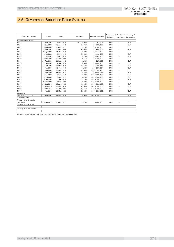# 2.5. Government Securities Rates (% p. a.)

| Government security        | Issued      | Maturity    | Interest rate | Amount outstanding | Currency of<br>the issue | Indexation of<br>the principal | Currency of<br>the payments |
|----------------------------|-------------|-------------|---------------|--------------------|--------------------------|--------------------------------|-----------------------------|
| Government securities      |             |             |               |                    |                          |                                |                             |
| <b>RS21</b>                | 1 Feb 2001  | 1 Mar 2015  | $TOM + 1,00%$ | 34,057,005         | <b>EUR</b>               | ٠                              | <b>EUR</b>                  |
| <b>RS29</b>                | 15 Jan 2002 | 15 Jan 2012 | 5.375%        | 55,000,000         | <b>EUR</b>               |                                | <b>EUR</b>                  |
| <b>RS32</b>                | 15 Jan 2002 | 15 Jan 2012 | 5.375%        | 23,865,500         | <b>EUR</b>               | ۰                              | <b>EUR</b>                  |
| <b>RS33</b>                | 1 Jan 2002  | 31 Dec 2022 | 8.000%        | 82,880,109         | <b>EUR</b>               |                                | <b>EUR</b>                  |
| <b>RS38</b>                | 19 Apr 2002 | 19 Apr 2017 | 5.63%         | 68,847,000         | <b>EUR</b>               |                                | <b>EUR</b>                  |
| <b>RS44</b>                | 8 Nov 2002  | 8 Nov 2012  | 6.650%        | 4,443,536          | <b>EUR</b>               |                                | <b>EUR</b>                  |
| <b>RS48</b>                | 2 Dec 2002  | 2 Dec 2012  | 4.75%         | 56,465,200         | <b>EUR</b>               | ٠                              | <b>EUR</b>                  |
| <b>RS49</b>                | 10 Jan 2003 | 10 Jan 2022 | 4.75%         | 29,632,020         | <b>EUR</b>               | ٠                              | <b>EUR</b>                  |
| <b>RS50</b>                | 24 Feb 2003 | 24 Feb 2013 | 4.50%         | 48,527,000         | <b>EUR</b>               | ٠                              | <b>EUR</b>                  |
| <b>RS53</b>                | 8 Apr 2003  | 8 Apr 2018  | 4.88%         | 79,290,900         | <b>EUR</b>               |                                | <b>EUR</b>                  |
| <b>RS54</b>                | 15 Oct 2003 | 15 Oct 2013 | 5.750%        | 76,295,376         | <b>EUR</b>               | ٠                              | <b>EUR</b>                  |
| <b>RS57</b>                | 15 Mar 2004 | 15 Oct 2014 | 4.88%         | 259,697,224        | <b>EUR</b>               | ٠                              | <b>EUR</b>                  |
| <b>RS59</b>                | 17 Jan 2005 | 17 Feb 2016 | 4.000%        | 1,121,325,495      | <b>EUR</b>               | ٠                              | <b>EUR</b>                  |
| <b>RS62</b>                | 18 Jan 2006 | 23 Mar 2017 | 3.50%         | 390,540,053        | <b>EUR</b>               | ٠                              | <b>EUR</b>                  |
| <b>RS63</b>                | 6 Feb 2008  | 6 Feb 2019  | 4.38%         | 1,000,000,000      | <b>EUR</b>               | ٠                              | <b>EUR</b>                  |
| <b>RS64</b>                | 5 Feb 2009  | 5 Feb 2012  | 4.25%         | 1,000,000,000      | <b>EUR</b>               |                                | <b>EUR</b>                  |
| <b>RS65</b>                | 2 Apr 2009  | 2 Apr 2014  | 4.375%        | 1,500,000,000      | <b>EUR</b>               |                                | <b>EUR</b>                  |
| <b>RS66</b>                | 9 Sep 2009  | 9 Sep 2024  | 4.63%         | 1,500,000,000      | <b>EUR</b>               |                                | <b>EUR</b>                  |
| <b>RS67</b>                | 26 Jan 2010 | 26 Jan 2020 | 4.125%        | 1,500,000,000      | <b>EUR</b>               | ٠                              | <b>EUR</b>                  |
| <b>RS68</b>                | 17 Mar 2010 | 17 Mar 2015 | 2.750%        | 1,000,000,000      | <b>EUR</b>               |                                | <b>EUR</b>                  |
| <b>RS69</b>                | 18 Jan 2011 | 18 Jan 2021 | 4.375%        | 1,500,000,000      | <b>EUR</b>               |                                | <b>EUR</b>                  |
| <b>RS70</b>                | 30 Mar 2011 | 30 Mar 2026 | 5.125%        | 1,500,000,000      | <b>EUR</b>               | $\overline{\phantom{a}}$       | <b>EUR</b>                  |
| Eurobonds                  |             |             |               |                    |                          |                                |                             |
| SLOVEN4 03/22/18           | 22 Mar 2007 | 22 Mar 2018 | 4.00%         | 1,000,000,000      | <b>EUR</b>               | ٠                              | <b>EUR</b>                  |
| <b>TREASURY BILLS</b>      |             |             |               |                    |                          |                                |                             |
| Treasury Bills - 3 months  |             |             |               |                    |                          |                                |                             |
| 133. issue                 | 13 Oct 2011 | 12 Jan 2012 | 1.19%         | 28.260.000         | <b>EUR</b>               | ٠                              | <b>EUR</b>                  |
| Treasury Bills - 6 months  |             |             |               |                    |                          |                                |                             |
|                            |             |             |               |                    |                          |                                |                             |
| Treasury Bills - 12 months |             |             |               |                    |                          |                                |                             |
|                            |             |             |               |                    |                          |                                |                             |

In case of dematerialised securities, the interest rate is applied from the day of issue.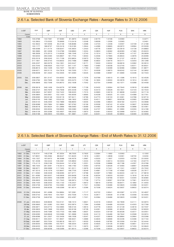**EUROSYSTEM**

### 2.6.1.a. Selected Bank of Slovenia Exchange Rates - Average Rates to 31.12.2006

|      | in SIT | <b>EUR</b>   | GBP            | CHF      | <b>USD</b>     | <b>JPY</b> | CZK    | <b>HUF</b>     | <b>PLN</b> | <b>SKK</b> | <b>HRK</b> |
|------|--------|--------------|----------------|----------|----------------|------------|--------|----------------|------------|------------|------------|
|      | Column | $\mathbf{1}$ | $\overline{c}$ | 3        | $\overline{4}$ | 5          | 6      | $\overline{7}$ | 8          | 9          | 10         |
|      | Code   |              |                |          |                |            |        |                |            |            |            |
| 1992 |        | 105.0788     | 142.7461       | 57.9490  | 81.2870        | 0.6422     | 2.8170 | 1.0106         | 0.0060     | ٠          | 0.4271     |
| 1993 |        | 132.2802     | 170.0252       | 76.6669  | 113.2419       | 1.0248     | 3.8509 | 1.2306         | 0.0063     | ٠          | 0.0491     |
| 1994 |        | 152.3622     | 197.0006       | 94.2149  | 128.8086       | 1.2598     | 4.4723 | 1.2408         | 0.0057     | 4.0159     | 21.2188    |
| 1995 |        | 153.1177     | 186.9737       | 100.2418 | 118.5185       | 1.2644     | 4.4366 | 0.9665         | 49.0672    | 3.9584     | 22.5009    |
| 1996 |        | 169,5098     | 211.4174       | 109.6247 | 135.3654       | 1.2453     | 4.9776 | 0.9097         | 50.3619    | 4.4139     | 24.8883    |
| 1997 |        | 180.3985     | 261.5308       | 110.0789 | 159.6893       | 1.3224     | 5.0803 | 0.8582         | 48.8393    | 4.7465     | 25.9223    |
| 1998 |        | 186.2659     | 275.2013       | 114.6526 | 166.1346       | 1.2743     | 5.1514 | 0.7841         | 47.8055    | 4.7157     | 26.0659    |
| 1999 |        | 193.6253     | 294.0493       | 120.9907 | 181.7704       | 1.6053     | 5.2556 | 0.7665         | 45.8644    | 4.3976     | 25.6099    |
| 2000 |        | 205.0316     | 336.5545       | 131.7159 | 222.6824       | 2.0673     | 5.7624 | 0.7888         | 51.2137    | 4.8181     | 26.9045    |
| 2001 |        | 217.1851     | 349.3743       | 143.8502 | 242.7488       | 1.9989     | 6.3822 | 0.8476         | 59.3171    | 5.0203     | 29.1298    |
| 2002 |        | 226.2237     | 360.0079       | 154.1931 | 240.2447       | 1.9171     | 7.3500 | 0.9332         | 58.8916    | 5.3062     | 30.5910    |
| 2003 |        | 233.7045     | 338.0625       | 153.7727 | 207.1137       | 1.7863     | 7.3480 | 0.9238         | 53.2745    | 5.6371     | 30.9031    |
| 2004 |        | 238.8615     | 352.1029       | 154.7207 | 192.3811       | 1.7783     | 7.4931 | 0.9499         | 52.8366    | 5.9692     | 31.8877    |
| 2005 |        | 239.6371     | 350.3115       | 154.7818 | 192.7055       | 1.7511     | 8.0509 | 0.9670         | 59.6242    | 6.2144     | 32.3952    |
| 2006 |        | 239.6009     | 351.4322       | 152.3405 | 191.0283       | 1.6425     | 8.4588 | 0.9087         | 61.5690    | 6.4436     | 32.7343    |
|      |        |              |                |          |                |            |        |                |            |            |            |
| 2005 | Oct.   | 239.5807     | 351.3147       | 154.6052 | 199.2506       | 1.7376     | 8.0799 | 0.9515         | 61.1596    | 6.1615     | 32.4528    |
|      | Nov.   | 239.5792     | 352.7656       | 155.1060 | 203.2470       | 1.7166     | 8.1855 | 0.9550         | 60.2878    | 6.1914     | 32.4951    |
|      | Dec.   | 239.5806     | 352.7348       | 154.8072 | 202.1508       | 1.7042     | 8.2754 | 0.9485         | 62.1571    | 6.3288     | 32.4458    |
|      |        |              |                |          |                |            |        |                |            |            |            |
| 2006 | Jan.   | 239.5819     | 349.1456       | 154.6279 | 197.9386       | 1.7139     | 8.3432 | 0.9564         | 62.7640    | 6.3919     | 32.4928    |
|      | Feb.   | 239.5747     | 350.7676       | 153.7948 | 200.4449       | 1.7002     | 8.4410 | 0.9529         | 63.1841    | 6.4103     | 32.7543    |
|      | Mar.   | 239.5850     | 347.9357       | 152.7422 | 199.5020       | 1.7015     | 8.3693 | 0.9219         | 61.8858    | 6.4003     | 32.7118    |
|      | Apr.   | 239.5864     | 345.0651       | 152.1430 | 195.9356       | 1.6695     | 8.4039 | 0.9025         | 61.1223    | 6.4088     | 32.7791    |
|      | May    | 239.6060     | 350.6148       | 153.9118 | 187.6411       | 1.6796     | 8.4773 | 0.9133         | 61.5581    | 6.3788     | 32.9716    |
|      | Jun.   | 239.6155     | 349.1390       | 153.6103 | 189.1902       | 1.6520     | 8.4511 | 0.8851         | 59.6528    | 6.3065     | 33.0389    |
|      | Jul.   | 239.6143     | 348.2300       | 152.7889 | 188.8930       | 1.6335     | 8.4266 | 0.8623         | 59.9182    | 6.2473     | 33.0698    |
|      | Aug.   | 239,6088     | 353.7894       | 151.8884 | 187.0762       | 1.6156     | 8.5006 | 0.8742         | 61.4034    | 6.3607     | 32.9058    |
|      | Sep.   | 239.6018     | 354.9524       | 151.2966 | 188.0560       | 1.6069     | 8.4480 | 0.8726         | 60.4599    | 6.3898     | 32.4361    |
|      | Oct.   | 239.6052     | 355.9334       | 150.6935 | 190.0380       | 1.6008     | 8.4737 | 0.8964         | 61.3990    | 6.5055     | 32.4196    |
|      | Nov.   | 239.6129     | 355.5299       | 150.4937 | 186.2352       | 1.5870     | 8.5461 | 0.9243         | 62.5999    | 6.6741     | 32.6365    |
|      | Dec.   | 239.6188     | 356.0833       | 150.0954 | 181.3881       | 1.5491     | 8.6251 | 0.9429         | 62.8802    | 6.8490     | 32.5958    |

# 2.6.1.b. Selected Bank of Slovenia Exchange Rates - End of Month Rates to 31.12.2006

|      | in SIT    | <b>EUR</b> | GBP            | CHF      | <b>USD</b>     | <b>JPY</b> | <b>CZK</b> | <b>HUF</b>     | <b>PLN</b> | <b>SKK</b> | <b>HRK</b> |
|------|-----------|------------|----------------|----------|----------------|------------|------------|----------------|------------|------------|------------|
|      | Column    | 1          | $\overline{c}$ | 3        | $\overline{4}$ | 5          | 6          | $\overline{7}$ | 8          | 9          | 10         |
|      | Code      |            |                |          |                |            |            |                |            |            |            |
| 1992 | 31.Dec.   | 119,4741   | 149.2738       | 67.5004  | 98.7005        | 0.7925     | 3.3584     | 1.1692         | 0.0063     |            | 0.1300     |
| 1993 | 31.Dec.   | 147.8001   | 195.2084       | 89.8447  | 131.8420       | 1.1819     | 4.2931     | 1.2808         | 0.0061     | 3.8730     | 0.0200     |
| 1994 | 31.Dec.   | 155.1327   | 197.6472       | 96.5088  | 126.4576       | 1.2687     | 4.5533     | 1.1607         | 0.0053     | 4.0795     | 22.0000    |
| 1995 | 31.Dec.   | 161.4538   | 194.5444       | 109.4581 | 125.9902       | 1.2224     | 4.7260     | 0.9314         | 50.0004    | 4.2194     | 23.6770    |
| 1996 | 31.Dec.   | 175.4113   | 239.0169       | 104.6444 | 141.4792       | 1.2201     | 5.2536     | 0.8988         | 49.7196    | 4.4357     | 25.5786    |
| 1997 | 31.Dec.   | 186.7334   | 281.5091       | 116.3514 | 169.1792       | 1.3063     | 4.9700     | 0.8426         | 47.3093    | 4.8667     | 26.8496    |
| 1998 | 31.Dec.   | 188.9271   | 269.5999       | 117.7452 | 161.2011       | 1.3976     | 5.4048     | 0.7441         | 47.1241    | 4.3637     | 25.7502    |
| 1999 | 31.Dec.   | 197.3215   | 318.1579       | 122.9647 | 196.7705       | 1.9249     | 5.4681     | 0.7758         | 47.4582    | 4.6526     | 25.7617    |
| 2000 | 31.Dec.   | 211.5062   | 339.3329       | 138.9295 | 227.3771       | 1.9798     | 6.0387     | 0.7980         | 54.9224    | 4.8113     | 27.9818    |
| 2001 | 31.Dec.   | 221.4095   | 363.5027       | 149.5606 | 250.9458       | 1.9138     | 6.9234     | 0.9033         | 63.3051    | 5.1816     | 30.1816    |
| 2002 | 31.Dec.   | 230.2673   | 354.0940       | 158.5099 | 221.0708       | 1.8542     | 7.3194     | 0.9768         | 57.6331    | 5.5300     | 30.8380    |
| 2003 | 31.Dec.   | 236,6903   | 336.2556       | 151.7343 | 189.3674       | 1.7708     | 7.2774     | 0.9067         | 50.5759    | 5.7561     | 30.9723    |
| 2004 | 31.Dec.   | 239.7430   | 338.3333       | 155.1132 | 176.2427       | 1.6972     | 7.8816     | 0.9765         | 58.8471    | 6.1892     | 31.4055    |
| 2005 | 31.Dec.   | 239,5756   | 348.6765       | 154.0382 | 202.4297       | 1.7221     | 8.2584     | 0.9486         | 62.0823    | 6.3288     | 32.5201    |
| 2006 | 31.Dec.   | 239.6400   | 356.9258       | 149.0299 | 181.9314       | 1.5296     | 8.7208     | 0.9524         | 62.5937    | 6.9602     | 32.6374    |
|      |           |            |                |          |                |            |            |                |            |            |            |
| 2005 | 31.Oct.   | 239.6246   | 351.4588       | 154.9664 | 197.2381       | 1.7117     | 8.0722     | 0.9541         | 60.0367    | 6.1375     | 32.4937    |
|      | 30.Nov.   | 239.5742   | 349.7944       | 154.7937 | 202.7026       | 1.7014     | 8.2817     | 0.9539         | 61.4766    | 6.3358     | 32.4055    |
|      | 31.Dec.   | 239.5756   | 348.6765       | 154.0382 | 202.4297       | 1.7221     | 8.2584     | 0.9486         | 62.0823    | 6.3288     | 32.5201    |
|      |           |            |                |          |                |            |            |                |            |            |            |
| 2006 | 31.Jan.   | 239.5844   | 349.9626       | 154.0141 | 198.1510       | 1.6841     | 8.4316     | 0.9520         | 62.7809    | 6.4111     | 32.5974    |
|      | 28.Feb.   | 239,5663   | 351.5280       | 153.1950 | 202.0974       | 1.7394     | 8.4569     | 0.9489         | 63.5320    | 6.4303     | 32.7769    |
|      | 31.Mar.   | 239.5871   | 345.0772       | 152.0995 | 198.5145       | 1.6915     | 8.3778     | 0.9025         | 61.0149    | 6.3618     | 32.7037    |
|      | 30 Apr.   | 239.5803   | 345.1668       | 152.4630 | 190.9158       | 1.6728     | 8.4261     | 0.9068         | 61.8033    | 6.4059     | 32.9003    |
|      | 31.May    | 239,6203   | 349.7596       | 153.7703 | 186.1996       | 1.6637     | 8.5023     | 0.9159         | 60.8328    | 6.3577     | 33.0051    |
|      | 30.Jun.   | 239.6285   | 346.6848       | 153.0586 | 191.2896       | 1.6426     | 8.4110     | 0.8489         | 58.7642    | 6.2599     | 33.0974    |
|      | $31$ Jul. | 239,6096   | 351.2307       | 152.3459 | 189,1008       | 1.6347     | 8.4227     | 0.8849         | 60.9864    | 6.2964     | 33.0268    |
|      | 31.Aug    | 239.6011   | 355.3331       | 151.9637 | 186.9401       | 1.5966     | 8.4845     | 0.8669         | 60.5436    | 6.3496     | 32.7154    |
|      | 30.Sep.   | 239.5987   | 353.7034       | 150.8618 | 189.1071       | 1.6033     | 8.4649     | 0.8785         | 60.3356    | 6.4184     | 32.4444    |
|      | 31.Oct.   | 239,6000   | 358.0395       | 150.7677 | 188.3204       | 1.6032     | 8.4625     | 0.9126         | 61.6382    | 6.5851     | 32.5743    |
|      | 30.Nov    | 239.6220   | 355.1008       | 150.8100 | 182.1113       | 1.5670     | 8.5671     | 0.9308         | 62.6872    | 6.7455     | 32.5843    |
|      | 31.Dec.   | 239.6400   | 356.9258       | 149.0299 | 181.9314       | 1.5296     | 8.7208     | 0.9524         | 62.5937    | 6.9602     | 32.6374    |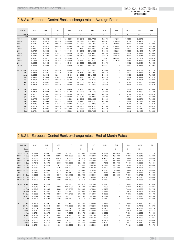### 2.6.2.a. European Central Bank exchange rates - Average Rates

| for EUR |        | GBP          | CHF            | <b>USD</b> | <b>JPY</b>     | CZK     | <b>HUF</b> | <b>PLN</b>     | <b>SKK</b>               | <b>DKK</b> | <b>SEK</b> | <b>HRK</b> |
|---------|--------|--------------|----------------|------------|----------------|---------|------------|----------------|--------------------------|------------|------------|------------|
|         | Column | $\mathbf{1}$ | $\overline{c}$ | 3          | $\overline{4}$ | 5       | 6          | $\overline{7}$ | 8                        | 9          | 10         | 11         |
|         | Code   |              |                |            |                |         |            |                |                          |            |            |            |
| 1999    |        | 0.6587       | 1.6003         | 1.0658     | 121.3200       | 36.8840 | 252.7700   | 4.2274         | 44.1230                  | 7.4355     | 8.8075     |            |
| 2000    |        | 0.6095       | 1.5579         | 0.9236     | 99.4700        | 35.5990 | 260.0400   | 4.0082         | 42.6020                  | 7.4538     | 8.4452     |            |
| 2001    |        | 0.6219       | 1.5105         | 0.8956     | 108.6800       | 34.0680 | 256.5900   | 3.6721         | 43.3000                  | 7.4521     | 9.2551     | 7.4820     |
| 2002    |        | 0.6288       | 1.4670         | 0.9456     | 118.0600       | 30.8040 | 242.9600   | 3.8574         | 42.6940                  | 7.4305     | 9.1611     | 7.4130     |
| 2003    |        | 0.6920       | 1.5212         | 1.1312     | 130.9700       | 31.8460 | 253.6200   | 4.3996         | 41.4890                  | 7.4307     | 9.1242     | 7.5688     |
| 2004    |        | 0.6787       | 1.5438         | 1.2439     | 134.4400       | 31.8910 | 251.6600   | 4.5268         | 40.0220                  | 7.4399     | 9.1243     | 7.4967     |
| 2005    |        | 0.6838       | 1.5483         | 1.2441     | 136.8500       | 29.7820 | 248.0500   | 4.0230         | 38.5990                  | 7.4518     | 9.2822     | 7.4008     |
| 2006    |        | 0.6817       | 1.5729         | 1.2556     | 146.0200       | 28.3420 | 264.2600   | 3.8959         | 37.2340                  | 7.4591     | 9.2544     | 7.3247     |
| 2007    |        | 0.6843       | 1.6427         | 1.3705     | 161.2500       | 27.7660 | 251.3500   | 3.7837         | 33.7750                  | 7.4506     | 9.2501     | 7.3376     |
| 2008    |        | 0.7963       | 1.5874         | 1.4708     | 152.4500       | 24.9460 | 251.5100   | 3.5121         | 31.2620                  | 7.4560     | 9.6152     | 7.2239     |
| 2009    |        | 0.8909       | 1.5100         | 1.3948     | 130.3400       | 26.4350 | 280.3300   | 4.3276         |                          | 7.4462     | 10.6191    | 7.3400     |
| 2010    |        | 0.8578       | 1.3803         | 1.3257     | 116.2400       | 25.2840 | 275.4800   | 3.9947         |                          | 7.4473     | 9.5373     | 7.2891     |
|         |        |              |                |            |                |         |            |                |                          |            |            |            |
| 2010    | Jun.   | 0.8277       | 1.3767         | 1.2208     | 110.9900       | 25.7800 | 281.4800   | 4.1055         |                          | 7.4409     | 9.5722     | 7.2225     |
|         | Jul.   | 0.8357       | 1.3460         | 1.2770     | 111.7300       | 25.3280 | 283.7500   | 4.0814         | ۰                        | 7.4522     | 9.4954     | 7.2198     |
|         | Aug.   | 0.8236       | 1.3413         | 1.2894     | 110.0400       | 24.8060 | 281.4500   | 3.9899         | $\overline{\phantom{a}}$ | 7.4495     | 9.4216     | 7.2525     |
|         | Sep.   | 0.8399       | 1.3089         | 1.3067     | 110.2600       | 24.6510 | 282.1000   | 3.9548         | ۰                        | 7.4476     | 9.2241     | 7.2874     |
|         | Oct.   | 0.8764       | 1.3452         | 1.3898     | 113.6700       | 24.5310 | 274.0100   | 3.9496         | $\overline{\phantom{a}}$ | 7.4567     | 9.2794     | 7.3277     |
|         | Nov.   | 0.8551       | 1.3442         | 1.3661     | 112.6900       | 24.6330 | 275.5100   | 3.9520         | ٠                        | 7.4547     | 9.3166     | 7.3830     |
|         | Dec    | 0.8481       | 1.2811         | 1.3220     | 110.1100       | 25.1740 | 277.6200   | 3.9962         |                          | 7.4528     | 9.0559     | 7.3913     |
|         |        |              |                |            |                |         |            |                |                          |            |            |            |
| 2011    | Jan.   | 0.8471       | 1.2779         | 1.3360     | 110.3800       | 24.4490 | 275.3300   | 3.8896         | ٠                        | 7.4518     | 8.9122     | 7.4008     |
|         | Feb.   | 0.8464       | 1.2974         | 1.3649     | 112.7700       | 24.2770 | 271.1500   | 3.9264         |                          | 7.4555     | 8.7882     | 7.4149     |
|         | Mar.   | 0.8665       | 1.2867         | 1.3999     | 114.4000       | 24.3930 | 270.8900   | 4.0145         | ۰                        | 7.4574     | 8.8864     | 7.3915     |
|         | Apr.   | 0.8829       | 1.2977         | 1.4442     | 120.4200       | 24.3010 | 265.2900   | 3.9694         |                          | 7.4574     | 8.9702     | 7.3639     |
|         | May.   | 0.8779       | 1.2537         | 1.4349     | 116.4700       | 24.3810 | 266.9600   | 3.9404         | $\overline{\phantom{a}}$ | 7.4566     | 8.9571     | 7.4052     |
|         | Jun.   | 0.8875       | 1.2092         | 1.4388     | 115.7500       | 24.2860 | 266.8700   | 3.9702         | $\overline{\phantom{a}}$ | 7.4579     | 9.1125     | 7.4065     |
|         | Jul.   | 0.8848       | 1.1766         | 1.4264     | 113.2600       | 24.3350 | 267.6800   | 3.9951         | ٠                        | 7.4560     | 9.1340     | 7.4316     |
|         | Aug.   | 0.8767       | 1.1203         | 1.4343     | 110.4300       | 24.2730 | 272.3700   | 4.1195         |                          | 7.4498     | 9.1655     | 7.4620     |
|         | Sep.   | 0.8717       | 1.2005         | 1.3770     | 105.7500       | 24.5560 | 285.0500   | 4.3379         |                          | 7.4462     | 9.1343     | 7.4936     |
|         | Oct.   | 0.8704       | 1.2295         | 1.3706     | 105.0600       | 24.8410 | 296.7900   | 4.3516         |                          | 7.4442     | 9.1138     | 7.4849     |

### 2.6.2.b. European Central Bank exchange rates - End of Month Rates

|      |         | GBP          |                | <b>USD</b> | <b>JPY</b>     |         |            |                |                          |            |            |            |
|------|---------|--------------|----------------|------------|----------------|---------|------------|----------------|--------------------------|------------|------------|------------|
|      | for EUR |              | CHF            |            |                | CZK     | <b>HUF</b> | <b>PLN</b>     | <b>SKK</b>               | <b>DKK</b> | <b>SEK</b> | <b>HRK</b> |
|      | Column  | $\mathbf{1}$ | $\overline{c}$ | 3          | $\overline{4}$ | 5       | 6          | $\overline{7}$ | 8                        | 9          | 10         | 11         |
|      | Code    |              |                |            |                |         |            |                |                          |            |            |            |
| 1999 | 31.Dec  | 0.6217       | 1.6051         | 1.0046     | 102.7300       | 36.1030 | 254,7000   | 4.1587         | 42.4020                  | 7.4433     | 8.5625     |            |
| 2000 | 31.Dec  | 0.6241       | 1.5232         | 0.9305     | 106.9200       | 35.0470 | 265,0000   | 3.8498         | 43.9330                  | 7.4631     | 8.8313     | 7.5800     |
| 2001 | 31.Dec  | 0.6085       | 1.4829         | 0.8813     | 115.3300       | 31.9620 | 245.1800   | 3.4953         | 42.7800                  | 7.4365     | 9.3012     | 7.3490     |
| 2002 | 31.Dec  | 0.6505       | 1.4524         | 1.0487     | 124.3900       | 31.5770 | 236.2900   | 4.0210         | 41.5030                  | 7.4288     | 9.1528     | 7.4750     |
| 2003 | 31.Dec  | 0.7048       | 1.5579         | 1.2630     | 135.0500       | 32.4100 | 262.5000   | 4.7019         | 41.1700                  | 7.4450     | 9.0800     | 7.6451     |
| 2004 | 31.Dec  | 0.7051       | 1.5429         | 1.3621     | 139.6500       | 30.4640 | 245.9700   | 4.0845         | 38.7450                  | 7.4388     | 9.0206     | 7.6650     |
| 2005 | 31.Dec  | 0.6853       | 1.5551         | 1.1797     | 138.9000       | 29.0000 | 252.8700   | 3.8600         | 37.8800                  | 7.4605     | 9.3885     | 7.3715     |
| 2006 | 31.Dec  | 0.6715       | 1.6069         | 1.3170     | 156.9300       | 27.4850 | 251.7700   | 3.8310         | 34.4350                  | 7.4560     | 9.0404     | 7.3504     |
| 2007 | 31.Dec  | 0.7334       | 1.6547         | 1.4721     | 164.9300       | 26.6280 | 253.7300   | 3.5935         | 33.5830                  | 7.4583     | 9.4415     | 7.3308     |
| 2008 | 31.Dec. | 0.9525       | 1.4850         | 1.3917     | 126.1400       | 26.8750 | 266.7000   | 4.1535         | 30.1260                  | 7.4506     | 10.8700    | 7.3555     |
| 2009 | 31.Dec. | 0.8881       | 1.4836         | 1.4406     | 133.1600       | 26.4730 | 270.4200   | 4.1045         |                          | 7.4418     | 10.2520    | 7.3000     |
| 2010 | 31.Dec. | 0.8608       | 1.2504         | 1.3362     | 108.6500       | 25.0610 | 277.9500   | 3.9750         |                          | 7.4535     | 8.9655     | 7.3830     |
|      |         |              |                |            |                |         |            |                |                          |            |            |            |
| 2010 | 30.Jun. | 0.8175       | 1.3283         | 1.2271     | 108.7900       | 25.6910 | 286.0000   | 4.1470         |                          | 7.4488     | 9.5259     | 7.1980     |
|      | 31.Jul. | 0.8349       | 1.3541         | 1.3028     | 112.6200       | 24.7770 | 285.6200   | 4.0085         |                          | 7.4510     | 9.4333     | 7.2361     |
|      | 31.Aug. | 0.8248       | 1.2935         | 1.2680     | 107.0700       | 24.8500 | 287.6800   | 4.0135         | $\overline{\phantom{a}}$ | 7.4448     | 9.3890     | 7.2725     |
|      | 30.Sep. | 0.8600       | 1.3287         | 1.3648     | 113.6800       | 24.6000 | 275.7500   | 3.9847         | ٠                        | 7.4519     | 9.1421     | 7.3058     |
|      | 31.Oct. | 0.8686       | 1.3708         | 1.3857     | 111.8700       | 24.5980 | 271.7600   | 3.9820         |                          | 7.4562     | 9.3610     | 7.3470     |
|      | 30.Nov. | 0.8377       | 1.2990         | 1.2998     | 109.0000       | 24.9150 | 284.1800   | 4.0692         |                          | 7.4529     | 9.1715     | 7.4260     |
|      | 31.Dec. | 0.8608       | 1.2504         | 1.3362     | 108.6500       | 25.0610 | 277.9500   | 3.9750         |                          | 7.4535     | 8.9655     | 7.3830     |
|      |         |              |                |            |                |         |            |                |                          |            |            |            |
| 2011 | 31.Jan. | 0.8609       | 1.2891         | 1.3692     | 112,4900       | 24.2230 | 273.8500   | 3.9362         | ٠                        | 7.4544     | 8.8670     | 7.4171     |
|      | 28.Feb. | 0.8528       | 1.2840         | 1.3834     | 113,2600       | 24.3530 | 270.7200   | 3.9548         |                          | 7.4564     | 8.7445     | 7.4279     |
|      | 31.Mar. | 0.8837       | 1.3005         | 1.4207     | 117.6100       | 24.5430 | 265.7200   | 4.0106         | ٠                        | 7.4567     | 8.9329     | 7.3778     |
|      | 30.Apr. | 0.8917       | 1.2867         | 1.4860     | 120.6700       | 24.2230 | 264.5000   | 3.9356         | ٠                        | 7.4576     | 8.9140     | 7.3615     |
|      | 31.May  | 0.8721       | 1.2275         | 1.4385     | 117.2200       | 24.5470 | 266,8500   | 3.9558         | ٠                        | 7.4561     | 8.8932     | 7.4460     |
|      | 30.Jun. | 0.9026       | 1.2071         | 1.4453     | 116,2500       | 24.3450 | 266,1100   | 3.9903         | ٠                        | 7.4587     | 9.1739     | 7.4018     |
|      | 31.Jul. | 0.8749       | 1.1418         | 1.4260     | 110.5900       | 24.1880 | 269.9700   | 4.0086         | ٠                        | 7.4494     | 9.0689     | 7.4375     |
|      | 31.Aug. | 0.8856       | 1.1670         | 1.4450     | 110.5500       | 24.1100 | 272.0000   | 4.1481         |                          | 7.4512     | 9.1640     | 7.4848     |
|      | 30.Sep  | 0.8667       | 1.2170         | 1.3503     | 103.7900       | 24.7540 | 292.5500   | 4.4050         |                          | 7.4417     | 9.2580     | 7.4995     |
|      | 31.Oct. | 0.8731       | 1.2191         | 1.4001     | 109.2200       | 24.8010 | 303.5500   | 4.3447         |                          | 7.4420     | 9.0090     | 7.4970     |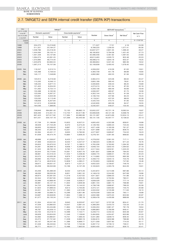**EUROSYSTEM**

### 2.7. TARGET2 and SEPA internal credit transfer (SEPA IKP) transactions

|           | Value                         |                        | IARGET <sup>2</sup>     |                                    |                |                        |                          | SEPA IKP transactions $1,2$ |                  |
|-----------|-------------------------------|------------------------|-------------------------|------------------------------------|----------------|------------------------|--------------------------|-----------------------------|------------------|
|           | until 31.12.2006              |                        |                         |                                    |                |                        |                          |                             |                  |
|           | in mio SIT                    | Domestic payments $^3$ |                         | Cross-border payments <sup>4</sup> |                | Number                 | Gross Value <sup>5</sup> | Net Value <sup>6</sup>      | Net Cash Flow    |
|           | from 01.01.2007<br>in mio EUR | Number                 | Value                   | Number                             | Value          |                        |                          |                             | in %             |
|           | Column                        | 1                      | $\overline{\mathbf{c}}$ | $\overline{3}$                     | $\overline{4}$ | 5                      | 6                        | 7                           | $8 = (7/6)^*100$ |
|           | Code                          |                        |                         |                                    |                |                        |                          |                             |                  |
| 1998      |                               | 224,270                | 15,216.80               | ÷,                                 | ÷,             | 171,527                | 17.01                    | 4.18                        | 24.59            |
| 1999      |                               | 511,321                | 23,184.37               |                                    | ÷,             | 9,789,220              | 1,259.30                 | 1,077.41                    | 85.56            |
| 2000      |                               | 1,039,796              | 22,218.30               |                                    | ä,             | 34,837,077             | 2,801.55                 | 1,296.40                    | 46.27            |
| 2001      |                               | 1,444,594              | 29,153.14               |                                    | ÷,             | 48,180,832             | 3,794.08                 | 1,431.45                    | 37.73            |
| 2002      |                               | 1,351,429              | 40,137.66               |                                    | ٠              | 50,486,456             | 4,461.62                 | 1,097.55                    | 24.60            |
| 2003      |                               | 1,264,074              | 43,391.20               |                                    |                | 46,613,463             | 4,505.72                 | 902.48                      | 20.03            |
| 2004      |                               | 1,370,990              | 48,774.40               |                                    | ä,             | 48,598,215             | 4,844.19                 | 932.37                      | 19.25            |
| 2005      |                               | 1,403,876              | 62,694.04               |                                    | ÷,             | 49,368,854             | 5,021.52                 | 980.36                      | 19.52            |
| 2006      |                               | 1,567,213              | 76,107.58               |                                    | ٠              | 52,108,939             | 5,493.42                 | 1,078.40                    | 19.63            |
|           |                               |                        |                         |                                    |                |                        |                          |                             |                  |
| 2005 Oct. |                               | 116,247                | 5,315.74                |                                    | ٠              | 4,059,202              | 416.29                   | 81.63                       | 19.61            |
|           | Nov.                          | 125,488                | 5,726.53                |                                    |                | 4,393,709              | 451.78                   | 89.89                       | 19.90            |
|           | Dec.                          | 145,117                | 7,248.89                |                                    | ٠              | 4,692,082              | 492.23                   | 91.56                       | 18.60            |
|           |                               |                        |                         |                                    |                |                        |                          |                             |                  |
| 2006 Jan. |                               | 120,912                | 6,216.58                |                                    | ٠              | 4,084,313              | 423.28                   | 86.64                       | 20.47            |
|           | Feb.                          | 110,330                | 6,046.12                |                                    | ÷,             | 3,800,169              | 390.43                   | 78.81                       | 20.18            |
|           | Mar.                          | 129,225                | 6,877.72                |                                    | ٠              | 4,506,835              | 456.43                   | 86.20                       | 18.89            |
|           | Apr.                          | 121,402                | 6,004.00                |                                    | ٠              | 4,073,215              | 431.34                   | 87.05                       | 20.18            |
|           | May                           | 131,262                | 6,722.14                |                                    |                | 4,559,106              | 480.46                   | 93.66                       | 19.49            |
|           | Jun.                          | 132,498                | 6,162.06                |                                    | ٠              | 4,556,337              | 480.67                   | 91.70                       | 19.08            |
|           | Jul.                          | 123,556                | 6,267.37<br>5,553.39    |                                    |                | 4,302,144<br>4,106,734 | 455.70                   | 91.59                       | 20.10            |
|           | Aug.                          | 120,691                |                         |                                    | ä,             |                        | 437.66                   | 84.23                       | 19.24            |
|           | Sep.                          | 133,030                | 6,113.46                |                                    |                | 4,118,041              | 437.05                   | 88.63                       | 20.28            |
|           | Oct.                          | 138,658<br>141,613     | 6,207.84                |                                    |                | 4,425,703              | 470.74                   | 91.95                       | 19.53<br>19.55   |
|           | Nov.<br>Dec.                  | 164,036                | 6,546.96<br>7,389.95    |                                    |                | 4,540,935<br>5,035,407 | 483.59<br>546.07         | 94.57<br>103.40             | 18.93            |
|           |                               |                        |                         |                                    |                |                        |                          |                             |                  |
| 2007      |                               | 728,846                | 364,681.45              | 72,150                             | 68,882.13      | 53,652,237             | 45,721.18                | 9,082.54                    | 19.87            |
| 2008      |                               | 659,466                | 410,351.72              | 112,700 *                          | 84,617.96 *    | 55,908,926             | 49,121.39                | 9,368.78                    | 19.07            |
| 2009      |                               | 667,403                | 507,617.82              | 117,384 *                          | 63,980.68 *    | 55,131,097             | 44,874.69                | 10,504.15                   | 23.41            |
| 2010      |                               | 647,231                | 530,107.18              | 127,269                            | 63,440.58      | 56,131,105             | 45,407.77                | 9,138.52                    | 20.13            |
|           |                               |                        |                         |                                    |                |                        |                          |                             |                  |
| 2008 Jul. |                               | 57,759                 | 31,196.89               | 10,922                             | 8,507.01       | 4,800,452              | 4,322.98                 | 859.81                      | 19.89            |
|           | Aug.                          | 49,509                 | 27,723.29               | 8,370                              | 6,274.20       | 4,129,784              | 3,690.23                 | 723.45                      | 19.60            |
|           | Sep.                          | 56,835                 | 32,056.63               | 9,897                              | 7,237.15       | 4,671,409              | 4,165.59                 | 761.37                      | 18.28            |
|           | Oct.                          | 58,340                 | 47,267.49               | 10,251                             | 7,191.73       | 4,971,699              | 4,421.93                 | 809.70                      | 18.31            |
|           | Nov.                          | 52,394                 | 40,451.17               | 9,630                              | 5,782.60       | 4,577,907              | 3,926.67                 | 734.02                      | 19.23            |
|           | Dec.                          | 61,639                 | 49,474.76               | 10,884 *                           | 5,836.25 *     | 5,278,181              | 4,591.95                 | 868.82                      | 18.92            |
|           |                               |                        |                         |                                    |                |                        |                          |                             |                  |
| 2009 Jan. |                               | 48,686                 | 41,056.97               | $8,423$ *                          | 4,273.01 *     | 4,278,032              | 3,581.00                 | 717.11                      | 20.03            |
|           | Feb.                          | 47,369                 | 43,622.04               | 8,533 *                            | 5,547.57 *     | 4,168,023              | 3,396.43                 | 671.22                      | 19.76            |
|           | Mar.                          | 55,653                 | 35,975.53               | $9,767$ *                          | $5,169.31$ *   | 4,765,206              | 3,783.82                 | 1,294.30                    | 28.90            |
|           | Apr.                          | 54,281                 | 38,569.16               | $9,658$ *                          | $6,399.43$ *   | 4,648,154              | 3,832.43                 | 1,294.62                    | 27.19            |
|           | May                           | 51,322                 | 28,792.16               | $9,782$ *                          | 5,519.91 *     | 4,517,344              | 3,632.91                 | 1,222.23                    | 27.03            |
|           | Jun.                          | 55,544                 | 35,773.60               | 10,561 *                           | 6,937.76 *     | 4,901,837              | 3,866.26                 | 784.05                      | 20.02            |
|           | Jul.                          | 58,681                 | 42,316.43               | 11,002 *                           | 5,439.36 *     | 4,808,170              | 3,889.31                 | 791.56                      | 20.23            |
|           | Aug.                          | 50,575                 | 42,635.38               | 8,876 *                            | 3,874.08 *     | 4,114,660              | 3,379.03                 | 682.38                      | 20.19            |
|           | Sep                           | 56.692                 | 50.775.91               | $10,831$ *                         | $6,051.54$ *   | 4,459,772              | 3,640.15                 | 704.76                      | 19.36            |
|           | Oct.                          | 63,714                 | 48,916.50               | 10,909 *                           | 4,390.21 *     | 4,703,953              | 3,838.92                 | 747.90                      | 19.48            |
|           | Nov.                          | 59,677                 | 39,631.47               | 8,873 *                            | 4,221.21 *     | 4,602,323              | 3,728.67                 | 749.76                      | 20.11            |
|           | Dec.                          | 65,209                 | 59,552.68               | 10,169                             | 6,157.29       | 5,163,623              | 4,305.76                 | 844.26                      | 19.61            |
| 2010 Jan. |                               | 50,259                 | 65,486.59               | 8,032                              | 3,674.26       | 4,222,872              | 3,414.68                 | 687.88                      | 20.14            |
|           | Feb                           | 48,056                 | 58,055.06               | 8,601                              | 3,851.32       | 4,148,419              | 3,244.92                 | 647.69                      | 19.96            |
|           | Mar                           | 56,674                 | 50,581.93               | 11,019                             | 5,427.62       | 4,911,927              | 3,866.53                 | 741.96                      | 19.19            |
|           | Apr                           | 52,344                 | 37,957.95               | 10,640                             | 4,925.35       | 4,614,480              | 3,750.94                 | 780.01                      | 20.80            |
|           | May                           | 53,496                 | 42,989.46               | 11,006                             | 5,009.27       | 4,839,029              | 3,823.93                 | 777.14                      | 20.32            |
|           | Jun.                          | 56,981                 | 45,127.18               | 11,842                             | 4,659.38       | 4,891,104              | 3,881.74                 | 768.99                      | 19.81            |
|           | Jul.                          | 54,722                 | 38,502.60               | 11,364                             | 5,144.02       | 4,758,748              | 3,866.97                 | 796.05                      | 20.59            |
|           | Aug.                          | 51,624                 | 37,896.55               | 9,614                              | 4,755.85       | 4,374,121              | 3,603.82                 | 745.70                      | 20.69            |
|           | Sep.                          | 53,331                 | 34,757.81               | 11,360                             | 4,912.66       | 4,553,532              | 3,725.99                 | 711.63                      | 19.10            |
|           | Oct.                          | 54,480                 | 32,666.75               | 10,296                             | 5,801.96       | 4,676,009              | 3,822.36                 | 760.11                      | 19.89            |
|           | Nov.                          | 53,687                 | 35,949.95               | 11,864                             | 7,496.12       | 4,832,386              | 3,970.20                 | 832.66                      | 20.97            |
|           | Dec                           | 61,577                 | 50,135.34               | 11,631                             | 7,782.78       | 5,308,478              | 4,435.69                 | 888.69                      | 20.04            |
|           |                               |                        |                         |                                    |                |                        |                          |                             |                  |
| 2011 Jan. |                               | 51,354                 | 43,541.00               | 9,640                              | 8,200.87       | 4,517,527              | 3,707.26                 | 804.41                      | 21.70            |
|           | Feb                           | 47,029                 | 33,980.63               | 10,007                             | 5,691.43       | 4,289,293              | 3,433.70                 | 722.33                      | 21.04            |
|           | Mar                           | 55,610                 | 50,434.86               | 11,864                             | 10,991.31      | 5,006,253              | 3,981.27                 | 781.78                      | 19.64            |
|           | Apr                           | 49,787                 | 45,009.10               | 11,400                             | 9,115.06       | 4,686,863              | 3,795.69                 | 846.41                      | 22.30            |
|           | May                           | 54,720                 | 33,218.72               | 12,399                             | 7,102.71       | 5,249,714              | 4,032.42                 | 833.38                      | 20.67            |
|           | June                          | 56,628                 | 33,604.93               | 11,546                             | 7,159.60       | 5,494,935              | 4,054.67                 | 820.99                      | 20.25            |
|           | Jul.                          | 52,082                 | 33,980.81               | 10,751                             | 7,366.45       | 5,031,280              | 3,839.74                 | 806.40                      | 21.00            |
|           | Aug.                          | 53,272                 | 37,731.82               | 11,008                             | 6,683.19       | 5,084,615              | 3,832.88                 | 796.86                      | 20.79            |
|           | Sep.                          | 55,137                 | 38,247.48               | 11,389                             | 6,668.77       | 5,271,059              | 3,837.82                 | 774.03                      | 20.17            |
|           | Okt.                          | 51,049                 | 38,432.84               | 10,746                             | 7,740.36       | 5,297,712              | 3,739.12                 | 736.51                      | 19.70            |
|           | Nov.                          | 56,771                 | 48,541.77               | 12,488                             | 7,663.50       | 6,800,430              | 4,050.27                 | 826.72                      | 20.41            |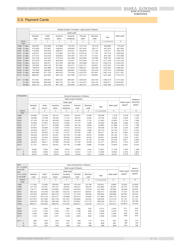### 2.8. Payment Cards

|      |              | Number of cards in circulation - cards issued in Slovenia |                |              |                           |           |                 |                         |                          |  |  |  |  |
|------|--------------|-----------------------------------------------------------|----------------|--------------|---------------------------|-----------|-----------------|-------------------------|--------------------------|--|--|--|--|
|      |              |                                                           |                |              | Credit cards <sup>1</sup> |           |                 |                         |                          |  |  |  |  |
|      |              | Domestic                                                  | Under          | Issued by    | Issued by                 | Personal  | <b>Business</b> | Total                   | Debit cards <sup>2</sup> |  |  |  |  |
|      |              | cards                                                     | licence        | <b>banks</b> | enterprises               | cards     | cards           |                         |                          |  |  |  |  |
|      | Column       | 1                                                         | $\mathfrak{p}$ | 3            | $\overline{4}$            | 5.        | 6               | $7 = 1 + 2.3 + 4.5 + 6$ | 8                        |  |  |  |  |
|      | Code         |                                                           |                |              |                           |           |                 |                         |                          |  |  |  |  |
|      | 1998 31.Dec. | 350.567                                                   | 243.296        | 415,666      | 178.197                   | 510,145   | 83,718          | 593,863                 | 775,032                  |  |  |  |  |
| 1999 | 31.Dec.      | 374.929                                                   | 272.887        | 438.823      | 208.993                   | 551.645   | 96.171          | 647.816                 | 961.982                  |  |  |  |  |
| 2000 | 31.Dec.      | 418.565                                                   | 323.506        | 498.670      | 243.401                   | 629.879   | 112.192         | 742.071                 | 1,392,379                |  |  |  |  |
| 2001 | 31.Dec.      | 443.541                                                   | 344.238        | 512.994      | 274.785                   | 676.018   | 111.761         | 787.779                 | 1,495,660                |  |  |  |  |
| 2002 | 31.Dec.      | 477.072                                                   | 370.378        | 539.853      | 307.597                   | 733.119   | 114.331         | 847.450                 | 1.707.668                |  |  |  |  |
| 2003 | 31.Dec.      | 522.759                                                   | 405.425        | 573.818      | 354.366                   | 804.099   | 124.085         | 928.184                 | 2,466,579                |  |  |  |  |
|      | 2004 31.Dec. | 575.976                                                   | 435.260        | 595.595      | 415.641                   | 873,506   | 137.730         | 1.011.236               | 2.310.190                |  |  |  |  |
| 2005 | 31.Dec.      | 630.342                                                   | 463.977        | 627.935      | 466,384                   | 933.588   | 160.731         | 1,094,319               | 2,330,220                |  |  |  |  |
| 2006 | 31.Dec.      | 700.950                                                   | 506.102        | 651.681      | 555.371                   | 1.043.121 | 163.931         | 1.207.052               | 2.412.485                |  |  |  |  |
| 2007 | 31.Dec.      | 738.876                                                   | 545.988        | 670.988      | 613.876                   | 1.098.501 | 186.363         | 1.284.864               | 2.486.652                |  |  |  |  |
| 2008 | 31.Dec.      | 787.838                                                   | 590.905        | 684.852      | 693.891                   | 1.158.295 | 220.448         | 1.378.743               | 2.626.982                |  |  |  |  |
| 2009 | 31.Dec.      | 849.696                                                   | 611.720        | 684.876      | 776.540                   | 1.223.575 | 237.841         | 1.461.416               | 2.611.307                |  |  |  |  |
| 2010 | 31.Dec.      | 888.081                                                   | 643.384        | 694.102      | 837.363                   | 1.301.574 | 229.891         | 1.531.465               | 2.742.470                |  |  |  |  |
|      |              |                                                           |                |              |                           |           |                 |                         |                          |  |  |  |  |
| 2011 | 31.Mar.      | 912.061                                                   | 649.957        | 695.037      | 866.981                   | 1.328.263 | 233.755         | 1.562.018               | 2.772.353                |  |  |  |  |
|      | 31.Jun.      | 926.069                                                   | 683.848        | 692.125      | 917.792                   | 1,374,813 | 235,104         | 1,609,917               | 2,552,967                |  |  |  |  |
|      | 30.Sep.      | 938.724                                                   | 653.762        | 691.793      | 900.693                   | 1.360.257 | 232.229         | 1.592.486               | 2.542.975                |  |  |  |  |

| In thousands | Volume of transactions in Slovenia |                |           |                           |                          |                 |                 |                          |                     |                     |  |
|--------------|------------------------------------|----------------|-----------|---------------------------|--------------------------|-----------------|-----------------|--------------------------|---------------------|---------------------|--|
|              |                                    |                |           |                           | Cards issued in Slovenia |                 |                 |                          |                     | Number of           |  |
|              |                                    |                |           | Credit cards <sup>1</sup> |                          |                 |                 |                          | Cards issued        | transaction         |  |
|              | Domestic                           | Under          | Issued by | Issued by                 | Personal                 | <b>Business</b> |                 | Debit cards <sup>2</sup> | abroad <sup>3</sup> | abroad <sup>4</sup> |  |
|              | cards                              | licence        | banks     | enterprises               | cards                    | cards           | Total           |                          |                     |                     |  |
| Column       | 1                                  | $\overline{c}$ | 3         | 4                         | 5                        | 6               | $7=1+2.3+4.5+6$ | 8                        | 9                   | 10                  |  |
| Code         |                                    |                |           |                           |                          |                 |                 |                          |                     |                     |  |
| 1998         | 25,993                             | 12,245         | 28.147    | 10,091                    | 33,231                   | 5,006           | 38,238          | 1,216                    | 2,278               | 1,278               |  |
| 1999         | 28,396                             | 15,798         | 33,050    | 11,144                    | 38,704                   | 5,490           | 44,194          | 5,264                    | 2,925               | 1,433               |  |
| 2000         | 31.794                             | 20.139         | 38.426    | 13.506                    | 44.209                   | 7.724           | 51.933          | 13.933                   | 3.745               | 1,558               |  |
| 2001         | 33.366                             | 21,697         | 40.218    | 14.846                    | 47.777                   | 7.286           | 55,063          | 26.388                   | 4,585               | 1,623               |  |
| 2002         | 31.877                             | 23,117         | 40.599    | 14.394                    | 49.138                   | 5,856           | 54.994          | 31.988                   | 4,752               | 1,788               |  |
| 2003         | 34,930                             | 24,598         | 41,556    | 17.972                    | 52,010                   | 7,519           | 59,528          | 37,784                   | 5,253               | 2,097               |  |
| 2004         | 34,338                             | 26,377         | 41.342    | 19.373                    | 53,228                   | 7,486           | 60,715          | 44,145                   | 5,011               | 2,764               |  |
| 2005         | 35.079                             | 28,292         | 41.794    | 21.577                    | 55.784                   | 7.587           | 63.371          | 49.178                   | 5,897               | 3,044               |  |
| 2006         | 36.408                             | 29,579         | 40.281    | 25.706                    | 57,308                   | 8,679           | 65,987          | 55,182                   | 7,221               | 3,597               |  |
| 2007         | 34.909                             | 27,942         | 35.975    | 26.876                    | 53,848                   | 9,003           | 62,851          | 59,496                   | 7,642               | 4,551               |  |
| 2008         | 32.725                             | 28,711         | 35.688    | 25.748                    | 53.310                   | 8,125           | 61,435          | 64.520                   | 8,911               | 4,560               |  |
| 2009         | 28,800                             | 28,611         | 34,069    | 23,342                    | 51,162                   | 6,248           | 57,411          | 68,016                   | 7,814               | 5,537               |  |
| 2010         | 27.747                             | 29.910         | 33.927    | 23.730                    | 51.688                   | 5,968           | 57.656          | 72.833                   | 8,561               | 6,543               |  |
|              |                                    |                |           |                           |                          |                 |                 |                          |                     |                     |  |
| $2011$       | 6,682                              | 7,284          | 7,994     | 5,973                     | 12,623                   | 1,344           | 13,967          | 17.705                   | 1,843               | 1,496               |  |
| Ш            | 6.850                              | 7.808          | 8.542     | 6.115                     | 13.241                   | 1.416           | 14.658          | 19.804                   | 2.316               | 1.805               |  |
| Ш            | 6,616                              | 7,229          | 8.045     | 5,800                     | 12,504                   | 1,341           | 13,845          | 19,347                   | 3,019               | 2,267               |  |

| Until              |              |                |           |                           | Value of transactions in Slovenia |                 |                 |                          |                     |                     |
|--------------------|--------------|----------------|-----------|---------------------------|-----------------------------------|-----------------|-----------------|--------------------------|---------------------|---------------------|
| 31.12.2006         |              |                |           |                           | Cards issued in Slovenia          |                 |                 |                          |                     | Value of            |
| in mio SIT<br>from |              |                |           | Credit cards <sup>1</sup> |                                   |                 |                 |                          | Cards issued        | transaction         |
| 01.01.2007         | Domestic     | Under          | Issued by | Issued by                 | Personal                          | <b>Business</b> |                 | Debit cards <sup>2</sup> | abroad <sup>3</sup> | abroad <sup>4</sup> |
| in mio EUR         | cards        | licence        | banks     | enterprises               | cards                             | cards           | Total           |                          |                     |                     |
| Column             | $\mathbf{1}$ | $\overline{2}$ | 3         | 4                         | 5                                 | 6               | $7=1+2,3+4,5+6$ | 8                        | 9                   | 10                  |
| Code               |              |                |           |                           |                                   |                 |                 |                          |                     |                     |
| 1998               | 111.565      | 73.086         | 138.320   | 46,332                    | 152.454                           | 32,198          | 184,651         | 6.890                    | 33,552              | 22.638              |
| 1999               | 127.134      | 97.561         | 167.751   | 56.944                    | 185.451                           | 39.244          | 224.695         | 30.034                   | 42.727              | 27.284              |
| 2000               | 178.771      | 143.089        | 218.963   | 102.897                   | 245.942                           | 75.918          | 321.860         | 92.982                   | 58.499              | 28,552              |
| 2001               | 186.422      | 170.049        | 251.098   | 105.373                   | 287.814                           | 68.657          | 356.471         | 162.896                  | 77.047              | 32.158              |
| 2002               | 193.263      | 189.545        | 266.733   | 116,076                   | 314.342                           | 68.466          | 382.809         | 209.688                  | 86.323              | 35.523              |
| 2003               | 210.647      | 207,019        | 281.677   | 135.989                   | 340.674                           | 76,992          | 417.665         | 249,105                  | 90,031              | 40,168              |
| 2004               | 227.975      | 221.060        | 287.729   | 161.307                   | 355.983                           | 93.052          | 449.035         | 313.100                  | 81.157              | 51.101              |
| 2005               | 248.978      | 237.568        | 296.349   | 190.197                   | 378.827                           | 107.718         | 486.546         | 357.411                  | 91,612              | 59,788              |
| 2006               | 266,911      | 245,265        | 296,973   | 215,204                   | 393,877                           | 118,300         | 512,177         | 403.573                  | 104.853             | 70,435              |
|                    |              |                |           |                           |                                   |                 |                 |                          |                     |                     |
| 2007               | 1,131        | 1.082          | 1,217     | 995                       | 1.680                             | 532             | 2,212           | 1,945                    | 571                 | 330                 |
| 2008               | 1.243        | 1.243          | 1.294     | 1.191                     | 1.796                             | 690             | 2.486           | 2.248                    | 742                 | 372                 |
| 2009               | 1.084        | 1.280          | 1,230     | 1.134                     | 1.749                             | 616             | 2.365           | 2.326                    | 582                 | 438                 |
| 2010               | 1,126        | 1.360          | 1.247     | 1,239                     | 1.805                             | 682             | 2.486           | 2.509                    | 639                 | 504                 |
|                    |              |                |           |                           |                                   |                 |                 |                          |                     |                     |
| 2011               | 280          | 330            | 292       | 318                       | 438                               | 172             | 610             | 607                      | 159                 | 127                 |
| $\mathsf{II}$      | 291          | 348            | 312       | 327                       | 459                               | 180             | 639             | 687                      | 198                 | 149                 |
| Ш                  | 275          | 323            | 290       | 308                       | 431                               | 168             | 598             | 666                      | 244                 | 166                 |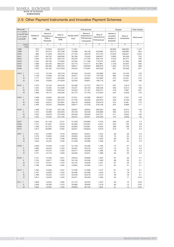**EUROSYSTEM**

### 2.9. Other Payment Instruments and Innovative Payment Schemes

| Value until                        |              | ATMs            |                 |                  | POS terminals             |                            | Cheques        |              | Travel cheques |
|------------------------------------|--------------|-----------------|-----------------|------------------|---------------------------|----------------------------|----------------|--------------|----------------|
| 31.12.2006                         |              |                 |                 |                  |                           |                            |                |              |                |
| in mio SIT from                    |              | Volume of       | Value of        |                  | Volume of                 | Value of                   | Number of      |              |                |
| 01.01.2007                         | Number of    | transactions at | transactions at | Number of EFT    | transactions at           | transactions at            | encashed       | Value of     | Value issued   |
| in mio EUR                         | <b>ATMs</b>  | ATMs in         | <b>ATMs</b>     | POS <sup>1</sup> | POS terminals             | POS terminals <sup>2</sup> | cheques in     | transactions |                |
|                                    |              | thousands       |                 |                  | in thousands <sup>2</sup> |                            | thousands      |              |                |
| Column                             | $\mathbf{1}$ | $\overline{c}$  | 3               | $\overline{4}$   | 5                         | 6                          | $\overline{7}$ | 8            | 9              |
| Code                               |              |                 |                 |                  |                           |                            |                |              |                |
| 1998                               | 612          | 27,934          | 224,010         | 11,361           | $\cdots$                  | .                          | 26,692         | 266,650      | 1,137          |
| 1999                               | 757          | 34,515          | 307,768         | 15,269           | 38,149                    | 223,694                    | 23,012         | 249,995      | 953            |
| 2000                               | 865          | 41,048          | 425,016         | 21,723           | 49,376                    | 313,744                    | 13,205         | 158,841      | 1,043          |
| 2001                               | 1,027        | 46,734          | 566,099         | 26,186           | 73,445                    | 466,627                    | 5,663          | 90,049       | 720            |
| 2002                               | 1,095        | 52,160          | 642,742         | 29,452           | 91,750                    | 585,103                    | 4,532          | 82,477       | 782            |
| 2003                               | 1,240        | 58,736          | 770,682         | 32,035           | 111,788                   | 719,572                    | 2,967          | 51,935       | 589            |
| 2004                               | 1,389        | 63,700          | 892,207         | 34,770           | 110,771                   | 812,861                    | 1,735          | 32,342       | 603            |
| 2005                               | 1,490        | 66,485          | 983,024         | 28,817           | 109,508                   | 868,676                    | 1,350          | 27,275       | 506            |
| 2006                               | 1,522        | 64,160          | 1,010,028       | 29,234           | 115,367                   | 945,200                    | 921            | 20,028       | 377            |
|                                    |              |                 |                 |                  |                           |                            |                |              |                |
| 2003                               | 1,173        | 13,164          | 162,743         | 30,053           | 24,423                    | 152,980                    | 942            | 16,105       | 125            |
| Ш                                  | 1,158        | 14,928          | 191,306         | 30,617           | 27,734                    | 175,793                    | 860            | 14,458       | 115            |
| $\mathbf{III}$<br>IV               | 1,171        | 15,007          | 200,994         | 31,145           | 29,831                    | 191,683                    | 573            | 10,451       | 213            |
|                                    | 1,240        | 15,636          | 215,639         | 32,035           | 29,801                    | 199,116                    | 591            | 10,921       | 136            |
| 2004                               | 1,272        | 15,105          | 204,576         | 32,496           | 27,731                    | 182,777                    | 437            | 7,813        | 127            |
| $\label{eq:1} \mathsf{II}$         | 1,322        | 15,300          | 213,299         | 33,321           | 28,133                    | 206,328                    | 455            | 8,314        | 106            |
| $\mathbf{III}$                     | 1,354        | 16,583          | 234,242         | 34,302           | 27,181                    | 208,101                    | 419            | 7,887        | 227            |
| IV                                 | 1,389        | 16,712          | 240,090         | 34,770           | 27,726                    | 215,654                    | 424            | 8,328        | 143            |
|                                    |              |                 |                 |                  |                           |                            |                |              |                |
| 2005<br>- 1                        | 1,409        | 15,600          | 220,762         | 27,031           | 24,382                    | 185,977                    | 373            | 7,347        | 118            |
| Ш                                  | 1,435        | 17,549          | 257,915         | 27,746           | 25,055                    | 202,970                    | 342            | 6,758        | 106            |
| $\mathbf{III}$                     | 1,456        | 16,812          | 254,691         | 28,276           | 28,836                    | 230,619                    | 312            | 6,481        | 172            |
| IV                                 | 1,490        | 16,524          | 249,656         | 28,817           | 31,235                    | 249,109                    | 322            | 6,689        | 111            |
|                                    |              |                 |                 |                  |                           |                            |                |              |                |
| 2006<br>$\blacksquare$             | 1,499        | 15,720          | 237,180         | 28,587           | 26,834                    | 208,497                    | 300            | 6,274        | 103            |
| Ш                                  | 1,510        | 16,099          | 253,363         | 29,148           | 30,026                    | 245,869                    | 263            | 5,515        | 75             |
| $\mathbf{III}$                     | 1,522        | 16,876          | 272,059         | 29,259           | 29,506                    | 245,751                    | 211            | 4,632        | 105            |
| IV                                 | 1,522        | 15,465          | 247,426         | 29,234           | 29,001                    | 245,083                    | 147            | 3,608        | 94             |
|                                    |              |                 |                 |                  |                           |                            |                |              |                |
| 2007                               | 1,643        | 61,146          | 4,731           | 31,529           | 129,895                   | 4,724                      | 285            | 126          | 1.2            |
| 2008                               | 1,731        | 61,567          | 5,218           | 33,490           | 134,581                   | 5,457                      | 320            | 125          | 0.9            |
| 2009                               | 1,786        | 61,370          | 5,356           | 32,883           | 132,991                   | 5,253                      | 268            | 108          | 0.5            |
| 2010                               | 1,814        | 60,990          | 5,484           | 32,021           | 138,853                   | 5,616                      | 213            | 72           | 0.3            |
|                                    |              |                 |                 |                  |                           |                            |                |              |                |
| 2007                               | 1,547        | 14,565          | 1,019           | 29,843           | 30,821                    | 1,044                      | 46             | 28           | 0.3            |
| $\label{eq:1} \mathsf{II}$         | 1,575        | 15,953          | 1,229           | 29,926           | 33,405                    | 1,192                      | 72             | 34           | 0.3            |
| $\mathbf{III}$<br>IV               | 1,619        | 15,184          | 1,236           | 29,632           | 32,280                    | 1,230                      | 80<br>87       | 30<br>34     | 0.4<br>0.3     |
|                                    | 1,643        | 15,444          | 1,246           | 31,529           | 33,388                    | 1,258                      |                |              |                |
| 2008                               | 1,648        | 14,536          | 1,164           | 31,748           | 32,496                    | 1,195                      | 74             | 27           | 0.2            |
| Ш                                  | 1,685        | 16,040          | 1,353           | 32,581           | 35,316                    | 1,427                      | 73             | 34           | 0.2            |
| $\mathbf{III}$                     | 1,697        | 15,275          | 1,342           | 33,017           | 33,238                    | 1,438                      | 79             | 34           | 0.3            |
| IV                                 | 1,731        | 15,716          | 1,359           | 33,490           | 33,531                    | 1,398                      | 94             | 30           | 0.2            |
|                                    |              |                 |                 |                  |                           |                            |                |              |                |
| 2009                               | 1,731        | 14,430          | 1,221           | 33,815           | 30,808                    | 1,204                      | 67             | 26           | 0.1            |
| Ш                                  | 1,753        | 15,877          | 1,392           | 34,139           | 34,056                    | 1,336                      | 69             | 26           | 0.1            |
| Ш                                  | 1,779        | 15,457          | 1,378           | 33,155           | 33,636                    | 1,341                      | 67             | 29           | 0.1            |
| IV                                 | 1,786        | 15,606          | 1,365           | 32,883           | 34,492                    | 1,371                      | 64             | 27           | 0.1            |
|                                    |              |                 |                 |                  |                           |                            |                |              |                |
| 2010                               | 1,793        | 14,283          | 1,247           | 31,236           | 31,908                    | 1,277                      | 61             | 18           | 0.1            |
| Ш                                  | 1,797        | 15,835          | 1,424           | 32,092           | 35,469                    | 1,433                      | 51             | 19           | 0.1            |
| $\mathop{\mathsf{III}}\nolimits$   | 1,798        | 15,242          | 1,410           | 32,249           | 35,018                    | 1,415                      | 49             | 18           | 0.1            |
| IV                                 | 1,814        | 15,630          | 1,403           | 32,021           | 36,458                    | 1,490                      | 52             | 17           | 0.04           |
|                                    |              |                 |                 |                  |                           |                            |                |              |                |
| 2011                               | 1,809        | 14,552          | 1,292           | 31,775           | 33,453                    | 1,372                      | 45             | 16           | 0.03           |
| $\rm{II}$                          | 1,839        | 16,038          | 1,470           | 30,886           | 36,694                    | 1,518                      | 36             | 15           | 0.05           |
| $\ensuremath{\mathsf{III}}\xspace$ | 1,823        | 15,362          | 1,449           | 33,883           | 36,125                    | 1,502                      | 31             | 14           | 0.04           |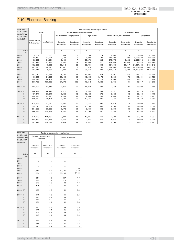

# 2.10. Electronic Banking

| Value until                   |               | Personal computer banking via Internet |                  |                                   |                              |                                     |                              |                                   |                              |                          |                              |  |
|-------------------------------|---------------|----------------------------------------|------------------|-----------------------------------|------------------------------|-------------------------------------|------------------------------|-----------------------------------|------------------------------|--------------------------|------------------------------|--|
| 31.12.2006                    |               |                                        | Users            |                                   |                              | Volume of transactions in thousands |                              |                                   | Value of transactions        |                          |                              |  |
| in mio SIT from<br>01.01.2007 |               |                                        |                  | Natural persons, Sole proprietors |                              | legal persons                       |                              | Natural persons, Sole proprietors |                              | Legal persons            |                              |  |
| in mio EUR                    |               |                                        |                  |                                   |                              |                                     |                              |                                   |                              |                          |                              |  |
|                               |               | Natural persons,                       |                  |                                   |                              |                                     |                              |                                   |                              |                          |                              |  |
|                               |               | Sole proprietors                       | Legal persons    | Domestic<br>transactions          | Cross border<br>transactions | Domestic<br>transactions            | Cross border<br>transactions | Domestic<br>transactions          | Cross border<br>transactions | Domestic<br>transactions | Cross border<br>transactions |  |
|                               |               |                                        |                  |                                   |                              |                                     |                              |                                   |                              |                          |                              |  |
|                               |               |                                        |                  |                                   |                              |                                     |                              |                                   |                              |                          |                              |  |
|                               | Stolpec       | $\mathbf{1}$                           | $\overline{2}$   | $\overline{\mathbf{3}}$           | $\overline{4}$               | $\overline{5}$                      | 6                            | $\overline{7}$                    | $\overline{8}$               | $\overline{9}$           | 10                           |  |
|                               | Koda          |                                        |                  |                                   |                              |                                     |                              |                                   |                              |                          |                              |  |
| 2000                          |               | 15,082                                 | 1,206            | 984                               | 0                            | 159                                 | 24                           | 54,550                            | 24                           | 79,395                   | 67,924                       |  |
| 2001                          |               | 63,440                                 | 14,091           | 3,403                             | $\circ$                      | 6,900                               | 93                           | 214,894                           | 387                          | 3,126,883                | 350,888                      |  |
| 2002                          |               | 98,669                                 | 34,094           | 7,104                             | $\overline{7}$               | 23,879                              | 285                          | 573,775                           | 9,893                        | 12,652,713               | 1,019,139                    |  |
| 2003<br>2004                  |               | 142,334<br>192,560                     | 41,592<br>45,008 | 9,520<br>12,616                   | 12<br>28                     | 31,002<br>32,751                    | 410<br>552                   | 658,965<br>984,660                | 19,988<br>13,617             | 17,715,548<br>21,227,533 | 1,485,185                    |  |
| 2005                          |               | 261,928                                | 48,543           | 15,957                            | 73                           | 33,624                              | 709                          | 1,221,006                         | 22,556                       | 22,884,609               | 2,185,642<br>3,042,587       |  |
| 2006                          |               | 351,111                                | 70,287           | 20,982                            | 70                           | 35,657                              | 808                          | 1,454,449                         | 28,684                       | 25,790,907               | 3,876,749                    |  |
|                               |               |                                        |                  |                                   |                              |                                     |                              |                                   |                              |                          |                              |  |
| 2007                          |               | 407,210                                | 61,955           | 24,735                            | 108                          | 47,205                              | 974                          | 7,391                             | 357                          | 147,711                  | 22,818                       |  |
| 2008                          |               | 463,337                                | 81,816           | 27,499                            | 169                          | 42,096                              | 1,176                        | 8,884                             | 473                          | 145,101                  | 28,786                       |  |
| 2009                          |               | 509.572                                | 96,401           | 29,867                            | 173                          | 40,585                              | 1.116                        | 8,695                             | 342                          | 119.477                  | 21,798                       |  |
| 2010                          |               | 566,759                                | 100,998          | 31,376                            | 235                          | 40,213                              | 1,226                        | 8,755                             | 401                          | 118,317                  | 21,870                       |  |
|                               |               |                                        |                  |                                   |                              |                                     |                              |                                   |                              |                          |                              |  |
| 2008 IV                       |               | 463,337                                | 81,816           | 7,266                             | 50                           | 11,062                              | 303                          | 2,563                             | 136                          | 38,203                   | 7,658                        |  |
|                               |               |                                        |                  |                                   |                              |                                     |                              |                                   |                              |                          |                              |  |
| 2009                          |               | 486,493                                | 86,214           | 7,317                             | 30                           | 9,864                               | 258                          | 2,121                             | 59                           | 29,116                   | 5,351                        |  |
|                               | Ш             | 487.471                                | 90.641           | 7.385                             | 48                           | 10.186                              | 275                          | 2,422                             | 92                           | 29,146                   | 5,413                        |  |
|                               | Ш             | 498.895                                | 93.690           | 7.434                             | 45                           | 9.969                               | 283                          | 1,984                             | 91                           | 29,741                   | 5,181                        |  |
|                               | IV            | 509,572                                | 96,401           | 7,732                             | 50                           | 10,565                              | 301                          | 2,167                             | 100                          | 31,473                   | 5,852                        |  |
|                               |               |                                        |                  |                                   |                              |                                     |                              |                                   |                              |                          |                              |  |
| 2010                          |               | 512,337                                | 97,060           | 7,396                             | 50                           | 9,466                               | 292                          | 1,963                             | 78                           | 27,020                   | 4,640                        |  |
|                               | $\mathbf{H}$  | 523,818                                | 98,507           | 7.935                             | 61                           | 10.298                              | 309                          | 2,159                             | 100                          | 29,604                   | 5,312                        |  |
|                               | III           | 534,325                                | 99,899           | 7,678                             | 59                           | 9,954                               | 306                          | 2,209                             | 109                          | 29,469                   | 5,526                        |  |
|                               | IV            | 566,759                                | 100,998          | 8.367                             | 65                           | 10.495                              | 320                          | 2,424                             | 114                          | 32,223                   | 6,393                        |  |
|                               |               |                                        |                  |                                   |                              |                                     |                              |                                   |                              |                          |                              |  |
| 2011                          |               | 578,976                                | 103,262          | 8,227                             | 48                           | 10,675                              | 440                          | 2,438                             | 98                           | 32,483                   | 6,097                        |  |
|                               | $\mathbf{II}$ | 592,481                                | 104,384          | 7.857                             | 53                           | 9,951                               | 342                          | 1,950                             | 116                          | 31,032                   | 5,976                        |  |
|                               | III           | 592.416                                | 104,199          | 8.029                             | 49                           | 9,527                               | 339                          | 2.105                             | 117                          | 29,611                   | 5,981                        |  |

| Value until              |                 | Telebanking and mobile phone banking |              |                       |                 |  |  |  |
|--------------------------|-----------------|--------------------------------------|--------------|-----------------------|-----------------|--|--|--|
| 31.12.2006               |                 | Volume of transactions in            |              |                       |                 |  |  |  |
|                          | in mio SIT from | thousand                             |              | Value of transactions |                 |  |  |  |
| 01.01.2007<br>in mio EUR |                 |                                      |              |                       |                 |  |  |  |
|                          |                 |                                      |              |                       |                 |  |  |  |
|                          |                 | Domestic                             | Cross border | Domestic              | Cross border    |  |  |  |
|                          |                 | transactions                         | transactions | transactions          | transactions    |  |  |  |
|                          |                 |                                      |              |                       |                 |  |  |  |
|                          | Stolpec         | $\overline{11}$                      | 12           | 13                    | $\overline{14}$ |  |  |  |
|                          | Koda            |                                      |              |                       |                 |  |  |  |
| 2000                     |                 |                                      | .            |                       |                 |  |  |  |
| 2001                     |                 | $\cdots$                             |              | .                     | .               |  |  |  |
| 2002                     |                 | .                                    |              |                       | .               |  |  |  |
| 2003                     |                 |                                      |              |                       | .               |  |  |  |
| 2004                     |                 |                                      |              |                       | .               |  |  |  |
| 2005                     |                 | 1,518                                | 0.8          | 62,196                | 880             |  |  |  |
| 2006                     |                 | 1,394                                | 0.9          | 65,193                | 4,730           |  |  |  |
|                          |                 |                                      |              |                       | 4.0             |  |  |  |
| 2007                     |                 | 914                                  | 1.0          | 237                   | 5.2             |  |  |  |
| 2008<br>2009             |                 | 836<br>673                           | 1.1<br>0.6   | 213<br>160            | 1.2             |  |  |  |
| 2010                     |                 | 437                                  | 0.3          | 103                   | 1.1             |  |  |  |
|                          |                 |                                      |              |                       |                 |  |  |  |
| 2008                     | IV              | 188                                  | 0.2          | 51                    | 0.4             |  |  |  |
|                          |                 |                                      |              |                       |                 |  |  |  |
| 2009                     | L               | 171                                  | 0.2          | 41                    | 0.4             |  |  |  |
|                          | $\mathbf{I}$    | 173                                  | 0.1          | 39                    | 0.2             |  |  |  |
|                          | Ш               | 168                                  | 0.2          | 40                    | 0.3             |  |  |  |
|                          | IV              | 161                                  | 0.1          | 41                    | 0.3             |  |  |  |
|                          |                 |                                      |              |                       |                 |  |  |  |
| 2010                     | т               | 148                                  | 0.2          | 34                    | 0.3             |  |  |  |
|                          | Ш               | 141                                  | 0.1          | 35                    | 0.2             |  |  |  |
|                          | Ш               | 141                                  | 0.1          | 35                    | 0.3             |  |  |  |
|                          | IV              | 143                                  | 0.1          | 34                    | 0.4             |  |  |  |
|                          |                 |                                      |              |                       |                 |  |  |  |
| 2011                     | т               | 153                                  | 0.1          | 34                    | 0.4             |  |  |  |
|                          | Ш               | 118                                  | 0.2          | 37                    | 2.6             |  |  |  |
|                          | Ш               | 120                                  | 0.2          | 32                    | 0.9             |  |  |  |
|                          |                 |                                      |              |                       |                 |  |  |  |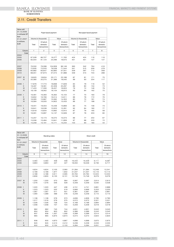BANK OF SLOVENIA **EUROSYSTEM**

### 2.11. Credit Transfers

| Value until<br>31.12.2006<br>in milliards SIT<br>from |                                      |                                      | Paper based payment                   |                                      | Non-paper based payment  |                                      |                          |                                      |  |
|-------------------------------------------------------|--------------------------------------|--------------------------------------|---------------------------------------|--------------------------------------|--------------------------|--------------------------------------|--------------------------|--------------------------------------|--|
| 01.01.2007                                            |                                      | Volume (in thousands)                | Value                                 |                                      |                          | Volume (in thousands)                |                          | Value                                |  |
| in millions<br><b>EUR</b>                             | Total                                | Of which<br>domestic<br>transactions | Total                                 | Of which<br>domestic<br>transactions | Total                    | Of which<br>domestic<br>transactions | Total                    | Of which<br>domestic<br>transactions |  |
| Column                                                | $\mathbf{1}$                         | $\overline{2}$                       | $\overline{3}$                        | 4                                    | $\overline{5}$           | 6                                    | $\overline{7}$           | 8                                    |  |
| Code                                                  |                                      |                                      |                                       |                                      |                          |                                      |                          |                                      |  |
| 2004<br>2005<br>2006                                  | 87,508<br>92,004                     | 86,757<br>91,124                     | $\cdots$<br>16,277<br>23,496          | $\cdots$<br>11,783<br>18,675         | $\cdots$<br>404<br>451   | $\cdots$<br>404<br>451               | $\ddotsc$<br>116<br>127  | $\cdots$<br>116<br>127               |  |
| 2007<br>2008<br>2009<br>2010                          | 76,550<br>72,935<br>65,982<br>68,051 | 76,098<br>72,533<br>65,647<br>67,673 | 104,959<br>79,538<br>62,860<br>57,072 | 96,149<br>71,544<br>57,501<br>51,988 | 365<br>341<br>329<br>349 | 342<br>315<br>297<br>315             | 764<br>559<br>712<br>704 | 416<br>279<br>308<br>288             |  |
| 2007<br>III<br>IV                                     | 18.925<br>20,380                     | 18,834<br>20,275                     | 25,171<br>21,386                      | 23.188<br>19,040                     | 87<br>99                 | 81<br>93                             | 171<br>204               | 75<br>117                            |  |
| 2008<br>$\overline{1}$<br>Ш<br>III<br>IV              | 17,876<br>19,497<br>17,403<br>18,159 | 17,774<br>19,391<br>17,306<br>18,062 | 19,668<br>22,309<br>18,457<br>19,104  | 17,829<br>20,297<br>16,603<br>16,815 | 84<br>86<br>79<br>92     | 79<br>80<br>72<br>84                 | 116<br>134<br>146<br>162 | 52<br>73<br>79<br>75                 |  |
| 2009<br>$\mathbf{I}$<br>$\mathbf{H}$<br>III<br>IV     | 16.481<br>16,852<br>16,065<br>16,584 | 16,393<br>16,766<br>15,987<br>16,500 | 16,362<br>16,014<br>15,582<br>14,902  | 15.104<br>14,611<br>14,353<br>13,433 | 77<br>86<br>80<br>86     | 70<br>78<br>72<br>77                 | 160<br>172<br>191<br>188 | 79<br>76<br>74<br>79                 |  |
| 2010<br>$\blacksquare$<br>$\mathbf{H}$<br>III<br>IV   | 19,401<br>16,641<br>15,918<br>16,091 | 19,303<br>16,538<br>15.834<br>15,997 | 15,439<br>13,503<br>13.992<br>14,137  | 13,869<br>12,281<br>12.910<br>12,928 | 83<br>92<br>87<br>87     | 75<br>84<br>78<br>78                 | 156<br>180<br>165<br>203 | 73<br>77<br>58<br>80                 |  |
| 2011<br>т<br>$\mathsf{II}$<br>III                     | 15,257<br>15,556<br>15,259           | 15,173<br>15,484<br>15,191           | 16,070<br>12,841<br>14,171            | 15,073<br>11,859<br>13,234           | 86<br>97<br>103          | 77<br>88<br>93                       | 202<br>233<br>180        | 67<br>72<br>44                       |  |

| Value until<br>31.12.2006 | in milliards SIT |                            | Standing orders            |                        |                          |                              | Direct credit            |                            |                          |
|---------------------------|------------------|----------------------------|----------------------------|------------------------|--------------------------|------------------------------|--------------------------|----------------------------|--------------------------|
| from<br>01.01.2007        |                  |                            | Volume (in thousands)      |                        | Value                    | Volume (in thousands)        |                          | Value                      |                          |
| in millions               |                  |                            | Of which                   |                        | Of which                 |                              | Of which                 |                            | Of which                 |
| <b>EUR</b>                |                  | Total                      | domestic<br>transactions   | Total                  | domestic<br>transactions | Total                        | domestic<br>transactions | Total                      | domestic<br>transactions |
|                           | Column           | 9                          | 10                         | 11                     | 12                       | 13                           | 14                       | 15                         | 16                       |
|                           | Code             |                            |                            |                        |                          |                              |                          |                            |                          |
| 2004<br>2005<br>2006      |                  | $\cdots$<br>4,484<br>3,963 | $\cdots$<br>4,484<br>3,963 | $\cdots$<br>408<br>427 | $\cdots$<br>408<br>427   | $\cdots$<br>16,434<br>18,050 | 16,429<br>18,049         | $\cdots$<br>6,111<br>6,736 | $\sim$<br>6,087<br>6,717 |
| 2007                      |                  | 4,624                      | 4,624                      | 2,105                  | 2,060                    | 21,284                       | 21.284                   | 12,249                     | 12,241                   |
| 2008                      |                  | 4,199                      | 4,199                      | 1,977                  | 1,932                    | 21,037                       | 21,037                   | 12,116                     | 12,114                   |
| 2009<br>2010              |                  | 4,188                      | 4,188                      | 2,611                  | 2,595                    | 20,784<br>15,748             | 20,784                   | 12,024<br>9.079            | 12,024<br>9,079          |
|                           |                  | 2,856                      | 2,855                      | 8,135                  | 8,131                    |                              | 15,748                   |                            |                          |
| 2007                      | III              | 1.200                      | 1.200                      | 573                    | 564                      | 5.587                        | 5.587                    | 2,914                      | 2.913                    |
|                           | IV               | 1.076                      | 1,076                      | 546                    | 529                      | 5,349                        | 5,349                    | 3,530                      | 3,528                    |
| 2008                      | $\mathbf{I}$     | 1,020                      | 1.020                      | 447                    | 436                      | 4,741                        | 4.741                    | 2,891                      | 2,889                    |
|                           | $\mathbf{II}$    | 1,023                      | 1,023                      | 532                    | 519                      | 5,666                        | 5,666                    | 3,253                      | 3,253                    |
|                           | Ш<br>IV          | 1,067<br>1,090             | 1,067<br>1,089             | 511<br>488             | 501<br>476               | 5,381<br>5,249               | 5,381                    | 2,861<br>3,110             | 2,861                    |
|                           |                  |                            |                            |                        |                          |                              | 5,249                    |                            | 3,110                    |
| 2009                      | $\mathbf{I}$     | 1,138                      | 1,138                      | 578                    | 573                      | 4,836                        | 4,836                    | 2,790                      | 2,790                    |
|                           | Ш                | 1,017                      | 1,016                      | 579                    | 575                      | 5,572                        | 5,572                    | 3,321                      | 3,321                    |
|                           | Ш                | 1,026                      | 1,026                      | 728                    | 724                      | 5,168                        | 5,168                    | 2,894                      | 2,894                    |
|                           | IV               | 1,008                      | 1,008                      | 727                    | 723                      | 5,209                        | 5,209                    | 3,019                      | 3,019                    |
| 2010                      | $\mathbf{I}$     | 962                        | 962                        | 745                    | 744                      | 4,931                        | 4,931                    | 3,043                      | 3,043                    |
|                           | $\mathsf{II}$    | 954                        | 954                        | 903                    | 902                      | 5,386                        | 5.386                    | 3,243                      | 3,243                    |
|                           | Ш                | 937                        | 936                        | 1,357                  | 1,356                    | 5,289                        | 5,289                    | 3,014                      | 3,014                    |
|                           | IV               | 965                        | 965                        | 5,875                  | 5,873                    | 5,074                        | 5,074                    | 2,823                      | 2,823                    |
| 2011                      | $\mathbf{I}$     | 936                        | 935                        | 4,870                  | 4,867                    | 4,698                        | 4,698                    | 2,875                      | 2,875                    |
|                           | $\mathsf{II}$    | 945                        | 945                        | 2,413                  | 2,412                    | 5,239                        | 5.239                    | 2,033                      | 2,033                    |
|                           | Ш                | 932                        | 932                        | 2,134                  | 2,133                    | 5,284                        | 5,284                    | 3,051                      | 3,051                    |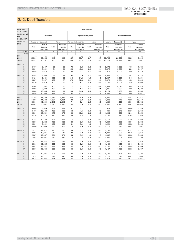### 2.12. Debit Transfers

| Value until                            |                  |                       |                 |                      |                  |                       | Debit transfers     |                      |                    |                       |                   |                      |
|----------------------------------------|------------------|-----------------------|-----------------|----------------------|------------------|-----------------------|---------------------|----------------------|--------------------|-----------------------|-------------------|----------------------|
| 31.12.2006<br>in milliards SIT<br>from |                  | Direct debit          |                 |                      |                  |                       | Special money order |                      |                    | Other debit transfers |                   |                      |
| 01.01.2007<br>in millions              |                  | Volume (in thousands) |                 | Value                |                  | Volume (in thousands) |                     | Value                |                    | Volume (in thousands) |                   | Value                |
| <b>EUR</b>                             | Total            | Of which<br>domestic  | Total           | Of which<br>domestic | Total            | Of which<br>domestic  | Total               | Of which<br>domestic | Total              | Of which<br>domestic  | Total             | Of which<br>domestic |
|                                        |                  | transactions          |                 | transactions         |                  | transaction           |                     | transactions         |                    | transactions          |                   | transactions         |
| Stolpec                                | $\mathbf{1}$     | $\overline{c}$        | 3               | 4                    | 5                | 6                     | $\sqrt{7}$          | 8                    | 9                  | 10                    | 11                | 12                   |
| Koda<br>2004                           |                  |                       |                 |                      |                  |                       |                     |                      |                    |                       |                   |                      |
| 2005                                   | <br>35,934       | <br>35,933            | $\cdots$<br>449 | $\ldots$<br>449      | $\cdots$<br>68.7 | $\cdots$<br>68.7      | $\cdots$<br>2.7     | $\cdots$<br>2.7      | $\cdots$<br>22,746 | $\cdots$<br>22,688    | $\cdots$<br>5,820 | $\cdots$<br>5,340    |
| 2006                                   | 40,237           | 40,237                | 430             | 430                  | 40.4             | 40.4                  | 3.8                 | 3.8                  | 28,219             | 28,144                | 6,499             | 6,007                |
|                                        |                  |                       |                 |                      |                  |                       |                     |                      |                    |                       |                   |                      |
| 2004 l                                 |                  | $\cdots$              | $\ldots$        | $\ldots$             | $\cdots$         | $\cdots$              | $\cdots$            | $\cdots$             | $\cdots$           | $\cdots$              | $\cdots$          | $\cdots$             |
| $\mathsf{II}$                          | 8,107            | 8,107                 | 85              | 85                   | 7.3              | 7.3                   | 0.3                 | 0.3                  | 5,973              | 5,962                 | 1,163             | 1,084                |
| III                                    | 9,001            | 9,001                 | 94              | 94                   | 42.0             | 42.0                  | 2.4                 | 2.4                  | 5,372              | 5,360                 | 1,224             | 1,127                |
| IV                                     | 9,424            | 9,424                 | 98              | 98                   | 3.2              | 3.2                   | 0.1                 | 0.1                  | 5,671              | 5,658                 | 1,330             | 1,226                |
| 2005                                   | 8,228            | 8,228                 |                 | 87                   | 3.2              | 3.2                   | 0.1                 | 0.1                  |                    | 5,292                 |                   |                      |
| Ш                                      |                  |                       | 87              |                      |                  | 21.3                  |                     |                      | 5,305              |                       | 1,251             | 1,144                |
| Ш                                      | 9,121<br>9,207   | 9,121<br>9,207        | 132             | 132<br>127           | 21.3<br>37.0     | 37.0                  | 1.5<br>0.1          | 1.5<br>0.1           | 5,667              | 5,653<br>5,654        | 1,340             | 1,251                |
| IV                                     | 9,378            | 9,378                 | 127<br>103      | 103                  | 7.2              | 7.2                   | 0.9                 | 0.9                  | 5,670<br>6,105     | 6,089                 | 1,459<br>1,770    | 1,340<br>1,606       |
|                                        |                  |                       |                 |                      |                  |                       |                     |                      |                    |                       |                   |                      |
| 2006                                   | 9,306            | 9,306                 | 100             | 100                  | 1.1              | 1.1                   | 0.1                 | 0.1                  | 6,228              | 6,213                 | 1,508             | 1,378                |
| $\mathsf{II}$                          | 9,633            | 9,633                 | 107             | 107                  | 1.4              | 1.4                   | 0.1                 | 0.1                  | 7,375              | 7,357                 | 1,509             | 1,493                |
| $\mathbf{III}$                         | 10,605           | 10,605                | 111             | 111                  | 24.6             | 24.6                  | 2.4                 | 2.4                  | 7,124              | 7,105                 | 1,636             | 1,489                |
| IV                                     | 10,694           | 10,694                | 112             | 112                  | 13.2             | 13.2                  | 1.2                 | 1.2                  | 7,491              | 7,470                 | 1,846             | 1,647                |
|                                        |                  |                       |                 |                      |                  |                       |                     |                      |                    |                       |                   |                      |
| 2007                                   | 41,733           | 41,733                | 1,848           | 1,848                | 24.0             | 24.0                  | 5.9                 | 5.9                  | 4,085              | 4,000                 | 16,124            | 12,815               |
| 2008                                   | 41,506           | 41,506                | 1,984           | 1,984                | 9.6              | 9.6                   | 2.9                 | 2.9                  | 4,848              | 4,743                 | 17,530            | 13,547               |
| 2009                                   | 46,304           | 46,304                | 2,219           | 2,219                | 7.1              | 7.1                   | 2.5                 | 2.5                  | 4,324              | 4,320                 | 13,564            | 13,562               |
| 2010                                   | 50,002           | 50,002                | 2,393           | 2,393                | 0.0              | 0.0                   | 0.0                 | 0.0                  | 4,450              | 4,445                 | 14,047            | 14,045               |
| 2007                                   | 9,959            | 9,959                 | 421             | 421                  | 3.1              | 3.1                   | 1.0                 | 1.0                  | 978                | 959                   | 3,580             | 2,869                |
| Ш                                      | 10,469           | 10,469                | 462             | 462                  | 4.5              | 4.5                   | 0.9                 | 0.9                  | 961                | 942                   | 3,757             | 3,050                |
| Ш                                      | 10,531           | 10,531                | 470             | 470                  | 12.0             | 12.0                  | 2.8                 | 2.8                  | 1,008              | 986                   | 4,244             | 3,350                |
| IV                                     | 10,774           | 10,774                | 495             | 495                  | 4.4              | 4.4                   | 1.3                 | 1.3                  | 1,138              | 1,113                 | 4,543             | 3,545                |
|                                        |                  |                       |                 |                      |                  |                       |                     |                      |                    |                       |                   |                      |
| 2008<br>$\blacksquare$                 | 10,733           | 10,733                | 496             | 496                  | 1.4              | 1.4                   | 0.3                 | 0.3                  | 1,117              | 1,093                 | 4,129             | 3,230                |
| Ш                                      | 9,883            | 9,883                 | 482             | 482                  | 2.0              | 2.0                   | 0.5                 | 0.5                  | 1,234              | 1,208                 | 4,391             | 3,352                |
| Ш                                      | 9,991            | 9,991                 | 482             | 482                  | 3.4              | 3.4                   | 1.3                 | 1.3                  | 1,221              | 1,195                 | 4,358             | 3,404                |
| IV                                     | 10,898           | 10,898                | 525             | 525                  | 2.8              | 2.8                   | 0.8                 | 0.8                  | 1,276              | 1,248                 | 4,651             | 3,561                |
|                                        |                  |                       |                 |                      |                  |                       |                     |                      |                    |                       |                   |                      |
| 2009<br>$\mathbf{I}$                   | 11,211           | 11,211                | 560             | 560                  | 0.5              | 0.5                   | 0.2                 | 0.2                  | 1,139              | 1,137                 | 3,144             | 3,144                |
| Ш                                      | 10,965           | 10,965                | 542             | 542                  | 2.0              | 2.0                   | 0.7                 | 0.7                  | 1,091              | 1,090                 | 3,048             | 3,047                |
| Ш                                      | 12,087           | 12,087                | 571             | 571                  | 3.2              | 3.2                   | 1.0                 | 1.0                  | 1,042              | 1,041                 | 3,668             | 3,668                |
| IV                                     | 12,042           | 12,042                | 546             | 546                  | 1.4              | 1.4                   | 0.5                 | 0.5                  | 1,053              | 1,052                 | 3,704             | 3,703                |
| 2010                                   | 11,877           | 11,877                | 576             | 576                  | 0.0              | 0.0                   | 0.0                 | 0.0                  | 1,022              | 1,021                 | 3,271             | 3,270                |
| Ш                                      | 12,335           | 12,335                | 609             | 609                  | 0.0              | 0.0                   | 0.0                 | 0.0                  | 1,134              | 1,133                 | 3,610             | 3,609                |
| $\mathbf{III}$                         |                  |                       |                 |                      | 0.0              |                       | 0.0                 | 0.0                  |                    |                       |                   |                      |
|                                        | 12,841           | 12,841                | 616             | 616                  |                  | 0.0                   |                     |                      | 1,107              | 1,106                 | 3,559             | 3,559                |
| IV                                     | 12,950           | 12,950                | 593             | 593                  | 0.0              | 0.0                   | 0.0                 | 0.0                  | 1,187              | 1,186                 | 3,608             | 3,607                |
| 2011                                   |                  |                       | 625             |                      | 0.0              | 0.0                   | 0.0                 | 0.0                  |                    |                       |                   |                      |
| $\mathbf{II}$                          | 12,331<br>12,772 | 12,331<br>12,772      | 642             | 625<br>642           | 0.0              | 0.0                   | 0.0                 | 0.0                  | 1,136<br>1,215     | 1,135<br>1,211        | 3,134<br>3,301    | 3,134<br>3,300       |
| III                                    | 12,924           | 12,924                | 648             | 648                  | 0.0              | 0.0                   | 0.0                 | 0.0                  | 1,212              | 1,210                 | 4.922             | 4,921                |
|                                        |                  |                       |                 |                      |                  |                       |                     |                      |                    |                       |                   |                      |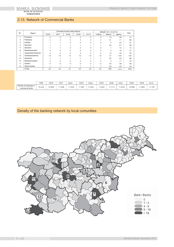**EUROSYSTEM**

### 2.13. Network of Commercial Banks

| No.            |                       |                |          | Commercial banks (Head offices) |          |                         |          | Network <sup>2</sup> (31.12.2010) |        | Total |
|----------------|-----------------------|----------------|----------|---------------------------------|----------|-------------------------|----------|-----------------------------------|--------|-------|
|                | Region <sup>1</sup>   | 2006           | 2007     | 2008                            | 2009     | 2010                    | H.office | <b>Branch</b>                     | Agency |       |
| 1              | Pomurska              | $\Omega$       | $\Omega$ | 0                               | $\Omega$ | $\Omega$                | $\Omega$ | 13                                | 28     | 41    |
| 2              | Podravska             | $\overline{4}$ | 4        | 4                               | 4        | $\overline{\mathbf{4}}$ | 4        | 21                                | 71     | 96    |
| 3              | Koroška               |                |          | $\Omega$                        | $\cap$   | $\Omega$                | $\Omega$ | 5                                 | 22     | 27    |
| $\overline{4}$ | Savinjska             |                |          |                                 |          |                         |          | 34                                | 61     | 96    |
| 5              | Zasavska              |                |          | O                               | $\cap$   | $\Omega$                | $\Omega$ |                                   | 12     | 13    |
| 6              | Spodnjeposavska       | $\Omega$       | O        | $\Omega$                        | $\Omega$ | $\Omega$                | $\Omega$ | 5                                 | 16     | 21    |
| $\overline{7}$ | Jugovzhodna Slovenija | $\Omega$       | $\Omega$ | 0                               | $\cap$   | $\Omega$                | $\Omega$ | 13                                | 42     | 55    |
| 8              | Osrednjeslovenska     | 13             | 15       | 14                              | 15       | 15                      | 15       | 31                                | 100    | 146   |
| 9              | Gorenjska             |                |          |                                 |          |                         |          | 22                                | 43     | 66    |
| 10             | Notranjsko-kraška     | $\Omega$       | $\Omega$ | $\Omega$                        | $\cap$   | $\Omega$                | $\Omega$ | 3                                 | 17     | 20    |
| 11             | Goriška               | $\Omega$       | $\Omega$ | 0                               | $\Omega$ | $\Omega$                | $\Omega$ | 20                                | 38     | 58    |
| 12             | Obalno-kraška         |                |          |                                 |          |                         |          | 20                                | 23     | 44    |
|                | <b>TOTAL</b>          | 22             | 24       | 21                              | 22       | 22                      | 22       | 188                               | 473    | 683   |

|                                            | 1999   | 2000  | 2001 | 2002  | 2003 | 2004 | 2005  | 2006           | 2007 | 2008   | 2009  | 2010  |
|--------------------------------------------|--------|-------|------|-------|------|------|-------|----------------|------|--------|-------|-------|
| Number of employees in<br>commercial banks | 10.445 | 0.929 | .258 | 1.543 | .397 | .534 | 1.632 | $\overline{z}$ | .878 | 12.096 | 1.994 | .,787 |

Density of the banking network by local comunities

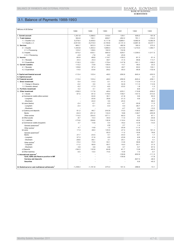### 3.1. Balance of Payments 1988-1993

| Millions of US Dollars                                           |            |            |            |             |            |            |
|------------------------------------------------------------------|------------|------------|------------|-------------|------------|------------|
|                                                                  | 1988       | 1989       | 1990       | 1991        | 1992       | 1993       |
| I. Current account                                               | 1,351.8    | 1,088.5    | 518.4      | 129.1       | 926.2      | 191.9      |
| 1. Trade balance                                                 | 364.8      | 192.1      | $-608.7$   | $-262.2$    | 791.1      | $-154.2$   |
| 1.1. Exports f.o.b.                                              | 3,278.4    | 3,408.5    | 4,117.8    | 3,869.1     | 6,682.9    | 6,082.9    |
| 1.2. Imports c.i.f.                                              | $-2,913.6$ | $-3,216.3$ | $-4,726.6$ | $-4, 131.3$ | $-5,891.8$ | $-6,237.1$ |
| 2. Services                                                      | 965.7      | 922.3      | 1,139.5    | 482.9       | 180.3      | 375.3      |
| 2.1. Exports                                                     | 1,340.8    | 1,355.4    | 1,699.4    | 1,012.6     | 1,219.3    | 1,392.7    |
| 2.1.2 Processing                                                 | 123.2      | 128.5      | 162.3      | 152.8       |            |            |
| 2.2 Imports                                                      | $-375.2$   | $-433.1$   | $-560.0$   | $-529.7$    | $-1,039.0$ | $-1,017.3$ |
| 2.2.2. Processing                                                | $-4.9$     | $-7.8$     | $-6.2$     | $-25.6$     |            |            |
| 3. Income                                                        | $-93.9$    | $-99.8$    | $-118.7$   | $-106.3$    | $-91.3$    | $-51.4$    |
| 3.1. Receipts                                                    | 24.4       | 25.3       | 59.7       | 41.5        | 69.8       | 114.7      |
| 3.2. Expenditure                                                 | $-118.3$   | $-125.1$   | $-178.4$   | $-147.8$    | $-161.1$   | $-166.0$   |
| 4. Current transfers                                             | 115.2      | 73.8       | 106.4      | 14.7        | 46.0       | 22.2       |
| 4.1. Receipts                                                    | 129.8      | 97.4       | 134.5      | 49.7        | 93.0       | 155.1      |
| 4.2. Expenditure                                                 | $-14.5$    | $-23.6$    | $-28.2$    | $-35.0$     | $-46.9$    | $-132.9$   |
|                                                                  |            |            |            |             |            |            |
| II. Capital and financial account                                | $-113.4$   | 103.4      | $-48.0$    | $-290.6$    | $-645.4$   | $-202.0$   |
| A. Capital account                                               |            |            |            |             |            | 4.1        |
| <b>B.</b> Financial account                                      | $-113.4$   | 103.4      | $-48.0$    | $-290.6$    | $-645.4$   | $-206.1$   |
| 1. Direct investment                                             | $-5.4$     | $-14.3$    | $-2.1$     | $-41.3$     | 112.9      | 111.3      |
| 1.1. Foreign in Slovenia                                         | $-0.2$     | 3.0        | 4.3        | 64.9        | 111.0      | 112.6      |
| 1.2. Domestic abroad                                             | $-5.2$     | $-17.3$    | $-6.5$     | $-23.5$     | 1.8        | $-1.3$     |
| 2. Portfolio investment                                          | 0.2        | 0.1        | 2.5        |             | $-8.9$     | 3.1        |
| 3. Other investment                                              | $-108.3$   | 117.6      | $-48.4$    | $-225.1$    | $-116.8$   | $-209.2$   |
| 3.1. Assets                                                      | 67.5       | $-91.0$    | $-179.0$   | $-108.7$    | $-157.5$   | $-313.5$   |
| a) Commercial credits (other sectors)                            | ٠          | $-54.6$    | 30.1       | $-41.8$     | 6.6        | 93.3       |
| - Long-term                                                      | ä,         | $-20.6$    | 26.6       | $-21.3$     | 6.6        | 5.3        |
| - Short-term                                                     |            | $-34.0$    | 3.5        | $-20.5$     |            | 88.0       |
| b) Loans (banks)                                                 | $-2.4$     | $-0.1$     | $-0.3$     | $-4.7$      | $-30.8$    | 11.5       |
| - Long-term                                                      | $-2.4$     | $-0.1$     | $-0.3$     | 0.0         | $-36.7$    | 21.7       |
| - Short-term                                                     |            |            |            | $-4.7$      | 6.0        | $-10.2$    |
| c) Currency and deposits                                         | 61.2       | $-46.7$    | $-242.8$   | $-73.3$     | $-139.5$   | $-383.7$   |
| Banks                                                            | $-54.3$    | $-251.2$   | 134.3      | 18.8        | $-148.7$   | $-450.8$   |
| Other sectors                                                    | 115.5      | 204.5      | $-377.1$   | $-92.0$     | 9.2        | 67.1       |
| d) Other assets                                                  | 8.7        | 10.4       | 34.0       | 11.0        | 6.2        | $-34.6$    |
| 3.2. Liabilities                                                 | $-175.8$   | 208.6      | 130.6      | $-116.4$    | 40.6       | 104.3      |
| a) Commercial credits (long-term)                                | 4.7        | 14.8       | 0.4        | $-18.2$     | $-12.9$    | $-13.0$    |
| General government                                               |            |            | $-0.8$     | 2.7         | $-1.4$     |            |
| Other sectors                                                    | 4.7        | 14.8       | 1.2        | $-20.9$     | $-11.5$    |            |
| b) Loans                                                         | 17.3       | 48.0       | 120.5      | $-47.4$     | 32.9       | 161.2      |
| General government                                               |            |            | 65.3       | 11.2        | $-16.8$    | 78.6       |
| Banks                                                            | 27.7       | $-24.5$    | 0.1        | $-44.0$     | $-9.1$     | 1.7        |
| - Long-term                                                      | 57.3       | 21.6       | $-3.0$     | $-23.9$     | $-6.8$     | $-2.4$     |
| - Short-term                                                     | $-29.6$    | $-46.1$    | 3.1        | $-20.1$     | $-2.4$     | 4.1        |
| Other sectors <sup>1</sup>                                       | $-10.4$    | 72.5       | 55.1       | $-14.6$     | 58.8       | 94.7       |
| - Long-term                                                      | $-11.2$    | 66.9       | 60.7       | $-18.3$     | 52.1       | 27.3       |
| - Short-term                                                     | 0.9        | 5.6        | $-5.6$     | 3.7         | 6.7        | 67.5       |
| c) Deposits                                                      | $-194.3$   | 132.8      | $-64.8$    | $-61.7$     | 13.8       | $-40.3$    |
| d) Other liabilities                                             | $-3.5$     | 13.0       | 74.5       | 10.9        | 7.4        | $-3.7$     |
| 4. International reserves <sup>3</sup>                           |            |            |            | $-106.8$    | $-632.6$   | $-111.3$   |
| Gold, SDRs and Reserve position in IMF                           |            |            |            | $-106.8$    |            | $-17.8$    |
| Currency and deposits                                            |            |            |            |             | $-627.0$   | $-48.3$    |
| <b>Securities</b>                                                |            |            |            |             | $-5.6$     | $-45.3$    |
|                                                                  |            |            |            |             |            |            |
| III. Statistical error and multilateral settlements <sup>2</sup> | $-1,238.4$ | $-1,191.8$ | $-470.4$   | 161.5       | $-288.6$   | 10.1       |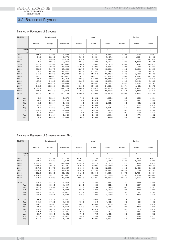BANK OF SLOVENIA **EUROSYSTEM**

# 3.2. Balance of Payments

#### Balance of Payments of Slovenia

| Mio EUR      |              | Current account |              |                | Goods <sup>1</sup> |             | Services       |         |             |  |
|--------------|--------------|-----------------|--------------|----------------|--------------------|-------------|----------------|---------|-------------|--|
|              | Balance      | Receipts        | Expenditures | Balance        | Exports            | Imports     | Balance        | Exports | Imports     |  |
| Column       | $\mathbf{1}$ | $\overline{2}$  | 3            | $\overline{4}$ | 5                  | 6           | $\overline{7}$ | 8       | 9           |  |
| Code         |              |                 |              |                |                    |             |                |         |             |  |
| 1994*        | 486.5        | 7,749.4         | $-7,262.9$   | $-279.4$       | 5,756.1            | $-6,035.5$  | 539.4          | 1,519.5 | $-980.1$    |  |
| 1995*        | $-51.6$      | 8,526.2         | $-8,577.8$   | $-731.3$       | 6,456.1            | $-7,187.5$  | 450.3          | 1,565.1 | $-1, 114.8$ |  |
| 1996         | 32.3         | 8,904.9         | $-8.872.6$   | $-670.9$       | 6,670.9            | $-7,341.8$  | 511.3          | 1,703.9 | $-1, 192.6$ |  |
| 1997         | 43.1         | 9,824.3         | $-9,781.1$   | $-684.0$       | 7,438.3            | $-8,122.4$  | 560.8          | 1,809.9 | $-1,249.1$  |  |
| 1998         | $-107.9$     | 10,526.4        | $-10,634.3$  | $-708.2$       | 8,088.3            | $-8,796.5$  | 446.9          | 1,804.2 | $-1,357.3$  |  |
| 1999         | $-664.2$     | 10,582.6        | $-11,246.8$  | $-1,164.1$     | 8,103.2            | $-9,267.3$  | 329.5          | 1,763.5 | $-1,434.0$  |  |
| 2000         | $-583.0$     | 12,467.5        | $-13,050.5$  | $-1,227.0$     | 9,574.2            | $-10,801.2$ | 489.2          | 2,051.5 | $-1,562.3$  |  |
| 2001         | 38.0         | 13,579.1        | $-13,541.2$  | $-684.5$       | 10,454.3           | $-11,138.7$ | 535.6          | 2,177.6 | $-1,642.1$  |  |
| 2002         | 247.2        | 14,510.2        | $-14,263.0$  | $-265.0$       | 11,081.6           | $-11,346.6$ | 619.8          | 2,439.5 | $-1,819.8$  |  |
| 2003         | $-195.7$     | 14,866.0        | $-15,061.7$  | $-542.8$       | 11,417.1           | $-11,959.9$ | 540.2          | 2,464.9 | $-1,924.7$  |  |
| 2004         | $-719.7$     | 16,806.2        | $-17,525.9$  | $-1,008.8$     | 12,932.8           | $-13,941.6$ | 687.6          | 2,782.6 | $-2,095.0$  |  |
| 2005         | $-497.6$     | 19.198.2        | $-19,695.8$  | $-1,025.8$     | 14,599.2           | $-15.625.0$ | 920.0          | 3,213.5 | $-2,293.5$  |  |
| 2006         | $-771.0$     | 22.257.5        | $-23.028.5$  | $-1.151.0$     | 17.028.3           | $-18.179.3$ | 992.7          | 3.572.4 | $-2.579.7$  |  |
| 2007         | $-1.646.2$   | 26.053.1        | $-27.699.3$  | $-1.665.9$     | 19.798.5           | $-21.464.4$ | 1.047.4        | 4.145.2 | $-3.097.9$  |  |
| 2008         | $-2,573.9$   | 27,137.8        | $-29,711.6$  | $-2,648.1$     | 20,032.2           | $-22,680.4$ | 1,423.7        | 4,956.5 | $-3,532.8$  |  |
| 2009         | $-455.7$     | 22,145.6        | $-22,601.3$  | $-702.6$       | 16,167.3           | $-16,869.9$ | 1,165.1        | 4,347.0 | $-3,181.9$  |  |
| 2010         | $-297.3$     | 24,919.3        | $-25,216.6$  | $-1,204.9$     | 18,386.0           | $-19,590.8$ | 1,308.2        | 4,633.2 | $-3,324.9$  |  |
| 2011<br>Jan. | $-5.1$       | 2,032.4         | $-2,037.5$   | $-71.1$        | 1,534.2            | $-1,605.3$  | 123.6          | 353.0   | $-229.4$    |  |
| Feb.         | $-95.1$      | 2,120.7         | $-2,215.8$   | $-116.8$       | 1,601.9            | $-1.718.7$  | 93.6           | 326.1   | $-232.5$    |  |
| Mar.         | 46.6         | 2,538.4         | $-2,491.8$   | $-118.6$       | 1.884.0            | $-2.002.6$  | 136.0          | 405.2   | $-269.2$    |  |
| Apr.         | 42.0         | 2.292.0         | $-2,250.0$   | $-93.1$        | 1.693.6            | $-1.786.7$  | 162.3          | 413.9   | $-251.6$    |  |
| May          | $-75.1$      | 2.416.8         | $-2.492.0$   | $-168.8$       | 1.835.6            | $-2.004.4$  | 135.9          | 392.1   | $-256.1$    |  |
| Jun.         | 109.6        | 2,413.2         | $-2,303.6$   | 4.6            | 1,814.6            | $-1,810.0$  | 143.6          | 418.3   | $-274.7$    |  |
| Jul.         | 41.6         | 2,406.0         | $-2,364.4$   | $-6.7$         | 1,735.5            | $-1,742.2$  | 90.0           | 477.0   | $-387.0$    |  |
| Aug.         | $-90.1$      | 2,128.4         | $-2,218.5$   | $-133.6$       | 1,510.9            | $-1,644.5$  | 134.8          | 477.0   | $-342.2$    |  |
| Sep.         | 38.6         | 2,545.1         | $-2,506.5$   | $-66.5$        | 1,895.5            | $-1,962.0$  | 158.4          | 458.2   | $-299.8$    |  |

| Mio EUR |        |              | Current account |              |                | Goods <sup>1</sup> |             |                | Services |            |
|---------|--------|--------------|-----------------|--------------|----------------|--------------------|-------------|----------------|----------|------------|
|         |        | Balance      | Receipts        | Expenditures | Balance        | Exports            | Imports     | Balance        | Exports  | Imports    |
|         | Column | $\mathbf{1}$ | $\overline{2}$  | 3            | $\overline{4}$ | 5                  | 6           | $\overline{7}$ | 8        | 9          |
|         | Code   |              |                 |              |                |                    |             |                |          |            |
| 2002    |        | $-560.1$     | 8,215.9         | $-8,776.0$   | $-1, 145.5$    | 6,120.8            | $-7,266.3$  | 594.8          | 1,397.4  | $-802.5$   |
| 2003    |        | $-826.6$     | 8,426.3         | $-9,252.9$   | $-1,367.0$     | 6,224.7            | $-7,591.7$  | 619.8          | 1,489.6  | $-869.8$   |
| 2004    |        | $-2,102.8$   | 9,352.8         | $-11,455.6$  | $-2,755.7$     | 7,011.2            | $-9,766.9$  | 757.1          | 1,689.4  | $-932.3$   |
| 2005    |        | $-2, 145.6$  | 10,597.1        | $-12,742.7$  | $-2,791.6$     | 8,002.3            | $-10,793.9$ | 823.8          | 1,897.8  | $-1,074.0$ |
| 2006    |        | $-2,547.9$   | 12,147.8        | $-14,695.7$  | $-3,190.4$     | 9,200.2            | $-12,390.6$ | 949.6          | 2,158.5  | $-1,208.9$ |
| 2007    |        | $-3.305.9$   | 13,772.5        | $-17,078.4$  | $-3,757.8$     | 10.340.0           | $-14,097.8$ | 1,038.9        | 2,414.6  | $-1,375.7$ |
| 2008    |        | $-4.202.0$   | 13,923.2        | $-18, 125.2$ | $-4,422.9$     | 10.201.9           | $-14,624.9$ | 1,177.3        | 2,740.4  | $-1,563.1$ |
| 2009    |        | $-1.950.6$   | 11.957.5        | $-13,908.1$  | $-2.367.5$     | 8.839.8            | $-11,207.3$ | 919.8          | 2,419.8  | $-1,500.0$ |
| 2010    |        | $-1.678.0$   | 13,700.8        | $-15.378.8$  | $-2.558.5$     | 10.226.7           | $-12.785.3$ | 1.071.3        | 2.655.1  | $-1,583.8$ |
|         |        |              |                 |              |                |                    |             |                |          |            |
| 2010    | Jul.   | $-100.1$     | 1,221.3         | $-1,321.5$   | $-214.1$       | 882.0              | $-1,096.1$  | 113.2          | 266.6    | $-153.4$   |
|         | Aug.   | $-133.4$     | 1,008.3         | $-1, 141.7$  | $-263.5$       | 660.3              | $-923.8$    | 151.7          | 284.7    | $-133.0$   |
|         | Sep.   | $-153.6$     | 1,269.6         | $-1,423.2$   | $-232.4$       | 949.6              | $-1,181.9$  | 109.2          | 252.4    | $-143.1$   |
|         | Oct.   | $-161.0$     | 1,227.9         | $-1,388.9$   | $-259.4$       | 926.6              | $-1,186.0$  | 103.1          | 231.9    | $-128.8$   |
|         | Nov.   | $-163.3$     | 1,219.3         | $-1,382.7$   | $-216.1$       | 953.5              | $-1.169.6$  | 70.1           | 199.1    | $-129.0$   |
|         | Dec.   | $-262.4$     | 1,106.1         | $-1,368.6$   | $-310.8$       | 790.2              | $-1, 101.0$ | 74.6           | 240.5    | $-165.8$   |
| 2011    | Jan.   | $-86.8$      | 1,157.3         | $-1,244.1$   | $-135.4$       | 908.4              | $-1.043.8$  | 77.8           | 189.2    | $-111.4$   |
|         | Feb.   | $-146.1$     | 1,172.9         | $-1,319.0$   | $-183.2$       | 921.7              | $-1,105.0$  | 66.8           | 183.6    | $-116.8$   |
|         | Mar.   | $-168.7$     | 1,398.0         | $-1,566.7$   | $-265.3$       | 1,063.0            | $-1,328.3$  | 100.8          | 232.2    | $-131.4$   |
|         | Apr.   | $-80.3$      | 1,291.6         | $-1,371.9$   | $-176.8$       | 970.3              | $-1, 147.1$ | 120.1          | 246.6    | $-126.5$   |
|         | May    | $-134.6$     | 1,382.4         | $-1,516.9$   | $-214.3$       | 1,062.6            | $-1,276.9$  | 105.1          | 237.5    | $-132.4$   |
|         | Jun.   | $-126.3$     | 1,304.4         | $-1,430.7$   | $-201.9$       | 988.5              | $-1,190.4$  | 111.7          | 244.3    | $-132.6$   |
|         | Jul.   | $-66.7$      | 1,358.5         | $-1,425.2$   | $-170.3$       | 979.7              | $-1,150.0$  | 130.8          | 289.0    | $-158.2$   |
|         | Aug.   | $-107.8$     | 1,199.5         | $-1,307.3$   | $-240.2$       | 820.9              | $-1,061.1$  | 171.3          | 308.4    | $-137.1$   |
|         | Sep.   | $-174.5$     | 1,378.2         | $-1,552.8$   | $-269.2$       | 1,029.4            | $-1,298.5$  | 134.5          | 271.9    | $-137.4$   |
|         |        |              |                 |              |                |                    |             |                |          |            |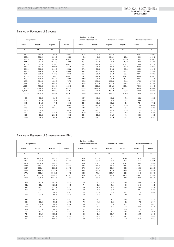#### Balance of Payments of Slovenia

|         | Services - of which: |         |          |         |                         |                       |          |         |                         |  |
|---------|----------------------|---------|----------|---------|-------------------------|-----------------------|----------|---------|-------------------------|--|
|         | Transportations      | Travel  |          |         | Communications services | Construction services |          |         | Other business services |  |
| Exports | Imports              | Exports | Imports  | Exports | Imports                 | Exports               | Imports  | Exports | Imports                 |  |
| 10      | 11                   | 12      | 13       | 14      | 15                      | 16                    | 17       | 18      | 19                      |  |
|         |                      |         |          |         |                         |                       |          |         |                         |  |
| 410.6   | $-354.8$             | 766.8   | $-326.3$ | 10.6    | $-4.6$                  | 103.6                 | $-2.7$   | 205.1   | $-220.3$                |  |
| 390.2   | $-338.1$             | 836.8   | $-443.0$ | 9.2     | $-8.9$                  | 104.1                 | $-18.4$  | 191.0   | $-221.2$                |  |
| 383.9   | $-326.6$             | 989.1   | $-481.5$ | 11.1    | $-13.1$                 | 73.8                  | $-35.0$  | 193.5   | $-236.1$                |  |
| 411.9   | $-327.2$             | 1,047.9 | $-462.8$ | 19.1    | $-24.0$                 | 70.3                  | $-46.8$  | 199.6   | $-247.6$                |  |
| 480.9   | $-365.9$             | 970.8   | $-501.1$ | 22.1    | $-27.6$                 | 65.2                  | $-31.1$  | 189.8   | $-272.7$                |  |
| 489.8   | $-357.5$             | 900.1   | $-511.5$ | 22.7    | $-35.0$                 | 54.0                  | $-59.2$  | 207.5   | $-296.2$                |  |
| 534.4   | $-385.0$             | 1,044.8 | $-556.2$ | 27.0    | $-55.3$                 | 71.8                  | $-55.6$  | 265.0   | $-301.5$                |  |
| 559.2   | $-356.3$             | 1,104.8 | $-600.8$ | 37.8    | $-67.1$                 | 78.8                  | $-52.1$  | 266.8   | $-335.4$                |  |
| 634.6   | $-385.2$             | 1,142.6 | $-634.8$ | 60.5    | $-89.0$                 | 94.9                  | $-60.4$  | 337.4   | $-380.7$                |  |
| 680.0   | $-419.5$             | 1,186.3 | $-664.1$ | 61.7    | $-94.9$                 | 71.0                  | $-72.1$  | 331.4   | $-399.1$                |  |
| 809.3   | $-485.4$             | 1,311.7 | $-703.3$ | 71.9    | $-95.9$                 | 72.2                  | $-49.4$  | 378.4   | $-455.1$                |  |
| 923.0   | $-524.9$             | 1,450.5 | $-707.5$ | 90.8    | $-109.4$                | 107.9                 | $-64.4$  | 479.5   | $-572.3$                |  |
| 1,057.7 | $-601.4$             | 1,555.5 | $-772.3$ | 89.9    | $-107.9$                | 103.8                 | $-67.5$  | 577.1   | $-648.5$                |  |
| 1,258.7 | $-733.6$             | 1,665.4 | $-831.5$ | 105.4   | $-129.8$                | 151.4                 | $-160.5$ | 751.5   | $-801.7$                |  |
| 1,435.8 | $-874.5$             | 1,826.6 | $-922.2$ | 206.3   | $-217.5$                | 300.3                 | $-155.2$ | 880.4   | $-839.9$                |  |
| 1,084.9 | $-648.3$             | 1,803.9 | $-912.7$ | 197.5   | $-223.3$                | 197.3                 | $-98.9$  | 778.9   | $-697.5$                |  |
| 1,205.8 | $-709.5$             | 1,935.4 | $-923.1$ | 217.8   | $-240.8$                | 148.1                 | $-67.6$  | 795.6   | $-742.9$                |  |
| 88.5    | $-58.2$              | 152.3   | $-39.1$  | 19.7    | $-18.6$                 | 10.3                  | $-7.0$   | 64.2    | $-50.8$                 |  |
| 105.3   | $-62.9$              | 119.8   | $-40.3$  | 18.0    | $-20.0$                 | 9.6                   | $-4.3$   | 53.6    | $-51.1$                 |  |
| 119.5   | $-64.4$              | 147.3   | $-39.3$  | 20.1    | $-19.3$                 | 10.2                  | $-5.9$   | 75.4    | $-79.2$                 |  |
| 106.1   | $-58.8$              | 176.3   | $-53.0$  | 22.1    | $-21.9$                 | 11.4                  | $-5.0$   | 73.6    | $-66.9$                 |  |
| 115.3   | $-61.7$              | 151.9   | $-48.3$  | 21.2    | $-20.5$                 | 11.5                  | $-5.7$   | 58.3    | $-63.8$                 |  |
| 110.4   | $-59.3$              | 171.6   | $-61.6$  | 21.7    | $-23.7$                 | 13.4                  | $-3.5$   | 72.7    | $-71.6$                 |  |
| 110.7   | $-56.1$              | 238.1   | $-173.6$ | 20.0    | $-21.6$                 | 13.1                  | $-3.5$   | 72.2    | $-62.4$                 |  |
| 106.5   | $-56.2$              | 268.8   | $-150.0$ | 20.4    | $-29.8$                 | 11.5                  | $-4.6$   | 49.0    | $-56.5$                 |  |
| 112.0   | $-56.8$              | 205.3   | $-89.5$  | 26.8    | $-29.7$                 | 12.9                  | $-5.7$   | 74.0    | $-62.0$                 |  |

|         | Services - of which: |         |          |         |                         |         |                       |         |                         |  |
|---------|----------------------|---------|----------|---------|-------------------------|---------|-----------------------|---------|-------------------------|--|
|         | Transportations      | Travel  |          |         | Communications services |         | Construction services |         | Other business services |  |
| Exports | Imports              | Exports | Imports  | Exports | Imports                 | Exports | Imports               | Exports | Imports                 |  |
| 10      | 11                   | 12      | 13       | 14      | 15                      | 16      | 17                    | 18      | 19                      |  |
|         |                      |         |          |         |                         |         |                       |         |                         |  |
| 386.3   | $-234.0$             | 722.7   | $-242.8$ | 30.8    | $-30.0$                 | 34.1    | $-14.6$               | 162.0   | $-170.7$                |  |
| 420.7   | $-254.0$             | 778.5   | $-246.4$ | 36.2    | $-38.6$                 | 26.8    | $-30.1$               | 171.4   | $-179.1$                |  |
| 488.4   | $-287.8$             | 872.7   | $-247.8$ | 41.8    | $-32.2$                 | 31.8    | $-24.7$               | 194.3   | $-195.4$                |  |
| 563.9   | $-277.7$             | 930.7   | $-326.9$ | 54.2    | $-44.0$                 | 46.2    | $-31.7$               | 232.1   | $-243.4$                |  |
| 695.7   | $-320.1$             | 995.6   | $-347.6$ | 57.9    | $-44.7$                 | 59.5    | $-29.9$               | 265.0   | $-282.0$                |  |
| 801.9   | $-388.6$             | 1033.8  | $-344.4$ | 66.4    | $-42.0$                 | 82.0    | $-97.9$               | 340.0   | $-285.7$                |  |
| 877.2   | $-457.9$             | 1140.4  | $-407.2$ | 104.9   | $-71.4$                 | 107.7   | $-33.6$               | 361.9   | $-305.1$                |  |
| 678.7   | $-363.0$             | 1139.7  | $-423.3$ | 82.0    | $-55.9$                 | 91.6    | $-43.9$               | 308.1   | $-279.9$                |  |
| 773.8   | $-391.3$             | 1247.8  | $-442.6$ | 91.7    | $-56.8$                 | 90.5    | $-31.5$               | 306.5   | $-284.4$                |  |
|         |                      |         |          |         |                         |         |                       |         |                         |  |
| 67.5    | $-32.9$              | 143.6   | $-51.3$  | 7.9     | $-4.1$                  | 9.6     | $-1.9$                | 26.8    | $-24.8$                 |  |
| 56.2    | $-33.1$              | 180.2   | $-44.3$  | 7.1     | $-3.6$                  | 7.8     | $-4.9$                | 21.6    | $-18.6$                 |  |
| 68.3    | $-32.1$              | 121.8   | $-44.1$  | 11.6    | $-8.0$                  | 7.3     | $-1.9$                | 26.5    | $-24.7$                 |  |
| 69.5    | $-36.1$              | 107.5   | $-34.1$  | 8.9     | $-4.6$                  | 8.0     | $-2.7$                | 23.7    | $-22.5$                 |  |
| 73.7    | $-33.7$              | 76.1    | $-28.1$  | 8.9     | $-5.6$                  | 8.4     | $-2.1$                | 21.3    | $-26.2$                 |  |
| 76.3    | $-32.2$              | 89.8    | $-31.5$  | 10.6    | $-7.6$                  | 10.1    | $-4.0$                | 40.1    | $-45.2$                 |  |
|         |                      |         |          |         |                         |         |                       |         |                         |  |
| 58.4    | $-31.1$              | 84.5    | $-26.1$  | 8.8     | $-3.7$                  | 8.7     | $-4.5$                | 22.3    | $-21.5$                 |  |
| 69.5    | $-32.8$              | 70.6    | $-27.2$  | 7.6     | $-4.3$                  | 8.2     | $-2.2$                | 17.9    | $-20.4$                 |  |
| 79.3    | $-34.8$              | 90.9    | $-25.7$  | 9.4     | $-3.7$                  | 8.0     | $-3.7$                | 27.7    | $-24.0$                 |  |
| 72.5    | $-31.1$              | 120.1   | $-33.7$  | 10.6    | $-5.4$                  | 5.4     | $-2.3$                | 26.2    | $-27.4$                 |  |
| 80.0    | $-35.5$              | 96.5    | $-32.5$  | 10.7    | $-4.6$                  | 6.7     | $-2.3$                | 22.8    | $-22.3$                 |  |
| 71.3    | $-32.1$              | 112.4   | $-36.0$  | 12.2    | $-4.5$                  | 7.1     | $-1.8$                | 30.2    | $-26.1$                 |  |
| 76.1    | $-31.5$              | 155.6   | $-53.2$  | 9.0     | $-6.8$                  | 10.7    | $-2.0$                | 25.7    | $-20.1$                 |  |
| 69.9    | $-31.8$              | 192.6   | $-46.3$  | 10.2    | $-6.2$                  | 9.3     | $-3.1$                | 17.2    | $-19.5$                 |  |
| 76.7    | $-32.4$              | 132.0   | $-42.9$  | 12.9    | $-5.6$                  | 9.5     | $-2.9$                | 25.9    | $-22.9$                 |  |
|         |                      |         |          |         |                         |         |                       |         |                         |  |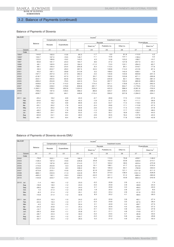**EUROSYSTEM**

# Balance of Payments of Slovenia

| Mio EUR      | Income <sup>8</sup> |          |                           |         |                 |                   |            |            |                          |  |  |
|--------------|---------------------|----------|---------------------------|---------|-----------------|-------------------|------------|------------|--------------------------|--|--|
|              |                     |          | Compensation of employees |         |                 | Investment income |            |            |                          |  |  |
|              |                     |          |                           |         |                 | Receipts          |            |            | Expenditures             |  |  |
|              | Balance             | Receipts | Expenditures              |         | Direct inv. $8$ | Portofolio inv.   | Other inv. |            | Direct inv. <sup>8</sup> |  |  |
| Column       | 20                  | 21       | 22                        | 23      | 24              | 25                | 26         | 27         | 28                       |  |  |
| Code         |                     |          |                           |         |                 |                   |            |            |                          |  |  |
| 1994*        | 144.8               | 183.5    | $-13.6$                   | 90.3    | $-1.7$          | 0.0               | 91.9       | $-115.5$   | 4.2                      |  |  |
| 1995*        | 155.7               | 167.0    | $-19.5$                   | 146.7   | $-1.1$          | 10.6              | 137.1      | $-138.4$   | 3.2                      |  |  |
| 1996         | 122.0               | 186.6    | $-19.2$                   | 143.2   | 4.3             | 15.8              | 123.2      | $-188.7$   | $-10.7$                  |  |  |
| 1997         | 65.8                | 181.7    | $-23.3$                   | 164.7   | 9.6             | 27.2              | 127.9      | $-257.3$   | $-44.1$                  |  |  |
| 1998         | 49.1                | 183.5    | $-24.2$                   | 184.2   | $-11.2$         | 73.3              | 122.1      | $-294.3$   | $-65.7$                  |  |  |
| 1999         | 58.1                | 194.4    | $-23.4$                   | 205.8   | 6.4             | 115.4             | 84.1       | $-318.7$   | $-77.6$                  |  |  |
| 2000         | 29.3                | 203.7    | $-29.3$                   | 267.5   | 24.5            | 128.8             | 114.2      | $-412.6$   | $-97.4$                  |  |  |
| 2001         | 43.2                | 197.1    | $-29.8$                   | 313.9   | 5.5             | 168.0             | 140.4      | $-438.1$   | 7.8                      |  |  |
| 2002         | $-167.7$            | 207.3    | $-47.3$                   | 282.2   | $-4.0$          | 145.6             | 140.6      | $-609.9$   | $-201.3$                 |  |  |
| 2003         | $-218.7$            | 192.0    | $-57.3$                   | 317.7   | 20.7            | 193.2             | 103.8      | $-671.1$   | $-265.8$                 |  |  |
| 2004         | $-322.1$            | 200.5    | $-62.6$                   | 329.2   | 26.2            | 220.9             | 82.1       | $-789.2$   | $-381.0$                 |  |  |
| 2005         | $-295.2$            | 204.9    | $-76.5$                   | 442.3   | 74.4            | 267.7             | 100.2      | $-865.9$   | $-385.5$                 |  |  |
| 2006         | $-439.8$            | 217.6    | $-110.2$                  | 654.3   | 174.4           | 301.1             | 178.8      | $-1,201.5$ | $-562.5$                 |  |  |
| 2007         | $-788.5$            | 229.0    | $-178.9$                  | 939.9   | 261.7           | 373.5             | 304.7      | $-1,778.5$ | $-770.3$                 |  |  |
| 2008         | $-1,062.1$          | 238.0    | $-262.6$                  | 1,024.0 | 205.2           | 422.3             | 396.5      | $-2,061.6$ | $-700.5$                 |  |  |
| 2009         | $-766.2$            | 197.5    | $-128.5$                  | 468.2   | $-86.8$         | 325.7             | 229.4      | $-1,303.4$ | $-496.4$                 |  |  |
| 2010         | $-506.7$            | 233.1    | $-94.1$                   | 448.6   | $-115.4$        | 356.2             | 207.8      | $-1,094.3$ | $-304.1$                 |  |  |
| 2011<br>Jan. | $-55.4$             | 18.2     | $-6.9$                    | 43.3    | $-2.7$          | 28.9              | 17.0       | $-110.0$   | $-37.5$                  |  |  |
| Feb.         | $-54.6$             | 18.2     | $-6.9$                    | 45.2    | $-1.9$          | 31.0              | 16.1       | $-111.1$   | $-36.6$                  |  |  |
| Mar.         | $-37.0$             | 18.2     | $-6.9$                    | 69.6    | $-2.3$          | 54.7              | 17.2       | $-118.0$   | $-37.6$                  |  |  |
| Apr.         | $-53.1$             | 26.2     | $-7.9$                    | 44.3    | $-2.4$          | 29.6              | 17.1       | $-115.6$   | $-37.3$                  |  |  |
| May          | $-41.0$             | 26.2     | $-7.9$                    | 58.9    | $-2.6$          | 44.2              | 17.3       | $-118.2$   | $-37.9$                  |  |  |
| Jun.         | $-46.2$             | 26.2     | $-7.9$                    | 55.8    | $-1.3$          | 39.4              | 17.7       | $-120.2$   | $-38.0$                  |  |  |
| Jul.         | $-59.3$             | 24.1     | $-8.4$                    | 53.2    | $-1.5$          | 35.7              | 18.9       | $-128.1$   | $-44.0$                  |  |  |
| Aug.         | $-65.9$             | 24.1     | $-8.4$                    | 46.0    | $-2.8$          | 30.5              | 18.4       | $-127.6$   | $-40.5$                  |  |  |
| Sep.         | $-65.1$             | 24.1     | $-8.4$                    | 48.1    | $-2.4$          | 32.7              | 17.8       | $-128.8$   | $-42.9$                  |  |  |

| Mio EUR |        | Income <sup>8</sup> |          |                           |       |                 |                   |            |           |                 |  |  |
|---------|--------|---------------------|----------|---------------------------|-------|-----------------|-------------------|------------|-----------|-----------------|--|--|
|         |        |                     |          | Compensation of employees |       |                 | Investment income |            |           |                 |  |  |
|         |        | Balance             |          |                           |       |                 | Receipts          |            |           | Expenditures    |  |  |
|         |        |                     | Receipts | Expenditures              |       | Direct inv. $8$ | Portofolio inv.   | Other inv. |           | Direct inv. $8$ |  |  |
|         | Column | 20                  | 21       | 22                        | 23    | 24              | 25                | 26         | 27        | 28              |  |  |
|         | Code   |                     |          |                           |       |                 |                   |            |           |                 |  |  |
| 2002    |        | $-79.8$             | 202.1    | $-14.6$                   | 192.3 | 5.0             | 110.5             | 76.8       | $-459.7$  | $-148.0$        |  |  |
| 2003    |        | $-129.3$            | 187.0    | $-16.6$                   | 226.8 | 20.8            | 152.3             | 53.8       | $-526.6$  | $-213.1$        |  |  |
| 2004    |        | $-113.5$            | 197.6    | $-22.0$                   | 214.3 | 11.7            | 163.2             | 39.5       | $-503.4$  | $-270.9$        |  |  |
| 2005    |        | $-174.6$            | 202.6    | $-5.3$                    | 242.9 | 15.1            | 186.1             | 41.7       | $-614.8$  | $-316.4$        |  |  |
| 2006    |        | $-253.8$            | 213.4    | $-9.5$                    | 336.2 | 62.1            | 190.0             | 84.1       | $-793.9$  | $-353.0$        |  |  |
| 2007    |        | $-573.9$            | 223.1    | $-10.6$                   | 425.5 | 61.6            | 242.7             | 121.1      | $-1211.8$ | $-511.2$        |  |  |
| 2008    |        | $-885.1$            | 232.5    | $-11.3$                   | 444.9 | 32.4            | 274.0             | 138.4      | $-1551.3$ | $-526.8$        |  |  |
| 2009    |        | $-493.2$            | 192.1    | $-18.3$                   | 228.3 | $-44.0$         | 221.1             | 51.2       | $-895.4$  | $-363.6$        |  |  |
| 2010    |        | $-144.8$            | 225.7    | $-13.4$                   | 307.2 | 12.1            | 251.2             | 43.9       | $-664.3$  | $-242.6$        |  |  |
|         |        |                     |          |                           |       |                 |                   |            |           |                 |  |  |
| 2010    | Jul.   | $-1.4$              | 18.0     | $-1.2$                    | 23.3  | $-0.2$          | 20.8              | 2.6        | $-41.5$   | $-7.4$          |  |  |
|         | Aug.   | $-18.8$             | 18.0     | $-1.2$                    | 23.3  | $-0.5$          | 20.9              | 2.9        | $-58.9$   | $-24.3$         |  |  |
|         | Sep.   | $-28.6$             | 18.0     | $-1.2$                    | 24.0  | 0.1             | 20.6              | 3.3        | $-69.5$   | $-33.5$         |  |  |
|         | Oct.   | 1.0                 | 21.4     | $-1.2$                    | 24.6  | 1.8             | 20.0              | 2.8        | $-43.7$   | $-8.5$          |  |  |
|         | Nov.   | $-6.3$              | 21.4     | $-1.2$                    | 25.1  | $-0.2$          | 22.4              | 2.9        | $-51.6$   | $-16.5$         |  |  |
|         | Dec.   | $-15.8$             | 21.4     | $-1.2$                    | 32.6  | 8.3             | 20.2              | 4.1        | $-68.5$   | $-28.3$         |  |  |
| 2011    | Jan.   | $-25.6$             | 16.3     | $-1.0$                    | 24.2  | $-0.3$          | 20.6              | 3.9        | $-65.1$   | $-27.4$         |  |  |
|         | Feb.   | $-24.5$             | 16.3     | $-1.0$                    | 27.7  | $-0.4$          | 24.6              | 3.5        | $-67.5$   | $-26.4$         |  |  |
|         | Mar.   | $-4.0$              | 16.3     | $-1.0$                    | 50.4  | 0.1             | 45.9              | 4.4        | $-69.7$   | $-27.5$         |  |  |
|         | Apr.   | $-24.3$             | 20.8     | $-1.1$                    | 25.4  | 0.3             | 20.6              | 4.5        | $-69.4$   | $-27.2$         |  |  |
|         | May    | $-15.7$             | 20.8     | $-1.1$                    | 37.0  | $-0.1$          | 32.4              | 4.8        | $-72.3$   | $-27.6$         |  |  |
|         | Jun.   | $-29.3$             | 20.8     | $-1.1$                    | 25.8  | $-0.1$          | 21.1              | 4.8        | $-74.8$   | $-27.7$         |  |  |
|         | Jul.   | $-28.7$             | 23.3     | $-1.2$                    | 30.0  | $-0.2$          | 24.5              | 5.7        | $-80.8$   | $-33.5$         |  |  |
|         | Aug.   | $-30.7$             | 23.3     | $-1.2$                    | 25.7  | $-0.2$          | 20.2              | 5.8        | $-78.6$   | $-29.8$         |  |  |
|         |        | $-32.7$             | 23.3     | $-1.2$                    | 26.5  | 0.2             | 21.3              | 4.9        | $-81.3$   | $-32.2$         |  |  |
|         | Sep.   |                     |          |                           |       |                 |                   |            |           |                 |  |  |
|         |        |                     |          |                           |       |                 |                   |            |           |                 |  |  |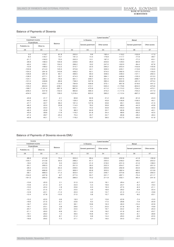#### Balance of Payments of Slovenia

| Income            |            | Current transfers $10$ |         |                    |               |             |                    |               |
|-------------------|------------|------------------------|---------|--------------------|---------------|-------------|--------------------|---------------|
| Investment income |            |                        |         | In Slovenia        |               |             | Abroad             |               |
| Expenditures      |            | Balance                |         |                    |               |             |                    |               |
| Portofolio inv.   | Other inv. |                        |         | General government | Other sectors |             | General government | Other sectors |
|                   |            |                        |         |                    |               |             |                    |               |
| 29                | 30         | 31                     | 32      | 33                 | 34            | 35          | 36                 | 37            |
|                   |            |                        |         |                    |               |             |                    |               |
| 0.0               | $-119.7$   | 81.9                   | 200.0   | 9.6                | 190.4         | $-118.2$    | $-100.9$           | $-17.3$       |
| $-6.0$            | $-135.7$   | 73.7                   | 191.3   | 14.4               | 176.9         | $-117.7$    | $-77.9$            | $-39.7$       |
| $-21.7$           | $-156.3$   | 70.0                   | 200.3   | 13.1               | 187.2         | $-130.3$    | $-77.2$            | $-53.1$       |
| $-26.9$           | $-186.3$   | 100.6                  | 229.6   | 26.0               | 203.6         | $-129.0$    | $-84.9$            | $-44.1$       |
| $-45.5$           | $-183.1$   | 104.2                  | 266.2   | 19.2               | 247.0         | $-162.0$    | $-94.4$            | $-67.6$       |
| $-72.9$           | $-168.2$   | 112.2                  | 315.7   | 22.5               | 293.2         | $-203.4$    | $-102.8$           | $-100.6$      |
| $-100.9$          | $-214.3$   | 125.5                  | 370.6   | 44.1               | 326.5         | $-245.1$    | $-110.6$           | $-134.5$      |
| $-154.3$          | $-291.6$   | 143.6                  | 436.2   | 62.1               | 374.0         | $-292.5$    | $-137.0$           | $-155.5$      |
| $-126.8$          | $-281.9$   | 60.1                   | 499.5   | 90.0               | 409.5         | $-439.4$    | $-147.1$           | $-292.4$      |
| $-128.3$          | $-277.1$   | 25.7                   | 474.3   | 90.2               | 384.1         | $-448.6$    | $-135.3$           | $-313.3$      |
| $-124.1$          | $-284.1$   | $-76.5$                | 561.1   | 209.7              | 351.4         | $-637.5$    | $-299.7$           | $-337.9$      |
| $-131.5$          | $-348.8$   | $-96.6$                | 738.3   | 347.9              | 390.4         | $-834.9$    | $-461.5$           | $-373.4$      |
| $-120.9$          | $-518.1$   | $-172.8$               | 784.9   | 409.8              | 375.1         | $-957.8$    | $-516.6$           | $-441.2$      |
| $-155.2$          | $-853.0$   | $-239.1$               | 940.6   | 410.1              | 530.4         | $-1, 179.6$ | $-604.0$           | $-575.6$      |
| $-169.7$          | $-1,191.4$ | $-287.3$               | 887.0   | 475.9              | 411.2         | $-1, 174.3$ | $-704.2$           | $-470.1$      |
| $-259.2$          | $-547.9$   | $-152.0$               | 965.6   | 590.3              | 375.2         | $-1, 117.5$ | $-700.2$           | $-417.3$      |
| $-434.5$          | $-355.7$   | 106.0                  | 1.218.4 | 823.2              | 395.2         | $-1, 112.4$ | $-667.2$           | $-445.2$      |
|                   |            |                        |         |                    |               |             |                    |               |
| $-40.8$           | $-31.7$    | $-2.1$                 | 83.8    | 62.6               | 21.2          | $-85.9$     | $-61.6$            | $-24.3$       |
| $-44.5$           | $-30.0$    | $-17.2$                | 129.3   | 83.5               | 45.8          | $-146.6$    | $-106.5$           | $-40.1$       |
| $-47.7$           | $-32.7$    | 66.2                   | 161.4   | 127.6              | 33.8          | $-95.1$     | $-53.6$            | $-41.5$       |
| $-46.2$           | $-32.0$    | 25.8                   | 114.0   | 78.2               | 35.8          | $-88.2$     | $-44.3$            | $-43.8$       |
| $-46.9$           | $-33.4$    | $-1.2$                 | 104.1   | 70.2               | 33.9          | $-105.3$    | $-62.8$            | $-42.5$       |
| $-46.3$           | $-35.9$    | 7.6                    | 98.3    | 64.6               | 33.7          | $-90.8$     | $-50.6$            | $-40.1$       |
| $-45.6$           | $-38.6$    | 17.6                   | 116.2   | 81.8               | 34.4          | $-98.6$     | $-56.2$            | $-42.5$       |
| $-47.4$           | $-39.7$    | $-25.4$                | 70.4    | 45.7               | 24.7          | $-95.8$     | $-49.4$            | $-46.4$       |
| $-45.9$           | $-40.1$    | 11.7                   | 119.2   | 79.7               | 39.5          | $-107.5$    | $-55.5$            | $-51.9$       |
|                   |            |                        |         |                    |               |             |                    |               |

| Income            |            | Current transfers <sup>10</sup> |       |                    |               |          |                    |               |
|-------------------|------------|---------------------------------|-------|--------------------|---------------|----------|--------------------|---------------|
| Investment income |            |                                 |       | In Slovenia        |               |          | Abroad             |               |
| Expenditures      |            | Balance                         |       |                    |               |          |                    |               |
| Portofolio inv.   | Other inv. |                                 |       | General government | Other sectors |          | General government | Other sectors |
| 29                | 30         | 31                              | 32    | 33                 | 34            | 35       | 36                 | 37            |
|                   |            |                                 |       |                    |               |          |                    |               |
| $-98.9$           | $-212.8$   | 70.4                            | 303.3 | 69.4               | 233.9         | $-232.9$ | $-41.9$            | $-190.9$      |
| $-100.7$          | $-212.8$   | 50.0                            | 298.2 | 67.7               | 230.5         | $-248.2$ | $-46.0$            | $-202.2$      |
| $-19.0$           | $-213.6$   | 9.3                             | 240.3 | 21.2               | 219.0         | $-231.0$ | $-31.6$            | $-199.3$      |
| $-33.1$           | $-265.3$   | $-3.2$                          | 251.5 | 29.2               | 222.3         | $-254.7$ | $-53.7$            | $-201.0$      |
| $-28.4$           | $-412.5$   | $-53.4$                         | 239.5 | 38.6               | 200.9         | $-292.9$ | $-64.6$            | $-228.2$      |
| $-33.8$           | $-666.8$   | $-13.1$                         | 369.3 | 65.8               | 303.5         | $-382.4$ | $-68.5$            | $-313.9$      |
| $-58.1$           | $-966.3$   | $-71.2$                         | 303.4 | 53.7               | 249.7         | $-374.6$ | $-82.6$            | $-292.0$      |
| $-104.0$          | $-427.8$   | $-9.7$                          | 277.5 | 55.7               | 221.7         | $-287.1$ | $-75.4$            | $-211.7$      |
| $-161.5$          | $-260.2$   | $-46.0$                         | 286.0 | 74.2               | 211.9         | $-332.1$ | $-90.4$            | $-241.6$      |
|                   |            |                                 |       |                    |               |          |                    |               |
| $-13.6$           | $-20.5$    | 2.1                             | 31.5  | 12.3               | 19.1          | $-29.4$  | $-6.7$             | $-22.7$       |
| $-13.6$           | $-21.0$    | $-2.7$                          | 22.0  | 5.4                | 16.6          | $-24.7$  | $-5.4$             | $-19.4$       |
| $-13.5$           | $-22.4$    | $-1.8$                          | 25.6  | 6.3                | 19.3          | $-27.5$  | $-6.3$             | $-21.1$       |
| $-13.7$           | $-21.5$    | $-5.7$                          | 23.5  | 4.9                | 18.6          | $-29.2$  | $-6.9$             | $-22.4$       |
| $-12.9$           | $-22.1$    | $-11.0$                         | 20.3  | 4.6                | 15.7          | $-31.3$  | $-11.4$            | $-19.9$       |
| $-12.4$           | $-27.8$    | $-10.5$                         | 21.5  | 5.8                | 15.7          | $-32.0$  | $-9.0$             | $-23.1$       |
|                   |            |                                 |       |                    |               |          |                    |               |
| $-15.2$           | $-22.5$    | $-3.6$                          | 19.3  | 5.7                | 13.6          | $-22.9$  | $-7.4$             | $-15.5$       |
| $-19.6$           | $-21.5$    | $-5.2$                          | 23.6  | 6.2                | 17.5          | $-28.8$  | $-7.9$             | $-20.9$       |
| $-18.7$           | $-23.5$    | $-0.1$                          | 36.1  | 19.8               | 16.3          | $-36.3$  | $-13.4$            | $-22.9$       |
| $-19.1$           | $-23.1$    | 0.8                             | 28.6  | 5.1                | 23.5          | $-27.8$  | $-8.0$             | $-19.9$       |
| $-20.7$           | $-24.0$    | $-9.7$                          | 24.5  | 7.7                | 16.7          | $-34.2$  | $-9.1$             | $-25.0$       |
| $-21.1$           | $-26.0$    | $-6.8$                          | 25.1  | 6.9                | 18.2          | $-31.9$  | $-8.2$             | $-23.7$       |
| $-19.1$           | $-28.2$    | 1.5                             | 36.5  | 16.8               | 19.7          | $-35.0$  | $-6.1$             | $-28.9$       |
| $-19.5$           | $-29.3$    | $-8.1$                          | 21.2  | 6.8                | 14.4          | $-29.3$  | $-6.9$             | $-22.5$       |
| $-19.6$           | $-29.5$    | $-7.2$                          | 27.1  | 8.1                | 19.0          | $-34.3$  | $-10.1$            | $-24.2$       |
|                   |            |                                 |       |                    |               |          |                    |               |
|                   |            |                                 |       |                    |               |          |                    |               |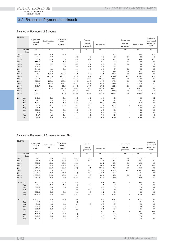**EUROSYSTEM**

#### Balance of Payments of Slovenia

| Mio EUR      |                      |                 |                                   |       |                          |               |          |                       |               | CA. of which:          |
|--------------|----------------------|-----------------|-----------------------------------|-------|--------------------------|---------------|----------|-----------------------|---------------|------------------------|
|              | Capital and          | Capital account | CA, of which:                     |       | Receipts                 |               |          | Expenditures          |               | Non-produced,          |
|              | financial<br>account | (CA)            | Capital<br>${\sf transfers}^{10}$ |       | General<br>government    | Other sectors |          | General<br>government | Other sectors | nonfinancial<br>assets |
| Column       | 38                   | 39              | 40                                | 41    | 42                       | 43            | 44       | 45                    | 46            | 47                     |
| Code         |                      |                 |                                   |       |                          |               |          |                       |               |                        |
| 1994*        | $-441.3$             | $-2.8$          | $-1.5$                            | 1.8   | $\overline{\phantom{a}}$ | 1.8           | $-3.2$   | ÷,                    | $-3.2$        | $-1.3$                 |
| 1995*        | 200.5                | $-5.3$          | $-3.5$                            | 2.3   | 0.8                      | 1.5           | $-5.8$   | $-3.1$                | $-2.8$        | $-1.8$                 |
| 1996         | $-33.9$              | $-1.5$          | 0.6                               | 4.1   | 0.9                      | 3.2           | $-3.5$   | 0.0                   | $-3.4$        | $-2.1$                 |
| 1997         | $-111.4$             | 0.9             | 1.8                               | 4.2   | 1.2                      | 3.0           | $-2.4$   | $-0.1$                | $-2.3$        | $-0.9$                 |
| 1998         | 53.0                 | $-1.2$          | $-0.2$                            | 3.0   | 0.1                      | 2.8           | $-3.2$   | 0.0                   | $-3.2$        | $-1.0$                 |
| 1999         | 624.6                | $-0.7$          | 0.0                               | 2.7   | 0.1                      | 2.6           | $-2.8$   | $\sim$                | $-2.8$        | $-0.6$                 |
| 2000         | 541.6                | 4.0             | 0.8                               | 3.4   | 0.0                      | 3.4           | $-2.7$   | $-0.2$                | $-2.5$        | 3.3                    |
| 2001         | $-148.4$             | $-4.0$          | 0.7                               | 2.4   | ÷,                       | 2.4           | $-1.8$   | 0.0                   | $-1.7$        | $-4.7$                 |
| 2002         | 3.1                  | $-163.6$        | $-162.7$                          | 74.1  | 0.0                      | 74.1          | $-236.8$ | 0.0                   | $-236.8$      | $-0.8$                 |
| 2003         | 45.7                 | $-165.5$        | $-163.7$                          | 81.1  | 0.1                      | 81.0          | $-244.8$ | $-0.1$                | $-244.7$      | $-1.8$                 |
| 2004         | 697.6                | $-96.1$         | $-96.5$                           | 151.0 | 19.5                     | 131.5         | $-247.5$ | 0.0                   | $-247.5$      | 0.4                    |
| 2005         | 970.4                | $-113.9$        | $-109.2$                          | 169.8 | 28.6                     | 141.2         | $-279.0$ | 0.0                   | $-279.0$      | $-4.7$                 |
| 2006         | 1.091.5              | $-131.5$        | $-126.4$                          | 205.2 | 46.7                     | 158.5         | $-331.6$ | $-0.1$                | $-331.5$      | $-5.1$                 |
| 2007         | 1,919.7              | $-51.9$         | $-50.5$                           | 315.5 | 127.7                    | 187.8         | $-366.0$ | $-0.8$                | $-365.3$      | $-1.4$                 |
| 2008         | 2,605.2              | $-25.4$         | $-26.3$                           | 280.8 | 78.0                     | 202.9         | $-307.1$ | $\sim$                | $-307.1$      | 0.9                    |
| 2009         | 154.1                | $-9.4$          | $-4.1$                            | 267.3 | 120.9                    | 146.5         | $-271.5$ | $-0.3$                | $-271.1$      | $-5.3$                 |
| 2010         | 318.7                | 8.2             | 16.0                              | 355.9 | 103.7                    | 252.2         | $-339.9$ | 0.0                   | $-339.9$      | $-7.8$                 |
| 2011<br>Jan. | $-149.6$             | $-9.3$          | $-6.6$                            | 12.5  | 2.1                      | 10.4          | $-19.0$  | ÷.                    | $-19.0$       | $-2.7$                 |
| Feb.         | 56.7                 | 1.5             | 1.5                               | 17.6  | 4.3                      | 13.3          | $-16.1$  |                       | $-16.1$       | 0.0                    |
| Mar.         | 180.1                | 1.0             | 1.0                               | 22.8  | 2.0                      | 20.8          | $-21.8$  | ×                     | $-21.8$       | 0.0                    |
| Apr.         | 10.4                 | $-2.1$          | $-3.4$                            | 15.6  | 3.3                      | 12.2          | $-18.9$  | ×                     | $-18.9$       | 1.2                    |
| May          | 21.3                 | 0.2             | 0.5                               | 19.0  | 6.2                      | 12.7          | $-18.5$  | ÷.                    | $-18.5$       | $-0.3$                 |
| Jun.         | $-320.0$             | $-3.9$          | $-3.6$                            | 12.2  | 0.0                      | 12.2          | $-15.8$  | $\overline{a}$        | $-15.8$       | $-0.3$                 |
| Jul.         | 4.8                  | $-6.7$          | $-6.8$                            | 12.7  | 3.3                      | 9.4           | $-19.5$  | ×                     | $-19.5$       | 0.0                    |
| Aug.         | $-34.7$              | $-4.2$          | $-2.9$                            | 10.4  | 3.0                      | 7.4           | $-13.3$  |                       | $-13.3$       | $-1.3$                 |
| Sep.         | $-44.5$              | 2.9             | 2.9                               | 17.3  | 6.4                      | 10.9          | $-14.4$  |                       | $-14.4$       | 0.0                    |

| Mio EUR |        |                      |                 |                                    |       |                          |               |          |                          |               | CA, of which:          |
|---------|--------|----------------------|-----------------|------------------------------------|-------|--------------------------|---------------|----------|--------------------------|---------------|------------------------|
|         |        | Capital and          | Capital account | CA, of which:                      |       | Receipts                 |               |          | Expenditures             |               | Non-produced,          |
|         |        | financial<br>account | (CA)            | Capital<br>transfers <sup>10</sup> |       | General<br>government    | Other sectors |          | General<br>government    | Other sectors | nonfinancial<br>assets |
|         | Column | 38                   | 39              | 40                                 | 41    | 42                       | 43            | 44       | 45                       | 46            | 47                     |
|         | Code   |                      |                 |                                    |       |                          |               |          |                          |               |                        |
| 2002    |        | $-314.7$             | $-81.3$         | $-82.4$                            | 45.3  | 0.0                      | 45.3          | $-127.7$ | 0.0                      | $-127.7$      | 1.1                    |
| 2003    |        | 65.2                 | $-83.9$         | $-83.2$                            | 47.5  | 0.0                      | 47.5          | $-130.7$ | 0.0                      | $-130.7$      | $-0.7$                 |
| 2004    |        | 557.5                | $-42.8$         | $-42.5$                            | 90.1  | $\overline{\phantom{a}}$ | 90.1          | $-132.6$ | 0.0                      | $-132.6$      | $-0.3$                 |
| 2005    |        | 2,611.8              | $-57.0$         | $-52.8$                            | 96.3  | 0.0                      | 96.3          | $-149.1$ | 0.0                      | $-149.1$      | $-4.2$                 |
| 2006    |        | 2,611.5              | $-68.9$         | $-68.2$                            | 107.3 | 0.1                      | 107.2         | $-175.5$ | 0.0                      | $-175.5$      | $-0.6$                 |
| 2007    |        | 2,734.0              | $-65.3$         | $-65.1$                            | 123.2 | 0.0                      | 123.2         | $-188.3$ | $-0.2$                   | $-188.1$      | $-0.2$                 |
| 2008    |        | 3,325.6              | $-34.8$         | $-34.0$                            | 118.7 | 0.0                      | 118.7         | $-152.7$ | $\overline{\phantom{a}}$ | $-152.7$      | $-0.8$                 |
| 2009    |        | $-4,053.2$           | $-51.8$         | $-48.5$                            | 96.8  | 0.3                      | 96.4          | $-145.3$ | $-0.2$                   | $-145.1$      | $-3.2$                 |
| 2010    |        | $-1,482.3$           | $-8.2$          | $-3.0$                             | 193.6 | 0.2                      | 193.4         | $-196.6$ | $\overline{\phantom{a}}$ | $-196.6$      | $-5.2$                 |
|         |        |                      |                 |                                    |       |                          |               |          |                          |               |                        |
| 2010    | Jul.   | 260.7                | $-3.8$          | $-3.8$                             | 6.1   | ٠                        | 6.1           | $-9.9$   | ٠                        | $-9.9$        | 0.0                    |
|         | Aug.   | $-249.1$             | $-1.7$          | $-1.7$                             | 4.1   | 0.0                      | 4.1           | $-5.8$   | ٠                        | $-5.8$        | 0.0                    |
|         | Sep.   | 69.3                 | $-0.8$          | $-0.6$                             | 6.6   | ÷,                       | 6.6           | $-7.2$   | ÷.                       | $-7.2$        | $-0.2$                 |
|         | Oct.   | 31.6                 | 0.3             | 0.4                                | 8.4   | 0.0                      | 8.4           | $-8.0$   | ٠                        | $-8.0$        | $-0.1$                 |
|         | Nov.   | $-867.6$             | 0.5             | 0.6                                | 14.1  | 0.0                      | 14.1          | $-13.5$  | ×                        | $-13.5$       | 0.0                    |
|         | Dec.   | $-106.0$             | $-52.8$         | $-48.7$                            | 23.9  | 0.0                      | 23.9          | $-72.6$  | ٠                        | $-72.6$       | $-4.0$                 |
|         |        |                      |                 |                                    |       |                          |               |          |                          |               |                        |
| 2011    | Jan.   | $-1,430.7$           | $-4.6$          | $-4.6$                             | 6.7   | ٠                        | 6.7           | $-11.2$  | ٠                        | $-11.2$       | 0.0                    |
|         | Feb.   | $-79.3$              | $-0.5$          | $-0.6$                             | 8.5   |                          | 8.5           | $-9.1$   | ٠                        | $-9.1$        | 0.1                    |
|         | Mar.   | 94.8                 | 1.6             | 1.6                                | 13.6  | 0.0                      | 13.6          | $-12.0$  | ÷.                       | $-12.0$       | 0.0                    |
|         | Apr.   | 409.0                | $-2.9$          | $-2.8$                             | 7.7   | ٠                        | 7.7           | $-10.6$  | ٠                        | $-10.6$       | 0.0                    |
|         | May    | $-273.9$             | $-2.8$          | $-2.7$                             | 8.1   | $\overline{\phantom{a}}$ | 8.1           | $-10.7$  | ٠                        | $-10.7$       | $-0.1$                 |
|         | Jun.   | 182.2                | $-1.1$          | $-0.7$                             | 8.0   | ٠                        | 8.0           | $-8.7$   | ٠                        | $-8.7$        | $-0.4$                 |
|         | Jul.   | 100.7                | $-4.8$          | $-4.8$                             | 6.2   | ÷,                       | 6.2           | $-10.9$  | ×                        | $-10.9$       | 0.0                    |
|         | Aug.   | $-247.2$             | $-3.5$          | $-2.4$                             | 4.7   | ٠                        | 4.7           | $-7.2$   | ×                        | $-7.2$        | $-1.1$                 |
|         | Sep.   | 177.5                | $-0.6$          | $-0.6$                             | 7.2   |                          | 7.2           | $-7.8$   |                          | $-7.8$        | 0.0                    |
|         |        |                      |                 |                                    |       |                          |               |          |                          |               |                        |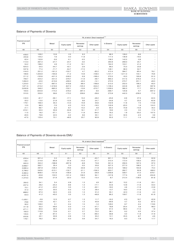#### Balance of Payments of Slovenia

|                   |          |            |                |                       | FA, of which: Direct investment <sup>8, 9</sup> |             |                |                       |                          |
|-------------------|----------|------------|----------------|-----------------------|-------------------------------------------------|-------------|----------------|-----------------------|--------------------------|
| Financial account |          |            |                |                       |                                                 |             |                |                       |                          |
| (FA)              |          | Abroad     | Equity capital | Reinvested<br>eamings | Other capital                                   | In Slovenia | Equity capital | Reinvested<br>eamings | Other capital            |
| 48                | 49       | 50         | 51             | 52                    | 53                                              | 54          | 55             | 56                    | 57                       |
|                   |          |            |                |                       |                                                 |             |                |                       |                          |
| $-438.5$          | 109.2    | 10.9       | 2.5            | 8.3                   |                                                 | 98.3        | 108.0          | $-9.6$                |                          |
| 205.8             | 125.2    | 7.8        | $-4.0$         | 11.8                  |                                                 | 117.4       | 136.9          | $-19.5$               | ٠                        |
| $-32.4$           | 132.6    | $-5.6$     | $-5.1$         | $-0.5$                |                                                 | 138.2       | 142.0          | $-3.8$                |                          |
| $-112.3$          | 267.3    | $-27.7$    | $-24.7$        | $-3.0$                |                                                 | 294.9       | 269.3          | 25.7                  |                          |
| 54.2              | 199.2    | 4.9        | $-11.2$        | 16.1                  |                                                 | 194.3       | 153.1          | 41.2                  |                          |
| 625.3             | 54.5     | $-44.7$    | $-42.1$        | $-2.6$                |                                                 | 99.2        | 75.3           | 23.9                  |                          |
| 537.6             | 77.4     | $-71.7$    | $-54.7$        | $-17.0$               |                                                 | 149.1       | 96.3           | 52.7                  | $\overline{\phantom{a}}$ |
| $-144.3$          | 251.2    | $-161.2$   | $-102.7$       | 4.7                   | $-63.2$                                         | 412.4       | 394.7          | $-60.4$               | 78.1                     |
| 166.6             | 1,555.9  | $-165.8$   | $-71.2$        | 13.9                  | $-108.5$                                        | 1,721.7     | 1,511.0        | 134.1                 | 76.6                     |
| 211.2             | $-150.8$ | $-421.3$   | $-246.0$       | $-5.9$                | $-169.4$                                        | 270.5       | $-16.3$        | 195.8                 | 91.0                     |
| 793.7             | 224.2    | $-441.0$   | $-379.7$       | $-11.6$               | $-49.7$                                         | 665.2       | 317.5          | 276.3                 | 71.4                     |
| 1,084.3           | $-43.0$  | $-515.6$   | $-456.0$       | $-45.5$               | $-14.1$                                         | 472.5       | 270.7          | 251.1                 | $-49.3$                  |
| 1,223.0           | $-173.7$ | $-687.0$   | $-418.8$       | $-99.4$               | $-168.8$                                        | 513.3       | 252.0          | 196.4                 | 65.0                     |
| 1,971.5           | $-210.2$ | $-1,316.6$ | $-647.2$       | $-125.3$              | $-544.2$                                        | 1,106.4     | 424.9          | 83.7                  | 597.9                    |
| 2,630.6           | 346.2    | $-983.3$   | $-702.1$       | $-10.6$               | $-270.7$                                        | 1,329.5     | 380.3          | 17.7                  | 931.4                    |
| 163.5             | $-643.9$ | $-174.2$   | $-478.2$       | 297.4                 | 6.6                                             | $-469.7$    | 120.8          | 6.7                   | $-597.2$                 |
| 310.5             | 333.5    | 59.6       | $-170.2$       | 259.6                 | $-29.8$                                         | 273.9       | 442.3          | $-239.5$              | 71.0                     |
| $-140.3$          | $-81.7$  | $-56.1$    | $-17.1$        | 10.2                  | $-49.2$                                         | $-25.6$     | $-0.6$         | 27.5                  | $-52.5$                  |
| 55.2              | $-13.0$  | 21.8       | $-12.5$        | 9.6                   | 24.7                                            | $-34.8$     | 4.7            | 23.3                  | $-62.8$                  |
| 179.1             | 168.3    | 35.4       | $-14.3$        | 15.9                  | 33.8                                            | 132.9       | 11.6           | 7.5                   | 113.8                    |
| 12.5              | 98.3     | $-7.6$     | $-0.3$         | 12.3                  | $-19.5$                                         | 105.9       | $-20.0$        | 1.6                   | 124.3                    |
| 21.1              | 98.7     | 8.3        | $-6.7$         | 10.2                  | 4.9                                             | 90.4        | 70.9           | $-15.9$               | 35.4                     |
| $-316.1$          | 55.5     | 35.9       | $-34.9$        | 19.1                  | 51.7                                            | 19.6        | 2.3            | $0.0$                 | 17.2                     |
| 11.5              | 19.2     | $-57.1$    | 15.1           | 11.8                  | $-84.0$                                         | 76.2        | 1.9            | $-33.2$               | 107.5                    |
| $-30.5$           | 76.6     | 42.5       | $-0.2$         | 9.6                   | 33.1                                            | 34.1        | 32.5           | $-2.3$                | 3.9                      |
| $-47.5$           | 125.4    | 70.1       | $-46.5$        | 23.7                  | 92.9                                            | 55.3        | 11.1           | $-1.4$                | 45.6                     |

|                   |         |          |                |                       | FA, of which: Direct investment <sup>8, 9</sup> |             |                |                       |               |
|-------------------|---------|----------|----------------|-----------------------|-------------------------------------------------|-------------|----------------|-----------------------|---------------|
| Financial account |         |          |                |                       |                                                 |             |                |                       |               |
| (FA)              |         | Abroad   | Equity capital | Reinvested<br>eamings | Other capital                                   | In Slovenia | Equity capital | Reinvested<br>eamings | Other capital |
| 48                | 49      | 50       | 51             | 52                    | 53                                              | 54          | 55             | 56                    | 57            |
|                   |         |          |                |                       |                                                 |             |                |                       |               |
| $-233.4$          | 921.4   | 0.3      | 20.1           | 0.9                   | $-20.7$                                         | 921.1       | 755.8          | 102.4                 | 62.9          |
| 149.1             | 214.6   | $-95.9$  | $-37.8$        | $-10.3$               | $-47.7$                                         | 310.4       | 172.4          | 158.3                 | $-20.3$       |
| 600.3             | 352.2   | $-198.8$ | $-267.9$       | $-6.8$                | 75.8                                            | 551.0       | 256.5          | 197.5                 | 97.0          |
| 2,668.7           | 562.7   | 35.4     | 5.3            | $-3.5$                | 33.6                                            | 527.3       | 277.0          | 198.5                 | 51.7          |
| 2,680.4           | 297.9   | $-126.4$ | $-79.6$        | $-34.9$               | $-11.9$                                         | 424.3       | 189.2          | 164.8                 | 70.4          |
| 2,799.2           | 540.6   | $-313.1$ | $-132.7$       | $-21.1$               | $-159.3$                                        | 853.7       | 292.7          | 92.8                  | 468.2         |
| 3.360.4           | 908.0   | $-151.8$ | $-156.6$       | 31.6                  | $-26.9$                                         | 1,059.8     | 339.7          | 41.0                  | 679.1         |
| $-4.001.5$        | $-55.8$ | 102.0    | $-101.4$       | 109.3                 | 94.1                                            | $-157.8$    | 177.5          | $-0.8$                | $-334.6$      |
| $-1,474.0$        | $-30.6$ | $-21.9$  | $-22.0$        | 15.5                  | $-15.4$                                         | $-8.7$      | 212.4          | $-139.3$              | $-81.8$       |
|                   |         |          |                |                       |                                                 |             |                |                       |               |
| 264.5             | 34.1    | 5.4      | $-0.9$         | 1.3                   | 4.9                                             | 28.7        | 15.2           | $-11.6$               | 25.1          |
| $-247.4$          | 29.2    | $-25.4$  | $-9.6$         | 1.3                   | $-17.1$                                         | 54.6        | 12.9           | $-11.6$               | 53.3          |
| 70.1              | $-41.2$ | $-23.2$  | 5.5            | 1.3                   | $-30.1$                                         | $-18.0$     | 4.6            | $-11.6$               | $-10.9$       |
| 31.3              | 44.2    | 30.5     | $-0.3$         | 1.3                   | 29.4                                            | 13.7        | 18.0           | $-11.6$               | 7.3           |
| $-868.2$          | 67.0    | 32.0     | $-0.5$         | 1.3                   | 31.2                                            | 35.1        | 42.3           | $-11.6$               | 4.3           |
| $-53.3$           | 41.2    | $-45.0$  | 0.5            | 1.3                   | $-46.8$                                         | 86.2        | 159.7          | $-11.6$               | $-61.9$       |
|                   |         |          |                |                       |                                                 |             |                |                       |               |
| $-1,426.1$        | $-3.9$  | 12.3     | $-0.7$         | 1.3                   | 11.7                                            | $-16.2$     | $-2.0$         | 18.7                  | $-32.9$       |
| $-78.8$           | $-14.6$ | 42.1     | $-0.1$         | 1.3                   | 40.9                                            | $-56.6$     | 4.7            | 6.2                   | $-67.5$       |
| 93.2              | 128.0   | 0.1      | $-0.4$         | 1.5                   | $-1.0$                                          | 128.0       | 8.7            | $-0.4$                | 119.6         |
| 411.9             | 32.2    | $-46.6$  | $-0.3$         | 1.4                   | $-47.7$                                         | 78.8        | $-25.4$        | 5.9                   | 98.3          |
| $-271.1$          | 85.5    | 28.3     | $-2.3$         | 2.5                   | 28.0                                            | 57.2        | 66.5           | $-11.0$               | 1.8           |
| 183.3             | 110.9   | 72.8     | $-0.1$         | 2.7                   | 70.2                                            | 38.1        | 6.2            | $-5.5$                | 37.4          |
| 105.5             | $-8.7$  | $-67.4$  | 0.1            | 1.9                   | $-69.4$                                         | 58.8        | 5.0            | 11.9                  | 41.9          |
| $-243.6$          | 43.1    | 30.9     | $-0.6$         | 1.3                   | 30.2                                            | 12.1        | 25.5           | $-8.7$                | $-4.6$        |
| 178.1             | 78.2    | 60.1     | $-0.3$         | 5.6                   | 54.7                                            | 18.2        | 8.3            | $-7.8$                | 17.7          |
|                   |         |          |                |                       |                                                 |             |                |                       |               |
|                   |         |          |                |                       |                                                 |             |                |                       |               |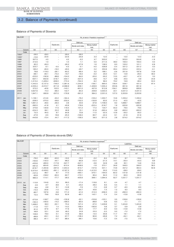**EUROSYSTEM**

# 3.2. Balance of Payments (continued)

#### Balance of Payments of Slovenia

| Mio EUR      |            |            |                |            |                 | FA, of which: Portofolio investment <sup>2, 3</sup> |                          |             |             |                 |                       |
|--------------|------------|------------|----------------|------------|-----------------|-----------------------------------------------------|--------------------------|-------------|-------------|-----------------|-----------------------|
|              |            |            |                | Assets     |                 |                                                     |                          |             | Liabilities |                 |                       |
|              |            |            |                |            | Debt sec.       |                                                     |                          |             |             | Debt sec.       |                       |
|              |            |            | Equity sec.    |            | Bonds and notes | Money market<br>inst.                               |                          | Equity sec. |             | Bonds and notes | Money market<br>inst. |
| Column       | 58         | 59         | 60             | 61         | 62              | 63                                                  | 64                       | 65          | 66          | 67              | 68                    |
| Code         |            |            |                |            |                 |                                                     |                          |             |             |                 |                       |
| 1994*        | $-29.5$    | $-29.5$    | a.             | $-29.5$    | $-29.5$         | $\overline{\phantom{a}}$                            | $\overline{\phantom{a}}$ | ä,          | ٠           |                 |                       |
| 1995*        | $-10.6$    | $-22.6$    | $\overline{a}$ | $-22.6$    | $-25.9$         | 3.3                                                 | 12.0                     | ÷.          | 12.0        | 12.3            | $-0.3$                |
| 1996         | 507.5      | 4.5        |                | 4.5        | $-0.2$          | 4.7                                                 | 503.0                    | ÷.          | 503.0       | 504.6           | $-1.6$                |
| 1997         | 212.5      | 1.0        |                | 1.0        | 1.1             | 0.0                                                 | 211.5                    | 48.0        | 163.4       | 163.4           | 0.0                   |
| 1998         | 82.2       | $-26.3$    |                | $-26.3$    | $-27.9$         | 1.6                                                 | 108.5                    | 8.3         | 100.2       | 101.1           | $-0.8$                |
| 1999         | 323.7      | $-5.1$     | $-0.5$         | $-4.5$     | $-0.1$          | $-4.5$                                              | 328.8                    | $-2.4$      | 331.2       | 331.2           | 0.0                   |
| 2000         | 185.2      | $-65.5$    | $-16.0$        | $-49.5$    | $-49.7$         | 0.2                                                 | 250.8                    | 28.4        | 222.4       | 222.4           | $-0.1$                |
| 2001         | 79.8       | $-119.3$   | $-26.1$        | $-93.2$    | $-96.4$         | 3.2                                                 | 199.1                    | $-2.6$      | 201.6       | 187.8           | 13.9                  |
| 2002         | $-69.1$    | $-94.1$    | $-74.4$        | $-19.7$    | $-19.4$         | $-0.2$                                              | 25.0                     | 12.1        | 12.9        | $-26.3$         | 39.2                  |
| 2003         | $-223.0$   | $-192.8$   | $-88.8$        | $-104.0$   | $-84.0$         | $-20.0$                                             | $-30.2$                  | 13.5        | $-43.7$     | $-47.0$         | 3.3                   |
| 2004         | $-637.1$   | $-652.8$   | $-218.7$       | $-434.1$   | $-427.3$        | $-6.8$                                              | 15.7                     | $-9.8$      | 25.5        | 0.9             | 24.6                  |
| 2005         | $-1,313.4$ | $-1,409.4$ | $-639.0$       | $-770.4$   | $-764.3$        | $-6.2$                                              | 96.0                     | 79.2        | 16.9        | $-36.4$         | 53.3                  |
| 2006         | $-1,442.5$ | $-2,127.5$ | $-746.0$       | $-1,381.6$ | $-1,244.9$      | $-136.7$                                            | 685.0                    | 156.4       | 528.7       | 431.3           | 97.4                  |
| 2007         | $-2,255.4$ | $-3,310.7$ | $-911.8$       | $-2,398.9$ | $-939.1$        | $-1,459.9$                                          | 1,055.4                  | 203.8       | 851.6       | 851.6           |                       |
| 2008         | 572.2      | $-40.6$    | 102.5          | $-143.1$   | $-601.0$        | 457.9                                               | 612.8                    | $-194.1$    | 806.9       | 806.9           |                       |
| 2009         | 4,627.6    | 74.3       | $-68.4$        | 142.7      | $-84.3$         | 226.9                                               | 4,553.3                  | 22.1        | 4,531.3     | 4,531.3         |                       |
| 2010         | 1.947.1    | $-383.9$   | $-207.0$       | $-176.9$   | $-561.2$        | 384.3                                               | 2,331.0                  | 127.0       | 2,203.9     | 2,203.9         |                       |
| 2011<br>Jan. | 1,136.1    | $-214.6$   | $-30.2$        | $-184.4$   | $-79.2$         | $-105.2$                                            | 1,350.7                  | 15.6        | 1,335.2     | 1,335.2         |                       |
| Feb.         | $-206.5$   | $-270.0$   | $-36.6$        | $-233.4$   | $-102.5$        | $-130.9$                                            | 63.5                     | 21.0        | 42.5        | 42.5            |                       |
| Mar.         | 1,661.4    | $-46.5$    | $-49.3$        | 2.8        | 40.6            | $-37.8$                                             | 1,708.0                  | 9.2         | 1,698.7     | 1,698.7         |                       |
| Apr.         | $-360.5$   | $-41.8$    | 4.1            | $-45.9$    | 176.6           | $-222.4$                                            | $-318.7$                 | 1.9         | $-320.6$    | $-320.6$        |                       |
| May          | 270.6      | 135.9      | 17.5           | 118.4      | 101.2           | 17.2                                                | 134.7                    | 55.2        | 79.5        | 79.5            |                       |
| Jun.         | $-224.3$   | 69.1       | 22.2           | 46.9       | 15.1            | 31.8                                                | $-293.4$                 | 6.8         | $-300.2$    | $-300.2$        |                       |
| Jul.         | 72.3       | 94.5       | 9.7            | 84.8       | 73.8            | 11.0                                                | $-22.3$                  | 12.9        | $-35.2$     | $-35.2$         |                       |
| Aug.         | $-47.9$    | $-5.5$     | 19.8           | $-25.3$    | $-106.0$        | 80.7                                                | $-42.4$                  | 9.1         | $-51.6$     | $-51.6$         |                       |
| Sep.         | $-443.8$   | $-72.4$    | 44.7           | $-117.2$   | $-156.5$        | 39.3                                                | $-371.3$                 | 2.8         | $-374.2$    | $-374.2$        |                       |

| Mio EUR |        |            |            |             |            |                 | FA, of which: Portofolio investment <sup>2, 3</sup> |          |             |             |                 |                       |
|---------|--------|------------|------------|-------------|------------|-----------------|-----------------------------------------------------|----------|-------------|-------------|-----------------|-----------------------|
|         |        |            |            |             | Assets     |                 |                                                     |          |             | Liabilities |                 |                       |
|         |        |            |            |             |            | Debt sec.       |                                                     |          |             |             | Debt sec.       |                       |
|         |        |            |            | Equity sec. |            | Bonds and notes | Money market<br>inst.                               |          | Equity sec. |             | Bonds and notes | Money market<br>inst. |
|         | Column | 58         | 59         | 60          | 61         | 62              | 63                                                  | 64       | 65          | 66          | 67              | 68                    |
|         | Code   |            |            |             |            |                 |                                                     |          |             |             |                 |                       |
| 2002    |        | $-76.0$    | $-66.6$    | $-50.0$     | $-16.5$    | $-16.3$         | $-0.2$                                              | $-9.4$   | $-18.1$     | 8.7         | $-16.4$         | 25.1                  |
| 2003    |        | $-163.6$   | $-142.3$   | $-44.1$     | $-98.2$    | $-85.9$         | $-12.4$                                             | $-21.3$  | 14.1        | $-35.4$     | $-44.3$         | 8.9                   |
| 2004    |        | $-430.6$   | $-465.5$   | $-117.8$    | $-347.7$   | $-347.1$        | $-0.6$                                              | 34.9     | 4.8         | 30.1        | 14.6            | 15.5                  |
| 2005    |        | $-481.6$   | $-854.6$   | $-244.2$    | $-610.4$   | $-608.6$        | $-1.8$                                              | 373.1    | 26.6        | 346.5       | 308.3           | 38.2                  |
| 2006    |        | $-819.7$   | $-1,350.8$ | $-297.6$    | $-1,053.2$ | $-915.7$        | $-137.6$                                            | 531.1    | 73.9        | 457.2       | 364.4           | 92.8                  |
| 2007    |        | $-2,373.0$ | $-2,428.5$ | $-261.1$    | $-2,167.3$ | $-755.4$        | $-1,412.0$                                          | 55.5     | 114.5       | $-59.0$     | $-59.0$         |                       |
| 2008    |        | $-107.3$   | 86.7       | 9.7         | 77.0       | $-493.1$        | 570.1                                               | $-194.0$ | $-62.2$     | $-131.8$    | $-131.8$        |                       |
| 2009    |        | $-63.9$    | $-158.2$   | $-65.5$     | $-92.7$    | $-173.1$        | 80.4                                                | 94.3     | 11.0        | 83.3        | 83.3            |                       |
| 2010    |        | 980.3      | $-114.1$   | $-77.7$     | $-36.5$    | $-405.6$        | 369.1                                               | 1,094.4  | 62.7        | 1,031.7     | 1,031.7         |                       |
|         |        |            |            |             |            |                 |                                                     |          |             |             |                 |                       |
| 2010    | Jul.   | 113.9      | 104.8      | 5.5         | 99.3       | $-17.4$         | 116.8                                               | 9.1      | 4.4         | 4.7         | 4.7             |                       |
|         | Aug.   | 2.9        | $-3.7$     | $-8.8$      | 5.1        | $-23.2$         | 28.4                                                | 6.5      | 5.4         | 1.1         | 1.1             |                       |
|         | Sep.   | $-6.6$     | $-5.8$     | 9.1         | $-14.9$    | $-7.6$          | $-7.3$                                              | $-0.8$   | 5.7         | $-6.5$      | $-6.5$          |                       |
|         | Oct.   | $-13.3$    | $-20.6$    | $-1.5$      | $-19.1$    | $-64.7$         | 45.6                                                | 7.3      | 1.2         | 6.0         | 6.0             | ٠                     |
|         | Nov.   | $-90.7$    | 167.6      | $-3.6$      | 171.2      | $-41.0$         | 212.3                                               | $-258.3$ | 2.0         | $-260.3$    | $-260.3$        |                       |
|         | Dec.   | 72.4       | 79.8       | 16.9        | 62.9       | $-80.1$         | 143.1                                               | $-7.4$   | 5.4         | $-12.8$     | $-12.8$         |                       |
|         |        |            |            |             |            |                 |                                                     |          |             |             |                 |                       |
| 2011    | Jan.   | $-272.8$   | $-149.7$   | $-13.8$     | $-135.9$   | $-32.1$         | $-103.8$                                            | $-123.1$ | 3.5         | $-126.6$    | $-126.6$        |                       |
|         | Feb.   | $-184.3$   | $-183.5$   | $-14.2$     | $-169.3$   | $-80.5$         | $-88.8$                                             | $-0.8$   | 6.3         | $-7.1$      | $-7.1$          |                       |
|         | Mar.   | 1,468.0    | 38.3       | $-32.1$     | 70.4       | 107.4           | $-37.0$                                             | 1,429.8  | 5.1         | 1,424.6     | 1,424.6         |                       |
|         | Apr.   | $-11.9$    | $-12.7$    | 1.4         | $-14.2$    | 168.4           | $-182.6$                                            | 0.8      | 3.7         | $-2.9$      | $-2.9$          |                       |
|         | May    | 81.0       | 87.6       | 9.7         | 77.9       | 60.2            | 17.7                                                | $-6.6$   | 6.3         | $-12.8$     | $-12.8$         |                       |
|         | Jun.   | 49.9       | 52.1       | 3.9         | 48.2       | 24.9            | 23.3                                                | $-2.2$   | 5.0         | $-7.2$      | $-7.2$          |                       |
|         | Jul.   | 108.9      | 78.0       | 5.1         | 72.9       | 58.5            | 14.4                                                | 30.8     | 11.7        | 19.1        | 19.1            |                       |
|         | Aug.   | $-89.9$    | $-63.1$    | $-5.4$      | $-57.7$    | $-138.4$        | 80.6                                                | $-26.8$  | 7.2         | $-34.1$     | $-34.1$         |                       |
|         | Sep.   | $-98.3$    | $-91.1$    | $-2.7$      | $-88.4$    | $-99.1$         | 10.6                                                | $-7.2$   | 0.4         | $-7.5$      | $-7.5$          |                       |
|         |        |            |            |             |            |                 |                                                     |          |             |             |                 |                       |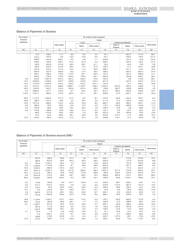#### Balance of Payments of Slovenia

| FA, of which:            |             |            |                            |            |            | FA, of which: Other investment |            |                |                       |               |              |
|--------------------------|-------------|------------|----------------------------|------------|------------|--------------------------------|------------|----------------|-----------------------|---------------|--------------|
| Financial                |             |            |                            |            |            | Assets                         |            |                |                       |               |              |
| derivatives              |             |            |                            |            | Loans      |                                |            |                | Currency and deposits |               |              |
|                          |             |            | Trade credits <sup>4</sup> |            | Banks      | Other sectors                  |            | Bank of        | Banks                 | Other sectors | Other assets |
|                          |             |            |                            |            |            |                                |            | Slovenia       |                       |               |              |
| 69                       | 70          | 71         | 72                         | 73         | 74         | 75                             | 76         | 77             | 78                    | 79            | 80           |
|                          |             |            |                            |            |            |                                |            |                |                       |               |              |
| $\mathbf{r}$             | 12.3        | $-186.4$   | $-11.7$                    | $-8.8$     | $-9.2$     | 0.4                            | $-70.1$    | ÷.             | $-281.0$              | 211.0         | $-95.7$      |
|                          | 272.0       | $-197.2$   | $-8.3$                     | $-13.2$    | $-10.9$    | $-2.2$                         | $-54.7$    | ÷.             | $-160.2$              | 105.5         | $-121.0$     |
| ٠                        | $-209.5$    | $-343.9$   | $-235.1$                   | $-4.0$     | $-2.9$     | $-1.1$                         | $-226.9$   | ٠              | $-272.7$              | 45.8          | 122.2        |
|                          | 549.0       | 230.2      | $-320.1$                   | $-57.4$    | $-61.6$    | 4.2                            | 658.7      | ٠              | 524.2                 | 134.5         | $-51.0$      |
| $\overline{a}$           | $-80.9$     | $-404.8$   | $-415.8$                   | $-49.3$    | $-28.1$    | $-21.1$                        | 54.5       | ٠              | $-24.5$               | 79.0          | 5.8          |
| ٠                        | 158.6       | $-540.3$   | $-275.6$                   | $-39.5$    | $-8.1$     | $-31.3$                        | $-194.4$   |                | 21.7                  | $-216.1$      | $-30.8$      |
| $\overline{\phantom{a}}$ | 461.8       | $-576.0$   | $-174.3$                   | $-72.4$    | 11.2       | $-83.5$                        | $-296.1$   | ÷.             | $-271.7$              | $-24.4$       | $-33.2$      |
| $\overline{\phantom{a}}$ | 964.0       | 247.9      | $-239.3$                   | 19.4       | $-17.0$    | 36.4                           | 499.7      | ٠              | $-300.7$              | 800.4         | $-31.9$      |
| $\overline{a}$           | 565.1       | $-538.4$   | $-135.5$                   | $-174.5$   | $-94.1$    | $-80.4$                        | $-157.4$   | $\overline{a}$ | 351.3                 | $-508.8$      | $-71.1$      |
|                          | 849.2       | $-730.3$   | $-116.0$                   | $-223.4$   | $-128.3$   | $-95.1$                        | $-322.8$   | ٠              | 203.9                 | $-526.7$      | $-68.1$      |
| 5.8                      | 944.9       | $-1,307.5$ | $-237.2$                   | $-281.0$   | $-205.3$   | $-75.6$                        | $-720.4$   |                | $-0.8$                | $-719.6$      | $-69.1$      |
| $-10.0$                  | 2.639.5     | $-1,458.8$ | $-225.7$                   | $-339.8$   | $-234.6$   | $-105.2$                       | $-871.8$   |                | $-447.3$              | $-424.5$      | $-21.5$      |
| $-12.5$                  | 1,570.9     | $-1,939.2$ | $-442.4$                   | $-733.2$   | $-476.1$   | $-257.1$                       | $-743.0$   |                | 37.1                  | $-780.1$      | $-20.6$      |
| $-15.2$                  | 4,312.7     | $-4,741.2$ | $-399.6$                   | $-1,895.1$ | $-1,706.7$ | $-188.4$                       | $-2,453.7$ | $-873.3$       | $-870.5$              | $-709.9$      | 7.2          |
| 46.0                     | 1,645.2     | $-332.7$   | $-142.3$                   | $-324.6$   | $-231.4$   | $-93.2$                        | 129.9      | 483.7          | 308.8                 | $-662.6$      | 4.3          |
| $-2.0$                   | $-3,985.4$  | $-277.1$   | 416.0                      | $-0.7$     | $-30.4$    | 29.7                           | $-612.7$   | 780.5          | $-623.2$              | $-769.9$      | $-79.7$      |
| $-116.8$                 | $-1,872.1$  | 683.0      | $-173.9$                   | 164.2      | 211.1      | 56.1                           | 608.9      | 57.5           | 1,497.1               | $-945.7$      | 83.9         |
|                          |             |            |                            |            |            |                                |            |                |                       |               |              |
| $-29.2$                  | $-1, 175.4$ | $-1,056.3$ | $-217.0$                   | $-51.0$    | $-9.5$     | $-8.7$                         | $-779.0$   | $-62.8$        | $-523.2$              | $-193.1$      | $-9.3$       |
| $-30.8$                  | 288.3       | 337.3      | 28.9                       | 4.2        | 30.4       | $-5.2$                         | 311.2      | 17.0           | 378.5                 | $-84.3$       | $-7.0$       |
| $-19.6$                  | $-1,612.5$  | $-849.5$   | $-132.2$                   | $-54.6$    | 24.8       | $-8.2$                         | $-684.7$   | $-49.9$        | $-382.0$              | $-252.7$      | 21.9         |
| $-4.9$                   | 266.3       | 60.6       | $-83.2$                    | 13.5       | 10.3       | 4.0                            | 119.1      | $-132.8$       | 385.8                 | $-133.8$      | 11.2         |
| $-4.9$                   | $-343.9$    | $-99.4$    | 29.4                       | $-16.3$    | $-23.4$    | 7.8                            | $-109.4$   | $-14.8$        | 3.8                   | $-98.4$       | $-3.2$       |
| $-4.8$                   | $-140.6$    | $-166.9$   | $-34.6$                    | $-18.9$    | 21.2       | $-5.4$                         | $-107.1$   | 0.8            | $-55.7$               | $-52.2$       | $-6.3$       |
| ٠                        | $-68.0$     | $-510.6$   | $-39.4$                    | $-19.4$    | $-1.9$     | 9.8                            | $-437.9$   | $-3.6$         | $-354.8$              | $-79.5$       | $-13.9$      |
|                          | $-74.5$     | $-34.2$    | 199.3                      | 29.1       | 25.5       | 4.6                            | $-243.9$   | $-127.4$       | $-17.3$               | $-99.3$       | $-18.7$      |
| $-12.4$                  | 254.2       | 166.4      | $-124.2$                   | 41.2       | 37.4       | 1.6                            | 248.6      | 116.1          | 27.1                  | 105.5         | 0.8          |
|                          |             |            |                            |            |            |                                |            |                |                       |               |              |

| FA, of which:            |            |            |                                         |          |          | FA of which: Other investment |            |                          |                       |               |              |
|--------------------------|------------|------------|-----------------------------------------|----------|----------|-------------------------------|------------|--------------------------|-----------------------|---------------|--------------|
| Financial                |            |            |                                         |          |          |                               | Assets     |                          |                       |               |              |
| derivatives              |            |            |                                         |          | Loans    |                               |            |                          | Currency and deposits |               |              |
|                          |            |            | $\label{eq:4} \textbf{Trade credits}^4$ |          | Banks    | Other sectors                 |            | Bank of<br>Slovenia      | Banks                 | Other sectors | Other assets |
| 69                       | 70         | 71         | 72                                      | 73       | 74       | 75                            | 76         | 77                       | 78                    | 79            | 80           |
|                          |            |            |                                         |          |          |                               |            |                          |                       |               |              |
| $\overline{\phantom{0}}$ | 504.0      | $-480.6$   | $-56.8$                                 | $-51.2$  | 0.8      | $-52.0$                       | $-302.1$   | $\sim$                   | 310.5                 | $-612.6$      | $-70.5$      |
| $\overline{\phantom{a}}$ | 480.9      | $-675.4$   | $-28.4$                                 | $-84.3$  | $-35.9$  | $-48.4$                       | $-552.9$   | $\overline{\phantom{a}}$ | 121.9                 | $-674.8$      | $-9.8$       |
| $-0.2$                   | 367.0      | $-1,022.1$ | $-66.4$                                 | 4.3      | $-15.6$  | 19.9                          | $-954.2$   | ٠                        | $-161.9$              | $-792.3$      | $-5.9$       |
| $-3.9$                   | 2,449.6    | $-1,104.9$ | $-149.5$                                | $-6.1$   | 30.8     | $-36.9$                       | $-940.2$   | ×.                       | $-371.7$              | $-568.4$      | $-9.2$       |
| $-15.6$                  | 2,353.5    | $-899.3$   | $-178.3$                                | $-54.9$  | $-7.7$   | $-47.1$                       | $-664.9$   | ٠                        | 177.6                 | $-842.5$      | $-1.2$       |
| $-19.7$                  | 4,651.3    | $-2,297.7$ | $-55.5$                                 | $-311.8$ | $-253.5$ | $-58.3$                       | $-1,907.4$ | $-511.2$                 | $-775.9$              | $-620.2$      | $-23.1$      |
| 45.2                     | 2,514.6    | 392.4      | 34.9                                    | 133.0    | 172.8    | $-39.9$                       | 199.9      | 420.5                    | 322.3                 | $-543.0$      | 24.7         |
| $-6.9$                   | $-3,874.9$ | $-716.4$   | 99.6                                    | $-49.1$  | $-65.2$  | 16.2                          | $-686.8$   | 662.9                    | $-724.1$              | $-625.7$      | $-80.0$      |
| $-95.2$                  | $-2,328.5$ | 250.8      | $-183.4$                                | $-3.0$   | 79.3     | 20.7                          | 459.9      | $-84.8$                  | 1,344.1               | $-799.5$      | $-22.7$      |
|                          |            |            |                                         |          |          |                               |            |                          |                       |               |              |
| $-3.3$                   | 119.8      | 750.8      | $-3.9$                                  | 107.1    | 102.8    | 4.3                           | 655.0      | 98.7                     | 606.4                 | $-50.1$       | $-7.4$       |
| $-2.2$                   | $-277.4$   | $-447.5$   | 123.4                                   | $-7.9$   | $-5.4$   | $-2.5$                        | $-576.6$   | $-113.5$                 | $-361.5$              | $-101.6$      | 13.5         |
| $-2.4$                   | 120.3      | 52.5       | $-93.2$                                 | $-130.1$ | $-20.9$  | $-6.2$                        | 265.6      | 28.6                     | 280.1                 | $-43.1$       | 10.2         |
| $-6.1$                   | 6.5        | $-123.5$   | $-63.1$                                 | $-26.9$  | $-13.1$  | $-13.7$                       | $-18.3$    | $-2.8$                   | 176.4                 | $-192.0$      | $-15.2$      |
| $-1.8$                   | $-842.6$   | $-617.9$   | $-58.7$                                 | $-32.4$  | $-23.6$  | $-8.7$                        | $-523.1$   | $-2.6$                   | $-455.0$              | $-65.5$       | $-3.7$       |
| $-2.3$                   | $-164.6$   | 1,053.8    | 195.8                                   | $-20.3$  | $-13.8$  | $-6.5$                        | 886.1      | $-16.9$                  | 876.9                 | 26.1          | $-7.9$       |
|                          |            |            |                                         |          |          |                               |            |                          |                       |               |              |
| $-18.8$                  | $-1,130.6$ | $-1,043.1$ | $-175.7$                                | $-65.4$  | $-27.4$  | $-5.2$                        | $-797.7$   | $-62.8$                  | $-562.3$              | $-172.6$      | $-4.3$       |
| $-20.3$                  | 140.4      | 367.8      | 68.5                                    | $-26.7$  | 1.7      | $-7.4$                        | 336.3      | 17.0                     | 388.9                 | $-69.7$       | $-10.2$      |
| $-9.1$                   | $-1,493.7$ | $-673.3$   | $-60.5$                                 | $-47.6$  | 22.9     | 0.7                           | $-587.1$   | $-49.9$                  | $-296.4$              | $-240.8$      | 22.0         |
| $\overline{\phantom{a}}$ | 391.6      | 111.9      | $-26.5$                                 | $-6.5$   | $-13.3$  | 7.6                           | 133.5      | $-132.8$                 | 373.8                 | $-107.5$      | 11.4         |
|                          | $-437.6$   | $-198.9$   | $-33.7$                                 | $-4.8$   | $-8.4$   | 4.3                           | $-158.4$   | $-14.8$                  | $-74.0$               | $-69.6$       | $-2.0$       |
| 0.1                      | 22.5       | 1.8        | 8.5                                     | $-52.6$  | $-18.0$  | 0.1                           | 51.1       | 50.8                     | 22.7                  | $-22.5$       | $-5.3$       |
|                          | 5.3        | $-522.1$   | $-27.5$                                 | $-6.7$   | 14.6     | 6.0                           | $-479.3$   | $-3.1$                   | $-408.0$              | $-68.2$       | $-8.6$       |
|                          | $-196.8$   | $-119.0$   | 134.6                                   | $-1.3$   | $-0.3$   | $-0.1$                        | $-232.1$   | $-127.3$                 | $-29.1$               | $-75.6$       | $-20.2$      |
| $-12.4$                  | 210.5      | 184.2      | $-71.5$                                 | 63.9     | 60.5     | 1.2                           | 200.1      | 65.9                     | 14.4                  | 119.7         | $-8.2$       |
|                          |            |            |                                         |          |          |                               |            |                          |                       |               |              |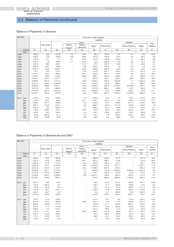**EUROSYSTEM**

# 3.2. Balance of Payments (continued)

#### Balance of Payments of Slovenia

| Mio EUR      | FA, of which. Other investment<br>Liabilities |                            |            |                       |            |              |               |            |                  |          |             |  |  |
|--------------|-----------------------------------------------|----------------------------|------------|-----------------------|------------|--------------|---------------|------------|------------------|----------|-------------|--|--|
|              | Loans<br>Deposits<br>Other                    |                            |            |                       |            |              |               |            |                  |          |             |  |  |
|              |                                               |                            |            |                       |            |              |               |            |                  |          |             |  |  |
|              |                                               | Trade credits <sup>4</sup> |            | Bank of               | General    | Banks $^{2}$ | Other sectors |            | Bank of Slovenia | Banks    | liabilities |  |  |
|              |                                               |                            |            | Slovenia <sup>6</sup> | government |              |               |            |                  |          |             |  |  |
| Column       | 81                                            | 82                         | 83         | 84                    | 85         | 86           | 87            | 88         | 89               | 90       | 91          |  |  |
| Code         |                                               |                            |            |                       |            |              |               |            |                  |          |             |  |  |
| 1994*        | 199.2                                         | $-8.8$                     | 272.5      | $-4.3$                | 79.4       | 89.4         | 108.0         | $-4.3$     | 0.1              | $-4.3$   | $-60.2$     |  |  |
| 1995*        | 469.2                                         | $-2.9$                     | 436.9      | $-2.6$                | 106.9      | 167.9        | 164.8         | 29.4       | 0.0              | 29.3     | 5.8         |  |  |
| 1996         | 134.4                                         | 17.1                       | $-7.7$     | $-2.1$                | $-54.9$    | $-141.6$     | 190.8         | 128.5      | 0.1              | 128.4    | $-3.5$      |  |  |
| 1997         | 318.7                                         | 7.9                        | 292.8      | $-1.1$                | $-22.7$    | $-12.3$      | 328.9         | 17.5       | 0.0              | 17.5     | 0.5         |  |  |
| 1998         | 323.9                                         | 39.0                       | 240.7      |                       | $-21.0$    | 37.5         | 224.2         | 39.0       | 0.1              | 38.9     | 5.1         |  |  |
| 1999         | 698.9                                         | $-18.7$                    | 709.6      | ٠                     | $-3.6$     | 242.5        | 470.6         | 1.6        | 0.0              | 1.6      | 6.4         |  |  |
| 2000         | 1.037.9                                       | $-20.6$                    | 1,038.1    | ٠                     | 85.5       | 305.9        | 646.6         | 33.6       | $-0.3$           | 33.9     | $-13.2$     |  |  |
| 2001         | 716.1                                         | $-9.6$                     | 574.7      |                       | $-74.0$    | 151.6        | 497.1         | 152.4      | 0.0              | 152.4    | $-1.4$      |  |  |
| 2002         | 1,103.5                                       | 95.2                       | 838.5      |                       | $-96.1$    | 333.3        | 601.3         | 130.4      | 0.0              | 130.4    | 39.5        |  |  |
| 2003         | 1,579.5                                       | 59.2                       | 1,123.2    |                       | $-65.9$    | 659.7        | 529.4         | 428.2      | 0.0              | 428.2    | $-31.1$     |  |  |
| 2004         | 2,252.5                                       | 213.7                      | 1,671.1    |                       | 4.7        | 961.3        | 705.1         | 335.1      | 98.9             | 236.3    | 32.5        |  |  |
| 2005         | 4,098.3                                       | 291.3                      | 2,731.4    |                       | $-26.8$    | 2,465.3      | 292.9         | 1,052.6    | 1.7              | 1,050.9  | 23.0        |  |  |
| 2006         | 3.510.1                                       | 478.5                      | 2,063.6    |                       | $-115.0$   | 1,442.6      | 735.9         | 998.2      | 7.0              | 991.2    | $-30.3$     |  |  |
| 2007         | 9,053.9                                       | 499.4                      | 3,841.1    |                       | $-42.8$    | 3,354.5      | 529.4         | 4,726.7    | 3,544.6          | 1,182.1  | $-13.2$     |  |  |
| 2008         | 1,977.9                                       | $-73.0$                    | 1.868.6    |                       | $-28.8$    | 1,227.8      | 669.6         | 189.8      | 43.1             | 146.8    | $-7.5$      |  |  |
| 2009         | $-3,708.3$                                    | $-452.4$                   | $-2,910.8$ |                       | $-20.1$    | $-2,962.9$   | 72.2          | $-318.0$   | $-243.5$         | $-74.6$  | $-27.1$     |  |  |
| 2010         | $-2.555.1$                                    | 364.3                      | $-973.5$   |                       | $-3.0$     | $-709.2$     | $-261.3$      | $-1.934.4$ | $-1,234.8$       | $-699.6$ | $-11.5$     |  |  |
| 2011<br>Jan. | $-119.2$                                      | $-42.6$                    | $-109.4$   |                       | 4.4        | $-138.8$     | 25.0          | 2.5        | 139.4            | $-136.9$ | 30.4        |  |  |
| Feb.         | $-49.0$                                       | 60.5                       | $-86.3$    |                       | 20.1       | $-253.4$     | 147.0         | $-8.5$     | $-326.4$         | 317.9    | $-14.7$     |  |  |
| Mar.         | $-763.0$                                      | 181.1                      | $-189.8$   |                       | $-4.0$     | $-128.6$     | $-57.2$       | $-780.8$   | $-617.4$         | $-163.4$ | 26.5        |  |  |
| Apr.         | 205.7                                         | 142.5                      | $-213.1$   |                       | $-0.5$     | $-246.2$     | 33.6          | 274.4      | 410.5            | $-136.0$ | 1.8         |  |  |
| May          | $-244.4$                                      | 8.2                        | $-226.2$   | ٠                     | $-1.7$     | $-182.3$     | $-42.1$       | $-26.4$    | 19.6             | $-46.0$  | $-0.1$      |  |  |
| Jun.         | 26.3                                          | $-163.5$                   | 141.4      | ٠                     | 35.4       | 140.9        | $-35.0$       | 86.3       | 204.4            | $-118.1$ | $-37.9$     |  |  |
| Jul.         | 442.6                                         | $-9.0$                     | 242.5      |                       | $-0.2$     | 64.1         | 178.6         | 202.2      | 133.4            | 68.8     | 7.0         |  |  |
| Aug.         | $-40.4$                                       | $-260.9$                   | $-41.3$    |                       | 0.0        | $-43.1$      | 1.8           | 236.5      | 275.7            | $-39.2$  | 25.3        |  |  |
| Sep.         | 87.8                                          | 186.8                      | 30.8       |                       | $-3.9$     | 30.3         | 4.4           | $-98.8$    | $-7.8$           | $-91.0$  | $-31.0$     |  |  |
|              |                                               |                            |            |                       |            |              |               |            |                  |          |             |  |  |

| Mio EUR |        |                                  |                            |            |                       |            | FA, of which. Other investment |               |            |                  |          |             |
|---------|--------|----------------------------------|----------------------------|------------|-----------------------|------------|--------------------------------|---------------|------------|------------------|----------|-------------|
|         |        | Liabilities<br>Deposits<br>Loans |                            |            |                       |            |                                |               |            |                  |          |             |
|         |        |                                  |                            |            |                       |            |                                |               |            |                  |          | Other       |
|         |        |                                  | Trade credits <sup>4</sup> |            | Bank of               | General    | Banks <sup>2</sup>             | Other sectors |            | Bank of Slovenia | Banks    | liabilities |
|         |        |                                  |                            |            | Slovenia <sup>6</sup> | government |                                |               |            |                  |          |             |
|         | Column | 81                               | 82                         | 83         | 84                    | 85         | 86                             | 87            | 88         | 89               | 90       | 91          |
|         | Code   |                                  |                            |            |                       |            |                                |               |            |                  |          |             |
| 2002    |        | 984.6                            | 26.0                       | 804.5      |                       | $-43.5$    | 329.8                          | 518.2         | 121.9      | ٠                | 121.9    | 32.1        |
| 2003    |        | 1,156.3                          | 85.8                       | 935.9      |                       | $-36.1$    | 591.4                          | 380.5         | 172.9      | ٠                | 172.9    | $-38.2$     |
| 2004    |        | 1,389.2                          | 81.9                       | 1,132.7    |                       | $-9.8$     | 703.4                          | 439.1         | 152.1      |                  | 152.1    | 22.6        |
| 2005    |        | 3,554.6                          | 174.1                      | 2,314.9    |                       | $-6.8$     | 2,045.6                        | 276.2         | 1,077.1    | ×,               | 1,077.1  | $-11.6$     |
| 2006    |        | 3,252.8                          | 235.5                      | 2,103.5    |                       | $-72.5$    | 1,538.0                        | 637.9         | 924.2      |                  | 924.2    | $-10.5$     |
| 2007    |        | 6,949.0                          | 237.1                      | 2,113.4    |                       | $-7.1$     | 1,985.6                        | 134.9         | 4,588.5    | 3,490.6          | 1,097.9  | 9.9         |
| 2008    |        | 2,122.2                          | $-122.0$                   | 2,023.7    |                       | $-7.3$     | 1,730.7                        | 300.2         | 216.2      | 79.2             | 137.0    | 4.3         |
| 2009    |        | $-3,158.5$                       | $-352.2$                   | $-2,409.6$ |                       | $-6.8$     | $-2,507.7$                     | 105.0         | $-397.4$   | $-225.2$         | $-172.2$ | 0.7         |
| 2010    |        | $-2,579.3$                       | 186.4                      | $-895.7$   |                       | ٠          | $-615.5$                       | $-280.3$      | $-1,856.5$ | $-1,252.0$       | $-604.5$ | $-13.5$     |
| 2010    | Jul.   | $-631.0$                         | 18.0                       | $-53.7$    |                       |            | $-30.7$                        | $-23.0$       | $-574.4$   | $-383.3$         | $-191.1$ | $-20.9$     |
|         | Aug.   | 170.2                            | $-160.0$                   | $-3.7$     |                       |            | $-55.3$                        | 51.7          | 320.9      | 332.9            | $-12.0$  | 13.0        |
|         | Sep.   | 67.8                             | 95.9                       | 18.3       |                       |            | 30.7                           | $-12.4$       | $-55.3$    | $-326.8$         | 271.6    | 8.8         |
|         | Oct.   | 130.0                            | 85.1                       | $-143.7$   |                       |            | $-135.6$                       | $-8.0$        | 193.5      | 329.1            | $-135.6$ | $-5.0$      |
|         | Nov.   | $-224.7$                         | 60.7                       | 8.5        |                       |            | 5.4                            | 3.1           | $-296.6$   | $-74.6$          | $-222.0$ | 2.6         |
|         | Dec.   | $-1,218.4$                       | $-102.4$                   | $-323.6$   |                       |            | $-219.3$                       | $-104.3$      | $-760.0$   | $-879.1$         | 119.1    | $-32.4$     |
| 2011    | Jan.   | $-87.6$                          | 21.3                       | $-139.0$   |                       |            | $-154.7$                       | 15.7          | $-0.6$     | 155.6            | $-156.1$ | 30.8        |
|         | Feb.   | $-227.4$                         | 20.0                       | $-238.8$   |                       | 20.5       | $-251.3$                       | $-8.0$        | 0.5        | $-320.8$         | 321.3    | $-9.1$      |
|         | Mar.   | $-820.5$                         | 128.8                      | $-177.4$   |                       |            | $-135.8$                       | $-41.7$       | $-782.6$   | $-650.1$         | $-132.5$ | 10.8        |
|         | Apr.   | 279.7                            | 77.7                       | $-114.8$   |                       |            | $-147.9$                       | 33.0          | 294.5      | 419.0            | $-124.5$ | 22.3        |
|         | May    | $-238.6$                         | $-2.2$                     | $-212.5$   |                       |            | $-161.6$                       | $-50.9$       | $-11.8$    | 42.3             | $-54.2$  | $-12.1$     |
|         | Jun.   | 20.7                             | $-113.7$                   | 99.7       |                       | 36.1       | 165.4                          | $-101.8$      | 66.9       | 207.0            | $-140.1$ | $-32.2$     |
|         | Jul.   | 527.4                            | 34.8                       | 250.3      |                       |            | 64.3                           | 186.0         | 232.0      | 137.2            | 94.7     | 10.4        |
|         | Aug.   | $-77.8$                          | $-172.6$                   | $-72.7$    |                       |            | $-59.0$                        | $-13.7$       | 143.2      | 223.4            | $-80.3$  | 24.2        |
|         | Sep.   | 26.3                             | 103.3                      | 15.0       |                       |            | 1.0                            | 13.9          | $-63.3$    | 28.2             | $-91.4$  | $-28.7$     |
|         |        |                                  |                            |            |                       |            |                                |               |            |                  |          |             |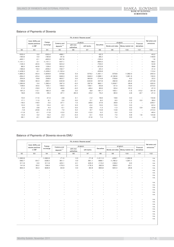#### Balance of Payments of Slovenia

| FA, of which: Reserve assets <sup>7</sup> |                   |                                   |                   |                          |          |            |                 |                    |                          |           |
|-------------------------------------------|-------------------|-----------------------------------|-------------------|--------------------------|----------|------------|-----------------|--------------------|--------------------------|-----------|
|                                           | Gold, SDRs and    | Foreign<br>of which:<br>of which: |                   |                          |          |            |                 |                    | Net errors and           |           |
|                                           | reserve positions |                                   | Currency and      | with mon.<br>with banks  |          |            |                 |                    | Financial                | omissions |
|                                           | in IMF            | exchange                          | deposits $^{2,5}$ | authorities              |          | Securities | Bonds and notes | Money market inst. | derivatives              |           |
| 92                                        | 93                | 94                                | 95                | 96                       | 97       | 98         | 99              | 100                | 101                      | 102       |
|                                           |                   |                                   |                   |                          |          |            |                 |                    |                          |           |
| $-530.4$                                  | 0.0               | $-530.4$                          | $-498.1$          | $\overline{\phantom{a}}$ | $\sim$   | $-32.3$    | ٠               | ٠                  | ٠                        | $-45.2$   |
| $-180.8$                                  | 0.0               | $-180.8$                          | $-91.6$           | ٠                        | ٠        | $-89.2$    |                 |                    | ٠                        | $-148.9$  |
| $-463.1$                                  | $-0.1$            | $-463.0$                          | $-307.6$          |                          | ٠        | $-155.4$   |                 |                    |                          | 1.6       |
| $-1, 141.1$                               | 0.1               | $-1, 141.1$                       | $-447.1$          |                          | ٠        | $-694.0$   |                 |                    |                          | 68.2      |
| $-146.3$                                  | $-40.5$           | $-105.8$                          | 624.2             |                          | ٠        | $-730.0$   |                 |                    |                          | 54.9      |
| 88.5                                      | $-40.9$           | 129.4                             | 502.2             |                          | ٠        | $-372.8$   |                 |                    | ÷                        | 39.6      |
| $-186.8$                                  | 19.4              | $-206.2$                          | $-182.7$          |                          |          | $-23.4$    |                 |                    |                          | 41.4      |
| $-1,439.3$                                | $-3.1$            | $-1,436.2$                        | $-1,100.4$        | ٠                        |          | $-335.8$   |                 |                    |                          | 110.4     |
| $-1,885.3$                                | $-45.4$           | $-1,839.9$                        | $-378.8$          | 0.3                      | $-379.2$ | $-1,461.1$ | $-378.8$        | $-1,082.3$         |                          | $-250.3$  |
| $-264.2$                                  | $-23.4$           | $-240.8$                          | 848.3             | $0.0$                    | 848.3    | $-1,089.1$ | $-2,180.6$      | 1,091.5            | ٠                        | 150.0     |
| 255.9                                     | 16.9              | 238.9                             | 953.7             | 0.0                      | 953.8    | $-714.8$   | $-709.8$        | $-5.0$             |                          | 22.2      |
| $-188.8$                                  | 94.3              | $-283.1$                          | $-540.9$          | $-0.1$                   | $-540.9$ | 257.8      | 282.9           | $-25.2$            | ٠                        | $-472.8$  |
| 1,280.8                                   | 0.4               | 1,280.4                           | 297.3             | $-0.2$                   | 297.6    | 983.1      | 1,009.7         | $-26.6$            | ٠                        | $-320.5$  |
| 139.6                                     | 34.5              | 105.1                             | 156.0             | $-0.1$                   | 156.1    | $-50.8$    | $-31.4$         | $-19.4$            | ٠                        | $-273.5$  |
| 21.0                                      | $-16.0$           | 37.0                              | $-48.6$           | $-0.2$                   | $-48.4$  | 85.6       | 63.4            | 22.2               |                          | $-31.3$   |
| 167.2                                     | $-13.1$           | 180.3                             | 8.8               | 0.0                      | 8.9      | 181.7      | 183.1           | $-1.5$             | $-10.2$                  | 301.6     |
| 18.8                                      | $-10.6$           | 29.4                              | $-37.1$           | $-60.3$                  | 23.2     | 75.2       | 80.0            | $-4.8$             | $-8.7$                   | $-21.4$   |
| 10.0                                      | $-11.5$           | 21.5                              | 2.8               | 4.1                      | $-1.2$   | 18.6       | 18.6            | 0.0                |                          | 154.6     |
| 17.1                                      | 11.0              | 6.1                               | 0.0               | 0.0                      | 0.1      | 6.0        | 6.0             | 0.0                | 0.0                      | 38.4      |
| $-18.5$                                   | $-19.0$           | 0.5                               | $-27.1$           | 1.5                      | $-28.6$  | 27.6       | 28.9            | $-1.2$             | $\overline{\phantom{a}}$ | $-226.7$  |
| 13.3                                      | 0.0               | 13.4                              | $-0.1$            | 0.3                      | $-0.4$   | 13.5       | 13.5            | 0.0                | ٠                        | $-52.4$   |
| 0.6                                       | $-3.8$            | 4.4                               | $-0.1$            | 0.5                      | $-0.6$   | $-1.3$     | $-1.3$          | 0.0                | 5.9                      | 53.8      |
| $-1.8$                                    | $-23.6$           | 21.8                              | 7.0               | 0.2                      | 6.7      | 14.8       | 14.8            | 0.0                |                          | 210.4     |
| $-11.9$                                   | $-0.1$            | $-11.8$                           | $-12.0$           | 0.0                      | $-12.0$  | 0.2        | 0.2             | 0.0                | ٠                        | $-46.4$   |
| 15.3                                      | 0.2               | 15.2                              | $-0.3$            | $-0.3$                   | $-0.1$   | 13.9       | 7.0             | 6.9                | 1.6                      | 124.8     |
| 29.1                                      | $-0.1$            | 29.2                              | 21.7              | 0.2                      | 21.6     | 7.4        | 7.4             | 0.0                |                          | 5.9       |

|            |                   |            |                |                          | FA, of which: Reserve assets $^7$ |            |                 |                    |                |                        |
|------------|-------------------|------------|----------------|--------------------------|-----------------------------------|------------|-----------------|--------------------|----------------|------------------------|
|            | Gold, SDRs and    |            |                |                          |                                   |            |                 |                    |                | Net errors and         |
|            | reserve positions | Foreign    | Currency and   |                          | of which:                         |            |                 | of which:          | Financial      | $\,$ omissions $^{11}$ |
|            | in IMF            | exchange   | deposits $2,5$ | with mon.<br>authorities | with banks                        | Securities | Bonds and notes | Money market inst. | derivatives    |                        |
| 92         | 93                | 94         | 95             | 96                       | 97                                | 98         | 99              | 100                | 101            | 102                    |
|            |                   |            |                |                          |                                   |            |                 |                    |                |                        |
| $-1,582.8$ | $\sim$            | $-1,582.8$ | $-71.5$        | 0.3                      | $-71.9$                           | $-1,511.3$ | $-428.7$        | $-1,082.6$         | $\sim$         | n.s.                   |
| $-382.7$   | $-54.7$           | $-328.0$   | 361.1          | 0.0                      | 361.1                             | $-689.1$   | $-1,780.2$      | 1,091.1            | ٠              | n.s.                   |
| 311.9      | 0.0               | 311.9      | 425.1          | $-0.1$                   | 425.2                             | $-113.2$   | $-108.2$        | $-5.0$             | ٠              | n.s.                   |
| 141.8      | 35.2              | 106.6      | $-176.3$       | 0.0                      | $-176.3$                          | 282.9      | 308.0           | $-25.1$            | ÷,             | n.s.                   |
| 864.3      | 35.4              | 828.9      | $-64.9$        | 0.0                      | $-64.9$                           | 893.8      | 920.4           | $-26.6$            | $\overline{a}$ | n.s.                   |
| ٠          | ٠                 | ä,         | ٠              | $\overline{\phantom{a}}$ | ٠                                 |            | ٠               |                    | ä,             | n.s.                   |
|            |                   |            |                |                          |                                   |            |                 |                    | ٠              | n.s.                   |
|            |                   |            |                |                          |                                   |            |                 |                    | ä,             | n.s.                   |
|            |                   |            |                |                          |                                   |            |                 |                    | ٠              | n.s.                   |
|            |                   |            |                |                          |                                   |            |                 |                    |                |                        |
|            |                   |            |                |                          |                                   |            |                 |                    | ٠              | n.s.                   |
|            |                   |            |                |                          |                                   |            |                 |                    | ٠              | n.s.                   |
|            |                   |            |                |                          |                                   |            |                 |                    | ÷              | n.s.                   |
|            |                   |            |                |                          |                                   |            |                 |                    | ÷              | n.s.                   |
|            |                   |            |                |                          |                                   |            |                 |                    | ٠              | n.s.                   |
|            |                   |            |                |                          |                                   |            |                 |                    | ٠              | n.s.                   |
|            |                   |            |                |                          |                                   |            |                 |                    |                |                        |
|            |                   |            |                |                          |                                   |            |                 |                    |                | n.s.                   |
|            |                   |            |                |                          |                                   |            |                 |                    |                | n.s.                   |
|            |                   |            |                |                          |                                   |            |                 |                    |                | n.s.                   |
|            |                   |            |                |                          |                                   |            |                 |                    |                | n.s.                   |
|            |                   |            |                |                          |                                   |            |                 |                    | Ĭ.             | n.s.                   |
|            |                   |            |                |                          |                                   |            |                 |                    | ٠              | n.s.                   |
|            |                   |            |                |                          |                                   |            |                 |                    | ٠              | n.s.                   |
|            |                   |            |                |                          |                                   |            |                 |                    | ٠              | n.s.                   |
|            |                   |            |                |                          |                                   |            |                 |                    | ٠              | n.s.                   |
|            |                   |            |                |                          |                                   |            |                 |                    |                |                        |
|            |                   |            |                |                          |                                   |            |                 |                    |                |                        |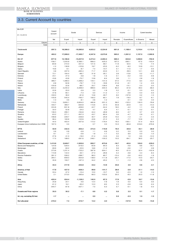**EUROSYSTEM**

### 3.3. Current Account by countries

| Mio EUR                                 |                      |                |                     |                |                    |                  |                     |             |                   |
|-----------------------------------------|----------------------|----------------|---------------------|----------------|--------------------|------------------|---------------------|-------------|-------------------|
|                                         | Current              |                | Goods               |                | Services           |                  | Income              |             | Current transfers |
| 31.12.2010                              | account              |                |                     |                |                    |                  |                     |             |                   |
|                                         |                      |                |                     |                |                    |                  |                     |             |                   |
|                                         | Net                  | Export         | Import              | Export         | Import             | Receipts         | Expenditures        | In Slovenia | Abroad            |
| Column                                  |                      |                |                     |                |                    |                  |                     |             |                   |
| Code                                    | $\mathbf{1}$         | $\overline{c}$ | 3                   | $\overline{4}$ | 5                  | 6                | $\overline{7}$      | 8           | $\mathbf 9$       |
|                                         |                      |                |                     |                |                    |                  |                     |             |                   |
| <b>Total world</b>                      | $-297.3$             | 18,386.0       | $-19,590.8$         | 4,633.2        | $-3,324.9$         | 681.8            | $-1,188.4$          | 1,218.4     | $-1, 112.4$       |
|                                         |                      |                |                     |                |                    |                  |                     |             |                   |
| Europe                                  | 493.2                | 17,069.0       | $-17,465.7$         | 4,347.6        | $-3,075.8$         | 583.0            | $-1,061.0$          | 1,157.0     | $-1,060.9$        |
|                                         |                      |                |                     |                |                    |                  |                     |             |                   |
| EU-27                                   | $-977.6$             | 13,186.8       | $-15,207.9$         | 3,274.4        | $-2,083.3$         | 580.3            | $-943.8$            | 1,008.9     | $-792.9$          |
| Austria                                 | $-758.7$             | 1,533.9        | $-2,385.1$          | 666.3          | $-425.2$           | 197.5            | $-260.1$            | 67.5        | $-153.4$          |
| Belgium                                 | $-83.8$              | 210.0          | $-421.4$            | 121.5          | $-58.1$            | 11.9             | 52.5                | 7.3         | $-7.4$            |
| Bulgaria                                | $-1.0$               | 136.9          | $-123.8$            | 19.7           | $-23.5$            | $-5.2$           | $-8.0$              | 15.9        | $-13.1$           |
| Cyprus                                  | 16.8                 | 9.1            | $-6.7$              | 7.4            | $-10.7$            | 5.1              | 11.5                | 1.7         | $-0.5$            |
| Czech Republic                          | 0.8                  | 437.0          | $-492.4$            | 71.7           | $-53.3$            | 5.1              | 29.5                | 12.1        | $-8.9$            |
| Denmark                                 | 72.1                 | 164.4          | $-66.7$             | 31.9           | $-35.1$            | 2.8              | $-13.6$             | 0.2         | $-11.7$           |
| Estionia                                | 23.1                 | 27.3           | $-3.8$              | 1.9            | $-1.5$             | 0.1              | $-0.2$              | 0.0         | $-0.6$            |
| Finland                                 | $-16.6$              | 43.6           | $-75.7$             | 15.8           | $-6.4$             | 3.6              | 1.1                 | 2.9         | $-1.6$            |
| France                                  | 366.7                | 1,489.3        | $-1,099.2$          | 134.1          | $-131.5$           | 57.0             | $-77.5$             | 8.4         | $-13.7$           |
| Greece                                  | $-0.8$               | 62.8           | $-78.7$             | 11.0           | $-18.6$            | 21.8             | $-0.1$              | 1.4         | $-0.5$            |
| Ireland                                 | $-150.9$             | 22.6           | $-86.7$             | 25.7           | $-106.5$           | 9.8              | $-14.1$             | 0.3         | $-2.0$            |
| Italy                                   | $-544.2$             | 2,240.2        | $-3,469.0$          | 999.5          | $-334.4$           | 80.2             | $-51.6$             | 49.4        | $-58.4$           |
| Latvia                                  | 22.6                 | 25.0           | $-2.9$              | 2.3            | $-1.9$             | 0.2              | $-0.1$              | 0.3         | $-0.2$            |
| Lithuania                               | 47.8                 | 60.1           | $-7.3$              | 5.0            | $-11.2$            | 1.7              | $-0.6$              | 0.4         | $-0.3$            |
| Luxembourg                              | $-193.0$<br>$-155.6$ | 36.2<br>545.4  | $-81.6$<br>$-793.7$ | 15.8<br>183.2  | $-30.7$<br>$-82.1$ | 6.0<br>7.9       | $-137.9$<br>$-19.0$ | 0.2<br>8.7  | $-1.0$<br>$-6.1$  |
| Hungary<br>Malta                        | $-1.3$               | 3.5            | $-6.1$              | 2.6            | $-1.2$             |                  | $-0.1$              | 0.0         | 0.0               |
| Germany                                 | 115.3                | 3,655.1        | $-3,654.0$          | 460.8          | $-331.2$           | $\cdots$<br>58.0 | $-132.2$            | 135.3       | $-76.6$           |
| Netherlands                             | $-183.7$             | 366.7          | $-640.9$            | 115.6          | $-37.3$            | 50.8             | $-32.6$             | 4.4         | $-10.3$           |
| Poland                                  | 224.6                | 631.8          | $-406.6$            | 42.7           | $-54.4$            | 18.0             | $-4.2$              | 1.1         | $-3.8$            |
| Portugal                                | 32.0                 | 52.8           | $-24.0$             | 4.7            | $-5.4$             | 4.1              | $-0.1$              | 0.2         | $-0.1$            |
| Romania                                 | 136.3                | 295.1          | $-164.8$            | 44.4           | $-26.9$            | $-9.5$           | $-3.7$              | 3.7         | $-2.0$            |
| Slovakia                                | $-53.2$              | 271.1          | $-307.3$            | 43.7           | $-60.4$            | 3.5              | $-4.7$              | 2.9         | $-2.1$            |
| Spain                                   | $-198.8$             | 229.7          | $-446.9$            | 30.7           | $-25.9$            | 15.0             | $-1.3$              | 4.1         | $-4.3$            |
| Sweden                                  | 96.4                 | 183.6          | $-102.8$            | 43.6           | $-31.2$            | 5.3              | $-7.7$              | 10.6        | $-5.1$            |
| United Kingdom                          | 44.5                 | 453.4          | $-257.8$            | 172.2          | $-178.4$           | 19.3             | $-183.1$            | 51.4        | $-32.5$           |
| European Union Institutions (incl. ECB) | 167.0                | 0.0            |                     | 0.7            | 0.0                | 10.3             | $-85.8$             | 618.5       | $-376.6$          |
|                                         |                      |                |                     |                |                    |                  |                     |             |                   |
| <b>EFTA</b>                             | 54.9                 | 232.5          | $-302.2$            | 272.5          | $-116.9$           | 19.4             | $-54.6$             | 43.1        | $-38.9$           |
| Iceland                                 | 0.6                  | 0.9            | $-0.9$              | 1.1            | $-0.6$             | 0.2              | 0.0                 | 0.0         | 0.0               |
| Liechtenstein                           | 9.1                  | 1.7            | $-0.6$              | 1.9            | $-1.7$             | 0.2              | 8.6                 | 0.0         | $-1.0$            |
| Norway                                  | 27.6                 | 41.0           | $-19.0$             | 21.4           | $-14.5$            | 3.5              | 1.0                 | 6.5         | $-12.2$           |
| Switzerland                             | 17.5                 | 189.0          | $-281.6$            | 248.1          | $-100.2$           | 15.5             | $-64.1$             | 36.5        | $-25.7$           |
|                                         |                      |                |                     |                |                    |                  |                     |             |                   |
| Other European countries, of that       | 1,415.9              | 3,649.7        | $-1,955.6$          | 800.7          | $-875.6$           | $-16.7$          | $-62.6$             | 105.0       | $-229.0$          |
| Bosnia and Herzegovina                  | 124.8                | 529.4          | $-316.5$            | 65.8           | $-90.3$            | 8.3              | $-4.8$              | 9.6         | $-76.7$           |
| Montenegro                              | 69.9                 | 83.2           | $-23.5$             | 18.6           | $-11.2$            | 5.6              | $-0.6$              | 1.7         | $-3.9$            |
| Croatia                                 | 273.6                | 1,231.4        | $-733.2$            | 387.9          | $-504.1$           | $-6.5$           | $-31.5$             | 32.4        | $-102.9$          |
| Macedonia                               | 110.6                | 142.4          | $-32.1$             | 27.3           | $-26.6$            | 5.4              | $-3.8$              | 4.4         | $-6.4$            |
| Russian Federation                      | 281.2                | 536.2          | $-298.7$            | 96.3           | $-80.7$            | $-10.4$          | $-2.6$              | 43.2        | $-1.9$            |
| Serbia                                  | 264.1                | 659.0          | $-354.9$            | 138.0          | $-111.8$           | $-25.7$          | $-17.0$             | 10.3        | $-33.7$           |
| Turkey                                  | 35.9                 | 193.7          | $-167.3$            | 34.2           | $-25.2$            | 1.1              | $-1.3$              | 2.6         | $-2.0$            |
| Africa                                  | 33.3                 | 217.9          | $-242.8$            | 34.2           | $-12.9$            | 35.6             | 3.9                 | 0.6         | $-3.1$            |
|                                         |                      |                |                     |                |                    |                  |                     |             |                   |
| America, of that                        | $-17.8$              | 427.0          | -436.3              | 89.8           | $-141.7$           | 38.9             | $-2.6$              | 21.1        | $-14.0$           |
| Canada                                  | 33.4                 | 47.2           | $-10.4$             | 10.0           | $-15.7$            | 3.0              | $-0.3$              | 1.0         | $-1.5$            |
| <b>United States</b>                    | 2.1                  | 273.0          | $-265.8$            | 66.3           | $-103.5$           | 30.0             | $-6.0$              | 20.0        | $-11.8$           |
|                                         |                      |                |                     |                |                    |                  |                     |             |                   |
| Asia                                    | $-420.4$             | 634.4          | $-1,128.2$          | 140.5          | $-87.3$            | 17.9             | $-0.9$              | 18.7        | $-15.6$           |
| Hong Kong                               | 25.8                 | 22.1           | $-4.6$              | 12.4           | $-7.9$             | 1.9              | 0.0                 | 5.4         | $-3.5$            |
| Japan                                   | $-31.2$              | 16.1           | $-50.2$             | 10.3           | $-9.5$             | 2.3              | $-0.6$              | 0.8         | $-0.4$            |
| China                                   | $-340.7$             | 87.6           | $-437.1$            | 7.0            | $-5.3$             | 5.7              | $-0.1$              | 1.8         | $-0.3$            |
|                                         |                      |                |                     |                |                    |                  |                     |             |                   |
| Oceania and Polar regions               | 35.5                 | 30.2           | $-7.1$              | 8.8            | $-3.2$             | 5.8              | 2.5                 | 0.1         | $-1.7$            |
|                                         |                      |                |                     |                |                    |                  |                     |             |                   |
| Int. org. excluding EU Inst.            | $-1.7$               | $\cdots$       |                     | 0.0            | $\cdots$           | 0.5              | $-2.5$              | 1.5         | $-1.3$            |
|                                         |                      |                |                     |                |                    |                  |                     |             |                   |
| Not allocated                           | -419.2               | 7.4            | $-310.7$            | 12.2           | $-4.0$             | $\cdots$         | $-127.9$            | 19.5        | $-15.8$           |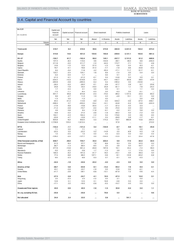# BANKA SLOVENIJE

BANK OF SLOVENIA **EUROSYSTEM**

# 3.4. Capital and Financial Account by countries

| Mio EUR<br>31.12.2010                   | Capital and<br>financial<br>account | Capital account | Financial account | Direct investment |             | Portfolio investment |             | Loans    |             |  |
|-----------------------------------------|-------------------------------------|-----------------|-------------------|-------------------|-------------|----------------------|-------------|----------|-------------|--|
|                                         | Net                                 | Net             | Net               | Abroad            | In Slovenia | Assets               | Liabilities | Assets   | Liabilities |  |
| Column                                  | 1                                   | $\overline{c}$  | 3                 | $\overline{4}$    | 5           | 6                    | 7           | 8        | 9           |  |
| Code                                    |                                     |                 |                   |                   |             |                      |             |          |             |  |
| <b>Total world</b>                      | 318.7                               | 8.2             | 310.5             | 59.6              | 273.9       | -383.9               | 2,331.0     | 164.2    | $-973.5$    |  |
| Europe                                  | 415.6                               | 14.6            | 401.0             | 104.6             | 193.6       | $-259.6$             | 2,131.1     | 163.6    | $-981.2$    |  |
| EU-27                                   | $-100.7$                            | 61.7            | $-162.4$          | 69.0              | 145.1       | $-257.7$             | 2,121.0     | 61.2     | $-989.9$    |  |
| Austria                                 | 107.2                               | $-8.4$          | 115.5             | 3.6               | 154.6       | $-38.1$              | 46.0        | 6.6      | $-235.3$    |  |
| Belgium                                 | 211.6                               | $-0.2$          | 211.7             | $-1.5$            | $-44.5$     | 172.7                | $-7.1$      | 12.1     | $-4.8$      |  |
| Bulgaria                                | 10.6                                | $-1.5$          | 12.2              | 51.3              | $-1.5$      | $-0.8$               | 0.0         | $-9.3$   | $-0.1$      |  |
| Cyprus                                  | 78.7                                | $-0.1$          | 78.8              | 31.4              | $-7.7$      | $-1.9$               | 8.6         | 32.8     | 10.5        |  |
| Czech Republic                          | 8.4                                 | $-3.4$          | 11.8              | 4.2               | $-30.4$     | $-17.1$              | 11.7        | 51.7     | $-0.1$      |  |
| Denmark                                 | 122.7                               | $-2.4$          | 125.1             | 1.6               | 6.6         | $-7.4$               | 0.0         | 0.4      | 0.0         |  |
| Estionia                                | $-2.2$                              | $-0.5$          | $-1.7$            | $\cdots$          | 0.0         | 0.1                  | 0.1         | $\cdots$ | $\cdots$    |  |
| Finland                                 | $-21.3$                             | $-0.1$          | $-21.2$           | $-0.1$            | 0.4         | $-14.8$              | 0.0         | 0.0      | 0.1         |  |
| France                                  | $-334.2$                            | $-14.3$         | $-319.9$          | $-0.4$            | $-44.1$     | $-182.7$             | $-63.9$     | 39.5     | $-23.9$     |  |
| Greece                                  | $-293.9$                            | $-0.6$          | $-293.3$          | $-5.4$            | 0.4         | $-190.4$             | 0.0         | $-103.6$ |             |  |
| Ireland                                 | $-26.2$                             | $-0.2$          | $-26.0$           | $-0.1$            | $-2.6$      | $-37.7$              | 2.9         | $-3.7$   | $-23.8$     |  |
| Italy                                   | 25.8                                | $-7.6$          | 33.4              | $-18.5$           | 25.9        | $-81.1$              | 1.1         | 7.6      | $-24.2$     |  |
| Latvia                                  | 1.7                                 | $-0.4$          | 2.1               | 0.0               | 0.0         | 0.1                  |             | 1.1      | 0.0         |  |
| Lithuania                               | $-7.5$                              | $-1.1$          | $-6.4$            | $-0.3$            | 0.0         | $-4.3$               | 0.0         | $-0.1$   |             |  |
| Luxembourg                              | 931.7                               | 56.8            | 874.9             | $-0.3$            | $-73.0$     | $-86.2$              | 1,107.5     | 33.3     | $-60.2$     |  |
| Hungary                                 | 8.6                                 | $-2.7$          | 11.3              | 1.0               | 4.2         | $-4.9$               | 15.1        | 0.1      | 0.0         |  |
| Malta                                   | $-1.3$                              | 0.0             | $-1.3$            | $\ddotsc$         | 0.0         |                      |             | 0.0      | $-0.8$      |  |
| Gemany                                  | 83.4                                | $-31.2$         | 114.6             | $-9.8$            | $-4.5$      | 328.2                | $-0.6$      | $-37.0$  | $-308.1$    |  |
| Netherlands                             | $-299.3$                            | 0.7             | $-300.0$          | $-16.4$           | $-12.1$     | $-34.8$              | $-0.2$      | 15.9     | $-222.3$    |  |
| Poland                                  | $-17.6$                             | $-6.8$          | $-10.8$           | 32.0              | $-1.7$      | $-37.4$              | 0.0         | 5.3      |             |  |
| Portugal                                | $-71.4$                             | $-0.8$          | $-70.7$           | $-0.2$            | 0.0         | $-70.0$              | 0.0         | 0.0      | $\cdots$    |  |
| Romania                                 | 4.6                                 | $-3.8$          | 8.4               | 11.9              | $-0.1$      | $-2.2$               | $-0.1$      | 5.9      | 0.0         |  |
| Slovakia                                | 18.9                                | $-2.2$          | 21.0              | $-2.8$            | $-1.8$      | $-56.2$              | 0.0         | $-7.2$   | 0.0         |  |
| Spain                                   | 164.1                               | $-0.3$          | 164.4             | $-1.2$            | 0.4         | 178.6                | $0.0$       | 0.6      | $-3.0$      |  |
| Sweden                                  | $-20.6$                             | $-4.7$          | $-15.9$           | $-11.1$           | 2.5         | $-28.9$              | 5.9         | $-1.7$   | $-0.1$      |  |
| United Kingdom                          | 925.8                               | $-6.2$          | 932.0             | 0.3               | 174.3       | $-78.7$              | 993.9       | 10.8     | $-304.4$    |  |
| European Union Institutions (incl. ECB) | $-1,708.9$                          | 103.4           | $-1,812.4$        | $\cdots$          | $\ddotsc$   | 37.9                 |             | $\cdots$ | 210.5       |  |
| <b>EFTA</b>                             | $-142.3$                            | $-1.1$          | $-141.2$          | 0.2               | $-154.9$    | $-8.7$               | $-6.8$      | 19.1     | $-45.8$     |  |
| Iceland                                 | 7.1                                 | 0.0             | 7.1               | $\ddotsc$         | $\cdots$    | 7.0                  | $\cdots$    | 0.0      |             |  |
| Liechtenstein                           | $-22.2$                             | 0.0             | $-22.2$           | 0.2               | $-14.9$     | 2.0                  | $-6.9$      | $-4.3$   | 1.6         |  |
| Norway                                  | 1.0                                 | $-0.5$          | 1.5               | 0.0               | 4.4         | $-5.3$               | 0.0         | 0.0      | 0.4         |  |
| Switzerland                             | $-128.2$                            | $-0.5$          | $-127.7$          | 0.0               | $-144.5$    | $-12.5$              | 0.1         | 23.4     | -47.9       |  |
| Other European countries, of that       | 658.7                               | $-46.0$         | 704.7             | 35.4              | 203.4       | 6.8                  | 17.0        | 83.3     | 54.5        |  |
| Bosnia and Herzegovina                  | 51.3                                | $-6.4$          | 57.7              | 7.9               | $-8.8$      | 9.3                  | 2.0         | 42.3     | 0.2         |  |
| Montenegro                              | 86.7                                | $-1.3$          | 88.0              | $-8.5$            | 0.0         | 3.9                  | 0.0         | 34.7     | 0.7         |  |
| Croatia                                 | 277.6                               | $-13.8$         | 291.4             | $-28.9$           | 197.6       | 16.1                 | 24.4        | $-7.4$   | 59.3        |  |
| Macedonia                               | -5.0                                | $-2.2$          | $-2.8$            | 1.7               | $-1.3$      | 3.9                  | 1.1         | 17.5     | 0.0         |  |
| Russian Federation                      | 185.3                               | $-6.2$          | 191.5             | $-41.7$           | 18.2        | $-15.1$              | 0.0         | 46.3     | 0.0         |  |
| Serbia                                  | 77.4                                | $-8.8$          | 86.2              | 107.1             | $-3.8$      | $-6.1$               | $-10.8$     | $-55.2$  | $-5.8$      |  |
| Turkey                                  | $-9.0$                              | $-2.3$          | $-6.8$            | $-3.3$            | 0.7         | $-3.1$               | 0.0         | $-0.3$   |             |  |
| Africa                                  | $-34.5$                             | $-1.9$          | $-32.6$           | $-33.2$           | -4.0        | $-2.5$               | 0.0         | 0.0      | 0.0         |  |
| America, of that                        | $-68.7$                             | $-3.8$          | $-64.9$           | $-6.1$            | $-13.2$     | $-95.2$              | 7.6         | $-9.5$   | $-3.1$      |  |
| Canada                                  | 23.1                                | $-0.6$          | 23.7              | $-1.9$            | 0.0         | 12.8                 | 0.0         | $-0.1$   | $\ldots$    |  |
| <b>United States</b>                    | $-41.7$                             | $-2.6$          | $-39.1$           | $-5.8$            | $-12.1$     | $-67.9$              | 7.2         | $-0.6$   | $-4.4$      |  |
|                                         |                                     |                 |                   |                   |             |                      |             |          |             |  |
| Asia                                    | $-27.3$                             | $-2.6$          | $-24.7$           | $-4.1$            | 19.5        | $-47.3$              | 1.5         | 10.0     | 0.1         |  |
| Hong Kong                               | 2.0                                 | $-0.4$          | 2.3               | $-1.0$            | 0.0         | 2.1                  | $\cdots$    | 0.0      | $\cdots$    |  |
| Japan                                   | 12.6                                | 0.1             | 12.5              | 0.1               | 18.9        | $-3.8$               | 0.0         | 0.0      | $\cdots$    |  |
| China                                   | $-17.1$                             | 2.2             | $-19.3$           | $-2.8$            | $-0.2$      | $-10.7$              | 0.0         | 0.5      | 0.0         |  |
| Oceania and Polar regions               | 40.0                                | $-0.6$          | 40.5              | $-1.6$            | $-1.5$      | 20.8                 | $-0.4$      | 0.0      | 1.1         |  |
| Int. org. excluding EU Inst.            | $-30.8$                             |                 | $-30.8$           |                   | 78.6        | 0.0                  | $\cdots$    | $\cdots$ | 9.6         |  |
| Not allocated                           | 24.4                                | $2.4\,$         | 22.0              |                   | 0.8         | $\ddotsc$            | 191.1       |          | $\cdots$    |  |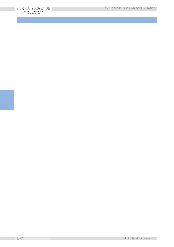BANKA SLOVENIJE BANK OF SLOVENIA **EUROSYSTEM**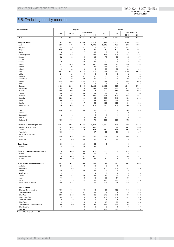# 3.5. Trade in goods by countries

| Millions of EUR                      | Exports         |                 |                |                | Imports         |                           |                     |                 |  |
|--------------------------------------|-----------------|-----------------|----------------|----------------|-----------------|---------------------------|---------------------|-----------------|--|
|                                      | 2009            |                 | January-August |                |                 |                           | January-August      |                 |  |
|                                      |                 | 2010            | 2010           | 2011           | 2009            | 2010                      | 2010                | 2011            |  |
| Total                                | 16,018          | 18,243          | 11,721         | 13,481         | 17,115          | 19,881                    | 12,606              | 14,441          |  |
|                                      |                 |                 |                |                |                 |                           |                     |                 |  |
| European Union 27<br>Austria         | 11,183<br>1,251 | 13,073<br>1,494 | 8,409<br>966   | 9,812<br>1,076 | 13,473<br>2,243 | 15,401<br>2,407           | 9,789<br>1,517      | 11,224<br>1,657 |  |
| Belgium                              | 179             | 210             | 131            | 171            | 388             | 430                       | 277                 | 292             |  |
| Bulgaria                             | 123             | 137             | 83             | 102            | 49              | 127                       | 95                  | 107             |  |
|                                      | 9               | 9               | $\overline{7}$ | 46             | 5               | $\overline{7}$            | $\overline{4}$      | 51              |  |
| Cyprus                               | 388             | 435             | 277            | 329            | 441             | 506                       | 323                 | 375             |  |
| Czech Republic<br>Denmark            | 132             | 164             | 105            | 135            | 76              | 68                        | 45                  | 47              |  |
| Estonia                              | 21              | 27              | 16             | 16             | 6               | 4                         | 3                   | 3               |  |
| Finland                              | 48              | 44              | 28             | 39             | 66              | 78                        | 45                  | 60              |  |
| France                               | 1.361           | 1,478           | 999            | 947            | 947             | 1,091                     | 696                 | 723             |  |
| Greece                               | 74              | 62              | 41             | 36             | 134             | 81                        | 44                  | 113             |  |
| Ireland                              | 16              | 22              | 13             | 13             | 65              | 89                        | 64                  | 24              |  |
|                                      |                 | 2,234           | 1,443          | 1,671          | 3,028           | 3,541                     | 2,285               | 2,622           |  |
| Italy<br>Latvia                      | 1,863<br>21     | 25              | 15             | 16             | 3               | 3                         | $\overline{c}$      | $\overline{c}$  |  |
|                                      | 59              | 60              | 37             | 37             | 35              | $\overline{7}$            | $\overline{4}$      | 6               |  |
| Lithuania                            | 17              |                 | 22             | 20             | 62              | 78                        |                     | 38              |  |
| Luxembourg                           | 459             | 36<br>544       | 344            | 415            | 647             | 805                       | 53<br>495           | 605             |  |
| Hungary<br>Malta                     | $\overline{c}$  | 3               | $\overline{c}$ | $\overline{c}$ | 3               |                           | 5                   | $\overline{c}$  |  |
|                                      |                 |                 |                |                |                 | 6                         |                     |                 |  |
| Germany                              | 3,166           | 3,616           | 2,295          | 2,896          | 3,136           | 3,667                     | 2,311               | 2,714           |  |
| Netherlands                          | 254             | 366             | 240            | 292            | 567             | 657                       | 422                 | 495             |  |
| Poland                               | 468             | 630             | 403            | 454            | 359             | 418                       | 265                 | 309             |  |
| Portugal                             | 46              | 53              | 35             | 34             | 21              | 25                        | 15                  | 18              |  |
| Romania                              | 240             | 294             | 183            | 236            | 161             | 170                       | 111                 | 135             |  |
| Slovakia                             | 275             | 266             | 169            | 196            | 238             | 313                       | 194                 | 212             |  |
| Spain                                | 190             | 229             | 151            | 163            | 464             | 454                       | 284                 | 314             |  |
| Sweden                               | 143             | 183             | 117            | 150            | 110             | 105                       | 64                  | 82              |  |
| United Kingdom                       | 378             | 450             | 291            | 321            | 220             | 264                       | 166                 | 219             |  |
| <b>EFTA</b>                          | 200             | 227             | 139            | 200            | 265             | 306                       | 189                 | 165             |  |
| Iceland                              | 1               | 1               | 1              | 1              | 0               | 1                         | 0                   | 1               |  |
| Liechenstein                         | $\overline{c}$  | $\overline{c}$  | $\mathbf{1}$   | $\overline{1}$ | 1               | 1                         | 0                   | $\circ$         |  |
| Norway                               | 37              | 41              | 22             | 28             | 15              | 20                        | 10                  | 16              |  |
| Switzerland                          | 160             | 183             | 115            | 171            | 250             | 285                       | 178                 | 148             |  |
|                                      |                 |                 |                |                |                 |                           |                     |                 |  |
| Countries of former Yugoslavia       | 2,607           | 2,627           | 1,684          | 1,864          | 1,172           | 1,489                     | 932                 | 1,148           |  |
| Bosnia and Herzegovina               | 501             | 528             | 344            | 363            | 235             | 325                       | 207                 | 248             |  |
| Croatia                              | 1,241           | 1,220           | 789            | 903            | 630             | 746                       | 462                 | 585             |  |
| Macedonia                            | 160             | 140             | 91             | 97             | 25              | 33                        | 18                  | 27              |  |
| Serbia and Montenegro                |                 |                 |                |                | $\cdots$        |                           |                     | $\ddotsc$       |  |
| Serbia                               | 618             | 656             | 407            | 445            | 264             | 362                       | 230                 | 277             |  |
| Montenegro                           | 87              | 83              | 53             | 56             | 18              | 23                        | 15                  | 12              |  |
|                                      |                 |                 |                |                |                 |                           |                     |                 |  |
| Other Europe                         | 39              | 39              | 26             | 25             | 0               | 1                         | $\mathsf O$         | $\circ$         |  |
| Albania                              | 39              | 39              | 26             | 25             | $\circ$         | 1                         | $\mathsf{O}\xspace$ | $\circ$         |  |
|                                      |                 |                 |                |                |                 |                           |                     |                 |  |
| Coun. of former Sov. Union, of which | 818             | 860             | 550            | 570            | 266             | 337                       | 212                 | 227             |  |
| Belarus                              | 32              | 46              | 28             | 25             | 6               | $\overline{\mathfrak{c}}$ | 5                   | 4               |  |
| Russian federation                   | 519             | 534             | 367            | 337            | 208             | 304                       | 190                 | 197             |  |
| Ukraine                              | 166             | 170             | 94             | 131            | 10              | 8                         | 5                   | 19              |  |
|                                      |                 |                 |                |                |                 |                           |                     |                 |  |
| Non-European members of OECD         | 487             | 632             | 409            | 468            | 717             | 681                       | 403                 | 605             |  |
| Australia                            | 21              | 26              | 16             | 19             | 3               | 6                         | $\overline{4}$      | 4               |  |
| South Korea                          | 17              | 30              | 17             | 25             | 138             | 164                       | 121                 | 123             |  |
| Mexico                               | 30              | 45              | 32             | 35             | $\overline{7}$  | 9                         | 6                   | $\overline{7}$  |  |
| New Zealand                          | $\overline{c}$  | $\overline{c}$  | $\mathbf{1}$   | $\mathbf{1}$   | $\overline{c}$  | $\circ$                   | $\circ$             | $\circ$         |  |
| Canada                               | 40              | 47              | 39             | 38             | 34              | 10                        | 6                   | 23              |  |
| Japan                                | 16              | 16              | 10             | 15             | 59              | 51                        | 36                  | 34              |  |
| Turkey                               | 151             | 193             | 122            | 138            | 145             | 172                       | 113                 | 139             |  |
| United States of America             | 209             | 273             | 171            | 196            | 331             | 268                       | 116                 | 275             |  |
|                                      |                 |                 |                |                |                 |                           |                     |                 |  |
| Other countries                      |                 |                 |                |                |                 |                           |                     |                 |  |
| Other developed countries            | 109             | 151             | 90             | 111            | 87              | 192                       | 140                 | 102             |  |
| Other Middle East                    | 100             | 132             | 81             | 82             | $\overline{7}$  | 6                         | $\overline{4}$      | 43              |  |
| Other Asia                           | 203             | 242             | 164            | 168            | 578             | 748                       | 467                 | 512             |  |
| Other North Africa                   | 194             | 161             | 110            | 111            | 121             | 182                       | 127                 | 58              |  |
| Other East Africa                    | 9               | 12              | 8              | 8              | 4               | 5                         | $\overline{4}$      | $\mathsf O$     |  |
| Other Africa                         | 16              | 21              | 10             | $\overline{4}$ | 19              | 57                        | 35                  | 38              |  |
| Other Middle and South America       | 46              | 60              | 36             | 44             | 223             | 155                       | 85                  | 184             |  |
| Other Oceania                        | 0               | 0               | $\mathsf O$    | 0              | 0               | $\mathsf O$               | $\mathsf O$         | 0               |  |
| Other N.E.C.                         | $\overline{7}$  | $\overline{7}$  | 5              | 15             | 181             | 322                       | 219                 | 135             |  |

Source: Statistical Office of RS.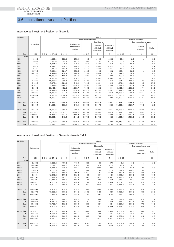**EUROSYSTEM**

### 3.6. International Investment Position

#### International Investment Position of Slovenia

| Mio EUR |        |              |                  |             |                                             |                          | Claims                                 |                                             |              |         |                             |       |
|---------|--------|--------------|------------------|-------------|---------------------------------------------|--------------------------|----------------------------------------|---------------------------------------------|--------------|---------|-----------------------------|-------|
|         |        |              |                  |             |                                             | Direct investment abroad |                                        |                                             |              |         | Portfolio investment        |       |
|         |        |              |                  |             |                                             |                          | Ostali kapital                         |                                             |              |         | Equity securities, of which |       |
|         |        | Net position |                  |             | Equity capital<br>and reinvested<br>eamings |                          | Claims on<br>affiliated<br>Enterprises | Liabilities to<br>affiliated<br>enterprises |              |         | General<br>government       | Banks |
|         | Column | $1 = 2 - 50$ | $2=3+8+22+27+42$ | $3 = 4 + 5$ | $\overline{4}$                              | $5=6+7$                  | 6                                      | $\overline{7}$                              | $8 = 9 + 13$ | 9       | 10                          | 11    |
|         | Code   |              |                  |             |                                             |                          |                                        |                                             |              |         |                             |       |
| 1994    |        | 600.2        | 4,830.3          | 288.6       | 279.1                                       | 9.5                      | 216.3                                  | $-206.8$                                    | 50.6         | 12.2    | $\cdots$                    | 3.3   |
| 1995    |        | 360.4        | 5,338.8          | 382.3       | 285.7                                       | 96.6                     | 274.3                                  | $-177.8$                                    | 83.0         | 13.4    | $\cdots$                    | 4.8   |
| 1996    |        | $-418.9$     | 5.771.2          | 370.6       | 276.6                                       | 94.0                     | 279.6                                  | $-185.6$                                    | 75.7         | 12.7    | $\cdots$                    | 5.1   |
| 1997    |        | $-361.4$     | 6,947.2          | 416.2       | 294.2                                       | 122.0                    | 364.8                                  | $-242.7$                                    | 50.6         | 14.0    | $\cdots$                    | 5.4   |
| 1998    |        | $-842.2$     | 7,210.2          | 542.8       | 325.5                                       | 217.3                    | 368.4                                  | $-151.1$                                    | 33.8         | 14.3    | $\cdots$                    | 6.2   |
| 1999    |        | $-1,970.5$   | 7,834.2          | 624.7       | 378.0                                       | 246.7                    | 410.9                                  | $-164.2$                                    | 130.1        | 32.3    | $\cdots$                    | 6.2   |
| 2000    |        | $-2.545.5$   | 8,923.0          | 825.3       | 498.9                                       | 326.4                    | 502.6                                  | $-176.2$                                    | 188.5        | 39.5    | $\cdots$                    | 5.7   |
| 2001    |        | $-448.8$     | 12,268.0         | 1,120.4     | 697.0                                       | 423.4                    | 553.2                                  | $-129.8$                                    | 289.2        | 29.0    | $\cdots$                    | 4.8   |
| 2002    |        | 26.8         | 14.636.8         | 1,445.2     | 918.0                                       | 527.1                    | 690.3                                  | $-163.2$                                    | 316.4        | 40.3    | $\cdots$                    | 4.2   |
| 2003    |        | $-1,480.6$   | 15,867.6         | 1,880.3     | 1,201.8                                     | 678.4                    | 863.7                                  | $-185.3$                                    | 551.4        | 188.0   | 0.0                         | 19.0  |
| 2004    |        | $-2,124.9$   | 17,876.8         | 2,224.0     | 1,519.1                                     | 704.9                    | 836.1                                  | $-131.3$                                    | 1,271.4      | 472.0   | 0.0                         | 37.0  |
| 2005    |        | $-3,161.0$   | 22,361.6         | 2,788.7     | 2,338.7                                     | 450.0                    | 883.5                                  | $-433.5$                                    | 2,757.9      | 1,242.3 | 86.8                        | 52.9  |
| 2006    |        | $-5,305.5$   | 25,122.5         | 3,452.2     | 2,656.7                                     | 795.5                    | 986.6                                  | $-191.1$                                    | 5,132.5      | 2,258.4 | 107.1                       | 94.6  |
| 2007    |        | $-7,372.5$   | 34,617.9         | 4,916.6     | 3,328.9                                     | 1,587.7                  | 1,818.0                                | $-230.3$                                    | 12,547.8     | 3,662.2 | 197.4                       | 127.5 |
| 2008    |        | $-12,586.9$  | 33.890.9         | 5,677.0     | 3,923.4                                     | 1,753.6                  | 2,019.4                                | $-265.8$                                    | 10,635.6     | 1,750.7 | 134.7                       | 57.8  |
| 2009    |        | $-12,650.7$  | 34,830.6         | 5,568.4     | 4,013.1                                     | 1,555.3                  | 1,917.5                                | $-362.3$                                    | 11,296.9     | 2,320.7 | 174.6                       | 42.0  |
| 2010    |        | $-12,655.9$  | 35,209.1         | 5,518.5     | 3,841.6                                     | 1,676.9                  | 2,079.8                                | $-402.9$                                    | 11,900.5     | 2,793.5 | 218.7                       | 55.3  |
| 2009    | Sep.   | $-12,162.8$  | 35,629.1         | 5,599.5     | 3,936.6                                     | 1,662.9                  | 1,961.6                                | $-298.7$                                    | 11,398.1     | 2,186.2 | 153.1                       | 41.8  |
|         | Dec.   | $-12.650.7$  | 34.830.6         | 5.568.4     | 4.013.1                                     | 1.555.3                  | 1,917.5                                | $-362.3$                                    | 11,296.9     | 2,320.7 | 174.6                       | 42.0  |
| 2010    | Mar.   | $-12.157.4$  | 35.620.6         | 5.653.7     | 4.006.1                                     | 1.647.5                  | 2.009.2                                | $-361.7$                                    | 12.036.9     | 2.532.2 | 193.5                       | 45.9  |
|         | Jun.   | $-12.707.0$  | 36.263.5         | 5.571.7     | 3.958.0                                     | 1.613.7                  | 2,004.8                                | $-391.2$                                    | 11.914.7     | 2.478.2 | 189.5                       | 47.5  |
|         | Sep.   | $-12.909.0$  | 35.947.2         | 5.577.0     | 3.898.3                                     | 1.678.7                  | 2,034.4                                | $-355.8$                                    | 12.032.8     | 2,543.4 | 192.9                       | 41.2  |
|         | Dec.   | $-12,655.9$  | 35,209.1         | 5,518.5     | 3,841.6                                     | 1,676.9                  | 2,079.8                                | $-402.9$                                    | 11,900.5     | 2,793.5 | 218.7                       | 55.3  |
| 2011    | Mar.   | $-12.692.6$  | 37.178.9         | 5.512.3     | 3.846.7                                     | 1.665.5                  | 2.098.8                                | $-433.3$                                    | 12.448.4     | 2.977.6 | 216.1                       | 56.1  |
|         | Jun.   | $-12,469.3$  | 37,019.1         | 5,475.7     | 3,846.2                                     | 1,629.5                  | 2,100.3                                | $-470.8$                                    | 12,249.7     | 2,877.7 | 215.5                       | 53.9  |

#### International Investment Position of Slovenia vis-a-vis EMU

| Mio EUR      |                            | Claims               |                |                                             |                          |                                        |                                             |                      |                |                             |              |
|--------------|----------------------------|----------------------|----------------|---------------------------------------------|--------------------------|----------------------------------------|---------------------------------------------|----------------------|----------------|-----------------------------|--------------|
|              |                            |                      |                |                                             | Direct investment abroad |                                        |                                             | Portfolio investment |                |                             |              |
|              |                            |                      |                |                                             |                          | Other capital                          |                                             |                      |                | Equity securities, of which |              |
|              | Net position               |                      |                | Equity capital<br>and reinvested<br>eamings |                          | Claims on<br>affiliated<br>Enterprises | Liabilities to<br>affiliated<br>enterprises |                      |                | General<br>aovemment        | Banks        |
|              | Column<br>$1 = 2 - 50$     | $2=3+8+22+27+42$     | $3 = 4 + 5$    | $\overline{4}$                              | $5 = 6 + 7$              | 6                                      | $\overline{7}$                              | $8 = 9 + 13$         | 9              | 10                          | 11           |
|              | Code                       |                      |                |                                             |                          |                                        |                                             |                      |                |                             |              |
| 2001         | $-2.256.2$                 | 5.353.2              | 177.3          | 118.4                                       | 58.9                     | 116.8                                  | $-57.9$                                     | 5.8                  | 5.8            | $\cdots$                    | 2.5          |
| 2002         | $-1,403.7$                 | 7,714.1              | 290.8          | 210.9                                       | 79.9                     | 157.0                                  | $-77.2$                                     | 10.0                 | 10.0           | $\cdots$                    | 1.6          |
| 2003         | $-1.928.1$                 | 8.711.3              | 349.8          | 222.9                                       | 126.9                    | 220.2                                  | $-93.3$                                     | 300.0                | 93.1           | 0.0                         | 2.6          |
| 2004         | $-2,842.2$                 | 9,795.4              | 459.7          | 411.5                                       | 48.2                     | 125.4                                  | $-77.2$                                     | 777.4                | 223.2          | 0.0                         | 7.6          |
| 2005         | $-5,921.5$                 | 11,629.2             | 505.1          | 766.8                                       | $-261.7$                 | 115.2                                  | $-376.9$                                    | 1,672.9              | 548.9          | 34.4                        | 9.3          |
| 2006         | $-9,049.4$                 | 12,916.2             | 577.9          | 562.3                                       | 15.5                     | 129.1                                  | $-113.6$                                    | 3,110.9              | 959.5          | 54.7                        | 16.1         |
| 2007         | $-12.179.7$                | 17,949.0             | 587.0          | 397.8                                       | 189.2                    | 297.3                                  | $-108.1$                                    | 8,425.2              | 1,416.0        | 115.6                       | 35.3         |
| 2008         | $-17,539.7$                | 17,144.0             | 668.9          | 555.4                                       | 113.5                    | 189.3                                  | $-75.9$                                     | 7,846.1              | 768.9          | 77.2                        | 17.8         |
| 2009         | $-14.691.1$                | 18,305.3             | 679.0          | 675.4                                       | 3.6                      | 137.2                                  | $-133.6$                                    | 8.337.7              | 1,075.6        | 92.6                        | 12.4         |
| 2010         | $-12.583.7$                | 18,520.7             | 698.5          | 671.4                                       | 27.1                     | 207.2                                  | $-180.1$                                    | 8,455.8              | 1,233.5        | 117.5                       | 7.7          |
|              |                            |                      |                |                                             |                          |                                        |                                             |                      |                |                             |              |
| 2008 Jun.    | $-14,939.8$                | 19,801.4             | 675.5          | 515.5                                       | 160.0                    | 306.5                                  | $-146.5$                                    | 9.661.3              | 1,148.9        | 101.8                       | 33.3         |
| Sep.         | $-16.277.6$                | 18.685.8             | 733.5          | 514.3                                       | 219.2                    | 312.8                                  | $-93.6$                                     | 9.155.0              | 973.5          | 94.0                        | 25.0         |
| Dec.         | $-17,539.7$                | 17,144.0             | 668.9          | 555.4                                       | 113.5                    | 189.3                                  | $-75.9$                                     | 7,846.1              | 768.9          | 77.2                        | 17.8         |
|              |                            |                      |                |                                             |                          |                                        |                                             |                      |                |                             |              |
| 2009<br>Mar. | $-17,343.6$<br>$-17.094.5$ | 16,425.7             | 565.7<br>668.2 | 576.7<br>657.5                              | $-11.0$<br>10.7          | 165.2<br>158.3                         | $-176.2$<br>$-147.6$                        | 7,374.9<br>7.378.7   | 743.9<br>847.4 | 67.5<br>69.4                | 11.1<br>10.8 |
| Jun.         | $-14,585.8$                | 16,542.3             | 582.9          | 603.1                                       |                          | 122.1                                  | $-142.4$                                    |                      | 993.3          |                             | 11.5         |
| Sep.<br>Dec. | $-14.691.1$                | 18,759.7<br>18,305.3 | 679.0          | 675.4                                       | $-20.3$<br>3.6           | 137.2                                  | $-133.6$                                    | 8,357.0<br>8,337.7   | 1,075.6        | 77.3<br>92.6                | 12.4         |
|              |                            |                      |                |                                             |                          |                                        |                                             |                      |                |                             |              |
| 2010<br>Mar. | $-13,902.1$                | 18,565.9             | 642.4          | 677.9                                       | $-35.5$                  | 150.8                                  | $-186.2$                                    | 8,809.4              | 1,166.9        | 98.6                        | 14.5         |
| Jun.         | $-13,554.6$                | 19,281.9             | 666.5          | 683.0                                       | $-16.5$                  | 162.5                                  | $-179.1$                                    | 8,723.8              | 1,135.8        | 95.7                        | 12.5         |
| Sep.         | $-13,551.9$                | 19,134.6             | 720.8          | 684.1                                       | 36.7                     | 174.8                                  | $-138.1$                                    | 8,692.6              | 1,171.1        | 101.2                       | 10.2         |
| Dec.         | $-12,583.7$                | 18,520.7             | 698.5          | 671.4                                       | 27.1                     | 207.2                                  | $-180.1$                                    | 8,455.8              | 1,233.5        | 117.5                       | 7.7          |
|              |                            |                      |                |                                             |                          |                                        |                                             |                      |                |                             |              |
| 2011<br>Mar. | $-11.511.7$                | 20.056.2             | 654.3          | 668.6                                       | $-14.3$                  | 210.9                                  | $-225.2$                                    | 8.702.5              | 1,304.1        | 117.6                       | 10.2         |
| Jun.         | $-12,428.6$                | 19,884.3             | 602.3          | 664.7                                       | $-62.4$                  | 188.6                                  | $-251.0$                                    | 8,526.1              | 1,271.6        | 118.5                       | 13.5         |
|              |                            |                      |                |                                             |                          |                                        |                                             |                      |                |                             |              |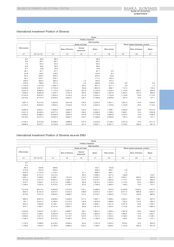#### International Investment Position of Slovenia

|               | Claims         |         |                  |                       |                 |               |          |                                    |          |  |  |  |  |  |
|---------------|----------------|---------|------------------|-----------------------|-----------------|---------------|----------|------------------------------------|----------|--|--|--|--|--|
|               |                |         |                  | Portfolio investment  |                 |               |          |                                    |          |  |  |  |  |  |
|               |                |         |                  |                       | Debt securities |               |          |                                    |          |  |  |  |  |  |
|               |                |         |                  | Bonds and notes       |                 |               |          | Money market instruments, of which |          |  |  |  |  |  |
| Other sectors |                |         | Bank of Slovenia | General<br>government | Banks           | Other sectors |          | Bank of Slovenia                   | Banks    |  |  |  |  |  |
| 12            | $13 = 14 + 19$ | 14      | 15               | 16                    | 17              | 18            | 19       | 20                                 | 21       |  |  |  |  |  |
|               |                |         |                  |                       |                 |               |          |                                    |          |  |  |  |  |  |
| 9.0           | 38.3           | 38.3    | $\cdots$         | $\cdots$              | 38.3            | $\cdots$      | $\cdots$ | $\cdots$                           | $\cdots$ |  |  |  |  |  |
| 8.5           | 69.7           | 69.7    | $\cdots$         | $\cdots$              | 69.7            | $\cdots$      | $\cdots$ | $\cdots$                           | $\cdots$ |  |  |  |  |  |
| 7.6           | 63.0           | 63.0    | $\cdots$         | $\cdots$              | 63.0            | $\cdots$      | $\cdots$ | $\cdots$                           | $\cdots$ |  |  |  |  |  |
| 8.6           | 36.6           | 36.6    | $\cdots$         | $\cdots$              | 36.6            | $\cdots$      | $\cdots$ | $\cdots$                           | $\cdots$ |  |  |  |  |  |
| 8.1           | 19.6           | 19.6    | $\cdots$         | $\cdots$              | 19.6            | $\cdots$      | $\cdots$ | $\cdots$                           | $\cdots$ |  |  |  |  |  |
| 26.1          | 97.7           | 97.7    | $\cdots$         | $\cdots$              | 97.7            | 0.0           | $\cdots$ | $\cdots$                           | $\cdots$ |  |  |  |  |  |
| 33.8          | 149.0          | 149.0   | $\cdots$         | $\cdots$              | 140.6           | 8.4           | $\cdots$ | $\cdots$                           | $\cdots$ |  |  |  |  |  |
| 24.2          | 260.2          | 260.2   | $\cdots$         | $\cdots$              | 225.5           | 34.8          | $\cdots$ | $\cdots$                           | $\cdots$ |  |  |  |  |  |
| 36.1          | 276.1          | 276.1   | $\cdots$         | $\cdots$              | 171.0           | 105.2         | $\cdots$ | $\cdots$                           | $\cdots$ |  |  |  |  |  |
| 169.0         | 363.4          | 363.4   | $\cdots$         | 1.3                   | 194.9           | 167.2         | $\cdots$ | $\cdots$                           | $\cdots$ |  |  |  |  |  |
| 435.0         | 799.5          | 791.2   | $\cdots$         | 2.0                   | 369.6           | 419.6         | 8.3      | $\cdots$                           | 5.4      |  |  |  |  |  |
| 1,102.6       | 1,515.6        | 1,509.7 | $\cdots$         | 60.2                  | 907.7           | 541.7         | 5.9      | $\cdots$                           | 1.3      |  |  |  |  |  |
| 2,056.6       | 2.874.1        | 2,732.6 | $\cdots$         | 90.9                  | 1,802.0         | 839.7         | 141.5    | $\cdots$                           | 133.4    |  |  |  |  |  |
| 3,337.3       | 8,885.6        | 7,175.0 | 2,527.4          | 181.3                 | 3,120.9         | 1,345.4       | 1,710.6  | 684.7                              | 993.6    |  |  |  |  |  |
| 1,558.2       | 8,884.9        | 7,532.7 | 3,197.4          | 182.5                 | 2,685.0         | 1,467.8       | 1,352.2  | 337.4                              | 985.0    |  |  |  |  |  |
| 2,104.2       | 8,976.2        | 7,833.4 | 3,746.3          | 131.8                 | 2,234.4         | 1,720.8       | 1,142.8  | 20.0                               | 1113.5   |  |  |  |  |  |
| 2,519.5       | 9.107.0        | 8,340.0 | 3,924.7          | 154.7                 | 2,169.8         | 2,090.8       | 767.0    | 15.0                               | 741.1    |  |  |  |  |  |
| 1,991.3       | 9,212.0        | 7,920.8 | 3,912.8          | 134.9                 | 2,222.0         | 1,651.1       | 1,291.2  | 44.9                               | 1225.6   |  |  |  |  |  |
| 2,104.2       | 8,976.2        | 7,833.4 | 3,746.3          | 131.8                 | 2,234.4         | 1,720.8       | 1,142.8  | 20.0                               | 1113.5   |  |  |  |  |  |
| 2,292.8       | 9,504.7        | 7,959.3 | 3,683.5          | 145.5                 | 2,341.2         | 1,789.1       | 1,545.5  | 20.0                               | 1514.3   |  |  |  |  |  |
| 2,241.2       | 9,436.4        | 8.077.4 | 3,862.7          | 156.0                 | 2,269.4         | 1,789.3       | 1,359.1  | 15.0                               | 1332.8   |  |  |  |  |  |
| 2,309.2       | 9,489.4        | 8,256.9 | 3,920.5          | 161.8                 | 2,179.8         | 1,994.8       | 1,232.5  | 15.0                               | 1206.0   |  |  |  |  |  |
| 2,519.5       | 9,107.0        | 8,340.0 | 3,924.7          | 154.7                 | 2,169.8         | 2,090.8       | 767.0    | 15.0                               | 741.1    |  |  |  |  |  |
| 2,705.4       | 9,470.8        | 8,429.0 | 3,899.5          | 147.5                 | 2,225.6         | 2,156.4       | 1,041.8  | 15.0                               | 1011.0   |  |  |  |  |  |
| 2,608.3       | 9,372.1        | 8,153.9 | 3,532.8          | 157.2                 | 2,202.1         | 2,261.7       | 1,218.2  | 284.5                              | 921.5    |  |  |  |  |  |

#### International Investment Position of Slovenia vis-a-vis EMU

|               | Claims         |          |                  |                       |                 |               |          |                                    |          |  |  |  |  |  |
|---------------|----------------|----------|------------------|-----------------------|-----------------|---------------|----------|------------------------------------|----------|--|--|--|--|--|
|               |                |          |                  | Portfolio investment  |                 |               |          |                                    |          |  |  |  |  |  |
|               |                |          |                  |                       | Debt securities |               |          |                                    |          |  |  |  |  |  |
|               |                |          |                  | Bonds and notes       |                 |               |          | Money market instruments, of which |          |  |  |  |  |  |
| Other sectors |                |          | Bank of Slovenia | General<br>government | <b>Banks</b>    | Other sectors |          | Bank of Slovenia                   | Banks    |  |  |  |  |  |
| 12            | $13 = 14 + 19$ | 14       | 15               | 16                    | 17              | 18            | 19       | 20                                 | 21       |  |  |  |  |  |
|               |                |          |                  |                       |                 |               |          |                                    |          |  |  |  |  |  |
| 3.2           | $\cdots$       | $\cdots$ | $\cdots$         | $\cdots$              | $\cdots$        | $\cdots$      | $\cdots$ | $\cdots$                           | $\cdots$ |  |  |  |  |  |
| 8.4           | $\cdots$       | $\cdots$ |                  | $\cdots$              | $\cdots$        | $\cdots$      | $\cdots$ | $\cdots$                           | $\cdots$ |  |  |  |  |  |
| 90.5          | 206.9          | 206.9    |                  | $\cdots$              | 102.1           | 104.8         | $\cdots$ | $\cdots$                           | $\cdots$ |  |  |  |  |  |
| 215.6         | 554.2          | 553.5    |                  | $\cdots$              | 258.4           | 295.1         | 0.6      | $\cdots$                           | $\cdots$ |  |  |  |  |  |
| 505.3         | 1.124.0        | 1,122.2  | $\cdots$         | 41.1                  | 698.0           | 383.1         | 1.7      | $\cdots$                           | $\cdots$ |  |  |  |  |  |
| 888.8         | 2,151.4        | 2,012.5  | $\cdots$         | 56.0                  | 1,399.3         | 557.2         | 138.8    | $\cdots$                           | 132.7    |  |  |  |  |  |
| 1,265.1       | 7.009.2        | 5.359.1  | 1.812.0          | 110.7                 | 2,534.7         | 901.7         | 1,650.1  | 628.2                              | 992.9    |  |  |  |  |  |
| 673.8         | 7,077.2        | 5,902.5  | 2,489.7          | 131.6                 | 2,218.7         | 1,062.5       | 1,174.7  | 163.5                              | 985.0    |  |  |  |  |  |
| 970.7         | 7.262.1        | 6.151.6  | 2.993.1          | 90.8                  | 1.815.5         | 1.252.2       | 1.110.5  | 20.0                               | 1,083.5  |  |  |  |  |  |
| 1,108.4       | 7,222.2        | 6,473.0  | 3,156.7          | 97.6                  | 1.736.3         | 1,482.4       | 749.2    | 15.0                               | 727.1    |  |  |  |  |  |
|               |                |          |                  |                       |                 |               |          |                                    |          |  |  |  |  |  |
| 1,013.8       | 8,512.4        | 6,082.8  | 2,375.5          | 145.1                 | 2,588.8         | 973.5         | 2,429.6  | 1,042.4                            | 1,351.0  |  |  |  |  |  |
| 854.4         | 8,181.6        | 5,910.4  | 2,442.2          | 139.8                 | 2,304.4         | 1,024.1       | 2,271.2  | 895.8                              | 1,343.1  |  |  |  |  |  |
| 673.8         | 7,077.2        | 5,902.5  | 2,489.7          | 131.6                 | 2,218.7         | 1,062.5       | 1,174.7  | 163.5                              | 985.0    |  |  |  |  |  |
|               |                |          |                  |                       |                 |               |          |                                    |          |  |  |  |  |  |
| 665.3         | 6,631.0        | 5,628.6  | 2,456.5          | 121.5                 | 1,981.1         | 1,069.4       | 1,002.4  | 148.1                              | 837.0    |  |  |  |  |  |
| 767.1         | 6,531.3        | 5,780.9  | 2,716.5          | 119.9                 | 1,854.9         | 1,089.6       | 750.3    | 174.0                              | 562.4    |  |  |  |  |  |
| 904.5         | 7,363.8        | 6.136.1  | 3,007.4          | 99.4                  | 1,808.1         | 1,221.2       | 1,227.6  | 44.9                               | 1,165.7  |  |  |  |  |  |
| 970.7         | 7,262.1        | 6,151.6  | 2,993.1          | 90.8                  | 1,815.5         | 1,252.2       | 1,110.5  | 20.0                               | 1,083.5  |  |  |  |  |  |
| 1,053.8       | 7,642.5        | 6,150.7  | 2,883.7          | 99.1                  | 1,904.4         | 1,263.4       | 1,491.8  | 20.0                               | 1,464.6  |  |  |  |  |  |
| 1.027.5       | 7,588.1        | 6,302.8  | 3.110.2          | 103.0                 |                 | 1,261.1       | 1.285.3  | 15.0                               | 1,263.1  |  |  |  |  |  |
|               |                |          |                  |                       | 1,828.5         |               |          |                                    |          |  |  |  |  |  |
| 1,059.6       | 7,521.5        | 6,373.3  | 3,116.7          | 102.0                 | 1,751.3         | 1,403.2       | 1,148.3  | 15.0                               | 1,126.1  |  |  |  |  |  |
| 1,108.4       | 7,222.2        | 6.473.0  | 3.156.7          | 97.6                  | 1,736.3         | 1,482.4       | 749.2    | 15.0                               | 727.1    |  |  |  |  |  |
| 1.176.3       | 7.398.5        | 6,419.0  | 3.039.4          | 94.6                  | 1.781.9         | 1.503.2       | 979.4    | 15.0                               | 954.3    |  |  |  |  |  |
| 1,139.6       | 7,254.5        | 6.130.9  | 2.686.2          | 100.2                 | 1.760.3         | 1.584.2       | 1,123.6  | 284.5                              | 831.8    |  |  |  |  |  |
|               |                |          |                  |                       |                 |               |          |                                    |          |  |  |  |  |  |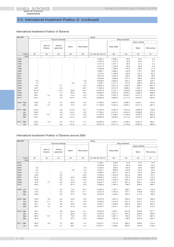**EUROSYSTEM**

# 3.6. International Investment Position of (continued)

#### International Investment Position of Slovenia

| Mio EUR |        |          |                     |                       |          |               | Claims                   |               |                  |                 |               |  |  |
|---------|--------|----------|---------------------|-----------------------|----------|---------------|--------------------------|---------------|------------------|-----------------|---------------|--|--|
|         |        |          |                     | Financial derivatives |          |               |                          |               | Other investment |                 |               |  |  |
|         |        |          |                     |                       |          |               |                          |               |                  | Loans, of which |               |  |  |
|         |        |          | Bank of<br>Slovenia | General<br>government | Banks    | Other sectors |                          | Trade credits |                  | Banks           | Other sectors |  |  |
|         | Column | 22       | 23                  | 24                    | 25       | 26            | $27 = 28 + 29 + 32 + 37$ | 28            | 29               | 30              | 31            |  |  |
|         | Code   |          |                     |                       |          |               |                          |               |                  |                 |               |  |  |
| 1994    |        | $\cdots$ | $\cdots$            |                       |          | $\cdots$      | 3,269.1                  | 1,360.7       | 23.0             | 18.7            | 4.4           |  |  |
| 1995    |        | $\cdots$ | $\cdots$            |                       |          | $\ddotsc$     | 3,452.5                  | 1,412.2       | 33.9             | 29.2            | 4.7           |  |  |
| 1996    |        | $\cdots$ | $\cdots$            | $\cdots$              |          | $\cdots$      | 3,471.9                  | 1,401.7       | 36.9             | 31.5            | 5.4           |  |  |
| 1997    |        | $\cdots$ | $\cdots$            | $\cdots$              |          | $\cdots$      | 3,477.3                  | 1,703.3       | 94.9             | 90.6            | 4.3           |  |  |
| 1998    |        | $\cdots$ | $\cdots$            | $\cdots$              |          | $\cdots$      | 3,528.9                  | 1,796.0       | 118.0            | 106.5           | 11.4          |  |  |
| 1999    |        | $\cdots$ | $\cdots$            | $\cdots$              | $\cdots$ | $\cdots$      | 3,920.1                  | 1,996.4       | 144.9            | 118.7           | 26.2          |  |  |
| 2000    |        | $\cdots$ | $\cdots$            | $\cdots$              | $\cdots$ | $\ddotsc$     | 4,473.3                  | 2,189.9       | 192.6            | 107.2           | 85.3          |  |  |
| 2001    |        | $\cdots$ | $\cdots$            | $\cdots$              | $\cdots$ | $\ddotsc$     | 5,874.6                  | 1,927.9       | 169.5            | 109.6           | 59.9          |  |  |
| 2002    |        | $\cdots$ | $\cdots$            | $\cdots$              | $\cdots$ | $\cdots$      | 6,093.8                  | 1,908.4       | 337.4            | 199.4           | 138.0         |  |  |
| 2003    |        | 0.3      | $\cdots$            | $\cdots$              | $\cdots$ | 0.3           | 6,556.6                  | 1,922.0       | 524.7            | 299.6           | 225.1         |  |  |
| 2004    |        | 1.5      | $\cdots$            | $\cdots$              | 0.0      | 1.5           | 7,838.1                  | 2,121.7       | 751.9            | 489.3           | 262.5         |  |  |
| 2005    |        | 14.5     | $\cdots$            | 0.1                   | $\cdots$ | 14.4          | 9,906.0                  | 2,871.9       | 1,205.5          | 838.1           | 367.4         |  |  |
| 2006    |        | 26.7     | $\cdots$            | 0.0                   | $\cdots$ | 26.7          | 11.092.6                 | 3,272.0       | 1,899.4          | 1,300.7         | 598.7         |  |  |
| 2007    |        | 131.8    | $\cdots$            | 10.3                  | 66.8     | 54.7          | 16,297.9                 | 3,737.1       | 3,453.6          | 3,029.0         | 424.6         |  |  |
| 2008    |        | 83.1     | $\cdots$            | 7.2                   | 60.4     | 15.5          | 16,808.0                 | 3,975.4       | 3,876.2          | 3,288.2         | 588.0         |  |  |
| 2009    |        | 89.7     | 0.1                 | 4.8                   | 72.4     | 12.4          | 17,126.5                 | 3,767.4       | 3,978.7          | 3,311.2         | 667.5         |  |  |
| 2010    |        | 122.1    | $\cdots$            | 4.6                   | 107.2    | 10.3          | 16,864.8                 | 3,936.9       | 4,111.2          | 3,310.2         | 697.9         |  |  |
| 2009    | Sep.   | 82.5     | 1.9                 | 5.7                   | 60.9     | 14.0          | 17,796.4                 | 4,061.6       | 4,068.5          | 3,304.1         | 764.4         |  |  |
|         | Dec.   | 89.7     | 0.1                 | 4.8                   | 72.4     | 12.4          | 17,126.5                 | 3,767.4       | 3,978.7          | 3,311.2         | 667.5         |  |  |
| 2010    | Mar.   | 133.5    | $\cdots$            | 4.8                   | 114.6    | 14.1          | 17,073.5                 | 4,022.5       | 4,441.8          | 3,693.8         | 748.0         |  |  |
|         | Jun.   | 158.8    | $\cdots$            | 4.6                   | 144.2    | 10.0          | 17,780.4                 | 4,214.5       | 4,024.3          | 3,349.8         | 674.4         |  |  |
|         | Sep.   | 145.5    | 13.1                | 4.6                   | 117.3    | 10.5          | 17,420.8                 | 4.199.0       | 4,148.9          | 3,353.5         | 692.4         |  |  |
|         | Dec.   | 122.1    | $\cdots$            | 4.6                   | 107.2    | 10.3          | 16,864.8                 | 3,936.9       | 4,111.2          | 3,310.2         | 697.9         |  |  |
| 2011    | Mar.   | 120.5    | 2.5                 | 4.6                   | 101.6    | 11.7          | 18,338.4                 | 4,234.7       | 4,168.4          | 3,247.3         | 693.1         |  |  |
|         | Jun.   | 118.0    | $\cdots$            | 4.6                   | 101.6    | 11.7          | 18,427.9                 | 4,271.3       | 4,179.8          | 3,222.9         | 692.8         |  |  |

#### International Investment Position of Slovenia vis-a-vis EMU

| Mio EUR |        |          |                     |                       |          |               | Claims                   |                      |                  |                 |               |  |
|---------|--------|----------|---------------------|-----------------------|----------|---------------|--------------------------|----------------------|------------------|-----------------|---------------|--|
|         |        |          |                     | Financial derivatives |          |               |                          |                      | Other investment |                 |               |  |
|         |        |          |                     |                       |          |               |                          |                      |                  | Loans, of which |               |  |
|         |        |          | Bank of<br>Slovenia | General<br>aovemment  | Banks    | Other sectors |                          | <b>Trade credits</b> |                  | Banks           | Other sectors |  |
|         | Column | 22       | 23                  | 24                    | 25       | 26            | $27 = 28 + 29 + 32 + 37$ | 28                   | 29               | 30              | 31            |  |
|         | Code   |          |                     |                       |          |               |                          |                      |                  |                 |               |  |
| 2001    |        | $\cdots$ | $\cdots$            | $\cdots$              | $\cdots$ | $\cdots$      | 2,136.1                  | 778.0                | 41.9             | 31.5            | 10.4          |  |
| 2002    |        | $\cdots$ | $\cdots$            | $\cdots$              |          | $\cdots$      | 2,878.6                  | 781.5                | 90.8             | 28.8            | 62.0          |  |
| 2003    |        | 0.3      | $\cdots$            | $\cdots$              | $\cdots$ | 0.3           | 3,192.3                  | 790.6                | 154.9            | 46.0            | 108.9         |  |
| 2004    |        | 0.4      | $\cdots$            | $\cdots$              | 0.0      | 0.4           | 4,022.1                  | 860.8                | 123.8            | 63.4            | 60.4          |  |
| 2005    |        | 5.0      | $\cdots$            | 0.1                   | $\ldots$ | 4.9           | 4.990.4                  | 1,202.7              | 201.2            | 102.0           | 99.2          |  |
| 2006    |        | 20.6     | $\cdots$            | 0.0                   | $\cdots$ | 20.6          | 5.736.4                  | 1,345.9              | 253.2            | 108.5           | 144.7         |  |
| 2007    |        | 107.4    | $\cdots$            | 8.2                   | 46.4     | 52.8          | 8,829.4                  | 1,440.1              | 478.1            | 345.9           | 132.2         |  |
| 2008    |        | 52.8     | $\cdots$            | 6.0                   | 31.3     | 15.4          | 8.576.3                  | 1,445.6              | 397.4            | 217.0           | 180.4         |  |
| 2009    |        | 53.9     | 0.1                 | 3.6                   | 37.8     | 12.4          | 9,234.7                  | 1,407.1              | 601.3            | 285.1           | 316.2         |  |
| 2010    |        | 80.9     | $\cdots$            | 3.7                   | 67.0     | 10.3          | 9,285.5                  | 1,591.6              | 748.0            | 345.3           | 299.7         |  |
| 2008    | Jun.   | 114.5    |                     | 9.4                   | 74.4     | 30.7          | 9,350.0                  | 1,752.1              | 558.7            | 423.1           | 135.5         |  |
|         | Sep.   | 75.6     | $\cdots$            | 6.2                   | 48.3     | 21.1          | 8,721.6                  | 1,702.6              | 374.1            | 218.8           | 155.3         |  |
|         | Dec.   | 52.8     | $\cdots$            | 6.0                   | 31.3     | 15.4          | 8,576.3                  | 1,445.6              | 397.4            | 217.0           | 180.4         |  |
| 2009    | Mar.   | 64.6     | 3.5                 | 6.2                   | 40.8     | 14.0          | 8,420.5                  | 1,561.0              | 600.5            | 232.3           | 368.2         |  |
|         | Jun.   | 66.5     | 11.1                | 6.2                   | 37.1     | 12.0          | 8.429.0                  | 1,531.8              | 613.1            | 237.4           | 375.7         |  |
|         | Sep.   | 55.1     | 1.9                 | 4.6                   | 34.6     | 14.0          | 9,764.7                  | 1,546.9              | 685.3            | 302.3           | 383.0         |  |
|         | Dec.   | 53.9     | 0.1                 | 3.6                   | 37.8     | 12.4          | 9,234.7                  | 1,407.1              | 601.3            | 285.1           | 316.2         |  |
| 2010    | Mar.   | 82.1     | $\cdots$            | 3.6                   | 64.4     | 14.1          | 9,032.0                  | 1,564.1              | 914.9            | 583.8           | 331.1         |  |
|         | Jun.   | 96.5     | $\cdots$            | 3.7                   | 82.8     | 10.0          | 9.795.0                  | 1.671.7              | 591.6            | 308.6           | 283.0         |  |
|         | Sep.   | 106.6    | 13.1                | 3.7                   | 79.3     | 10.5          | 9,614.6                  | 1,681.7              | 706.9            | 316.7           | 287.2         |  |
|         | Dec.   | 80.9     | $\cdots$            | 3.7                   | 67.0     | 10.3          | 9,285.5                  | 1,591.6              | 748.0            | 345.3           | 299.7         |  |
| 2011    | Mar.   | 86.3     | 2.5                 | 3.7                   | 68.7     | 11.4          | 10,613.1                 | 1,757.8              | 890.3            | 346.9           | 315.4         |  |
|         | Jun.   | 83.8     | $\cdots$            | 3.7                   | 68.7     | 11.4          | 10.672.1                 | 1,789.3              | 963.0            | 379.9           | 318.9         |  |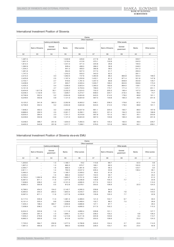#### International Investment Position of Slovenia

|         |                  |                       |         |               | Claims           |                  |                       |       |               |
|---------|------------------|-----------------------|---------|---------------|------------------|------------------|-----------------------|-------|---------------|
|         |                  |                       |         |               | Other investment |                  |                       |       |               |
|         |                  | Currency and deposits |         |               |                  |                  | Other assets          |       |               |
|         | Bank of Slovenia | General<br>government | Banks   | Other sectors |                  | Bank of Slovenia | General<br>government | Banks | Other sectors |
| 32      | 33               | 34                    | 35      | 36            | 37               | 38               | 39                    | 40    | 41            |
|         |                  |                       |         |               |                  |                  |                       |       |               |
| 1,467.5 | $\cdots$         | $\cdots$              | 1,040.9 | 426.6         | 417.9            | 84.2             | $\cdots$              | 333.7 |               |
| 1,631.3 | $\cdots$         | $\cdots$              | 1,218.4 | 412.9         | 375.1            | 132.8            | $\cdots$              | 242.3 | $\cdots$      |
| 1,812.4 | $\cdots$         | $\cdots$              | 1,441.0 | 371.4         | 220.8            | 26.8             | $\cdots$              | 194.0 | $\cdots$      |
| 1,392.9 | $\cdots$         | $\cdots$              | 926.4   | 466.5         | 286.2            | 36.9             | $\cdots$              | 249.3 | $\cdots$      |
| 1,334.2 | $\cdots$         | $\cdots$              | 941.2   | 393.0         | 280.8            | 39.5             | $\cdots$              | 241.3 | $\cdots$      |
| 1,461.8 | $\cdots$         | $\cdots$              | 954.5   | 507.3         | 317.0            | 51.7             | $\cdots$              | 265.3 | $\cdots$      |
| 1,747.5 | $\cdots$         | $\cdots$              | 1,242.2 | 505.3         | 343.3            | 62.3             | $\cdots$              | 281.1 | $\cdots$      |
| 2,313.3 | $\cdots$         | 3.3                   | 1,562.5 | 747.6         | 1,463.9          | 86.2             | 883.8                 | 324.4 | 169.5         |
| 2,425.8 | $\cdots$         | 2.5                   | 1,167.4 | 1,255.9       | 1,422.1          | 81.3             | 871.4                 | 321.6 | 147.8         |
| 2,702.7 | $\cdots$         | 2.7                   | 918.5   | 1,781.5       | 1,407.3          | 69.8             | 846.9                 | 354.9 | 135.7         |
| 3,408.9 | $\cdots$         | 2.7                   | 905.7   | 2,500.4       | 1,555.7          | 169.2            | 852.6                 | 358.6 | 175.3         |
| 4,435.3 | $\cdots$         | 5.4                   | 1,506.5 | 2,923.4       | 1,393.2          | 192.6            | 864.0                 | 159.1 | 177.6         |
| 5,151.9 | $\cdots$         | 2.7                   | 1,445.7 | 3,703.5       | 769.3            | 175.7            | 171.4                 | 171.1 | 251.1         |
| 8,404.8 | 1,617.8          | 30.1                  | 2,232.3 | 4,524.5       | 702.3            | 205.3            | 195.4                 | 107.3 | 194.4         |
| 8,348.4 | 1,132.9          | 13.1                  | 1,928.7 | 5,273.7       | 608.0            | 220.7            | 216.4                 | 96.2  | 74.7          |
| 8,736.9 | 352.4            | 5.2                   | 2,554.6 | 5,824.8       | 643.5            | 214.5            | 178.0                 | 89.9  | 161.1         |
| 8,249.6 | 302.8            | 0.9                   | 1,121.0 | 6,824.9       | 567.0            | 133.8            | 185.3                 | 46.3  | 201.6         |
| 9,120.2 | 341.9            | 362.3                 | 2,352.8 | 6,063.2       | 546.1            | 208.3            | 176.6                 | 87.2  | 74.0          |
| 8,736.9 | 352.4            | 5.2                   | 2,554.6 | 5,824.8       | 643.5            | 214.5            | 178.0                 | 89.9  | 161.1         |
| 7,948.2 | 462.2            | 3.2                   | 1,454.9 | 6,027.9       | 661.1            | 220.5            | 183.7                 | 89.0  | 167.9         |
| 8,886.6 | 292.3            | 2.5                   | 2,301.7 | 6,290.1       | 655.1            | 221.4            | 194.3                 | 52.5  | 186.8         |
| 8,505.0 | 284.4            | 2.3                   | 1,701.7 | 6,516.6       | 567.9            | 151.5            | 182.7                 | 30.1  | 203.6         |
| 8,249.6 | 302.8            | 0.9                   | 1,121.0 | 6,824.9       | 567.0            | 133.8            | 185.3                 | 46.3  | 201.6         |
| 9,348.0 | 396.7            | 251.8                 | 1,634.0 | 7,065.5       | 587.4            | 130.2            | 182.0                 | 48.4  | 226.7         |
| 9,400.3 | 542.8            | 201.8                 | 1,317.7 | 7,338.1       | 576.5            | 131.6            | 185.6                 | 50.1  | 209.1         |

|         |                  |                       |         |               | Claims           |                  |                       |           |               |
|---------|------------------|-----------------------|---------|---------------|------------------|------------------|-----------------------|-----------|---------------|
|         |                  |                       |         |               | Other investment |                  |                       |           |               |
|         |                  | Currency and deposits |         |               |                  |                  | Other assets          |           |               |
|         | Bank of Slovenia | General<br>government | Banks   | Other sectors |                  | Bank of Slovenia | General<br>government | Banks     | Other sectors |
| 32      | 33               | 34                    | 35      | 36            | 37               | 38               | 39                    | 40        | 41            |
|         |                  |                       |         |               |                  |                  |                       |           |               |
| 1,200.6 | $\cdots$         | 1.3                   | 1,180.1 | 19.2          | 115.6            | 69.7             | $\cdots$              | 42.3      | 3.6           |
| 1,837.2 | $\cdots$         | 1.3                   | 860.3   | 975.7         | 169.1            | 66.5             | $\cdots$              | 100.5     | 2.2           |
| 2.063.7 | $\cdots$         | 1.6                   | 680.5   | 1.381.6       | 183.1            | 56.3             | $\cdots$              | 123.7     | 3.0           |
| 2,811.1 | $\cdots$         | 1.4                   | 762.5   | 2,047.2       | 226.4            | 53.9             | $\cdots$              | 136.4     | 36.1          |
| 3,493.3 | $\cdots$         | 3.4                   | 1,180.7 | 2,309.2       | 93.2             | 61.8             | $\cdots$              | $\cdots$  | 31.5          |
| 4,035.4 | $\cdots$         | 1.5                   | 990.2   | 3,043.7       | 102.0            | 56.7             | $\cdots$              | $\ddotsc$ | 45.2          |
| 6,763.0 | 1,292.9          | 25.0                  | 1,693.7 | 3,751.5       | 148.2            | 97.2             | $\cdots$              | $\cdots$  | 51.0          |
| 6,597.5 | 871.1            | 11.6                  | 1,377.9 | 4,336.9       | 135.8            | 105.3            | 7.7                   | $\ddotsc$ | 22.9          |
| 7,008.9 | 208.2            | 4.2                   | 2,101.0 | 4,695.5       | 217.5            | 102.2            | $\cdots$              | $\cdots$  | 115.3         |
| 6,692.3 | 300.9            | 0.5                   | 812.9   | 5,578.1       | 253.5            | 106.9            | $\cdots$              | 22.3      | 124.3         |
|         |                  |                       |         |               |                  |                  |                       |           |               |
| 6,799.5 | 454.2            | 104.2                 | 2,145.7 | 4,095.3       | 239.8            | 94.8             | $\cdots$              | $\cdots$  | 145.0         |
| 6,394.6 | 240.4            | 255.0                 | 1,853.4 | 4,045.7       | 250.3            | 98.5             | 7.8                   | $\cdots$  | 144.0         |
| 6,597.5 | 871.1            | 11.6                  | 1,377.9 | 4,336.9       | 135.8            | 105.3            | 7.7                   | $\cdots$  | 22.9          |
|         |                  |                       |         |               |                  |                  |                       |           |               |
| 6,117.5 | 335.9            | 11.0                  | 1,381.3 | 4,389.3       | 141.3            | 104.7            | 6.7                   | $\cdots$  | 30.0          |
| 6,151.4 | 333.4            | 9.9                   | 1,339.6 | 4,468.4       | 132.7            | 99.2             | 7.0                   | $\cdots$  | 26.6          |
| 7,405.4 | 198.2            | 360.7                 | 1,959.9 | 4,886.6       | 127.1            | 97.7             | $\cdots$              | $\cdots$  | 29.4          |
| 7,008.9 | 208.2            | 4.2                   | 2,101.0 | 4,695.5       | 217.5            | 102.2            | $\cdots$              | $\cdots$  | 115.3         |
|         |                  |                       |         |               |                  |                  |                       |           |               |
| 6,324.3 | 320.8            | 1.5                   | 1,111.6 | 4,890.4       | 228.8            | 101.1            |                       | $\cdots$  | 127.7         |
| 7,293.6 | 291.4            | 1.3                   | 1.895.1 | 5.105.7       | 238.2            | 105.2            | $\cdots$              | 6.8       | 126.2         |
| 7,005.2 | 278.9            | 0.9                   | 1,413.9 | 5,311.6       | 220.8            | 100.6            | $\cdots$              | 6.4       | 113.7         |
| 6,692.3 | 300.9            | 0.5                   | 812.9   | 5,578.1       | 253.5            | 106.9            | $\cdots$              | 22.3      | 124.3         |
|         |                  |                       |         |               |                  |                  |                       |           |               |
| 7,720.0 | 394.7            | 250.9                 | 1,277.5 | 5.796.8       | 245.0            | 104.4            | 2.7                   | 23.5      | 114.5         |
| 7,691.5 | 490.8            | 201.0                 | 960.0   | 6,039.8       | 228.4            | 103.7            | 8.5                   | 23.4      | 92.8          |
|         |                  |                       |         |               |                  |                  |                       |           |               |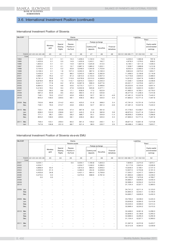**EUROSYSTEM**

# 3.6. International Investment Position (continued)

#### International Investment Position of Slovenia

| Mio EUR |      |                                 |                  |                              | Claims                             |         |                          |            |                          |                          | Liabilities    |                                             |
|---------|------|---------------------------------|------------------|------------------------------|------------------------------------|---------|--------------------------|------------|--------------------------|--------------------------|----------------|---------------------------------------------|
|         |      |                                 |                  |                              | Reserve assets                     |         |                          |            |                          |                          |                | Direct                                      |
|         |      |                                 |                  |                              |                                    |         | Foreign exchange         |            |                          |                          |                |                                             |
|         |      |                                 | Monetary<br>gold | Special<br>Drawing<br>Rights | Reserve<br>Position in<br>the Fund |         | Currency and<br>deposits | Securities | Financial<br>derivatives |                          |                | Equity capital<br>and reinvested<br>eamings |
|         |      | Column $42 = 43 + 44 + 45 + 46$ | 43               | 44                           | 45                                 | 46      | 47                       | 48         | 49                       | $50 = 51 + 56 + 66 + 71$ | $51 = 52 + 53$ | 52                                          |
|         | Code |                                 |                  |                              |                                    |         |                          |            |                          |                          |                |                                             |
| 1994    |      | 1,222.0                         | 0.1              | 0.1                          | 15.3                               | 1.206.5 | 1.132.0                  | 74.5       | $\cdots$                 | 4,230.0                  | 1.080.8        | 787.8                                       |
| 1995    |      | 1.420.9                         | 0.1              | 0.0                          | 14.9                               | 1.405.9 | 1,243.1                  | 162.7      | $\cdots$                 | 4.978.3                  | 1.376.0        | 939.2                                       |
| 1996    |      | 1.853.0                         | 0.1              | 0.1                          | 14.9                               | 1.837.9 | 1,525.9                  | 312.0      | $\cdots$                 | 6.190.1                  | 1.611.6        | 1,028.3                                     |
| 1997    |      | 3.003.1                         | 0.1              | 0.1                          | 15.7                               | 2.987.3 | 1,985.2                  | 1,002.1    | $\cdots$                 | 7.308.7                  | 1,999.8        | 1,412.8                                     |
| 1998    |      | 3.104.6                         | 0.1              | 0.2                          | 55.8                               | 3.048.5 | 1,344.9                  | 1,703.6    | $\cdots$                 | 8.052.4                  | 2,369.5        | 1,720.3                                     |
| 1999    |      | 3,159.3                         | 0.1              | 1.6                          | 107.3                              | 3,050.3 | 867.0                    | 2,183.3    | $\cdots$                 | 9,804.6                  | 2.675.0        | 1,904.7                                     |
| 2000    |      | 3,435.9                         | 0.1              | 4.0                          | 88.5                               | 3,343.3 | 1.060.4                  | 2,282.9    | $\cdots$                 | 11,468.5                 | 3,109.8        | 2,116.9                                     |
| 2001    |      | 4,983.7                         | 76.2             | 5.7                          | 91.3                               | 4,810.5 | 2,153.3                  | 2,657.3    | $\cdots$                 | 12,716.8                 | 2,940.0        | 2,489.0                                     |
| 2002    |      | 6,781.4                         | 79.9             | 6.7                          | 115.9                              | 6,578.9 | 2,510.0                  | 4,068.9    | $\cdots$                 | 14,610.0                 | 3,947.9        | 3,466.2                                     |
| 2003    |      | 6.878.9                         | 80.9             | 7.3                          | 115.7                              | 6.675.0 | 1.634.7                  | 5,040.3    | $\cdots$                 | 17.348.1                 | 5.046.8        | 4,438.6                                     |
| 2004    |      | 6.541.7                         | 77.8             | 8.2                          | 87.9                               | 6.367.9 | 690.3                    | 5,677.6    | $\cdots$                 | 20.001.7                 | 5,579.6        | 4,874.1                                     |
| 2005    |      | 6,894.5                         | 70.4             | 9.8                          | 43.6                               | 6.770.7 | 1,271.1                  | 5,499.6    | $\cdots$                 | 25,522.6                 | 6,133.6        | 5,607.4                                     |
| 2006    |      | 5,418.5                         | 78.4             | 9.4                          | 27.8                               | 5,302.8 | 925.8                    | 4,377.1    | $\cdots$                 | 30,428.1                 | 6,822.3        | 6,283.1                                     |
| 2007    |      | 723.8                           | 58.2             | 8.6                          | 17.1                               | 639.9   | 17.0                     | 622.9      | $\cdots$                 | 41,990.5                 | 9,765.1        | 6,776.0                                     |
| 2008    |      | 687.2                           | 63.6             | 8.5                          | 33.2                               | 582.0   | 61.2                     | 520.8      | $\cdots$                 | 46,477.8                 | 11,236.3       | 7,472.8                                     |
| 2009    |      | 749.1                           | 78.3             | 215.7                        | 45.8                               | 409.2   | 52.7                     | 361.3      | $-4.8$                   | 47,481.3                 | 10,537.8       | 7,440.2                                     |
| 2010    |      | 803.2                           | 108.0            | 229.5                        | 59.1                               | 406.5   | 86.2                     | 320.0      | 0.3                      | 47,865.0                 | 10,771.5       | 7,497.9                                     |
| 2009    | Sep. | 752.6                           | 69.9             | 214.2                        | 45.5                               | 423.0   | 51.6                     | 369.0      | 2.4                      | 47.791.9                 | 10.701.6       | 7,470.5                                     |
|         | Dec. | 749.1                           | 78.3             | 215.7                        | 45.8                               | 409.2   | 52.7                     | 361.3      | $-4.8$                   | 47,481.3                 | 10,537.8       | 7,440.2                                     |
| 2010    | Mar. | 723.1                           | 84.1             | 223.6                        | 47.4                               | 367.9   | 6.3                      | 361.6      | $\cdots$                 | 47,778.0                 | 10,438.7       | 7,321.8                                     |
|         | Jun. | 838.0                           | 103.3            | 238.8                        | 50.7                               | 445.2   | 61.6                     | 382.8      | 0.8                      | 48,970.5                 | 10,471.9       | 7,294.0                                     |
|         | Sep. | 771.1                           | 98.1             | 226.1                        | 58.2                               | 388.7   | 55.1                     | 334.9      | $-1.4$                   | 48,856.2                 | 10,606.4       | 7,298.8                                     |
|         | Dec. | 803.2                           | 108.0            | 229.5                        | 59.1                               | 406.5   | 86.2                     | 320.0      | 0.3                      | 47,865.0                 | 10,771.5       | 7,497.9                                     |
| 2011    | Mar. | 759.4                           | 103.1            | 209.4                        | 85.5                               | 361.4   | 106.2                    | 250.1      | 5.1                      | 49.871.6                 | 10.851.8       | 7,573.8                                     |
|         | Jun. | 747.8                           | 106.8            | 231.0                        | 88.7                               | 321.4   | 98.0                     | 220.7      | 2.6                      | 49.488.4                 | 11,085.5       | 7,603.7                                     |

| Mio EUR |                     |                          |                  |                              | Claims                             |           |                          |            |                          |                          | Liabilities    |                                             |
|---------|---------------------|--------------------------|------------------|------------------------------|------------------------------------|-----------|--------------------------|------------|--------------------------|--------------------------|----------------|---------------------------------------------|
|         |                     |                          |                  |                              | Reserve assets                     |           |                          |            |                          |                          |                | Direct                                      |
|         |                     |                          |                  |                              |                                    |           | Foreign exchange         |            |                          |                          |                |                                             |
|         |                     |                          | Monetary<br>gold | Special<br>Drawing<br>Rights | Reserve<br>Position in<br>the Fund |           | Currency and<br>deposits | Securities | Financial<br>derivatives |                          |                | Equity capital<br>and reinvested<br>eamings |
|         | Column <sup>I</sup> | $42 = 43 + 44 + 45 + 46$ | 43               | 44                           | 45                                 | 46        | 47                       | 48         | 49                       | $50 = 51 + 56 + 66 + 71$ | $51 = 52 + 53$ | 52                                          |
|         | Code                |                          |                  |                              |                                    |           |                          |            |                          |                          |                |                                             |
| 2001    |                     | 3,034.1                  | $\cdots$         | $\cdots$                     | 0.0                                | 3,034.1   | 1,190.8                  | 1,843.3    | $\cdots$                 | 7,609.5                  | 2,274.3        | 1,873.1                                     |
| 2002    |                     | 4,534.7                  | $\cdots$         | $\cdots$                     | $\cdots$                           | 4,534.7   | 1,248.2                  | 3,286.5    | $\cdots$                 | 9,117.8                  | 2,923.4        | 2,509.9                                     |
| 2003    |                     | 4.868.9                  | 53.4             | $\cdots$                     | $\cdots$                           | 4,815.5   | 869.5                    | 3,946.0    | $\cdots$                 | 10,639.3                 | 3,169.1        | 2,727.3                                     |
| 2004    |                     | 4,535.9                  | 51.3             | $\cdots$                     | $\cdots$                           | 4,484.5   | 454.6                    | 4,029.9    | $\cdots$                 | 12,637.5                 | 3,753.8        | 3,191.0                                     |
| 2005    |                     | 4,455.8                  | 34.8             |                              | $\cdots$                           | 4,421.1   | 664.3                    | 3,756.8    | $\cdots$                 | 17,550.7                 | 4,247.7        | 3,804.2                                     |
| 2006    |                     | 3,470.5                  | 0.0              |                              | $\cdots$                           | 3,470.5   | 688.9                    | 2,781.6    | $\cdots$                 | 21,965.6                 | 4,892.0        | 4,439.2                                     |
| 2007    |                     | 0.0                      | 0.0              |                              | $\cdots$                           | $\cdots$  | $\cdots$                 | $\cdots$   | $\cdots$                 | 30,128.8                 | 7,675.6        | 4,789.7                                     |
| 2008    |                     | $\cdots$                 | $\cdots$         |                              | $\cdots$                           | $\ddotsc$ | $\ddotsc$                | $\cdots$   | $\cdots$                 | 34,683.7                 | 8,826.5        | 5,430.3                                     |
| 2009    |                     | $\cdots$                 | $\cdots$         | $\cdots$                     | $\cdots$                           | $\cdots$  | $\cdots$                 | $\cdots$   | $\cdots$                 | 32,996.4                 | 8,334.2        | 5,415.5                                     |
| 2010    |                     |                          |                  |                              | $\cdots$                           | $\cdots$  | $\cdots$                 |            | $\cdots$                 | 31,104.4                 | 8,327.1        | 5,369.0                                     |
| 2008    | Jun.                | $\cdots$                 | $\cdots$         |                              |                                    |           | $\cdots$                 |            | $\cdots$                 | 34,741.2                 | 8,211.4        | 5,123.0                                     |
|         | Sep.                | $\cdots$                 |                  |                              |                                    |           |                          |            | $\cdots$                 | 34,963.3                 | 8,443.1        | 5,106.4                                     |
|         | Dec.                |                          | $\cdots$         | $\cdots$                     |                                    |           |                          |            | $\cdots$                 | 34,683.7                 | 8,826.5        | 5,430.3                                     |
| 2009    | Mar.                |                          |                  |                              |                                    | $\cdots$  |                          |            | $\cdots$                 | 33,769.2                 | 8,539.0        | 5,445.3                                     |
|         | Jun.                | $\cdots$                 | $\cdots$         | $\ddotsc$                    | $\ddotsc$                          | $\ddotsc$ | $\ddotsc$                | $\cdots$   | $\cdots$                 | 33,636.8                 | 8,584.5        | 5,410.9                                     |
|         | Sep.                | $\cdots$                 | $\cdots$         |                              | $\ddotsc$                          | $\cdots$  | $\cdots$                 | $\cdots$   | $\cdots$                 | 33,345.5                 | 8,569.3        | 5,514.4                                     |
|         | Dec.                | $\cdots$                 |                  |                              | $\cdots$                           | $\cdots$  | $\ddotsc$                |            | $\cdots$                 | 32,996.4                 | 8,334.2        | 5,415.5                                     |
| 2010    | Mar.                | $\cdots$                 | $\cdots$         |                              |                                    | $\cdots$  | $\cdots$                 |            | $\cdots$                 | 32,468.0                 | 8,081.6        | 5,299.3                                     |
|         | Jun.                |                          |                  |                              | $\cdots$                           | $\cdots$  | $\cdots$                 |            | $\cdots$                 | 32.836.5                 | 8,139.6        | 5,293.2                                     |
|         | Sep.                | $\cdots$                 | $\cdots$         | $\cdots$                     |                                    | $\cdots$  | $\cdots$                 | $\cdots$   | $\cdots$                 | 32,686.5                 | 8,295.3        | 5,290.9                                     |
|         | Dec.                | $\cdots$                 | $\cdots$         |                              |                                    | $\cdots$  | $\cdots$                 | $\cdots$   | $\cdots$                 | 31,104.4                 | 8,327.1        | 5,369.0                                     |
| 2011    | Mar.                | $\ddotsc$                | $\cdots$         | $\cdots$                     | $\ddotsc$                          | $\ddotsc$ | $\ddotsc$                | $\cdots$   | $\cdots$                 | 31,567.9                 | 8.372.6        | 5,403.7                                     |
|         | Jun.                | $\cdots$                 | $\cdots$         | $\ddotsc$                    | $\ddotsc$                          | $\cdots$  | $\ddotsc$                | $\cdots$   | $\cdots$                 | 32,312.9                 | 8,564.0        | 5,439.9                                     |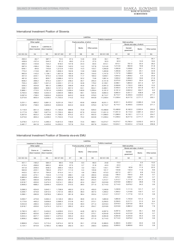#### International Investment Position of Slovenia

|                |                               |                                    |                                                     |         |              | Liabilities   |                |          |                           |          |               |
|----------------|-------------------------------|------------------------------------|-----------------------------------------------------|---------|--------------|---------------|----------------|----------|---------------------------|----------|---------------|
|                | investment in Slovenia        |                                    | Portfolio investment<br>Equity securities, of which |         |              |               |                |          |                           |          |               |
|                | Other capital                 |                                    |                                                     |         |              |               |                |          | Debt securities           |          |               |
|                |                               |                                    |                                                     |         |              |               |                |          | Bonds and notes, of which |          |               |
|                | Claims on<br>direct investors | Liabilities to<br>direct investors |                                                     |         | <b>Banks</b> | Other sectors |                |          | General<br>government     | Banks    | Other sectors |
| $53 - 55 + 54$ | 54                            | 55                                 | $56 = 57 + 60$                                      | 57      | 58           | 59            | $60 = 61 + 65$ | 61       | 62                        | 63       | 64            |
|                |                               |                                    |                                                     |         |              |               |                |          |                           |          |               |
| 293.0          | $-94.7$                       | 387.7                              | 72.5                                                | 37.4    | 14.6         | 22.8          | 35.1           | 35.1     | $\cdots$                  | $\cdots$ | 35.1          |
| 436.9          | $-107.4$                      | 544.3                              | 81.2                                                | 49.0    | 21.5         | 27.5          | 32.3           | 32.3     | $\cdots$                  | 13.3     | 19.0          |
| 583.3          | $-140.9$                      | 724.2                              | 918.0                                               | 107.9   | 24.3         | 83.5          | 810.1          | 810.1    | 761.5                     | 20.4     | 28.2          |
| 587.0          | $-169.4$                      | 756.4                              | 1,156.6                                             | 142.0   | 14.2         | 127.8         | 1,014.6        | 1,014.6  | 962.9                     | 19.9     | 31.8          |
| 649.1          | $-94.6$                       | 743.8                              | 1,212.9                                             | 119.0   | 15.3         | 103.7         | 1,093.9        | 1,093.9  | 1,039.6                   | 20.1     | 34.3          |
| 770.2          | $-110.8$                      | 881.0                              | 1,656.3                                             | 162.6   | 13.9         | 148.6         | 1,493.8        | 1,493.8  | 1,430.7                   | 20.1     | 42.9          |
| 992.9          | $-143.2$                      | 1,136.1                            | 1,927.9                                             | 180.4   | 26.4         | 154.0         | 1.747.5        | 1,747.5  | 1,688.0                   | 20.1     | 39.4          |
| 451.0          | $-223.1$                      | 674.0                              | 2,143.9                                             | 194.9   | 11.7         | 183.2         | 1,949.1        | 1,934.2  | 1,908.2                   | 0.3      | 25.6          |
| 481.6          | $-324.1$                      | 805.7                              | 2,098.4                                             | 107.0   | 32.2         | 74.8          | 1,991.4        | 1,935.2  | 1,894.0                   | 19.6     | 21.6          |
| 608.2          | $-366.2$                      | 974.4                              | 2,337.7                                             | 236.2   | 30.7         | 205.4         | 2,101.6        | 2,070.0  | 2,008.3                   | 33.4     | 28.3          |
| 705.4          | $-295.7$                      | 1,001.2                            | 2,320.1                                             | 211.0   | 34.8         | 176.2         | 2,109.1        | 2,096.1  | 1,865.0                   | 221.4    | 9.7           |
| 526.2          | $-454.8$                      | 981.0                              | 2,398.2                                             | 306.9   | 45.6         | 261.3         | 2,091.3        | 2,069.9  | 1,720.3                   | 336.3    | 13.3          |
| 539.1          | $-388.9$                      | 928.0                              | 3,137.4                                             | 657.2   | 53.1         | 604.1         | 2,480.1        | 2,456.4  | 2.107.9                   | 331.8    | 16.7          |
| 2,989.1        | $-772.5$                      | 3,761.6                            | 4,549.5                                             | 1,358.4 | 148.9        | 1,209.4       | 3,191.2        | 3,191.2  | 2,832.2                   | 352.7    | 6.2           |
| 3,763.5        | $-788.8$                      | 4,552.3                            | 4,590.9                                             | 598.5   | 58.1         | 540.5         | 3,992.4        | 3,992.4  | 3,551.7                   | 436.9    | 3.8           |
| 3,097.6        | $-738.0$                      | 3,835.6                            | 9,353.9                                             | 643.2   | 64.9         | 578.3         | 8,710.7        | 8,710.7  | 6,406.5                   | 2,033.0  | 271.1         |
| 3,273.6        | $-955.4$                      | 4,229.0                            | 11,753.5                                            | 714.2   | 70.2         | 643.9         | 11,039.4       | 11,039.4 | 8,017.5                   | 2,771.7  | 250.1         |
| 3,231.1        | $-660.2$                      | 3,891.3                            | 9,231.8                                             | 700.7   | 63.8         | 636.9         | 8,531.1        | 8,531.1  | 6,433.2                   | 2,085.3  | 12.6          |
| 3.097.6        | $-738.0$                      | 3.835.6                            | 9.353.9                                             | 643.2   | 64.9         | 578.3         | 8.710.7        | 8,710.7  | 6,406.5                   | 2,033.0  | 271.1         |
| 3,116.9        | $-841.4$                      | 3,958.2                            | 11,185.8                                            | 696.9   | 70.9         | 626.0         | 10.488.9       | 10,488.9 | 8,182.0                   | 2,053.4  | 253.5         |
| 3,177.9        | $-799.7$                      | 3,977.6                            | 11,735.5                                            | 684.2   | 67.9         | 616.2         | 11.051.3       | 11,051.3 | 8,115.3                   | 2,691.4  | 244.7         |
| 3,307.6        | $-822.2$                      | 4,129.8                            | 11,768.2                                            | 670.2   | 67.7         | 602.5         | 11,098.0       | 11,098.0 | 8,132.1                   | 2,711.2  | 254.7         |
| 3,273.6        | $-955.4$                      | 4,229.0                            | 11,753.5                                            | 714.2   | 70.2         | 643.9         | 11,039.4       | 11,039.4 | 8,017.5                   | 2,771.7  | 250.1         |
| 3,278.0        | $-1.017.4$                    | 4,295.4                            | 14,813.3                                            | 738.6   | 72.5         | 666.1         | 14.074.7       | 14,074.7 | 10,795.4                  | 3,032.2  | 247.2         |
| 3,481.7        | $-941.9$                      | 4,423.6                            | 14,252.0                                            | 727.9   | 70.0         | 657.9         | 13,524.1       | 13,524.1 | 10,522.4                  | 2,744.8  | 256.8         |

|                |                               |                                    |                |       |                             | Liabilities   |                      |         |                           |       |               |
|----------------|-------------------------------|------------------------------------|----------------|-------|-----------------------------|---------------|----------------------|---------|---------------------------|-------|---------------|
|                | investment in Slovenia        |                                    |                |       |                             |               | Portfolio investment |         |                           |       |               |
|                | Other capital                 |                                    |                |       | Equity securities, of which |               |                      |         | Debt securities           |       |               |
|                |                               |                                    |                |       |                             |               |                      |         | Bonds and notes, of which |       |               |
|                | Claims on<br>direct investors | Liabilities to<br>direct investors |                |       | Banks                       | Other sectors |                      |         | General<br>government     | Banks | Other sectors |
| $53 = 55 + 54$ | 54                            | 55                                 | $56 = 57 + 60$ | 57    | 58                          | 59            | $60 = 61 + 65$       | 61      | 62                        | 63    | 64            |
|                |                               |                                    |                |       |                             |               |                      |         |                           |       |               |
| 401.1          | $-183.2$                      | 584.4                              | 99.5           | 74.6  | 8.3                         | 66.3          | 24.8                 | 13.3    | $\cdots$                  | 0.2   | 13.2          |
| 413.4          | $-266.6$                      | 680.0                              | 80.8           | 37.5  | 5.7                         | 31.8          | 43.3                 | 43.3    | $\cdots$                  | 30.1  | 13.2          |
| 441.8          | $-206.5$                      | 648.3                              | 269.4          | 135.3 | 3.2                         | 132.1         | 134.1                | 126.7   | 92.8                      | 11.5  | 22.5          |
| 562.8          | $-223.1$                      | 785.9                              | 272.7          | 111.0 | 5.4                         | 105.6         | 161.7                | 153.8   | 132.3                     | 11.8  | 9.6           |
| 443.5          | $-321.4$                      | 764.9                              | 614.4          | 141.1 | 4.6                         | 136.5         | 473.3                | 457.3   | 437.1                     | 6.9   | 13.3          |
| 452.8          | $-273.1$                      | 725.9                              | 1,117.9        | 299.1 | 5.6                         | 293.5         | 818.8                | 795.0   | 784.5                     | 6.8   | 3.7           |
| 2,885.9        | $-569.4$                      | 3,455.4                            | 1.300.7        | 630.6 | 37.0                        | 593.6         | 670.1                | 670.1   | 636.7                     | 29.7  | 3.7           |
| 3,396.1        | $-582.8$                      | 3,978.9                            | 1,604.5        | 291.8 | 38.4                        | 253.4         | 1,312.7              | 1,312.7 | 1,177.6                   | 131.3 | 3.8           |
| 2,918.7        | $-555.6$                      | 3,474.3                            | 3,214.1        | 295.2 | 40.4                        | 254.7         | 2,918.9              | 2,918.9 | 2,882.2                   | 28.8  | 7.9           |
| 2,958.2        | $-688.2$                      | 3.646.4                            | 4,024.5        | 310.5 | 39.0                        | 271.5         | 3,714.0              | 3,714.0 | 3,676.2                   | 34.2  | 3.6           |
| 3,088.3        | $-554.8$                      | 3,643.1                            | 1,738.9        | 492.0 | 37.0                        | 455.0         | 1,246.9              | 1,246.9 | 1,111.5                   | 131.7 | 3.7           |
| 3,336.7        | $-575.8$                      | 3,912.5                            | 1,751.6        | 395.3 | 38.3                        | 357.0         | 1,356.2              | 1,356.2 | 1,219.8                   | 132.7 | 3.7           |
| 3,396.1        | $-582.8$                      | 3,978.9                            | 1,604.5        | 291.8 | 38.4                        | 253.4         | 1,312.7              | 1,312.7 | 1,177.6                   | 131.3 | 3.8           |
| 3,093.7        | $-470.8$                      | 3,564.4                            | 2,146.3        | 280.4 | 38.9                        | 241.5         | 1,865.9              | 1,865.9 | 1,725.9                   | 131.2 | 8.7           |
| 3,173.6        | $-463.2$                      | 3,636.8                            | 2,569.3        | 312.8 | 40.7                        | 272.1         | 2,256.5              | 2,256.5 | 2,217.1                   | 31.0  | 8.4           |
| 3,054.9        | $-495.5$                      | 3,550.4                            | 3,229.1        | 310.8 | 39.3                        | 271.4         | 2,918.3              | 2,918.3 | 2,875.8                   | 30.4  | 12.1          |
| 2,918.7        | $-555.6$                      | 3,474.3                            | 3,214.1        | 295.2 | 40.4                        | 254.7         | 2,918.9              | 2,918.9 | 2,882.2                   | 28.8  | 7.9           |
| 2.782.3        | $-651.7$                      | 3,434.0                            | 4,409.6        | 312.1 | 44.8                        | 267.3         | 4.097.5              | 4,097.5 | 4,053.7                   | 35.1  | 8.6           |
| 2,846.4        | $-620.6$                      | 3,467.0                            | 4,365.6        | 310.8 | 40.7                        | 270.1         | 4,054.8              | 4,054.8 | 4,015.9                   | 35.2  | 3.7           |
| 3.004.4        | $-627.7$                      | 3.632.1                            | 4.370.0        | 305.2 | 40.4                        | 264.9         | 4.064.8              | 4,064.8 | 4,025.9                   | 35.3  | 3.6           |
| 2,958.2        | $-688.2$                      | 3,646.4                            | 4,024.5        | 310.5 | 39.0                        | 271.5         | 3,714.0              | 3,714.0 | 3,676.2                   | 34.2  | 3.6           |
| 2.968.9        | $-744.5$                      | 3.713.4                            | 5,674.4        | 307.9 | 35.1                        | 272.8         | 5.366.5              | 5,366.5 | 5,329.1                   | 33.5  | 3.9           |
| 3,124.1        | $-670.9$                      | 3,795.0                            | 6,198.8        | 292.3 | 34.1                        | 258.3         | 5,906.5              | 5,906.5 | 5,869.6                   | 33.0  | 3.9           |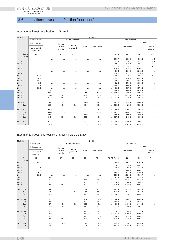**EUROSYSTEM**

# 3.6. International Investment Position (continued)

#### International Investment Position of Slovenia

| Mio EUR |        |                             |          |                                  |                       |          | Liabilities   |                          |                  |          |                     |
|---------|--------|-----------------------------|----------|----------------------------------|-----------------------|----------|---------------|--------------------------|------------------|----------|---------------------|
|         |        | Portfolio invest.           |          |                                  | Financial derivates   |          |               |                          | Other investment |          |                     |
|         |        | Debt securities             |          |                                  |                       |          |               |                          |                  |          | Loans               |
|         |        | Money market<br>instruments |          | Bank of<br>Slovenia<br>Slovenije | General<br>government | Banks    | Other sectors |                          | Trade credits    |          | Bank of<br>Slovenia |
|         | Column | 65                          | 66       | 67                               | 68                    | 69       | 70            | $71 = 72 + 73 + 78 + 81$ | 72               | 73       | 74                  |
|         | Code   |                             |          |                                  |                       |          |               |                          |                  |          |                     |
| 1994    |        | $\ldots$                    | $\cdots$ | $\cdots$                         | $\cdots$              |          | $\cdots$      | 3,076.7                  | 1,258.4          | 1,538.5  | 5.9                 |
| 1995    |        |                             | $\cdots$ |                                  | $\cdots$              |          | $\ddotsc$     | 3,521.1                  | 1,356.2          | 1,859.3  | 3.1                 |
| 1996    |        |                             | $\cdots$ | $\cdots$                         | $\cdots$              | $\cdots$ | $\cdots$      | 3,660.5                  | 1,278.9          | 1,969.5  | 1.0                 |
| 1997    |        |                             | $\cdots$ | $\cdots$                         | $\cdots$              | $\cdots$ | $\cdots$      | 4,152.2                  | 1,523.7          | 2,221.6  | 0.0                 |
| 1998    |        |                             | $\cdots$ | $\cdots$                         | $\cdots$              | $\cdots$ | $\cdots$      | 4,470.1                  | 1,548.6          | 2,490.0  | $\cdots$            |
| 1999    |        | $\cdots$                    | $\cdots$ |                                  | $\cdots$              |          | $\cdots$      | 5,473.4                  | 1,760.4          | 3,212.9  | $\cdots$            |
| 2000    |        | $\cdots$                    | $\cdots$ |                                  | $\cdots$              | $\cdots$ | $\cdots$      | 6,430.7                  | 1,921.1          | 4,030.1  | $\cdots$            |
| 2001    |        | 14.9                        | $\cdots$ |                                  | $\cdots$              | $\cdots$ | $\cdots$      | 7,632.8                  | 1,749.5          | 5,162.3  | 0.0                 |
| 2002    |        | 56.2                        | $\cdots$ |                                  | $\cdots$              | $\cdots$ | $\cdots$      | 8,563.7                  | 1,730.3          | 5,932.4  | $\cdots$            |
| 2003    |        | 31.5                        | $\cdots$ | $\cdots$                         | $\cdots$              | $\cdots$ | $\cdots$      | 9,963.6                  | 1,693.5          | 7,013.4  | $\cdots$            |
| 2004    |        | 13.0                        | $\cdots$ |                                  | $\cdots$              | $\cdots$ | $\cdots$      | 12,102.0                 | 1,879.0          | 8,699.9  |                     |
| 2005    |        | 21.4                        | $\cdots$ | $\cdots$                         | $\cdots$              | $\cdots$ | $\cdots$      | 16,990.7                 | 2,855.2          | 11,612.1 |                     |
| 2006    |        | 23.8                        | $\cdots$ |                                  | $\cdots$              | $\cdots$ | $\cdots$      | 20,468.4                 | 3,337.0          | 13,576.8 |                     |
| 2007    |        | $\cdots$                    | 76.4     |                                  | 0.0                   | 51.1     | 25.3          | 27,599.5                 | 3,855.5          | 15,636.2 |                     |
| 2008    |        | $\cdots$                    | 227.5    | $\cdots$                         | 0.0                   | 211.3    | 16.2          | 30,423.0                 | 4,018.7          | 17,987.2 | $\cdots$            |
| 2009    |        | $\cdots$                    | 204.4    | 2.7                              | 0.0                   | 184.9    | 16.9          | 27,385.2                 | 3,429.4          | 15,583.2 |                     |
| 2010    |        | $\cdots$                    | 312.5    | 11.4                             | 0.0                   | 295.6    | 5.6           | 25,027.4                 | 3,748.3          | 14,653.6 | $\cdots$            |
| 2009    | Sep.   | $\cdots$                    | 191.4    | 2.8                              | 0.0                   | 177.0    | 11.6          | 27,667.1                 | 3,514.5          | 16,596.9 |                     |
|         | Dec.   | $\cdots$                    | 204.4    | 2.7                              | 0.0                   | 184.9    | 16.9          | 27,385.2                 | 3,429.4          | 15,583.2 | $\cdots$            |
| 2010    | Mar.   | $\cdots$                    | 240.9    | 8.9                              | 0.0                   | 227.2    | 4.8           | 25,912.7                 | 3,482.1          | 15,032.6 | $\cdots$            |
|         | Jun.   | $\cdots$                    | 341.3    | 9.8                              | 0.0                   | 321.1    | 10.4          | 26,421.8                 | 3,746.2          | 14,904.3 |                     |
|         | Sep.   | $\cdots$                    | 292.2    | $\cdots$                         | 0.0                   | 287.6    | 4.6           | 26,189.3                 | 3,696.8          | 14,940.6 |                     |
|         | Dec.   |                             | 312.5    | 11.4                             | 0.0                   | 295.6    | 5.6           | 25,027.4                 | 3,748.3          | 14,653.6 |                     |
| 2011    | Mar.   | $\cdots$                    | 210.1    | 2.0                              | 0.0                   | 203.4    | 4.6           | 23.996.3                 | 3,919.7          | 14,229.5 | $\cdots$            |
|         | Jun.   |                             | 208.3    | 0.2                              | 0.0                   | 203.4    | 4.6           | 23,942.7                 | 3,861.8          | 13,913.3 | $\cdots$            |

| Mio EUR |        |                             |          |                                  |                       |           | Liabilities   |                          |                  |          |                     |
|---------|--------|-----------------------------|----------|----------------------------------|-----------------------|-----------|---------------|--------------------------|------------------|----------|---------------------|
|         |        | Portfolio invest.           |          |                                  | Financial derivates   |           |               |                          | Other investment |          |                     |
|         |        | Debt securities             |          |                                  |                       |           |               |                          |                  |          | Loans               |
|         |        | Money market<br>instruments |          | Bank of<br>Slovenia<br>Slovenije | General<br>government | Banks     | Other sectors |                          | Trade credits    |          | Bank of<br>Slovenia |
|         | Column | 65                          | 66       | 67                               | 68                    | 69        | 70            | $71 = 72 + 73 + 78 + 81$ | 72               | 73       | 74                  |
|         | Code   |                             |          |                                  |                       |           |               |                          |                  |          |                     |
| 2001    |        | 11.5                        | $\cdots$ | $\cdots$                         | $\cdots$              | $\cdots$  | $\cdots$      | 5,235.7                  | 1,137.5          | 3,798.4  | $\cdots$            |
| 2002    |        | $\ldots$                    | $\cdots$ |                                  | $\cdots$              | $\ddotsc$ | $\cdots$      | 6,113.6                  | 1,114.9          | 4,567.8  | $\cdots$            |
| 2003    |        | 7.4                         | $\cdots$ | $\cdots$                         | $\cdots$              | $\cdots$  | $\cdots$      | 7,200.8                  | 1,155.4          | 5,478.7  | $\cdots$            |
| 2004    |        | 7.9                         | $\cdots$ |                                  | $\cdots$              | $\cdots$  | $\cdots$      | 8,611.0                  | 1,225.6          | 6,638.3  | $\cdots$            |
| 2005    |        | 16.0                        | $\cdots$ |                                  | $\cdots$              | $\cdots$  | $\cdots$      | 12,688.7                 | 1,817.6          | 8,756.8  | $\cdots$            |
| 2006    |        | 23.8                        | $\cdots$ | $\cdots$                         | $\cdots$              | $\cdots$  | $\cdots$      | 15,955.6                 | 2,081.8          | 10,794.7 | $\cdots$            |
| 2007    |        | $\cdots$                    | 65.2     | $\cdots$                         | 0.0                   | 40.9      | 24.3          | 21,087.2                 | 2,366.9          | 11,179.5 | $\cdots$            |
| 2008    |        |                             | 159.8    | $\cdots$                         | 0.0                   | 145.1     | 14.7          | 24,093.0                 | 2,575.1          | 13,643.8 | $\cdots$            |
| 2009    |        | $\cdots$                    | 133.0    | 2.7                              | 0.0                   | 120.2     | 10.2          | 21,315.1                 | 2,108.4          | 11,665.5 | $\cdots$            |
| 2010    |        | $\cdots$                    | 144.4    | 11.4                             | 0.0                   | 129.5     | 3.6           | 18,608.4                 | 2,235.4          | 10,568.0 | $\cdots$            |
| 2008    | Jun.   | $\cdots$                    | 143.1    | $\cdots$                         | 0.0                   | 68.8      | 74.3          | 24,647.8                 | 2,914.0          | 13,482.9 | $\cdots$            |
|         | Sep.   | $\cdots$                    | 118.8    | $\cdots$                         | 0.0                   | 65.4      | 53.4          | 24,649.8                 | 2,913.1          | 13,766.9 | $\cdots$            |
|         | Dec.   | $\cdots$                    | 159.8    | $\cdots$                         | 0.0                   | 145.1     | 14.7          | 24,093.0                 | 2,575.1          | 13,643.8 | $\cdots$            |
| 2009    | Mar.   | $\cdots$                    | 163.6    | 0.9                              | 0.0                   | 157.9     | 4.8           | 22,920.4                 | 2,224.2          | 13,660.4 | $\cdots$            |
|         | Jun.   | $\cdots$                    | 134.4    | $\cdots$                         | 0.0                   | 122.6     | 11.8          | 22,348.6                 | 2,132.5          | 12,419.7 | $\cdots$            |
|         | Sep.   | $\cdots$                    | 137.8    | 2.8                              | 0.0                   | 125.8     | 9.2           | 21,409.2                 | 2,161.3          | 12,465.4 | $\cdots$            |
|         | Dec.   | $\cdots$                    | 133.0    | 2.7                              | 0.0                   | 120.2     | 10.2          | 21,315.1                 | 2,108.4          | 11,665.5 | $\cdots$            |
| 2010    | Mar.   | $\cdots$                    | 157.6    | 8.9                              | 0.0                   | 146.9     | 1.7           | 19,819.3                 | 2,139.3          | 11,171.4 |                     |
|         | Jun.   | $\cdots$                    | 183.9    | 9.8                              | 0.0                   | 167.0     | 7.1           | 20,147.5                 | 2,256.2          | 10,960.9 |                     |
|         | Sep.   |                             | 152.4    | $\cdots$                         | 0.0                   | 149.0     | 3.3           | 19,868.9                 | 2,212.6          | 10,959.6 | $\cdots$            |
|         | Dec.   | $\cdots$                    | 144.4    | 11.4                             | 0.0                   | 129.5     | 3.6           | 18,608.4                 | 2,235.4          | 10,568.0 | $\cdots$            |
| 2011    | Mar.   |                             | 97.8     | 2.0                              | 0.0                   | 94.3      | 1.4           | 17,423.1                 | 2,394.1          | 9,994.4  |                     |
|         | Jun.   | $\cdots$                    | 95.8     | 0.2                              | 0.0                   | 94.2      | 1.4           | 17,454.3                 | 2,328.8          | 9,732.3  |                     |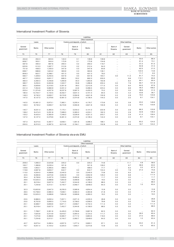#### International Investment Position of Slovenia

|                       |          |               |         |                                 | Liabilities      |       |                     |                       |       |               |
|-----------------------|----------|---------------|---------|---------------------------------|------------------|-------|---------------------|-----------------------|-------|---------------|
|                       |          |               |         |                                 | Other investment |       |                     |                       |       |               |
|                       | Loans    |               |         | Currency and deposits, of which |                  |       |                     | Other liabilities     |       |               |
| General<br>government | Banks    | Other sectors |         | Bank of<br>Slovenia             | Banks            |       | Bank of<br>Slovenia | General<br>government | Banks | Other sectors |
| 75                    | 76       | 77            | 78      | 79                              | 80               | 81    | 82                  | 83                    | 84    | 85            |
|                       |          |               |         |                                 |                  |       |                     |                       |       |               |
| 464.8                 | 264.3    | 803.5         | 140.0   | 0.1                             | 139.9            | 139.9 | $\cdots$            | $\cdots$              | 53.5  | 86.4          |
| 608.7                 | 303.1    | 944.4         | 170.9   | 0.1                             | 170.8            | 134.6 |                     | $\cdots$              | 61.4  | 73.1          |
| 587.6                 | 493.3    | 887.6         | 293.4   | 0.2                             | 293.2            | 118.7 | $\cdots$            | $\cdots$              | 57.2  | 61.5          |
| 620.6                 | 513.3    | 1,087.7       | 312.6   | 0.2                             | 312.4            | 94.3  | $\cdots$            | $\cdots$              | 62.8  | 31.5          |
| 701.8                 | 458.3    | 1,330.0       | 347.9   | 0.3                             | 347.6            | 83.6  | $\cdots$            | $\cdots$              | 62.5  | 21.0          |
| 699.7                 | 688.9    | 1,824.2       | 363.9   | 0.3                             | 363.6            | 136.1 | $\cdots$            | $\cdots$              | 122.5 | 13.6          |
| 809.3                 | 922.7    | 2,298.1       | 401.3   | 0.0                             | 401.3            | 78.2  | $\cdots$            | $\cdots$              | 71.7  | 6.5           |
| 582.7                 | 1,329.0  | 3,250.5       | 557.9   | 0.0                             | 557.9            | 163.1 | 0.0                 | 11.3                  | 81.7  | 70.2          |
| 467.7                 | 1,633.0  | 3,831.7       | 695.5   | 33.2                            | 662.3            | 205.5 | $\cdots$            | 9.8                   | 110.1 | 85.6          |
| 382.4                 | 2,284.3  | 4,346.8       | 1,093.9 | 30.3                            | 1,063.6          | 162.8 | $\cdots$            | 8.4                   | 64.1  | 90.4          |
| 380.7                 | 3,255.5  | 5,063.8       | 1,322.7 | 35.8                            | 1,286.8          | 200.4 | 0.0                 | 7.9                   | 90.7  | 101.9         |
| 363.1                 | 5,929.6  | 5,319.5       | 2,351.9 | 39.3                            | 2,312.6          | 171.5 | 0.0                 | 9.4                   | 64.5  | 97.6          |
| 241.3                 | 7,354.6  | 5,980.9       | 3,331.2 | 44.6                            | 3,286.5          | 223.4 | 0.0                 | 8.9                   | 46.2  | 168.2         |
| 203.4                 | 11.374.9 | 4.057.9       | 8,037.6 | 3,587.5                         | 4,450.0          | 70.2  | 0.0                 | 0.0                   | 38.8  | 31.5          |
| 180.0                 | 12.704.7 | 5,102.5       | 8,332.7 | 3,631.4                         | 4,701.3          | 84.5  | 0.0                 | 4.2                   | 43.6  | 36.7          |
| 149.3                 | 9,740.2  | 5,693.7       | 8,216.6 | 3,594.8                         | 4,621.8          | 155.9 | 0.2                 | 2.9                   | 19.2  | 133.6         |
| 147.0                 | 9,127.0  | 5,379.6       | 6,481.3 | 2,374.9                         | 4,106.4          | 144.2 | 0.0                 | 2.0                   | 8.1   | 134.1         |
| 142.5                 | 10,481.3 | 5,973.1       | 7,382.1 | 3,205.4                         | 4,176.7          | 173.6 | 0.0                 | 3.9                   | 20.0  | 149.6         |
| 149.3                 | 9,740.2  | 5,693.7       | 8,216.6 | 3,594.8                         | 4,621.8          | 155.9 | 0.2                 | 2.9                   | 19.2  | 133.6         |
| 140.7                 | 9,531.4  | 5,360.5       | 7,175.1 | 3,034.2                         | 4,141.0          | 222.9 | 0.0                 | 2.9                   | 86.3  | 133.6         |
| 138.2                 | 9,474.3  | 5,291.8       | 7,589.0 | 3,365.0                         | 4,224.1          | 182.3 | 0.0                 | 2.9                   | 42.9  | 136.5         |
| 133.2                 | 9,423.4  | 5,383.9       | 7,348.3 | 3,026.9                         | 4,321.3          | 203.7 | 0.0                 | 2.9                   | 41.4  | 159.4         |
| 147.0                 | 9,127.0  | 5.379.6       | 6,481.3 | 2,374.9                         | 4.106.4          | 144.2 | 0.0                 | 2.0                   | 8.1   | 134.1         |
| 167.3                 | 8,574.5  | 5,487.7       | 5,658.1 | 1,561.6                         | 4,096.5          | 189.1 | 0.0                 | 4.5                   | 60.2  | 124.5         |
| 200.5                 | 8,315.3  | 5,397.5       | 6,014.8 | 2,194.1                         | 3,820.7          | 152.8 | 0.0                 | 9.9                   | 18.7  | 124.2         |

|                       |          |               |         |                                 | Liabilities      |       |                     |                       |          |               |
|-----------------------|----------|---------------|---------|---------------------------------|------------------|-------|---------------------|-----------------------|----------|---------------|
|                       |          |               |         |                                 | Other investment |       |                     |                       |          |               |
|                       | Loans    |               |         | Currency and deposits, of which |                  |       |                     | Other liabilities     |          |               |
| General<br>government | Banks    | Other sectors |         | Bank of<br>Slovenia             | Banks            |       | Bank of<br>Slovenia | General<br>government | Banks    | Other sectors |
| 75                    | 76       | 77            | 78      | 79                              | 80               | 81    | 82                  | 83                    | 84       | 85            |
|                       |          |               |         |                                 |                  |       |                     |                       |          |               |
| 209.3                 | 1,065.3  | 2,523.8       | 225.2   | 0.0                             | 225.2            | 74.6  | $\cdots$            | 11.1                  | 4.9      | 58.5          |
| 165.7                 | 1,366.8  | 3,035.4       | 321.6   | $\cdots$                        | 321.6            | 109.2 | $\cdots$            | 9.7                   | 36.6     | 63.0          |
| 129.6                 | 1,953.7  | 3.395.5       | 489.0   | $\cdots$                        | 489.0            | 77.7  | $\cdots$            | 8.3                   | 2.0      | 67.5          |
| 119.8                 | 2,667.8  | 3,850.7       | 642.7   | 0.0                             | 642.7            | 104.4 | 0.0                 | 7.8                   | 21.0     | 75.6          |
| 113.0                 | 4.554.0  | 4.089.8       | 2,040.5 | 0.0                             | 2.040.5          | 73.8  | 0.0                 | 9.3                   | $\cdots$ | 64.5          |
| 40.5                  | 6,083.6  | 4,670.6       | 2,952.9 | 0.0                             | 2,952.9          | 126.2 | 0.0                 | 8.8                   | $\cdots$ | 117.4         |
| 35.4                  | 8.706.6  | 2,437.5       | 7,529.0 | 3,490.6                         | 4.038.4          | 11.7  | 0.0                 | 0.0                   | $\cdots$ | 11.7          |
| 28.6                  | 10,525.3 | 3,089.8       | 7,854.9 | 3,569.8                         | 4,285.0          | 19.2  | 0.0                 | 0.0                   | $\cdots$ | 19.2          |
| 20.1                  | 8,018.4  | 3,627.0       | 7,452.7 | 3,344.6                         | 4,108.0          | 88.5  | 0.2                 | 0.0                   | $\cdots$ | 88.3          |
| 20.1                  | 7,234.8  | 3,313.1       | 5,740.7 | 2,092.7                         | 3,648.0          | 64.3  | 0.0                 | 0.0                   | 1.0      | 63.4          |
| 32.3                  | 10,603.6 | 2,847.0       | 8,235.0 | 3,580.6                         | 4,654.4          | 15.9  | 0.0                 | 0.0                   | $\cdots$ | 15.9          |
| 28.5                  | 10,758.0 | 2,980.3       | 7,948.1 | 3,584.3                         | 4,363.8          | 21.8  | 0.0                 | 0.0                   | $\cdots$ | 21.8          |
| 28.6                  | 10,525.3 | 3,089.8       | 7,854.9 | 3,569.8                         | 4,285.0          | 19.2  | 0.0                 | 0.0                   |          | 19.2          |
| 23.5                  | 9,986.5  | 3,650.4       | 7,007.1 | 2,971.5                         | 4,035.5          | 28.8  | 0.0                 | 0.0                   |          | 28.8          |
| 23.5                  | 8,702.9  | 3,693.3       | 7,716.5 | 3,708.0                         | 4,008.5          | 79.9  | 0.0                 | 0.0                   | $\cdots$ | 79.9          |
| 20.1                  | 8,588.7  | 3,856.6       | 6,671.1 | 2,938.7                         | 3,732.4          | 111.4 | 0.0                 | 0.0                   | $\cdots$ | 111.4         |
| 20.1                  | 8,018.4  | 3,627.0       | 7,452.7 | 3,344.6                         | 4,108.0          | 88.5  | 0.2                 | 0.0                   | $\cdots$ | 88.3          |
| 20.1                  | 7,789.7  | 3.361.6       | 6,426.3 | 2,758.8                         | 3,667.6          | 82.3  | 0.0                 | 0.0                   | $\cdots$ | 82.3          |
| 20.1                  | 7,625.8  | 3.314.9       | 6,818.7 | 3,094.4                         | 3,724.2          | 111.7 | 0.0                 | 0.0                   | 28.3     | 83.4          |
| 20.1                  | 7.570.6  | 3.368.9       | 6,580.7 | 2.717.2                         | 3.863.5          | 116.0 | 0.0                 | 0.0                   | 27.0     | 89.0          |
| 20.1                  | 7,234.8  | 3.313.1       | 5.740.7 | 2,092.7                         | 3.648.0          | 64.3  | 0.0                 | 0.0                   | 1.0      | 63.4          |
| 40.7                  | 6,673.4  | 3.280.4       | 4,937.5 | 1,277.4                         | 3,660.1          | 97.1  | 0.0                 | 2.5                   | 33.2     | 61.4          |
| 76.7                  | 6,551.4  | 3.104.2       | 5,320.3 | 1.945.7                         | 3.374.6          | 72.9  | 0.0                 | 7.9                   | 4.5      | 60.5          |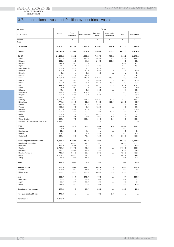**EUROSYSTEM**

# 3.7.1. International Investment Position by countries - Assets

| Mio EUR                                 |          |                      |                   |                    | Of that:                    |                |                |
|-----------------------------------------|----------|----------------------|-------------------|--------------------|-----------------------------|----------------|----------------|
| 31.12.2010                              | Assets   | Direct<br>investment | Equity securities | Bonds and<br>notes | Money market<br>instruments | Loans          | Trade credits  |
| Column                                  | 1        | $\overline{c}$       | 3                 | 4                  | 5                           | $\overline{6}$ | $\overline{7}$ |
| Code                                    |          |                      |                   |                    |                             |                |                |
| <b>Total world</b>                      | 35,209.1 | 5,518.5              | 2,793.5           | 8,340.0            | 767.0                       | 4,111.2        | 3,936.9        |
| Europe                                  | 30,576.9 | 5,196.2              | 1,787.6           | 7,583.2            | 766.2                       | 4,011.8        | 3,487.9        |
| EU-27                                   | 21,168.8 | 984.2                | 1,393.2           | 7,497.9            | 759.2                       | 933.2          | 2,175.2        |
| Austria                                 | 1,640.5  | 86.7                 | 262.5             | 492.7              | 5.1                         | 88.6           | 213.1          |
| Belgium                                 | 656.0    | 2.3                  | 11.3              | 215.5              | 209.5                       | 0.9            | 36.0           |
| Bulgaria                                | 219.5    | 26.5                 | 3.9               |                    |                             | 106.1          | 45.2           |
| Cyprus                                  | 74.5     | $-27.1$              | 3.7               | 16.8               | $\ddotsc$                   | 65.2           | 15.4           |
| Czech Republic                          | 261.6    | 47.6                 | 4.1               | 101.2              |                             | 36.8           | 66.1           |
| Denmark                                 | 209.9    | 17.6                 | 10.9              | 66.6               | 0.0                         | 1.1            | 19.0           |
| Estionia                                | 5.9      |                      | 0.8               | 0.0                | $\ddotsc$                   | $\cdots$       | 5.0            |
| Finland                                 | 105.1    | 1.1                  | 11.6              | 74.0               | $\cdots$                    | 0.0            | 7.7            |
| France                                  | 2,234.2  | 20.2                 | 215.9             | 1,407.7            | 213.5                       | 10.9           | 154.1          |
| Greece                                  | 672.7    | 6.6                  | 8.6               | 534.2              | 0.0                         | 104.0          | 18.6           |
| Ireland                                 | 303.0    | 0.7                  | 25.0              | 221.5              | 18.7                        | 0.3            | 30.8           |
| Italy                                   | 1,417.6  | 39.2                 | 50.8              | 567.3              | 53.9                        | 107.7          | 461.2          |
| Latvia                                  | 7.0      | 0.0                  | 0.0               | 2.8                |                             | 0.8            | 3.0            |
| Lithuania                               | 47.4     | 0.3                  | 0.6               | 32.5               | $\cdots$                    | 0.1            | 13.4           |
| Luxembourg                              | 569.3    | 5.4                  | 301.8             | 113.0              | 0.2                         | 16.0           | 44.8           |
| Hungary                                 | 207.8    | 23.5                 | 8.2               | 87.4               | $\ddotsc$                   | 1.0            | 85.2           |
| Malta                                   | 1.0      | 0.0                  |                   |                    | $\cdots$                    |                | 1.0            |
| Germany                                 | 2,991.1  | 198.3                | 261.7             | 1,488.0            | 72.3                        | 51.3           | 457.1          |
| Netherlands                             | 1,771.0  | 300.7                | 36.3              | 713.5              | 159.7                       | 288.3          | 45.7           |
| Poland                                  | 382.6    | 110.2                | 10.8              | 158.2              | $\ddotsc$                   | 13.4           | 88.7           |
| Portugal                                | 135.2    | 0.5                  | 0.6               | 122.8              | $\cdots$                    | 0.0            | 11.1           |
| Romania                                 | 165.8    | 36.2                 | 13.0              | 7.9                | $\cdots$                    | 4.0            | 104.6          |
| Slovakia                                | 207.6    | 46.7                 | 20.5              | 73.4               | 10.9                        | 12.7           | 42.8           |
| Spain                                   | 551.0    | 17.2                 | 23.2              | 432.6              | 5.5                         | 2.1            | 52.2           |
| Sweden                                  | 195.0    | 15.8                 | 4.0               | 86.2               | 7.0                         | 1.9            | 28.2           |
| United Kingdom                          | 807.4    | 7.9                  | 103.4             | 454.8              | 2.9                         | 19.8           | 125.4          |
| European Union Institutions (incl. ECB) | 5,329.1  |                      |                   | 27.3               | $\cdots$                    |                | 0.0            |
| <b>EFTA</b>                             | 742.4    | 51.6                 | 75.1              | 45.7               | 7.0                         | 265.4          | 171.1          |
| Iceland                                 | 1.0      | $\ddotsc$            | $\ddotsc$         | 0.6                | $\ddotsc$                   | 0.0            | 0.4            |
| Liechtenstein                           | 16.9     | 3.6                  | 1.1               | $\cdots$           | $\cdots$                    | 10.9           | 1.1            |
| Norway                                  | 107.1    |                      | 3.9               | 33.1               | $\cdots$                    | 0.0            | 10.6           |
| Switzerland                             | 617.4    | 48.0                 | 70.1              | 12.1               | 7.0                         | 254.5          | 158.9          |
| Other European countries, of that       | 8,665.7  | 4,160.4              | 319.3             | 39.5               | $\ddotsc$                   | 2,813.3        | 1,141.6        |
| Bosnia and Herzegovina                  | 1,332.7  | 656.5                | 41.1              | 0.3                | $\cdots$                    | 386.9          | 182.7          |
| Montenegro                              | 394.9    | 169.8                | 4.4               | 1.1                | $\cdots$                    | 177.5          | 34.9           |
| Croatia                                 | 2,761.9  | 1,117.9              | 48.9              | 8.1                | $\cdots$                    | 1,139.9        | 395.7          |
| Macedonia                               | 535.1    | 350.9                | 24.6              | 5.6                |                             | 65.4           | 51.9           |
| Russian Federation                      | 715.3    | 345.3                | 83.4              | 20.3               | $\cdots$                    | 124.2          | 128.8          |
| Serbia                                  | 2,684.1  | 1,459.0              | 97.7              | 2.1                |                             | 867.1          | 241.5          |
| Turkey                                  | 66.2     | 10.8                 | 15.3              | $\cdots$           | $\cdots$                    | 0.5            | 39.5           |
| Africa                                  | 299.3    | 209.2                | 6.8               | 8.1                | $\ddotsc$                   | 0.2            | 74.9           |
| America, of that                        | 1,766.3  | 60.2                 | 712.7             | 642.7              | 0.8                         | 68.6           | 134.9          |
| Canada                                  | 106.0    | 10.2                 | 44.0              | 27.7               | 0.0                         | 0.3            | 4.9            |
| <b>United States</b>                    | 1,392.1  | 29.0                 | 603.9             | 539.4              | 0.8                         | 29.5           | 79.2           |
| Asia                                    | 599.7    | 51.1                 | 270.7             | 19.3               |                             | 6.4            | 227.8          |
| Hong Kong                               | 65.4     | 1.6                  | 53.6              | 0.9                | $\ddot{\phantom{a}}$        | 0.2            | 6.1            |
| Japan                                   | 38.7     | 2.4                  | 26.3              | 2.2                |                             | 0.0            | 3.7            |
| China                                   | 147.5    | 14.5                 | 88.4              | 3.1                | $\cdots$                    | 0.2            | 40.8           |
| Oceania and Polar regions               | 199.4    | 1.8                  | 15.7              | 86.7               | $\ddotsc$                   | 24.2           | 11.5           |
| Int. org. excluding EU Inst.            | 447.6    |                      |                   | 0.0                | 0.0                         | $\ddotsc$      |                |
| Not allocated                           | 1,320.0  |                      |                   |                    | $\cdots$                    |                | $\cdots$       |
|                                         |          |                      |                   |                    |                             |                |                |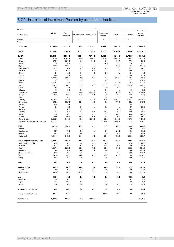# 3.7.2. International Investment Position by countries - Liabilities

| Mio EUR                                 |                |                      |                                     |                | Of that:                 |                    |                      |                                          |
|-----------------------------------------|----------------|----------------------|-------------------------------------|----------------|--------------------------|--------------------|----------------------|------------------------------------------|
| 31.12.2010                              | Liabilities    | Direct<br>investment | Equity securities   Debt securities |                | Currency and<br>deposits | Loans              | <b>Trade credits</b> | Net position<br>(assest-<br>liabilities) |
|                                         |                |                      |                                     |                |                          |                    |                      |                                          |
| Column                                  | $\mathbf{1}$   | $\overline{c}$       | 3                                   | $\overline{4}$ | 5                        | $\overline{6}$     | $\overline{7}$       | 8                                        |
| Code                                    |                |                      |                                     |                |                          |                    |                      |                                          |
| <b>Total world</b>                      | 47.865.0       | 10,771.5             | 714.2                               | 11,039.4       | 6,481.3                  | 14,653.6           | 3,748.3              | $-12,655.9$                              |
| Europe                                  | 42,931.7       | 10,346.1             | 565.7                               | 7,393.4        | 6,178.7                  | 14,544.2           | 3,493.0              | $-12,354.8$                              |
| EU-27                                   | 39,816.9       | 8,850.9              | 390.9                               | 7,376.0        | 5,820.2                  | 14,260.0           | 2,751.8              | $-18,648.1$                              |
| Austria                                 | 13,614.0       | 5,163.1              | 154.0                               | 450.2          | 3,318.8                  | 3,954.6            | 436.3                | $-11,973.4$                              |
| Belgium                                 | 475.5          | 289.9                | 1.3                                 | 54.0           | 1.4                      | 51.7               | 77.0                 | 180.5                                    |
| Bulgaria                                | 77.8           | $-4.2$               | 0.1                                 |                | 11.9                     | 2.0                | 31.0                 | 141.7                                    |
| Cyprus                                  | 301.8          | 152.0                | 53.4                                | 5.0            | 6.3                      | 22.9               | 36.7                 | $-227.3$                                 |
| Czech Republic                          | 167.7          | 50.1                 | 2.9                                 | 0.2            | 2.6                      | 1.3                | 99.1                 | 94.0                                     |
| Denmark                                 | 77.9           | 62.5                 | 0.1                                 | 0.0            | 0.3                      | 1.2                | 12.6                 | 132.0                                    |
| Estionia                                | 6.8            | 0.0                  | 1.4                                 | 4.8            | 0.0                      |                    | 0.4                  | $-1.0$                                   |
| Finland                                 | 42.6           | 23.8                 | 1.7                                 | $\ddotsc$      | 0.5                      | 1.4                | 14.6                 | 62.4                                     |
| France                                  | 1,821.2        | 653.7                | 1.9                                 | 0.6            | 7.1                      | 1,028.7            | 117.7                | 412.9                                    |
| Greece                                  | 22.7           | 9.3                  | 0.2                                 | $\ddotsc$      | 2.0                      | $\ddotsc$          | 11.2                 | 650.1                                    |
| Ireland                                 | 1,274.1        | $-3.6$               | 9.2                                 | $\ddotsc$      | 0.6                      | 1,247.5            | 19.4                 | $-971.1$                                 |
| Italy                                   | 1,892.2        | 665.7                | 17.1                                | 5.7            | 172.6                    | 311.2              | 702.0                | $-474.6$                                 |
| Latvia                                  | 3.2            | 2.3                  | $\cdots$                            |                | 0.0                      | 0.0                | 0.7                  | 3.9                                      |
| Lithuania                               | 1.9            | 0.0                  | 0.2                                 | $\ddotsc$      | 0.0                      | $\ddotsc$          | 1.5                  | 45.6                                     |
| Luxembourg                              | 3,334.6        | 208.0                | 41.6                                | 2,982.6        | 1.3                      | 64.6               | 31.2                 | $-2,765.4$                               |
| Hungary                                 | 183.2          | 55.2                 | 22.9                                | 0.1            | 3.5                      | 0.7                | 89.9                 | 24.6                                     |
| Malta                                   | 2.1            | 0.0                  |                                     |                | 0.0                      | 1.2                | 0.8                  | $-1.1$                                   |
| Germany                                 | 5,130.2        | 601.6                | 8.5                                 | 215.4          | 32.0                     | 3,681.8            | 586.7                | $-2,139.2$                               |
| Netherlands                             | 852.9          | 552.9                | 20.4                                | 0.0            | 3.2                      | 177.0              | 98.2                 | 918.2                                    |
| Poland                                  | 80.6           | 3.3                  | 0.5                                 |                | 0.5                      | $\cdots$           | 74.8                 | 302.0                                    |
| Portugal                                | 6.0            | 0.0                  | 0.0                                 |                | 0.2                      | $\cdots$           | 5.7                  | 129.2                                    |
| Romania                                 | 26.2           | 0.3                  | 0.0                                 | $\cdots$       | 0.3                      | 0.0                | 24.5                 | 139.7                                    |
| Slovakia                                | 165.4          | 6.8                  | 1.1                                 | 0.1            | 101.5                    | 0.2                | 52.0                 | 42.2                                     |
| Spain                                   | 76.5           | 3.9                  | 0.1                                 | 0.5            | 0.7                      | 25.2               | 46.0                 | 474.5                                    |
| Sweden                                  | 126.0          | 40.2                 | 32.9                                | 0.1            | 4.2                      | 0.5                | 34.8                 | 69.0                                     |
| United Kingdom                          | 5,283.9        | 314.1                | 19.4                                | 3,656.8        | 23.6                     | 1,041.1            | 147.0                | $-4,476.5$                               |
| European Union Institutions (incl. ECB) | 4,770.1        | $\cdots$             | $\cdots$                            |                | 2,125.0                  | 2,645.1            | $\cdots$             | 559.0                                    |
| <b>EFTA</b><br>Iceland                  | 1,372.0<br>0.5 | 840.7<br>$\cdots$    | 43.7<br>$\ddotsc$                   | 0.6<br>        | 26.2<br>0.1              | 155.9<br>$\ddotsc$ | 298.9<br>0.5         | $-629.6$<br>0.5                          |
| Liechtenstein                           | 53.7           | 17.3                 | 4.6                                 |                | 0.9                      | 25.5               | 5.3                  | $-36.8$                                  |
| Norway                                  | 26.7           | 5.0                  | 8.0                                 | <br>           | 0.2                      | 0.4                | 12.7                 | 80.4                                     |
| Switzerland                             | 1,291.1        | 818.3                | 31.0                                | 0.6            | 25.0                     | 130.0              | 280.4                | $-673.7$                                 |
| Other European countries, of that       | 1,742.8        | 654.5                | 131.2                               | 16.8           | 332.4                    | 128.4              | 442.3                | 6,922.8                                  |
| Bosnia and Herzegovina                  | 160.0          | 13.0                 | 1.9                                 | 2.5            | 74.4                     | 1.8                | 61.6                 | 1,172.7                                  |
| Montenegro                              | 50.2           | 0.0                  | 3.3                                 | 0.0            | 40.5                     | 0.7                | 3.6                  | 344.8                                    |
| Croatia                                 | 1,027.1        | 525.0                | 88.0                                | 7.3            | 89.3                     | 96.1               | 208.8                | 1,734.8                                  |
| Macedonia                               | 43.9           | 0.1                  | 3.0                                 | 1.3            | 19.6                     |                    | 18.9                 | 491.2                                    |
| Russian Federation                      | 123.6          | 73.8                 | 0.2                                 | $\cdots$       | 16.7                     | 2.3                | 29.8                 | 591.7                                    |
| Serbia                                  | 282.0          | 34.0                 | 34.5                                | 5.6            | 89.4                     | 27.3               | 75.5                 | 2,402.1                                  |
| Turkey                                  | 33.5           | 2.9                  | 0.0                                 | $\cdots$       | 0.9                      | $\cdots$           | 29.5                 | 32.7                                     |
| Africa                                  | 51.5           | 16.6                 | 0.0                                 | 0.0            | 2.6                      | 0.1                | 28.6                 | 247.8                                    |
| America, of that                        | 445.2          | 88.5                 | 141.6                               | 9.2            | 41.3                     | 23.4               | 102.2                | 1,321.1                                  |
| Canada                                  | 18.8           | 0.0                  | 1.5                                 | 2.0            | 9.0                      | $\cdots$           | 5.8                  | 87.3                                     |
| <b>United States</b>                    | 330.6          | 59.6                 | 138.2                               | 1.7            | 20.4                     | 12.3               | 76.0                 | 1,061.5                                  |
| Asia                                    | 181.6          | 41.8                 | 6.2                                 | 0.0            | 6.2                      | 10.0               | 116.0                | 418.0                                    |
| Hong Kong                               | 6.6            | 0.0                  | 0.2                                 | $\cdots$       | 0.1                      | $\cdots$           | 6.3                  | 58.8                                     |
| Japan                                   | 41.4           | 30.2                 | 1.4                                 | $\cdots$       | 2.4                      | $\ldots$           | 7.3                  | $-2.7$                                   |
| China                                   | 23.0           | 0.0                  | 0.0                                 | $\cdots$       | 0.8                      | 0.9                | 21.3                 | 124.4                                    |
| Oceania and Polar regions               | 55.0           | 36.9                 | 0.5                                 | 0.5            | 2.6                      | 5.7                | 8.5                  | 144.4                                    |
| Int. org. excluding EU Inst.            | 406.4          | 84.5                 | $\cdots$                            | $\sim$         | 249.8                    | 70.2               | 0.0                  | 41.1                                     |
| Not allocated                           | 3,793.5        | 157.2                | 0.1                                 | 3,636.2        |                          | $\sim$             | $\cdots$             | $-2,473.5$                               |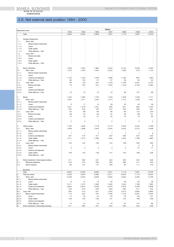**EUROSYSTEM**

# 3.8. Net external debt position 1994 - 2000

|        | Breakdown items                         |              |              |              | Claims         |                |       |             |
|--------|-----------------------------------------|--------------|--------------|--------------|----------------|----------------|-------|-------------|
|        |                                         | 1994         | 1995         | 1996         | 1997           | 1998           | 1999  | 2000        |
|        | Total                                   | 4,840        | 5,325        | 5,808        | 7,051          | 7,116          | 7,697 | 8,700       |
|        |                                         |              |              |              |                |                |       |             |
|        |                                         |              |              |              |                |                |       |             |
| 1.     | <b>General Government</b>               |              |              |              |                |                |       |             |
| 1.1.   | Short - term                            |              |              |              |                |                |       |             |
| 1.1.1. | Money market instruments                |              |              |              |                |                |       |             |
| 1.1.2. | Loans                                   |              |              |              |                |                |       |             |
| 1.1.3. | Trade credits                           |              |              |              |                |                |       |             |
| 1.1.4. | Other debt ass. / liab.                 |              |              |              |                |                |       |             |
|        |                                         |              |              |              |                |                |       |             |
| 1.2.   | Long - term                             |              |              |              |                |                |       |             |
| 1.2.1. | Bonds and notes                         |              |              |              |                |                |       |             |
| 1.2.2. | Loans                                   |              |              |              |                |                |       |             |
| 1.2.3. | Trade credits                           |              |              |              |                |                |       |             |
| 1.2.4. | Other debt ass. / liab.                 |              |              |              |                |                |       |             |
|        |                                         |              |              |              |                |                |       |             |
| 2.     | Bank of Slovenia                        | 1,306        | 1,554        | 1,880        | 3,040          | 3,144          | 3,209 | 3,494       |
| 2.1.   | Short - term                            | 1,216        | 1,376        | 1,553        | 2,022          | 1,384          | 919   | 1,123       |
|        |                                         |              |              |              |                |                |       |             |
| 2.1.1. | Money market instruments                |              |              |              |                |                |       |             |
| 2.1.2. | Loans                                   |              |              |              |                |                | ٠     |             |
| 2.1.3. | Currency and deposits                   | 1,132        | 1,243        | 1,526        | 1,985          | 1,345          | 867   | 1,060       |
| 2.1.4. | Other debt ass. / liab.                 | 84           | 133          | 27           | 37             | 39             | 52    | 62          |
| 2.2.   | Long - term                             | 90           | 178          | 327          | 1,018          | 1,759          | 2,291 | 2,372       |
| 2.2.1. | Bonds and notes                         | 75           | 163          | 312          | 1,002          | 1,704          | 2,183 | 2,283       |
| 2.2.2. | Loans                                   |              |              |              |                |                |       |             |
|        |                                         |              |              |              |                |                |       |             |
| 2.2.3. | Currency and deposits                   | ä,           |              |              | ×              | ÷              | ٠     |             |
| 2.2.4. | Other debt ass. / liab.                 | 15           | 15           | 15           | 16             | 56             | 107   | 89          |
|        |                                         |              |              |              |                |                |       |             |
| 3.     | Banks                                   | 1,432        | 1,560        | 1,730        | 1,303          | 1,309          | 1,436 | 1,771       |
| 3.1.   | Short - term                            | 1,381        | 1,471        | 1,644        | 1,213          | 1,214          | 1,265 | 1,551       |
| 3.1.1. | Money market instruments                |              |              |              |                |                |       |             |
| 3.1.2. | Loans                                   | 6            |              | 10           | 39             | 32             | 45    | 28          |
|        |                                         |              | 11           |              |                |                |       |             |
| 3.1.3. | Currency and deposits                   | 1,041        | 1,218        | 1,441        | 926            | 941            | 955   | 1,242       |
| 3.1.4. | Other debt ass. / liab.                 | 334          | 242          | 193          | 247            | 240            | 265   | 281         |
| 3.2.   | Long - term                             | 50           | 88           | 85           | 90             | 95             | 172   | 220         |
| 3.2.1. | Bonds and notes                         | 38           | 70           | 63           | 37             | 20             | 98    | 141         |
| 3.2.2. | Loans                                   | 12           | 19           | 21           | 52             | 74             | 74    | 80          |
| 3.2.3. | Currency and deposits                   |              |              |              | ٠              |                |       |             |
| 3.2.4. | Other debt ass. / liab.                 | $\circ$      | $\mathsf O$  | $\mathbf{1}$ | $\overline{c}$ | 1              | 0     | $\mathsf O$ |
|        |                                         |              |              |              |                |                |       |             |
|        |                                         |              |              |              |                |                |       |             |
| 4.     | Other sectors                           | 1,792        | 1,830        | 1,778        | 2,174          | 2,200          | 2,530 | 2,789       |
| 4.1.   | Short - term                            | 1,639        | 1,686        | 1,640        | 2,030          | 2,042          | 2,310 | 2,496       |
| 4.1.1. | Money market instruments                |              |              |              |                | J.             |       |             |
| 4.1.2. | Loans                                   | $\mathbf{1}$ | $\mathbf{1}$ | 3            | 1              | $\overline{7}$ | 5     | 8           |
| 4.1.3. | Currency and deposits                   | 427          | 413          | 371          | 467            | 393            | 507   | 505         |
| 4.1.4. | Trade credits                           | 1,211        | 1,272        | 1,266        | 1,562          | 1,642          | 1,798 | 1,982       |
| 4.1.5. | Other debt ass. / liab.                 |              |              |              |                | ×.             |       |             |
|        |                                         |              |              |              |                |                |       |             |
| 4.2.   | Long - term                             | 153          | 144          | 139          | 144            | 158            | 220   | 293         |
| 4.2.1. | Money market instruments                |              |              |              |                | ÷,             | 0     | 8           |
| 4.2.2. | Loans                                   | 3            | 4            | 3            | 3              | 5              | 21    | 77          |
| 4.2.3. | Currency and deposits                   |              |              |              |                | ä,             |       |             |
| 4.2.4. | Trade credits                           | 149          | 140          | 136          | 141            | 154            | 199   | 208         |
| 4.2.5. | Other debt ass. / liab.                 |              |              |              |                |                |       |             |
|        |                                         |              |              |              |                |                |       |             |
| 5.     |                                         | 311          | 382          | 421          | 534            | 463            | 522   | 646         |
|        | Direct investment: intercompany lending |              |              |              |                |                |       |             |
| 5.1.   | Affiliated enterprises                  | 216          | 274          | 280          | 365            | 368            | 411   | 503         |
| 5.2.   | Direct investors                        | 95           | 107          | 141          | 169            | 95             | 111   | 143         |
|        |                                         |              |              |              |                |                |       |             |
|        | Summary                                 |              |              |              |                |                |       |             |
|        | Total                                   | 4,840        | 5,325        | 5,808        | 7,051          | 7,116          | 7,697 | 8,700       |
| A.     | Total all sectors                       | 4,529        | 4,943        | 5,388        | 6,517          | 6,653          | 7,175 | 8,054       |
| A.1.   | Short - term                            | 4,236        | 4,533        | 4,836        | 5,265          | 4,640          | 4,493 | 5,169       |
| A.1.1. |                                         |              |              |              |                | ÷,             | ÷,    |             |
|        | Money market instruments                |              |              |              |                |                |       |             |
| A.1.2. | Loans                                   | 8            | 12           | 13           | 40             | 39             | 50    | 36          |
| A.1.3. | Trade credits                           | 1,211        | 1,272        | 1,266        | 1,562          | 1,642          | 1,798 | 1,982       |
| A.1.4. | Currency and deposits                   | 2,600        | 2,874        | 3,338        | 3,378          | 2,679          | 2,329 | 2,808       |
| A.1.5. | Other debt ass. / liab.                 | 418          | 375          | 220          | 284            | 280            | 317   | 343         |
| A.2.   | Long - term                             | 293          | 410          | 551          | 1,252          | 2,012          | 2,682 | 2,885       |
| A.2.1. | Money market instruments                | 113          | 232          | 375          | 1,039          | 1,723          | 2,281 | 2,432       |
|        |                                         |              |              |              |                |                |       |             |
| A.2.2. | Loans                                   | 15           | 22           | 24           | 55             | 79             | 95    | 157         |
| A.2.3. | Trade credits                           | 149          | 140          | 136          | 141            | 154            | 199   | 208         |
| A.2.4. | Currency and deposits                   |              |              |              |                | ٠              |       |             |
| A.2.5. | Other debt ass. / liab.                 | 15           | 15           | 16           | 18             | 57             | 107   | 89          |
| ΙB.    | Direct investment: intercompany lending | 311          | 382          | 421          | 534            | 463            | 522   | 646         |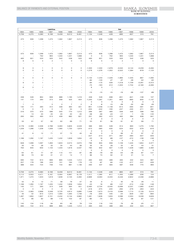#### BANKA SLOVENIJE BANK OF SLOVENIA **EUROSYSTEM**

|                          |                          |                          | Liabilities              |                          |                          |                          |                          |                               |                          | Net                      |                          |                          |                          |
|--------------------------|--------------------------|--------------------------|--------------------------|--------------------------|--------------------------|--------------------------|--------------------------|-------------------------------|--------------------------|--------------------------|--------------------------|--------------------------|--------------------------|
| 1994                     | 1995                     | 1996                     | 1997                     | 1998                     | 1999                     | 2000                     | 1994                     | 1995                          | 1996                     | 1997                     | 1998                     | 1999                     | 2000                     |
| 3,706                    | 4,275                    | 5,380                    | 6,166                    | 6,459                    | 8,012                    | 9,491                    | $-1, 134$                | $-1,049$                      | $-428$                   | $-885$                   | $-657$                   | 315                      | 791                      |
|                          |                          |                          |                          |                          |                          |                          |                          |                               |                          |                          |                          |                          |                          |
| 470                      | 606                      | 1,299                    | 1,470                    | 1,582                    | 1,967                    | 2,213                    | 470                      | 606                           | 1,299                    | 1,470                    | 1,582                    | 1,967                    | 2,213                    |
|                          |                          |                          |                          |                          |                          |                          |                          |                               |                          |                          |                          |                          |                          |
| ÷                        |                          | ٠                        |                          |                          |                          | $\overline{a}$           | ä,                       | J.                            |                          |                          |                          |                          |                          |
|                          |                          |                          |                          |                          |                          | ٠                        |                          |                               |                          |                          |                          |                          |                          |
| ÷                        |                          | ä,                       |                          |                          |                          | ÷                        | ÷,                       |                               |                          |                          |                          |                          |                          |
|                          |                          |                          |                          |                          |                          |                          |                          |                               |                          |                          |                          |                          |                          |
| 470                      | 606                      | 1,299                    | 1,470                    | 1,582                    | 1,967                    | 2,213                    | 470                      | 606                           | 1,299                    | 1,470                    | 1,582                    | 1,967                    | 2,213                    |
| $\overline{\phantom{a}}$ | $\overline{a}$           | 762                      | 963                      | 1,040                    | 1,431                    | 1,688                    | $\circ$                  | 0                             | 762                      | 963                      | 1,040                    | 1,431                    | 1,688                    |
| 465                      | 601                      | 533                      | 505                      | 542                      | 536                      | 525                      | 465                      | 601                           | 533                      | 505                      | 542                      | 536                      | 525                      |
| 6                        | 5                        | 4                        |                          | 1                        | 0                        | 0                        | 6                        |                               |                          | $\sqrt{2}$               | $\overline{1}$           | 0                        | $\mathsf O$              |
| ٠                        | $\overline{a}$           | ÷,                       | 2<br>$\overline{a}$      |                          | $\overline{a}$           | $\overline{a}$           | $\overline{\phantom{a}}$ | 5<br>$\overline{\phantom{a}}$ | 4                        | ÷,                       |                          | ÷,                       | $\sim$                   |
|                          |                          |                          |                          | ÷                        |                          |                          |                          |                               |                          |                          |                          |                          |                          |
|                          |                          |                          |                          |                          |                          |                          |                          |                               |                          |                          |                          |                          |                          |
| 6                        | 3                        | 1                        | $\mathsf{O}\xspace$      | 0                        | 0                        | 0                        | $-1,300$                 | $-1,550$                      | $-1,878$                 | $-3,040$                 | $-3,144$                 | $-3,209$                 | $-3,494$                 |
| 0                        | $\mathsf O$              | $\mathsf O$              | $\mathsf O$              | 0                        | 0                        | 0                        | $-1,216$                 | $-1,376$                      | $-1,552$                 | $-2,022$                 | $-1,384$                 | $-918$                   | $-1, 123$                |
| ÷                        | ٠                        | ä,                       | ×.                       |                          |                          | ÷,                       | ٠.                       | $\overline{\phantom{a}}$      | $\overline{\phantom{a}}$ | $\overline{\phantom{a}}$ |                          | ÷,                       | $\overline{\phantom{a}}$ |
|                          | $\overline{a}$           | ä,                       | ٠                        |                          | ÷,                       | $\overline{\phantom{a}}$ | ÷.                       | $\overline{\phantom{a}}$      | $\overline{\phantom{a}}$ | $\overline{\phantom{a}}$ | $\overline{\phantom{a}}$ | $\overline{\phantom{a}}$ | $\sim$                   |
| 0                        | $\mathsf O$              | 0                        | $\mathsf O$              | 0                        | 0                        | 0                        | $-1,132$                 | $-1,243$                      | $-1,526$                 | $-1,985$                 | $-1,345$                 | $-867$                   | $-1,060$                 |
|                          | ٠                        | ×,                       |                          |                          |                          |                          | $-84$                    | $-133$                        | $-27$                    | $-37$                    | $-39$                    | $-52$                    | $-62$                    |
| 6                        | 3                        | 1                        | ×.                       |                          | ÷,                       | ٠                        | $-84$                    | $-175$                        | $-326$                   | $-1,018$                 | $-1,759$                 | $-2,291$                 | $-2,372$                 |
|                          | ÷,                       |                          |                          |                          |                          | ٠                        | $-75$                    | $-163$                        | $-312$                   | $-1,002$                 | $-1,704$                 | $-2,183$                 | $-2,283$                 |
| 6                        | 3                        | 1                        |                          |                          |                          | ٠                        | 6                        | 3                             | $\mathbf{1}$             | $\overline{\phantom{a}}$ |                          | $\overline{\phantom{a}}$ | $\overline{\phantom{a}}$ |
|                          |                          |                          |                          |                          |                          | ä,                       | ÷,                       | $\sim$                        |                          |                          | $\overline{\phantom{a}}$ | ÷,                       |                          |
| ×                        |                          | ÷,                       |                          |                          |                          | ×                        | $-15$                    | $-15$                         | $-15$                    | $-16$                    | $-56$                    | $-107$                   | $-89$                    |
|                          |                          |                          |                          |                          |                          |                          |                          |                               |                          |                          |                          |                          |                          |
| 458                      | 549                      | 864                      | 908                      | 888                      | 1,195                    | 1,416                    | 458                      | 549                           | $-568$                   | $-651$                   | $-841$                   | $-108$                   | 107                      |
| 141                      | 174                      | 293                      | 313                      | 348                      | 425                      | 404                      | $-1,240$                 | $-1,297$                      | $-1,351$                 | $-900$                   | $-865$                   | $-840$                   | $-1, 147$                |
| $\overline{\phantom{a}}$ | $\overline{\phantom{a}}$ | $\overline{\phantom{a}}$ | $\overline{\phantom{a}}$ | $\overline{\phantom{a}}$ | $\sim$                   | $\overline{\phantom{a}}$ | $\circ$                  | $\mathsf O$                   | $\circ$                  | $\circ$                  | $\circ$                  | $\circ$                  | $\circ$                  |
| $\overline{1}$           | 3                        |                          | $\mathsf O$              | $\mathsf O$              | $\overline{7}$           | $\overline{c}$           | $-5$                     | $-8$                          | $-10$                    | $-39$                    | $-32$                    | $-38$                    | $-26$                    |
| 140                      | 171                      | 293                      | 312                      | 348                      | 364                      | 401                      | -901                     | $-1,048$                      | $-1, 148$                | $-614$                   | $-594$                   | $-591$                   | $-841$                   |
| 0                        | $\circ$                  | $\circ$                  | $\mathsf{O}\xspace$      | 0                        | 54                       | $\mathsf{O}\xspace$      | $-334$                   | $-242$                        | $-193$                   | $-247$                   | $-240$                   | $-211$                   | $-281$                   |
| 316                      | 375                      | 570                      | 596                      | 540                      | 770                      | 1,012                    | 266                      | 287                           | 485                      | 506                      | 445                      | 599                      | 792                      |
| $\overline{\phantom{a}}$ | 13                       | 20                       | 20                       | 20                       | 20                       | 20                       | $-38$                    | $-56$                         | $-43$                    | $-17$                    | $\overline{1}$           | $-78$                    | $-120$                   |
| 263                      | 300                      | 493                      | 513                      | 458                      | 682                      | 921                      | 251                      | 282                           | 472                      | 462                      | 384                      | 608                      | 841                      |
| $\sim$                   | $\overline{\phantom{a}}$ | $\sim$                   | ÷,                       | $\overline{\phantom{a}}$ | $\sim$                   | $\sim$                   | $\circ$                  | $\mathsf{O}$                  | $\circ$                  | $\circ$                  | $\circ$                  | $\circ$                  | $\circ$                  |
| 53                       | 61                       | 57                       | 62                       | 62                       | 69                       | 71                       | 53                       | 61                            | 56                       | 61                       | 61                       | 69                       | 71                       |
|                          |                          |                          |                          |                          |                          |                          |                          |                               |                          |                          |                          |                          |                          |
| 2,178                    | 2,395                    | 2,306                    | 2,789                    | 3,093                    | 3,805                    | 4,549                    | 386                      | 565                           | 528                      | 614                      | 893                      | 1,275                    | 1,760                    |
| 1,229                    | 1,296                    | 1,209                    | 1,506                    | 1,490                    | 1,730                    | 1,879                    | $-410$                   | $-390$                        | $-430$                   | $-524$                   | $-552$                   | $-579$                   | $-616$                   |
| $\blacksquare$           | ٠                        | $\overline{\phantom{a}}$ | $\overline{\phantom{a}}$ | $\overline{\phantom{a}}$ | $\sim$                   | $\overline{\phantom{a}}$ | $\mathsf{O}\xspace$      | $\mathsf O$                   | $\circ$                  | $\circ$                  | $\circ$                  | $\circ$                  | $\mathsf 0$              |
| 41                       | 6                        | 12                       | 71                       | 57                       | 72                       | 45                       | 40                       | 5                             | 9                        | 69                       | 51                       | 67                       | 37                       |
|                          |                          | ۰.                       |                          |                          | $\overline{\phantom{a}}$ | $\sim$                   | $-427$                   | $-413$                        | $-371$                   | $-467$                   | $-393$                   | $-507$                   | $-505$                   |
| 1,189                    | 1,290                    | 1,197                    | 1,435                    | 1,432                    | 1,659                    | 1,834                    | $-23$                    | 18                            | $-68$                    | $-127$                   | $-210$                   | $-139$                   | $-148$                   |
| $\overline{\phantom{a}}$ | ٠                        | $\overline{\phantom{a}}$ |                          | $\overline{\phantom{a}}$ |                          | $\overline{\phantom{a}}$ | $\circ$                  | $\mathsf O$                   | $\circ$                  | $\mathsf O$              | $\circ$                  | $\mathsf O$              | $\mathsf O$              |
| 948                      | 1,099                    | 1,097                    | 1,283                    | 1,603                    | 2,074                    | 2,670                    | 796                      | 955                           | 958                      | 1,139                    | 1,445                    | 1,854                    | 2,377                    |
| 35                       | 19                       | 28                       | 32                       | 34                       | 43                       | 39                       | 35                       | 19                            | 28                       | 32                       | 34                       | 43                       | 31                       |
| 763                      | 945                      | 930                      | 1,133                    | 1,433                    | 1,916                    | 2,537                    | 760                      | 942                           | 927                      | 1,129                    | 1,428                    | 1,895                    | 2,460                    |
| $\overline{\phantom{a}}$ | $\overline{\phantom{a}}$ | $\overline{\phantom{a}}$ | $\overline{\phantom{a}}$ | $\overline{\phantom{a}}$ | ÷                        | $\sim$                   | $\mathsf O$              | $\mathsf O$                   | $\circ$                  | $\mathsf O$              | $\circ$                  | $\mathsf O$              | $\mathsf O$              |
| 64                       | 61                       | 77                       | 87                       | 115                      | 101                      | 87                       | $-86$                    | $-79$                         | $-59$                    | $-54$                    | $-38$                    | $-97$                    | $-121$                   |
| 86                       | 73                       | 62                       | 31                       | 21                       | 14                       | $\overline{7}$           | 86                       | 73                            | 62                       | 31                       | 21                       | 14                       | $\overline{7}$           |
|                          |                          |                          |                          |                          |                          |                          |                          |                               |                          |                          |                          |                          |                          |
| 595                      | 722                      | 910                      | 999                      | 895                      | 1,045                    | 1,312                    | 283                      | 340                           | 489                      | 465                      | 432                      | 524                      | 667                      |
| 207                      | 178                      | 186                      | 243                      | 151                      | 164                      | 176                      | $-10$                    | $-97$                         | $-94$                    | $-122$                   | $-217$                   | $-247$                   | $-326$                   |
| 388                      | 544                      | 724                      | 756                      | 744                      | 881                      | 1,136                    | 293                      | 437                           | 583                      | 587                      | 649                      | 770                      | 993                      |
|                          |                          |                          |                          |                          |                          |                          |                          |                               |                          |                          |                          |                          |                          |
|                          |                          |                          |                          |                          |                          |                          |                          |                               |                          |                          |                          |                          |                          |
| 3,706                    | 4,275                    | 5,380                    | 6,166                    | 6,459                    | 8,012                    | 9,491                    | $-1,134$                 | $-1,049$                      | $-428$                   | $-885$                   | $-657$                   | 315                      | 791                      |
| 3,112                    | 3,553                    | 4,471                    | 5,167                    | 5,564                    | 6,967                    | 8,178                    | $-1,417$                 | $-1,390$                      | $-917$                   | $-1,350$                 | $-1,089$                 | $-208$                   | 124                      |
| 1,371                    | 1,470                    | 1,503                    | 1,819                    | 1,839                    | 2,155                    | 2,283                    | $-2,866$                 | $-3,063$                      | $-3,333$                 | $-3,446$                 | $-2,802$                 | $-2,338$                 | $-2,886$                 |
| $\overline{\phantom{a}}$ | $\overline{\phantom{a}}$ | $\overline{\phantom{a}}$ | $\overline{\phantom{a}}$ | $\overline{\phantom{a}}$ | $\sim$                   | $\overline{\phantom{a}}$ | $\overline{\phantom{a}}$ | $\overline{\phantom{a}}$      | $\overline{\phantom{a}}$ | $\sim$                   | $\overline{\phantom{a}}$ | $\overline{\phantom{a}}$ | $\sim$                   |
| 42                       | $\mathsf g$              | 12                       | 71                       | 58                       | 79                       | 47                       | 34                       | $-3$                          | $-1$                     | 30                       | 19                       | 29                       | 11                       |
| 1,189                    | 1,290                    | 1,197                    | 1,435                    | 1,432                    | 1,659                    | 1,834                    | $-23$                    | 18                            | $-68$                    | $-127$                   | $-210$                   | $-139$                   | $-148$                   |
| 140                      | 171                      | 293                      | 313                      | 348                      | 364                      | 401                      | $-2,460$                 | $-2,704$                      | $-3,045$                 | $-3,066$                 | $-2,331$                 | $-1,965$                 | $-2,407$                 |
|                          | $\mathsf{O}\xspace$      |                          | $\mathsf{O}\xspace$      | $\circ$                  |                          | $\mathsf{O}\xspace$      |                          |                               |                          |                          |                          |                          |                          |
| $\mathsf{O}$             |                          | $\circ$                  |                          |                          | 54                       |                          | $-418$                   | $-375$                        | $-220$                   | $-284$                   | $-279$                   | $-263$                   | $-343$                   |
| 1,741                    | 2,083                    | 2,968                    | 3,348                    | 3,725                    | 4,812                    | 5,895                    | 1,448                    | 1,673                         | 2,416                    | 2,096                    | 1,713                    | 2,129                    | 3,010                    |
| 35                       | 32                       | 810                      | 1,015                    | 1,094                    | 1,494                    | 1,748                    | $-78$                    | $-200$                        | 435                      | $-24$                    | $-629$                   | $-787$                   | $-684$                   |
| 1,497                    | 1,850                    | 1,957                    | 2,151                    | 2,432                    | 3,134                    | 3,983                    | 1,481                    | 1,828                         | 1,933                    | 2,096                    | 2,353                    | 3,039                    | 3,826                    |
| 70                       | 66                       | 82                       | 88                       | 116                      | 102                      | 87                       | $-80$                    | $-74$                         | $-54$                    | $-52$                    | $-38$                    | $-97$                    | $-121$                   |
| $\overline{\phantom{a}}$ | $\overline{\phantom{a}}$ | $\overline{\phantom{a}}$ | $\overline{\phantom{a}}$ | $\overline{\phantom{a}}$ | $\overline{\phantom{a}}$ | $\overline{\phantom{a}}$ | $\overline{\phantom{a}}$ | $\overline{\phantom{a}}$      | $\overline{\phantom{a}}$ | $\overline{\phantom{a}}$ | $\overline{\phantom{a}}$ | $\overline{\phantom{a}}$ | $\overline{\phantom{a}}$ |
| 140                      | 134                      | 118                      | 94                       | 83                       | 82                       | 78                       | 124                      | 119                           | 102                      | 76                       | 26                       | $-25$                    | $-11$                    |
| 595                      | 722                      | 910                      | 999                      | 895                      | 1,045                    | 1,312                    | 283                      | 340                           | 489                      | 465                      | 432                      | 524                      | 667                      |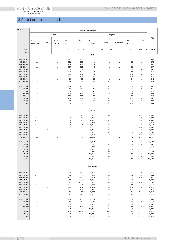**EUROSYSTEM**

# 3.9. Net external debt position

| Mio EUR                      |                             |                         |                           |                          |                       | General government        |                       |                                 |                          |                  |                  |
|------------------------------|-----------------------------|-------------------------|---------------------------|--------------------------|-----------------------|---------------------------|-----------------------|---------------------------------|--------------------------|------------------|------------------|
|                              |                             |                         | Short-term                |                          |                       |                           | Long-term             |                                 |                          |                  |                  |
|                              | Money market<br>instruments | Loans                   | Trade<br>credits          | Other debt<br>ass./liab. | Total                 | Bonds and<br>notes        | Loans                 | Trade credits                   | Other debt<br>ass./liab. | Total            | Total            |
| Stolpec                      | $\mathbf{1}$                | $\overline{\mathbf{c}}$ | $\ensuremath{\mathsf{3}}$ | 4                        | $5 = 1 +  4$          | $\,6$                     | $7 = 8 + 9 + 10 + 11$ | 8                               | $\mathsf g$              | $10=6++9$        | $11 = 5 + 10$    |
| Koda                         |                             |                         |                           |                          |                       |                           |                       |                                 |                          |                  |                  |
|                              |                             |                         |                           |                          |                       | Claims                    |                       |                                 |                          |                  |                  |
| 2001 31.Dec.                 |                             |                         | $\cdots$                  | 887                      | 887                   | $\ddotsc$                 |                       | $\ddotsc$                       | $\ddotsc$                | $\cdots$         | 887              |
| 2002 31.Dec.<br>2003 31.Dec. | <br>$\cdots$                | <br>                    | $\cdots$<br>$\cdots$      | 852<br>829               | 852<br>829            | $\ddotsc$<br>$\mathbf{1}$ | $\ddotsc$<br>$\cdots$ | <br>                            | 22<br>20                 | 22<br>21         | 874<br>851       |
| 2004 31.Dec.                 |                             |                         |                           | 827                      | 827                   | $\overline{c}$            | $\ddotsc$             |                                 | 29                       | 31               | 857              |
| 2005 31.Dec.                 | $\overline{\mathbf{c}}$     |                         | $\cdots$                  | 830                      | 832                   | 60                        | $\cdots$              | $\cdots$                        | 39                       | 100              | 931              |
| 2006 31.Dec.<br>2007 31.Dec. | 1<br>3                      |                         | $\cdots$                  | 126<br>124               | 127<br>127            | 91<br>181                 | $\ddotsc$             |                                 | 48<br>102                | 139<br>283       | 266<br>410       |
| 2008 31.Dec.                 | 4                           | <br>                    | $\cdots$<br>$\cdots$      | 124                      | 128                   | 183                       | <br>$\cdots$          | $\cdots$<br>$\cdots$            | 105                      | 288              | 416              |
| 2009 31.Dec.                 | 0                           |                         | $\cdots$                  | 90                       | 90                    | 132                       | $\ddotsc$             |                                 | 94                       | 225              | 315              |
| 2010 31.Dec.                 | 0                           |                         | $\cdots$                  | 95                       | 95                    | 155                       | 103                   | $\cdots$                        | 92                       | 349              | 444              |
| 2011 28.Feb.                 | 0                           |                         | $\cdots$                  | 190                      | 191                   | 150                       | 157                   |                                 | 94                       | 401              | 592              |
| 31.Mar.                      | 0                           |                         | $\cdots$                  | 340                      | 341                   | 148                       | 228                   | $\cdots$                        | 94                       | 469              | 810              |
| 30.Apr.                      | $\mathsf O$                 |                         |                           | 338                      | 339                   | 149                       | 229                   | $\ddotsc$                       | 93                       | 472              | 810              |
| 31.May<br>30.Jun.            | 0<br>0                      | <br>                    | $\cdots$<br>$\cdots$      | 328<br>288               | 329<br>289            | 154<br>157                | 229<br>264            | $\cdots$<br>                    | 94<br>99                 | 477<br>521       | 806<br>809       |
| 31.Jul.                      | 0                           |                         | $\cdots$                  | 288                      | 289                   | 157                       | 291                   |                                 | 100                      | 548              | 837              |
| 31.Aug.                      | $\mathsf O$                 |                         | $\cdots$                  | 288                      | 289                   | 158                       | 292                   |                                 | 99                       | 550              | 838              |
| 30.Sep.                      | $\mathsf O$                 |                         | $\cdots$                  | 88                       | 89                    | 125                       | 291                   | $\cdots$                        | 100                      | 515              | 604              |
|                              |                             |                         |                           |                          |                       | Liabilities               |                       |                                 |                          |                  |                  |
| 2001 31.Dec.                 | 3                           |                         | $\cdots$                  | 11                       | 15                    | 1,908                     | 583                   |                                 | $\cdots$                 | 2,491            | 2,506            |
| 2002 31.Dec.                 | 56                          |                         |                           | 10                       | 66                    | 1,894                     | 468                   |                                 | $\ddotsc$                | 2,362            | 2,428            |
| 2003 31.Dec.                 | 32                          |                         |                           | 8                        | 40                    | 2,008                     | 382                   |                                 | $\cdots$                 | 2,391            | 2,431            |
| 2004 31.Dec.                 | 13                          |                         | $\cdots$                  | 8                        | 21                    | 1,865                     | 381                   | $\mathsf{O}\xspace$             | $\cdots$                 | 2,246            | 2,267            |
| 2005 31.Dec.<br>2006 31.Dec. | 21<br>24                    | <br>                    | $\cdots$<br>$\cdots$      | 9<br>9                   | 31<br>33              | 1,720<br>2,108            | 363<br>241            | $\mathsf{O}\xspace$<br>$\cdots$ | $\cdots$<br>$\cdots$     | 2,083<br>2,349   | 2,114<br>2,382   |
| 2007 31.Dec.                 |                             | 0                       |                           |                          | 0                     | 2,832                     | 203                   | $\ddotsc$                       | $\cdots$                 | 3,036            | 3,036            |
| 2008 31.Dec.                 | $\cdots$                    |                         |                           |                          | $\cdots$              | 3,552                     | 180                   | $\cdots$                        | 4                        | 3,736            | 3,736            |
| 2009 31.Dec.                 |                             |                         | $\cdots$                  |                          | $\cdots$              | 6,407                     | 149                   |                                 | 3                        | 6,559            | 6,559            |
| 2010 31.Dec.                 | $\cdots$                    |                         | $\cdots$                  | $\cdots$                 | $\cdots$              | 8,018                     | 147                   | $\cdots$                        | $\overline{\mathbf{c}}$  | 8,167            | 8,167            |
| 2011 28.Feb.                 |                             |                         | $\cdots$                  |                          | $\cdots$              | 9,351                     | 171                   | $\ddotsc$                       | 5                        | 9,527            | 9,527            |
| 31.Mar.                      | $\cdots$                    |                         | $\cdots$                  | $\cdots$                 | $\ldots$              | 10,795                    | 167                   |                                 | 4                        | 10,967           | 10,967           |
| 30.Apr.<br>31.May            | <br>$\cdots$                | <br>                    | <br>$\cdots$              | <br>$\cdots$             | $\ldots$<br>$\ddotsc$ | 10,476<br>10,558          | 167<br>165            | $\cdots$<br>$\ddotsc$           | 4<br>4                   | 10,647<br>10,727 | 10,647<br>10,727 |
| 30.Jun.                      |                             |                         |                           | $\cdots$                 | $\ldots$              | 10,522                    | 200                   | $\cdots$                        | 10                       | 10,733           | 10,733           |
| 31.Jul.                      | $\cdots$                    |                         | $\cdots$                  | $\cdots$                 | $\ldots$              | 10,453                    | 200                   |                                 | 10                       | 10,663           | 10,663           |
| 31.Aug.<br>30.Sep.           |                             |                         |                           |                          | $\cdots$              | 10,398<br>10,323          | 200<br>197            |                                 | 10<br>10                 | 10,608<br>10,529 | 10,608<br>10,529 |
|                              |                             |                         |                           | $\cdots$                 | $\cdots$              |                           |                       |                                 |                          |                  |                  |
|                              |                             |                         |                           |                          |                       | <b>Net position</b>       |                       |                                 |                          |                  |                  |
| 2001 31.Dec.                 | 3                           |                         | $\cdots$                  | $-876$                   | $-872$                | 1,908                     | 583                   | $\cdots$                        | $\cdots$                 | 2,491            | 1,619            |
| 2002 31.Dec.                 | 56                          |                         |                           | $-842$                   | $-786$                | 1,894                     | 468                   |                                 | $-22$                    | 2,340            | 1,554            |
| 2003 31.Dec.<br>2004 31.Dec. | 32                          |                         | $\cdots$                  | $-821$                   | $-790$                | 2,007                     | 382                   | $\cdots$                        | $-20$                    | 2,369            | 1,580            |
| 2005 31.Dec.                 | 13<br>20                    | <br>$\cdots$            | $\cdots$<br>$\cdots$      | $-819$<br>$-821$         | $-806$<br>$-801$      | 1,863<br>1,660            | 381<br>363            | 0<br>$\mathsf{O}\xspace$        | $-29$<br>$-39$           | 2,215<br>1,984   | 1,409<br>1,183   |
| 2006 31.Dec.                 | 23                          |                         | $\cdots$                  | $-117$                   | $-94$                 | 2,017                     | 241                   |                                 | $-48$                    | 2,210            | 2,116            |
| 2007 31.Dec.                 | $-3$                        | 0                       | $\cdots$                  | $-124$                   | $-127$                | 2,651                     | 203                   | $\cdots$                        | $-102$                   | 2,752            | 2,625            |
| 2008 31.Dec.                 | $-4$                        |                         | $\cdots$                  | $-124$                   | $-128$                | 3,369                     | 180                   |                                 | $-101$                   | 3,448            | 3,319            |
| 2009 31.Dec.<br>2010 31.Dec. | 0<br>0                      | <br>                    | $\cdots$<br>$\cdots$      | $-90$<br>$-95$           | $-90$<br>$-95$        | 6,275<br>7,863            | 149<br>44             | $\cdots$<br>                    | $-91$<br>$-90$           | 6,333<br>7,817   | 6,243<br>7,722   |
| 2011 28.Feb.                 | 0                           |                         | $\cdots$                  | $-190$                   | $-191$                | 9,201                     | 15                    |                                 | $-89$                    | 9,126            | 8,935            |
| 31.Mar.                      | 0                           | $\cdots$                | $\cdots$                  | $-340$                   | $-341$                | 10,648                    | $-61$                 | <br>$\cdots$                    | $-89$                    | 10,498           | 10,157           |
| 30.Apr.                      | 0                           |                         | $\cdots$                  | $-338$                   | $-339$                | 10,327                    | $-62$                 |                                 | $-89$                    | 10,176           | 9,837            |
| 31.May                       | 0                           |                         | $\cdots$                  | $-328$                   | $-329$                | 10,404                    | $-64$                 | $\ddotsc$                       | $-89$                    | 10,250           | 9,921            |
| 30.Jun.<br>31.Jul.           | 0<br>0                      |                         | $\cdots$                  | $-288$<br>$-288$         | $-289$<br>$-289$      | 10,365<br>10,296          | $-64$<br>$-91$        |                                 | $-90$<br>$-90$           | 10,212<br>10,115 | 9,923<br>9,826   |
| 31.Aug.                      | 0                           | <br>                    | $\cdots$<br>$\cdots$      | $-288$                   | $-289$                | 10,240                    | $-92$                 | $\cdots$<br>$\cdots$            | $-90$                    | 10,058           | 9,769            |
| 30.Sep.                      | 0                           |                         | $\cdots$                  | $-88$                    | $-89$                 | 10,198                    | $-94$                 | $\cdots$                        | $-91$                    | 10,013           | 9,925            |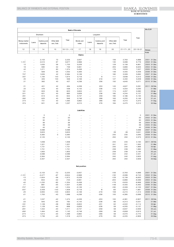#### BANKA SLOVENIJE BANK OF SLOVENIA **EUROSYSTEM**

|                             |                      |                          |                          |                      | <b>Bank of Slovenia</b> |                      |                          |                          |                      |                      | Mio EUR                      |
|-----------------------------|----------------------|--------------------------|--------------------------|----------------------|-------------------------|----------------------|--------------------------|--------------------------|----------------------|----------------------|------------------------------|
|                             |                      | Short-term               |                          |                      |                         |                      | Long-term                |                          |                      |                      |                              |
| Money market<br>instruments | Loans                | Currency and<br>deposits | Other debt<br>ass./liab. | Total                | Bonds and<br>notes      | Loans                | Currency and<br>deposits | Other debt<br>ass./liab. | Total                | Total                |                              |
| 12                          | 13                   | 14                       | 15                       | $16 = 12 +  + 15$    | 17                      | 18                   | 19                       | 20                       | $21 = 17 + .20$      | $22 = 16 + 21$       | Stolpec                      |
|                             |                      |                          |                          |                      |                         |                      |                          |                          |                      |                      | Koda                         |
|                             |                      |                          |                          |                      | Claims                  |                      |                          |                          |                      |                      |                              |
|                             | $\cdots$             | 2,153                    | 72                       | 2,225                | 2,657                   | $\cdots$             |                          | 106                      | 2,763                | 4,988                | 2001 31.Dec.                 |
| 1,101                       | $\cdots$             | 2,510                    | 67                       | 3,677                | 2,968                   | $\ddotsc$            |                          | 130                      | 3,099                | 6,776                | 2002 31.Dec.                 |
| 12                          | $\cdots$             | 1,635                    | 56                       | 1,703                | 5,029                   |                      |                          | 129                      | 5,158                | 6,861                | 2003 31.Dec.                 |
| 16                          | $\cdots$             | 690                      | 52                       | 759                  | 5,661                   |                      |                          | 205                      | 5,866                | 6,625                | 2004 31.Dec.                 |
| 42                          | $\cdots$             | 1,271                    | 60                       | 1,374                | 5,458                   | $\cdots$             | $\cdots$                 | 176                      | 5,633                | 7,007                | 2005 31.Dec.                 |
| 71                          | $\cdots$             | 926                      | 55                       | 1,052                | 4,306                   |                      |                          | 148                      | 4,455                | 5,506                | 2006 31.Dec.                 |
| 707                         | $\cdots$             | 1,635                    | 42                       | 2,384                | 3,128                   | $\cdots$             |                          | 180                      | 3,309                | 5,692                | 2007 31.Dec.                 |
| 337<br>20                   | $\cdots$             | 1,194<br>405             | 143<br>133               | 1,674<br>558         | 3,718<br>4,108          | $\cdots$             | 8<br>216                 | 111<br>127               | 3,838<br>4,450       | 5,512<br>5,009       | 2008 31.Dec.<br>2009 31.Dec. |
| 21                          | $\cdots$<br>$\cdots$ | 362                      | 43                       | 427                  | 4,238                   | $\cdots$<br>$\cdots$ | 256                      | 150                      | 4,645                | 5,071                | 2010 31.Dec.                 |
|                             |                      |                          |                          |                      |                         |                      |                          |                          |                      |                      |                              |
| 21                          | $\cdots$             | 401                      | 42                       | 464                  | 4,228                   | $\cdots$             | 253                      | 145                      | 4,627                | 5,091                | 2011 28.Feb.                 |
| 22                          | $\cdots$             | 476                      | 40                       | 538                  | 4,143                   | $\cdots$             | 236                      | 175                      | 4,554                | 5,093                | 31.Mar.                      |
| 181                         | $\cdots$             | 603                      | 39                       | 823                  | 3,853                   | $\ldots$             | 231                      | 174                      | 4,257                | 5,080                | 30.Apr.                      |
| 221                         | $\cdots$             | 621                      | 40                       | 883                  | 3,828                   | $\cdots$             | 236                      | 180                      | 4,244                | 5,127                | 31.May                       |
| 291                         | $\cdots$             | 613                      | 40                       | 944                  | 3,747                   | $\cdots$             | 259                      | 180                      | 4,186                | 5,130                | 30.Jun.                      |
| 282<br>274                  | $\cdots$             | 625                      | 40                       | 946                  | 3,748                   | $\cdots$             | 268                      | 183                      | 4,200                | 5,146                | 31.Jul.                      |
| 374                         | $\cdots$<br>$\cdots$ | 751<br>621               | 40<br>43                 | 1,065<br>1,037       | 3,862<br>4,015          | $\cdots$<br>$\cdots$ | 266<br>276               | 182<br>184               | 4,310<br>4,475       | 5,375<br>5,512       | 31.Aug.<br>30.Sep.           |
|                             |                      |                          |                          |                      |                         |                      |                          |                          |                      |                      |                              |
|                             |                      |                          |                          |                      | Liabilities             |                      |                          |                          |                      |                      |                              |
|                             |                      | 0                        |                          | $\mathsf{O}\xspace$  |                         |                      |                          |                          |                      | $\mathsf{O}\xspace$  | 2001 31.Dec.                 |
|                             | <br>$\cdots$         | 33                       | <br>                     | 33                   | <br>                    | $\cdots$             | <br>                     | <br>$\cdots$             | <br>                 | 33                   | 2002 31.Dec.                 |
| <br>                        |                      | 30                       |                          | 30                   |                         |                      |                          |                          |                      | 30                   | 2003 31.Dec.                 |
|                             | $\cdots$             | 36                       |                          | 36                   |                         | $\cdots$             |                          | $\cdots$                 |                      | 36                   | 2004 31.Dec.                 |
|                             | $\cdots$             | 39                       |                          | 39                   |                         |                      |                          | $\cdots$                 |                      | 39                   | 2005 31.Dec.                 |
|                             | $\cdots$             | 45                       |                          | 45                   |                         |                      |                          | $\cdots$                 | $\cdots$             | 45                   | 2006 31.Dec.                 |
|                             | $\cdots$             | 3,588                    |                          | 3,588                |                         | $\ddotsc$            |                          | $\cdots$                 | $\cdots$             | 3,588                | 2007 31.Dec.                 |
|                             | $\cdots$             | 3,603                    |                          | 3,603                |                         | $\cdots$             |                          | 28                       | 28                   | 3,631                | 2008 31.Dec.                 |
|                             | $\cdots$             | 3,360                    | $\mathsf O$              | 3,360                |                         |                      |                          | 235                      | 235                  | 3,595                | 2009 31.Dec.                 |
|                             | $\cdots$             | 2,125                    |                          | 2,125                |                         | $\cdots$             | $\cdots$                 | 250                      | 250                  | 2,375                | 2010 31.Dec.                 |
|                             | $\cdots$             | 1,938                    |                          | 1,938                |                         | $\ddotsc$            | $\cdots$                 | 245                      | 245                  | 2,184                | 2011 28.Feb.                 |
|                             | $\cdots$             | 1,321                    | $\cdots$                 | 1,321                |                         |                      |                          | 241                      | 241                  | 1,562                | 31.Mar.                      |
|                             | $\cdots$             | 1,731                    |                          | 1,731                |                         | $\cdots$             | $\cdots$                 | 235                      | 235                  | 1,966                | 30.Apr.                      |
|                             | $\cdots$             | 1,751                    | $\cdots$                 | 1,751                |                         |                      | $\cdots$                 | 239                      | 239                  | 1,990                | 31.May                       |
|                             | $\ddotsc$            | 1,955                    |                          | 1,955                |                         | $\cdots$             |                          | 239                      | 239                  | 2,194                | 30.Jun.                      |
|                             | $\ddotsc$            | 2,089                    |                          | 2,089                |                         |                      |                          | 242                      | 242                  | 2,331                | 31.Jul.                      |
| $\cdots$                    | $\cdots$             | 2,364<br>2,357           |                          | 2,364<br>2,357       |                         | $\cdots$             | $\cdots$                 | 240<br>250               | 240<br>250           | 2,605<br>2.606       | 31.Aug.<br>30.Sep.           |
|                             |                      |                          |                          |                      |                         |                      |                          |                          |                      |                      |                              |
|                             |                      |                          |                          |                      | <b>Net position</b>     |                      |                          |                          |                      |                      |                              |
|                             |                      |                          |                          |                      |                         |                      |                          |                          |                      |                      |                              |
| $\cdots$                    |                      | $-2,153$                 | $-72$<br>$-67$           | $-2,225$             | $-2,657$                | $\ddotsc$            |                          | $-106$                   | $-2,763$             | $-4,988$             | 2001 31.Dec.<br>2002 31.Dec. |
| $-1,101$<br>$-12$           | $\cdots$             | $-2,477$<br>$-1,604$     | $-56$                    | $-3,644$<br>$-1,672$ | $-2,968$<br>$-5,029$    |                      | $\cdots$                 | $-130$<br>$-129$         | $-3,099$<br>$-5,158$ | $-6,743$<br>$-6,830$ | 2003 31.Dec.                 |
| $-16$                       | $\cdots$<br>$\cdots$ | $-654$                   | $-52$                    | $-723$               | $-5,661$                | $\cdots$<br>$\cdots$ | <br>$\cdots$             | $-205$                   | $-5,866$             | $-6,589$             | 2004 31.Dec.                 |
| $-42$                       | $\cdots$             | $-1,232$                 | $-60$                    | $-1,334$             | $-5,458$                | $\cdots$             | $\cdots$                 | $-176$                   | $-5,633$             | $-6,968$             | 2005 31.Dec.                 |
| $-71$                       | $\cdots$             | $-881$                   | $-55$                    | $-1,007$             | $-4,306$                | $\cdots$             | $\cdots$                 | $-148$                   | $-4,455$             | $-5,462$             | 2006 31.Dec.                 |
| $-707$                      | $\cdots$             | 1,953                    | $-42$                    | 1,204                | $-3,128$                | $\cdots$             | $\cdots$                 | $-180$                   | $-3,309$             | $-2,105$             | 2007 31.Dec.                 |
| $-337$                      | $\cdots$             | 2,409                    | $-143$                   | 1,929                | $-3,718$                | $\ldots$             | -8                       | $-83$                    | $-3,810$             | $-1,881$             | 2008 31.Dec.                 |
| $-20$                       | $\cdots$             | 2,955                    | $-133$                   | 2,802                | $-4,108$                | $\cdots$             | $-216$                   | 108                      | $-4,215$             | $-1, 414$            | 2009 31.Dec.                 |
| $-21$                       | $\cdots$             | 1,763                    | $-43$                    | 1,698                | $-4,238$                | $\ldots$             | $-256$                   | 100                      | $-4,395$             | $-2,696$             | 2010 31.Dec.                 |
| $-21$                       | $\cdots$             | 1,537                    | $-42$                    | 1,474                | $-4,228$                | $\cdots$             | $-253$                   | 100                      | $-4,381$             | $-2,907$             | 2011 28.Feb.                 |
| $-22$                       | $\cdots$             | 845                      | $-40$                    | 782                  | $-4, 143$               | $\cdots$             | $-236$                   | 66                       | $-4,313$             | $-3,531$             | 31.Mar.                      |
| $-181$                      | $\cdots$             | 1,128                    | $-39$                    | 908                  | $-3,853$                | $\cdots$             | $-231$                   | 62                       | $-4,022$             | $-3,114$             | 30.Apr.                      |
| $-221$                      | $\cdots$             | 1,129                    | $-40$                    | 868                  | $-3,828$                | $\cdots$             | $-236$                   | 59                       | $-4,005$             | $-3,137$             | 31.May                       |
| $-291$                      | $\cdots$             | 1,342                    | $-40$                    | 1,011                | $-3,747$                | $\ldots$             | $-259$                   | 58                       | $-3,947$             | $-2,936$             | 30.Jun.                      |
| $-282$                      | $\cdots$             | 1,464                    | $-40$                    | 1,142                | $-3,748$                | $\cdots$             | $-268$                   | 59                       | $-3,958$             | $-2,815$             | 31.Jul.                      |
| $-274$                      | $\cdots$             | 1,614                    | $-40$                    | 1,299                | $-3,862$                | $\cdots$             | $-266$                   | 58                       | $-4,070$             | $-2,770$             | 31.Aug.                      |
| $-374$                      | $\cdots$             | 1,736                    | $-43$                    | 1,319                | $-4,015$                | $\cdots$             | $-276$                   | 65                       | $-4,225$             | $-2,906$             | 30.Sep.                      |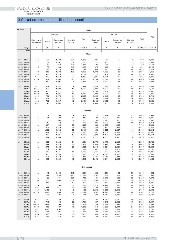**EUROSYSTEM**

# 3.9. Net external debt position (continued)

| Mio EUR                      |                             |                |                          |                          | <b>Banks</b>        |                    |                |                          |                              |                  |                |
|------------------------------|-----------------------------|----------------|--------------------------|--------------------------|---------------------|--------------------|----------------|--------------------------|------------------------------|------------------|----------------|
|                              |                             |                | Short-term               |                          |                     |                    |                | Long-term                |                              |                  |                |
|                              | Money market<br>instruments | Loans          | Currency and<br>deposits | Other debt<br>ass./liab. | Total               | Bonds and<br>notes | Loans          | Currency and<br>deposits | Other debt<br>ass./liab.     | Total            | Total          |
| Stolpec                      | $\mathbf{1}$                | $\overline{c}$ | 3                        | $\overline{4}$           | $5 = 1 + .4$        | 6                  | $\overline{7}$ | 8                        | 9                            | $10 = 6 +  9$    | $11 = 5 + 9$   |
| Koda                         |                             |                |                          |                          |                     |                    |                |                          |                              |                  |                |
|                              |                             |                |                          |                          | Claims              |                    |                |                          |                              |                  |                |
| 2001 31.Dec.                 |                             | 13             | 1,563                    | 324                      | 1,899               | 225                | 97             | $\cdots$                 | $\overline{1}$               | 323              | 2,222          |
| 2002 31.Dec.                 |                             | 32             | 1,167                    | 307                      | 1,506               | 171                | 168            |                          | 15                           | 354              | 1,859          |
| 2003 31.Dec.                 |                             | 62             | 919                      | 338                      | 1,318               | 195                | 238            | $\cdots$                 | 17                           | 450              | 1,768          |
| 2004 31.Dec.                 | 5                           | 76             | 906                      | 340                      | 1,328               | 370                | 413            | $\cdots$                 | 18                           | 801              | 2,129          |
| 2005 31.Dec                  | $\mathbf{1}$                | 199            | 1,473                    | 114                      | 1,787               | 908                | 640            | 33                       | 45                           | 1,626            | 3,413          |
| 2006 31.Dec.<br>2007 31.Dec. | 133<br>994                  | 292<br>927     | 1,408                    | 126                      | 1,959               | 1,802              | 1,009          | 38<br>59                 | 45<br>44                     | 2,894            | 4,853<br>9,483 |
| 2008 31.Dec.                 | 985                         | 628            | 2,174<br>1,813           | 63<br>52                 | 4,157<br>3,478      | 3,121<br>2,685     | 2,102<br>2,661 | 115                      | 44                           | 5,326<br>5,505   | 8,983          |
| 2009 31.Dec.                 | 1,113                       | 801            | 2,396                    | 46                       | 4,356               | 2,234              | 2,511          | 159                      | 44                           | 4,948            | 9,304          |
| 2010 31.Dec.                 | 741                         | 1,020          | 1,097                    | 4                        | 2,861               | 2,170              | 2,290          | 24                       | 43                           | 4,527            | 7,388          |
|                              |                             |                |                          |                          |                     |                    |                |                          |                              |                  |                |
| 2011 28.Feb.                 | 977                         | 1,018          | 1,230                    | 8                        | 3,233               | 2,248              | 2,261          | 29                       | 51                           | 4,589            | 7,822          |
| 31.Mar.<br>30.Apr.           | 1,011<br>1,078              | 959<br>957     | 1,608<br>1,227           | 14                       | 3,592<br>3,273      | 2,226              | 2,288          | 26                       | 35<br>36                     | 4,574            | 8,166<br>7,863 |
| 31.May                       | 1,022                       | 943            | 1,235                    | 11<br>15                 | 3,216               | 2,266<br>2,223     | 2,257<br>2,298 | 31<br>29                 | 36                           | 4,590<br>4,586   | 7,802          |
| 30.Jun.                      | 922                         | 781            | 1,279                    | 14                       | 2,995               | 2,202              | 2,442          | 39                       | 37                           | 4,720            | 7,714          |
| 31.Jul.                      | 911                         | 811            | 1,640                    | 19                       | 3,381               | 2,199              | 2,418          | 41                       | 36                           | 4,694            | 8,075          |
| 31.Aug.                      | 828                         | 703            | 1,647                    | 16                       | 3,194               | 2,182              | 2,489          | 43                       | 45                           | 4,760            | 7,954          |
| 30.Sep.                      | 687                         | 740            | 1,638                    | $\overline{7}$           | 3,071               | 2,089              | 2,403          | 42                       | 54                           | 4,588            | 7,659          |
|                              |                             |                |                          |                          |                     |                    |                |                          |                              |                  |                |
|                              |                             |                |                          |                          | Liabilities         |                    |                |                          |                              |                  |                |
| 2001 31.Dec.                 |                             | $\mathbf{1}$   | 396                      | 8                        | 406                 | $\mathsf{O}$       | 1,328          | 162                      | 73                           | 1,563            | 1,969          |
| 2002 31.Dec.                 |                             | 11             | 383                      | 46                       | 440                 | 20                 | 1,622          | 279                      | 64                           | 1,985            | 2,425          |
| 2003 31.Dec.                 |                             | 6              | 558                      | 9                        | 573                 | 33                 | 2,278          | 506                      | 55                           | 2,873            | 3,445          |
| 2004 31.Dec.                 |                             | 49             | 543                      | 33                       | 625                 | 221                | 3,206          | 744                      | 58                           | 4,229            | 4,854          |
| 2005 31.Dec.                 |                             | 537            | 862                      | 65                       | 1,463               | 336                | 5,393          | 1,450                    | $\cdots$                     | 7,179            | 8,643          |
| 2006 31.Dec                  |                             | 204            | 1,342                    | 46                       | 1,592               | 332                | 7,150          | 1,945                    | $\cdots$                     | 9,427            | 11,019         |
| 2007 31.Dec.                 |                             | 1,509          | 1,563                    | 39                       | 3,111               | 353                | 9,866          | 2,887                    | $\ddotsc$                    | 13,106           | 16,216         |
| 2008 31.Dec.                 | $\cdots$                    | 1,821          | 1,770                    | 44                       | 3,635               | 437                | 10,884         | 2,931                    | $\cdots$                     | 14,252           | 17,886         |
| 2009 31.Dec.                 |                             | 315            | 1,931                    | 19                       | 2,265               | 2,033              | 9,425          | 2,691                    | $\cdots$                     | 14,149           | 16,414         |
| 2010 31.Dec.                 |                             | 494            | 1,694                    | 3                        | 2,190               | 2,772              | 8,633          | 2,413                    | 6                            | 13,823           | 16,013         |
| 2011 28.Feb.                 |                             | 239            | 1,663                    | 31                       | 1,934               | 2,772              | 8,473          | 2,608                    | $\mathbf{1}$                 | 13,855           | 15,789         |
| 31.Mar.                      | $\cdots$                    | 243            | 1,515                    | 43                       | 1,801               | 3,032              | 8,331          | 2,581                    | 18                           | 13,962           | 15,763         |
| 30.Apr.                      | $\cdots$                    | 273            | 1,333                    | 60                       | 1,665               | 3,015              | 8,054          | 2,624                    | 3                            | 13,697           | 15,362         |
| 31.May                       |                             | 274            | 1,263                    | 60                       | 1,597               | 3,037              | 7,895          | 2,672                    | 2                            | 13,606           | 15,203         |
| 30.Jun.                      | $\cdots$                    | 483            | 1,171                    | 14                       | 1,668               | 2,745              | 7,832          | 2,649                    | 5                            | 13,231           | 14,900         |
| 31.Jul.                      |                             | 330            | 1,245                    | 20                       | 1,595               | 2,728              | 8,076          | 2,666                    | 4                            | 13,474           | 15,069         |
| 31.Aug.                      | $\cdots$                    | 301<br>306     | 1,172                    | 51                       | 1,524               | 2,727              | 8,035          | 2,682                    | $\overline{\mathbf{c}}$<br>0 | 13,445<br>13,207 | 14,969         |
| 30.Sep.                      |                             |                | 1,089                    | 18                       | 1,413               | 2,498              | 8,044          | 2,665                    |                              |                  | 14,620         |
|                              |                             |                |                          |                          | <b>Net position</b> |                    |                |                          |                              |                  |                |
| 2001 31.Dec.                 |                             | $-12$          | $-1,166$                 | $-315$                   | $-1,494$            | $-225$             | 1,231          | 162                      | 73                           | 1,240            | $-253$         |
| 2002 31.Dec.                 | $\ldots$<br>$\ldots$        | $-21$          | $-784$                   | $-260$                   | $-1,066$            | $-151$             | 1,454          | 279                      | 49                           | 1,631            | 566            |
| 2003 31.Dec.                 | $\ldots$                    | $-56$          | $-361$                   | $-329$                   | $-745$              | $-161$             | 2,040          | 506                      | 38                           | 2,423            | 1,678          |
| 2004 31.Dec.                 | $-5$                        | $-27$          | $-363$                   | $-307$                   | $-702$              | $-148$             | 2,793          | 744                      | 39                           | 3,428            | 2,726          |
| 2005 31.Dec.                 | $-1$                        | 338            | $-611$                   | $-49$                    | $-323$              | $-571$             | 4,753          | 1,417                    | $-45$                        | 5,553            | 5,230          |
| 2006 31.Dec.                 | $-133$                      | $-88$          | $-66$                    | $-80$                    | $-367$              | $-1,470$           | 6,141          | 1,907                    | $-45$                        | 6,533            | 6,166          |
| 2007 31.Dec.                 | $-994$                      | 583            | $-611$                   | $-24$                    | $-1,046$            | $-2,768$           | 7,763          | 2,829                    | $-44$                        | 7,779            | 6,733          |
| 2008 31.Dec.                 | $-985$                      | 1,193          | $-43$                    | -9                       | 156                 | $-2,248$           | 8,223          | 2,816                    | $-44$                        | 8,747            | 8,903          |
| 2009 31.Dec.                 | $-1, 113$                   | $-486$         | $-465$                   | $-27$                    | $-2,091$            | $-201$             | 6,915          | 2,532                    | $-44$                        | 9,201            | 7,111          |
| 2010 31.Dec.                 | $-741$                      | $-526$         | 597                      | $-1$                     | $-671$              | 602                | 6,342          | 2,388                    | $-37$                        | 9,295            | 8,625          |
| 2011 28.Feb.                 | $-977$                      | $-779$         | 433                      | 24                       | $-1,299$            | 525                | 6,212          | 2,579                    | $-49$                        | 9,266            | 7,966          |
| 31.Mar.                      | $-1,011$                    | $-716$         | $-93$                    | 29                       | $-1,791$            | 807                | 6,043          | 2,556                    | $-17$                        | 9,388            | 7,597          |
| 30.Apr.                      | $-1,078$                    | $-684$         | 106                      | 49                       | $-1,608$            | 749                | 5,798          | 2,593                    | $-33$                        | 9,107            | 7,499          |
| 31.May                       | $-1,022$                    | $-669$         | 27                       | 45                       | $-1,618$            | 814                | 5,597          | 2,644                    | $-34$                        | 9,020            | 7,402          |
| 30.Jun.                      | $-922$                      | $-297$         | $-108$                   | $\mathsf O$              | $-1,326$            | 543                | 5,390          | 2,611                    | $-32$                        | 8,512            | 7,185          |
| 31.Jul.                      | $-911$                      | $-481$         | $-395$                   | $\mathbf{1}$             | $-1,786$            | 529                | 5,658          | 2,625                    | $-32$                        | 8,781            | 6,995          |
| 31.Aug.                      | $-828$                      | $-402$         | $-475$                   | 35                       | $-1,670$            | 545                | 5,545          | 2,638                    | $-43$                        | 8,685            | 7,015          |
| 30.Sep.                      | $-687$                      | $-433$         | $-549$                   | 11                       | $-1,659$            | 409                | 5,642          | 2,623                    | $-54$                        | 8,619            | 6,961          |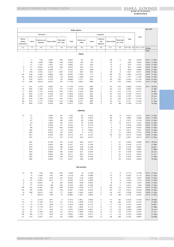|                                |                |                          |                  |                           | Other sectors        |                      |                |                             |                           |                              |                      |                      | Mio EUR                      |
|--------------------------------|----------------|--------------------------|------------------|---------------------------|----------------------|----------------------|----------------|-----------------------------|---------------------------|------------------------------|----------------------|----------------------|------------------------------|
|                                |                | Short-term               |                  |                           |                      |                      |                | Long-term                   |                           |                              |                      |                      |                              |
| Money<br>market<br>instruments | Loans          | Currency and<br>deposits | Trade credits    | Other debt<br>ass./liab.  | Total                | Bonds and<br>notes   | Loans          | Currency<br>and<br>deposits | Trade credits             | Other debt<br>ass./liab.     | Total                | Total                |                              |
| 12                             | 13             | 14                       | 15               | 16                        | $17 = 12 + .16$      | 18                   | 19             | 20                          | 21                        | 22                           | $23=18+.22$ 24=17+23 |                      | Stolpec                      |
|                                |                |                          |                  |                           |                      |                      |                |                             |                           |                              |                      |                      | Koda                         |
|                                |                |                          |                  |                           |                      | Claims               |                |                             |                           |                              |                      |                      |                              |
| $\cdots$                       | $\overline{4}$ | 748                      | 1,880            | 169                       | 2,800                | 35                   | 56             | $\cdots$                    | 48                        | 0                            | 139                  | 2,940                | 2001 31.Dec.                 |
|                                | 18             | 1,256                    | 1,884            | 148                       | 3,305                | 105                  | 120            | $\cdots$                    | 25                        |                              | 250                  | 3,555                | 2002 31.Dec.                 |
| $\cdots$                       | 41             | 1,781                    | 1,907            | 132                       | 3,862                | 167                  | 184            | $\cdots$                    | 15                        | 4                            | 370                  | 4,231                | 2003 31.Dec.                 |
| З                              | 51             | 2,500                    | 2,108            | 169                       | 4,832                | 420                  | 212            | $\cdots$                    | 13                        | 6                            | 651                  | 5,482                | 2004 31.Dec.                 |
| 3                              | 78             | 2,923                    | 2,856            | 171                       | 6,032                | 542                  | 289            | $\cdots$                    | 16                        | 6                            | 853                  | 6,885                | 2005 31.Dec.                 |
| $\overline{7}$                 | 146            | 3,704                    | 3,247            | 249                       | 7,352                | 840                  | 453            | $\cdots$                    | 25                        | $\sqrt{2}$                   | 1,321                | 8,672                | 2006 31.Dec.                 |
| 29                             | 248            | 4,497                    | 3,699            | 190                       | 8,662                | 1,345                | 177            | $\boldsymbol{7}$            | 38                        | 25                           | 1,593                | 10,255               | 2007 31.Dec.                 |
| 25                             | 369            | 5,265                    | 3,935            | 53                        | 9,648                | 1,468                | 219            | $\overline{7}$              | 40                        | 23                           | 1,757                | 11,405               | 2008 31.Dec.                 |
| $\mathsf g$                    | 318            | 5,815                    | 3,722            | 32                        | 9,896                | 1,721                | 350            | $\overline{7}$              | 45                        | 132                          | 2,254                | 12,150               | 2009 31.Dec.                 |
| 10                             | 308            | 6,818                    | 3,910            | 82                        | 11,129               | 2,091                | 390            | 1                           | 27                        | 125                          | 2,634                | 13,763               | 2010 31.Dec.                 |
| 11                             | 331            | 7,216                    | 4,090            | 91                        | 11,739               | 2,150                | 386            | 1                           | 24                        | 124                          | 2,686                | 14,425               | 2011 28.Feb.                 |
| 15                             | 305            | 7,183                    | 4,215            | 119                       | 11,837               | 2,156                | 389            | 1                           | 23                        | 112                          | 2,682                | 14,520               | 31.Mar.                      |
| 11                             | 306            | 7,137                    | 4,284            | 109                       | 11,847               | 2,204                | 394            | 1                           | 24                        | 101                          | 2,725                | 14,572               | 30.Apr.                      |
| 12                             | 300            | 7,179                    | 4,239            | 109                       | 11,839               | 2,223                | 387            | $\sqrt{2}$                  | 24                        | 102                          | 2,738                | 14,577               | 31.May                       |
| 12                             | 298            | 7,171                    | 4,267            | 112                       | 11,859               | 2,262                | 398            | $\sqrt{2}$                  | 24                        | 102                          | 2,787                | 14,647               | 30.Jun.                      |
| 23                             | 278            | 7,185                    | 4,304            | 130                       | 11,921               | 2,256                | 399            | $\overline{c}$              | 24                        | 102                          | 2,782                | 14,703               | 31.Jul.                      |
| 28                             | 275            | 7,172                    | 4,069            | 143                       | 11,688               | 2,217                | 396            | $\sqrt{2}$                  | 24                        | 101                          | 2,741                | 14,429               | 31.Aug.                      |
| 31                             | 280            | 7,247                    | 4,250            | 169                       | 11,977               | 2,261                | 394            | 3                           | 42                        | 99                           | 2,799                | 14,776               | 30.Sep.                      |
|                                |                |                          |                  |                           |                      | Liabilities          |                |                             |                           |                              |                      |                      |                              |
| 12                             |                |                          |                  |                           |                      |                      |                |                             |                           |                              |                      |                      |                              |
|                                | 27<br>13       |                          | 1,690<br>1,693   | 64<br>82                  | 1,793<br>1,787       | 26<br>22             | 3,224<br>3,819 |                             | 60<br>38                  | 6<br>$\overline{\mathbf{4}}$ | 3,315<br>3,882       | 5,107<br>5,669       | 2001 31.Dec.<br>2002 31.Dec. |
|                                | 81             | $\cdots$                 | 1,663            | 88                        | 1,832                | 28                   | 4,266          | $\cdots$                    | 30                        | $\boldsymbol{2}$             | 4,327                | 6,159                | 2003 31.Dec.                 |
| <br>                           | 24             | <br>$\cdots$             | 1,862            | 92                        | 1,977                | 10                   | 5,040          | $\cdots$<br>$\cdots$        | 17                        | 10                           | 5,077                | 7,054                | 2004 31.Dec.                 |
|                                | 101            |                          | 2,848            | 91                        | 3,040                | 13                   | 5,219          | $\cdots$                    | $\overline{\mathfrak{c}}$ | $\sqrt{7}$                   | 5,246                | 8,286                | 2005 31.Dec.                 |
|                                | 68             | $\cdots$                 | 3,335            | 166                       | 3,569                | 17                   | 5,912          | $\cdots$                    | 3                         | $\boldsymbol{2}$             | 5,934                | 9,503                | 2006 31.Dec.                 |
|                                | 166            |                          | 3,847            | 22                        | 4,034                | 6                    | 3,892          | $\cdots$                    | 9                         | 10                           | 3,917                | 7,951                | 2007 31.Dec.                 |
|                                | 330            | $\cdots$                 | 4,002            | 26                        | 4,357                | $\overline{4}$       | 4,773          | $\cdots$                    | 17                        | 11                           | 4,805                | 9,162                | 2008 31.Dec.                 |
| $\cdots$                       | 507            | $\cdots$                 | 3,400            | 109                       | 4,016                | 271                  | 5,187          | $\cdots$                    | 29                        | 25                           | 5,512                | 9,528                | 2009 31.Dec.                 |
|                                | 307            | $\ddotsc$                | 3,741            | 97                        | 4,145                | 250                  | 5,072          | $\cdots$                    | $\overline{7}$            | 37                           | 5,367                | 9,512                | 2010 31.Dec.                 |
|                                | 332            | $\ddotsc$                | 3,739            | 94                        | 4,164                | 249                  | 5,221          | $\cdots$                    | $\overline{\mathfrak{c}}$ | 27                           | 5,505                | 9,669                | 2011 28.Feb.                 |
|                                | 319            | $\cdots$                 | 3,903            | 98                        | 4,321                | 247                  | 5,168          | $\cdots$                    | $\overline{7}$            | 27                           | 5,449                | 9,770                | 31.Mar.                      |
|                                | 320            | $\cdots$                 | 4,025            | 98                        | 4,443                | 248                  | 5,168          | $\cdots$                    | $\overline{7}$            | 26                           | 5,449                | 9,892                | 30.Apr.                      |
|                                | 354            |                          | 4,038            | 97                        | 4,489                | 258                  | 5,100          | $\cdots$                    | $\overline{7}$            | 27                           | 5,392                | 9,880                | 31.May                       |
|                                | 340            | $\cdots$                 | 3,864            | 98                        | 4,302                | 257                  | 5,055          | $\cdots$                    | $\overline{\mathfrak{c}}$ | 27                           | 5,346                | 9,648                | 30.Jun.                      |
|                                | 359            |                          | 3,852            | 99                        | 4,311                | 264                  | 5,215          | $\cdots$                    | $\overline{7}$            | 27                           | 5,513                | 9,823                | 31.Jul.                      |
|                                | 363            |                          | 3,565            | 98                        | 4,026                | 265                  | 5,206          | $\cdots$                    | $\overline{7}$            | 27                           | 5,504                | 9,530                | 31.Aug.                      |
|                                | 398            |                          | 3,829            | 114                       | 4,341                | 266                  | 5,248          | $\cdots$                    |                           | 33                           | 5,554                | 9,895                | 30.Sep.                      |
|                                |                |                          |                  |                           |                      |                      |                |                             |                           |                              |                      |                      |                              |
|                                |                |                          |                  |                           |                      | Net position         |                |                             |                           |                              |                      |                      |                              |
| 12                             | 23             | $-748$                   | $-190$           | $-105$                    | $-1,008$             | -9                   | 3,168          |                             | 11                        | 6                            | 3,175                | 2,168                | 2001 31.Dec.                 |
| $\ldots$                       | $-5$           | $-1,256$                 | $-191$           | -66                       | $-1,518$             | $-84$                | 3,699          | $\cdots$                    | 13                        | 4                            | 3,632                | 2,114                | 2002 31.Dec.                 |
| $\ldots$                       | 39             | $-1,781$                 | $-244$           | $-44$                     | $-2,030$             | $-139$               | 4,082          | $\ldots$                    | 15                        | $-1$                         | 3,957                | 1,927                | 2003 31.Dec.                 |
| -3                             | $-27$          | $-2,500$                 | $-247$           | $-77$                     | $-2,854$             | $-410$               | 4,828          | $\cdots$                    | 4                         | 4                            | 4,426                | 1,572                | 2004 31.Dec.                 |
| -3                             | 22             | $-2,923$                 | -8               | -80                       | $-2,993$             | $-528$               | 4,930          | $\cdots$                    | -9                        | 0                            | 4,393                | 1,400                | 2005 31.Dec.                 |
| $-7$                           | $-77$          | $-3,704$                 | 88               | $-82$                     | $-3,783$             | $-823$               | 5,459          | $\ldots$                    | $-23$                     | $-1$                         | 4,613                | 830                  | 2006 31.Dec.                 |
| -29                            | $-82$          | -4,497                   | 148              | $-169$                    | $-4,628$             | $-1,339$             | 3,715          | -7                          | $-30$                     | $-15$                        | 2,325                | $-2,304$             | 2007 31.Dec.                 |
| $-25$                          | $-39$          | $-5,265$                 | 67               | $-28$                     | $-5,291$             | $-1,464$             | 4,554          | $-7$                        | $-23$                     | $-12$                        | 3,047                | $-2,243$             | 2008 31.Dec.                 |
| -9<br>$-10$                    | 189<br>$-1$    | $-5,815$<br>$-6,818$     | $-322$<br>$-169$ | 77<br>15                  | $-5,881$<br>$-6,984$ | $-1,450$<br>$-1,841$ | 4,837<br>4,682 | -7<br>$-1$                  | $-16$<br>$-19$            | -107<br>-88                  | 3,258<br>2,733       | $-2,623$<br>$-4,250$ | 2009 31.Dec.<br>2010 31.Dec. |
|                                |                |                          |                  |                           |                      |                      |                |                             |                           |                              |                      |                      |                              |
| $-11$                          | $\overline{1}$ | $-7,216$                 | $-351$           | $\ensuremath{\mathsf{3}}$ | $-7,575$             | $-1,901$             | 4,835          | $-1$                        | $-17$                     | $-97$                        | 2,819                | $-4,756$             | 2011 28.Feb.                 |
| $-15$                          | 14             | $-7,183$                 | $-312$           | $-21$                     | $-7,516$             | $-1,909$             | 4,779          | $-1$                        | $-16$                     | $-85$                        | 2,767                | $-4,750$             | 31.Mar.                      |
| $-11$                          | 14             | $-7,137$                 | $-258$           | $-11$                     | $-7,404$             | $-1,956$             | 4,774          | $-1$                        | $-17$                     | $-76$                        | 2,724                | $-4,680$             | 30.Apr.                      |
| $-12$<br>$-12$                 | 54<br>42       | $-7,179$                 | $-201$<br>$-403$ | $-12$<br>$-13$            | $-7,351$             | $-1,965$             | 4,712          | $-2$<br>$-2$                | $-17$<br>$-17$            | $-75$<br>$-75$               | 2,654                | -4,696               | 31.May                       |
| $-23$                          | 81             | $-7,171$<br>$-7,185$     | $-452$           | -31                       | $-7,557$<br>$-7,610$ | $-2,005$<br>$-1,992$ | 4,657<br>4,816 | $-2$                        | $-17$                     | $-75$                        | 2,559<br>2,730       | $-4,999$<br>$-4,879$ | 30.Jun.<br>31.Jul.           |
| $-28$                          | 88             | $-7,172$                 | $-505$           | $-45$                     | $-7,662$             | $-1,953$             | 4,810          | $-2$                        | $-17$                     | $-75$                        | 2,763                | -4,899               | 31.Aug.                      |
| $-31$                          | 119            | $-7,247$                 | -421             | -55                       | -7,636               | $-1,995$             | 4,854          | -3                          | $-36$                     | $-66$                        | 2,755                | -4,880               | 30.Sep.                      |
|                                |                |                          |                  |                           |                      |                      |                |                             |                           |                              |                      |                      |                              |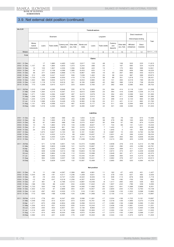BANKA SLOVENIJE

BANK OF SLOVENIA **EUROSYSTEM**

# 3.9. Net external debt position (continued)

| Mio EUR                      |                    |                       |                  |                      |                          |                          |                      | <b>Total all sectors</b> |                         |                      |                          |                           |                      |                  |
|------------------------------|--------------------|-----------------------|------------------|----------------------|--------------------------|--------------------------|----------------------|--------------------------|-------------------------|----------------------|--------------------------|---------------------------|----------------------|------------------|
|                              |                    |                       |                  |                      |                          |                          |                      |                          |                         |                      |                          |                           | Direct investment:   |                  |
|                              |                    |                       |                  | Short-term           |                          |                          |                      |                          | Long-term               |                      |                          |                           | Intercomapny lending |                  |
|                              |                    | Money                 |                  |                      |                          |                          |                      |                          |                         | Currency             |                          |                           |                      | Total            |
|                              |                    | market<br>instruments | Loans            | <b>Trade credits</b> | Currency and<br>deposits | Other debt<br>ass./liab. | Bonds and<br>notes   | Loans                    | Trade credits           | and<br>deposits      | Other debt<br>ass./liab. | Affiliated<br>enterprises | Direct<br>investors  |                  |
|                              | Stolpec            | 1                     | $\overline{c}$   | 3                    | $\overline{4}$           | 5                        | 6                    | $\overline{7}$           | 8                       | 9                    | 10                       | 11                        | 12                   | $13=1++12$       |
|                              | Koda               |                       |                  |                      |                          |                          |                      |                          |                         |                      |                          |                           |                      |                  |
|                              |                    |                       |                  |                      |                          |                          |                      | Claims                   |                         |                      |                          |                           |                      |                  |
|                              |                    |                       |                  |                      |                          |                          |                      |                          |                         |                      |                          |                           |                      |                  |
| 2001 31.Dec.<br>2002 31.Dec. |                    | $\ddotsc$<br>1,101    | 17<br>50         | 1,880<br>1,884       | 4,463<br>4,933           | 1,452<br>1,373           | 2,917<br>3,244       | 153<br>288               | 48<br>25                | $\ddotsc$            | 106<br>167               | 553<br>690                | 223<br>324           | 11,813<br>14,079 |
| 2003 31.Dec.                 |                    | 12                    | 103              | 1,907                | 4,335                    | 1,356                    | 5,392                | 422                      | 15                      | $\cdots$<br>$\cdots$ | 170                      | 864                       | 366                  | 14,941           |
| 2004 31.Dec.                 |                    | 24                    | 127              | 2,108                | 4,096                    | 1,389                    | 6,453                | 625                      | 13                      | $\cdots$             | 258                      | 836                       | 296                  | 16,225           |
| 2005 31.Dec.                 |                    | 48                    | 277              | 2,856                | 5,668                    | 1,175                    | 6,967                | 929                      | 16                      | 33                   | 267                      | 883                       | 455                  | 19,574           |
| 2006 31.Dec.                 |                    | 212                   | 438              | 3,247                | 6,037                    | 556                      | 7,039                | 1,462                    | 25                      | 38                   | 244                      | 987                       | 389                  | 20,673           |
| 2007 31.Dec.                 |                    | 1,733                 | 1,174<br>996     | 3,699                | 8,305                    | 419                      | 7,776                | 2,279                    | 38                      | 66                   | 351                      | 1,818                     | 773                  | 28,431           |
| 2008 31.Dec.<br>2009 31.Dec. |                    | 1,352<br>1,143        | 1,119            | 3,935<br>3,722       | 8,272<br>8,616           | 373<br>301               | 8,053<br>8,195       | 2,880<br>2,860           | 40<br>45                | 131<br>382           | 283<br>396               | 2,019<br>1,918            | 789<br>738           | 29,125<br>29,434 |
| 2010 31.Dec.                 |                    | 773                   | 1,328            | 3,910                | 8,277                    | 223                      | 8,654                | 2,783                    | 27                      | 282                  | 409                      | 2,080                     | 955                  | 29,702           |
| 2011 28.Feb.                 |                    | 1,010                 | 1,349            | 4,090                | 8,848                    | 330                      | 8,776                | 2,805                    | 24                      | 284                  | 414                      | 2,118                     | 1,051                | 31,099           |
|                              | 31.Mar.            | 1,049                 | 1,264            | 4,215                | 9,267                    | 514                      | 8,672                | 2,906                    | 23                      | 264                  | 416                      | 2,099                     | 1,026                | 31,713           |
|                              | 30.Apr.            | 1,271                 | 1,262            | 4,284                | 8,967                    | 497                      | 8,472                | 2,879                    | 24                      | 264                  | 405                      | 2,099                     | 942                  | 31,365           |
|                              | 31.May             | 1,256                 | 1,243            | 4,239                | 9,036                    | 492                      | 8,428                | 2,915                    | 24                      | 266                  | 411                      | 2,088                     | 986                  | 31,385           |
|                              | 30.Jun.            | 1,225                 | 1,078            | 4,267                | 9,063                    | 453                      | 8,368                | 3,105                    | 24                      | 299                  | 418                      | 2,103                     | 965                  | 31,369           |
|                              | 31.Jul.            | 1,216                 | 1,089            | 4,304                | 9,449                    | 478                      | 8,360                | 3,108                    | 24                      | 311                  | 421                      | 2,141                     | 882                  | 31,783           |
|                              | 31.Aug.<br>30.Sep. | 1,131<br>1,092        | 978<br>1,019     | 4,069<br>4,250       | 9,571<br>9,506           | 487<br>307               | 8,420<br>8,490       | 3,177<br>3,087           | 24<br>42                | 311<br>321           | 428<br>438               | 2,094<br>2,092            | 886<br>910           | 31,575<br>31,553 |
|                              |                    |                       |                  |                      |                          |                          |                      |                          |                         |                      |                          |                           |                      |                  |
|                              |                    |                       |                  |                      |                          |                          |                      | Liabilities              |                         |                      |                          |                           |                      |                  |
| 2001 31.Dec.                 |                    | 15                    | 28               | 1,690                | 396                      | 84                       | 1,934                | 5,134                    | 60                      | 162                  | 79                       | 130                       | 674                  | 10,386           |
| 2002 31.Dec.                 |                    | 56                    | 24               | 1,693                | 416                      | 138                      | 1,935                | 5,909                    | 38                      | 279                  | 68                       | 163                       | 806                  | 11,524           |
| 2003 31.Dec.                 |                    | 32                    | 87               | 1,663                | 588                      | 106                      | 2,070                | 6,927                    | 30                      | 506                  | 57                       | 185                       | 974                  | 13,225           |
| 2004 31.Dec.<br>2005 31.Dec. |                    | 13<br>21              | 73<br>638        | 1,862<br>2,848       | 579<br>901               | 133<br>165               | 2,096<br>2,070       | 8,627<br>10,974          | 17<br>$\overline{7}$    | 744<br>1,450         | 68<br>$\overline{7}$     | 131<br>433                | 1,001<br>981         | 15,343<br>20,496 |
| 2006 31.Dec.                 |                    | 24                    | 273              | 3,335                | 1,386                    | 222                      | 2,456                | 13,304                   | 3                       | 1,945                | $\overline{c}$           | 191                       | 928                  | 24,067           |
| 2007 31.Dec.                 |                    |                       | 1,675            | 3,847                | 5,150                    | 60                       | 3,191                | 13,961                   | 9                       | 2,887                | 10                       | 230                       | 3,762                | 34,783           |
| 2008 31.Dec.                 |                    |                       | 2,151            | 4,002                | 5,374                    | 69                       | 3,992                | 15,837                   | 17                      | 2,931                | 43                       | 266                       | 4,552                | 39,234           |
| 2009 31.Dec.                 |                    |                       | 822              | 3,400                | 5,291                    | 128                      | 8,711                | 14,762                   | 29                      | 2,691                | 263                      | 362                       | 3,836                | 40,294           |
| 2010 31.Dec.                 |                    |                       | 802              | 3,741                | 3,819                    | 99                       | 11,039               | 13,852                   | $\overline{7}$          | 2,413                | 295                      | 403                       | 4,229                | 40,699           |
| 2011 28.Feb.                 |                    |                       | 571              | 3,739                | 3,601                    | 125                      | 12,372               | 13,866                   | $\overline{7}$          | 2,608                | 278                      | 416                       | 4,212                | 41,796           |
|                              | 31.Mar.<br>30.Apr. |                       | 562<br>592       | 3,903<br>4,025       | 2,836<br>3,064           | 141<br>158               | 14,075<br>13,740     | 13,667<br>13,389         | 7<br>$\overline{7}$     | 2,581<br>2,624       | 290<br>269               | 433<br>411                | 4,296<br>4,337       | 42,791<br>42,615 |
|                              | 31.May             | <br>                  | 628              | 4,038                | 3,013                    | 158                      | 13,853               | 13,159                   | 7                       | 2,672                | 273                      | 407                       | 4,429                | 42,636           |
|                              | 30.Jun.            |                       | 823              | 3,864                | 3,126                    | 112                      | 13,524               | 13,088                   | $\boldsymbol{7}$        | 2,649                | 281                      | 471                       | 4,429                | 42,375           |
|                              | 31.Jul.            |                       | 689              | 3,852                | 3,333                    | 120                      | 13,445               | 13,491                   | $\overline{7}$          | 2,666                | 283                      | 424                       | 4,472                | 42,783           |
|                              | 31.Aug.            |                       | 664              | 3,565                | 3,537                    | 149                      | 13,390               | 13,441                   | 7                       | 2,682                | 278                      | 427                       | 4,474                | 42,612           |
|                              | 30.Sep.            |                       | 704              | 3,829                | 3,445                    | 132                      | 13,087               | 13,489                   | $\overline{\mathbf{7}}$ | 2,665                | 293                      | 520                       | 4,584                | 42,754           |
|                              |                    |                       |                  |                      |                          |                          |                      | Net position             |                         |                      |                          |                           |                      |                  |
| 2001 31.Dec.                 |                    | 15                    | 11               | $-190$               | $-4,067$                 | $-1,368$                 | $-983$               | 4,981                    | 11                      | 162                  | $-27$                    | $-423$                    | 451                  | $-1,427$         |
| 2002 31.Dec.                 |                    | $-1,044$              | $-26$            | $-191$               | $-4,517$                 | $-1,236$                 | $-1,309$             | 5,621                    | 13                      | 279                  | $-100$                   | $-527$                    | 482                  | $-2,555$         |
| 2003 31.Dec.                 |                    | 20                    | $-16$            | $-244$               | $-3,747$                 | $-1,250$                 | $-3,322$             | 6,505                    | 15                      | 506                  | $-113$                   | $-678$                    | 608                  | $-1,716$         |
| 2004 31.Dec.                 |                    | $-12$                 | $-54$            | $-247$               | $-3,518$                 | $-1,256$                 | $-4,357$             | 8,002                    | $\overline{4}$          | 744                  | $-190$                   | $-705$                    | 705                  | $-882$           |
| 2005 31.Dec.<br>2006 31.Dec. |                    | $-27$<br>$-188$       | 361<br>$-165$    | -8<br>88             | $-4,766$<br>$-4,651$     | $-1,010$                 | $-4,897$             | 10,046<br>11,842         | -9                      | 1,417<br>1,907       | $-260$<br>$-242$         | $-450$<br>$-796$          | 526<br>539           | 922<br>3,395     |
| 2007 31.Dec.                 |                    | $-1,733$              | 500              | 148                  | $-3,155$                 | $-334$<br>$-359$         | $-4,583$<br>$-4,585$ | 11,682                   | $-23$<br>$-30$          | 2,821                | $-341$                   | $-1,588$                  | 2,989                | 6,351            |
| 2008 31.Dec.                 |                    | $-1,352$              | 1,154            | 67                   | $-2,899$                 | $-304$                   | $-4,061$             | 12,957                   | $-23$                   | 2,800                | $-240$                   | $-1,754$                  | 3,763                | 10,109           |
| 2009 31.Dec.                 |                    | $-1, 143$             | $-297$           | $-322$               | $-3,325$                 | $-173$                   | 516                  | 11,901                   | $-16$                   | 2,309                | $-133$                   | $-1,555$                  | 3,098                | 10,860           |
| 2010 31.Dec.                 |                    | $-773$                | $-526$           | $-169$               | $-4,458$                 | $-124$                   | 2,386                | 11,069                   | $-19$                   | 2,130                | $-115$                   | $-1,677$                  | 3,274                | 10,997           |
| 2011 28.Feb.                 |                    | $-1,010$              | $-778$           | $-351$               | $-5,247$                 | $-205$                   | 3,596                | 11,061                   | $-17$                   | 2,324                | $-136$                   | $-1,702$                  | 3,161                | 10,697           |
|                              | 31.Mar.            | $-1,049$              | $-702$           | $-312$               | $-6,431$                 | $-373$                   | 5,403                | 10,761                   | $-16$                   | 2,318                | $-126$                   | $-1,666$                  | 3,270                | 11,078           |
|                              | 30.Apr.            | $-1,271$              | $-670$           | $-258$               | $-5,904$                 | $-339$                   | 5,268                | 10,510                   | $-17$                   | 2,360                | $-136$                   | $-1,688$                  | 3,395                | 11,250           |
|                              | 31.May             | $-1,256$              | $-615$           | $-201$               | $-6,022$                 | $-335$                   | 5,424                | 10,244                   | $-17$                   | 2,406                | $-139$                   | $-1,681$                  | 3,443                | 11,251           |
|                              | 30.Jun.<br>31.Jul. | $-1,225$<br>$-1,216$  | $-255$<br>$-400$ | $-403$<br>$-452$     | $-5,937$<br>$-6, 116$    | $-341$<br>$-358$         | 5,156<br>5,085       | 9,983<br>10,383          | $-17$<br>$-17$          | 2,350<br>2,355       | $-137$<br>$-138$         | $-1,632$<br>$-1,717$      | 3,464<br>3,591       | 11,006<br>11,000 |
|                              | 31.Aug.            | $-1,131$              | $-314$           | $-505$               | $-6,034$                 | $-338$                   | 4,970                | 10,264                   | $-17$                   | 2,370                | $-150$                   | $-1,666$                  | 3,588                | 11,037           |
|                              | 30.Sep.            | $-1,092$              | $-315$           | $-421$               | $-6,061$                 | -175                     | 4,597                | 10,402                   | $-36$                   | 2,344                | $-145$                   | $-1,572$                  | 3,675                | 11,202           |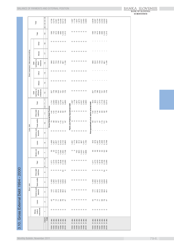|                                         |      | Total                                       | $20 = 6 + 12 + 19$            |      |                                     |                | 3,706<br>4,275                                                                           | 5,381                       |                |                |                                                    | 6,165<br>6,459<br>6,012<br>9,490 |                                     | 1,097          | 1,178                                 | 1,657<br>1,875 |                | 2,007          |                     | 2,462<br>2,883     |                                            |                | 2,609<br>3,097    | 3,724                                                                | 4,290             | 4,452          | 5,550          | 6,607                                               |
|-----------------------------------------|------|---------------------------------------------|-------------------------------|------|-------------------------------------|----------------|------------------------------------------------------------------------------------------|-----------------------------|----------------|----------------|----------------------------------------------------|----------------------------------|-------------------------------------|----------------|---------------------------------------|----------------|----------------|----------------|---------------------|--------------------|--------------------------------------------|----------------|-------------------|----------------------------------------------------------------------|-------------------|----------------|----------------|-----------------------------------------------------|
|                                         |      | Total                                       | $\frac{0}{1}$                 |      |                                     | 595            | 722                                                                                      | 910                         | 999            | 895            |                                                    | $1,045$<br>$1,312$               |                                     |                | $\circ\circ\circ\circ\circ\circ\circ$ |                |                |                |                     |                    |                                            | 595            |                   | $722$<br>$999$<br>$995$<br>$895$                                     |                   |                | 1,045          | 1,312                                               |
|                                         |      | Other                                       | $\frac{8}{1}$                 |      |                                     |                | 00000000                                                                                 |                             |                |                |                                                    |                                  |                                     |                | 00000000                              |                |                |                |                     |                    |                                            |                |                   |                                                                      |                   |                |                |                                                     |
|                                         |      | Arears                                      | $\overline{1}$                |      |                                     |                | 00000000                                                                                 |                             |                |                |                                                    |                                  |                                     |                | 00000000                              |                |                |                |                     |                    |                                            |                | $\blacksquare$    | $\mathcal{A}$                                                        | $\blacksquare$    | $\,$           | $\mathbf{I}$   |                                                     |
| Direct investment: Intercompany lending | Debt | liabilities to<br>investors<br>direct       | $\frac{6}{1}$                 |      |                                     | 388            | 544<br>724<br>756                                                                        |                             |                | 744            | 881                                                | 1,136                            |                                     |                | $\circ\circ\circ\circ\circ\circ\circ$ |                |                |                |                     |                    |                                            | 388            |                   | 544<br>724                                                           | 756               | 744            | 881            | 1,136                                               |
|                                         |      | Other                                       | $\frac{10}{10}$               |      |                                     |                | $\circ\circ\circ\circ\circ\circ\circ$                                                    |                             |                |                |                                                    |                                  |                                     |                | 00000000                              |                |                |                |                     |                    |                                            |                | $\,$              | $\mathbf{u}$                                                         |                   |                |                |                                                     |
|                                         |      | Arrears                                     | $\frac{4}{3}$                 |      |                                     |                | 00000000                                                                                 |                             |                |                |                                                    |                                  |                                     |                | 00000000                              |                |                |                |                     |                    |                                            |                | $\mathcal{A}$     | $\sim$ 1                                                             | $\sim$            | $\mathcal{A}$  | $\sim$ 1       | $\mathbf{I}$                                        |
|                                         | Debt | liabilities to<br>enterprises<br>affiliated | $\frac{8}{1}$                 |      |                                     | 207            | 178                                                                                      |                             |                |                |                                                    | 243<br>151<br>176<br>176         |                                     |                | 00000000                              |                |                |                |                     |                    |                                            | 207            |                   | $178$<br>$186$<br>$245$<br>$164$<br>$176$                            |                   |                |                |                                                     |
|                                         |      | Total                                       | $= 7 +  + 1$<br>$\frac{2}{1}$ |      |                                     | 1,741          | 2,083                                                                                    | 2,968                       | 3,347          | 3,726          | 4,811                                              | 5,895                            |                                     | 1,097          | 1,178                                 | 1,657          | 1,875          | 2,007          | 2,462               | 2,883              |                                            | 644            | 905               | 1,311                                                                |                   |                |                | $1,472$<br>$1,719$<br>$2,350$<br>$2,350$<br>$3,012$ |
|                                         |      | Other debt<br>liabilities                   | $\overline{1}$                |      | <b>Gross External Debt Position</b> | 140            |                                                                                          | $134$<br>118                | $\overline{9}$ |                | $\begin{array}{c} 30 \\ 30 \\ 30 \\ 5 \end{array}$ |                                  | Public and Publicly Guaranteed Debt |                | $\circ\circ\circ\circ$                |                |                |                | $\circ \circ \circ$ |                    | Non-guaranteed privat sector external debt | 140            | 134               | $118$                                                                |                   |                | 98880          |                                                     |
|                                         |      | Trade credits                               | $\frac{1}{2}$                 |      |                                     |                | <b>PO</b><br>66                                                                          | 82<br>87                    |                | 115            | 101                                                | 87                               |                                     |                | 0 0 0 0 0 0 0                         |                |                |                |                     |                    |                                            |                |                   | $\frac{4}{9}$ $\frac{2}{9}$ $\frac{2}{9}$                            |                   |                | $115$<br>$101$ | $\overline{8}$                                      |
| $Long - term$                           |      | Currency and<br>deposits                    | တ                             |      |                                     |                | $\circ$ $\circ$                                                                          | $\circ\circ\circ\circ\circ$ |                |                |                                                    |                                  |                                     |                | $\circ\circ\circ\circ\circ\circ\circ$ |                |                |                |                     |                    |                                            |                |                   | $\,$                                                                 | $\,$              | $\,$           |                |                                                     |
|                                         |      | Loans                                       | ${}^{\circ}$                  |      |                                     | 1,496          | 1,851                                                                                    | 1,957                       | 2,151          |                |                                                    | 2,433<br>3,134<br>3,983          |                                     | 1,091          | 1,173                                 | 890            | 912            | 967            | 1,0.31              | 1,195              |                                            | 405            | 678               | 1,067                                                                | 1,239             | 1,466          | 2,103          | 2,788                                               |
|                                         |      | Bonds and<br>notes                          | N                             |      |                                     |                |                                                                                          |                             |                |                |                                                    |                                  |                                     |                |                                       |                |                | 1,040          |                     | $1,431$<br>$1,688$ |                                            |                |                   | 5<br>5 5 5 5 7 5 6 7                                                 |                   |                |                |                                                     |
|                                         |      | Total                                       | $= 1 +  + 5$<br>$\circ$       |      |                                     |                | $\begin{array}{cccc}\n 1.371 \\ 7.470 \\ 1.503 \\ 1.638 \\ 2.453 \\ 2.283\n \end{array}$ |                             |                |                |                                                    |                                  |                                     |                | $\circ\circ\circ\circ\circ\circ\circ$ |                |                |                |                     |                    |                                            |                |                   |                                                                      |                   |                |                |                                                     |
| Short-term                              |      | Other debt<br>liabilities                   | LO                            |      |                                     |                | $\circ \circ \circ \circ \circ \circ \underset{\omega}{\circ} \circ$                     |                             |                |                |                                                    |                                  |                                     |                | 00000000                              |                |                |                |                     |                    |                                            |                |                   | $\circ \circ \circ \circ \circ \circ \underset{\omega}{\circ} \circ$ |                   |                |                |                                                     |
|                                         |      | Trade credits                               | 4                             |      |                                     |                |                                                                                          |                             |                |                |                                                    |                                  |                                     |                | $\circ\circ\circ\circ\circ\circ\circ$ |                |                |                |                     |                    |                                            |                |                   |                                                                      |                   |                |                |                                                     |
|                                         |      | Currency and<br>deposits                    | S                             |      |                                     |                | $140$<br>$171$                                                                           |                             | 0.78804        |                |                                                    |                                  |                                     |                | 00000000                              |                |                |                |                     |                    |                                            |                |                   | 75878870                                                             |                   |                |                |                                                     |
|                                         |      | Loans                                       | $\sim$                        |      |                                     |                | 4 9 2 7 8 9 7 4                                                                          |                             |                |                |                                                    |                                  |                                     |                | 00000000                              |                |                |                |                     |                    |                                            |                |                   | 4 9 2 7 8 9 7 4 9 7                                                  |                   |                |                |                                                     |
|                                         |      | instruments<br>market<br>Money              | ÷                             |      |                                     |                | 00000000                                                                                 |                             |                |                |                                                    |                                  |                                     |                | 00000000                              |                |                |                |                     |                    |                                            |                |                   | 00000000                                                             |                   |                |                |                                                     |
|                                         |      |                                             | Column                        | Code |                                     | 31.dec<br>1994 | 31.dec<br>1995                                                                           | 31.dec<br>1996              | 31.dec<br>1997 | 31.dec<br>1998 | 31.dec<br>1999                                     | 31.dec<br>2000                   |                                     | 31.dec<br>1994 | $31.\text{dec}$<br>1995               | 1996           | 31.dec<br>1997 | 31.dec<br>1998 | $31$ .dec<br>1999   | 31.dec<br>2000     |                                            | 31.dec<br>1994 | $31$ .dec<br>1995 | $31$ .dec<br>1996                                                    | $31$ .dec<br>1997 | 31.dec<br>1998 | 31.dec<br>1999 | 31.dec<br>2000                                      |

#### BANKA SLOVENIJE BANK OF SLOVENIA **EUROSYSTEM**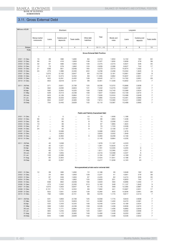**EUROSYSTEM**

# 3.11. Gross External Debt

| Millions of EUR              |                             |                      | Short-term                |                |                                     |                                             |                    | Long-term        |                          |                                    |
|------------------------------|-----------------------------|----------------------|---------------------------|----------------|-------------------------------------|---------------------------------------------|--------------------|------------------|--------------------------|------------------------------------|
|                              | Money market<br>instruments | Loans                | Currency and<br>deposuits | Trade credits  | Other debt<br>liabilities           | Total                                       | Bonds and<br>notes | Loans            | Currency and<br>deposits | Trade credits                      |
| Stolpec                      | $\mathbf{1}$                | $\sqrt{2}$           | 3                         | $\overline{4}$ | 5                                   | $6 = 1 +  + 5$                              | $\sqrt{7}$         | 8                | 9                        | 10                                 |
| Koda                         |                             |                      |                           |                |                                     |                                             |                    |                  |                          |                                    |
|                              |                             |                      |                           |                |                                     | <b>Gross External Debt Position</b>         |                    |                  |                          |                                    |
|                              |                             |                      |                           |                |                                     |                                             |                    |                  |                          |                                    |
| 2001 31.Dec.<br>2002 31.Dec. | 15<br>56                    | 28<br>24             | 396<br>416                | 1,690<br>1,693 | 84<br>138                           | 2,213<br>2,327                              | 1,934<br>1,935     | 5,134<br>5,909   | 162<br>279               | 60<br>38                           |
| 2003 31.Dec.                 | 32                          | 87                   | 588                       | 1,663          | 106                                 | 2,475                                       | 2,070              | 6,927            | 506                      | 30                                 |
| 2004 31.Dec.                 | 13                          | 73                   | 579                       | 1,862          | 133                                 | 2,659                                       | 2,096              | 8,627            | 744                      | 17                                 |
| 2005 31.Dec.                 | 21                          | 638                  | 901                       | 2,848          | 165                                 | 4,573                                       | 2,070              | 10,974           | 1,450                    | $\overline{7}$                     |
| 2006 31.Dec.                 | 24                          | 273                  | 1,386                     | 3,335          | 222                                 | 5,239                                       | 2,456              | 13,304           | 1,945                    | 3                                  |
| 2007 31.Dec.<br>2008 31.Dec. | $\cdots$                    | 1,675<br>2,151       | 5,150<br>5,374            | 3,847<br>4,002 | 60<br>69                            | 10,732<br>11,595                            | 3,191<br>3,992     | 13,961<br>15,837 | 2,887<br>2,931           | 9<br>17                            |
| 2009 31.Dec.                 | $\cdots$<br>$\cdots$        | 822                  | 5,291                     | 3,400          | 128                                 | 9,640                                       | 8,711              | 14,762           | 2,691                    | 29                                 |
| 2010 31.Dec.                 | $\cdots$                    | 802                  | 3,819                     | 3,741          | 99                                  | 8,461                                       | 11,039             | 13,852           | 2,413                    | $\overline{7}$                     |
|                              |                             |                      |                           |                |                                     |                                             |                    |                  |                          |                                    |
| 2011 28.Feb.                 | $\cdots$                    | 571                  | 3,601                     | 3,739          | 125                                 | 8,036                                       | 12,372             | 13,866           | 2,608                    | $\overline{7}$                     |
| 31.Mar.                      | $\cdots$                    | 562                  | 2,836                     | 3,903          | 141                                 | 7,442                                       | 14,075             | 13,667           | 2,581                    | $\overline{7}$                     |
| 30.Apr.<br>31.May            | $\ldots$                    | 592<br>628           | 3,064<br>3,013            | 4,025<br>4,038 | 158<br>158                          | 7,839<br>7,837                              | 13,740<br>13,853   | 13,389<br>13,159 | 2,624<br>2,672           | $\overline{7}$<br>$\overline{7}$   |
| 30.Jun.                      | $\cdots$<br>$\cdots$        | 823                  | 3,126                     | 3,864          | 112                                 | 7,926                                       | 13,524             | 13,088           | 2,649                    | $\overline{\mathfrak{c}}$          |
| 31.Jul.                      | $\cdots$                    | 689                  | 3,333                     | 3,852          | 120                                 | 7,995                                       | 13,445             | 13,491           | 2,666                    | $\overline{7}$                     |
| 31.Aug.                      | $\cdots$                    | 664                  | 3,537                     | 3,565          | 149                                 | 7,914                                       | 13,390             | 13,441           | 2,682                    | $\boldsymbol{7}$                   |
| 30.Sep.                      | $\ldots$                    | 704                  | 3,445                     | 3,829          | 132                                 | 8,110                                       | 13,087             | 13,489           | 2,665                    | $\overline{7}$                     |
|                              |                             |                      |                           |                |                                     |                                             |                    |                  |                          |                                    |
|                              |                             |                      |                           |                |                                     |                                             |                    |                  |                          |                                    |
|                              |                             |                      |                           |                | Public and Publicly Guaranteed Debt |                                             |                    |                  |                          |                                    |
|                              | 3                           |                      | $\mathsf O$               |                | 12                                  |                                             |                    |                  |                          |                                    |
| 2001 31.Dec.<br>2002 31.Dec. | 56                          | $\cdots$<br>$\cdots$ | 33                        | <br>$\cdots$   | 10                                  | 15<br>99                                    | 1,908<br>1,894     | 1,186<br>1,248   | $\cdots$<br>             | <br>                               |
| 2003 31.Dec.                 | 32                          | $\cdots$             | 30                        |                | 8                                   | 70                                          | 2,008              | 1,453            | $\cdots$                 |                                    |
| 2004 31.Dec.                 | 13                          | $\cdots$             | 36                        | $\cdots$       | 8                                   | 57                                          | 1,865              | 1,824            |                          |                                    |
| 2005 31.Dec.                 | 21                          | $\cdots$             | 39                        |                | 9                                   | 70                                          | 1,720              | 2,009            |                          |                                    |
| 2006 31.Dec.                 | 24                          | $\cdots$             | 45                        | $\cdots$       | 9                                   | 77                                          | 2,108              | 2,167            |                          |                                    |
| 2007 31.Dec.<br>2008 31.Dec. | $\cdots$                    | $\mathsf O$          | 3,588<br>3,603            |                | $\cdots$                            | 3,588<br>3,603                              | 2,832<br>3,552     | 1,676<br>1,949   |                          |                                    |
| 2009 31.Dec.                 | $\cdots$<br>$\cdots$        | $\cdots$<br>$\ldots$ | 3,360                     | $\cdots$<br>   | $\cdots$<br>0                       | 3,360                                       | 8,208              | 2,156            | $\cdots$<br>             | <br>                               |
| 2010 31.Dec.                 | $\cdots$                    | 20                   | 2,125                     | $\cdots$       | $\cdots$                            | 2,145                                       | 9,864              | 4,235            |                          | $\cdots$                           |
|                              |                             |                      |                           |                |                                     |                                             |                    |                  |                          |                                    |
| 2011 28.Feb.                 | $\cdots$                    | 40                   | 1,938                     | $\cdots$       | $\cdots$                            | 1,978                                       | 11,197             | 4,223            | $\cdots$                 |                                    |
| 31.Mar.<br>30.Apr.           | $\cdots$                    | 40<br>60             | 1,321<br>1,731            |                |                                     | 1,361<br>1,791                              | 12,625<br>12,305   | 4,197<br>4,200   | <br>0                    |                                    |
| 31.May                       | $\cdots$<br>$\cdots$        | 60                   | 1,751                     | $\cdots$<br>   | $\cdots$<br>$\cdots$                | 1,811                                       | 12,395             | 4,201            | 3                        | <br>                               |
| 30.Jun.                      | $\cdots$                    | 60                   | 1,955                     | $\cdots$       | $\cdots$                            | 2,015                                       | 12,068             | 4,227            | 5                        |                                    |
| 31.Jul.                      | $\cdots$                    | 105                  | 2,089                     |                |                                     | 2,194                                       | 11,997             | 4,189            | 10                       |                                    |
| 31.Aug.                      | $\cdots$                    | 60                   | 2,364                     | $\cdots$       | $\cdots$                            | 2,424                                       | 11,941             | 4,188            | 21                       | $\cdots$                           |
| 30.Sep.                      |                             | 60                   | 2,357                     |                |                                     | 2,417                                       | 11,658             | 4,163            | 23                       |                                    |
|                              |                             |                      |                           |                |                                     |                                             |                    |                  |                          |                                    |
|                              |                             |                      |                           |                |                                     | Non-guaranteed private sector external debt |                    |                  |                          |                                    |
|                              |                             |                      |                           |                | 72                                  |                                             |                    |                  |                          |                                    |
| 2001 31.Dec.<br>2002 31.Dec. | 12<br>$\cdots$              | 28<br>24             | 396<br>383                | 1,690<br>1,693 | 128                                 | 2,198<br>2,227                              | 26<br>41           | 3,948<br>4,661   | 162<br>279               | 60<br>38                           |
| 2003 31.Dec.                 | $\cdots$                    | 87                   | 558                       | 1,663          | 97                                  | 2,405                                       | 62                 | 5,474            | 506                      | 30                                 |
| 2004 31.Dec.                 | $\cdots$                    | 73                   | 543                       | 1,862          | 125                                 | 2,603                                       | 231                | 6,803            | 744                      | 17                                 |
| 2005 31.Dec.                 | $\cdots$                    | 638                  | 862                       | 2,848          | 156                                 | 4,503                                       | 350                | 8,966            | 1,450                    | $\overline{7}$                     |
| 2006 31.Dec.                 | $\cdots$                    | 273                  | 1,342                     | 3,335          | 213                                 | 5,162                                       | 349                | 11,137           | 1,945                    | 3                                  |
| 2007 31.Dec.<br>2008 31.Dec. | $\cdots$                    | 1,675<br>2,151       | 1,563<br>1,770            | 3,847<br>4,002 | 60<br>69                            | 7,145<br>7,992                              | 359<br>441         | 12,285<br>13,887 | 2,887<br>2,931           | 9<br>17                            |
| 2009 31.Dec.                 | $\cdots$<br>$\cdots$        | 822                  | 1,931                     | 3,400          | 128                                 | 6,280                                       | 503                | 12,606           | 2,691                    | 29                                 |
| 2010 31.Dec.                 | $\cdots$                    | 782                  | 1,694                     | 3,741          | 99                                  | 6,316                                       | 1,175              | 9,617            | 2,413                    | $\overline{7}$                     |
|                              |                             |                      |                           |                |                                     |                                             |                    |                  |                          |                                    |
| 2011 28.Feb.                 | $\cdots$                    | 531                  | 1,663                     | 3,739          | 125                                 | 6,058                                       | 1,175              | 9,643            | 2,608                    | $\boldsymbol{7}$                   |
| 31.Mar.<br>30.Apr.           | $\cdots$                    | 522<br>532           | 1,515<br>1,333            | 3,903<br>4,025 | 141<br>158                          | 6,082<br>6,048                              | 1,450<br>1,434     | 9,470<br>9,189   | 2,581<br>2,624           | $\boldsymbol{7}$<br>$\overline{7}$ |
| 31.May                       | $\cdots$<br>$\ldots$        | 568                  | 1,263                     | 4,038          | 158                                 | 6,026                                       | 1,458              | 8,958            | 2,670                    | $\boldsymbol{7}$                   |
| 30.Jun.                      | $\cdots$                    | 763                  | 1,171                     | 3,864          | 112                                 | 5,911                                       | 1,456              | 8,860            | 2,644                    | $\overline{\mathcal{I}}$           |
| 31.Jul.                      | $\ldots$                    | 584                  | 1,245                     | 3,852          | 120                                 | 5,801                                       | 1,448              | 9,302            | 2,656                    | $\boldsymbol{7}$                   |
| 31.Aug.                      | $\cdots$                    | 604                  | 1,172                     | 3,565          | 149                                 | 5,490                                       | 1,449              | 9,253            | 2,661                    | $\boldsymbol{7}$                   |
| 30.Sep.                      | $\cdots$                    | 644                  | 1,089                     | 3,829          | 132                                 | 5,694                                       | 1,428              | 9,326            | 2,642                    | $\overline{7}$                     |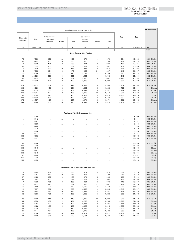|                      |                  |                              |                                                    |                      | Direct investment: Intercompany lending     |                         |                |                |                  | Millions of EUR              |
|----------------------|------------------|------------------------------|----------------------------------------------------|----------------------|---------------------------------------------|-------------------------|----------------|----------------|------------------|------------------------------|
|                      |                  |                              |                                                    |                      |                                             |                         |                |                |                  |                              |
| Other debt           |                  | Debt liabilities             |                                                    |                      | Debt liabilities                            |                         |                | Total          | Total            |                              |
| liabilities          | Total            | to affiliated<br>enterprises | Arrears                                            | Other                | to direct<br>investors                      | Arrears                 | Other          |                |                  |                              |
| 11                   | $12 = 7 +  + 11$ | 13                           | 14                                                 | 15                   | 16                                          | 17                      | 18             | 19             | $20=6+12+19$     | Stolpec                      |
|                      |                  |                              |                                                    |                      |                                             |                         |                |                |                  | Koda                         |
|                      |                  |                              |                                                    |                      | <b>Gross External Debt Position</b>         |                         |                |                |                  |                              |
| 79                   | 7,369            | 130                          |                                                    | 130                  | 674                                         | $\sqrt{4}$              | 670            | 804            | 10,386           | 2001 31.Dec.                 |
| 68                   | 8,229            | 163                          | $\mathsf{O}\xspace$                                | 163                  | 806                                         | $\overline{7}$          | 799            | 969            | 11,524           | 2002 31.Dec.                 |
| 57                   | 9,590            | 185                          | 0                                                  | 185                  | 974                                         | 8                       | 966            | 1,160          | 13,225           | 2003 31.Dec.                 |
| 68<br>$\overline{7}$ | 11,552           | 131<br>433                   | 1<br>0                                             | 131<br>433           | 1,001<br>981                                | 9<br>5                  | 992<br>976     | 1,132          | 15,343           | 2004 31.Dec.<br>2005 31.Dec. |
| $\sqrt{2}$           | 14,509<br>17,709 | 191                          | 12                                                 | 179                  | 928                                         | 31                      | 897            | 1,415<br>1,119 | 20,496<br>24,067 | 2006 31.Dec.                 |
| 10                   | 20,059           | 230                          | $\cdots$                                           | 230                  | 3,762                                       | $\overline{\mathbf{c}}$ | 3,759          | 3,992          | 34,783           | 2007 31.Dec.                 |
| 43                   | 22,820           | 266                          | $\mathsf O$                                        | 266                  | 4,552                                       | $\overline{4}$          | 4,548          | 4,818          | 39,234           | 2008 31.Dec.                 |
| 263                  | 26,455           | 362                          | 0                                                  | 362                  | 3,836                                       | $\overline{4}$          | 3,831          | 4,198          | 40,294           | 2009 31.Dec.                 |
| 295                  | 27,606           | 403                          | 0                                                  | 403                  | 4,229                                       | $\overline{7}$          | 4,222          | 4,632          | 40,699           | 2010 31.Dec.                 |
| 278                  | 29,132           | 416                          | $\sqrt{2}$                                         | 415                  | 4,212                                       | 10                      | 4,202          | 4,628          | 41,796           | 2011 28.Feb.                 |
| 290                  | 30,620           | 433                          | $\overline{\mathbf{c}}$                            | 431                  | 4,296                                       | 9                       | 4,288          | 4,729          | 42,791           | 31.Mar.                      |
| 269                  | 30,028           | 411                          | $\sqrt{2}$                                         | 409                  | 4,337                                       | 10                      | 4,327          | 4,748          | 42,615           | 30.Apr.                      |
| 273                  | 29,964           | 407                          | $\overline{\mathbf{c}}$                            | 405                  | 4,429                                       | 10                      | 4,418          | 4,835          | 42,636           | 31.May                       |
| 281                  | 29,549           | 471                          | $\mathbf{1}$                                       | 470                  | 4,429                                       | 13                      | 4,416          | 4,900          | 42,375           | 30.Jun.                      |
| 283                  | 29,892           | 424                          | 1                                                  | 423                  | 4,472                                       | 5                       | 4,468          | 4,897          | 42,783           | 31.Jul.                      |
| 278                  | 29,797           | 427                          | $\mathbf 0$                                        | 427                  | 4,474                                       | 3                       | 4,471          | 4,902          | 42,612           | 31.Aug.                      |
| 293                  | 29,540           | 520                          | 0                                                  | 520                  | 4,584                                       | 6                       | 4,578          | 5,104          | 42,754           | 30.Sep.                      |
|                      |                  |                              |                                                    |                      |                                             |                         |                |                |                  |                              |
|                      |                  |                              |                                                    |                      | Public and Publicly Guaranteed Debt         |                         |                |                |                  |                              |
|                      | 3,095            |                              |                                                    |                      | $\cdots$                                    |                         |                |                | 3,109            | 2001 31.Dec.                 |
|                      | 3,142            |                              |                                                    |                      | $\ddotsc$                                   |                         |                |                | 3,241            | 2002 31.Dec.                 |
|                      | 3,461            | $\cdots$                     |                                                    | $\cdots$             | $\ddotsc$                                   |                         |                |                | 3,531<br>3,745   | 2003 31.Dec.<br>2004 31.Dec. |
|                      | 3,689<br>3,729   |                              |                                                    | $\cdots$             | $\cdots$                                    |                         |                |                | 3,799            | 2005 31.Dec.                 |
| $\cdots$             | 4,275            | $\cdots$                     | $\cdots$                                           | $\cdots$             | $\cdots$                                    |                         |                |                | 4,352            | 2006 31.Dec                  |
| $\cdots$<br>$\cdots$ | 4,508            | <br>$\cdots$                 | $\cdots$<br>                                       | $\cdots$<br>$\cdots$ | $\ddotsc$                                   | <br>                    |                | $\cdots$       | 8,096            | 2007 31.Dec.                 |
| 32                   | 5,533            |                              | $\cdots$                                           | $\cdots$             | $\cdots$<br>$\ddotsc$                       |                         | <br>           | <br>           | 9,137            | 2008 31.Dec.                 |
| 238                  | 10,602           | $\cdots$                     |                                                    | $\cdots$             | $\cdots$                                    |                         |                |                | 13,962           | 2009 31.Dec                  |
| 252                  | 14,351           | $\cdots$                     |                                                    |                      | $\ddotsc$                                   |                         |                |                | 16,496           | 2010 31.Dec.                 |
| 250                  | 15,670           |                              |                                                    |                      | $\cdots$                                    |                         |                |                | 17,648           | 2011 28.Feb.                 |
| 245                  | 17,068           | $\cdots$                     | $\cdots$                                           | $\ldots$             | $\cdots$                                    | $\cdots$                |                | $\cdots$       | 18,428           | 31.Mar.                      |
| 240                  | 16,745           |                              | $\cdots$                                           | $\cdots$             | $\ddotsc$                                   |                         |                | $\cdots$       | 18,536           | 30.Apr.                      |
| 243                  | 16,842           |                              |                                                    |                      |                                             |                         | $\cdots$       |                | 18,653           | 31.May                       |
| 249                  | 16,549           |                              | $\cdots$                                           | $\cdots$             | $\ddotsc$                                   |                         |                | $\cdots$       | 18,564           | 30.Jun.                      |
| 252                  | 16,449           | $\cdots$                     |                                                    | $\cdots$             | $\cdots$                                    |                         |                |                | 18,642           | 31.Jul.                      |
| 250                  | 16,399           |                              |                                                    | $\cdots$             | $\ddotsc$                                   |                         |                |                | 18,823           | 31.Aug.                      |
| 259                  | 16,103           | $\cdots$                     |                                                    | $\cdots$             |                                             |                         |                |                | 18,520           | 30.Sep.                      |
|                      |                  |                              |                                                    |                      | Non-guaranteed private sector external debt |                         |                |                |                  |                              |
| 79                   | 4,274            | 130                          | $\ldots$                                           | 130                  | 674                                         | $\overline{\mathbf{4}}$ | 670            | 804            | 7,276            | 2001 31.Dec.                 |
| 68                   | 5,087            | 163                          | 0                                                  | 163                  | 806                                         | $\boldsymbol{7}$        | 799            | 969            | 8,283            | 2002 31.Dec.                 |
| 57                   | 6,129            | 185                          | 0                                                  | 185                  | 974                                         | 8                       | 966            | 1,160          | 9,694            | 2003 31.Dec.                 |
| 68                   | 7,863            | 131                          | 1                                                  | 131                  | 1,001                                       | 9                       | 992            | 1,132          | 11,598           | 2004 31.Dec.                 |
| $\sqrt{7}$           | 10,780           | 433                          | $\mathsf{O}\xspace$                                | 433                  | 981                                         | 5                       | 976            | 1,415          | 16,697           | 2005 31.Dec.                 |
| $\sqrt{2}$           | 13,435           | 191                          | 12                                                 | 179                  | 928                                         | 31                      | 897            | 1,119          | 19,715           | 2006 31.Dec.                 |
| 10                   | 15,550           | 230                          | $\cdots$                                           | 230                  | 3,762                                       | $\overline{\mathbf{c}}$ | 3,759          | 3,992          | 26,687           | 2007 31.Dec.                 |
| 11                   | 17,287           | 266                          | 0                                                  | 266                  | 4,552                                       | 4                       | 4,548          | 4,818          | 30,097           | 2008 31.Dec.                 |
| 25                   | 15,854           | 362                          | 0                                                  | 362                  | 3,836                                       | 4                       | 3,831          | 4,198          | 26,332           | 2009 31.Dec.<br>2010 31.Dec. |
| 43                   | 13,255           | 403                          | 0                                                  | 403                  | 4,229                                       | $\overline{7}$          | 4,222          | 4,632          | 24,203           |                              |
| 28                   | 13,462           | 416                          | $\sqrt{2}$                                         | 415                  | 4,212                                       | 10                      | 4,202          | 4,628          | 24,148           | 2011 28.Feb.                 |
| 44                   | 13,552           | 433                          | $\sqrt{2}$                                         | 431                  | 4,296                                       | 9                       | 4,288          | 4,729          | 24,363           | 31.Mar.                      |
| 29<br>29             | 13,284<br>13,122 | 411<br>407                   | $\overline{\mathbf{c}}$<br>$\overline{\mathbf{c}}$ | 409<br>405           | 4,337                                       | 10<br>10                | 4,327          | 4,748          | 24,080           | 30.Apr.<br>31.May            |
| 32                   | 13,000           | 471                          | $\mathbf{1}$                                       | 470                  | 4,429<br>4,429                              | 13                      | 4,418<br>4,416 | 4,835<br>4,900 | 23,983<br>23,810 | 30.Jun.                      |
| 31                   | 13,444           | 424                          | 1                                                  | 423                  | 4,472                                       | 5                       | 4,468          | 4,897          | 24,141           | 31.Jul.                      |
| 28                   | 13,398           | 427                          | 0                                                  | 427                  | 4,474                                       | 3                       | 4,471          | 4,902          | 23,789           | 31.Aug.                      |
| 34                   | 13,436           | 520                          | 0                                                  | 520                  | 4,584                                       | 6                       | 4,578          | 5,104          | 24,234           | 30.Sep.                      |
|                      |                  |                              |                                                    |                      |                                             |                         |                |                |                  |                              |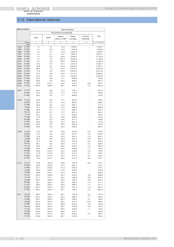BANK OF SLOVENIA **EUROSYSTEM**

# 3.12. International reserves

|              | Millions of EUR  |                |                |                                 | Bank of Slovenia    |                          |                         |
|--------------|------------------|----------------|----------------|---------------------------------|---------------------|--------------------------|-------------------------|
|              |                  |                |                | Total reserves (including gold) |                     |                          |                         |
|              |                  | Gold           | SDR's          | Reserve<br>position in IMF      | Foreign<br>exchange | Financial<br>derivatives | Total                   |
|              | Column           | 1              | $\overline{2}$ | 3                               | $\overline{4}$      | 5                        | $6 = 1 + 2 + 3 + 4 + 5$ |
|              | Code             |                |                |                                 |                     |                          |                         |
| 1994<br>1995 | 31.Dec<br>31.Dec | 0.1<br>0.1     | 0.1<br>0.0     | 15.3<br>14.9                    | 1,206.5             |                          | 1,222.0                 |
| 1996         | 31.Dec           | 0.1            | 0.1            | 14.9                            | 1,405.9<br>1,837.9  | <br>                     | 1,420.9<br>1,853.0      |
| 1997         | 31.Dec           | 0.1            | 0.1            | 15.7                            | 2,987.3             |                          | 3,003.1                 |
| 1998         | 31.Dec           | 0.1            | 0.2            | 55.8                            | 3,048.5             |                          | 3,104.6                 |
| 1999         | 31.Dec           | 0.1            | 1.6            | 107.3                           | 3,050.3             |                          | 3,159.3                 |
| 2000         | 31.Dec           | 0.1            | 4.0            | 88.5                            | 3,343.3             |                          | 3,435.9                 |
| 2001         | 31.Dec           | 76.2           | 5.7            | 91.3                            | 4,810.5             |                          | 4,983.7                 |
| 2002         | 31.Dec           | 79.9           | 6.7            | 115.9                           | 6,578.9             |                          | 6,781.4                 |
| 2003         | 31.Dec           | 80.9           | 7.3            | 115.7                           | 6,675.0             |                          | 6,878.9                 |
| 2004<br>2005 | 31.Dec<br>31.Dec | 77.8           | 8.2            | 87.9                            | 6,367.9             |                          | 6,541.8                 |
| 2006         | 31.Dec           | 70.4<br>78.4   | 9.8<br>9.3     | 43.6<br>27.8                    | 6,770.7<br>5,304.5  |                          | 6,894.6<br>5,420.0      |
| 2007         | 31.Dec           | 58.2           | 8.6            | 17.1                            | 639.9               | <br>                     | 723.8                   |
| 2008         | 31.Dec           | 63.6           | 8.5            | 33.2                            | 582.0               |                          | 687.2                   |
| 2009         | 31.Dec           | 78.3           | 215.7          | 45.8                            | 414.0               | $-4.8$                   | 749.1                   |
| 2010         | 31.Dec           | 108.0          | 229.5          | 59.1                            | 406.2               | 0.3                      | 803.2                   |
| 2007         | 31.Oct           | 56.0           | 8.8            | 17.3                            | 705.1               |                          | 787.2                   |
|              | 30.Nov           | 54.4           | 8.5            | 17.2                            | 715.6               |                          | 795.6                   |
|              | 31.Dec           | 58.2           | 8.6            | 17.1                            | 639.9               |                          | 723.8                   |
| 2008         | 31.Jan           | 63.6           | 8.5            | 16.1                            | 640.3               |                          | 728.5                   |
|              | 29.Feb           | 65.5           | 8.4            | 15.0                            | 600.5               |                          | 689.3                   |
|              | 31.Mar           | 60.6           | 8.5            | 14.7                            | 687.7               |                          | 771.5                   |
|              | 30.Apr           | 57.3           | 8.2            | 14.7                            | 608.6               |                          | 688.8                   |
|              | 31.May<br>30.Jun | 58.4<br>60.5   | 8.1<br>8.1     | 17.9<br>17.7                    | 589.3<br>601.4      |                          | 673.7<br>687.6          |
|              | $31$ .Jul        | 60.1           | 8.1            | 17.7                            | 678.5               | <br>                     | 764.5                   |
|              | 31.Aug           | 57.8           | 8.2            | 18.2                            | 589.6               |                          | 673.9                   |
|              | 30.Sep           | 64.1           | 8.4            | 18.6                            | 617.7               |                          | 708.9                   |
|              | 31.Oct           | 58.6           | 8.9            | 19.7                            | 631.3               |                          | 718.5                   |
|              | 30.Nov           | 65.4           | 9.0            | 35.3                            | 633.6               |                          | 743.4                   |
|              | 31.Dec           | 63.6           | 8.5            | 33.2                            | 582.0               |                          | 687.2                   |
| 2009         | 31.Jan           | 73.3           | 8.9            | 35.0                            | 610.9               | $-2.3$                   | 725.9                   |
|              | 28.Feb           | 77.0           | 8.9            | 34.9                            | 524.2               | $-1.8$                   | 643.2                   |
|              | 31.Mar           | 70.6           | 8.6            | 33.8                            | 481.4               | 7.8                      | 602.1                   |
|              | 30.Apr<br>31.May | 68.0<br>70.7   | 8.6            | 34.0                            | 491.5<br>407.8      | 0.6                      | 602.7                   |
|              | 30.Jun           | 68.1           | 8.3<br>8.4     | 45.8<br>46.3                    | 417.0               | 0.5<br>$-0.7$            | 533.2<br>539.0          |
|              | 31.Jul           | 67.9           | 8.4            | 46.2                            | 472.4               | $-1.5$                   | 593.4                   |
|              | 31.Aug           | 68.0           | 196.6          | 46.1                            | 439.6               | $-1.7$                   | 748.7                   |
|              | 30.Sep           | 69.9           | 214.2          | 45.5                            | 420.6               | 2.4                      | 752.6                   |
|              | 31.Oct           | 71.8           | 212.8          | 45.2                            | 412.7               | 3.7                      | 746.3                   |
|              | 30.Nov           | 80.0           | 212.4          | 45.1                            | 401.4               | 0.2                      | 739.1                   |
|              | 31.Dec           | 78.3           | 215.7          | 45.8                            | 414.0               | 4.8                      | 749.1                   |
| 2010         | 31.Jan           | 78.9           | 220.6          | 46.8                            | 376.4               | $-8.6$                   | 714.1                   |
|              | 28.Feb           | 83.5           | 223.9          | 47.5                            | 367.2               |                          | 722.1                   |
|              | 31.Mar           | 84.1           | 223.6          | 47.4                            | 367.9               |                          | 723.1                   |
|              | 30.Apr<br>31.May | 90.5<br>99.6   | 225.3          | 47.8                            | 342.0<br>418.5      |                          | 705.6                   |
|              | 30.Jun           | 103.3          | 237.4<br>238.8 | 50.4<br>50.7                    | 444.4               | <br>0.8                  | 806.0<br>838.0          |
|              | 31.Jul           | 91.7           | 231.1          | 49.1                            | 439.6               | 8.8                      | 820.4                   |
|              | 31.Aug           | 100.4          | 236.0          | 60.8                            | 430.7               | 4.8                      | 832.7                   |
|              | 30.Sep           | 98.1           | 226.1          | 58.2                            | 390.0               | $-1.4$                   | 771.1                   |
|              | 31.Oct           | 99.3           | 225.0          | 58.0                            | 366.0               | $-1.1$                   | 747.1                   |
|              | 30.Nov           | 108.7          | 232.5          | 60.0                            | 401.2               | $-1.2$                   | 801.3                   |
|              | 31.Dec           | 108.0          | 229.5          | 59.1                            | 406.2               | 0.3                      | 803.2                   |
| 2011         | 31.Jan           | 99.2           | 226.4          | 69.7                            | 374.9               | 0.3                      | 770.5                   |
|              | 28.Feb           | 104.4          | 225.5          | 55.4                            | 366.3               | 1.7                      | 753.2                   |
|              | 31.Mar           | 103.1          | 209.4          | 85.5                            | 356.3               | 5.1                      | 759.4                   |
|              | 30.Apr<br>31.May | 106.2          | 204.5          | 83.5                            | 331.5               | 10.6                     | 736.4                   |
|              | 30.Jun           | 109.3<br>106.8 | 207.7<br>231.0 | 88.8<br>88.7                    | 342.2<br>318.8      | 1.9<br>2.6               | 749.9<br>747.8          |
|              | 31.Jul           | 116.9          | 234.5          | 90.0                            | 335.8               | 1.1                      | 778.3                   |
|              | 31.Aug           | 128.4          | 232.3          | 89.2                            | 316.7               | $\cdots$                 | 766.6                   |
|              | 30.Sep           | 123.5          | 241.4          | 92.7                            | 304.8               | $-2.1$                   | 760.2                   |
|              | 31.Oct           | 125.9          | 234.6          | 90.1                            | 313.9               |                          | 764.4                   |
|              |                  |                |                |                                 |                     |                          |                         |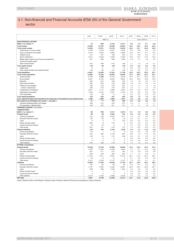### 4.1. Non-financial and Financial Accounts (ESA 95) of the General Government sector

|                                                                                              | 2007      | 2008                | 2009           | 2010         | 2007       | 2008          | 2009             | 2010       |
|----------------------------------------------------------------------------------------------|-----------|---------------------|----------------|--------------|------------|---------------|------------------|------------|
|                                                                                              |           |                     | miljon eur     |              |            |               | share in GDP (%) |            |
| NON-FINANCIAL ACCOUNT                                                                        |           |                     |                |              |            |               |                  |            |
| Deficit (-) or surplus (+)                                                                   | $-16$     | $-695$              | $-2,146$       | $-2,071$     | 0.0        | $-1.9$        | $-6.1$           | $-5.8$     |
| Total revenue                                                                                | 14,665    | 15,797              | 15,258         | 15,676       | 42.4       | 42.4          | 43.2             | 44.3       |
| Total current revenue                                                                        | 14,520    | 15,701              | 15,120         | 15,555       | 42.0       | 42.1          | 42.8             | 43.9       |
| Current taxes on income, wealth                                                              | 3,168     | 3,320               | 2,931          | 2,918        | 9.2        | 8.9           | 8.3              | 8.2        |
| Taxes on production and imports                                                              | 5,016     | 5,225               | 4,995          | 5,066        | 14.5       | 14.0          | 14.1             | 14.3       |
| Property income                                                                              | 247       | 327                 | 189            | 254          | 0.7        | 0.9           | 0.5              | 0.7        |
| Social contributions                                                                         | 4,814     | 5,326               | 5,388          | 5,495        | 13.9       | 14.3          | 15.3             | 15.5       |
| Market output, output for own final use and payments                                         | 901       | 996                 | 999            | 1,066        | 2.6        | 2.7           | 2.8              | 3.0        |
| for other non-market output                                                                  | 376       | 508                 | 619            |              |            |               | 1.8              | 2.1        |
| Other current transfers<br>Total capital revenue                                             | 145       | 96                  | 138            | 756<br>122   | 1.1<br>0.4 | 1.4<br>0.3    | 0.4              | 0.3        |
| Capital taxes                                                                                | 9         | 11                  | 11             | 14           | 0.0        | 0.0           | 0.0              | 0.0        |
| Other capital transfers and investment grants                                                | 136       | 85                  | 127            | 108          | 0.4        | 0.2           | 0.4              | 0.3        |
| <b>Total expenditure</b>                                                                     | 14,681    | 16,492              | 17,403         | 17,748       | 42.5       | 44.2          | 49.3             | 50.1       |
| Total current expenditure                                                                    | 12,882    | 14,354              | 15,293         | 15,848       | 37.3       | 38.5          | 43.3             | 44.7       |
| Current transfers                                                                            | 6,736     | 7,496               | 8,100          | 8,330        | 19.5       | 20.1          | 22.9             | 23.5       |
| Social benefits                                                                              | 5,627     | 6,192               | 6,634          | 6,920        | 16.3       | 16.6          | 18.8             | 19.5       |
| Subsidies                                                                                    | 550       | 612                 | 766            | 763          | 1.6        | 1.6           | 2.2              | 2.2        |
| Other current transfers                                                                      | 560       | 692                 | 700            | 646          | 1.6        | 1.9           | 2.0              | 1.8        |
| Property income (payable)                                                                    | 438       | 416                 | 479            | 581          | 1.3        | 1.1           | 1.4              | 1.6        |
| of which: interest rates                                                                     | 438       | 416                 | 479            | 581          | 1.3        | 1.1           | 1.4              | 1.6        |
| Compensation of employees                                                                    | 3,641     | 4,112               | 4,399          | 4,500        | 10.5       | 11.0          | 12.5             | 12.7       |
| Intermediate consumption                                                                     | 1,939     | 2,245               | 2,301          | 2,424        | 5.6        | 6.0           | 6.5              | 6.8        |
| Other expenditure                                                                            | 128       | 85                  | 14             | 13           | 0.4        | 0.2           | 0.0              | 0.0        |
| Total capital expenditure                                                                    | 316       | 452                 | 441            | 363          | 0.9        | $1.2$         | $1.2$            | 1.0        |
| Gross capital formation and Acquisitions less disposals of non-financial non-produced assets | 1.483     | 1.686               | 1.669          | 1.537        | 4.3        | 4.5           | 4.7              | 4.3        |
| Net receipts from EU Budget (net receiver +, net payer -)                                    | 91        | $-11$               | 197            | 358          | 0.3        | 0.0           | 0.6              | 1.0        |
| Payments by Member State to EU Budget                                                        | 358       | 414                 | 423            | 372          | 1.0        | 1.1           | 1.2              | 1.1        |
| EU expenditure in Member State                                                               | 449       | 404                 | 621            | 731          | 1.3        | 1.1           | 1.8              | 2.1        |
| FINANCIAL ACCOUNT, consolidated                                                              |           |                     |                |              |            |               |                  |            |
| <b>TRANSACTIONS</b>                                                                          |           |                     |                |              |            |               |                  |            |
| Deficit (-) or surplus (+)                                                                   | $-29$     | $-706$              | $-2, 131$      | $-2,072$     | $-0.1$     | $-1.9$        | $-6.0$           | $-5.8$     |
| <b>Financial assets</b>                                                                      | 96        | 88                  | 2,063          | $-722$       | 0.3        | 0.2           | 5.8              | $-2.0$     |
| Currency and deposits                                                                        | 412       | 248                 | 2,062          | $-971$       | 1.2        | 0.7           | 5.8              | $-2.7$     |
| Securities other than shares                                                                 | 103       | $-49$               | $-46$          | 23           | 0.3        | $-0.1$        | $-0.1$           | 0.1        |
| Loans                                                                                        | 8         | $\mathbf 0$         | $\overline{c}$ | 100          | 0.0        | 0.0           | 0.0              | 0.3        |
| Shares and other equity                                                                      | -806      | -8                  | 154            | $-3$         | $-2.3$     | 0.0           | 0.4              | 0.0        |
| Insurance technical reserves<br>Other assets                                                 | 18<br>361 | $-13$<br>$-91$      | $-4$<br>$-105$ | $-1$<br>131  | 0.1<br>1.0 | 0.0<br>$-0.2$ | 0.0<br>$-0.3$    | 0.0<br>0.4 |
| <b>Financial liabilities</b>                                                                 | 125       | 793                 | 4,194          | 1,350        | 0.4        | 2.1           | 11.9             | 3.8        |
| Currency and deposits                                                                        | 119       | $\mathbf{1}$        | 6              | 8            | 0.3        | 0.0           | 0.0              | 0.0        |
| Securities other than shares                                                                 | $-194$    | 390                 | 4,153          | 891          | $-0.6$     | 1.0           | 11.8             | 2.5        |
| Loans                                                                                        | $-145$    | 44                  | 212            | 438          | $-0.4$     | 0.1           | 0.6              | 1.2        |
| Shares and other equity                                                                      | $\circ$   | $\mathsf{O}\xspace$ | $\Omega$       | $\circ$      | 0.0        | 0.0           | 0.0              | 0.0        |
| Insurance technical reserves                                                                 | $\circ$   | 0                   | $\Omega$       | $\mathsf O$  | 0.0        | 0.0           | 0.0              | 0.0        |
| Other liabilities                                                                            | 345       | 358                 | $-176$         | 13           | 1.0        | 1.0           | $-0.5$           | 0.0        |
| STOCKS, consolidated                                                                         |           |                     |                |              |            |               |                  |            |
| <b>Financial assets</b>                                                                      | 16,458    | 13,194              | 15,599         | 16,856       | 47.6       | 35.4          | 44.2             | 47.6       |
| Currency and deposits                                                                        | 1,978     | 2,280               | 4,336          | 3,485        | 5.7        | 6.1           | 12.3             | 9.8        |
| Securities other than shares                                                                 | 361       | 311                 | 274            | 304          | 1.0        | 0.8           | 0.8              | 0.9        |
| Loans                                                                                        | 363       | 448                 | 280            | 382          | 1.1        | 1.2           | 0.8              | 1.1        |
| Shares and other equity                                                                      | 11,319    | 7,811               | 8,561          | 10,514       | 32.7       | 21.0          | 24.2             | 29.7       |
| Insurance technical reserves                                                                 | 26        | 13                  | 10             | 9            | 0.1        | 0.0           | 0 <sub>0</sub>   | 0.0        |
| Other assets                                                                                 | 2,412     | 2,330               | 2,137          | 2,161        | 7.0        | 6.3           | 6.1              | 6.1        |
| Liabilities                                                                                  | 10,603    | 11,320              | 15,645         | 17,154       | 30.7       | 30.4          | 44.3             | 48.4       |
| Currency and deposits                                                                        | 165       | 82                  | 88             | 95           | 0.5        | 0.2           | 0.2              | 0.3        |
| Securities other than shares                                                                 | 7,191     | 7,603               | 11,946         | 12,991       | 20.8       | 20.4          | 33.8             | 36.7       |
| Loans                                                                                        | 836       | 838                 | 1,045          | 1,487        | 2.4        | 2.2           | 3.0              | 4.2        |
| Shares and other equity                                                                      | $\circ$   | 1                   | $\Omega$       | $\mathbf{1}$ | 0.0        | 0.0           | 0.0              | 0.0        |
| Insurance technical reserves                                                                 | $\Omega$  | $\circ$             | $\Omega$       | $\circ$      | 0.0        | 0.0           | 0.0              | 0.0        |
| Other liabilities                                                                            | 2,410     | 2,795               | 2,566          | 2,579        | 7.0        | 7.5           | 7.3              | 7.3        |
| EDP debt                                                                                     | 7,981     | 8.180               | 12.449         | 13.737       | 23.1       | 21.9          | 35.3             | 38.8       |

Source: Statistical Office of the Republic of Slovenia, Bank of Slovenia, Ministry of Finance and computations in Bank of Slovenia.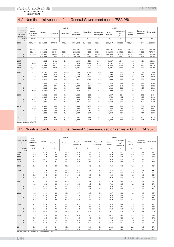# BANKA SLOVENIJE

BANK OF SLOVENIA **EUROSYSTEM**

### 4.2. Non-financial Account of the General Government sector (ESA 95)

| Current prices, till                                                      | Deficit /                             |                |                         | of which       |                         |             |                             | of which           |                                  |                     |                         |               |
|---------------------------------------------------------------------------|---------------------------------------|----------------|-------------------------|----------------|-------------------------|-------------|-----------------------------|--------------------|----------------------------------|---------------------|-------------------------|---------------|
| 31.12.2006 in<br>Millions of SIT.<br>after 1.1.2007 in<br>Millions of EUR | surplus<br>(non-financial<br>account) | Revenue        | Direct taxes            | Indirect taxes | Social<br>contributions | Expenditure | Intermediate<br>consumption | Social<br>payments | Compensatio<br>n of<br>employees | Interest<br>payable | Govemment<br>investment | Fiscal burden |
| Stolpec                                                                   | $1 = 2 - 6$                           | $\overline{2}$ | $\overline{\mathbf{3}}$ | $\overline{4}$ | $\overline{5}$          | 6           | $\overline{7}$              | 8                  | 9                                | 10                  | 11                      | 12            |
| Koda                                                                      |                                       |                |                         |                |                         |             |                             |                    |                                  |                     |                         |               |
| 2006                                                                      | $-101,272$                            | 3,215,034      | 677,510                 | 1,110,707      | 1,061,246               | 3,316,306   | 463,440                     | 1,288,017          | 833,923                          | 103,644             | 274,244                 | 2,850,805     |
| 2006                                                                      | $-45.987$                             | 717.554        | 150.662                 | 239.185        | 253,635                 | 763.541     | 103.572                     | 308.105            | 196.457                          | 25.761              | 59.646                  | 643.769       |
| Ш                                                                         | $-39,612$                             | 819,353        | 184,451                 | 282,847        | 259,938                 | 858,966     | 118,766                     | 343,356            | 214,789                          | 25,234              | 70,382                  | 727,547       |
| III                                                                       | $-15,696$                             | 799,463        | 164,992                 | 283,925        | 261,447                 | 815,183     | 115,866                     | 308,944            | 207,816                          | 25,977              | 69,256                  | 710,700       |
| IV                                                                        | 24                                    | 878,664        | 177,405                 | 304,750        | 286,226                 | 878,616     | 125,236                     | 327,612            | 214,861                          | 26,672              | 74,959                  | 768,789       |
|                                                                           |                                       |                |                         |                |                         |             |                             |                    |                                  |                     |                         |               |
| 2007                                                                      | $-16$                                 | 14,665         | 3,168                   | 5,016          | 4,814                   | 14,681      | 1,939                       | 5,627              | 3,641                            | 438                 | 1,461                   | 13,006        |
| 2008                                                                      | $-695$                                | 15,797         | 3,319                   | 5,225          | 5,326                   | 16,492      | 2,245                       | 6,192              | 4,112                            | 416                 | 1,640                   | 13,881        |
| 2009                                                                      | $-2,146$                              | 15,258         | 2,931                   | 4,995          | 5,388                   | 17,403      | 2,301                       | 6,633              | 4,399                            | 479                 | 1,632                   | 13,325        |
| 2010                                                                      | $-2,071$                              | 15,676         | 2,918                   | 5,066          | 5,495                   | 17,748      | 2,424                       | 6,921              | 4,500                            | 582                 | 1,520                   | 13,493        |
|                                                                           |                                       |                |                         |                |                         |             |                             |                    |                                  |                     |                         |               |
| 2007                                                                      | $-111$                                | 3,260          | 702                     | 1,088          | 1,138                   | 3,371       | 434                         | 1,343              | 855                              | 116                 | 321                     | 2,930         |
| Ш                                                                         | $-118$                                | 3,684          | 834                     | 1.277          | 1,175                   | 3,802       | 497                         | 1.490              | 939                              | 114                 | 369                     | 3,288         |
| $\ensuremath{\mathsf{III}}\xspace$                                        | 106                                   | 3,703          | 786                     | 1,302          | 1,190                   | 3,597       | 485                         | 1,337              | 913                              | 105                 | 381                     | 3,279         |
| IV                                                                        | 107                                   | 4,018          | 846                     | 1,349          | 1,311                   | 3,911       | 523                         | 1,456              | 935                              | 104                 | 390                     | 3,509         |
|                                                                           |                                       |                |                         |                |                         |             |                             |                    |                                  |                     |                         |               |
| 2008                                                                      | $-157$                                | 3,552          | 734                     | 1,160          | 1,271                   | 3,709       | 502                         | 1,443              | 945                              | 103                 | 374                     | 3,168         |
| II                                                                        | $-141$                                | 4,063          | 931                     | 1,380          | 1,308                   | 4,204       | 571                         | 1,580              | 1,049                            | 106                 | 432                     | 3,622         |
| III                                                                       | $-62$                                 | 4,030          | 803                     | 1,373          | 1,331                   | 4,092       | 562                         | 1,486              | 1,036                            | 104                 | 427                     | 3,509         |
| IV                                                                        | $-335$                                | 4,152          | 852                     | 1,312          | 1,416                   | 4,486       | 611                         | 1,683              | 1,082                            | 104                 | 408                     | 3,583         |
|                                                                           |                                       |                |                         |                |                         |             |                             |                    |                                  |                     |                         |               |
| 2009                                                                      | $-535$                                | 3,488          | 675                     | 1,091          | 1,336                   | 4,023       | 516                         | 1,597              | 1,064                            | 100                 | 370                     | 3,104         |
| Ш                                                                         | $-669$                                | 3,892          | 818                     | 1,290          | 1,332                   | 4,561       | 581                         | 1,752              | 1,167                            | 113                 | 420                     | 3,443         |
| $\ensuremath{\mathsf{III}}\xspace$                                        | $-451$                                | 3,797          | 695                     | 1,318          | 1,325                   | 4,248       | 577                         | 1,622              | 1,079                            | 129                 | 421                     | 3,340         |
| IV                                                                        | $-490$                                | 4,081          | 744                     | 1,297          | 1,395                   | 4,572       | 627                         | 1,662              | 1,090                            | 136                 | 422                     | 3,439         |
|                                                                           |                                       |                |                         |                |                         |             |                             |                    |                                  |                     |                         |               |
| 2010                                                                      | $-640$                                | 3,496          | 659                     | 1,068          | 1,343                   | 4,136       | 543                         | 1,688              | 1,084                            | 141                 | 331                     | 3,073         |
| Ш                                                                         | $-699$                                | 3,925          | 795                     | 1,298          | 1,360                   | 4,624       | 618                         | 1,822              | 1,189                            | 144                 | 384                     | 3,457         |
| Ш                                                                         | $-384$                                | 3,933          | 706                     | 1,331          | 1,356                   | 4,317       | 606                         | 1,665              | 1,106                            | 147                 | 395                     | 3,396         |
| IV                                                                        | $-349$                                | 4,322          | 758                     | 1,369          | 1,437                   | 4,671       | 656                         | 1,746              | 1,121                            | 150                 | 411                     | 3,567         |
|                                                                           |                                       |                |                         |                |                         |             |                             |                    |                                  |                     |                         |               |
| $2011$                                                                    | $-830$                                | 3,688          | 691                     | 1,120          | 1,361                   | 4,517       | 565                         | 1,776              | 1,100                            | 166                 | 302                     | 3,174         |
| Ш                                                                         | $-742$                                | 4,019          | 818                     | 1,295          | 1,379                   | 4,761       | 618                         | 1,897              | 1,198                            | 180                 | 321                     | 3,495         |

Source: Statistical office RS

# 4.3. Non-financial Account of the General Government sector - share in GDP (ESA 95)

|                                    | Deficit /                             |                |              | of which       |                         |             |                             | of which           |                                  |                     |                          |               |
|------------------------------------|---------------------------------------|----------------|--------------|----------------|-------------------------|-------------|-----------------------------|--------------------|----------------------------------|---------------------|--------------------------|---------------|
| Share in GDP<br>(%)                | surplus<br>(non-financial<br>account) | Revenue        | Direct taxes | Indirect taxes | Social<br>contributions | Expenditure | Intermediate<br>consumption | Social<br>payments | Compensatio<br>n of<br>employees | Interest<br>payable | Government<br>investment | Fiscal burden |
| Stolpec                            | $1=2-6$                               | $\overline{a}$ | 3            | $\overline{4}$ | 5                       | 6           | $\overline{7}$              | 8                  | $\overline{9}$                   | 10                  | 11                       | 12            |
|                                    | Koda                                  |                |              |                |                         |             |                             |                    |                                  |                     |                          |               |
| 2006                               | $-1.4$                                | 43.2           | 9.1          | 14.9           | 14.3                    | 44.6        | 6.2                         | 17.3               | 11.2                             | 1.4                 | 3.7                      | 38.3          |
| 2007                               | 0.0                                   | 42.4           | 9.2          | 14.5           | 13.9                    | 42.5        | 5.6                         | 16.3               | 10.5                             | 1.3                 | 4.2                      | 37.6          |
| 2008                               | $-1.9$                                | 42.4           | 8.9          | 14.0           | 14.3                    | 44.2        | 6.0                         | 16.6               | 11.0                             | 1.1                 | 4.4                      | 37.2          |
| 2009                               | $-6.1$                                | 43.2           | 8.3          | 14.2           | 15.3                    | 49.3        | 6.5                         | 18.8               | 12.5                             | 1.4                 | 4.6                      | 37.7          |
| 2010                               | $-5.8$                                | 43.6           | 8.1          | 14.1           | 15.3                    | 49.3        | 6.7                         | 19.2               | 12.5                             | 1.6                 | 4.2                      | 37.5          |
| 2005 IV                            | $-0.4$                                | 46.2           | 9.0          | 16.5           | 15.1                    | 46.6        | 6.5                         | 17.4               | 11.5                             | 1.5                 | 3.4                      | 40.6          |
| 2006                               | $-2.7$                                | 42.8           | 9.0          | 14.3           | 15.1                    | 45.6        | 6.2                         | 18.4               | 11.7                             | 1.5                 | 3.6                      | 38.4          |
| $\,$ $\,$ $\,$                     | $-2.1$                                | 43.3           | 9.7          | 14.9           | 13.7                    | 45.3        | 6.3                         | 18.1               | 11.3                             | 1.3                 | 3.7                      | 38.4          |
| $\  \ $                            | $-0.8$                                | 41.5           | 8.6          | 14.7           | 13.6                    | 42.3        | 6.0                         | 16.0               | 10.8                             | 1.3                 | 3.6                      | 36.9          |
| IV                                 | 0.0                                   | 45.2           | 9.1          | 15.7           | 14.7                    | 45.2        | 6.4                         | 16.8               | 11.0                             | 1.4                 | 3.9                      | 39.5          |
|                                    |                                       |                |              |                |                         |             |                             |                    |                                  |                     |                          |               |
| 2007                               | $-1.4$                                | 41.7           | 9.0          | 13.9           | 14.5                    | 43.1        | 5.6                         | 17.2               | 10.9                             | 1.5                 | 4.1                      | 37.4          |
| Ш                                  | $-1.3$                                | 42.0           | 9.5          | 14.5           | 13.4                    | 43.3        | 5.7                         | 17.0               | 10.7                             | 1.3                 | 4.2                      | 37.5          |
| $\ensuremath{\mathsf{III}}\xspace$ | 1.2                                   | 41.1           | 8.7          | 14.4           | 13.2                    | 39.9        | 5.4                         | 14.8               | 10.1                             | 1.2                 | 4.2                      | 36.4          |
| IV                                 | 1.2                                   | 45.0           | 9.5          | 15.1           | 14.7                    | 43.8        | 5.9                         | 16.3               | 10.5                             | 1.2                 | 4.4                      | 39.3          |
|                                    |                                       |                |              |                |                         |             |                             |                    |                                  |                     |                          |               |
| 2008                               | $-1.8$                                | 41.1           | 8.5          | 13.4           | 14.7                    | 43.0        | 5.8                         | 16.7               | 10.9                             | 1.2                 | 4.3                      | 36.7          |
| $\mathbf{II}$                      | $-1.5$                                | 41.9           | 9.6          | 14.2           | 13.5                    | 43.4        | 5.9                         | 16.3               | 10.8                             | 1.1                 | 4.5                      | 37.4          |
| $\ensuremath{\mathsf{III}}\xspace$ | $-0.6$                                | 41.4           | 8.3          | 14.1           | 13.7                    | 42.0        | 5.8                         | 15.3               | 10.6                             | 1.1                 | 4.4                      | 36.1          |
| IV                                 | $-3.6$                                | 45.0           | 9.2          | 14.2           | 15.4                    | 48.6        | 6.6                         | 18.2               | 11.7                             | 1.1                 | 4.4                      | 38.8          |
|                                    | $-6.4$                                |                | 8.1          | 13.1           |                         | 48.4        | 6.2                         | 19.2               | 12.8                             | 1.2                 |                          | 37.3          |
| 2009  <br>$\mathbf{II}$            | $-7.4$                                | 41.9<br>43.2   | 9.1          | 14.3           | 16.1<br>14.8            | 50.7        | 6.5                         | 19.5               | 13.0                             | 1.3                 | 4.4<br>4.7               | 38.2          |
| $\ensuremath{\mathsf{III}}\xspace$ | $-5.0$                                | 41.8           | 7.7          | 14.5           | 14.6                    | 46.8        | 6.4                         | 17.9               | 11.9                             | 1.4                 | 4.6                      | 36.8          |
| IV                                 |                                       | 45.8           | 8.4          |                |                         |             |                             |                    | 12.2                             | 1.5                 |                          | 38.6          |
|                                    | $-5.5$                                |                |              | 14.6           | 15.7                    | 51.4        | 7.0                         | 18.7               |                                  |                     | 4.7                      |               |
| 2010                               | $-7.8$                                | 42.4           | 8.0          | 13.0           | 16.3                    | 50.2        | 6.6                         | 20.5               | 13.2                             | 1.7                 | 4.0                      | 37.3          |
| Ш                                  | $-7.5$                                | 42.2           | 8.6          | 14.0           | 14.6                    | 49.8        | 6.7                         | 19.6               | 12.8                             | 1.6                 | 4.1                      | 37.2          |
| $\ensuremath{\mathsf{III}}\xspace$ | $-4.1$                                | 42.1           | 7.5          | 14.2           | 14.5                    | 46.2        | 6.5                         | 17.8               | 11.8                             | 1.6                 | 4.2                      | 36.3          |
| IV                                 | $-3.8$                                | 47.5           | 8.3          | 15.1           | 15.8                    | 51.4        | 7.2                         | 19.2               | 12.3                             | 1.6                 | 4.5                      | 39.2          |
|                                    |                                       |                |              |                |                         |             |                             |                    |                                  |                     |                          |               |
| $2011$ $1$                         | $-9.8$                                | 43.4           | 8.1          | 13.2           | 16.0                    | 53.1        | 6.6                         | 20.9               | 12.9                             | 2.0                 | 3.6                      | 37.3          |
| $\mathbf{H}$                       | $-8.9$                                | 48.0           | 9.8          | 15.5           | 16.5                    | 56.9        | 7.4                         | 22.7               | 14.3                             | 2.1                 | 3.8                      | 41.7          |

Source: Statistical Office RS and computations in BS.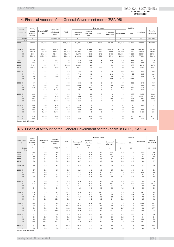# 4.4. Financial Account of the General Government sector (ESA 95)

| Current prices, till |                                           |                      |                |                          |                |                |            |                     | Liabilities    |                |        |             |                    |
|----------------------|-------------------------------------------|----------------------|----------------|--------------------------|----------------|----------------|------------|---------------------|----------------|----------------|--------|-------------|--------------------|
| 31.12.2006 in        |                                           | Deficit /            |                | Deficit-debt             |                |                |            | Financial assets    |                |                |        |             |                    |
| Millions of SIT,     |                                           | surplus              | Change in EDP  | adiustement              | Total          | Currency and   | Securities |                     | Shares and     |                |        | Other flows | Borrowing          |
| after 1.1.2007 in    |                                           | (financial           | debt           | (DDA)                    |                | deposits       | other than | Loans               | other equity   | Other assets   | Other  |             | requirement        |
| Millions of EUR      |                                           | account)             |                |                          |                |                | share      |                     |                |                |        |             |                    |
|                      | Stolpec                                   | $\mathbf{1}$         | $\overline{2}$ | $3 = \frac{1}{2}(1) + 2$ | $\overline{4}$ | $\overline{5}$ | 6          | $\overline{7}$      | 8              | $\mathsf g$    | 10     | 11          | $12 = -1 + 4 - 10$ |
|                      | Koda                                      |                      |                |                          |                |                |            |                     |                |                |        |             |                    |
| 2006                 |                                           | $-97,062$            | 27,407         | $-73,865$                | 125,813        | 84,001         | $-2,332$   | 2,979               | $-23,452$      | 64,616         | 89,785 | $-109,893$  | 133,090            |
|                      |                                           |                      |                |                          |                |                |            |                     |                |                |        |             |                    |
|                      |                                           |                      |                |                          |                |                |            |                     |                |                |        |             |                    |
| 2006                 |                                           | $-12.465$            | 14,961         | $-31.026$                | 66.477         | 7,155          | 10,653     | $-690$              | $-11,830$      | 61.189         | 37.743 | $-59.760$   | 41.199             |
|                      | $\mathbf{H}$                              | $-31,346$            | 27,629         | $-11,984$                | 14,278         | 52,997         | $-7,189$   | 1,653               | $-3,800$       | $-29,382$      | 11,332 | $-14,930$   | 34,292             |
|                      | $\mathbf{III}$                            | 3,664                | 94,892         | 79,196                   | 73,976         | 45,076         | $-210$     | 918                 | $-2,108$       | 30,301         | 37,531 | 42,751      | 32,781             |
|                      | $\mathsf{N}$                              | $-56,915$            | $-110,075$     | $-110,051$               | $-28,918$      | $-21,226$      | $-5,585$   | 1,098               | $-5,714$       | 2,509          | 3,179  | $-77,954$   | 24,818             |
| 2007                 |                                           | $-29$                | 613            | 597                      | 96             | 412            | 103        | 8                   | $-806$         | 379            | 345    | 847         | $-220$             |
| 2008                 |                                           | $-706$               | 148            | $-547$                   | 88             | 248            | $-49$      | $\circ$             | $-8$           | $-103$         | 355    | $-280$      | 438                |
| 2009                 |                                           |                      | $-31$          | $-2,177$                 | 2,063          | 2,062          | $-46$      | $\mathbf{1}$        | 154            | $-109$         | $-176$ |             | 4,370              |
| 2010                 |                                           | $-2,131$<br>$-2,072$ |                | 853                      | $-722$         | $-971$         | 23         | 100                 | $-3$           | 130            | 12     | $-4, 416$   | 1,337              |
|                      |                                           |                      | 2,924          |                          |                |                |            |                     |                |                |        | 1,587       |                    |
| 2007                 |                                           | 17                   | 161            | 51                       | 840            | 577            | 53         | $-2$                | $-76$          | 289            | 158    | $-631$      | 665                |
|                      | $\, \parallel$                            | $-74$                | 156            | 38                       | $-859$         | $-713$         | 19         | $\overline{4}$      | $-248$         | 78             | 38     | 935         | $-824$             |
|                      | $\,$ III                                  | 63                   | 182            | 288                      | 241            | 130            | 12         | $\overline{4}$      | $-36$          | 130            | 285    | 332         | $-107$             |
|                      | $\mathsf{N}$                              | $-36$                | 114            | 221                      | $-126$         | 417            | 19         | $\overline{c}$      | $-446$         | $-118$         | $-136$ | 211         | 46                 |
|                      |                                           |                      |                |                          |                |                |            |                     |                |                |        |             |                    |
| 2008                 |                                           | $-57$                | 42             | $-115$                   | 930            | 848            | 10         | $-7$                | 31             | 47             | 230    | $-815$      | 757                |
|                      | $\mathbf{H}$                              | $-52$                | 184            | 43                       | $-536$         | $-350$         | 6          | $\overline{c}$      | $-160$         | $-34$          | 65     | 644         | $-549$             |
|                      | $\begin{array}{c} \text{III} \end{array}$ | $-150$               | 764            | 702                      | 177            | 150            | $-20$      | $\mathsf{O}\xspace$ | 87             | $-40$          | 213    | 738         | 113                |
|                      | IV                                        | $-447$               | $-842$         | $-1, 176$                | $-483$         | $-401$         | $-44$      | $\overline{4}$      | 34             | $-76$          | $-152$ | $-846$      | 117                |
|                      |                                           |                      |                |                          |                |                |            |                     |                |                |        |             |                    |
| 2009                 |                                           | $-355$               | $-192$         | $-727$                   | 829            | 751            | $-39$      | $-6$                | 3              | 119            | 100    | $-1.455$    | 1,084              |
|                      | $\mathbf{H}$                              | $-706$               | 46             | $-623$                   | 882            | 886            | $-5$       | 3                   | $-4$           | $\overline{c}$ | $-85$  | $-1,591$    | 1,673              |
|                      | $\mathbf{H}$                              | $-502$               | 663            | 212                      | 1,286          | 1,373          | $-7$       | 3                   | 160            | $-244$         | 193    | $-881$      | 1,595              |
|                      | IV                                        | $-568$               | $-548$         | $-1,039$                 | $-934$         | $-949$         | 5          | $\mathbf{1}$        | $-5$           | 14             | $-385$ | $-489$      | 18                 |
|                      |                                           |                      |                |                          |                |                |            |                     |                |                |        |             |                    |
| $2010$ $\mid$        |                                           | $-540$               | 30             | $-610$                   | 270            | 228            | 3          | $-1$                | 9              | 31             | 20     | $-860$      | 791                |
|                      | $\mathbf{H}$                              | $-706$               | 55             | $-644$                   | $-613$         | $-643$         | 6          | $\mathbf{1}$        | 3              | 20             | 62     | 31          | 31                 |
|                      | $\begin{array}{c} \text{III} \end{array}$ | $-395$               | 1,213          | 829                      | $-253$         | $-292$         | 23         | 101                 | $-16$          | $-68$          | $-92$  | 989         | 235                |
|                      | $\mathbf{III}$                            | $-430$               | 1,627          | 1,278                    | $-126$         | $-264$         | -9         | $\mathsf{O}\xspace$ | $\mathbf{1}$   | 147            | 23     | 1,427       | 281                |
|                      |                                           |                      |                |                          |                |                |            |                     |                |                |        |             |                    |
| $2011$               |                                           | $-738$               | 1,476          | 646                      | 1,940          | 1,717          | $-13$      | 120                 | 17             | 99             | 160    | $-1.133$    | 2,517              |
|                      | $\mathbf{I}$                              | $-665$               | $-46$          | $-788$                   | $-950$         | $-863$         | 13         | 35                  | $\overline{4}$ | $-139$         | 179    | 342         | $-464$             |

Source: Bank of Slovenia

# 4.5. Financial Account of the General Government sector - share in GDP (ESA 95)

|                                  | Deficit /                         |                       |                                      | Financial assets |                          |                                   |                |                            |                | Liabilities |             |                          |
|----------------------------------|-----------------------------------|-----------------------|--------------------------------------|------------------|--------------------------|-----------------------------------|----------------|----------------------------|----------------|-------------|-------------|--------------------------|
| Share in GDP<br>(%)              | surplus<br>(financial<br>account) | Change in EDP<br>debt | Deficit-debt<br>adjustement<br>(DDA) | Total            | Currency and<br>deposits | Securities<br>other than<br>share | Loans          | Shares and<br>other equity | Other assets   | Other       | Other flows | Borrowing<br>requirement |
| Stolpec                          | $\overline{1}$                    | $\overline{2}$        | $3 = \frac{1}{2}(1) + 2$             | $\overline{4}$   | $\overline{5}$           | 6                                 | $\overline{7}$ | 8                          | $\overline{9}$ | 10          | 11          | $12 = -1 + 4 - 10$       |
| Koda                             |                                   |                       |                                      |                  |                          |                                   |                |                            |                |             |             |                          |
| 2006                             | $-1.3$                            | 0.4                   | $-1.0$                               | 1.7              | 1.1                      | 0.0                               | 0.0            | $-0.3$                     | 0.9            | 1.2         | $-1.5$      | 1.8                      |
| 2007                             | $-0.1$                            | 1.8                   | 1.7                                  | 0.3              | 1.2                      | 0.3                               | 0.0            | $-2.3$                     | 1.1            | 1.0         | 2.5         | $-0.6$                   |
| 2008                             | $-1.9$                            | 0.4                   | $-1.5$                               | 0.2              | 0.7                      | $-0.1$                            | 0.0            | 0.0                        | $-0.3$         | 1.0         | $-0.7$      | 1.2                      |
| 2009                             | $-6.0$                            | $-0.1$                | $-6.2$                               | 5.8              | 5.8                      | $-0.1$                            | 0.0            | 0.4                        | $-0.3$         | $-0.5$      | $-12.5$     | 12.4                     |
| 2010                             | $-5.8$                            | 8.1                   | 2.4                                  | $-2.0$           | $-2.7$                   | 0.1                               | 0.3            | 0.0                        | 0.4            | 0.0         | 4.4         | 3.7                      |
| 2005 IV                          | $-1.9$                            | 2.2                   | 1.8                                  | 0.6              | 0.6                      | 0.1                               | 0.1            | $-0.9$                     | 0.8            | 0.6         | 1.7         | 2.0                      |
| 2006                             | $-0.7$                            | 0.8                   | $-1.7$                               | 3.7              | 0.4                      | 0.6                               | 0.0            | $-0.7$                     | 3.4            | 2.1         | $-3.4$      | 2.3                      |
| $\mathbf{H}$                     | $-1.9$                            | 1.6                   | $-0.7$                               | 0.9              | 3.2                      | $-0.4$                            | 0.1            | $-0.2$                     | $-1.8$         | 0.7         | $-0.9$      | 2.0                      |
| $\mathbf{III}$                   | 0.2                               | 5.0                   | $4.2\,$                              | 3.9              | 2.4                      | 0.0                               | 0.0            | $-0.1$                     | 1.6            | 2.0         | 2.3         | 1.7                      |
| IV                               | $-3.0$                            | $-5.7$                | $-5.7$                               | $-1.5$           | $-1.1$                   | $-0.3$                            | 0.1            | $-0.3$                     | 0.1            | 0.2         | $-4.0$      | 1.3                      |
| 2007                             | 0.0                               | 0.0                   | 0.0                                  | 0.0              | 0.0                      | 0.0                               | 0.0            | 0.0                        | 0.0            | 0.0         | 0.0         | 0.0                      |
| $\mathbf{H}$                     | $-0.9$                            | 2.0                   | 0.5                                  | $-11.0$          | $-9.1$                   | 0.2                               | 0.1            | $-3.2$                     | 1.0            | 0.5         | 12.0        | $-10.5$                  |
| $\mathop{\mathrm{III}}\nolimits$ | 0.7                               | 2.1                   | 3.3                                  | 2.7              | 1.5                      | 0.1                               | 0.0            | $-0.4$                     | 1.5            | 3.2         | 3.8         | $-1.2$                   |
| IV                               | $-0.4$                            | 1.3                   | 2.5                                  | $-1.4$           | 4.6                      | 0.2                               | 0.0            | $-4.9$                     | $-1.3$         | $-1.5$      | 2.3         | 0.5                      |
| 2008                             | $-0.6$                            | 0.5                   | $-1.3$                               | 10.4             | 9.5                      | 0.1                               | $-0.1$         | 0.3                        | 0.5            | 2.6         | $-9.1$      | 8.5                      |
| $\mathbf{H}$                     | $-0.6$                            | 2.1                   | 0.5                                  | $-6.2$           | $-4.1$                   | 0.1                               | 0.0            | $-1.8$                     | $-0.4$         | 0.8         | 7.5         | $-6.4$                   |
| $\mathop{\mathrm{III}}\nolimits$ | $-1.5$                            | 7.9                   | 7.2                                  | 1.8              | 1.5                      | $-0.2$                            | 0.0            | 0.9                        | $-0.4$         | 2.2         | 7.6         | 1.2                      |
| IV                               | $-4.6$                            | $-8.6$                | $-12.1$                              | $-5.0$           | $-4.1$                   | $-0.5$                            | 0.0            | 0.4                        | $-0.8$         | $-1.6$      | $-8.7$      | 1.2                      |
|                                  |                                   |                       |                                      |                  |                          |                                   |                |                            |                |             |             |                          |
| 2009<br>- 1                      | $-3.9$                            | $-2.1$                | $-7.9$                               | 9.0              | 8.1                      | $-0.4$                            | $-0.1$         | 0.0                        | 1.3            | 1.1         | $-15.8$     | 11.7                     |
| $\mathbf{H}$                     | $-8.5$                            | 0.5                   | $-7.5$                               | 10.6             | 10.7                     | $-0.1$                            | 0.0            | 0.0                        | 0.0            | $-1.0$      | $-19.1$     | 20.1                     |
| $\mathbf{III}$                   | $-5.6$                            | 7.4                   | 2.4                                  | 14.3             | 15.3                     | $-0.1$                            | 0.0            | 1.8                        | $-2.7$         | 2.1         | $-9.8$      | 17.7                     |
| IV                               | $-6.3$                            | $-6.0$                | $-11.4$                              | $-10.3$          | $-10.5$                  | 0.1                               | 0.0            | $-0.1$                     | 0.2            | $-4.2$      | $-5.4$      | 0.2                      |
|                                  |                                   |                       |                                      |                  |                          |                                   |                |                            |                |             |             |                          |
| 2010<br>п                        | $-6.1$                            | 0.3                   | $-6.9$                               | 3.0              | 2.6                      | 0.0                               | 0.0            | 0.1                        | 0.4            | 0.2         | $-9.7$      | 8.9                      |
| $\rm{II}$                        | $-8.6$                            | 0.7                   | $-7.8$                               | $-7.4$           | $-7.8$                   | 0.1                               | 0.0            | 0.0                        | 0.2            | 0.7         | 0.4         | 0.4                      |
| $\mathop{\mathrm{III}}\nolimits$ | $-4.3$                            | 13.1                  | 8.9                                  | $-2.7$           | $-3.1$                   | 0.3                               | 1.1            | $-0.2$                     | $-0.7$         | $-1.0$      | 10.6        | 2.5                      |
| $\mathbf{III}$                   | $-4.6$                            | 17.4                  | 13.7                                 | $-1.3$           | $-2.8$                   | $-0.1$                            | 0.0            | 0.0                        | 1.6            | 0.2         | 15.3        | 3.0                      |
| 2011<br>- 1                      | $-8.1$                            | 16.2                  | 7.1                                  | 21.3             | 18.9                     | $-0.1$                            | 1.3            | 0.2                        | 1.1            | 1.8         | $-12.5$     | 27.7                     |
| $\mathbf{II}$                    | $-7.8$                            | $-0.5$                | $-9.3$                               | $-11.2$          | $-10.1$                  | 0.1                               | 0.4            | 0.0                        | $-1.6$         | 2.1         | 4.0         | $-5.5$                   |

Source: Bank of Slovenia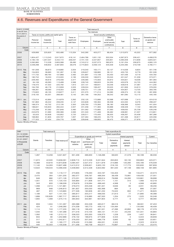# 4.6. Revenues and Expenditures of the General Government

| Until 31.12.2006 |              |                                            |           |             |           | Total revenue (I) |                               |           |          |                 |
|------------------|--------------|--------------------------------------------|-----------|-------------|-----------|-------------------|-------------------------------|-----------|----------|-----------------|
| in mio SIT from  |              |                                            |           |             |           |                   |                               |           |          |                 |
| 01.01.2007 in    |              |                                            |           |             |           | Tax revenues      |                               |           |          |                 |
| thousands of     |              | Taxes on income, profits and capital gains |           |             |           |                   | Social security contributions |           |          |                 |
| <b>EUR</b>       |              |                                            |           | Taxes on    |           |                   | Other                         |           | Taxes on | Domestics taxes |
|                  | Personal     | Corporate                                  | Total     | payroll and | Employees | Employers         | unallocable                   | Total     | property | on goods and    |
|                  | income tax   | income tax                                 |           | work force  |           |                   | social security               |           |          | services        |
|                  |              |                                            |           |             |           |                   | contributions                 |           |          |                 |
| Column           | $\mathbf{1}$ | $\overline{c}$                             | 3         | 4           | 5         | 6                 | $\overline{7}$                | 8         | 9        | 10              |
| Code             |              |                                            |           |             |           |                   |                               |           |          |                 |
| 2006             | 429,666      | 225,820                                    | 655,486   | 113,334     | 542,290   | 403,277           | 68,404                        | 1,013,970 | 45,322   | 977,082         |
|                  |              |                                            |           |             |           |                   |                               |           |          |                 |
| 2007             | 1,804,427    | 1,113,243                                  | 2,917,670 | 418,141     | 2,464,786 | 1,831,132         | 302,054                       | 4,597,973 | 206,421  | 4,498,576       |
| 2008             | 2,185,135    | 1,257,037                                  | 3,442,172 | 258,037     | 2,731,100 | 2,027,957         | 335,951                       | 5,095,009 | 214,909  | 4,805,321       |
| 2009             | 2,092,860    | 712,228                                    | 2,805,088 | 28,490      | 2,743,212 | 2,037,073         | 380,970                       | 5,161,254 | 206,975  | 4,660,123       |
| 2010             | 2,039,298    | 448,602                                    | 2,487,900 | 28,076      | 2,770,803 | 2,058,123         | 405,559                       | 5,234,485 | 219,739  | 4,780,711       |
|                  |              |                                            |           |             |           |                   |                               |           |          |                 |
| 2010<br>Feb.     | 161,006      | 58,873                                     | 219,880   | 2,004       | 219,340   | 163,171           | 32,127                        | 414,639   | 8,604    | 401,746         |
| Mar.             | 154,603      | 36,683                                     | 191,287   | 2,165       | 229,627   | 169,985           | 36,121                        | 435,733   | 8,779    | 291,028         |
| Apr.             | 177,732      | $-69,764$                                  | 107,968   | 2,492       | 231,897   | 172,109           | 33,430                        | 437,436   | 9,719    | 434,792         |
| May              | 190,752      | 19,253                                     | 210,005   | 2,195       | 228,330   | 169,972           | 33,245                        | 431,547   | 31,206   | 373,371         |
| Jun.             | 226,492      | 49,916                                     | 276,408   | 2,477       | 229,385   | 170,563           | 34,872                        | 434,821   | 18,006   | 391,065         |
| Jul.             | 64,106       | 49,393                                     | 113,499   | 2,566       | 228,740   | 169,603           | 34,335                        | 432,678   | 24,725   | 444,362         |
| Aug.             | 178,470      | 47,322                                     | 225,792   | 1,910       | 227,131   | 168,641           | 33,046                        | 428,818   | 27,387   | 411,230         |
| Sep.             | 164,783      | 48,176                                     | 212,959   | 2,005       | 229,024   | 169,407           | 33,525                        | 431,956   | 24,613   | 376,055         |
| Oct.             | 169,261      | 49,093                                     | 218,354   | 2,596       | 229,751   | 171,129           | 34,026                        | 434,907   | 13,705   | 393,795         |
| Nov.             | 170.822      | 48,155                                     | 218,977   | 2,411       | 231.075   | 171,214           | 34,085                        | 436.374   | 31.156   | 491,956         |
| Dec.             | 218,150      | 50,331                                     | 268,481   | 3,142       | 261,195   | 194,352           | 36,042                        | 491,590   | 15,115   | 440,165         |
|                  |              |                                            |           |             |           |                   |                               |           |          |                 |
| 2011<br>Jan.     | 172,014      | 42,964                                     | 214,979   | 2,262       | 232,125   | 172,986           | 32,588                        | 437,699   | 7,413    | 424,518         |
| Feb.             | 161.963      | 46,242                                     | 208,205   | 2,147       | 222.828   | 165,384           | 36,338                        | 424,550   | 8,278    | 299,407         |
| Mar.             | 169.374      | 42,752                                     | 212,126   | 2,300       | 229,793   | 170,393           | 38,180                        | 438,366   | 8,343    | 441,554         |
| Apr.             | 188,841      | 105,603                                    | 294,444   | 2,507       | 231,258   | 171,383           | 35,688                        | 438,329   | 7,132    | 380,256         |
| May              | 170,256      | 67,592                                     | 237,848   | 2,480       | 231,062   | 170,985           | 37,583                        | 439,630   | 25,709   | 426,248         |
| Jun.             | 243,676      | 51,690                                     | 295,366   | 2,593       | 231,040   | 171,469           | 36,482                        | 438,991   | 21,007   | 410,851         |
| Jul.             | 53,023       | 52,928                                     | 105,952   | 2,720       | 229,311   | 170,400           | 36,555                        | 436,267   | 25,406   | 397,286         |
| Aug.             | 168,962      | 51,805                                     | 220,767   | 1,937       | 227,464   | 168,225           | 35,779                        | 431,468   | 30,817   | 420,058         |
| Sep.             | 177,323      | 57,454                                     | 234,776   | 2,085       | 229,646   | 169,950           | 36,475                        | 436,071   | 27,978   | 331,051         |

Source: Ministry of Finance.

| Until        |                 | Total revenue (I) |           |                                | Total expenditure (II) |                                   |           |                     |                     |         |                |
|--------------|-----------------|-------------------|-----------|--------------------------------|------------------------|-----------------------------------|-----------|---------------------|---------------------|---------|----------------|
| 31.12.2006   |                 |                   |           |                                |                        |                                   |           | Current expenditure |                     |         |                |
|              | in mio SIT from |                   |           |                                |                        | Expenditure on goods and services |           |                     | Interest payments   |         | Current        |
| 01.01.2007   |                 |                   | Transfers |                                |                        | Other                             |           | Domestics           |                     |         |                |
| in thousands |                 | Grants            |           | Total revenue (I) <sup>2</sup> | Wages and              | purchases aof                     | Total     | interest            | Interest            | Total   | Cur. transfers |
| of EUR       |                 |                   |           |                                | salaries               | goods and                         |           |                     | payments            |         |                |
|              |                 |                   |           |                                |                        | services                          |           | payments            | abroad              |         |                |
|              | Column          | 22                | 23        | 24                             | $\mathbf{1}$           | $\overline{2}$                    | 3         | $\overline{4}$      | 5                   | 6       | $\overline{7}$ |
|              | Code            |                   |           |                                |                        |                                   |           |                     |                     |         |                |
| 2006         |                 | 1,287             | 10,259    | 3,021,927                      | 651,456                | 496,830                           | 1,148,286 | 68,620              | 21,578              | 90,199  | 96,556         |
|              |                 |                   |           |                                |                        |                                   |           |                     |                     |         |                |
| 2007         |                 | 11,872            | 42,500    | 13,658,091                     | 2,809,715              | 2,212,229                         | 5,021,944 | 263,853             | 93,130              | 356,983 | 423,371        |
| 2008         |                 | 10.388            | 53,916    | 14,973,838                     | 3,084,407              | 2,527,472                         | 5,611,879 | 214,886             | 120.280             | 335,166 | 476,509        |
| 2009         |                 | 11,140            | 54,263    | 13,807,488                     | 3,413,312              | 2,506,821                         | 5,920,133 | 218,155             | 117,775             | 335,930 | 597,859        |
| 2010         |                 | 12,622            | 109,544   | 14,066,559                     | 3,409,663              | 2,512,429                         | 5,922,092 | 391,020             | 97,139              | 488,159 | 581,895        |
|              | Feb.            |                   | 193       |                                |                        |                                   |           |                     | 68                  |         | 22.573         |
| 2010         |                 | 236               |           | 1,119,117                      | 273,905                | 179,263                           | 453,167   | 134,403             |                     | 134,471 |                |
|              | Mar.            | 2,470             | 264       | 1,001,205                      | 282,577                | 206,767                           | 489,344   | 38,439              | 70,991              | 109,430 | 27,001         |
|              | Apr.            | 846               | 890       | 1,071,126                      | 273,231                | 193.383                           | 466,614   | 79,696              | 24,285              | 103,981 | 39,698         |
|              | May             | 1,001             | 570       | 1,120,103                      | 335,864                | 211,906                           | 547,771   | 1,151               | 315                 | 1,466   | 42,218         |
|              | Jun.            | 343               | 833       | 1,198,009                      | 279,876                | 219,564                           | 499,440   | 4,568               | $\mathsf{O}\xspace$ | 4,568   | 40,895         |
|              | Jul.            | 1,068             | 2,014     | 1,121,881                      | 278,073                | 203,248                           | 481,321   | 3,946               | 85                  | 4,031   | 39,256         |
|              | Aug.            | 969               | 948       | 1,246,910                      | 281,837                | 200.530                           | 482,368   | 884                 | $\overline{c}$      | 886     | 27,597         |
|              | Sep.            | 487               | 872       | 1,123,865                      | 277,326                | 183,906                           | 461,232   | 70,522              | 950                 | 71,471  | 36,825         |
|              | Oct.            | 1,189             | 527       | 1,141,154                      | 285,817                | 203,217                           | 489,035   | 21,813              | 77                  | 21,890  | 46,398         |
|              | Nov.            | 1,899             | 100,926   | 1,397,717                      | 280,615                | 216,885                           | 497,500   | 1,254               | 270                 | 1,525   | 50,248         |
|              | Dec.            | 1,900             | 1,469     | 1,475,115                      | 284,943                | 322,961                           | 607,904   | 5,777               | $\mathsf{O}\xspace$ | 5,777   | 98,090         |
| 2011         | Jan.            | 859               | 1,504     | 1,151,267                      | 283,389                | 202,228                           | 485,617   | 88,516              | 75                  | 88,591  | 97,453         |
|              | Feb.            | 424               | 41        | 1,048,280                      | 274,339                | 183,773                           | 458,112   | 134,494             | $\mathbf{1}$        | 134,495 | 46,409         |
|              | Mar.            | 1,114             | 743       | 1,177,205                      | 282,118                | 199.403                           | 481,521   | 47,286              | 40,892              | 88,178  | 27,379         |
|              | Apr.            | 1,040             | 140       | 1,197,286                      | 271,016                | 213,105                           | 484,121   | 77,101              | 24,240              | 101,341 | 40,894         |
|              | May             | 1,092             | 148       | 1,213,112                      | 336,023                | 203,350                           | 539,373   | 1,228               | 229                 | 1,457   | 36,841         |
|              | Jun.            | 834               | 90        | 1,252,989                      | 278,132                | 199,675                           | 477,806   | 5,343               | $\mathbf 0$         | 5,343   | 49,909         |
|              | Jul.            | 317               | 172       | 1,042,811                      | 279,233                | 207,545                           | 486,779   | 3,865               | 62                  | 3,928   | 22,651         |
|              | Aug.            | 249               | 43        | 1,185,177                      | 278,430                | 215,590                           | 494,021   | 2,322               | 1                   | 2,323   | 22,816         |
|              | Sep.            | 440               | 50,303    | 1,155,539                      | 271,258                | 180,759                           | 452,017   | 70,897              | 845                 | 71,742  | 23,470         |

Source: Ministry of Finance.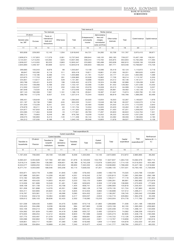|                           |           |                                           |             |            | Total revenue (I)                         |                                                          |                          |         |                 |                 |
|---------------------------|-----------|-------------------------------------------|-------------|------------|-------------------------------------------|----------------------------------------------------------|--------------------------|---------|-----------------|-----------------|
|                           |           | Tax revenues                              |             |            |                                           | Nontax revenue                                           |                          |         |                 |                 |
|                           | Of which: | Taxes on                                  |             |            |                                           | Administrative                                           |                          |         |                 |                 |
| General sales<br>tax. VAT | Excises   | intemational<br>trade and<br>transactions | Other taxes | Total      | Enterpreneurial<br>and property<br>income | fees and<br>charges,<br>nonindustrial<br>sales and fines | Other nontax<br>revenues | Total   | Current revenue | Capital revenue |
| 11                        | 12        | 13                                        | 14          | 15         | 16                                        | 17                                                       | 18                       | 19      | 20              | 21              |
|                           |           |                                           |             |            |                                           |                                                          |                          |         |                 |                 |
| 650,858                   | 229,083   | 12,145                                    | 1,304       | 2,818,643  | 64,731                                    | 34,280                                                   | 52,756                   | 151,767 | 2,970,410       | 39,971          |
| 2,906,674                 | 1,157,853 | 117,079                                   | 2,081       | 12,757,942 | 299,944                                   | 149,100                                                  | 260,183                  | 709,227 | 13,467,169      | 136,551         |
| 3,144,501                 | 1,213,255 | 120,092                                   | 1,825       | 13,937,365 | 338,244                                   | 170,784                                                  | 345,875                  | 854,903 | 14,792,268      | 117,265         |
| 2,838,007                 | 1,415,000 | 90,533                                    | 2,883       | 12,955,347 | 233,683                                   | 185,488                                                  | 263,638                  | 682,810 | 13,638,156      | 103,928         |
| 2,940,893                 | 1,439,187 | 90,699                                    | 4,010       | 12,845,619 | 336,933                                   | 188,344                                                  | 397,771                  | 923,048 | 13.768.667      | 175,726         |
| 269,885                   | 100,043   | 6,876                                     | 99          | 1,053,847  | 13,109                                    | 13,596                                                   | 35,419                   | 62,124  | 1,115,972       | 2,718           |
| 89,847                    | 163,290   | 6,116                                     | 311         | 935,418    | 19,811                                    | 16,861                                                   | 21,530                   | 58,201  | 993,620         | 4,852           |
| 280,515                   | 118,196   | 8,286                                     | 174         | 1,000,866  | 21,791                                    | 15,257                                                   | 24,177                   | 61,224  | 1,062,090       | 7,299           |
| 223,875                   | 117,753   | 8,367                                     | 291         | 1,056,983  | 22,526                                    | 15,962                                                   | 17,726                   | 56,214  | 1,113,197       | 5,335           |
| 234,801                   | 114,617   | 8,075                                     | 529         | 1,131,381  | 18,998                                    | 16,925                                                   | 24,212                   | 60,136  | 1,191,517       | 5,315           |
| 283,788                   | 126,401   | 8,423                                     | 199         | 1,026,452  | 42,376                                    | 16,324                                                   | 24,286                   | 82,986  | 1,109,438       | 9,361           |
| 242,442                   | 139,068   | 6,788                                     | 232         | 1,102,157  | 33,566                                    | 14,384                                                   | 81,432                   | 129,382 | 1,231,539       | 13,455          |
| 212,300                   | 134,037   | 7,312                                     | 250         | 1,055,150  | 23,078                                    | 15,508                                                   | 25,513                   | 64,099  | 1,119,249       | 3,257           |
| 287,648                   | 73,520    | 9,199                                     | 91          | 1,072,646  | 16,658                                    | 15,832                                                   | 26,991                   | 59,482  | 1,132,128       | 7,311           |
| 267,143                   | 192,068   | 7,061                                     | 1,181       | 1,189,116  | 26,641                                    | 16,387                                                   | 31,647                   | 74,674  | 1,263,790       | 31,103          |
| 288,792                   | 117,278   | 8,507                                     | 516         | 1,227,514  | 75,344                                    | 18,603                                                   | 66,819                   | 160,766 | 1,388,280       | 83,466          |
| 266,451                   | 126,649   | 7,789                                     | $-20$       | 1,094,640  | 20,000                                    | 13,934                                                   | 18,353                   | 52,287  | 1,146,927       | 1,976           |
| 231,197                   | 35,738    | 7,690                                     | $-245$      | 950,033    | 15,241                                    | 13,048                                                   | 66,748                   | 95,037  | 1,045,070       | 2,744           |
| 231,505                   | 173,229   | 8,241                                     | 203         | 1,111,134  | 20,484                                    | 16,685                                                   | 24,202                   | 61,370  | 1,172,505       | 2,843           |
| 276,979                   | 65,211    | 9,116                                     | $-50$       | 1,131,734  | 15,554                                    | 14,505                                                   | 23,403                   | 53,462  | 1,185,197       | 10,909          |
| 224,977                   | 167,933   | 9,409                                     | $-23$       | 1,141,300  | 30,054                                    | 15,596                                                   | 21,550                   | 67,201  | 1,208,500       | 3,371           |
| 253,385                   | 117,464   | 9,049                                     | $-16$       | 1,177,841  | 28,793                                    | 17,297                                                   | 20,833                   | 66,922  | 1,244,764       | 7,301           |
| 288,751                   | 75,663    | 9,249                                     | $-86$       | 976,793    | 19,209                                    | 15,002                                                   | 26,222                   | 60,433  | 1,037,226       | 5,097           |
| 209,075                   | 180,993   | 6,413                                     | $-120$      | 1,111,339  | 30,144                                    | 15,130                                                   | 24,082                   | 69,356  | 1,180,694       | 4,190           |
| 164,312                   | 137,030   | 8,186                                     | $-5$        | 1,040,143  | 26,046                                    | 15,805                                                   | 17,676                   | 59,527  | 1,099,670       | 5,126           |

| Total expenditure (II)     |                      |                                           |                                 |                     |                    |                     |                        |                        |                                        |                               |
|----------------------------|----------------------|-------------------------------------------|---------------------------------|---------------------|--------------------|---------------------|------------------------|------------------------|----------------------------------------|-------------------------------|
|                            |                      |                                           | Current expenditure             |                     |                    |                     |                        |                        |                                        |                               |
|                            |                      | Current transfers                         |                                 |                     |                    |                     |                        |                        |                                        | Nonfinancial                  |
| Transfers to<br>households | Of which:<br>Pension | Transfers to<br>nonprofit<br>institutions | Other<br>domestics<br>transfers | Transfers<br>abroad | Total              | Current<br>reserves | Total                  | Capital<br>expenditure | Total<br>expenditure (II) <sup>2</sup> | balance $(A = 1 -$<br>$II.$ ) |
| 8                          | 9                    | 10                                        | 11                              | 12                  | 13                 | 14                  | 15                     | 16                     | 17                                     | 18                            |
|                            |                      |                                           |                                 |                     |                    |                     |                        |                        |                                        |                               |
| 1,167,404                  | 756,593              | 29,159                                    | 120,389                         | 6,556               | 1,420,064          | 14,145              | 2,672,693              | 312,972                | 2,985,665                              | 36,262                        |
| 5,093,321                  | 3,354,926            | 127,790                                   | 467,484                         | 31,979              | 6,143,945          | 104,765             | 11,627,637             | 1,464,740              | 13,092,376                             | 565,714                       |
| 5,619,214                  | 3,680,764            | 138,385                                   | 459,931                         | 48,189              | 6,742,228          | 115,979             | 12,805,252             | 1,714,100              | 14,519,353                             | 454,485                       |
| 6,024,077                  | 3,859,250            | 159,014                                   | 520,452                         | 38,930              | 7,340,332          | 42,294              | 13,638,690             | 1,788,490              | 15,427,180                             | $-1,619,692$                  |
| 6,277,741                  | 4,003,560            | 188,546                                   | 540,236                         | 40,114              | 7,628,532          | 47,351              | 14,086,135             | 1,707,031              | 15,793,165                             | $-1,726,606$                  |
| 505,971<br>527,886         | 323,779<br>320,591   | 6,368<br>14,258                           | 41,945<br>45,567                | 1,592<br>4,531      | 578,450<br>619,242 | 2,690<br>2,797      | 1,168,778<br>1,220,813 | 75,020<br>72,581       | 1,243,799<br>1,293,394                 | $-124,681$<br>$-292,188$      |
| 510,182                    | 320,295              | 16,291                                    | 43,920                          | 1,942               | 612,033            | 2,683               | 1,185,311              | 77,119                 | 1,262,430                              | $-191,304$                    |
| 647,395                    | 454,425              | 14,903                                    | 45,431                          | 3,223               | 753,170            | 3,884               | 1,306,291              | 86,691                 | 1,392,982                              | $-272,879$                    |
| 513,559                    | 321,689              | 16,549                                    | 51,461                          | 7,460               | 629,925            | 3,306               | 1,137,239              | 138,695                | 1,275,935                              | $-77,926$                     |
| 509,108                    | 321,158              | 15,215                                    | 43,758                          | 1,404               | 608,741            | 2,491               | 1,096,583              | 133,818                | 1,230,401                              | $-108,520$                    |
| 501,206                    | 321,898              | 14,076                                    | 45,351                          | 1,896               | 590,126            | 2,756               | 1,076,135              | 121,724                | 1,197,860                              | 49,050                        |
| 504,411                    | 322,665              | 20,820                                    | 44,122                          | 5,825               | 612,004            | 3,992               | 1,148,699              | 147,512                | 1,296,211                              | $-172,346$                    |
| 516,767                    | 323,381              | 12,131                                    | 46,066                          | 3,090               | 624,452            | 2,921               | 1,138,297              | 156,745                | 1,295,042                              | $-153,888$                    |
| 519,544                    | 332,218              | 16,064                                    | 42,963                          | 4,217               | 633,037            | 2,653               | 1,134,715              | 229,664                | 1,364,379                              | 33,339                        |
| 526,612                    | 326,103              | 36,636                                    | 52,420                          | 2,332               | 716,090            | 13,233              | 1,343,004              | 374,778                | 1,717,782                              | $-242,667$                    |
| 521,539                    | 328,435              | 6,665                                     | 44,475                          | 3,583               | 673,716            | 21,965              | 1,269,889              | 71,306                 | 1,341,196                              | $-189,929$                    |
| 532,423                    | 334,286              | 9,208                                     | 39,539                          | 384                 | 627,963            | 2,538               | 1,223,108              | 62,155                 | 1,285,263                              | $-236,983$                    |
| 552,106                    | 333,213              | 9,396                                     | 49,402                          | 1,898               | 640,181            | 10,529              | 1,220,408              | 77,733                 | 1,298,141                              | $-120,936$                    |
| 534,562                    | 331,829              | 10,483                                    | 44,419                          | 5,368               | 635.727            | 2,485               | 1,223,674              | 74,582                 | 1,298,256                              | $-100,970$                    |
| 673,005                    | 469,254              | 12,212                                    | 49,634                          | 9,903               | 781,596            | 2,848               | 1,325,273              | 82,905                 | 1,408,178                              | $-195,066$                    |
| 537,775                    | 333,497              | 21,079                                    | 48,238                          | 1,690               | 658,691            | 2,881               | 1,144,722              | 112,126                | 1,256,848                              | $-3,859$                      |
| 530,096                    | 332,662              | 17,963                                    | 43,547                          | 6,182               | 620,440            | 2,621               | 1,113,767              | 119,959                | 1,233,727                              | $-190,916$                    |
| 529,801                    | 333,717              | 18,591                                    | 47,290                          | 1,095               | 619,593            | 1,906               | 1,117,842              | 134,678                | 1,252,520                              | $-67,343$                     |
| 522,558                    | 334,854              | 18,969                                    | 41,240                          | 7,240               | 613,477            | 4,542               | 1,141,777              | 108,794                | 1,250,571                              | $-95,032$                     |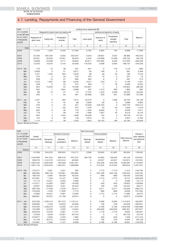**EUROSYSTEM**

# 4.7. Lending, Repayments and Financing of the General Government

| Until                                |                 | Lending minus repayments (B)<br>Repayment of given loans and equity sold<br>Lending and aquisition of equity |              |                           |                |             |                        |                                       |         |            |  |  |  |
|--------------------------------------|-----------------|--------------------------------------------------------------------------------------------------------------|--------------|---------------------------|----------------|-------------|------------------------|---------------------------------------|---------|------------|--|--|--|
| 31.12.2006                           |                 |                                                                                                              |              |                           |                |             |                        |                                       |         |            |  |  |  |
| 01.01.2007<br>in thousands<br>of EUR | in mio SIT from | Repayment of<br>given loans                                                                                  | Equity sold  | Privatization<br>receipts | Total          | Loans given | Acquision of<br>equity | Privatization<br>receipts<br>spending | Total   | Balance    |  |  |  |
|                                      |                 | $\mathbf{1}$                                                                                                 | 2            | 3                         | $\overline{4}$ | 5           | 6                      | $\overline{7}$                        | 8       | 9          |  |  |  |
|                                      | Code            |                                                                                                              |              |                           |                |             |                        |                                       |         |            |  |  |  |
| 2006                                 |                 | 11,344                                                                                                       | 7,205        | 2,545                     | 21,094         | 2.784       | 2,902                  | 755                                   | 9,998   | 11,096     |  |  |  |
|                                      |                 |                                                                                                              |              |                           |                |             |                        |                                       |         |            |  |  |  |
| 2007                                 |                 | 44,785                                                                                                       | 497,229      | 8,332                     | 550,347        | 5,043       | 58,937                 | 4,037                                 | 86,995  | 463,352    |  |  |  |
| 2008                                 |                 | 50,391                                                                                                       | 20,250       | 10,001                    | 80,642         | 5.224       | 134,689                | 14,288                                | 166,752 | $-86,109$  |  |  |  |
| 2009                                 |                 | 19,808                                                                                                       | 23,298       | 5,717                     | 48,822         | 94,611      | 203,395                | 6,426                                 | 312,350 | $-263,528$ |  |  |  |
| 2010                                 |                 | 12,263                                                                                                       | 18,234       | 3,140                     | 33,638         | 179,230     | 3,488                  | 3,594                                 | 198,167 | $-164,529$ |  |  |  |
|                                      |                 |                                                                                                              |              |                           |                |             |                        |                                       |         |            |  |  |  |
| 2010                                 | Feb.            | 170                                                                                                          | 13           | 38                        | 221            | 941         | $\circ$                | 175                                   | 1,116   | $-895$     |  |  |  |
|                                      | Mar.            | 5,656                                                                                                        | $\mathbf 0$  | 21                        | 5,677          | 84          | 108                    | $\overline{c}$                        | 381     | 5,296      |  |  |  |
|                                      | Apr.            | 1,757                                                                                                        | 1,250        | 325                       | 3,333          | 99          | 48                     | 44                                    | 190     | 3,143      |  |  |  |
|                                      | May             | 274                                                                                                          | $\mathbf 0$  | 42                        | 316            | 316         | 10                     | $\overline{c}$                        | 327     | $-12$      |  |  |  |
|                                      | Jun.            | 638                                                                                                          | 10           | 47                        | 695            | 284         | 8                      | $\overline{2}$                        | 481     | 213        |  |  |  |
|                                      | Jul.            | 1,070                                                                                                        | 1,397        | 88                        | 2,555          | 3,477       | 618                    | 11                                    | 4,106   | $-1,551$   |  |  |  |
|                                      | Aug.            | 238                                                                                                          | 0            | 34                        | 272            | 309         | 11                     | 76                                    | 5,495   | $-5,224$   |  |  |  |
|                                      | Sep.            | 824                                                                                                          | 15,550       | 34                        | 16,408         | 104,651     | $-1$                   | $\overline{c}$                        | 104,844 | $-88,436$  |  |  |  |
|                                      | Oct.            | 822                                                                                                          | $\mathbf{1}$ | 1,844                     | 2,668          | 287         | 1,415                  | 283                                   | 1,985   | 682        |  |  |  |
|                                      | Nov.            | $-69$                                                                                                        | 12           | 47                        | $-10$          | 17,072      | 1,044                  | 2,229                                 | 20,344  | $-20,354$  |  |  |  |
|                                      | Dec.            | 334                                                                                                          | $\mathbf{1}$ | 55                        | 391            | 50,968      | 229                    | 301                                   | 57,686  | $-57,294$  |  |  |  |
|                                      |                 |                                                                                                              |              |                           |                |             |                        |                                       |         |            |  |  |  |
| 2011                                 | Jan.            | 1.351                                                                                                        | $\mathbf 0$  | 262                       | 1.614          | 32.575      | $\circ$                | 1.085                                 | 33,720  | $-32,106$  |  |  |  |
|                                      | Feb.            | 44                                                                                                           | 4            | 40                        | 88             | 2.808       | 90                     | $\overline{c}$                        | 2,988   | $-2,900$   |  |  |  |
|                                      | Mar.            | 276                                                                                                          | $\Omega$     | 45                        | 321            | 75,629      | 245,755                | $\overline{c}$                        | 322,735 | $-322,414$ |  |  |  |
|                                      | Apr.            | 135                                                                                                          | 1            | 102                       | 237            | 1,576       | 44                     | 34                                    | 1,654   | $-1,416$   |  |  |  |
|                                      | May             | 684                                                                                                          | $\mathbf 0$  | 35                        | 718            | 1,464       | 6,826                  | 2                                     | 8,529   | $-7,811$   |  |  |  |
|                                      | Jun.            | 119                                                                                                          | 1            | 58                        | 178            | 1,586       | 1,607                  | 42                                    | 8,318   | $-8,140$   |  |  |  |
|                                      | Jul.            | 662                                                                                                          | 3            | 1,302                     | 1,968          | 29,489      | 155                    | $\overline{c}$                        | 29,729  | $-27,761$  |  |  |  |
|                                      | Aug.            | 102                                                                                                          | 8            | 29                        | 139            | 4,819       | 20                     | 2                                     | 4,924   | $-4,785$   |  |  |  |
|                                      | Sep.            | 1,170                                                                                                        | 47           | 38                        | 1,255          | 1,802       | 50,100                 | 198                                   | 52,184  | $-50,929$  |  |  |  |

Source: Ministry of Finance.

| Until        |                 |                          | Total financing (C) |                     |            |             |                  |            |                 |                                   |
|--------------|-----------------|--------------------------|---------------------|---------------------|------------|-------------|------------------|------------|-----------------|-----------------------------------|
| 31.12.2006   |                 |                          |                     | Domestics financing |            |             | Financing abroad |            |                 | Change in                         |
| 01.01.2007   | in mio SIT from | Overall<br>balance (A+B) | Domestics           | Domestic            |            | Drawings    | Amortization     |            | Total financing | cash, deposits<br>and statistical |
| in thousands |                 |                          | drawings            | amortization        | Balance    | abroad      | abroad           | Balance    | balance         | error                             |
| of EUR       |                 |                          |                     |                     |            |             |                  |            |                 |                                   |
|              |                 | 10                       | 11                  | 12                  | 13         | 14          | 15               | 16         | 17              | 18                                |
|              | Column          |                          |                     |                     |            |             |                  |            |                 |                                   |
| 2006         |                 | 47,358                   | 344,223             | 226.052             | 118,171    | 2.068       | 33.955           | $-31,887$  | 86,284          | 133.642                           |
|              |                 |                          |                     |                     |            |             |                  |            |                 |                                   |
| 2007         |                 | 1,029,066                | 691,504             | 899,476             | $-207,972$ | 199,736     | 40,893           | 158,843    | $-49,129$       | 979,937                           |
| 2008         |                 | 368,376                  | 1,142,479           | 1,232,444           | $-89,965$  | $\Omega$    | 42,907           | $-42,907$  | $-132,872$      | 235,504                           |
| 2009         |                 | $-1,883,220$             | 4,926,369           | 464,948             | 4,461,421  | $\Omega$    | 425,338          | $-425,338$ | 4,036,083       | 2,152,863                         |
| 2010         |                 | $-1,891,135$             | 2,659,326           | 1,260,357           | 1,398,969  | 0           | 515,325          | $-515,325$ | 883,644         | $-1,007,491$                      |
|              |                 |                          |                     |                     |            |             |                  |            |                 |                                   |
| 2010         | Feb.            | $-125,577$               | 5,081               | 4,521               | 560        | $\Omega$    | 1,773            | $-1,773$   | $-1,213$        | $-126,790$                        |
|              | Mar.            | $-286,892$               | 996,726             | 732,861             | 263,865    | $\Omega$    | 502,199          | $-502,199$ | $-238,333$      | $-525,225$                        |
|              | Apr.            | $-188, 162$              | 2,995               | 48,429              | $-45,434$  | 0           | 996              | -996       | $-46,430$       | $-234,592$                        |
|              | May             | $-272,891$               | 7,185               | 15,127              | $-7.942$   | $\mathbf 0$ | 1.773            | $-1.773$   | $-9.715$        | $-282,606$                        |
|              | Jun.            | $-77.712$                | 10,221              | 4,622               | 5.598      | 0           | $\circ$          | 0          | 5,598           | $-72,114$                         |
|              | Jul.            | $-110,071$               | $-14,563$           | 3,927               | $-18,490$  | 0           | 433              | $-433$     | $-18,923$       | $-128,994$                        |
|              | Aug.            | 43,827                   | 28,803              | 3,251               | 25,553     | 0           | 109              | $-109$     | 25,444          | 69,271                            |
|              | Sep.            | $-260,782$               | $-17.039$           | 5,378               | $-22,417$  | 0           | 2,211            | $-2.211$   | $-24,628$       | $-285,410$                        |
|              | Oct.            | $-153,206$               | 4.163               | 11,936              | $-7.773$   | $\mathbf 0$ | 866              | $-866$     | $-8,639$        | $-161,845$                        |
|              | Nov.            | 12,985                   | 16,547              | 3,087               | 13,460     | 0           | 1,774            | $-1,774$   | 11,686          | 24,670                            |
|              | Dec.            | $-299,961$               | 52,072              | 31,198              | 20,874     | $\Omega$    | $\circ$          | $\Omega$   | 20,874          | $-279,087$                        |
|              |                 |                          |                     |                     |            |             |                  |            |                 |                                   |
| 2011         | Jan.            | $-222,035$               | 1,535,413           | 357,272             | 1,178,141  | 0           | 3,269            | $-3,269$   | 1,174,873       | 952,837                           |
|              | Feb.            | $-239,883$               | 2,163               | 43,002              | $-40.839$  | 0           | 109              | $-109$     | $-40,948$       | $-280,831$                        |
|              | Mar.            | $-443,350$               | 1,526,575           | 15,030              | 1,511,544  | 0           | 2,196            | $-2,196$   | 1,509,348       | 1,065,999                         |
|              | Apr.            | $-102,386$               | $-10,340$           | 4,505               | $-14,845$  | 0           | 450,646          | $-450,646$ | $-465, 491$     | $-567,877$                        |
|              | May             | $-202.876$               | 15,202              | 3,481               | 11.721     | 0           | 1.776            | $-1.776$   | 9,945           | $-192,931$                        |
|              | Jun.            | $-12,000$                | 9,539               | 70,281              | $-60.743$  | 0           | $\circ$          | 0          | $-60.743$       | $-72.742$                         |
|              | Jul.            | $-218,677$               | 5,935               | 4,243               | 1,692      | $\Omega$    | 433              | $-433$     | 1,259           | $-217,418$                        |
|              | Aug.            | $-72,128$                | 20,512              | 14,402              | 6,109      | $\Omega$    | 109              | $-109$     | 6,000           | $-66, 128$                        |
|              | Sep.            | $-145,961$               | $-7,495$            | $-1,127$            | $-6,369$   | 0           | 2,198            | $-2,198$   | $-8,567$        | $-154,528$                        |

Source: Ministry of Finance.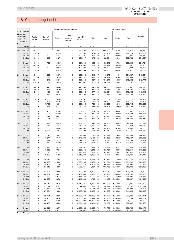# 4.8. Central budget debt

| Till         |               |              |                |         | Debt incurred in domestic market |                        |            |                    | Debt incurred abroad |             |                        |
|--------------|---------------|--------------|----------------|---------|----------------------------------|------------------------|------------|--------------------|----------------------|-------------|------------------------|
|              | 31.12.2006 in |              |                |         |                                  |                        |            |                    |                      |             |                        |
| Millions of  |               |              |                |         |                                  |                        |            |                    |                      |             |                        |
| Tolars, from |               | Public       | Bank of        |         | Other                            | Negotiable             |            |                    |                      |             | Total debt             |
| 1.1.2007 in  |               | sector       | Slovenia       | Banks   | domestic                         | securities             | Total      | Loans              | <b>Bonds</b>         | Total       |                        |
| Thousands of |               |              |                |         | creditors                        |                        |            |                    |                      |             |                        |
| Euros.       |               |              |                |         |                                  |                        |            |                    |                      |             |                        |
|              | Column        | $\mathbf{1}$ | $\overline{c}$ | 3       | $\overline{4}$                   | 5                      | $6 = 1  5$ | $\overline{7}$     | 8                    | $9 = 7 + 8$ | $10 = 6 + 9$           |
|              | Code          |              |                |         |                                  |                        |            |                    |                      |             |                        |
|              | 1998 31.Mar   | 11,157       | 509            | 43,311  | $\circ$                          | 370,988                | 425,965    | 102,626            | 191,387              | 294,013     | 719,978                |
|              | 30.Jun        | 3,450        | 553            | 67,554  | $\mathsf{O}\xspace$              | 390,256                | 461,813    | 92,132             | 205,092              | 297,224     | 759,037                |
|              | 30.Sep        | 3,526        | 609            | 65,147  | $\mathbf 0$<br>$\mathbf 0$       | 398,181                | 467,463    | 97,003             | 200,906              | 297,909     | 765,372                |
|              | 31.Dec        | 1,818        | 625            | 81,273  |                                  | 391,817                | 475,533    | 92,304             | 203,460              | 295,764     | 771,297                |
| 1999         | 31.Mar        | 1,518        | 766            | 94,987  | $\mathbf 0$                      | 401,209                | 498,480    | 95,878             | 287,366              | 383,244     | 881,724                |
|              | 30.Jun        | 14,289       | 856            | 82,333  | 0                                | 407,050                | 504,528    | 93,492             | 294,948              | 388,440     | 892,968                |
|              | 30.Sep        | 9,518        | 930            | 90,818  | $\mathbf 0$                      | 402,387                | 503,653    | 92,308             | 296,696              | 389,004     | 892,657                |
|              | 31.Dec        | 5,680        | 238            | 82,473  | 0                                | 410,084                | 498,475    | 94,536             | 300,281              | 394,817     | 893,292                |
|              |               |              |                |         |                                  |                        |            |                    |                      |             |                        |
| 2000         | 31.Mar        | 4,600        | 310            | 84,378  | $\mathbf 0$                      | 422,648                | 511,937    | 110,073            | 391,514              | 501,587     | 1,013,524              |
|              | 30.Jun        | 400          | 146            | 79,346  | $\mathbf 0$                      | 439,281                | 519,173    | 100,268            | 397,654              | 497,922     | 1,017,095              |
|              | 30.Sep        | 11,600       | 240            | 84,060  | $\mathbf 0$                      | 431,813                | 527,713    | 104,671            | 410,387              | 515,058     | 1,042,771              |
|              | 31.Dec        | 13,040       | 322            | 75,824  | 0                                | 415,887                | 505,073    | 98,222             | 410,057              | 508,280     | 1,013,353              |
|              |               |              |                |         |                                  |                        |            |                    |                      |             |                        |
| 2001         | 31.Mar        | 4,373        | 413            | 95,080  | $\mathbf 0$                      | 449,068                | 548,934    | 108,360            | 443,523              | 551,883     | 1,100,818              |
|              | 30.Jun        | 6,035        | 526            | 80,260  | 0                                | 478,114                | 564,935    | 110,433            | 547,994              | 658,427     | 1,223,362              |
|              | 30.Sep        | 5,478        | 169            | 83,340  | $\mathbf 0$                      | 488,442                | 577,429    | 102,394            | 468,592              | 570,986     | 1,148,415              |
|              | 31.Dec        | 768          | 7,935          | 96,187  | 0                                | 530,252                | 635,142    | 122,373            | 471,360              | 593,733     | 1,228,875              |
|              |               |              |                |         |                                  |                        |            |                    |                      |             |                        |
| 2002         | 31.Mar        | 553          | 8,196          | 110,855 | $\mathbf 0$                      | 591,752                | 711,356    | 117,797            | 477,424              | 595,221     | 1,306,577              |
|              | 30.Jun        | 0            | 7,836          | 104,398 | $\mathbf 0$                      | 641,405                | 753,640    | 109,592            | 479,064              | 588,656     | 1,342,296              |
|              | 30.Sep        | 0            | 7,736          | 102,365 | 0                                | 680,995                | 791,096    | 105,222            | 483,490              | 588,712     | 1,379,808              |
|              | 31.Dec        | 0            | 7,643          | 101,738 | 0                                | 724,520                | 833,902    | 100,108            | 485,650              | 585,758     | 1,419,660              |
|              |               |              |                |         |                                  |                        |            |                    |                      |             |                        |
| 2003         | 31.Mar        | 0            | 7,466          | 101,861 | $\mathbf 0$                      | 722,612                | 831,940    | 96,334             | 489,362              | 585,696     | 1,417,636              |
|              | 30.Jun        | 0            | 7,097          | 95,666  | 0                                | 767,469                | 870,233    | 94,783             | 490,950              | 585,734     | 1,455,967              |
|              | 30.Sep        | 0            | 7,511          | 83,517  | $\mathbf 0$                      | 795,729                | 886,757    | 92,473             | 493,964              | 586,438     | 1,473,195              |
|              | 31.Dec        | 0            | 7,097          | 82,122  | $\mathbf 0$                      | 823,270                | 912,489    | 83,090             | 495,256              | 578,346     | 1,490,835              |
| 2004         | 31.Mar        | 0            | 7,283          | 84,930  | $\mathbf 0$                      | 852,341                | 944,553    | 80,606             | 498,038              | 578,644     | 1,523,198              |
|              | 30.Jun        | 0            | 7,276          | 117,348 | $\mathbf 0$                      | 913,519                | 1,038,144  | 80,089             | 450,285              | 530,374     | 1,568,518              |
|              | 30.Sep        | 0            | 7,339          | 99,506  | 0                                | 941,403                | 1,048,248  | 86,452             | 451,509              | 537,961     | 1,586,209              |
|              | 31.Dec        | 0            | 6,937          | 78,578  | $\mathsf O$                      | 980,694                | 1,066,209  | 83,849             | 449,700              | 533,549     | 1,599,759              |
|              |               |              |                |         |                                  |                        |            |                    |                      |             |                        |
|              | 2005 31.Mar   | 0            | 7,015          | 75,911  | $\circ$                          | 1,082,058              | 1,164,985  | 81,527             | 449,854              | 531,382     | 1,696,366              |
|              | 30.Jun        | 0            | 7,344          | 107,497 | $\mathsf O$                      | 1,078,283              | 1,193,124  | 81,688             | 328,720              | 410,407     | 1,603,532              |
|              | 30.Sep        | 0            | 7,297          | 124,218 | $\mathsf O$                      | 1,112,172              | 1,243,687  | 78,515             | 328,729              | 407,244     | 1,650,931              |
|              | 31.Dec        | 0            | 7,358          | 105,066 | $\circ$                          | 1,155,313              | 1,267,736  | 78,769             | 327,449              | 406,218     | 1,673,954              |
|              |               |              |                |         |                                  |                        |            |                    |                      |             |                        |
|              | 2006 31.Mar   | 0            | 7,353          | 82,736  | $\mathsf O$                      | 1,185,321              | 1,275,410  | 75,638             | 327,417              | 403,055     | 1,678,465              |
|              | 30.Jun        | 0            | 7,068          | 77,011  | $\mathsf O$                      | 1,256,445              | 1,340,524  | 52,721             | 326,090              | 378,811     | 1,719,335              |
|              | 30.Sep        | 0            | 7,045          | 61,153  | $\mathsf O$                      | 1,295,940              | 1,364,137  | 49,493             | 326,032              | 375,526     | 1,739,663              |
|              | 31.Dec        | 0            | 6,956          | 71,335  | 0                                | 1,310,679              | 1,388,970  | 49,229             | 323,514              | 372,743     | 1,761,713              |
|              |               |              |                |         |                                  |                        |            |                    |                      |             |                        |
|              | 2007 31.Mar   | 0            | 28,979         | 354,821 | 0                                | 5,183,949              | 5,567,749  | 187,177            | 2,350,000            | 2,537,177   | 8,104,926              |
|              | 30.Jun        | 0            | 28,582         | 315,627 | 0                                | 4,289,109              | 4,633,318  | 181,291            | 2,350,000            | 2,531,291   | 7,164,609              |
|              | 30.Sep        | 0            | 28,403         | 311,008 | $\mathsf{O}\xspace$              | 4,165,273              | 4,504,684  | 166,891            | 2,350,000            | 2,516,891   | 7,021,575              |
|              | 31.Dec        | 0            | 27,313         | 718,298 | 0                                | 4,139,051              | 4,884,662  | 160,796            | 2,350,000            | 2,510,796   | 7,395,458              |
|              | 2008 31.Mar   | 0            | 27,004         | 273,281 | 0                                |                        | 5,280,745  |                    | 2,350,000            | 2,492,547   | 7,773,292              |
|              | 30.Jun        | 0            | 26,577         | 196,010 | 0                                | 4,980,460<br>4,477,360 | 4,699,947  | 142,547<br>137,131 | 2,350,000            | 2,487,131   | 7,187,078              |
|              | 30.Sep        | 0            | 27,129         | 219,170 | 0                                |                        | 4,702,184  | 124,399            | 2,350,000            | 2,474,399   |                        |
|              | 31.Dec        | 0            | 28,096         | 238,724 | 0                                | 4,455,885<br>4,445,389 | 4,712,209  | 119,407            | 2,350,000            | 2,469,407   | 7,176,583<br>7,181,616 |
|              |               |              |                |         |                                  |                        |            |                    |                      |             |                        |
| 2009         | 31.Mar        | 0            | 29,513         | 183,724 | 0                                | 6,016,471              | 6,229,708  | 107,895            | 1,950,000            | 2,057,895   | 8,287,603              |
|              | 30.Jun        | 0            | 27,692         | 181,692 | 0                                | 7,617,890              | 7,827,273  | 104,247            | 1,950,000            | 2,054,247   | 9,881,521              |
|              | 30.Sep        | 0            | 27,867         | 144,062 | 0                                | 9,009,679              | 9,181,608  | 96,988             | 1,950,000            | 2,046,988   | 11,228,596             |
|              | 31.Dec        | 0            | 27,684         | 118,626 | 0                                | 8,892,736              | 9,039,046  | 94,320             | 1,950,000            | 2,044,320   | 11,083,366             |
|              |               |              |                |         |                                  |                        |            |                    |                      |             |                        |
|              | 2010 31.Mar   | 0            | 28,721         | 108,201 | 0                                | 10,330,059             | 10,466,982 | 87,720             | 1,450,000            | 1,537,720   | 12,004,701             |
|              | 30.Jun        | 0            | 30,465         | 96,703  | 0                                | 10,285,168             | 10,412,335 | 85,704             | 1,450,000            | 1,535,704   | 11,948,039             |
|              | 30.Sep        | 0            | 30,263         | 95,683  | 0                                | 10,267,022             | 10,392,967 | 82,155             | 1,450,000            | 1,532,155   | 11,925,122             |
|              | 31.Dec        | 0            | 29,429         | 63,968  | 0                                | 10,261,440             | 10,354,837 | 79,692             | 1,450,000            | 1,529,692   | 11,884,529             |
|              |               |              |                |         |                                  |                        |            |                    |                      |             |                        |
|              | 2011 31. Mar  | 0            | 28,917         | 388,771 | 0                                | 12,890,688             | 13,308,376 | 73,799             | 1,450,000            | 1,523,799   | 14,832,175             |
|              | 30.Jun        | 0            | 28,162         | 373,771 | 0                                | 12,842,092             | 13,244,025 | 71,302             | 1,000,000            | 1,071,302   | 14,315,327             |

Source: Ministry of Finance.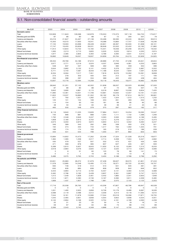**EUROSYSTEM**

# 5.1. Non-consolidated financial assets - outstanding amounts

| Mio EUR                      | 2003    | 2004    | 2005         | 2006    | 2007    | 2008    | 2009    | 2010    | $I-2009$ |
|------------------------------|---------|---------|--------------|---------|---------|---------|---------|---------|----------|
| Domestic sector              |         |         |              |         |         |         |         |         |          |
| Total                        | 102,906 | 111,843 | 126,088      | 140,978 | 176,553 | 175,375 | 187,118 | 184,753 | 175,817  |
| Monetary gold and SDRs       | 87      | 86      | 80           | 88      | 67      | 72      | 294     | 337     | 79       |
| Currency and deposits        | 20,216  | 21,847  | 24,467       | 27,138  | 33,498  | 36,595  | 43,245  | 39,945  | 36,913   |
| Securities other than shares | 15,355  | 16,570  | 17,930       | 16,541  | 16,088  | 15,884  | 17,707  | 17,628  | 16,236   |
|                              |         |         |              |         |         |         |         |         | 49,101   |
| Loans                        | 17,155  | 19,593  | 24,698       | 29,428  | 40,601  | 48,367  | 50,555  | 51,838  |          |
| Shares                       | 17,747  | 19,455  | 20,608       | 26,531  | 36,648  | 22,552  | 22,402  | 22,160  | 21,860   |
| Other equity                 | 11,912  | 12,844  | 13,732       | 14,160  | 15,401  | 19,056  | 20,256  | 20,575  | 19,532   |
| Mutual fund shares           | 1,565   | 2,213   | 2,710        | 3,805   | 5,505   | 3,025   | 3,814   | 4,330   | 2,974    |
| Insurance technical reserves | 1,977   | 2,385   | 2,805        | 3,350   | 3,786   | 4,060   | 4,631   | 5,012   | 4,197    |
| Other                        | 16,892  | 16,849  | 19,057       | 19,937  | 24,959  | 25,764  | 24,215  | 22,926  | 24,925   |
| Non-financial corporations   |         |         |              |         |         |         |         |         |          |
| Total                        | 29,334  | 29,766  | 34,186       | 37,610  | 46,986  | 47,755  | 47,238  | 45,641  | 46,844   |
| Currency and deposits        | 2,677   | 2,771   | 3,219        | 3,524   | 4,037   | 3,946   | 4,081   | 4,253   | 3,863    |
| Securities other than shares | 548     | 637     | 537          | 569     | 492     | 380     | 359     | 352     | 396      |
| Loans                        | 2,644   | 2,682   | 3,132        | 3,141   | 4,402   | 5,376   | 5,977   | 5,987   | 5,502    |
| Shares                       | 5,771   | 5,740   | 7,087        | 8,033   | 11,188  | 8,520   | 7,834   | 7,067   | 8,259    |
| Other equity                 | 6,334   | 6,594   | 7,017        | 7,351   | 7,816   | 9,576   | 10,262  | 10,391  | 9,808    |
| Mutual fund shares           | 273     | 278     | 302          | 400     | 544     | 212     | 197     | 171     | 194      |
| Insurance technical reserves | 250     | 288     | 297          | 334     | 389     | 402     | 450     | 438     | 464      |
| Other                        | 10,837  | 10,776  | 12,594       | 14,258  | 18,118  | 19,343  | 18,077  | 16,982  | 18,359   |
| Monetary sector              |         |         |              |         |         |         |         |         |          |
| Total                        | 28,940  | 31,251  | 37,132       | 40,302  | 51,838  | 58,057  | 63,023  | 60.898  | 57,505   |
| Monetary gold and SDRs       | 87      | 86      | 80           | 88      | 67      | 72      | 294     | 337     | 79       |
| Currency and deposits        | 3,842   | 3,690   | 4,861        | 5,115   | 8,318   | 8,897   | 10,006  | 6,604   | 7,405    |
| Securities other than shares | 11,990  | 12,361  | 13,501       | 11,706  | 10,991  | 10,935  | 12,457  | 12,161  | 11,424   |
| Loans                        | 11,602  | 13,537  | 16,890       | 21,352  | 30,192  | 36,179  | 37,914  | 39,701  | 36,681   |
| Shares                       | 671     | 792     | 1,001        | 1,282   | 1,422   | 1,324   | 1,572   | 1,515   | 1,232    |
| Other equity                 | 120     |         |              |         |         |         |         | 252     | 263      |
|                              |         | 101     | 104          | 169     | 253     | 261     | 293     |         |          |
| Mutual fund shares           | 114     | 104     | 93           | 150     | 181     | 66      | 85      | 93      | 68       |
| Insurance technical reserves | 48      | 50      | 53           | 60      | 39      | 36      | 41      | 43      | 36       |
| Other                        | 465     | 530     | 548          | 379     | 375     | 287     | 363     | 192     | 317      |
| Other financial institutions |         |         |              |         |         |         |         |         |          |
| Total                        | 8,116   | 9,940   | 11,025       | 13,826  | 17,884  | 15,611  | 16,254  | 16,095  | 15,547   |
| Currency and deposits        | 735     | 996     | 881          | 988     | 1,254   | 1,111   | 1,132   | 1,288   | 1,206    |
| Securities other than shares | 1,792   | 2,348   | 2,846        | 3,247   | 3,563   | 3,593   | 3,959   | 4,189   | 3,495    |
| Loans                        | 1,808   | 2,180   | 2,913        | 3,702   | 4,313   | 5,276   | 5,317   | 4,737   | 5,373    |
| Shares                       | 2,673   | 3,050   | 2,870        | 3,872   | 5,950   | 3,414   | 3,352   | 3,260   | 3,247    |
| Other equity                 | 346     | 389     | 343          | 292     | 368     | 338     | 300     | 278     | 321      |
| Mutual fund shares           | 162     | 274     | 455          | 733     | 1,217   | 784     | 1,092   | 1,325   | 791      |
| Insurance technical reserves | 166     | 174     | 174          | 193     | 165     | 219     | 219     | 186     | 209      |
| Other                        | 434     | 531     | 544          | 799     | 1,055   | 877     | 882     | 833     | 903      |
| General government           |         |         |              |         |         |         |         |         |          |
| Total                        | 13,684  | 14,902  | 15,473       | 17,262  | 22,436  | 17,324  | 21,028  | 20,319  | 18,677   |
| Currency and deposits        | 1,384   | 1,395   | 1,258        | 2,017   | 2,714   | 3,269   | 7,304   | 5,347   | 4,682    |
| Securities other than shares | 430     | 479     | 527          | 507     | 532     | 475     | 427     | 435     | 429      |
| Loans                        | 471     | 568     | 878          | 395     | 837     | 627     | 405     | 467     | 593      |
| Shares                       | 5,289   | 5,910   | 5,937        | 8,643   | 11,630  | 6,152   | 6,280   | 7,215   | 6,033    |
| Other equity                 | 2,618   | 2,964   | 3,076        | 2,920   | 3,127   | 3,520   | 3,714   | 3,907   | 3,566    |
| Mutual fund shares           | 5       | 8       | 31           | 60      | 120     | 78      | 99      | 141     | 73       |
| Insurance technical reserves |         |         |              |         |         |         |         |         |          |
|                              | 0       | 3       | $\mathbf{1}$ | 16      | 26      | 13      | 10      | 9       | 9        |
| Other                        | 3,486   | 3,575   | 3,765        | 2,703   | 3,450   | 3,188   | 2,789   | 2,796   | 3,292    |
| <b>Households and NPISHs</b> |         |         |              |         |         |         |         |         |          |
| Total                        | 22,831  | 25,983  | 28,272       | 31,979  | 37,408  | 36,627  | 39,575  | 41,801  | 37,243   |
| Currency and deposits        | 11,578  | 12,995  | 14,248       | 15,495  | 17,175  | 19,371  | 20,722  | 22,453  | 19,757   |
| Securities other than shares | 594     | 746     | 519          | 512     | 510     | 501     | 505     | 491     | 491      |
| Loans                        | 630     | 626     | 885          | 838     | 858     | 909     | 942     | 946     | 952      |
| Shares                       | 3,343   | 3,963   | 3,713        | 4,700   | 6,457   | 3,141   | 3,364   | 3,104   | 3,089    |
| Other equity                 | 2,492   | 2,796   | 3,192        | 3,428   | 3,837   | 5,361   | 5,687   | 5,747   | 5,573    |
| Mutual fund shares           | 1,012   | 1,549   | 1,828        | 2,461   | 3,442   | 1,885   | 2,341   | 2,600   | 1,848    |
| Insurance technical reserves | 1,513   | 1,871   | 2,280        | 2,746   | 3,167   | 3,390   | 3,911   | 4,336   | 3,480    |
| Other                        | 1,669   | 1,437   | 1,607        | 1,798   | 1,961   | 2,070   | 2,103   | 2,123   | 2,053    |
| Rest of the world            |         |         |              |         |         |         |         |         |          |
| Total                        | 17,716  | 20,558  | 26,765       | 31,377  | 43,206  | 47,807  | 48,796  | 49,947  | 46,528   |
| Monetary gold and SDRs       | 0       | 0       | 0            | 0       | 0       | 0       | 0       | 0       | 0        |
| Currency and deposits        | 1,051   | 1,490   | 2,920        | 3,858   | 9,739   | 10,179  | 8,489   | 6,697   | 9,028    |
| Securities other than shares | 2,088   | 2,119   | 2,098        | 2,512   | 3,359   | 4,313   | 9,118   | 11,565  | 4,510    |
| Loans                        | 7,544   | 9,161   | 11,878       | 13,566  | 17,044  | 20,018  | 18,266  | 17,871  | 19,755   |
| Shares                       | 1,545   | 2,465   | 2,851        | 3,658   | 4,354   | 3,902   | 3,908   | 4,024   | 4,001    |
| Other equity                 | 3,145   | 2,694   | 3,168        | 3,320   | 3,754   | 4,161   | 4,199   | 4,593   | 4,208    |
| Mutual fund shares           | 20      | 21      | 23           | 20      | 30      | 14      | 18      | 16      | 14       |
|                              |         |         |              |         |         |         |         |         |          |
| Insurance technical reserves | 59      | 67      | 82           | 94      | 58      | 73      | 98      | 115     | 89       |
| Other                        | 2,266   | 2,543   | 3,745        | 4,349   | 4,868   | 5,147   | 4,700   | 5,065   | 4,923    |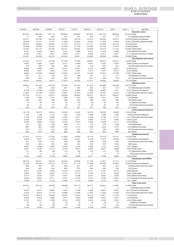| II-2009    | III-2009 | IV-2009    | $I - 2010$ | $II-2010$ | III-2010 | IV-2010 | $1 - 2011$ | $II - 2011$    | Mio EUR                                   |
|------------|----------|------------|------------|-----------|----------|---------|------------|----------------|-------------------------------------------|
|            |          |            |            |           |          |         |            |                | Domestic sector                           |
| 183,234    | 188,548  | 187,118    | 188,693    | 188,882   | 185,007  | 184,753 | 189,808    | 184,913 Total  |                                           |
| 77         | 284      | 294        | 307        | 342       | 324      | 337     | 312        | 337            | Monetary gold and SDRs                    |
| 40,541     | 43,166   | 43,245     | 43,285     | 43,376    | 40,542   | 39,945  | 44,374     |                | 42,009 Currency and deposits              |
| 16,644     | 17,913   | 17,707     | 17,608     | 18,033    | 18,050   | 17,628  | 17,693     | 16,857         | Securities other than shares              |
| 49,676     | 49,992   | 50,555     | 51,313     | 51,613    | 51,711   | 51,838  | 52,104     | 52,063 Loans   |                                           |
| 23,458     | 23,638   | 22,402     | 22,400     | 21,109    | 20,599   | 22,160  | 21,873     | 20,846 Shares  |                                           |
| 19,760     | 20,147   | 20,256     | 20,761     | 20,591    | 20,805   | 20,575  | 21,133     |                | 20,687 Other equity                       |
| 3,321      | 3,628    | 3,814      | 4,150      | 4,086     | 4,131    | 4,330   | 4,388      |                | 4,305 Mutual fund shares                  |
| 4,430      | 4,551    | 4,631      | 4,818      | 4,911     | 5,009    | 5,012   | 5,097      | 5,114          | Insurance technical reserves              |
| 25,327     | 25,229   | 24,215     | 24,052     | 24,821    | 23,836   | 22,926  | 22,834     | 22,695 Other   |                                           |
|            |          |            |            |           |          |         |            |                | Non-financial corporations                |
| 47,233     | 47,197   | 47,238     | 47,790     | 47,659    | 46,697   | 45,641  | 45,841     | 45,055 Total   |                                           |
| 3,920      | 3,930    | 4,081      | 4,077      | 4,069     | 4,047    | 4,253   | 4,052      |                | 3,982 Currency and deposits               |
| 379        | 396      | 359        | 386        | 342       | 319      | 352     | 361        | 330            | Securities other than shares              |
| 5,668      | 5,636    | 5,977      | 6,413      | 6,201     | 6,153    | 5,987   | 6,254      | 6,099 Loans    |                                           |
| 8,260      | 7,947    | 7,834      | 7,792      | 7,391     | 7,273    | 7,067   | 6,913      | $6,422$ Shares |                                           |
| 9,892      | 10,059   | 10,262     | 10,603     | 10,541    | 10,556   | 10,391  | 10,799     | 10,851         | Other equity                              |
| 207        | 211      | 197        | 215        | 198       | 181      | 171     | 177        |                | 166 Mutual fund shares                    |
| 480        | 464      | 450        | 485        | 481       | 467      | 438     | 478        | 481            | Insurance technical reserves              |
| 18,427     | 18,554   | 18,077     | 17,818     | 18,436    | 17,701   | 16,982  | 16,806     | 16,726 Other   |                                           |
|            |          |            |            |           |          |         |            |                | Monetary sector                           |
| 59,640     | 61,500   | 63,023     | 62,300     | 64,162    | 61,815   | 60,898  | 62,083     | 60,472 Total   |                                           |
| 77         | 284      | 294        | 307        | 342       | 324      | 337     | 312        |                | 337 Monetary gold and SDRs                |
| 8,738      | 8,769    | 10,006     | 9,024      | 9,908     | 7,606    | 6,604   | 7,461      |                | 6,572 Currency and deposits               |
| 11,660     | 12,708   | 12,457     | 12,261     | 12,670    | 12,550   | 12,161  | 12,302     | 11,580         | Securities other than shares              |
| 37,018     | 37,411   | 37,914     | 38,309     | 38,962    | 39,212   | 39,701  | 39,857     | 39,862 Loans   |                                           |
| 1,345      | 1,558    | 1,572      | 1,590      | 1,557     | 1,488    | 1,515   | 1,535      | 1,503 Shares   |                                           |
| 260        | 284      | 293        | 299        | 264       | 266      | 252     | 266        |                | 280 Other equity                          |
| 75         | 86       | 85         | 92         | 85        | 89       | 93      | 85         | 81             | Mutual fund shares                        |
| 39         | 40       | 41         | 42         | 43        | 44       | 43      | 42         | 42             | Insurance technical reserves              |
| 429        | 360      | 363        | 375        | 331       | 237      | 192     | 222        | 214            | Other                                     |
|            |          |            |            |           |          |         |            |                | Other financial institutions              |
| 16,179     | 16,574   | 16,254     | 16,460     | 16,242    | 16,214   | 16,095  | 16,006     | 15,918 Total   |                                           |
| 1,164      | 1,185    | 1,132      | 1,202      | 1,252     | 1,268    | 1,288   | 1,336      | 1,469          | Currency and deposits                     |
| 3,702      | 3,878    | 3,959      | 4,026      | 4,071     | 4,188    | 4,189   | 4,127      |                | 4,077 Securities other than shares        |
| 5,438      | 5,526    | 5,317      | 5,226      | 5,071     | 4,897    | 4,737   | 4,560      | 4,653 Loans    |                                           |
| 3,486      | 3,508    | 3,352      | 3,403      | 3,237     | 3,198    | 3,260   | 3,172      | $3,032$ Shares |                                           |
| 361        | 387      | 300        | 296        | 271       | 314      | 278     | 263        |                | 253 Other equity                          |
| 885        | 997      | 1,092      | 1,216      | 1,213     | 1,229    | 1,325   | 1,375      | 1,350          | Mutual fund shares                        |
| 223<br>920 | 213      | 219<br>882 | 208        | 218       | 217      | 186     | 206<br>966 | 202            | Insurance technical reserves<br>883 Other |
|            | 879      |            | 882        | 908       | 903      | 833     |            |                |                                           |
| 21,612     | 24,237   | 21,028     | 21,659     | 19,893    | 19,176   | 20,319  | 24,127     | 22,235         | General government<br>Total               |
| 6,526      | 9,037    | 7,304      | 7,828      | 6,431     | 5,726    | 5,347   | 8,858      | 7,030          | Currency and deposits                     |
| 421        | 434      | 427        | 436        | 429       | 458      | 435     | 430        | 430            | Securities other than shares              |
| 606        | 464      | 405        | 402        | 404       | 505      | 467     | 650        |                | 689 Loans                                 |
| 6,867      | 7,088    | 6,280      | 6,185      | 5,700     | 5,499    | 7,215   | 7,240      | 7,041          | Shares                                    |
| 3,647      | 3,785    | 3,714      | 3,793      | 3,801     | 3,943    | 3,907   | 3,898      |                | 3,923 Other equity                        |
| 81         | 85       | 99         | 119        | 122       | 125      | 141     | 153        | 157            | Mutual fund shares                        |
| 10         | 10       | 10         | 10         | 9         | 9        | 9       | 10         | 10             | Insurance technical reserves              |
| 3,454      | 3,335    | 2,789      | 2,886      | 2,996     | 2,911    | 2,796   | 2,889      | 2,955 Other    |                                           |
|            |          |            |            |           |          |         |            |                | <b>Households and NPISHs</b>              |
| 38,570     | 39,041   | 39,575     | 40,484     | 40,926    | 41,105   | 41,801  | 41,751     | 41,233 Total   |                                           |
| 20,193     | 20,245   | 20,722     | 21,154     | 21,716    | 21,895   | 22,453  | 22,667     |                | 22,956 Currency and deposits              |
| 482        | 497      | 505        | 499        | 521       | 535      | 491     | 472        |                | 439 Securities other than shares          |
| 946        | 955      | 942        | 962        | 975       | 945      | 946     | 783        |                | 760 Loans                                 |
| 3,501      | 3,538    | 3,364      | 3,430      | 3,224     | 3,141    | 3,104   | 3,013      |                | $2,849$ Shares                            |
| 5,600      | 5,631    | 5,687      | 5,770      | 5,713     | 5,726    | 5,747   | 5,906      | 5,381          | Other equity                              |
| 2,073      | 2,250    | 2,341      | 2,507      | 2,468     | 2,507    | 2,600   | 2,598      |                | 2,552 Mutual fund shares                  |
| 3,678      | 3,824    | 3,911      | 4,072      | 4,159     | 4,272    | 4,336   | 4,361      |                | 4.378 Insurance technical reserves        |
| 2,095      | 2,102    | 2,103      | 2,090      | 2,150     | 2,084    | 2,123   | 1,951      | 1,917 Other    |                                           |
|            |          |            |            |           |          |         |            |                | Rest of the world                         |
| 46,442     | 49,216   | 48,796     | 49,468     | 50,714    | 50,577   | 49,947  | 51,960     | 51,666 Total   |                                           |
| 0          | 0        | 0          | 0          | 0         | 0        | 0       | 0          |                | 0 Monetary gold and SDRs                  |
| 9,037      | 8,047    | 8,489      | 7,345      | 7,784     | 7,480    | 6,697   | 5,674      |                | 6,272 Currency and deposits               |
| 5,503      | 8,903    | 9,118      | 10,868     | 11,499    | 11,565   | 11,565  | 14,394     |                | 13,973 Securities other than shares       |
| 18,919     | 18,914   | 18,266     | 18,020     | 17,844    | 18,143   | 17,871  | 17,785     | 17,403 Loans   |                                           |
| 3,928      | 3,978    | 3,908      | 3,970      | 3,923     | 3,899    | 4,024   | 4,045      |                | 4,009 Shares                              |
| 4,167      | 4,231    | 4,199      | 4,316      | 4,302     | 4,303    | 4,593   | 4,556      |                | 4,544 Other equity                        |
| 16         | 17       | 18         | 18         | 19        | 18       | 16      | 19         |                | 19 Mutual fund shares                     |
| 89         | 89       | 98         | 97         | 105       | 111      | 115     | 122        |                | 123   Insurance technical reserves        |
| 4,784      | 5,038    | 4,700      | 4,834      | 5,239     | 5,059    | 5,065   | 5,366      | 5,322 Other    |                                           |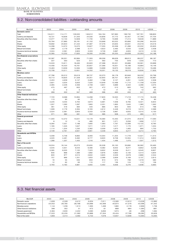BANK OF SLOVENIA **EUROSYSTEM**

# 5.2. Non-consolidated liabilities - outstanding amounts

| Mio EUR                                               | 2003    | 2004             | 2005             | 2006             | 2007    | 2008    | 2009             | 2010    | $I-2009$ |
|-------------------------------------------------------|---------|------------------|------------------|------------------|---------|---------|------------------|---------|----------|
| Domestic sector                                       |         |                  |                  |                  |         |         |                  |         |          |
| Total                                                 | 104,511 | 114,171          | 129,500          | 146,612          | 184,164 | 187,960 | 199,730          | 197,781 | 188,800  |
|                                                       | 16,721  |                  |                  |                  | 33,856  | 37,772  |                  | 37,790  | 37,704   |
| Currency and deposits<br>Securities other than shares | 12,077  | 18,836<br>12,134 | 21,343<br>12,928 | 24,530<br>11,730 | 9,795   | 10,669  | 42,457<br>17,414 | 19,649  | 11,889   |
|                                                       |         |                  |                  |                  |         |         |                  |         |          |
| Loans                                                 | 23,764  | 27,885           | 35,191           | 41,102           | 53,668  | 63,522  | 63,666           | 64,296  | 64,023   |
| Shares                                                | 18,692  | 20,943           | 21,444           | 27,587           | 37,076  | 23,925  | 23,631           | 23,319  | 23,516   |
| Other equity                                          | 14,299  | 14,572           | 15,570           | 15,827           | 17,055  | 20,358  | 21,286           | 22,032  | 20,925   |
| Mutual fund shares                                    | 1,569   | 2,179            | 2,398            | 3,171            | 4,622   | 2,465   | 3,033            | 3,328   | 2,408    |
| Insurance technical reserves                          | 2,024   | 2,391            | 2,805            | 3,333            | 3,726   | 3,997   | 4,605            | 5,015   | 4,150    |
| Other                                                 | 15,365  | 15,232           | 17,820           | 19,330           | 24,365  | 25,253  | 23,639           | 22,353  | 24,188   |
| Non-financial corporations                            |         |                  |                  |                  |         |         |                  |         |          |
| Total                                                 | 52,387  | 56,551           | 62,984           | 71,305           | 89,356  | 88,629  | 88,813           | 89,237  | 88.187   |
| Securities other than shares                          | 227     | 350              | 523              | 511              | 592     | 705     | 978              | 1,033   | 710      |
| Loans                                                 | 13,533  | 15,611           | 18,465           | 20,920           | 27,398  | 33,321  | 33,686           | 33,581  | 33,899   |
| Shares                                                | 14,456  | 16,420           | 16,761           | 20,657           | 27,366  | 16,501  | 16,198           | 16,984  | 16,146   |
| Other equity                                          | 13,463  | 13,659           | 14,584           | 14,886           | 15,699  | 18,970  | 19,932           | 20,714  | 19,496   |
| Other                                                 | 10,708  | 10,511           | 12,651           | 14,332           | 18,301  | 19,133  | 18,019           | 16,926  | 17,935   |
| Monetary sector                                       |         |                  |                  |                  |         |         |                  |         |          |
| Total                                                 | 27,796  | 30,012           | 35,619           | 38,737           | 50,370  | 56,178  | 60,846           | 58,232  | 55.769   |
| Currency and deposits                                 | 16.713  | 18,825           | 21,329           | 24,051           | 32,955  | 36,701  | 39,401           | 35,832  | 35.987   |
| Securities other than shares                          | 5,453   | 4,639            | 5,147            | 3,482            | 1,788   | 2,127   | 4,261            | 5,430   | 2,308    |
| Loans                                                 | 2,821   | 3,504            | 5,833            | 7,520            | 10,649  | 12,468  | 11,710           | 11,709  | 12,354   |
| Shares                                                | 2,065   | 2,226            | 2,356            | 2,708            | 3,901   | 3,889   | 4,322            | 4,266   | 4,075    |
| Other equity                                          | 475     | 497              | 602              | 501              | 472     | 513     | 683              | 742     | 562      |
| Mutual fund shares                                    | 0       | $\mathbf 0$      | 5                | $\overline{7}$   | 10      | 17      | 14               | 12      | 20       |
| Other                                                 | 269     | 322              | 347              | 469              | 596     | 463     | 455              | 241     | 463      |
| Other financial institutions                          |         |                  |                  |                  |         |         |                  |         |          |
| Total                                                 | 7,720   | 9,588            | 10,994           | 14,298           | 17,803  | 16,500  | 17,218           | 17,174  | 16.438   |
| Securities other than shares                          | 113     | 93               | 60               | 72               | 53      | 71      | 76               | 64      | 80       |
| Loans                                                 | 2,225   | 3,034            | 3,764            | 4,874            | 5,691   | 7,008   | 6,795            | 6,421   | 6,944    |
| Shares                                                | 1,057   | 1,093            | 1,097            | 1,860            | 2,251   | 1,665   | 1,645            | 1,380   | 1,562    |
| Other equity                                          | 361     | 416              | 384              | 440              | 885     | 803     | 605              | 514     | 798      |
| Mutual fund shares                                    | 1,569   | 2,179            | 2,394            | 3,165            | 4,612   | 2,448   | 3,019            | 3,315   | 2,388    |
| Insurance technical reserves                          | 2,024   | 2,391            | 2,805            | 3,333            | 3,726   | 3,997   | 4,605            | 5,015   | 4,150    |
| Other                                                 | 371     | 382              | 491              | 552              | 585     | 508     | 472              | 465     | 517      |
| General government                                    |         |                  |                  |                  |         |         |                  |         |          |
| Total                                                 | 11,300  | 12,272           | 13,021           | 14,179           | 16,580  | 15,450  | 21,074           | 20,616  | 17,093   |
| Currency and deposits                                 | 8       | 12               | 14               | 480              | 901     | 1,071   | 3,056            | 1,958   | 1,717    |
| Securities other than shares                          | 6,284   | 7,051            | 7,198            | 7,665            | 7,363   | 7,767   | 12,099           | 13,122  | 8,790    |
| Loans                                                 | 1,165   | 1,245            | 1,647            | 1,011            | 1,310   | 1,017   | 1,170            | 1,571   | 1,024    |
| Shares                                                | 1,114   | 1,204            | 1,230            | 2,362            | 3,559   | 1,870   | 1,465            | 690     | 1,733    |
| Other                                                 | 2,729   | 2,761            | 2,931            | 2,661            | 3,449   | 3,653   | 3,217            | 3,214   | 3,760    |
| <b>Households and NPISHs</b>                          |         |                  |                  |                  |         |         |                  |         |          |
| Total                                                 | 5,308   | 5,748            | 6,882            | 8,093            | 10,054  | 11,204  | 11,779           | 12,521  | 11,314   |
| Loans                                                 | 4,020   | 4,491            | 5,482            | 6,777            | 8,620   | 9,708   | 10,304           | 11,014  | 9,802    |
| Other                                                 | 1,288   | 1,257            | 1,400            | 1,316            | 1,434   | 1,496   | 1,475            | 1,507   | 1,512    |
| Rest of the world                                     |         |                  |                  |                  |         |         |                  |         |          |
| Total                                                 | 16,024  | 18,144           | 23,273           | 25,655           | 35,528  | 35,150  | 35,890           | 36,582  | 33,465   |
| Currency and deposits                                 | 4,545   | 4,501            | 6,043            | 6,466            | 9,382   | 9,002   | 9,277            | 8,852   | 8,238    |
| Securities other than shares                          | 5,365   | 6,555            | 7,100            | 7,323            | 9,652   | 9,528   | 9,411            | 9,545   | 8,857    |
|                                                       | 935     |                  |                  |                  |         |         |                  |         | 4,834    |
| Loans                                                 |         | 868<br>977       | 1,386            | 1,892            | 3,976   | 4,863   | 5,156            | 5,414   | 2,344    |
| Shares                                                | 600     |                  | 2,015            | 2,602            | 3,925   | 2,529   | 2,679            | 2,866   |          |
| Other equity                                          | 757     | 966              | 1,331            | 1,653            | 2,099   | 2,859   | 3,169            | 3,137   | 2,815    |
| Mutual fund shares                                    | 16      | 55               | 335              | 653              | 913     | 574     | 799              | 1,019   | 580      |
| Insurance technical reserves                          | 12      | 62               | 83               | 110              | 117     | 136     | 124              | 113     | 136      |
| Other                                                 | 3,793   | 4,160            | 4,981            | 4,955            | 5,462   | 5,658   | 5,276            | 5,638   | 5,660    |

#### 5.3. Net financial assets

| Mio EUR                      | 2003      | 2004      | 2005      | 2006      | 2007      | 2008      | 2009      | 2010      | $I-2009$  |
|------------------------------|-----------|-----------|-----------|-----------|-----------|-----------|-----------|-----------|-----------|
| Domestic sector              | $-1.606$  | $-2.328$  | $-3.412$  | $-5.634$  | $-7.611$  | $-12.585$ | $-12.612$ | $-13.028$ | $-12.983$ |
| Non-financial corporations   | $-23.052$ | $-26.785$ | $-28.798$ | $-33.696$ | $-42.369$ | $-40.874$ | -41.576   | $-43.596$ | $-41.342$ |
| Monetary sector              | 1.144     | ,239      | .513      | .565      | 1.468     | 880.      | 2.178     | 2.666     | 1.736     |
| Other financial institutions | 396       | 352       | 31        | $-472$    | 81        | $-889$    | $-964$    | $-1.080$  | $-891$    |
| General government           | 2.384     | 2.630     | 2.452     | 3.083     | 5.856     | 874.      | $-46$     | $-298$    | .584      |
| Households and NPISHs        | 17.522    | 20.235    | 21.390    | 23.886    | 27.354    | 25.424    | 27.796    | 29,280    | 25,929    |
| Rest of the world            | 1.693     | 2.414     | 3.492     | 5.722     | 7.678     | 12.657    | 12.906    | 13.365    | 13.063    |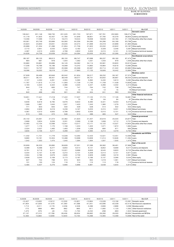**EUROSYSTEM**

| II-2009 | <b>III-2009</b> | IV-2009 | $I - 2010$ | $II-2010$ | III-2010 | IV-2010 | $1 - 2011$ | $II - 2011$   | Mio EUR                              |
|---------|-----------------|---------|------------|-----------|----------|---------|------------|---------------|--------------------------------------|
|         |                 |         |            |           |          |         |            |               | Domestic sector                      |
| 195,641 | 201,148         | 199,730 | 201,025    | 201,703   | 197,971  | 197,781 | 202,965    | 198,274       | Total                                |
| 41,179  | 41,925          | 42,457  | 41,780     | 41,646    | 38,901   | 37,790  | 40,379     | 38,805        | Currency and deposits                |
| 13,356  | 17,099          | 17,414  | 18,474     | 19,544    | 19,658   | 19,649  | 22,184     | 21,108        | Securities other than shares         |
| 63,561  | 63,749          | 63,666  | 64,060     | 64,356    | 64,595   | 64,296  | 64,169     | 63,796        | Loans                                |
| 24,823  | 24,830          | 23,631  | 23,535     | 22,274    | 21,669   | 23,319  | 22,899     | 21,863        | Shares                               |
| 20,999  | 21,334          | 21,286  | 21,904     | 21,706    | 21,922   | 22,032  | 22,622     | 22,187        | Other equity                         |
| 2,710   | 2,941           | 3,033   | 3,253      | 3,182     | 3,217    | 3,328   | 3,346      | 3,287         | Mutual fund shares                   |
| 4,387   | 4,510           | 4,605   | 4,799      | 4,902     | 5,005    | 5,015   | 5,101      | 5,122         | Insurance technical reserves         |
| 24,626  | 24,759          | 23,639  | 23,220     | 24,094    | 23,005   | 22,353  | 22,266     | 22,107        | Other                                |
|         |                 |         |            |           |          |         |            |               | Non-financial corporations           |
| 89,187  | 89,125          | 88,813  | 89,150     | 88,747    | 87,698   | 89,237  | 89,180     | 87,474        | Total                                |
| 664     | 681             | 978     | 1,004      | 1,062     | 1,031    | 1,033   | 979        | 1,006         | Securities other than shares         |
| 33,880  | 33,861          | 33,686  | 34,145     | 34,082    | 34,114   | 33,581  | 33,820     | 33,915        | Loans                                |
| 17,036  | 16,796          | 16,198  | 16,099     | 15,242    | 14,862   | 16,984  | 16,616     | 15,680 Shares |                                      |
| 19,511  | 19,737          | 19,932  | 20,568     | 20,368    | 20,567   | 20,714  | 21,322     | 20,880        | Other equity                         |
| 18,096  | 18,050          | 18,019  | 17,334     | 17,993    | 17,125   | 16,926  | 16,442     | 15,994        | Other                                |
|         |                 |         |            |           |          |         |            |               | Monetary sector                      |
| 57,928  | 59,489          | 60,846  | 60,042     | 61,834    | 59,317   | 58,232  | 59,187     | 57,374        | Total                                |
| 38,511  | 38,101          | 39,401  | 38,449     | 39,077    | 36,731   | 35,832  | 36,667     | 36,054        | Currency and deposits                |
| 2,157   | 4,250           | 4,261   | 4,355      | 5,395     | 5,392    | 5,430   | 5,613      | 5,082         | Securities other than shares         |
| 11,767  | 11,615          | 11,710  | 11,593     | 11,729    | 11,735   | 11,709  | 11,428     | 10,828        | Loans                                |
| 4,193   | 4,320           | 4,322   | 4,386      | 4,320     | 4,227    | 4,266   | 4,332      |               | $4,313$ Shares                       |
| 644     | 719             | 683     | 744        | 747       | 764      | 742     | 739        | 745           | Other equity                         |
| 17      | 15              | 14      | 14         | 14        | 14       | 12      | 15         | 19            | Mutual fund shares                   |
| 640     | 468             | 455     | 501        | 553       | 454      | 241     | 393        | 334           | Other                                |
|         |                 |         |            |           |          |         |            |               | Other financial institutions         |
| 16,951  | 17,441          | 17,218  | 17,422     | 17,207    | 17,125   | 17,174  | 17,126     | 16,981        | Total                                |
| 70      | 64              | 76      | 74         | 70        | 65       | 64      | 64         | 67            | Securities other than shares         |
| 6,946   | 6,916           | 6,795   | 6,676      | 6,622     | 6,485    | 6,421   | 6,303      | 6,275         | Loans                                |
| 1,569   | 1,687           | 1,645   | 1,557      | 1,403     | 1,343    | 1,380   | 1,279      | 1,205         | Shares                               |
| 771     | 803             | 605     | 530        | 529       | 528      | 514     | 502        | 502           | Other equity                         |
| 2,694   | 2,926           | 3,019   | 3,239      | 3,167     | 3,203    | 3,315   | 3,331      | 3,268         | Mutual fund shares                   |
| 4,387   | 4,510           | 4,605   | 4,799      | 4,902     | 5,005    | 5,015   | 5,101      |               | 5,122   Insurance technical reserves |
| 513     | 535             | 472     | 546        | 513       | 496      | 465     | 547        | 543           | Other                                |
|         |                 |         |            |           |          |         |            |               | General government                   |
| 20,142  | 23,361          | 21,074  | 22,382     | 21,623    | 21,407   | 20,616  | 25,020     | 23,877        | Total                                |
| 2,668   | 3,824           | 3,056   | 3,331      | 2,569     | 2,169    | 1,958   | 3,712      | 2.751         | Currency and deposits                |
| 10,465  | 12,104          | 12,099  | 13,041     | 13,017    | 13,171   | 13,122  | 15,527     | 14,954        | Securities other than shares         |
| 1,077   | 1,176           | 1,170   | 1,158      | 1,224     | 1,402    | 1,571   | 1,672      | 1,684         | Loans                                |
| 2,024   | 2,027           | 1,465   | 1,493      | 1,309     | 1,238    | 690     | 671        | 665           | Shares                               |
| 3,835   | 4,156           | 3,217   | 3,299      | 3,441     | 3,365    | 3,214   | 3,379      | 3,762         | Other                                |
|         |                 |         |            |           |          |         |            |               | <b>Households and NPISHs</b>         |
| 11,432  | 11,731          | 11,779  | 12,028     | 12,292    | 12,423   | 12,521  | 12,451     | 12,569 Total  |                                      |
| 9,890   | 10,181          | 10,304  | 10,488     | 10,698    | 10,859   | 11,014  | 10,946     | 11,094        | Loans                                |
| 1,542   | 1,550           | 1,475   | 1,540      | 1,594     | 1,564    | 1,507   | 1,505      | 1,475         | Other                                |
|         |                 |         |            |           |          |         |            |               | Rest of the world                    |
| 33,959  | 36,333          | 35,890  | 36,828     | 37,551    | 37,289   | 36,582  | 38,491     | 37,968        | Total                                |
| 8,399   | 9,288           | 9,277   | 8,850      | 9,514     | 9,121    | 8,852   | 9,669      | 9,477         | Currency and deposits                |
| 8,791   | 9,716           | 9,411   | 10,001     | 9,988     | 9,956    | 9,545   | 9,903      | 9.723         | Securities other than shares         |
| 5,034   | 5,157           | 5,156   | 5,272      | 5,101     | 5,259    | 5,414   | 5,721      | 5,671         | Loans                                |
| 2,564   | 2,786           | 2,679   | 2,835      | 2,759     | 2,829    | 2,866   | 3,019      | 2,991         | Shares                               |
| 2,928   | 3,045           | 3,169   | 3,173      | 3,187     | 3,186    | 3,137   | 3,066      |               | 3,044 Other equity                   |
| 627     | 704             | 799     | 915        | 923       | 932      | 1,019   | 1,061      | 1,037         | Mutual fund shares                   |
| 131     | 130             | 124     | 116        | 114       | 115      | 113     | 118        | 115           | Insurance technical reserves         |
| 5,485   | 5.507           | 5,276   | 5.666      | 5.966     | 5.891    | 5.638   | 5,934      | 5.910 Other   |                                      |

| $II - 2009$ | $III-2009$ | IV-2009   | $1 - 2010$ | $II-2010$ | $III-2010$ | IV-2010   | $1 - 2011$ | II-2011 | Mio EUR                              |  |
|-------------|------------|-----------|------------|-----------|------------|-----------|------------|---------|--------------------------------------|--|
| $-12.407$   | $-12.600$  | $-12.612$ | $-12.333$  | $-12.821$ | $-12.964$  | $-13.028$ | $-13.156$  |         | -13.361 Domestic sector              |  |
| $-41.954$   | $-41.928$  | $-41.576$ | $-41.360$  | $-41.088$ | $-41.001$  | $-43.596$ | $-43.339$  |         | -42.418   Non-financial corporations |  |
| 1.712       | 2.011      | 2.178     | 2.258      | 2.328     | 2.498      | 2.666     | 2.896      |         | 3.098   Monetary sector              |  |
| $-772$      | $-868$     | $-964$    | $-962$     | $-965$    | $-911$     | $-1.080$  | $-1.120$   |         | -1.062 Other financial institutions  |  |
| 1.470       | 876        | $-46$     | $-724$     | $-1.730$  | $-2.232$   | $-298$    | $-893$     |         | -1,642 General government            |  |
| 27.137      | 27,310     | 27.796    | 28.456     | 28.634    | 28.682     | 29,280    | 29,300     |         | 28.664 Households and NPISHs         |  |
| 12.483      | 12.884     | 12.906    | 12.640     | 13.163    | 13.288     | 13.365    | 13.469     |         | 13.698 Rest of the world             |  |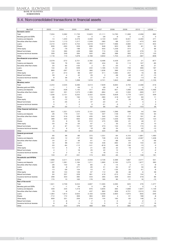# 5.4. Non-consolidated transactions in financial assets

| Mio EUR                      | 2003                | 2004           | 2005                | 2006           | 2007   | 2008           | 2009                    | 2010           | $I-2009$       |
|------------------------------|---------------------|----------------|---------------------|----------------|--------|----------------|-------------------------|----------------|----------------|
| Domestic sector              |                     |                |                     |                |        |                |                         |                |                |
|                              |                     |                |                     |                |        |                |                         |                |                |
| Total                        | 7,004               | 5,382          | 11,733              | 10,823         | 21,111 | 14,783         | 11,566                  | $-2,268$       | 892            |
| Monetary gold and SDRs       | $\overline{1}$      | $\overline{1}$ | $-34$               | $\circ$        | $-29$  | -9             | $\mathbf 0$             | $\mathbf 0$    | $\circ$        |
| Currency and deposits        | $-14$               | 1,200          | 2,479               | 2,059          | 4,103  | 3,061          | 6,551                   | $-3,490$       | 271            |
| Securities other than shares | 2,416               | 1,113          | 1,317               | $-1,049$       | $-380$ | $-68$          | 1,571                   | $-473$         | 402            |
| Loans                        | 2,210               | 2,673          | 4,704               | 5,619          | 10,917 | 7,686          | 2,680                   | 1,611          | 834            |
| Shares                       | 809                 | $-350$         | 559                 | 638            | 948    | 920            | 363                     | $-81$          | 52             |
|                              |                     |                |                     |                |        |                |                         |                | 96             |
| Other equity                 | 25                  | $-79$          | 198                 | 321            | 655    | 1,239          | 374                     | $\overline{c}$ |                |
| Mutual fund shares           | 133                 | 365            | 439                 | 568            | 715    | $-138$         | 207                     | 276            | 13             |
| Insurance technical reserves | 309                 | 349            | 394                 | 500            | 280    | 388            | 393                     | 274            | 133            |
| Other                        | 1,116               | 110            | 1,678               | 2,168          | 3,902  | 1,704          | $-573$                  | $-387$         | $-909$         |
| Non-financial corporations   |                     |                |                     |                |        |                |                         |                |                |
| Total                        | 2,079               | $-272$         | 2,701               | 2,780          | 6,496  | 4,429          | 277                     | $-21$          | $-877$         |
|                              |                     |                |                     |                |        |                |                         |                |                |
| Currency and deposits        | 106                 | 76             | 434                 | 261            | 434    | 30             | 113                     | 167            | $-95$          |
| Securities other than shares | 50                  | 65             | $-100$              | $\overline{c}$ | $-51$  | $-23$          | $-1$                    | $-60$          | 21             |
| Loans                        | 134                 | 22             | 639                 | 240            | 1,195  | 1,130          | 709                     | 366            | 187            |
| Shares                       | 869                 | $-267$         | 312                 | 366            | 1,636  | 386            | $-110$                  | $-143$         | 32             |
| Other equity                 | $-21$               | $-214$         | 98                  | 237            | 511    | 1,090          | 257                     | 16             | 36             |
|                              | 59                  |                | 42                  | 29             | 3      | $-38$          |                         | $-31$          | $-15$          |
| Mutual fund shares           |                     | $-4$           |                     |                |        |                | $-48$                   |                |                |
| Insurance technical reserves | -9                  | 36             | 6                   | 27             | 47     | 12             | 47                      | $-13$          | 62             |
| Other                        | 892                 | 13             | 1,269               | 1,619          | 2,721  | 1,842          | $-689$                  | $-323$         | $-1,105$       |
| Monetary sector              |                     |                |                     |                |        |                |                         |                |                |
| Total                        | 2,204               | 2,025          | 5,596               | 3,513          | 7,929  | 6,663          | 4,700                   | $-2,488$       | $-416$         |
| Monetary gold and SDRs       | $\overline{1}$      | $\overline{1}$ | $-34$               | $\circ$        | $-29$  | -9             | 0                       | 0              | 0              |
|                              |                     |                |                     |                |        |                |                         |                |                |
| Currency and deposits        | $-1.056$            | $-428$         | 1,140               | 317            | 903    | 601            | 1,099                   | $-3,396$       | $-1,496$       |
| Securities other than shares | 1,831               | 351            | 1,073               | $-1,385$       | $-684$ | $-43$          | 1,350                   | $-593$         | 517            |
| Loans                        | 1,556               | 2,131          | 3,222               | 4,422          | 8,045  | 5,828          | 1,779                   | 1,537          | 509            |
| Shares                       | $-38$               | 52             | 194                 | 115            | $-390$ | 418            | 347                     | 80             | 11             |
| Other equity                 | 10                  | $-12$          | $\mathsf{O}\xspace$ | 53             | 62     | $-5$           | 29                      | 30             | 3              |
|                              |                     |                |                     | 37             |        |                | $\mathbf{1}$            |                | $\overline{4}$ |
| Mutual fund shares           | $-5$                | $-35$          | -2                  |                | $-22$  | $-31$          |                         | 5              |                |
| Insurance technical reserves | $\mathsf{O}\xspace$ | $\overline{1}$ | $\overline{c}$      | 6              | $-21$  | $-3$           | 5                       | $\overline{c}$ | $\circ$        |
| Other                        | $-94$               | $-35$          | $-1$                | $-52$          | 66     | $-93$          | 91                      | $-153$         | 36             |
| Other financial institutions |                     |                |                     |                |        |                |                         |                |                |
| Total                        | 922                 | 1,321          | 1,070               | 2,101          | 2,930  | 1,396          | 598                     | 44             | 194            |
| Currency and deposits        | $-26$               | 179            | $-121$              | 104            | 347    | $-149$         | 17                      | 150            | 94             |
|                              |                     |                |                     |                |        |                |                         |                |                |
| Securities other than shares | 540                 | 519            | 329                 | 435            | 345    | 100            | 274                     | 191            | $-81$          |
| Loans                        | 389                 | 430            | 693                 | 840            | 1,200  | 1,026          | 198                     | -424           | 123            |
| Shares                       | 25                  | 9              | 60                  | 312            | 475    | 298            | $-31$                   | 48             | 21             |
| Other equity                 | $-33$               | 18             | $-34$               | $-57$          | $-1$   | 35             | 22                      | $-24$          | 10             |
| Mutual fund shares           | -9                  | 67             | 151                 | 197            | 273    | 132            | 115                     | 170            | 23             |
| Insurance technical reserves | 21                  | 6              |                     |                |        | 54             | 0                       | $-32$          | $-10$          |
|                              |                     |                | $-2$                | 18             | $-29$  |                |                         |                |                |
| Other                        | 15                  | 92             | $-5$                | 253            | 320    | $-99$          | $\overline{c}$          | $-35$          | 15             |
| General government           |                     |                |                     |                |        |                |                         |                |                |
| Total                        | $-90$               | 98             | $-86$               | 370            | 1,031  | $-94$          | 4,104                   | $-1,881$       | 1,490          |
| Currency and deposits        | $-245$              | 12             | $-157$              | 166            | 728    | 418            | 4,048                   | $-2,087$       | 1,408          |
| Securities other than shares | 24                  | 37             | 48                  | $-41$          | 14     | $-88$          | $-54$                   | 0              | $-46$          |
|                              |                     |                |                     |                |        |                |                         |                |                |
| Loans                        | 42                  | 98             | $-121$              | 152            | 446    | $-362$         | $-43$                   | 102            | $-32$          |
| Shares                       | $-33$               | $-84$          | $-112$              | $-141$         | $-819$ | $-48$          | 136                     | $-15$          | $-3$           |
| Other equity                 | $-12$               | 5              | 9                   | 21             | $-28$  | 22             | 19                      | $-15$          | 9              |
| Mutual fund shares           | $\overline{4}$      | $\overline{1}$ | 18                  | 25             | 42     | 12             | $-1$                    | 27             | $-2$           |
| Insurance technical reserves | $-2$                | $\overline{c}$ | $-2$                | 15             | 18     | $-13$          | $-4$                    | $-1$           | $-4$           |
| Other                        | 133                 | 27             | 231                 | 173            | 630    | $-35$          | $\overline{c}$          | 108            | 161            |
| <b>Households and NPISHs</b> |                     |                |                     |                |        |                |                         |                |                |
|                              |                     |                |                     |                |        |                |                         |                |                |
| Total                        | 1,888               | 2,211          | 2,452               | 2,059          | 2,726  | 2,389          | 1,887                   | 2,077          | 501            |
| Currency and deposits        | 1,207               | 1,361          | 1,184               | 1,211          | 1,690  | 2,162          | 1,275                   | 1,677          | 360            |
| Securities other than shares | $-28$               | 142            | $-34$               | $-60$          | $-4$   | $-14$          | $\overline{\mathbf{c}}$ | $-11$          | -9             |
| Loans                        | 88                  | -9             | 271                 | $-35$          | 31     | 64             | 37                      | 30             | 46             |
| Shares                       | $-13$               | $-59$          | 104                 | $-15$          | 47     | $-135$         | 20                      | $-51$          | -9             |
| Other equity                 | 80                  | 124            | 126                 | 67             | 112    | 98             | 48                      | $-5$           | 38             |
|                              |                     |                |                     |                |        |                |                         |                |                |
| Mutual fund shares           | 84                  | 337            | 229                 | 281            | 419    | $-213$         | 140                     | 104            | $\overline{4}$ |
| Insurance technical reserves | 299                 | 303            | 390                 | 433            | 265    | 338            | 344                     | 318            | 86             |
| Other                        | 170                 | 13             | 183                 | 176            | 165    | 90             | 21                      | 16             | $-15$          |
| Rest of the world            |                     |                |                     |                |        |                |                         |                |                |
| Total                        | 1,941               | 2,759          | 5,044               | 4,667          | 11,565 | 4,065          | 825                     | 278            | $-1,277$       |
| Monetary gold and SDRs       | $-1$                | $-1$           | 34                  | 0              | 29     | 9              | 0                       | 0              | $\Omega$       |
|                              |                     |                |                     |                |        |                |                         |                |                |
| Currency and deposits        | 409                 | 225            | 1,419               | 976            | 5,905  | 384            | $-1,689$                | $-1,847$       | $-1,149$       |
| Securities other than shares | $-78$               | $-6$           | $-4$                | 437            | 863    | 828            | 4,701                   | 2,015          | 230            |
| Loans                        | 1,364               | 1,814          | 2,625               | 2,183          | 3,358  | 2,663          | $-1,975$                | $-655$         | $-346$         |
| Shares                       | $-712$              | 172            | 369                 | 384            | 600    | $\overline{4}$ | 61                      | 189            | -8             |
| Other equity                 | 909                 | 331            | 206                 | 216            | 144    | 165            | 83                      | 148            | 24             |
|                              |                     |                | $\sqrt{2}$          |                |        |                |                         |                |                |
| Mutual fund shares           | -3                  | -6             |                     | $-7$           | 3      | $-5$           | $-1$                    | $-2$           | $-1$           |
| Insurance technical reserves | 8                   | 8              | 14                  | 10             | 5      | 14             | 25                      | 17             | 16             |
| Other                        | 44                  | 222            | 379                 | 468            | 658    | $\overline{c}$ | $-380$                  | 413            | $-42$          |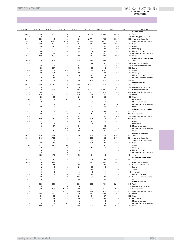**EUROSYSTEM**

| II-2009             | III-2009                      | IV-2009             | $I-2010$            | $II-2010$        | III-2010              | IV-2010                       | $1 - 2011$          | II-2011        | Mio EUR                                     |
|---------------------|-------------------------------|---------------------|---------------------|------------------|-----------------------|-------------------------------|---------------------|----------------|---------------------------------------------|
|                     |                               |                     |                     |                  |                       |                               |                     |                | Domestic sector                             |
| 5,502               | 4,599                         | 573                 | 558                 | 1,817            | $-3,274$              | $-1,369$                      | 5,413               | $-2,661$ Total |                                             |
| 0                   | $\mathsf O$                   | $\circ$             | 0                   | $\mathsf O$      | 0                     | 0                             | $-12$               | 24             | Monetary gold and SDRs                      |
| 3,665               | 2,606                         | $\mathsf g$         | $-2$                | 26               | $-2,774$              | $-739$                        | 4,587               |                | $-2,136$ Currency and deposits              |
| 337                 | 1,056                         | $-225$              | $-315$              | 285              | $-74$                 | $-370$                        | $-11$               | $-856$         | Securities other than shares                |
| 647                 | 433                           | 765                 | 673                 | 424              | 145                   | 369                           | 208                 | $-69$          | Loans                                       |
| $\overline{c}$      | 193                           | 117                 | 29                  | $\mathsf O$      | 33                    | $-143$                        | 58                  |                | 36 Shares                                   |
| 64                  | 24                            | 190                 | 16                  | $-55$            | $-42$                 | 83                            | 109                 |                | 52 Other equity                             |
| 10                  | 75                            | 109                 | 135                 | 72               | $\overline{7}$        | 61                            | 97                  | 29             | Mutual fund shares                          |
| 162<br>615          | 56<br>156                     | 42<br>$-435$        | 127<br>$-106$       | 107<br>960       | 70<br>$-640$          | $-30$<br>$-601$               | 84<br>292           | 24<br>235      | Insurance technical reserves<br>Other       |
|                     |                               |                     |                     |                  |                       |                               |                     |                | Non-financial corporations                  |
| 600                 | 130                           | 424                 | 266                 | 618              | $-616$                | $-288$                        | 174                 |                | $119$ Total                                 |
| 65                  | 11                            | 132                 | $-7$                | $-17$            | $-17$                 | 207                           | $-165$              | $-77$          | Currency and deposits                       |
| $-17$               | 20                            | $-26$               | 6                   | $-51$            | $-33$                 | 19                            | $-66$               | -8             | Securities other than shares                |
| 184                 | $-100$                        | 437                 | 379                 | $-73$            | $-58$                 | 118                           | 177                 | $-106$         | Loans                                       |
| $-10$               | $-140$                        | 9                   | $-14$               | $-25$            | 44                    | $-147$                        | $\overline{7}$      |                | 20 Shares                                   |
| 64                  | $-28$                         | 184                 | 17                  | $-39$            | $-38$                 | 77                            | 96                  | 39             | Other equity                                |
| $-10$               | $-7$                          | $-16$               | 6                   | -8               | $-15$                 | $-14$                         | $-7$                |                | -3 Mutual fund shares                       |
| 15                  | $-16$                         | $-15$               | 34                  | $-4$             | $-14$                 | $-28$                         | 38                  | $\overline{c}$ | Insurance technical reserves                |
| 309                 | 388                           | $-281$              | $-155$              | 835              | $-484$                | $-519$                        | 93                  |                | 252 Other                                   |
|                     |                               |                     |                     |                  |                       |                               |                     |                | Monetary sector                             |
| 2,094               | 1,480                         | 1,542               | $-948$              | 1,686            | $-2,276$              | $-950$                        | 1,173               | $-1,659$ Total |                                             |
| 0                   | 0                             | $\circ$             | $\mathbf 0$         | 0                | $\mathbf 0$           | $\mathsf{O}\xspace$           | $-12$               |                | 24   Monetary gold and SDRs                 |
| 1,353               | 6                             | 1,236               | $-977$              | 883              | $-2,281$              | $-1,022$                      | 877                 | $-879$         | Currency and deposits                       |
| 194                 | 922                           | $-283$              | $-331$              | 276              | $-159$                | $-379$                        | 145                 | $-754$         | Securities other than shares                |
| 369                 | 400                           | 500                 | 308                 | 536              | 244                   | 449                           | 82                  | $-98$          | Loans                                       |
| 63                  | 183                           | 89                  | 30                  | 26               | -8                    | 33                            | 16                  | 55             | Shares                                      |
| $-3$                | 25                            | $\overline{4}$      | $-1$                | 14               | 3                     | 15                            | $\overline{7}$      | 10             | Other equity                                |
| $-2$                | $\mathsf{O}\xspace$           | $-2$                | 5                   | $-4$             | $\overline{4}$        | $\circ$                       | $-7$                | $-4$           | Mutual fund shares                          |
| 3                   | $\mathbf{1}$                  | $\mathbf{1}$        | $\mathbf{1}$        | $\mathbf{1}$     | $\mathbf{1}$          | $-1$                          | $-1$                | $\mathbf 0$    | Insurance technical reserves                |
| 116                 | $-59$                         | $-3$                | 17                  | $-45$            | $-80$                 | $-45$                         | 66                  |                | $-13$ Other                                 |
| 191                 | 206                           | $\overline{7}$      | 104                 | 113              | -8                    | $-165$                        | 103                 |                | Other financial institutions<br>$102$ Total |
| $-43$               | 22                            | $-56$               | 68                  | 46               | 17                    | 19                            | 30                  | 130            | Currency and deposits                       |
| 186                 | 103                           | 66                  | 13                  | 45               | 86                    | 48                            | $-45$               | $-64$          | Securities other than shares                |
| 83                  | 108                           | $-115$              | $-72$               | $-65$            | $-131$                | $-157$                        | $-171$              | 106            | Loans                                       |
| $-58$               | $-31$                         | 37                  | 25                  | 13               | 15                    | $-5$                          | 42                  | -3             | Shares                                      |
| $\overline{4}$      | 9                             | $-1$                | $-4$                | $-13$            | $\overline{4}$        | $-10$                         | $\overline{1}$      | -2             | Other equity                                |
| $-13$               | 48                            | 57                  | 68                  | 54               | $\overline{4}$        | 44                            | 81                  |                | 18 Mutual fund shares                       |
| 14                  | -9                            | 6                   | $-10$               | 10               | $-1$                  | $-31$                         | 20                  | -3             | Insurance technical reserves                |
| 18                  | $-44$                         | 13                  | 16                  | 23               | $-1$                  | $-72$                         | 144                 | $-79$          | Other                                       |
|                     |                               |                     |                     |                  |                       |                               |                     |                | General government                          |
| 1,984               | 2,576                         | $-1,947$            | 607                 | $-1,340$         | $-595$                | $-553$                        | 3,765               | $-1,690$       | Total                                       |
| 1,852               | 2,513                         | $-1,725$            | 503                 | $-1,416$         | $-690$                | $-485$                        | 3,478               | $-1,824$       | Currency and deposits                       |
| $-14$               | $\overline{c}$                | $\sqrt{5}$          | $\boldsymbol{2}$    | $-7$             | 24                    | $-20$                         | $-28$               | -2             | Securities other than shares                |
| 14                  | 22                            | $-47$               | 35                  | $\overline{c}$   | 101                   | -36                           | 183                 |                | 39 Loans                                    |
| $-4$                | 157                           | $-13$               | $-5$                | $-2$             | $-1$                  | $-7$                          | $\overline{c}$      |                | $-3$ Shares                                 |
| $\overline{c}$      | 8                             | $\circ$             | $\circ$             | $-1$             | $-16$                 | $\overline{c}$                | 3                   | 0              | Other equity                                |
| $-2$                | $-5$                          | 8                   | 13                  | 6                | 1                     | $\overline{\mathcal{I}}$      | 13                  | $\overline{7}$ | Mutual fund shares                          |
| 1<br>135            | $\mathsf{O}\xspace$<br>$-120$ | $\circ$<br>$-173$   | $\circ$<br>57       | $-1$<br>78       | $\mathbf{1}$<br>$-14$ | $\mathsf{O}\xspace$<br>$-14$  | $\mathbf{1}$<br>115 | $-1$<br>94     | Insurance technical reserves<br>Other       |
|                     |                               |                     |                     |                  |                       |                               |                     |                | <b>Households and NPISHs</b>                |
| 633                 | 207                           | 546                 | 529                 | 741              | 221                   | 587                           | 198                 |                | 467 Total                                   |
| 439                 | 54                            | 422                 | 411                 | 529              | 196                   | 542                           | 367                 |                | 513 Currency and deposits                   |
| $-12$               | 8                             | 14                  | $-5$                | 22               | $\hbox{9}$            | $-38$                         | $-16$               | $-27$          | Securities other than shares                |
| $-3$                | $\overline{c}$                | -9                  | 22                  | 24               | $-10$                 | $-5$                          | $-63$               | $-11$          | Loans                                       |
| 11                  | 24                            | $-5$                | $-7$                | $-12$            | $-16$                 | $-17$                         | -9                  |                | $-32$ Shares                                |
| $-4$                | 10                            | 3                   | $\overline{4}$      | $-15$            | 5                     | $\overline{1}$                | $\sqrt{2}$          |                | 5 Other equity                              |
| 35                  | 38                            | 62                  | 43                  | 23               | 14                    | 25                            | 18                  | 11             | Mutual fund shares                          |
| 129                 | 80                            | 50                  | 102                 | 101              | 84                    | 31                            | 25                  |                | 27 Insurance technical reserves             |
| 37                  | -9                            | $\mathsf g$         | $-42$               | 69               | $-61$                 | 49                            | $-127$              |                | $-19$ Other                                 |
|                     |                               |                     |                     |                  |                       |                               |                     |                | Rest of the world                           |
| 43                  | 2,323                         | $-264$              | 359                 | 1,036            | $-356$                | $-761$                        | 2,234               | $-143$ Total   |                                             |
| 0                   | 0                             | $\mathsf{O}\xspace$ | $\circ$             | 0                | 0                     | $\mathsf{O}\xspace$           | 12                  | $-24$          | Monetary gold and SDRs                      |
| 13                  | $-990$                        | 437                 | $-1, 152$           | 419              | $-300$                | $-815$                        | $-1,050$            |                | 572 Currency and deposits                   |
| 976                 | 3,312                         | 183                 | 1,591               | 484              | $-47$                 | $-12$                         | 2,914               |                | -458 Securities other than shares           |
| $-764$              | $-182$                        | $-682$              | $-182$              | $-236$           | 150                   | $-388$                        | $-95$               |                | $-383$ Loans                                |
| $\mathsf{O}\xspace$ | 31                            | 39                  | 5                   | 26               | 31                    | 127                           | 56                  |                | 137 Shares                                  |
| $-26$               | 42                            | 43                  | $-68$               | $-50$            | 9                     | 256                           | 49                  |                | -40 Other equity                            |
| 0                   | $-1$                          | $\circ$             | $\mathsf{O}\xspace$ | $\boldsymbol{2}$ | $-1$                  | $-2$                          | 3                   |                | 1 Mutual fund shares                        |
| 0<br>$-156$         | $\mathsf{O}\xspace$<br>112    | 9<br>$-293$         | $-1$<br>165         | 8<br>383         | 6<br>$-204$           | $\overline{\mathbf{4}}$<br>69 | 6<br>340            | 1              | Insurance technical reserves<br>50 Other    |
|                     |                               |                     |                     |                  |                       |                               |                     |                |                                             |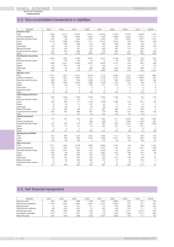# 5.5. Non-consolidated transactions in liabilities

| Mio EUR                      | 2003           | 2004           | 2005           | 2006           | 2007         | 2008        | 2009           | 2010        | $I-2009$       |
|------------------------------|----------------|----------------|----------------|----------------|--------------|-------------|----------------|-------------|----------------|
| Domestic sector              |                |                |                |                |              |             |                |             |                |
| Total                        | 7,369          | 6,215          | 12,622         | 12,021         | 23,049       | 17,663      | 12,291         | $-2,098$    | 1,047          |
| Currency and deposits        | 906            | 1,655          | 2,388          | 2,562          | 7,195        | 3,893       | 4,645          | $-4,916$    | $-110$         |
| Securities other than shares | 1,130          | $-94$          | 825            | $-1,045$       | $-1,944$     | 724         | 6,554          | 1,507       | 1,274          |
| Loans                        | 3,318          | 4,399          | 6,697          | 7,131          | 12,319       | 9,540       | 409            | 822         | 449            |
| Shares                       | -3             | $-526$         | 298            | 316            | 363          | 852         | 364            | 29          | 27             |
| Other equity                 | 750            | 92             | 103            | 318            | 370          | 788         | 312            | 189         | 130            |
| Mutual fund shares           | 118            | 322            | 187            | 279            | 594          | $-190$      | 175            | 158         | 8              |
| Insurance technical reserves | 305            | 345            | 388            | 481            | 279          | 385         | 431            | 303         | 148            |
| Other                        | 844            | 24             | 1,735          | 1,980          | 3,873        | 1,672       | $-600$         | $-188$      | $-879$         |
| Non-financial corporations   |                |                |                |                |              |             |                |             |                |
| Total                        | 3,083          | 1,604          | 4,583          | 4,847          | 9,727        | 8.039       | 828            | 130         | $-370$         |
| Securities other than shares | 11             | 119            | 164            | $-18$          | 75           | 56          | 343            | $-181$      | 29             |
| Loans                        | 1,805          | 2,041          | 2,786          | 3,032          | 6,223        | 5,715       | 476            | 200         | 498            |
| Shares                       | $-81$          | $-607$         | 159            | 57             | 182          | 71          | 159            | 6           | 23             |
| Other equity                 | 699            | 30             | 98             | 299            | 282          | 803         | 323            | 238         | 117            |
| Other                        | 648            | 22             | 1,375          | 1,477          | 2,966        | 1,394       | $-473$         | $-133$      | $-1,037$       |
| Monetary sector              |                |                |                |                |              |             |                |             |                |
| Total                        | 2,217          | 1,872          | 5,221          | 3,036          | 7,715        | 6,360       | 4,134          | $-3,180$    | $-680$         |
| Currency and deposits        | 904            | 1,651          | 2,385          | 2,751          | 6,759        | 3,721       | 2,654          | $-3,808$    | $-757$         |
| Securities other than shares | 636            | $-837$         | 484            | $-1,689$       | $-1,719$     | 299         | 2,062          | 832         | 188            |
| Loans                        | 668            | 1,040          | 2,223          | 1,669          | 2,428        | 1,752       | $-744$         | $-98$       | $-113$         |
| Shares                       | 67             | 63             | 116            | 150            | 211          | 716         | 171            | 14          | $\overline{c}$ |
| Other equity                 | 14             | $\circ$        | $\circ$        | $\circ$        | 0            | $\mathbf 0$ | $\mathbf 0$    | $\mathbf 0$ | $\mathbf 0$    |
| Mutual fund shares           | $\circ$        | $\circ$        | $\overline{4}$ | $\overline{c}$ | 3            | 6           | $-4$           | $-2$        | 3              |
| Other                        | $-72$          | $-45$          | $\overline{9}$ | 153            | 33           | $-135$      | $-4$           | $-119$      | $-3$           |
| Other financial institutions |                |                |                |                |              |             |                |             |                |
|                              |                |                |                |                |              |             |                |             |                |
| Total                        | 978            | 1,536          | 1,390          | 2,059          | 2,600        | 1,543       | 472            | 56          | 116            |
| Securities other than shares | 31             | $-23$          | $-34$          | 14             | $-17$        | 17          | $\overline{4}$ | $-11$       | $\circ$        |
| Loans                        | 490            | 805            | 741            | 1,108          | 1,539        | 1,359       | $-132$         | $-341$      | $-59$          |
| Shares                       | 10             | 18             | 21             | 107            | $-30$        | 71          | 34             | 8           | $\overline{c}$ |
| Other equity                 | 37             | 62             | $\overline{4}$ | 20             | 88           | $-15$       | $-11$          | $-50$       | 12             |
| Mutual fund shares           | 118            | 322            | 183            | 277            | 591          | $-196$      | 179            | 159         | 5              |
| Insurance technical reserves | 305            | 345            | 388            | 481            | 279          | 385         | 431            | 303         | 148            |
| Other                        | $-14$          | $\overline{7}$ | 87             | 52             | 150          | $-78$       | $-33$          | $-13$       | $\overline{7}$ |
| General government           |                |                |                |                |              |             |                |             |                |
| Total                        | 574            | 707            | 322            | 775            | 1,060        | 611         | 6,235          | 190         | 1,846          |
| Currency and deposits        | $\overline{c}$ | $\overline{4}$ | 3              | $-189$         | 436          | 171         | 1,992          | $-1,108$    | 647            |
| Securities other than shares | 451            | 647            | 212            | 647            | $-283$       | 350         | 4,145          | 867         | 1,056          |
| Loans                        | $-20$          | 77             | $-21$          | 22             | 292          | $-317$      | 167            | 441         | $\overline{4}$ |
| Shares                       | $\circ$        | $\circ$        | $\overline{c}$ | $\overline{2}$ | $\mathbf{1}$ | $-7$        | $\mathbf 0$    | $\circ$     | $\mathbf 0$    |
| Other                        | 140            | $-21$          | 127            | 293            | 614          | 413         | $-69$          | $-10$       | 138            |
| <b>Households and NPISHs</b> |                |                |                |                |              |             |                |             |                |
| Total                        | 516            | 496            | 1,105          | 1,304          | 1,946        | 1,111       | 621            | 706         | 136            |
| Loans                        | 374            | 436            | 969            | 1,300          | 1,836        | 1,031       | 643            | 620         | 120            |
| Other                        | 142            | 60             | 136            | 5              | 110          | 78          | $-22$          | 86          | 16             |
| Rest of the world            |                |                |                |                |              |             |                |             |                |
| Total                        | 1,577          | 1,926          | 4,156          | 3,469          | 9,628        | 1,184       | 99             | 108         | $-1,432$       |
| Currency and deposits        | $-510$         | $-230$         | 1,510          | 474            | 2,813        | $-447$      | 217            | $-421$      | $-768$         |
| Securities other than shares | 1,208          | 1,201          | 488            | 432            | 2,428        | 36          | $-283$         | 35          | $-643$         |
| Loans                        | 256            | 88             | 632            | 671            | 1,957        | 810         | 296            | 134         | 39             |
| Shares                       | 100            | 348            | 630            | 706            | 1,185        | 72          | 60             | 79          | 17             |
| Other equity                 | 184            | 161            | 302            | 219            | 430          | 617         | 146            | $-39$       | $-10$          |
| Mutual fund shares           | 12             | 38             | 253            | 282            | 124          | 47          | 30             | 116         | $\overline{4}$ |
| Insurance technical reserves | 12             | 11             | 20             | 28             | 6            | 17          | $-13$          | $-11$       | $\overline{1}$ |
| Other                        | 315            | 308            | 322            | 656            | 687          | 33          | $-354$         | 214         | $-72$          |
|                              |                |                |                |                |              |             |                |             |                |

#### 5.6. Net financial transactions

| Mio EUR                      | 2003     | 2004     | 2005     | 2006     | 2007     | 2008     | 2009     | 2010     | $I-2009$ |
|------------------------------|----------|----------|----------|----------|----------|----------|----------|----------|----------|
| Domestic sector              | $-364$   | $-833$   | $-888$   | $-1.198$ | $-1.937$ | $-2.880$ | $-725$   | $-170$   | $-155$   |
| Non-financial corporations   | $-1.004$ | $-1.876$ | $-1.882$ | $-2.067$ | $-3.231$ | $-3.610$ | $-551$   | $-151$   | $-507$   |
| <b>Monetary sector</b>       | $-13$    | 153      | 375      | 477      | 214      | 303      | 566      | 692      | 264      |
| Other financial institutions | $-56$    | $-216$   | $-320$   | 42       | 330      | $-146$   | 125      | $-11$    | 78       |
| General government           | $-664$   | $-609$   | $-408$   | $-405$   | $-29$    | $-706$   | $-2.131$ | $-2.072$ | $-355$   |
| Households and NPISHs        | 1.372    | .714     | .347     | 755      | 779      | .278     | .266     | 1.371    | 365      |
| Rest of the world            | 364      | 833      | 888      | .198     | 1.937    | 2.880    | 725      | 171      | 155      |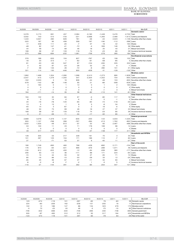**EUROSYSTEM**

| II-2009        | III-2009            | IV-2009             | $I-2010$            | $II-2010$ | III-2010       | IV-2010             | $1 - 2011$     | $II-2011$      | Mio EUR                             |
|----------------|---------------------|---------------------|---------------------|-----------|----------------|---------------------|----------------|----------------|-------------------------------------|
|                |                     |                     |                     |           |                |                     |                |                | Domestic sector                     |
| 5,379          | 5,173               | 691                 | 457                 | 2,084     | $-3,190$       | $-1,449$            | 5,476          | $-2,700$ Total |                                     |
| 3,502          | 743                 | 510                 | $-733$              | $-221$    | $-2,698$       | $-1,265$            | 2,466          |                | -1,613 Currency and deposits        |
| 1,443          | 3,557               | 280                 | 826                 | 781       | $-56$          | $-44$               | 2,523          |                | -1,136 Securities other than shares |
| $-323$         | 187                 | 95                  | 456                 | 358       | 197            | $-190$              | $-112$         |                | -388 Loans                          |
| 17             | 209                 | 111                 | $-20$               | $-7$      | 37             | 19                  | 42             |                | 163 Shares                          |
| $-48$          | 82                  | 147                 | $-41$               | $-72$     | $-4$           | 306                 | 146            |                | 36 Other equity                     |
| 44             | 49                  | 74                  | 69                  | 46        | 18             | 25                  | 40             | 27             | Mutual fund shares                  |
| 168            | 58                  | 57                  | 133                 | 118       | 74             | $-23$               | 85             | 29             | Insurance technical reserves        |
| 575            | 288                 | $-584$              | $-232$              | 1,081     | $-758$         | $-278$              | 285            |                | 184 Other                           |
|                |                     |                     |                     |           |                |                     |                |                | Non-financial corporations          |
| 376            | 189                 | 633                 | 104                 | 827       | $-767$         | $-33$               | 158            |                | $102$ Total                         |
| $-18$          | 20                  | 313                 | $-1$                | $-62$     | $-61$          | $-58$               | $-95$          | 5              | Securities other than shares        |
| 81             | $-53$               | $-50$               | 547                 | 87        | $-104$         | $-330$              | 225            |                | 202 Loans                           |
| $\mathbf 0$    | 40                  | 97                  | $-23$               | $-26$     | 32             | 23                  | $\,6$          |                | $-1$ Shares                         |
| $-7$           | 68                  | 145                 | 26                  | $-72$     | $-6$           | 290                 | 151            | 31             | Other equity                        |
| 321            | 114                 | 130                 | $-446$              | 900       | $-628$         | 41                  | $-129$         | $-135$         | Other                               |
|                |                     |                     |                     |           |                |                     |                |                | Monetary sector                     |
| 1,992          | 1,468               | 1,354               | $-1,095$            | 1,598     | $-2,410$       | $-1,273$            | 695            | $-1,829$ Total |                                     |
| 2,547          | $-415$              | 1,279               | $-1,000$            | 547       | $-2,304$       | $-1,052$            | 704            | $-650$         | Currency and deposits               |
| $-162$         | 2,033               | 3                   | 16                  | 906       | $-44$          | $-46$               | 153            |                | -655 Securities other than shares   |
| $-578$         | $-142$              | 88                  | $-148$              | 95        | 21             | $-66$               | $-308$         | $-629$         | Loans                               |
| $\overline{4}$ | 164                 | $\mathsf{O}\xspace$ | 1                   | 12        | $\circ$        | $\overline{1}$      | $\overline{c}$ |                | 163 Shares                          |
| $\circ$        | $\circ$             | $\circ$             | $\mathsf{O}\xspace$ | $\circ$   | $\circ$        | $\circ$             | $\circ$        | 0              | Other equity                        |
| $-3$           | $-1$                | $-1$                | $\mathsf{O}\xspace$ | $\circ$   | $\mathsf O$    | $-1$                | 3              | $\overline{4}$ | Mutual fund shares                  |
| 184            | $-171$              | $-14$               | 35                  | 38        | $-82$          | $-110$              | 141            |                | $-61$ Other                         |
|                |                     |                     |                     |           |                |                     |                |                | Other financial institutions        |
|                | 132                 | 30                  | 84                  | 67        | $-5$           | $-90$               | 117            | 19             | Total                               |
| 194<br>-9      | $\mathsf{O}\xspace$ | 14                  | $-2$                |           | $-3$           | $\mathsf{O}\xspace$ | $-1$           | $\overline{c}$ |                                     |
|                |                     |                     |                     | $-5$      |                |                     |                |                | Securities other than shares        |
| 20             | $-16$               | $-78$               | $-120$              | $-65$     | $-84$          | $-72$               | $-118$<br>34   | $-35$          | Loans                               |
| 13             | 5                   | 15                  | $\overline{1}$      | 8         | 5              | $-6$                |                |                | 0 Shares                            |
| $-40$          | 14                  | 3                   | $-67$               | $\circ$   | $\overline{2}$ | 16                  | $-5$           | $\mathbf 5$    | Other equity                        |
| 48             | 50                  | 75                  | 69                  | 46        | 18             | 27                  | 37             |                | 23 Mutual fund shares               |
| 168            | 58                  | 57                  | 133                 | 118       | 74             | $-23$               | 85             | 29             | Insurance technical reserves        |
| $-5$           | 21                  | $-56$               | 71                  | $-34$     | $-17$          | $-32$               | 85             | $-4$           | Other                               |
|                |                     |                     |                     |           |                |                     |                |                | General government                  |
| 2,689          | 3,079               | $-1,379$            | 1,147               | $-635$    | $-200$         | $-122$              | 4,503          | $-1,025$ Total |                                     |
| 955            | 1,157               | $-768$              | 266                 | $-767$    | $-394$         | $-213$              | 1,762          | $-963$         | Currency and deposits               |
| 1,632          | 1,505               | $-49$               | 813                 | $-57$     | 52             | 60                  | 2.467          |                | -488 Securities other than shares   |
| 53             | 100                 | 11                  | 23                  | 71        | 178            | 169                 | 96             | 14             | Loans                               |
| $\mathsf O$    | $\mathsf{O}\xspace$ | $\mathsf{O}\xspace$ | $\mathsf{O}\xspace$ | $\circ$   | $\mathsf O$    | $\mathsf O$         | $\circ$        | $\mathbf 0$    | Shares                              |
| 49             | 317                 | $-572$              | 45                  | 119       | $-37$          | $-138$              | 177            |                | 411 Other                           |
|                |                     |                     |                     |           |                |                     |                |                | <b>Households and NPISHs</b>        |
| 128            | 305                 | 53                  | 217                 | 228       | 191            | 70                  | 3              |                | 33 Total                            |
| 101            | 297                 | 125                 | 154                 | 171       | 186            | 110                 | $-7$           |                | 60 Loans                            |
| 27             | $\overline{7}$      | $-71$               | 63                  | 57        | 6              | $-40$               | 11             |                | -27 Other                           |
|                |                     |                     |                     |           |                |                     |                |                | Rest of the world                   |
| 166            | 1,749               | $-383$              | 460                 | 768       | $-439$         | $-682$              | 2,171          | $-104$         | Total                               |
| 176            | 873                 | $-64$               | $-421$              | 666       | $-376$         | $-289$              | 1,071          | 49             | Currency and deposits               |
| $-130$         | 812                 | $-322$              | 450                 | $-12$     | $-64$          | $-339$              | 380            | $-177$         | Securities other than shares        |
| 206            | 63                  | $-12$               | 36                  | $-171$    | 98             | 171                 | 224            | $-64$          | Loans                               |
| $-15$          | 15                  | 44                  | 55                  | 32        | 27             | $-35$               | 71             | 10             | Shares                              |
| 85             | $-16$               | 86                  | $-10$               | $-33$     | $-29$          | 33                  | 12             | $-24$          | Other equity                        |
| $-35$          | 25                  | 36                  | 67                  | 27        | $-11$          | 34                  | 60             | $\overline{4}$ | Mutual fund shares                  |
| $-6$           | $-2$                | $-6$                | $-7$                | $-2$      | $\overline{1}$ | $-3$                | 5              | -3             | Insurance technical reserves        |
| $-116$         | $-21$               | $-144$              | 291                 | 262       | $-85$          | $-254$              | 347            | 101            | Other                               |

| $II - 2009$ | $II - 2009$ | IV-2009 | $1-2010$ | $II-2010$ | $III-2010$ | IV-2010 | $1 - 2011$ | $II - 2011$ | Mio EUR                         |
|-------------|-------------|---------|----------|-----------|------------|---------|------------|-------------|---------------------------------|
| 123         | $-574$      | $-119$  | 101      | $-267$    | $-83$      | 79      | $-63$      |             | 39   Domestic sector            |
| 224         | $-60$       | $-209$  | 162      | $-209$    | 151        | $-255$  | 16         |             | 17 Non-financial corporations   |
| 102         | 12          | 188     | 147      | 88        | 134        | 323     | 479        |             | 170 Monetary sector             |
| -3          | 73          | $-23$   | 20       | 46        | $-3$       | $-75$   | $-15$      |             | 83 Other financial institutions |
| $-706$      | $-502$      | $-568$  | $-540$   | $-706$    | $-395$     | $-430$  | $-738$     |             | -665 General government         |
| 505         | $-97$       | 493     | 312      | 512       | 30         | 517     | 194        |             | 433 Households and NPISHs       |
| $-123$      | 574         | 119     | $-101$   | 267       | 83         | $-79$   | 63         |             | -39 Rest of the world           |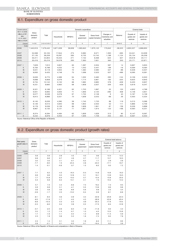# 6.1. Expenditure on gross domestic product

| Current prices,                                                               |                              |               |            |                | Domestic expenditure |                                  |                                            | External trade |                                     |                                     |
|-------------------------------------------------------------------------------|------------------------------|---------------|------------|----------------|----------------------|----------------------------------|--------------------------------------------|----------------|-------------------------------------|-------------------------------------|
| till 31.12.2006<br>millions of SIT.<br>after<br>01.01.2007<br>millions of EUR | Gross<br>domestic<br>product | Total         | Households | NPISH's        | General<br>aovemment | Gross fixed<br>capital formation | Changes in<br>inventories and<br>valuables | Balance        | Exports of<br>goods and<br>services | Imports of<br>goods and<br>services |
| Column                                                                        | $1 = 2 + 8$                  | $2=3+4+5+6+7$ | 3          | $\overline{4}$ | 5                    | 6                                | $\overline{7}$                             | $8 = 9 - 10$   | 9                                   | 10 <sup>1</sup>                     |
| Code                                                                          |                              |               |            |                |                      |                                  |                                            |                |                                     |                                     |
| 2006                                                                          | 7,440,916                    | 7,479,440     | 3,871,639  | 58,839         | 1,395,840            | 1,975,143                        | 175,642                                    | $-38,523$      | 4,950,327                           | 4,988,850                           |
| 2007                                                                          | 34.568                       | 35.163        | 17.944     | 274            | 5.990                | 9.571                            | 1,363                                      | $-595$         | 24,041                              | 24,636                              |
| 2008                                                                          | 37.135                       | 38.259        | 19.297     | 283            | 6.735                | 10,742                           | 1.188                                      | $-1.124$       | 25.134                              | 26,258                              |
| 2009                                                                          | 35.311                       | 34.804        | 19,434     | 271            | 7,152                | 8,268                            | $-324$                                     | 507            | 20,618                              | 20,111                              |
| 2010                                                                          | 35,416                       | 35,216        | 19,578     | 263            | 7,363                | 7,651                            | 360                                        | 200            | 23,171                              | 22,971                              |
| 2007                                                                          | 7.829                        | 7.815         | 3.907      | 65             | 1.397                | 2.054                            | 387                                        | 14             | 5.667                               | 5,653                               |
| $\mathbf{H}$                                                                  | 8.783                        | 8.798         | 4.532      | 73             | 1.542                | 2,447                            | 199                                        | $-16$          | 6.069                               | 6,084                               |
| Ш                                                                             | 9,021                        | 9,119         | 4.654      | 70             | 1,482                | 2,580                            | 327                                        | $-98$          | 6,209                               | 6,307                               |
| IV                                                                            | 8,930                        | 9,425         | 4,748      | 75             | 1,568                | 2,523                            | 507                                        | $-496$         | 6,095                               | 6,591                               |
| 2008                                                                          | 8.626                        | 8.770         | 4,386      | 64             | 1,555                | 2,480                            | 283                                        | $-144$         | 6,159                               | 6,303                               |
| Ш                                                                             | 9.688                        | 9.908         | 5.076      | 73             | 1.714                | 2.861                            | 183                                        | $-220$         | 6,625                               | 6,845                               |
| Ш                                                                             | 9.734                        | 10,142        | 5.132      | 68             | 1,682                | 2,882                            | 378                                        | $-408$         | 6,430                               | 6,837                               |
| IV                                                                            | 9,231                        | 9,660         | 4,950      | 69             | 1,808                | 2,507                            | 326                                        | $-429$         | 5,818                               | 6,247                               |
| 2009                                                                          | 8,321                        | 8,188         | 4,401      | 62             | 1,703                | 1,997                            | 25                                         | 133            | 4,922                               | 4,789                               |
| $\mathbf{I}$                                                                  | 9,001                        | 8,693         | 4,935      | 71             | 1,856                | 2,120                            | $-290$                                     | 308            | 5,149                               | 4,841                               |
| Ш                                                                             | 9,077                        | 9,038         | 5.078      | 67             | 1,755                | 2,128                            | 9                                          | 40             | 5,197                               | 5,158                               |
| IV                                                                            | 8,912                        | 8.886         | 5.021      | 70             | 1,839                | 2.023                            | $-68$                                      | 26             | 5.350                               | 5,324                               |
| 2010                                                                          | 8.145                        | 8.026         | 4.390      | 59             | 1.745                | 1.733                            | 99                                         | 119            | 5.215                               | 5,096                               |
| Ш                                                                             | 9.126                        | 9.015         | 4.940      | 68             | 1.902                | 2.053                            | 52                                         | 111            | 5.866                               | 5.756                               |
| Ш                                                                             | 9.178                        | 9.039         | 5.126      | 66             | 1.808                | 1.951                            | 87                                         | 139            | 6.026                               | 5,888                               |
| IV                                                                            | 8,967                        | 9,135         | 5,121      | 71             | 1,907                | 1,914                            | 122                                        | $-168$         | 6.063                               | 6,231                               |
| $2011$                                                                        | 8.374                        | 8,294         | 4,484      | 62             | 1.806                | 1,629                            | 313                                        | 80             | 6.147                               | 6,067                               |
| $\mathsf{II}$                                                                 | 9,242                        | 8,978         | 5.053      | 67             | 1.926                | 1,729                            | 202                                        | 264            | 6.567                               | 6,303                               |

Source: Statistical Office of the Republic of Slovenia.

# 6.2. Expenditure on gross domestic product (growth rates)

|                              |                                                                                              |                              |                |                         | Domestic expenditure | External trade balance |                                  |                |                                     |  |  |
|------------------------------|----------------------------------------------------------------------------------------------|------------------------------|----------------|-------------------------|----------------------|------------------------|----------------------------------|----------------|-------------------------------------|--|--|
| Real yearly<br>$\frac{0}{0}$ | growth rates in                                                                              | Gross<br>domestic<br>product | Total          | NPISH's<br>Households   |                      | General<br>government  | Gross fixed<br>capital formation |                | Imports of<br>goods and<br>services |  |  |
|                              | Column                                                                                       | $\overline{1}$               | $\overline{2}$ | $\overline{\mathbf{3}}$ | $\overline{4}$       | $\overline{5}$         | $\overline{6}$                   | $\overline{7}$ | $\overline{8}$                      |  |  |
|                              | Code                                                                                         |                              |                |                         |                      |                        |                                  |                |                                     |  |  |
| 2006                         |                                                                                              | 5.8                          | 5.6            | 2.9                     | 4.5                  | 4.0                    | 9.9                              | 12.5           | 12.2                                |  |  |
| 2007                         |                                                                                              | 6.8                          | 8.6            | 6.7                     | 4.6                  | 0.7                    | 11.7                             | 13.7           | 16.3                                |  |  |
| 2008                         |                                                                                              | 3.5                          | 3.5            | 2.1                     | $-0.7$               | 6.2                    | 7.7                              | 2.9            | 2.9                                 |  |  |
| 2009                         |                                                                                              | $-7.7$                       | $-9.0$         | 1.5                     | $-24.4$              | 2.8                    | $-22.2$                          | $-17.1$        | $-18.7$                             |  |  |
| 2010                         |                                                                                              | 1.4                          | $-0.1$         | $-0.6$                  | $-3.7$               | 1.5                    | $-8.3$                           | 9.5            | 7.2                                 |  |  |
|                              |                                                                                              |                              |                |                         |                      |                        |                                  |                |                                     |  |  |
| 2007                         |                                                                                              | 7.7                          | 8.2            | 4.3                     | 16.3                 | $-0.3$                 | 14.9                             | 15.6           | 16.3                                |  |  |
|                              | $\mathbf{H}$                                                                                 | 6.8                          | 9.6            | 5.0                     | 12.9                 | 0.1                    | 16.1                             | 13.9           | 18.3                                |  |  |
|                              | III                                                                                          | 7.7                          | 10.9           | 8.4                     | 10.0                 | 0.7                    | 15.4                             | 15.6           | 20.5                                |  |  |
|                              | IV                                                                                           | 5.3                          | 6.9            | 6.2                     | 13.1                 | 2.1                    | 7.5                              | 10.2           | 12.2                                |  |  |
|                              |                                                                                              |                              |                |                         |                      |                        |                                  |                |                                     |  |  |
| 2008                         |                                                                                              | 5.7                          | 7.3            | 4.4                     | $-6.8$               | 7.0                    | 18.2                             | 7.3            | 9.5                                 |  |  |
|                              | $\mathbf{H}$                                                                                 | 5.9                          | 6.8            | 5.1                     | $-4.1$               | 5.5                    | 13.6                             | 8.6            | 9.8                                 |  |  |
|                              | III                                                                                          | 3.8                          | 4.6            | 3.6                     | $-6.6$               | 5.6                    | 6.9                              | 2.2            | 3.4                                 |  |  |
|                              | IV                                                                                           | $-0.9$                       | $-1.7$         | 2.5                     | $-13.2$              | 6.4                    | $-5.6$                           | $-6.1$         | $-6.8$                              |  |  |
| 2009                         |                                                                                              | $-8.1$                       | $-9.3$         | 0.6                     | $-4.9$               | 3.4                    | $-22.8$                          | $-20.9$        | $-22.3$                             |  |  |
|                              | $\mathbf{H}$                                                                                 | $-9.5$                       | $-11.6$        | $-1.7$                  | $-4.5$               | 4.2                    | $-26.9$                          | $-22.8$        | $-25.4$                             |  |  |
|                              | III                                                                                          | $-8.9$                       | $-10.4$        | 0.3                     | $-2.3$               | 3.9                    | $-25.3$                          | $-17.6$        | $-19.4$                             |  |  |
|                              | IV                                                                                           | $-5.3$                       | $-8.5$         | 0.4                     | 0.8                  | 0.2                    | $-17.5$                          | $-6.4$         | $-10.9$                             |  |  |
| 2010                         |                                                                                              | $-0.7$                       | $-2.0$         | $-0.9$                  | $-6.3$               | 1.9                    | $-11.8$                          | 6.5            | 4.2                                 |  |  |
|                              | $\mathbf{H}$                                                                                 | 2.0                          | 1.2            | $-1.4$                  | $-5.7$               | 1.0                    | $-4.5$                           | 12.0           | 10.6                                |  |  |
|                              |                                                                                              | 1.7                          | $-1.6$         | $-1.1$                  | $-3.4$               | 1.3                    | $-9.9$                           | 11.4           |                                     |  |  |
|                              | III<br>IV.                                                                                   | 2.3                          | 1.9            | 0.8                     | 0.2                  | 1.6                    | $-7.2$                           | 8.2            | 5.9<br>7.8                          |  |  |
|                              |                                                                                              |                              |                |                         |                      |                        |                                  |                |                                     |  |  |
| 2011                         |                                                                                              | 2.3                          | 1.2            | 0.1                     | 3.2                  | 1.9                    | $-8.3$                           | 11.1           | 9.6                                 |  |  |
|                              | $\rm{II}$                                                                                    | 0.9                          | $-2.1$         | 0.1                     | $-0.2$               | 0.1                    | $-16.4$                          | 8.3            | 3.9                                 |  |  |
|                              | Source: Statistical Office of the Republic of Slovenia and computations in Bank of Slovenia. |                              |                |                         |                      |                        |                                  |                |                                     |  |  |

II.-98 Monthly Bulletin, November 2011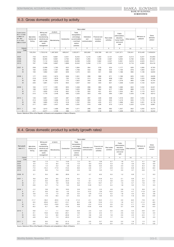# 6.3. Gross domestic product by activity

|                                                                                                   | Value added |                                         |                                                                                                       |                            |                |                                                                                                 |                                     |                                          |                           |                                                                               |                |                          |                              |
|---------------------------------------------------------------------------------------------------|-------------|-----------------------------------------|-------------------------------------------------------------------------------------------------------|----------------------------|----------------|-------------------------------------------------------------------------------------------------|-------------------------------------|------------------------------------------|---------------------------|-------------------------------------------------------------------------------|----------------|--------------------------|------------------------------|
| Current prices<br>till 31.12.2006<br>in Milions of<br>SIT, after<br>01.01.2007<br>Millions of EUR |             | Agriculture,<br>forestry and<br>fishina | Mining and<br>quarrying,<br>manufacturing,<br>electricity and<br>water supply,<br>waste<br>management | of which:<br>Manufacturing | Construction   | Trade.<br>transportation<br>and storage,<br>accommodatio<br>n and food<br>service<br>activities | Information<br>and<br>communication | Financial and<br>insurance<br>activities | Real estate<br>activities | Public<br>administration.<br>education.<br>human health<br>and social<br>work | Other services | Net taxes on<br>products | Gross<br>domestic<br>product |
| Column                                                                                            |             | $\overline{1}$                          | $\overline{2}$                                                                                        | 3                          | $\overline{4}$ | 5                                                                                               | 6                                   | $\overline{7}$                           | 8                         | $\overline{9}$                                                                | 10             | 11                       | 12                           |
|                                                                                                   | Code        |                                         |                                                                                                       |                            |                |                                                                                                 |                                     |                                          |                           |                                                                               |                |                          |                              |
| 2006                                                                                              |             | 150,254                                 | 1,753,518                                                                                             | 1,487,853                  | 469,047        | 1,302,971                                                                                       | 263,580                             | 329,769                                  | 481,101                   | 1,047,371                                                                     | 726,541        | 915,449                  | 7,439,624                    |
| 2007                                                                                              |             | 743                                     | 8,070                                                                                                 | 6,881                      | 2,451          | 6,234                                                                                           | 1,216                               | 1,460                                    | 2,151                     | 4,597                                                                         | 3,413          | 4,227                    | 34,563                       |
| 2008                                                                                              |             | 798                                     | 8,265                                                                                                 | 6,981                      | 2,762          | 6,852                                                                                           | 1,294                               | 1,539                                    | 2,387                     | 5,064                                                                         | 3,756          | 4,564                    | 37,280                       |
| 2009                                                                                              |             | 750                                     | 7,112                                                                                                 | 5,840                      | 2,465          | 6,338                                                                                           | 1,209                               | 1,582                                    | 2,357                     | 5,361                                                                         | 3,616          | 4,523                    | 35,311                       |
| 2010                                                                                              |             | 767                                     | 7,259                                                                                                 | 5.967                      | 1,969          | 6,342                                                                                           | 1,258                               | 1,731                                    | 2,265                     | 5,515                                                                         | 3,716          | 4,593                    | 35,416                       |
| 2007 II                                                                                           |             | 206                                     | 2.099                                                                                                 | 1.790                      | 622            | 1,584                                                                                           | 284                                 | 378                                      | 524                       | 1.177                                                                         | 826            | 1.085                    | 8.783                        |
| $\mathbf{III}$                                                                                    |             | 182                                     | 2.062                                                                                                 | 1.787                      | 690            | 1,708                                                                                           | 332                                 | 388                                      | 542                       | 1.156                                                                         | 878            | 1.083                    | 9.021                        |
| IV                                                                                                |             | 193                                     | 1,992                                                                                                 | 1,691                      | 629            | 1,570                                                                                           | 324                                 | 341                                      | 566                       | 1,188                                                                         | 990            | 1,136                    | 8,930                        |
| 2008                                                                                              |             | 177                                     | 2,001                                                                                                 | 1.675                      | 638            | 1,551                                                                                           | 299                                 | 398                                      | 571                       | 1.166                                                                         | 825            | 1.001                    | 8,626                        |
| $\mathbf{I}$                                                                                      |             | 219                                     | 2,227                                                                                                 | 1,878                      | 700            | 1,742                                                                                           | 313                                 | 450                                      | 608                       | 1,281                                                                         | 925            | 1,223                    | 9,688                        |
| $\mathbf{H}$                                                                                      |             | 182                                     | 2,146                                                                                                 | 1,856                      | 770            | 1,922                                                                                           | 340                                 | 338                                      | 587                       | 1,278                                                                         | 965            | 1,206                    | 9,734                        |
| IV.                                                                                               |             | 220                                     | 1,891                                                                                                 | 1,572                      | 653            | 1,637                                                                                           | 342                                 | 353                                      | 621                       | 1,339                                                                         | 1,040          | 1,134                    | 9,231                        |
| 2009                                                                                              |             | 164                                     | 1.717                                                                                                 | 1.391                      | 605            | 1.458                                                                                           | 288                                 | 385                                      | 585                       | 1.286                                                                         | 802            | 1.032                    | 8,321                        |
| $\mathbf{H}$                                                                                      |             | 199                                     | 1.819                                                                                                 | 1.485                      | 644            | 1,625                                                                                           | 298                                 | 394                                      | 577                       | 1,385                                                                         | 889            | 1.172                    | 9,001                        |
| $\mathbf{III}$                                                                                    |             | 177                                     | 1.800                                                                                                 | 1.518                      | 652            | 1.730                                                                                           | 320                                 | 401                                      | 601                       | 1.324                                                                         | 901            | 1.173                    | 9,077                        |
| IV                                                                                                |             | 210                                     | 1,776                                                                                                 | 1,446                      | 565            | 1,525                                                                                           | 303                                 | 402                                      | 594                       | 1,367                                                                         | 1,025          | 1,146                    | 8,912                        |
| 2010<br>- 1                                                                                       |             | 145                                     | 1,661                                                                                                 | 1,337                      | 487            | 1,399                                                                                           | 297                                 | 446                                      | 559                       | 1,316                                                                         | 832            | 1.004                    | 8,145                        |
| $\mathbf{I}$                                                                                      |             | 213                                     | 1,932                                                                                                 | 1,598                      | 510            | 1,656                                                                                           | 309                                 | 433                                      | 555                       | 1,419                                                                         | 930            | 1,170                    | 9,126                        |
| $\mathbf{H}$                                                                                      |             | 192                                     | 1,865                                                                                                 | 1,575                      | 518            | 1,767                                                                                           | 334                                 | 425                                      | 577                       | 1,368                                                                         | 933            | 1,201                    | 9,178                        |
| IV.                                                                                               |             | 217                                     | 1,801                                                                                                 | 1,457                      | 455            | 1,520                                                                                           | 319                                 | 428                                      | 575                       | 1,412                                                                         | 1,022          | 1,219                    | 8,967                        |
| $2011$ $1$                                                                                        |             | 152                                     | 1.810                                                                                                 | 1.469                      | 395            | 1.471                                                                                           | 296                                 | 426                                      | 562                       | 1.357                                                                         | 852            | 1.055                    | 8,374                        |
| $\mathbf{I}$                                                                                      |             | 217                                     | 2,077                                                                                                 | 1,729                      | 398            | 1,717                                                                                           | 306                                 | 418                                      | 556                       | 1,459                                                                         | 943            | 1,152                    | 9,242                        |

Source: Statistical Office of the Republic of Slovenia and computations in Bank of Slovenia.

### 6.4. Gross domestic product by activity (growth rates)

|                           |                                    |                                         | Mining and<br>quarrying,                                                  | of which:               |                | Trade,<br>transportation                                            |                                  |                                          |                           | Public                                                              |                |                          | Gross               |
|---------------------------|------------------------------------|-----------------------------------------|---------------------------------------------------------------------------|-------------------------|----------------|---------------------------------------------------------------------|----------------------------------|------------------------------------------|---------------------------|---------------------------------------------------------------------|----------------|--------------------------|---------------------|
| Real growth<br>rates in % |                                    | Agriculture,<br>forestry and<br>fishing | manufacturing,<br>electricity and<br>water supply,<br>waste<br>management | Manufacturing           | Construction   | and storage.<br>accommodatio<br>n and food<br>service<br>activities | Information and<br>communication | Financial and<br>insurance<br>activities | Real estate<br>activities | administration,<br>education,<br>human health<br>and social<br>work | Other services | Net taxes on<br>products | domestic<br>product |
|                           | Column                             | $\mathbf{1}$                            | $\overline{2}$                                                            | $\overline{\mathbf{3}}$ | $\overline{4}$ | $\overline{5}$                                                      | $6\overline{6}$                  | $\overline{7}$                           | 8                         | $\mathsf g$                                                         | 10             | 11                       | 12                  |
|                           | Code                               |                                         |                                                                           |                         |                |                                                                     |                                  |                                          |                           |                                                                     |                |                          |                     |
| 2006                      |                                    | $-0.8$                                  | 7.3                                                                       | 7.4                     | 14.6           | 7.2                                                                 | 9.1                              | 5.6                                      | 2.7                       | 1.8                                                                 | 5.1            | 4.1                      | 5.8                 |
| 2007                      |                                    | 3.0                                     | 7.5                                                                       | 8.4                     | 17.6           | 7.0                                                                 | 9.0                              | 15.0                                     | 4.3                       | 1.9                                                                 | 4.6            | 5.6                      | 6.9                 |
| 2008                      |                                    | $-0.4$                                  | 1.0                                                                       | 0.2                     | 4.8            | 3.2                                                                 | 9.8                              | 8.3                                      | 5.6                       | 2.0                                                                 | 3.2            | 6.3                      | 3.6                 |
| 2009                      |                                    | $-7.0$                                  | $-15.4$                                                                   | $-17.0$                 | $-15.5$        | $-9.6$                                                              | $-4.6$                           | 2.7                                      | $-2.9$                    | 2.4                                                                 | $-5.9$         | $-8.3$                   | $-8.0$              |
| 2010                      |                                    | $-4.6$                                  | 6.6                                                                       | 7.4                     | $-19.9$        | 2.5                                                                 | 3.5                              | $5.0$                                    | 1.2                       | 2.5                                                                 | 3.7            | $-0.8$                   | 1.4                 |
| 2006 IV                   |                                    | 2.1                                     | 9.4                                                                       | 8.6                     | 26.6           | 8.1                                                                 | 2.7                              | $-6.5$                                   | 5.5                       | 1.2                                                                 | 6.9            | 1.1                      | 6.3                 |
| 2007                      |                                    | 6.8                                     | 8.9                                                                       | 9.5                     | 27.9           | 6.5                                                                 | 2.1                              | 14.9                                     | 5.4                       | 2.1                                                                 | 6.9            | 5.7                      | 7.7                 |
|                           | $\mathbf{H}$                       | 4.2                                     | 8.0                                                                       | 9.0                     | 24.0           | 7.5                                                                 | 8.1                              | 11.3                                     | 4.8                       | 2.3                                                                 | 3.3            | 2.0                      | 6.8                 |
|                           | $\ensuremath{\mathsf{III}}\xspace$ | 2.1                                     | 7.6                                                                       | 7.9                     | 15.8           | 8.2                                                                 | 13.1                             | 19.7                                     | 4.7                       | 1.5                                                                 | 5.7            | 7.6                      | 7.7                 |
|                           | IV                                 | $-0.6$                                  | 5.7                                                                       | 7.4                     | 6.3            | 5.6                                                                 | 12.9                             | 14.1                                     | 2.4                       | 1.8                                                                 | 3.2            | 7.2                      | 5.3                 |
| 2008                      | $\blacksquare$                     | $-1.2$                                  | 3.8                                                                       | 3.5                     | 16.5           | 5.9                                                                 | 13.2                             | 2.3                                      | 4.9                       | 2.8                                                                 | 7.2            | 6.9                      | 5.7                 |
|                           | $\mathbf{H}$                       | $-2.1$                                  | 6.6                                                                       | 5.5                     | 4.5            | 3.4                                                                 | 12.2                             | 3.9                                      | 10.3                      | 2.3                                                                 | 4.7            | 11.9                     | 5.9                 |
|                           | $\mathbf{III}$                     | 0.8                                     | 1.6                                                                       | 1.3                     | 3.8            | 3.2                                                                 | 5.9                              | 17.2                                     | 3.2                       | 1.8                                                                 | 4.0            | 6.0                      | 3.8                 |
|                           | IV                                 | 1.2                                     | $-7.9$                                                                    | $-9.4$                  | $-3.7$         | 0.5                                                                 | 8.1                              | 9.6                                      | 4.3                       | 1.3                                                                 | $-1.6$         | 0.6                      | $-0.9$              |
| 2009                      | $\mathbf{I}$                       | $-11.7$                                 | $-18.2$                                                                   | $-20.5$                 | $-11.8$        | $-11.0$                                                             | $-2.1$                           | 18.3                                     | $-1.1$                    | 2.0                                                                 | $-8.0$         | $-7.8$                   | $-8.1$              |
|                           | $\mathbf{H}$                       | $-5.5$                                  | $-20.8$                                                                   | $-22.7$                 | $-13.1$        | $-9.5$                                                              | $-2.8$                           | 12.6                                     | $-7.3$                    | 1.6                                                                 | $-5.7$         | $-11.2$                  | $-9.5$              |
|                           | $\mathbf{III}$                     | $-5.1$                                  | $-15.6$                                                                   | $-16.9$                 | $-19.1$        | $-9.8$                                                              | $-2.4$                           | $-12.4$                                  | 0.5                       | 2.2                                                                 | $-7.7$         | $-7.5$                   | $-8.9$              |
|                           | IV                                 | $-6.2$                                  | $-5.7$                                                                    | $-6.6$                  | $-17.8$        | $-7.8$                                                              | $-10.6$                          | $-4.8$                                   | $-3.5$                    | 3.7                                                                 | $-2.6$         | $-6.6$                   | $-5.3$              |
| $2010$ $\mid$             |                                    | $-5.8$                                  | 1.1                                                                       | 1.1                     | $-18.7$        | $-0.9$                                                              | 2.3                              | 4.2                                      | 0.0                       | 2.5                                                                 | 4.3            | $-2.9$                   | $-0.7$              |
|                           | $\mathbf{H}$                       | $-3.1$                                  | 10.8                                                                      | 12.8                    | $-20.1$        | 3.6                                                                 | 2.0                              | $-2.5$                                   | 1.1                       | 2.5                                                                 | 5.5            | $-1.8$                   | 2.0                 |
|                           | $\mathbf{III}$                     | $-5.0$                                  | 7.2                                                                       | 8.0                     | $-20.6$        | 4.7                                                                 | 3.8                              | 4.6                                      | 1.8                       | 2.5                                                                 | 4.3            | $-2.3$                   | 1.7                 |
|                           | IV                                 | $-4.9$                                  | 6.9                                                                       | 7.3                     | $-20.3$        | 2.2                                                                 | 6.0                              | 15.5                                     | 1.7                       | 2.4                                                                 | 1.2            | 3.8                      | 2.3                 |
| 2011                      |                                    | $-0.8$                                  | 8.6                                                                       | 9.8                     | $-21.4$        | 2.6                                                                 | 2.5                              | 9.7                                      | 0.9                       | 2.2                                                                 | 1.8            | 1.3                      | 2.3                 |
|                           | $\mathbf{II}$                      | $-2.5$                                  | 5.5                                                                       | 6.2                     | $-24.0$        | 2.1                                                                 | 1.2                              | 5.8                                      | 0.4                       | 2.4                                                                 | 0.4            | 0.4                      | 0.9                 |

Source: Statistical Office of the Republic of Slovenia and computations in Bank of Slovenia.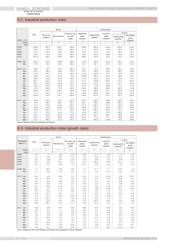# 6.5. Industrial production index

|              |        |              |                         | Activity      |                                         | Industry group                      |                             |                                 |                             |                                    |  |  |
|--------------|--------|--------------|-------------------------|---------------|-----------------------------------------|-------------------------------------|-----------------------------|---------------------------------|-----------------------------|------------------------------------|--|--|
|              |        |              |                         |               |                                         |                                     |                             |                                 |                             | of which                           |  |  |
| $2005 = 100$ |        | Total        | Mining and<br>quarrying | Manufacturing | Electricity, gas<br>and water<br>supply | Intermediate<br>goods<br>industries | Capital goods<br>industries | Consumer<br>goods<br>industries | Durable goods<br>industries | Non-durable<br>goods<br>industries |  |  |
|              | Column | $\mathbf{1}$ | $\overline{c}$          | 3             | $\overline{4}$                          | 5                                   | 6                           | $\overline{7}$                  | 8                           | 9                                  |  |  |
|              | Code   |              |                         |               |                                         |                                     |                             |                                 |                             |                                    |  |  |
| 2006         |        | 105.6        | 107.5                   | 106.1         | 99.0                                    | 106.8                               | 105.0                       | 104.3                           | 104.2                       | 104.4                              |  |  |
| 2007         |        | 113.2        | 113.4                   | 115.2         | 88.0                                    | 111.3                               | 118.5                       | 113.0                           | 103.7                       | 116.0                              |  |  |
| 2008         |        | 116.1        | 119.7                   | 118.2         | 89.9                                    | 107.6                               | 117.8                       | 114.4                           | 97.6                        | 119.7                              |  |  |
| 2009         |        | 95.9         | 116.3                   | 96.2          | 84.0                                    | 99.5                                | 86.8                        | 96.6                            | 70.9                        | 105.7                              |  |  |
| 2010         |        | 101.9        | 129.1                   | 102.5         | 85.5                                    | 109.5                               | 91.8                        | 97.0                            | 73.4                        | 105.4                              |  |  |
|              |        |              |                         |               |                                         |                                     |                             |                                 |                             |                                    |  |  |
| 2009 Nov     |        | 106.7        | 157.6                   | 106.8         | 89.9                                    | 113.6                               | 89.9                        | 107.9                           | 84.0                        | 116.2                              |  |  |
|              | Dec    | 91.6         | 94.2                    | 90.5          | 93.5                                    | 91.7                                | 82.7                        | 97.5                            | 62.9                        | 110.2                              |  |  |
|              |        |              |                         |               |                                         |                                     |                             |                                 |                             |                                    |  |  |
| 2010         | Jan    | 86.4         | 97.5                    | 84.8          | 89.3                                    | 93.7                                | 79.3                        | 80.0                            | 65.4                        | 84.9                               |  |  |
|              | Feb    | 91.0         | 99.4                    | 90.3          | 87.9                                    | 97.2                                | 82.2                        | 87.5                            | 65.0                        | 95.5                               |  |  |
|              | Mar    | 110.0        | 126.7                   | 111.3         | 89.4                                    | 113.8                               | 100.9                       | 110.1                           | 78.6                        | 121.5                              |  |  |
|              | Apr    | 96.2         | 122.2                   | 97.0          | 79.3                                    | 106.8                               | 85.5                        | 87.6                            | 69.8                        | 93.7                               |  |  |
|              | May    | 106.0        | 133.2                   | 107.8         | 80.2                                    | 112.4                               | 95.3                        | 103.2                           | 75.3                        | 113.3                              |  |  |
|              | Jun    | 107.1        | 120.3                   | 110.0         | 75.7                                    | 111.4                               | 93.8                        | 109.5                           | 75.5                        | 122.0                              |  |  |
|              | Jul    | 101.1        | 136.6                   | 102.6         | 76.7                                    | 110.7                               | 91.8                        | 93.0                            | 62.1                        | 104.4                              |  |  |
|              | Aug    | 90.5         | 145.0                   | 90.5          | 75.2                                    | 101.4                               | 72.6                        | 86.6                            | 71.0                        | 91.8                               |  |  |
|              | Sep    | 110.3        | 138.4                   | 112.0         | 85.0                                    | 118.2                               | 99.3                        | 105.9                           | 82.9                        | 113.9                              |  |  |
|              | Oct    | 108.4        | 144.1                   | 109.4         | 86.8                                    | 119.9                               | 98.6                        | 97.7                            | 84.4                        | 101.8                              |  |  |
|              | Nov    | 111.3        | 153.7                   | 112.1         | 90.4                                    | 119.6                               | 100.9                       | 105.7                           | 83.8                        | 113.2                              |  |  |
|              | Dec    | 104.2        | 131.6                   | 101.7         | 109.8                                   | 109.4                               | 101.9                       | 97.2                            | 66.7                        | 108.4                              |  |  |
|              |        |              |                         |               |                                         |                                     |                             |                                 |                             |                                    |  |  |
| 2011         | Jan    | 98.4         | 92.0                    | 97.3          | 98.8                                    | 107.6                               | 89.9                        | 90.6                            | 69.2                        | 98.1                               |  |  |
|              | Feb    | 97.3         | 98.7                    | 96.7          | 93.1                                    | 106.1                               | 89.0                        | 89.8                            | 66.4                        | 98.1                               |  |  |
|              | Mar    | 117.4        | 116.0                   | 119.6         | 92.3                                    | 121.0                               | 108.7                       | 116.7                           | 80.8                        | 129.7                              |  |  |
|              | Apr    | 99.7         | 116.9                   | 100.5         | 83.5                                    | 108.6                               | 88.3                        | 94.2                            | 65.4                        | 104.6                              |  |  |
|              | May    | 110.9        | 103.4                   | 113.7         | 82.5                                    | 115.6                               | 106.0                       | 106.2                           | 75.0                        | 117.4                              |  |  |
|              | Jun    | 111.1        | 121.0                   | 114.5         | 77.2                                    | 114.6                               | 100.7                       | 112.1                           | 69.5                        | 127.8                              |  |  |
|              | Jul    | 100.1        | 125.2                   | 101.3         | 79.8                                    | 107.8                               | 88.1                        | 96.7                            | 59.8                        | 110.3                              |  |  |
|              | Aug    | 89.1         | 119.3                   | 88.2          | 84.2                                    | 102.0                               | 73.2                        | 81.7                            | 58.8                        | 89.9                               |  |  |
|              | Sep    | 113.1        | 138.2                   | 115.3         | 84.7                                    | 116.3                               | 102.0                       | 114.8                           | 74.4                        | 129.5                              |  |  |

Source: Statistical Office of the Republic of Slovenia.

# 6.6. Industrial production index (growth rates)

|                             |      |              |                         | Activity      |                                         | Industry group                      |                             |                                 |                                         |                                    |  |  |
|-----------------------------|------|--------------|-------------------------|---------------|-----------------------------------------|-------------------------------------|-----------------------------|---------------------------------|-----------------------------------------|------------------------------------|--|--|
| Yearly growth<br>rates in % |      | Total        | Mining and<br>quarrying | Manufacturing | Electricity, gas<br>and water<br>supply | Intermediate<br>goods<br>industries | Capital goods<br>industries | Consumer<br>goods<br>industries | of which<br>Durable goods<br>industries | Non-durable<br>goods<br>industries |  |  |
| Column                      |      | $\mathbf{1}$ | $\overline{c}$          | 3             | $\overline{4}$                          | 5                                   | $\mathbf 6$                 | $\overline{7}$                  | 8                                       | $\mathsf g$                        |  |  |
|                             | Code |              |                         |               |                                         |                                     |                             |                                 |                                         |                                    |  |  |
| 2006                        |      | 5.7          | 7.5                     | 6.2           | $-0.9$                                  | 6.8                                 | 5.1                         | 4.3                             | 4.2                                     | 4.4                                |  |  |
| 2007                        |      | 7.2          | 5.5                     | 8.5           | $-11.2$                                 | 4.2                                 | 12.9                        | 8.4                             | $-0.4$                                  | 11.2                               |  |  |
| 2008                        |      | 2.5          | 5.6                     | 2.6           | 2.2                                     | $-3.3$                              | $-0.6$                      | 1.2                             | $-5.9$                                  | 3.2                                |  |  |
| 2009                        |      | $-17.4$      | $-2.9$                  | $-18.7$       | $-6.6$                                  | $-7.6$                              | $-26.3$                     | $-15.6$                         | $-27.4$                                 | $-11.7$                            |  |  |
| 2010                        |      | 6.2          | 11.0                    | 6.6           | 1.8                                     | 10.1                                | 5.8                         | 0.5                             | 3.6                                     | $-0.3$                             |  |  |
| 2009 Nov                    |      | $-1.7$       | 32.4                    | $-2.6$        | $-4.6$                                  | $-1.7$                              | $-17.7$                     | 1.1                             | $-17.8$                                 | 7.4                                |  |  |
|                             | Dec  | 4.7          | $-14.8$                 | 5.2           | $-6.3$                                  | 4.7                                 | 0.6                         | $-2.6$                          | $-10.9$                                 | 0.5                                |  |  |
|                             |      |              |                         |               |                                         |                                     |                             |                                 |                                         |                                    |  |  |
| 2010 Jan                    |      | $-8.4$       | $-5.5$                  | $-8.8$        | $-7.7$                                  | $-8.4$                              | $-1.4$                      | $-21.8$                         | $-8.8$                                  | $-25.1$                            |  |  |
|                             | Feb  | $-1.6$       | $-16.5$                 | $-1.3$        | $-2.0$                                  | $-1.6$                              | $-7.5$                      | $-3.2$                          | $-8.8$                                  | $-1.4$                             |  |  |
|                             | Mar  | 8.1          | 0.2                     | 9.0           | 1.9                                     | 8.1                                 | 4.5                         | 4.0                             | $-3.0$                                  | 6.0                                |  |  |
|                             | Apr  | 8.5          | 9.4                     | 9.7           | $-2.1$                                  | 8.5                                 | 2.2                         | 0.1                             | 2.9                                     | $-0.7$                             |  |  |
|                             | May  | 14.1         | 19.0                    | 15.2          | 3.1                                     | 14.1                                | 9.3                         | 14.8                            | 14.3                                    | 15.0                               |  |  |
|                             | Jun  | 9.6          | 7.4                     | 11.0          | $-2.2$                                  | 9.6                                 | 4.6                         | 10.6                            | 21.0                                    | 8.4                                |  |  |
|                             | Jul  | 6.4          | 15.9                    | 7.3           | $-3.6$                                  | 6.4                                 | 5.6                         | 1.9                             | 5.4                                     | 1.1                                |  |  |
|                             | Aug  | 12.4         | 37.4                    | 13.1          | 1.1                                     | 12.4                                | 10.5                        | 11.0                            | 13.6                                    | 10.1                               |  |  |
|                             | Sep  | 4.0          | 19.1                    | 2.9           | 13.6                                    | 4.0                                 | 2.6                         | $-3.6$                          | 4.1                                     | $-5.6$                             |  |  |
|                             | Oct  | 4.8          | 20.7                    | 4.7           | 2.2                                     | 4.8                                 | 6.0                         | $-1.5$                          | 2.7                                     | $-2.9$                             |  |  |
|                             | Nov  | 4.3          | $-2.5$                  | 5.0           | 0.6                                     | 4.3                                 | 12.2                        | $-2.0$                          | $-0.2$                                  | $-2.6$                             |  |  |
|                             | Dec  | 13.8         | 39.7                    | 12.4          | 17.4                                    | 13.8                                | 23.2                        | $-0.3$                          | 6.0                                     | $-1.6$                             |  |  |
|                             |      |              |                         |               |                                         |                                     |                             |                                 |                                         |                                    |  |  |
| 2011                        | Jan  | 13.9         | $-5.6$                  | 14.7          | 10.6                                    | 13.9                                | 13.4                        | 13.3                            | 5.8                                     | 15.5                               |  |  |
|                             | Feb  | 6.9          | $-0.7$                  | 7.1           | 5.9                                     | 6.9                                 | 8.3                         | 2.6                             | 2.2                                     | 2.7                                |  |  |
|                             | Mar  | 6.7          | $-8.4$                  | 7.5           | 3.2                                     | 6.7                                 | 7.7                         | 6.0                             | 2.8                                     | 6.7                                |  |  |
|                             | Apr  | 3.6          | $-4.3$                  | 3.6           | 5.3                                     | 3.6                                 | 3.3                         | 7.5                             | $-6.3$                                  | 11.6                               |  |  |
|                             | May  | 4.6          | $-22.4$                 | 5.5           | 2.9                                     | 4.6                                 | 11.2                        | 2.9                             | $-0.4$                                  | 3.6                                |  |  |
|                             | Jun  | 3.7          | 0.6                     | 4.1           | 2.0                                     | 3.7                                 | 7.4                         | 2.4                             | $-7.9$                                  | 4.8                                |  |  |
|                             | Jul  | $-1.0$       | $-8.3$                  | $-1.3$        | 4.0                                     | $-1.0$                              | $-4.0$                      | 4.0                             | $-3.7$                                  | 5.7                                |  |  |
|                             | Aug  | $-1.5$       | $-17.7$                 | $-2.5$        | 12.0                                    | $-1.5$                              | 0.8                         | $-5.7$                          | $-17.2$                                 | $-2.1$                             |  |  |
|                             | Sep  | 2.5          | $-0.1$                  | 2.9           | $-0.4$                                  | 2.5                                 | 2.7                         | 8.4                             | $-10.3$                                 | 13.7                               |  |  |

Source: Statistical Office of the Republic of Slovenia and computations in Bank of Slovenia.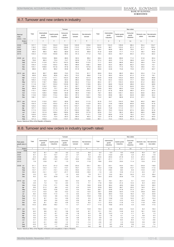#### BANKA SLOVENIJE BANK OF SLOVENIA

**EUROSYSTEM**

## 6.7. Turnover and new orders in industry

|                                   |              |                                     |                             | Tumover                         |                     |                         | New orders     |                                     |                             |                                 |                        |                            |  |
|-----------------------------------|--------------|-------------------------------------|-----------------------------|---------------------------------|---------------------|-------------------------|----------------|-------------------------------------|-----------------------------|---------------------------------|------------------------|----------------------------|--|
| Nominal<br>index,<br>$2005 = 100$ | Total        | Intermediate<br>goods<br>industries | Capital goods<br>industries | Consumer<br>goods<br>industries | Domestic<br>tumover | Non-domestic<br>tumover | Total          | Intermediate<br>goods<br>industries | Capital goods<br>industries | Consumer<br>goods<br>industries | Domestic new<br>orders | Non-domestic<br>new orders |  |
| Stolpec                           | $\mathbf{1}$ | $\overline{2}$                      | 3                           | $\overline{4}$                  | 5                   | 6                       | $\overline{7}$ | 8                                   | $_{9}$                      | 10                              | 11                     | 12                         |  |
| Koda                              |              |                                     |                             |                                 |                     |                         |                |                                     |                             |                                 |                        |                            |  |
| 2006                              | 107.7        | 112.6                               | 104.3                       | 104.0                           | 103.9               | 109.8                   | 102.2          | 104.3                               | 109.8                       | 88.4                            | 94.4                   | 104.7                      |  |
| 2007                              | 118.2        | 125.2                               | 122.2                       | 106.9                           | 112.3               | 121.5                   | 102.9          | 98.7                                | 123.5                       | 87.2                            | 91.2                   | 106.4                      |  |
| 2008                              | 118.3        | 129.0                               | 117.2                       | 105.7                           | 114.0               | 120.4                   | 78.4           | 66.9                                | 99.3                        | 79.0                            | 67.1                   | 81.8                       |  |
| 2009                              | 95.0         | 98.5                                | 96.0                        | 89.8                            | 91.0                | 96.9                    | 61.8           | 48.9                                | 77.7                        | 71.3                            | 49.7                   | 65.5                       |  |
| 2010                              | 104.4        | 114.9                               | 102.8                       | 92.4                            | 91.4                | 111.2                   | 76.4           | 63.4                                | 94.7                        | 83.4                            | 57.3                   | 82.2                       |  |
|                                   |              |                                     |                             |                                 |                     |                         |                |                                     |                             |                                 |                        |                            |  |
| 2009 Jul                          | 97.0         | 102.8                               | 98.6                        | 88.5                            | 92.5                | 99.2                    | 58.4           | 46.5                                | 69.6                        | 71.0                            | 51.8                   | 60.4                       |  |
| Aug                               | 79.6         | 89.3                                | 70.4                        | 74.7                            | 82.8                | 77.8                    | 57.4           | 46.0                                | 77.4                        | 58.8                            | 44.2                   | 61.4                       |  |
| Sep                               | 107.8        | 112.6                               | 107.3                       | 102.3                           | 98.6                | 112.5                   | 71.7           | 56.2                                | 88.9                        | 85.2                            | 59.4                   | 75.4                       |  |
| Oct                               | 105.4        | 112.8                               | 105.2                       | 96.2                            | 99.9                | 108.1                   | 69.9           | 55.4                                | 88.2                        | 80.2                            | 53.0                   | 75.1                       |  |
| Nov                               | 103.1        | 108.6                               | 101.6                       | 97.8                            | 94.2                | 107.8                   | 65.3           | 52.4                                | 77.3                        | 79.2                            | 49.5                   | 70.1                       |  |
| Dec                               | 89.6         | 82.5                                | 96.2                        | 93.8                            | 91.9                | 88.4                    | 59.8           | 44.8                                | 75.8                        | 73.9                            | 47.2                   | 63.7                       |  |
|                                   |              |                                     |                             |                                 |                     |                         |                |                                     |                             |                                 |                        |                            |  |
| 2010<br>Jan                       | 85.3         | 90.7                                | 89.9                        | 75.0                            | 73.3                | 91.7                    | 66.9           | 55.4                                | 86.2                        | 69.4                            | 52.4                   | 71.4                       |  |
| Feb                               | 90.6         | 95.6                                | 93.6                        | 82.2                            | 75.2                | 98.8                    | 71.9           | 56.0                                | 93.4                        | 81.2                            | 51.6                   | 78.1                       |  |
| Mar                               | 112.4        | 117.6                               | 117.1                       | 102.3                           | 95.3                | 121.3                   | 80.6           | 63.8                                | 103.2                       | 90.9                            | 60.5                   | 86.8                       |  |
| Apr                               | 100.2        | 115.0                               | 98.0                        | 83.2                            | 89.2                | 105.9                   | 77.9           | 64.2                                | 103.5                       | 77.7                            | 55.9                   | 84.6                       |  |
| May                               | 107.5        | 118.7                               | 108.4                       | 92.8                            | 94.4                | 114.4                   | 80.4           | 67.1                                | 102.2                       | 83.9                            | 61.2                   | 86.3                       |  |
| Jun                               | 111.9        | 122.7                               | 105.0                       | 103.9                           | 96.7                | 119.9                   | 83.4           | 68.9                                | 104.9                       | 89.8                            | 62.5                   | 89.9                       |  |
| Jul                               | 106.4        | 119.2                               | 105.1                       | 91.2                            | 92.7                | 113.6                   | 72.3           | 63.8                                | 77.5                        | 84.6                            | 53.4                   | 78.1                       |  |
| Aug                               | 90.9         | 107.8                               | 72.7                        | 84.1                            | 86.8                | 92.9                    | 69.8           | 58.2                                | 89.0                        | 72.8                            | 52.9                   | 75.0                       |  |
| Sep                               | 115.1        | 128.5                               | 110.5                       | 101.9                           | 97.9                | 124.2                   | 81.2           | 67.8                                | 90.8                        | 99.0                            | 61.0                   | 87.4                       |  |
| Oct                               | 112.5        | 129.0                               | 108.6                       | 94.9                            | 99.3                | 119.5                   | 79.7           | 66.5                                | 100.1                       | 84.5                            | 60.6                   | 85.5                       |  |
| Nov                               | 113.6        | 126.9                               | 110.4                       | 99.3                            | 97.3                | 122.1                   | 78.3           | 69.8                                | 88.1                        | 84.9                            | 58.8                   | 84.2                       |  |
| Dec                               | 106.1        | 107.1                               | 114.5                       | 98.4                            | 98.9                | 109.8                   | 74.2           | 58.7                                | 96.9                        | 81.6                            | 57.1                   | 79.5                       |  |
|                                   |              |                                     |                             |                                 |                     |                         |                |                                     |                             |                                 |                        | 88.2                       |  |
| 2011<br>Jan                       | 101.8        | 115.0                               | 103.7                       | 83.6                            | 83.5                | 111.5                   | 81.6           | 70.7                                | 104.3                       | 78.8                            | 60.2                   |                            |  |
| Feb                               | 102.3        | 113.6                               | 103.2                       | 87.5                            | 82.3                | 112.9                   | 85.3           | 74.6                                | 108.9                       | 80.8                            | 64.6                   | 91.6                       |  |
| Mar                               | 123.2        | 134.2                               | 126.3                       | 107.0                           | 100.7               | 135.1                   | 87.5           | 80.1                                | 103.6                       | 84.6                            | 69.6                   | 93.0                       |  |
| Apr                               | 107.7        | 124.3                               | 101.5                       | 91.9                            | 91.2                | 116.5                   | 85.6           | 75.9                                | 111.0                       | 77.1                            | 61.6                   | 93.1                       |  |
| May                               | 117.3        | 133.0                               | 117.3                       | 97.4                            | 100.5               | 126.1                   | 86.4           | 76.0                                | 104.6                       | 87.5                            | 69.5                   | 91.6                       |  |
| Jun                               | 118.2        | 131.9                               | 108.4                       | 108.9                           | 99.9                | 127.9                   | 83.8           | 75.7                                | 96.3                        | 86.4                            | 68.0                   | 88.6                       |  |
| Jul                               | 105.6        | 122.0                               | 96.0                        | 92.5                            | 87.6                | 115.1                   | 73.9           | 69.9                                | 77.6                        | 78.2                            | 57.4                   | 79.0                       |  |
| Aug                               | 93.3         | 115.3                               | 72.4                        | 82.3                            | 89.4                | 95.3                    | 75.5           | 67.9                                | 95.8                        | 68.3                            | 54.7                   | 82.0                       |  |
| Sep                               | 121.4        | 135.6                               | 112.5                       | 110.7                           | 100.3               | 132.6                   | 90.1           | 74.4                                | 118.3                       | 91.3                            | 61.3                   | 99.0                       |  |

Source: Statistical Office of the Republic of Slovenia.

## 6.8. Turnover and new orders in industry (growth rates)

|                                                 |         |              |                                     |                             | Tumover                         |                     |                         | New orders     |                                     |                             |                                 |                        |                            |  |
|-------------------------------------------------|---------|--------------|-------------------------------------|-----------------------------|---------------------------------|---------------------|-------------------------|----------------|-------------------------------------|-----------------------------|---------------------------------|------------------------|----------------------------|--|
| Real yearly<br>growth rates in<br>$\frac{9}{6}$ |         | Total        | Intermediate<br>goods<br>industries | Capital goods<br>industries | Consumer<br>goods<br>industries | Domestic<br>tumover | Non-domestic<br>tumover | Total          | Intermediate<br>goods<br>industries | Capital goods<br>industries | Consumer<br>goods<br>industries | Domestic new<br>orders | Non-domestic<br>new orders |  |
|                                                 | Stolpec | $\mathbf{1}$ | $\overline{2}$                      | $\overline{\mathbf{3}}$     | $\overline{4}$                  | $\overline{5}$      | $\overline{6}$          | $\overline{7}$ | 8                                   | $\overline{9}$              | 10                              | 11                     | 12                         |  |
|                                                 | Koda    |              |                                     |                             |                                 |                     |                         |                |                                     |                             |                                 |                        |                            |  |
| 2006                                            |         | 5.2          | 8.1                                 | 2.9                         | 3.5                             | 2.2                 | 6.8                     | 0.4            | 0.3                                 | 9.3                         | $-10.8$                         | $-6.4$                 | 2.5                        |  |
| 2007                                            |         | 6.7          | 5.7                                 | 12.7                        | 3.7                             | 3.7                 | 8.2                     | $-3.1$         | $-13.0$                             | 8.0                         | 4.2                             | $-8.4$                 | $-1.6$                     |  |
| 2008                                            |         | $-2.3$       | 0.5                                 | $-8.8$                      | $-0.7$                          | $-4.1$              | $-1.6$                  | $-23.5$        | $-33.5$                             | $-21.9$                     | $-5.4$                          | $-27.2$                | $-22.5$                    |  |
| 2009                                            |         | $-16.7$      | $-20.0$                             | $-14.5$                     | $-14.0$                         | $-18.5$             | $-15.9$                 | $-16.1$        | $-21.1$                             | $-17.1$                     | $-7.7$                          | $-22.4$                | $-14.6$                    |  |
| 2010                                            |         | 7.9          | 12.6                                | 8.7                         | 1.3                             | $-0.4$              | 11.8                    | 19.6           | 23.2                                | 23.0                        | 11.4                            | 13.5                   | 21.0                       |  |
|                                                 |         |              |                                     |                             |                                 |                     |                         |                |                                     |                             |                                 |                        |                            |  |
| 2009                                            | Jul     | $-21.1$      | $-21.9$                             | $-21.2$                     | $-19.9$                         | $-23.4$             | $-20.1$                 | $-20.1$        | $-23.1$                             | $-18.4$                     | $-19.1$                         | $-24.8$                | $-18.9$                    |  |
|                                                 | Aug     | $-15.1$      | $-15.4$                             | $-14.1$                     | $-14.7$                         | $-16.7$             | $-14.1$                 | $-12.2$        | $-13.8$                             | $-8.9$                      | $-13.7$                         | $-15.6$                | $-11.5$                    |  |
|                                                 | Sep     | $-14.7$      | $-17.7$                             | $-12.1$                     | $-12.5$                         | $-18.2$             | $-13.2$                 | $-11.2$        | $-18.4$                             | $-8.2$                      | $-5.5$                          | $-14.5$                | $-10.5$                    |  |
|                                                 | Oct     | $-16.3$      | $-14.1$                             | $-12.7$                     | $-21.7$                         | $-16.9$             | $-16.0$                 | $-1.5$         | $-4.5$                              | 12.6                        | $-11.4$                         | $-5.5$                 | $-0.7$                     |  |
|                                                 | Nov     | 2.0          | 0.0                                 | 7.3                         | 1.2                             | $-9.3$              | 7.9                     | 21.7           | 13.5                                | 28.1                        | 24.3                            | 3.3                    | 26.4                       |  |
|                                                 | Dec     | 9.2          | 3.2                                 | 33.9                        | 1.6                             | $-2.0$              | 16.1                    | 18.4           | 22.5                                | 25.6                        | 7.6                             | 17.5                   | 18.6                       |  |
| 2010                                            | Jan     | 1.8          | 4.2                                 | 12.3                        | $-9.3$                          | $-5.2$              | 5.2                     | 16.1           | 16.1                                | 32.1                        | 0.1                             | 12.0                   | 17.0                       |  |
|                                                 | Feb     | 2.6          | 7.2                                 | 1.0                         | $-2.0$                          | $-7.5$              | 7.1                     | 17.6           | 18.3                                | 21.4                        | 12.4                            | 6.3                    | 20.0                       |  |
|                                                 | Mar     | 13.8         | 17.9                                | 17.1                        | 6.6                             | 1.2                 | 19.8                    | 33.8           | 36.4                                | 49.5                        | 16.6                            | 24.2                   | 36.0                       |  |
|                                                 | Apr     | 9.9          | 21.2                                | 8.6                         | $-4.2$                          | $-0.5$              | 14.9                    | 33.9           | 39.2                                | 38.7                        | 20.0                            | 19.0                   | 37.1                       |  |
|                                                 | May     | 13.2         | 16.9                                | 12.8                        | 8.3                             | 0.4                 | 19.4                    | 28.7           | 33.6                                | 21.9                        | 31.2                            | 24.1                   | 29.8                       |  |
|                                                 | Jun     | 11.4         | 14.0                                | 4.8                         | 13.2                            | 4.2                 | 14.5                    | 29.7           | 29.6                                | 42.0                        | 17.8                            | 25.8                   | 30.5                       |  |
|                                                 | Jul     | 8.0          | 10.9                                | 11.4                        | 1.3                             | $-0.5$              | 12.1                    | 19.8           | 26.0                                | 13.4                        | 18.4                            | 3.0                    | 23.9                       |  |
|                                                 | Aug     | 11.5         | 14.6                                | 3.6                         | 12.4                            | 2.9                 | 15.8                    | 15.8           | 17.0                                | 14.9                        | 14.8                            | 15.7                   | 15.8                       |  |
|                                                 | Sep     | 3.1          | 8.7                                 | 2.4                         | $-3.6$                          | $-2.5$              | 5.5                     | 8.2            | 13.8                                | 0.3                         | 10.0                            | $-0.7$                 | 10.4                       |  |
|                                                 | Oct     | 3.3          | 8.9                                 | 2.6                         | $-4.0$                          | $-2.6$              | 6.0                     | 9.0            | 12.7                                | 12.3                        | $-0.2$                          | 10.6                   | 8.6                        |  |
|                                                 | Nov     | 4.6          | 8.1                                 | 8.3                         | $-2.9$                          | 0.2                 | 6.5                     | 11.1           | 20.5                                | 11.6                        | $-1.0$                          | 11.6                   | 10.9                       |  |
|                                                 | Dec     | 13.3         | 20.8                                | 19.2                        | 1.1                             | 4.7                 | 17.7                    | 17.0           | 19.8                                | 27.0                        | 4.4                             | 14.9                   | 17.5                       |  |
|                                                 |         |              |                                     |                             |                                 |                     |                         |                |                                     |                             |                                 |                        |                            |  |
| 2011                                            | Jan     | 14.1         | 16.0                                | 14.4                        | 11.1                            | 9.7                 | 15.9                    | 16.4           | 14.8                                | 20.0                        | 14.0                            | 8.2                    | 18.3                       |  |
|                                                 | Feb     | 8.0          | 8.6                                 | 9.7                         | 5.6                             | 5.9                 | 8.7                     | 12.1           | 19.1                                | 14.9                        | $-0.4$                          | 18.1                   | 10.9                       |  |
|                                                 | Mar     | 5.0          | 5.2                                 | 6.7                         | 2.8                             | 1.8                 | 6.2                     | 2.6            | 14.3                                | $-1.4$                      | $-7.7$                          | 9.1                    | 1.3                        |  |
|                                                 | Apr     | 3.5          | 0.7                                 | 2.0                         | 9.7                             | $-1.0$              | 5.4                     | 5.2            | 7.6                                 | 5.1                         | 1.4                             | 4.8                    | 5.3                        |  |
|                                                 | May     | 5.6          | 6.3                                 | 7.6                         | 2.6                             | 3.8                 | 6.3                     | 4.9            | 7.1                                 | 2.2                         | 5.0                             | 11.5                   | 3.4                        |  |
|                                                 | Jun     | 2.7          | 2.3                                 | 3.2                         | 3.2                             | 1.0                 | 3.5                     | $-3.5$         | 3.6                                 | $-9.2$                      | $-6.3$                          | 7.2                    | $-5.6$                     |  |
|                                                 | Jul     | $-3.2$       | $-2.1$                              | $-9.8$                      | 1.2                             | $-7.6$              | $-1.4$                  | $-2.6$         | 2.7                                 | $-1.0$                      | $-10.9$                         | 3.9                    | $-3.8$                     |  |
|                                                 | Aug     | $-0.9$       | 2.3                                 | $-1.7$                      | $-5.0$                          | 0.1                 | $-1.4$                  | 5.7            | 8.2                                 | 6.6                         | 0.8                             | $-1.4$                 | 7.4                        |  |
|                                                 | Sep     | 4.2          | 1.3                                 | 1.3                         | 10.6                            | $-0.1$              | 5.8                     | 8.8            | 3.2                                 | 31.4                        | $-5.7$                          | $-2.8$                 | 11.3                       |  |

Source: Statistical Office of the Republic of Slovenia and computations in Bank of Slovenia.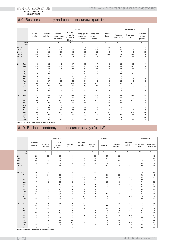## 6.9. Business tendency and consumer surveys (part 1)

|             |                        | Consumers<br>Manufacturing |                                            |                                                 |                                            |                                       |                         |                            |                         |                                   |
|-------------|------------------------|----------------------------|--------------------------------------------|-------------------------------------------------|--------------------------------------------|---------------------------------------|-------------------------|----------------------------|-------------------------|-----------------------------------|
|             | Sentiment<br>indicator | Confidence<br>indicator    | Financial<br>situation of the<br>household | General<br>economic<br>situation in<br>Slovenia | Unemployment<br>over the next<br>12 months | Savings over<br>the next 12<br>months | Confidence<br>indicator | Production<br>expectations | Overall order-<br>books | Stocks of<br>finished<br>products |
| Column      | 1                      | $\overline{c}$             | 3                                          | $\overline{4}$                                  | 5                                          | 6                                     | $\overline{7}$          | 8                          | 9                       | 10                                |
| Code        |                        |                            |                                            |                                                 |                                            |                                       |                         |                            |                         |                                   |
| 2006        | 12                     | $-14$                      | $-14$                                      | $-6$                                            | 21                                         | $-16$                                 | 10                      | 32                         | 6                       | $\overline{7}$                    |
| 2007        | 13                     | $-11$                      | $-14$                                      | $-4$                                            | 11                                         | $-15$                                 | 11                      | 31                         | 9                       | 6                                 |
| 2008        | 3                      | $-20$                      | $-24$                                      | $-15$                                           | 19                                         | $-23$                                 | $-5$                    | 17                         | $-19$                   | 13                                |
| 2009        | $-23$                  | $-30$                      | $-20$                                      | $-24$                                           | 55                                         | $-20$                                 | $-23$                   | $-2$                       | $-62$                   | $\overline{7}$                    |
| 2010        | -9                     | $-25$                      | $-18$                                      | $-21$                                           | 43                                         | $-17$                                 | $-1$                    | 21                         | $-25$                   | $-1$                              |
|             |                        |                            |                                            |                                                 |                                            |                                       |                         |                            |                         |                                   |
| 2010 Jan    | $-10$                  | $-24$                      | $-15$                                      | $-17$                                           | 48                                         | $-17$                                 | $-6$                    | 26                         | $-49$                   | $-4$                              |
| Feb         | $-10$                  | $-23$                      | $-15$                                      | $-15$                                           | 50                                         | $-14$                                 | $-5$                    | 35                         | $-50$                   | 1                                 |
| Mar         | $-15$                  | $-28$                      | $-16$                                      | $-21$                                           | 54                                         | $-20$                                 | $-3$                    | 27                         | $-41$                   | $-4$                              |
| Apr         | $-11$                  | $-26$                      | $-18$                                      | $-23$                                           | 46                                         | $-15$                                 | $\overline{c}$          | 28                         | $-23$                   | $-2$                              |
| May         | $-8$                   | $-23$                      | $-19$                                      | $-20$                                           | 40                                         | $-11$                                 | $\mathbf{1}$            | 34                         | $-30$                   | $\mathbf 0$                       |
| Jun         | $-6$                   | $-21$                      | $-17$                                      | $-15$                                           | 37                                         | $-17$                                 | $-1$                    | 20                         | $-22$                   | $\mathbf 0$                       |
| Jul         | $-6$                   | $-26$                      | $-20$                                      | $-26$                                           | 38                                         | $-19$                                 | $\overline{2}$          | 16                         | $-11$                   | $-1$                              |
| Aug         | -6                     | $-27$                      | $-22$                                      | $-25$                                           | 44                                         | $-18$                                 | $\overline{c}$          | 25                         | $-19$                   | 1                                 |
| Sep         | $-5$                   | $-26$                      | $-20$                                      | $-24$                                           | 44                                         | $-16$                                 | 5                       | 32                         | $-17$                   | 0                                 |
| Oct         | $-7$                   | $-28$                      | $-21$                                      | $-27$                                           | 43                                         | $-21$                                 | $\overline{4}$          | 15                         | $-5$                    | $-3$                              |
| Nov         | $-10$                  | $-23$                      | $-18$                                      | $-19$                                           | 38                                         | $-17$                                 | $-7$                    | $-1$                       | $-17$                   | $\overline{c}$                    |
| Dec         | $-12$                  | $-25$                      | $-18$                                      | $-22$                                           | 39                                         | $-20$                                 | -8                      | $-3$                       | $-19$                   | $\mathbf{1}$                      |
|             |                        |                            |                                            |                                                 |                                            |                                       |                         |                            |                         |                                   |
| 2011<br>Jan | $-7$                   | $-25$                      | $-15$                                      | $-28$                                           | 45                                         | $-11$                                 | $\overline{4}$          | 28                         | $-22$                   | $-6$                              |
| Feb         | $-6$                   | $-28$                      | $-25$                                      | $-27$                                           | 45                                         | $-13$                                 | $\overline{7}$          | 40                         | $-18$                   | 0                                 |
| Mar         | $-6$                   | $-27$                      | $-25$                                      | $-29$                                           | 46                                         | $-10$                                 | 6                       | 36                         | $-10$                   | 9                                 |
| Apr         | -3                     | $-29$                      | $-22$                                      | $-28$                                           | 46                                         | $-19$                                 | 10                      | 33                         | $\overline{c}$          | 6                                 |
| May         | $-2$                   | $-24$                      | $-19$                                      | $-28$                                           | 38                                         | $-13$                                 | 6                       | 27                         | -8                      | 3                                 |
| Jun         | $-5$                   | $-23$                      | $-17$                                      | $-25$                                           | 36                                         | $-13$                                 | $-1$                    | 15                         | $-10$                   | 8                                 |
| Jul         | $-6$                   | $-22$                      | $-21$                                      | $-25$                                           | 33                                         | $-11$                                 | -3                      | 11                         | $-11$                   | 8                                 |
| Aug         | -6                     | $-27$                      | $-20$                                      | $-33$                                           | 46                                         | $-10$                                 | $-1$                    | 27                         | $-19$                   | 11                                |
| Sep         | $-4$                   | $-22$                      | $-16$                                      | $-27$                                           | 36                                         | $-10$                                 | $\overline{c}$          | 30                         | $-21$                   | $\overline{4}$                    |
| Oct         | $-10$                  | $-28$                      | $-23$                                      | $-28$                                           | 39                                         | $-22$                                 | -8                      | 4                          | $-16$                   | 11                                |
| Nov         | $-12$                  | $-25$                      | $-22$                                      | $-22$                                           | 35                                         | $-21$                                 | $-13$                   | $-8$                       | $-26$                   | $\overline{4}$                    |

Source: Statistical Office of the Republic of Slovenia.

## 6.10. Business tendency and consumer surveys (part 2)

|             |                         |                              | Retail trade                      |                     |                         |                              | Services       |                    |                         |                         | Construction               |
|-------------|-------------------------|------------------------------|-----------------------------------|---------------------|-------------------------|------------------------------|----------------|--------------------|-------------------------|-------------------------|----------------------------|
|             | Confidence<br>indicator | <b>Business</b><br>situation | Expected<br>business<br>situation | Volume of<br>stocks | Confidence<br>indicator | <b>Business</b><br>situation | Demand         | Expected<br>demand | Confidence<br>indicator | Overall order-<br>books | Employment<br>expectations |
| Column      | $\mathbf{1}$            | $\overline{2}$               | $\overline{3}$                    | $\overline{4}$      | $\overline{5}$          | 6                            | $\overline{7}$ | 8                  | $\mathsf g$             | 10                      | 11                         |
| Code        |                         |                              |                                   |                     |                         |                              |                |                    |                         |                         |                            |
| 2006        | 23                      | 29                           | 35                                | $\mathbf{1}$        | 30                      | 35                           | 27             | 28                 | 12                      | $\overline{4}$          | 19                         |
| 2007        | 28                      | 35                           | 34                                | $\mathbf{1}$        | 29                      | 36                           | 26             | 25                 | 19                      | 15                      | 22                         |
| 2008        | 22                      | 28                           | 24                                | $\mathbf{1}$        | 27                      | 33                           | 20             | 27                 | $\overline{c}$          | $-5$                    | 9                          |
| 2009        | $-12$                   | $-10$                        | $\overline{4}$                    | 15                  | $-14$                   | $-4$                         | $-27$          | -9                 | $-50$                   | $-62$                   | $-37$                      |
| 2010        | $\overline{7}$          | $-2$                         | 28                                | $\overline{7}$      | $-3$                    | $-3$                         | $-12$          | 6                  | $-57$                   | $-69$                   | $-44$                      |
|             |                         |                              |                                   |                     |                         |                              |                |                    |                         |                         |                            |
| 2010 Jan    | $-10$                   | $-6$                         | 23                                | 12                  | 4                       | 11                           | -9             | 10                 | $-61$                   | $-75$                   | $-48$                      |
| Feb         | $-5$                    | $-14$                        | 28                                | 11                  | $\overline{1}$          | $\overline{4}$               | $-21$          | 20                 | $-62$                   | $-78$                   | $-47$                      |
| Mar         | $-5$                    | $-3$                         | 23                                | 10                  | $-16$                   | $-6$                         | $-36$          | $-6$               | $-65$                   | $-84$                   | $-47$                      |
| Apr         | $\overline{7}$          | 3                            | 27                                | 11                  | $-13$                   | $-10$                        | $-30$          | $\circ$            | $-59$                   | $-80$                   | $-39$                      |
| May         | $\overline{7}$          | $\overline{c}$               | 29                                | 9                   | $-3$                    | $-11$                        | $-10$          | 11                 | $-55$                   | $-71$                   | $-39$                      |
| Jun         | 17                      | $\overline{1}$               | 30                                | $\mathsf O$         | $\mathsf{O}\xspace$     | $-6$                         | $-4$           | 11                 | $-54$                   | $-67$                   | $-42$                      |
| Jul         | 8                       | $\overline{4}$               | 26                                | 9                   | 1                       | $-3$                         | $\overline{c}$ | 5                  | $-52$                   | $-65$                   | $-40$                      |
| Aug         | 19                      | 8                            | 13                                | $\overline{4}$      | 0                       | $\mathsf{O}$                 | -8             | 8                  | $-54$                   | $-64$                   | $-43$                      |
| Sep         | 12                      | $-3$                         | 35                                | 3                   | $\mathbf 0$             | $-2$                         | $-7$           | 9                  | $-47$                   | $-64$                   | $-31$                      |
| Oct         | 14                      | $-4$                         | 34                                | 6                   | $-3$                    | $-3$                         | $-13$          | $\overline{7}$     | $-49$                   | $-57$                   | $-40$                      |
| Nov         | $\overline{7}$          | $-4$                         | 37                                | $\overline{7}$      | $-1$                    | $-4$                         | $-2$           | 3                  | $-56$                   | $-58$                   | $-54$                      |
| Dec         | 12                      | $-2$                         | 34                                | 6                   | $-3$                    | $-1$                         | -6             | $-2$               | $-65$                   | $-69$                   | $-61$                      |
| 2011<br>Jan | $-5$                    | -8                           | 27                                | 8                   | $-1$                    | $-3$                         | $\mathsf O$    | $-1$               | $-61$                   | $-74$                   | $-48$                      |
| Feb         | 11                      | -8                           | 27                                | 6                   | $-3$                    | $-4$                         | $-11$          | 5                  | $-56$                   | $-75$                   | $-37$                      |
| Mar         | $-4$                    | $-10$                        | 8                                 | 16                  | $\mathbf 0$             | $-11$                        | $-12$          | 24                 | $-54$                   | $-76$                   | $-32$                      |
| Apr         | 12                      | $\overline{1}$               | 30                                | 8                   | $\mathbf{1}$            | $-5$                         | $-6$           | 13                 | $-46$                   | $-63$                   | $-29$                      |
| May         | 20                      | $\mathbf 0$                  | 13                                | 6                   | $\overline{4}$          | $\overline{c}$               | $-6$           | 17                 | $-41$                   | $-57$                   | $-25$                      |
| Jun         | 13                      | $-4$                         | 33                                | 8                   | 6                       | $\mathsf{O}\xspace$          | 10             | $\mathsf g$        | $-40$                   | $-57$                   | $-23$                      |
| Jul         | $-3$                    | $-4$                         | 31                                | 9                   | 5                       | 6                            | 11             | $\circ$            | $-38$                   | $-50$                   | $-25$                      |
| Aug         | -6                      | $-2$                         | 10                                | 22                  | $\overline{7}$          | $\mathbf{1}$                 | $\mathsf g$    | 10                 | $-40$                   | $-49$                   | $-32$                      |
| Sep         | 17                      | $-5$                         | 27                                | $-5$                | 4                       | 5                            | $-4$           | $\mathsf g$        | $-39$                   | $-51$                   | $-27$                      |
| Oct         | 15                      | $\overline{1}$               | 24                                | 13                  | 1                       | 0                            | -4             | 7                  | $-42$                   | $-52$                   | $-32$                      |
| Nov         | 16                      | 8                            | 8                                 | 15                  | $-2$                    | 1                            | $-5$           | $-2$               | $-48$                   | $-53$                   | $-44$                      |

Source: Statistical Office of the Republic of Slovenia.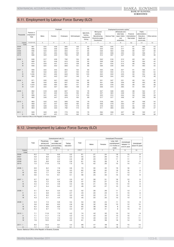### BANKA SLOVENIJE BANK OF SLOVENIA

**EUROSYSTEM**

## 6.11. Employment by Labour Force Survey (ILO)

|                                           |                                     |                | Employed                |                |                | Employment by economic activity                     |                                                                                  |                |                                                                         |                                             |                                                                       |                |  |  |
|-------------------------------------------|-------------------------------------|----------------|-------------------------|----------------|----------------|-----------------------------------------------------|----------------------------------------------------------------------------------|----------------|-------------------------------------------------------------------------|---------------------------------------------|-----------------------------------------------------------------------|----------------|--|--|
| Thousands                                 | Persons in<br>employment -<br>Total | Males          | Females                 | Employees      | Self-employed  | Agriculture,<br>hunting,<br>forestry and<br>fishing | Mining and<br>quanying;<br>Manufacturing;<br>Electricity supply;<br>Construction | Services Total | Wholesale and<br>retail trade,<br>repair; Hotels<br>and<br>restaurants; | Financial<br>intermediation;<br>Real estate | Public<br>administration;<br>Education;<br>Health and<br>social work; | Other services |  |  |
| Column                                    | $1 - 2 + 3 - 4 + 5$                 | $\overline{2}$ | $\overline{\mathbf{3}}$ | $\overline{4}$ | $\overline{5}$ | 6                                                   | $\overline{7}$                                                                   | 8              | 9                                                                       | 10                                          | 11                                                                    | 12             |  |  |
| Code                                      |                                     |                |                         |                |                |                                                     |                                                                                  |                |                                                                         |                                             |                                                                       |                |  |  |
| 2006                                      | 961                                 | 524            | 438                     | 806            | 156            | 92                                                  | 340                                                                              | 530            | 211                                                                     | 87                                          | 189                                                                   | 43             |  |  |
| 2007                                      | 985                                 | 540            | 446                     | 829            | 157            | 96                                                  | 343                                                                              | 545            | 217                                                                     | 92                                          | 185                                                                   | 50             |  |  |
| 2008                                      | 996                                 | 543            | 453                     | 855            | 141            | 85                                                  | 348                                                                              | 562            | 248                                                                     | 89                                          | 187                                                                   | 38             |  |  |
| 2009                                      | 981                                 | 531            | 450                     | 822            | 159            | 89                                                  | 323                                                                              | 568            | 250                                                                     | 93                                          | 188                                                                   | 37             |  |  |
| 2010                                      | 966                                 | 523            | 443                     | 799            | 167            | 85                                                  | 314                                                                              | 567            | 247                                                                     | 92                                          | 192                                                                   | 36             |  |  |
|                                           |                                     |                |                         |                |                |                                                     |                                                                                  |                |                                                                         |                                             |                                                                       |                |  |  |
| 2006                                      | 946                                 | 517            | 429                     | 792            | 154            | 85                                                  | 343                                                                              | 518            | 212                                                                     | 83                                          | 181                                                                   | 42             |  |  |
| $\rm H$                                   | 969                                 | 521            | 448                     | 810            | 159            | 93                                                  | 339                                                                              | 538            | 214                                                                     | 86                                          | 194                                                                   | 44             |  |  |
| III                                       | 974                                 | 533            | 441                     | 815            | 159            | 98                                                  | 341                                                                              | 534            | 214                                                                     | 86                                          | 190                                                                   | 44             |  |  |
| IV                                        | 956                                 | 524            | 432                     | 806            | 151            | 90                                                  | 336                                                                              | 530            | 206                                                                     | 91                                          | 190                                                                   | 42             |  |  |
|                                           |                                     |                |                         |                |                |                                                     |                                                                                  |                |                                                                         |                                             |                                                                       |                |  |  |
| 2007                                      | 958                                 | 524            | 434                     | 804            | 154            | 90                                                  | 332                                                                              | 536            | 207                                                                     | 91                                          | 186                                                                   | 51             |  |  |
| $\mathbf{II}$                             | 994                                 | 542            | 452                     | 831            | 163            | 102                                                 | 340                                                                              | 552            | 215                                                                     | 88                                          | 194                                                                   | 54             |  |  |
| $\ensuremath{\mathsf{III}}\xspace$        | 1,006                               | 551            | 455                     | 843            | 163            | 103                                                 | 353                                                                              | 550            | 225                                                                     | 92                                          | 184                                                                   | 49             |  |  |
| IV                                        | 983                                 | 541            | 443                     | 837            | 146            | 91                                                  | 349                                                                              | 544            | 222                                                                     | 95                                          | 178                                                                   | 48             |  |  |
|                                           |                                     |                |                         |                |                |                                                     |                                                                                  |                |                                                                         |                                             |                                                                       |                |  |  |
| 2008                                      | 971                                 | 530            | 441                     | 832            | 138            | 82                                                  | 341                                                                              | 547            | 231                                                                     | 85                                          | 191                                                                   | 40             |  |  |
| $\mathbf{II}$                             | 990                                 | 540            | 450                     | 847            | 144            | 88                                                  | 351                                                                              | 549            | 239                                                                     | 89                                          | 185                                                                   | 36             |  |  |
| III                                       | 1,023                               | 558            | 464                     | 881            | 141            | 90                                                  | 354                                                                              | 578            | 263                                                                     | 89                                          | 187                                                                   | 38             |  |  |
| IV                                        | 1,001                               | 544            | 457                     | 862            | 139            | 81                                                  | 346                                                                              | 573            | 260                                                                     | 91                                          | 185                                                                   | 37             |  |  |
|                                           |                                     |                |                         |                |                |                                                     |                                                                                  |                |                                                                         |                                             |                                                                       |                |  |  |
| 2009<br>-1                                | 962                                 | 516            | 446                     | 827            | 134            | 76                                                  | 327                                                                              | 559            | 250                                                                     | 88                                          | 184                                                                   | 37             |  |  |
| $\mathbf{II}$                             | 981                                 | 531            | 450                     | 816            | 165            | 90                                                  | 327                                                                              | 563            | 248                                                                     | 93                                          | 186                                                                   | 37             |  |  |
| $\begin{array}{c} \text{III} \end{array}$ | 998                                 | 541            | 457                     | 826            | 173            | 102                                                 | 323                                                                              | 574            | 254                                                                     | 94                                          | 188                                                                   | 39             |  |  |
| IV                                        | 982                                 | 535            | 447                     | 819            | 163            | 89                                                  | 317                                                                              | 577            | 249                                                                     | 97                                          | 193                                                                   | 38             |  |  |
|                                           |                                     |                |                         |                |                |                                                     |                                                                                  |                |                                                                         |                                             |                                                                       |                |  |  |
| 2010                                      | 965                                 | 522            | 442                     | 806            | 158            | 78                                                  | 318                                                                              | 568            | 251                                                                     | 88                                          | 196                                                                   | 34             |  |  |
| $\mathbf{H}$                              | 968                                 | 521            | 447                     | 808            | 160            | 80                                                  | 308                                                                              | 579            | 250                                                                     | 97                                          | 192                                                                   | 40             |  |  |
| $\begin{array}{c} \text{III} \end{array}$ | 968                                 | 528            | 440                     | 792            | 176            | 90                                                  | 316                                                                              | 562            | 244                                                                     | 94                                          | 189                                                                   | 34             |  |  |
| IV                                        | 963                                 | 523            | 440                     | 792            | 172            | 92                                                  | 311                                                                              | 560            | 243                                                                     | 89                                          | 191                                                                   | 37             |  |  |
|                                           |                                     |                |                         |                |                |                                                     |                                                                                  |                |                                                                         |                                             |                                                                       |                |  |  |
| 2011                                      | 928                                 | 503            | 425                     | 773            | 155            | 76                                                  | 294                                                                              | 558            | 237                                                                     | 93                                          | 190                                                                   | 37             |  |  |
| $\mathbf{II}$                             | 938                                 | 507            | 431                     | 776            | 162            | 76                                                  | 290                                                                              | 571            | 244                                                                     | 96                                          | 196                                                                   | 36             |  |  |

Source: Statistical Office of the Republic of Slovenia, Eurostat.

## 6.12. Unemployment by Labour Force Survey (ILO)

|      |                                    |                |                                                             | Unemployment rate (%)                                    |                       |         |                |                | Unemployed (Thousands)                                |                                          |                              |
|------|------------------------------------|----------------|-------------------------------------------------------------|----------------------------------------------------------|-----------------------|---------|----------------|----------------|-------------------------------------------------------|------------------------------------------|------------------------------|
|      |                                    | Total          | Pre-primary,<br>primary and<br>lower secondary<br>education | Upper<br>secondary and<br>post-secondary<br>non-tertiary | Tertiary<br>education | Total   | Males          | Females        | Long - term<br>unemployment<br>(12 months or<br>more) | Unemployed<br>between 15<br>and 24 years | Unemployed<br>above 50 years |
|      | Column                             | $\overline{1}$ | $\overline{2}$                                              | $\overline{3}$                                           | $\overline{4}$        | $5=6+7$ | $\overline{6}$ | $\overline{7}$ | 8                                                     | $\mathsf g$                              | 10                           |
|      | Code                               |                |                                                             |                                                          |                       |         |                |                |                                                       |                                          |                              |
| 2006 |                                    | 6.0            | 7.8                                                         | 6.6                                                      | 3.2                   | 61      | 27             | 34             | 18                                                    | 15                                       | 8                            |
| 2007 |                                    | 4.9            | 6.8                                                         | 5.0                                                      | 3.3                   | 50      | 22             | 28             | 13                                                    | 11                                       | 8                            |
| 2008 |                                    | 4.4            | 6.2                                                         | 4.4                                                      | 4.4                   | 46      | 23             | 23             | 11                                                    | 11                                       | $\overline{7}$               |
| 2009 |                                    | 5.9            | 8.8                                                         | 6.3                                                      | 5.9                   | 61      | 33             | 28             | 9                                                     | 14                                       | 9                            |
| 2010 |                                    | 7.3            | 11.8                                                        | 7.5                                                      | 7.3                   | 75      | 42             | 33             | 15                                                    | 14                                       | 11                           |
| 2006 |                                    | 6.9            | 8.2                                                         | 7.8                                                      | 3.6                   | 70      | 30             | 40             | 19                                                    | 18                                       | $\overline{7}$               |
|      | $\mathbf{II}$                      | 5.9            | 7.9                                                         | 6.4                                                      | 3.0                   | 60      | 28             | 32             | 19                                                    | 16                                       | 8                            |
|      | $\mathbf{III}$                     | 5.6            | 7.7                                                         | 5.9                                                      | 3.2                   | 57      | 26             | 31             | 17                                                    | 13                                       | $\overline{7}$               |
|      | IV                                 | 5.6            | 7.5                                                         | 6.1                                                      | 3.1                   | 56      | 25             | 32             | 15                                                    | 12                                       | 9                            |
| 2007 |                                    | 5.7            | 9.2                                                         | 5.7                                                      | 3.3                   | 57      | 26             | 31             | 16                                                    | 12                                       | 9                            |
|      | Ш                                  | 4.6            | 7.2                                                         | 4.6                                                      | 2.8                   | 47      | 20             | 27             | 13                                                    | 8                                        | 8                            |
|      | III                                | 4.4            | 5.3                                                         | 4.6                                                      | 3.4                   | 46      | 21             | 25             | 13                                                    | 10                                       | 8                            |
|      | IV                                 | 4.7            | 5.4                                                         | 5.0                                                      | 3.7                   | 49      | 22             | 27             | 10                                                    | 13                                       | 8                            |
|      |                                    |                |                                                             |                                                          |                       |         |                |                |                                                       |                                          |                              |
| 2008 |                                    | 5.1            | 6.4                                                         | 5.0                                                      | 4.3                   | 52      | 26             | 26             | 11                                                    | 13                                       | $\overline{7}$               |
|      | $\mathbf{II}$                      | 4.1            | 6.9                                                         | 4.0                                                      | 2.7                   | 43      | 20             | 23             | 11                                                    | 10                                       | 8                            |
|      | $\ensuremath{\mathsf{III}}\xspace$ | 4.1            | 6.2                                                         | 4.0                                                      | 3.0                   | 43      | 22             | 21             | 10                                                    | 12                                       | $\overline{7}$               |
|      | IV                                 | 4.3            | 5.1                                                         | 4.4                                                      | 3.5                   | 45      | 22             | 22             | 10                                                    | 12                                       | 8                            |
| 2009 |                                    | 5.3            | 7.3                                                         | 5.6                                                      | 3.4                   | 54      | 30             | 24             | 11                                                    | 13                                       | 9                            |
|      | $\mathbf{H}$                       | 5.6            | 8.6                                                         | $6.0\,$                                                  | 2.8                   | 58      | 32             | 26             | 10                                                    | 12                                       | 10                           |
|      | $\ensuremath{\mathsf{III}}\xspace$ | 6.2            | 9.5                                                         | 6.6                                                      | 3.4                   | 65      | 36             | 30             | 9                                                     | 15                                       | 8                            |
|      | IV                                 | 6.4            | 9.7                                                         | 7.0                                                      | 3.3                   | 67      | 36             | 31             | 8                                                     | 15                                       | 10                           |
|      |                                    |                |                                                             |                                                          |                       |         |                |                |                                                       |                                          |                              |
| 2010 |                                    | 7.1            | 11.8                                                        | 7.3                                                      | 4.2                   | 74      | 42             | 32             | 10                                                    | 14                                       | 9                            |
|      | $\mathbf{II}$                      | 7.1            | 11.7                                                        | 7.3                                                      | 4.2                   | 74      | 42             | 32             | 13                                                    | 15                                       | 11                           |
|      | $\ensuremath{\mathsf{III}}\xspace$ | 7.1            | 11.5                                                        | 7.2                                                      | 4.2                   | 73      | 40             | 33             | 17                                                    | 13                                       | 11                           |
|      | IV                                 | 7.8            | 12.0                                                        | 8.2                                                      | 4.5                   | 81      | 45             | 36             | 18                                                    | 14                                       | 12                           |
| 2011 |                                    | 8.5            | 14.5                                                        | 9.1                                                      | 4.4                   | 86      | 47             | 39             | 18                                                    | 15                                       | 15                           |
|      | $\mathbf{II}$                      | 7.7            | 11.9                                                        | 8.1                                                      | 5.1                   | 78      | 44             | 34             | 18                                                    | 11                                       | 17                           |

Source: Statistical Office of the Republic of Slovenia, Eurostat.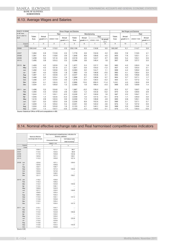BANKA SLOVENIJE BANK OF SLOVENIA

**EUROSYSTEM**

## 6.13. Average Wages and Salaries

|               | Until 31.12.2006 |              |                |              |                       | Gross Wages and Salaries |                       |                |                   |         |             | Net Wages and Salaries |                       |
|---------------|------------------|--------------|----------------|--------------|-----------------------|--------------------------|-----------------------|----------------|-------------------|---------|-------------|------------------------|-----------------------|
| in SIT from   |                  |              |                | Real         |                       |                          |                       | Manufacturing  |                   |         |             | Real                   |                       |
| 01.01.2007 in |                  | Tolars       | Annual         |              |                       |                          |                       | Real           |                   | Tolars  | Annual      |                        |                       |
| <b>EUR</b>    |                  | Euro         | growth in %    | $2000 = 100$ | Annual<br>growth in % | Tolars<br>Euro           | Annual<br>growth in % | $2000 = 100$   | An.growth<br>in % | Euro    | growth in % | $2000 = 100$           | Annual<br>growth in % |
|               | Column           | $\mathbf{1}$ | $\overline{2}$ | 3            | $\overline{4}$        | 5                        | 6                     | $\overline{7}$ | 8                 | 9       | 10          | 11                     | 12                    |
|               | Code             |              |                |              |                       |                          |                       |                |                   |         |             |                        |                       |
| 2006          |                  | 290,542      | 4.8            | 113.3        | 2.3                   | 252,109                  | 5.5                   | 116.8          | 3.0               | 185,287 | 5.1         | 114.7                  | 2.6                   |
|               |                  |              |                |              |                       |                          |                       |                |                   |         |             |                        |                       |
| 2007          |                  | 1,284        | 5.9            | 115.9        | 2.2                   | 1.778                    | 5.9                   | 134.6          | 2.2               | 834     | 7.9         | 119.5                  | 4.1                   |
| 2008          |                  | 1.391        | 8.4            | 118.8        | 2.6                   | 1.946                    | 9.9                   | 139.6          | 4.0               | 900     | 7.9         | 122.1                  | 2.1                   |
| 2009          |                  | 1.439        | 3.5            | 121.9        | 2.6                   | 2,019                    | 4.6                   | 143.7          | 3.7               | 930     | 3.4         | 125.1                  | 2.5                   |
| 2010          |                  | 1,495        | 3.9            | 124.3        | 2.0                   | 2,096                    | 3.6                   | 146.4          | 1.8               | 967     | 3.9         | 127.7                  | 2.0                   |
|               |                  |              |                |              |                       |                          |                       |                |                   |         |             |                        |                       |
| 2010          | Apr              | 1,483        | 4.2            | 122.9        | 1.9                   | 1,977                    | 3.3                   | 137.7          | 0.9               | 960     | 4.2         | 126.3                  | 1.9                   |
|               | May              | 1.475        | 4.2            | 121.8        | 2.1                   | 1,921                    | 0.8                   | 133.2          | $-1.2$            | 957     | 4.2         | 125.4                  | 2.1                   |
|               | Jun              | 1,492        | 4.4            | 122.8        | 2.5                   | 2,093                    | 3.0                   | 144.7          | 1.1               | 966     | 4.4         | 126.2                  | 2.5                   |
|               | Jul              | 1,481        | 4.0            | 122.8        | 1.9                   | 1,960                    | 1.6                   | 136.6          | $-0.5$            | 960     | 4.1         | 126.4                  | 2.0                   |
|               | Aug              | 1.487        | 5.1            | 122.9        | 2.7                   | 2,027                    | 6.5                   | 140.8          | 4.1               | 965     | 5.0         | 126.6                  | 2.6                   |
|               | Sep              | 1.486        | 3.6            | 123.4        | 1.6                   | 1.989                    | 2.7                   | 138.8          | 0.7               | 964     | 3.7         | 127.1                  | 1.7                   |
|               | Oct              | 1,488        | 2.7            | 123.6        | 0.8                   | 1,978                    | $-3.4$                | 138.0          | $-5.2$            | 964     | 3.1         | 127.2                  | 1.2                   |
|               | Nov              | 1,634        | 4.1            | 135.3        | 2.7                   | 2,966                    | 13.0                  | 206.3          | 11.4              | 1,041   | 4.2         | 136.9                  | 2.8                   |
|               | Dec              | 1,534        | 3.1            | 126.9        | 1.2                   | 2,393                    | 1.6                   | 166.4          | $-0.3$            | 989     | 3.3         | 129.9                  | 1.4                   |
|               |                  |              |                |              |                       |                          |                       |                |                   |         |             |                        |                       |
| 2011          | Jan              | 1,496        | 3.3            | 124.8        | 1.5                   | 1,987                    | $-0.2$                | 139.3          | $-2.0$            | 972     | 3.7         | 128.7                  | 1.9                   |
|               | Feb              | 1,494        | 4.3            | 124.6        | 2.9                   | 1,922                    | 1.2                   | 134.8          | $-0.2$            | 970     | 4.3         | 128.5                  | 2.9                   |
|               | Mar              | 1.524        | 1.7            | 125.1        | $-0.3$                | 2,028                    | 3.7                   | 139.9          | 1.8               | 987     | 2.0         | 128.7                  | 0.1                   |
|               | Apr              | 1.505        | 1.4            | 122.6        | $-0.3$                | 2,009                    | 1.6                   | 137.5          | $-0.1$            | 976     | 1.7         | 126.3                  | 0.0                   |
|               | May              | 1,516        | 2.8            | 122.5        | 0.6                   | 2,059                    | 7.2                   | 139.8          | 4.9               | 983     | 2.8         | 126.1                  | 0.6                   |
|               | Jun              | 1,521        | 2.0            | 123.5        | 0.6                   | 2,235                    | 6.8                   | 152.5          | 5.4               | 986     | 2.1         | 127.1                  | 0.7                   |
|               | Jul              | 1,500        | 1.3            | 123.2        | 0.4                   | 2,031                    | 3.6                   | 140.2          | 2.6               | 975     | 1.5         | 127.2                  | 0.6                   |
|               | Aug              | 1,524        | 2.5            | 124.9        | 1.6                   | 2,123                    | 4.7                   | 146.1          | 3.8               | 988     | 2.5         | 128.6                  | 1.6                   |
|               | Sep              | 1,507        | 1.4            | 122.7        | $-0.6$                | 2,032                    | 2.2                   | 139.0          | 0.1               | 978     | 1.5         | 126.4                  | $-0.6$                |

source: Statistical Office of RS and computations in BS.

## 6.14. Nominal effective exchange rate and Real harmonised competitiveness indicators

|             |        |                       | Real harmonised competitiveness indicators for |                   |
|-------------|--------|-----------------------|------------------------------------------------|-------------------|
|             |        | Nominal effective     | Slovenia; deflators                            |                   |
|             |        | exchange rate of euro | <b>Consumer Prices</b>                         | Unit labour costs |
|             |        |                       |                                                | (total economy)   |
|             |        |                       | 1999Q1=100                                     |                   |
|             | Column | 1                     | $\overline{2}$                                 | 3                 |
|             | Code   |                       |                                                |                   |
| 2006        |        | 109.4                 | 101.7                                          | 98.7              |
| 2007        |        | 113.0                 | 103.5                                          | 99.9              |
| 2008        |        | 117.9                 | 105.9                                          | 102.8             |
| 2009        |        | 120.6                 | 107.1                                          | 109.1             |
| 2010        |        | 112.3                 | 105.6                                          | 107.5             |
| 2009        | Jun    | 120.8                 | 107.1                                          | 109.0             |
|             | Jul    | 120.6                 | 106.8                                          | $\cdots$          |
|             | Aug    | 120.7                 | 106.7                                          | $\sim$            |
|             | Sep    | 122.0                 | 107.2                                          | 108.9             |
|             | Oct    | 123.0                 | 107.6                                          | $\cdots$          |
|             | Nov    | 122.9                 | 108.0                                          | $\cdots$          |
|             | Dec    | 121.7                 | 107.6                                          | 108.7             |
| 2010        | Jan    | 119.2                 | 106.8                                          |                   |
|             | Feb    | 116.3                 | 106.5                                          | $\cdots$          |
|             | Mar    | 115.2                 | 105.9                                          | 109.8             |
|             | Apr    | 113.5                 | 106.1                                          | $\ddotsc$         |
|             | May    | 109.9                 | 105.3                                          | $\cdots$          |
|             | Jun    | 107.7                 | 105.0                                          | 108.6             |
|             | Jul    | 109.9                 | 105.4                                          | $\ddotsc$         |
|             | Aug    | 109.5                 | 105.4                                          | $\ddotsc$         |
|             | Sep    | 110.0                 | 105.1                                          | 107.2             |
|             | Oct    | 113.8                 | 105.8                                          | $\ddotsc$         |
|             | Nov    | 112.5                 | 105.4                                          | $\cdots$          |
|             | Dec    | 110.1                 | 105.0                                          | 107.3             |
| 2011        | Jan    | 110.1                 | 104.7                                          | $\cdots$          |
|             | Feb    | 111.4                 | 104.6                                          | $\cdots$          |
|             | Mar    | 113.2                 | 104.9                                          | 106.8             |
|             | Apr    | 115.0                 | 105.0                                          | $\ddotsc$         |
|             | May    | 114.1                 | 105.0                                          | $\cdots$          |
|             | Jun    | 114.4                 | 104.4                                          | 105.9             |
|             | Jul    | 113.4                 | 103.8                                          | $\ddotsc$         |
|             | Aug    | 113.8                 | 104.1                                          | $\ddotsc$         |
|             | Sep    | 112.8                 | 104.5                                          | 105.6             |
|             | Oct    | 113.3                 | 104.8                                          |                   |
| Source: ECB |        |                       |                                                |                   |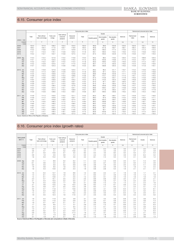## 6.15. Consumer price index

|              | Consumer price index |                                                         |                     |                      |                      |                |                |                       |                      |                |                     |                                 |                |  |  |  |
|--------------|----------------------|---------------------------------------------------------|---------------------|----------------------|----------------------|----------------|----------------|-----------------------|----------------------|----------------|---------------------|---------------------------------|----------------|--|--|--|
|              |                      |                                                         |                     |                      |                      |                |                |                       |                      |                |                     | Harmonised consumer price index |                |  |  |  |
|              |                      |                                                         |                     | Total without        |                      |                |                | Goods                 |                      |                |                     |                                 |                |  |  |  |
| $2005 = 100$ | Total                | Total without<br>fuels and energy                       | Fuels and<br>energy | seasonal<br>products | Seasonal<br>products | Total          | Durable goods  | Semi-durable<br>goods | Non-durable<br>goods | Services       | Harmonised<br>index | Goods                           | Services       |  |  |  |
| Column       | $\mathbf{1}$         | $\overline{2}$                                          | $\overline{3}$      | $\overline{4}$       | $\overline{5}$       | 6              | $\overline{7}$ | 8                     | 9                    | 10             | 11                  | 12                              | 13             |  |  |  |
| Code         |                      |                                                         |                     |                      |                      |                |                |                       |                      |                |                     |                                 |                |  |  |  |
| 2006         | 102.5                | 101.6                                                   | 108.2               | 102.4                | 104.5                | 102.0          | 96.8           | 99.6                  | 103.9                | 103.5          | 102.6               | 102.1                           | 103.5          |  |  |  |
| 2007         | 106.2                | 105.4                                                   | 111.6               | 105.7                | 118.9                | 105.3          | 95.8           | 101.8                 | 108.7                | 108.1          | 106.4               | 105.3                           | 108.6          |  |  |  |
| 2008         | 112.2                | 110.6                                                   | 123.4               | 111.7                | 124.9                | 111.5          | 95.4           | 106.3                 | 117.4                | 113.5          | 112.3               | 111.3                           | 114.3          |  |  |  |
| 2009         | 113.1                | 112.3                                                   | 119.1               | 112.8                | 123.2                | 111.6          | 93.1           | 106.3                 | 118.4                | 116.5          | 113.2               | 110.8                           | 118.0          |  |  |  |
| 2010         | 115.2                | 112.7                                                   | 134.7               | 114.8                | 127.5                | 114.1          | 87.4           | 105.0                 | 124.9                | 117.6          | 115.6               | 113.7                           | 119.3          |  |  |  |
|              |                      |                                                         |                     |                      |                      |                |                |                       |                      |                |                     |                                 |                |  |  |  |
| 2009<br>Aug  | 113.3                | 112.2                                                   | 121.6               | 113.2                | 115.8                | 110.3          | 93.2           | 98.2                  | 118.5                | 120.0          | 113.5               | 109.9                           | 120.5          |  |  |  |
| Sep          | 113.1                | 111.9                                                   | 122.0               | 113.0                | 115.2                | 111.2          | 92.3           | 103.6                 | 118.8                | 117.2          | 113.4               | 110.7                           | 118.6          |  |  |  |
| Oct          | 113.2                | 112.2                                                   | 120.7               | 113.2                | 114.4                | 111.8          | 92.0           | 109.5                 | 118.3                | 116.3          | 113.5               | 111.2                           | 118.1          |  |  |  |
| Nov          | 114.2                | 112.9                                                   | 124.5               | 114.1                | 117.0                | 113.3          | 90.7           | 111.2                 | 120.5                | 116.2          | 114.4               | 112.5                           | 118.0          |  |  |  |
| Dec          | 113.7                | 112.3                                                   | 124.3               | 113.6                | 116.5                | 112.5          | 89.7           | 108.9                 | 120.3                | 116.2          | 113.9               | 111.8                           | 118.1          |  |  |  |
|              |                      |                                                         |                     |                      |                      |                |                |                       |                      |                |                     |                                 |                |  |  |  |
| 2010<br>Jan  | 112.8                | 110.9                                                   | 127.8               | 112.6                | 120.0                | 111.1          | 89.2           | 96.4                  | 121.7                | 116.7          | 113.2               | 110.6                           | 118.5          |  |  |  |
| Feb          | 113.3                | 111.3                                                   | 129.0               | 112.9                | 124.3                | 111.6          | 89.0           | 97.1                  | 122.4                | 117.1          | 113.6               | 111.0                           | 118.8          |  |  |  |
| Mar          | 114.5                | 112.4                                                   | 130.8               | 114.1                | 123.6                | 113.3          | 88.6           | 105.8                 | 122.8                | 117.1          | 114.8               | 112.6                           | 119.0          |  |  |  |
| Apr          | 115.6                | 113.3                                                   | 133.5               | 115.3                | 126.8                | 114.8          | 88.1           | 110.1                 | 124.4                | 117.3          | 116.1               | 114.4                           | 119.3          |  |  |  |
| May          | 116.1                | 113.6                                                   | 135.2               | 115.6                | 131.1                | 115.2          | 87.3           | 110.6                 | 125.1                | 117.9          | 116.5               | 114.8                           | 119.8          |  |  |  |
| Jun          | 116.4                | 114.0                                                   | 135.6               | 116.0                | 130.2                | 115.3          | 87.5           | 110.0                 | 125.3                | 119.0          | 116.8               | 114.9                           | 120.5          |  |  |  |
| Jul          | 115.6                | 112.8                                                   | 137.2               | 115.0                | 133.7                | 113.4          | 87.0           | 97.1                  | 126.1                | 120.5          | 116.1               | 113.4                           | 121.5          |  |  |  |
| Aug          | 115.9<br>115.3       | 113.2<br>112.6                                          | 137.1<br>136.4      | 115.4<br>114.9       | 130.2<br>127.6       | 113.5          | 87.3           | 97.1<br>105.8         | 126.2<br>125.8       | 121.3          | 116.2               | 113.3<br>114.3                  | 122.0<br>118.5 |  |  |  |
| Sep          |                      |                                                         |                     |                      |                      | 114.6          | 86.6           |                       |                      | 116.8          | 115.7               |                                 |                |  |  |  |
| Oct<br>Nov   | 115.4<br>115.7       | 112.6<br>113.0                                          | 137.4<br>137.4      | 115.1                | 123.1<br>128.9       | 115.2          | 86.6<br>86.0   | 109.2                 | 125.7<br>126.2       | 115.8          | 115.9               | 114.8<br>115.3                  | 118.0<br>117.9 |  |  |  |
| Dec          | 115.8                | 112.8                                                   | 139.6               | 115.3<br>115.4       | 130.1                | 115.7<br>115.6 | 85.7           | 111.6<br>109.4        | 126.8                | 115.7<br>116.2 | 116.2<br>116.4      | 115.4                           | 118.2          |  |  |  |
|              |                      |                                                         |                     |                      |                      |                |                |                       |                      |                |                     |                                 |                |  |  |  |
| 2011<br>Jan  | 114.9                | 111.3                                                   | 143.0               | 115.2                | 121.1                | 114.5          | 85.3           | 96.7                  | 128.7                | 115.7          | 115.9               | 114.7                           | 118.0          |  |  |  |
| Feb          | 114.9                | 111.2                                                   | 143.9               | 115.2                | 120.7                | 115.1          | 86.0           | 97.0                  | 129.5                | 114.2          | 115.9               | 115.2                           | 117.1          |  |  |  |
| Mar          | 116.7                | 113.1                                                   | 144.8               | 116.5                | 127.5                | 116.7          | 86.0           | 105.3                 | 129.7                | 116.5          | 117.5               | 116.8                           | 118.7          |  |  |  |
| Apr          | 117.6                | 114.0                                                   | 146.3               | 117.2                | 131.4                | 118.0          | 86.2           | 108.8                 | 130.7                | 116.6          | 118.4               | 118.1                           | 118.8          |  |  |  |
| May          | 118.6                | 115.1                                                   | 146.5               | 117.5                | 139.0                | 119.2          | 86.2           | 110.5                 | 132.1                | 117.2          | 119.4               | 119.3                           | 119.4          |  |  |  |
| Jun          | 118.0                | 114.7                                                   | 143.7               | 117.5                | 132.4                | 118.0          | 86.3           | 108.5                 | 130.8                | 117.8          | 118.6               | 117.9                           | 119.7          |  |  |  |
| Jul          | 116.7                | 113.1                                                   | 145.0               | 117.5                | 117.0                | 115.3          | 85.8           | 94.7                  | 130.6                | 119.5          | 117.3               | 115.4                           | 121.0          |  |  |  |
| Aug          | 117.0                | 113.2                                                   | 146.9               | 118.0                | 115.6                | 115.6          | 85.5           | 94.1                  | 131.2                | 120.0          | 117.6               | 115.7                           | 121.4          |  |  |  |
| Sep          | 117.7                | 114.1                                                   | 146.4               | 118.1                | 122.6                | 117.4          | 85.6           | 103.8                 | 131.3                | 118.4          | 118.3               | 117.2                           | 120.5          |  |  |  |
| Oct          | 118.5                | 114.8                                                   | 148.5               | 118.3                | 131.0                | 119.2          | 85.3           | 111.2                 | 132.2                | 117.0          | 119.3               | 119.1                           | 119.4          |  |  |  |
|              |                      | Source: Statistical Office of the Republic of Slovenia. |                     |                      |                      |                |                |                       |                      |                |                     |                                 |                |  |  |  |

## 6.16. Consumer price index (growth rates)

|               | Harmonised consumer price index |                                   |                     |                      |                      |                      |                |                       |                      |          |                     |        |          |
|---------------|---------------------------------|-----------------------------------|---------------------|----------------------|----------------------|----------------------|----------------|-----------------------|----------------------|----------|---------------------|--------|----------|
|               |                                 |                                   |                     |                      |                      | Consumer price index |                |                       |                      |          |                     |        |          |
| Yearly growth |                                 |                                   |                     | Total without        |                      |                      |                | Goods                 |                      |          |                     |        |          |
| rate in %     | Total                           | Total without<br>fuels and energy | Fuels and<br>energy | seasonal<br>products | Seasonal<br>products | Total                | Durable goods  | Semi-durable<br>goods | Non-durable<br>goods | Services | Harmonised<br>index | Goods  | Services |
| Column        | $\overline{1}$                  | $\overline{2}$                    | $\overline{3}$      | $\overline{4}$       | $\overline{5}$       | 6                    | $\overline{7}$ | 8                     | 9                    | 10       | 11                  | 12     | 13       |
| Code          |                                 |                                   |                     |                      |                      |                      |                |                       |                      |          |                     |        |          |
| 2006          | 2.5                             | 1.6                               | 8.2                 | 2.4                  | 4.5                  | 2.0                  | $-3.2$         | $-0.4$                | 3.9                  | 3.5      | 2.5                 | 2.0    | 3.5      |
| 2007          | 3.6                             | 3.7                               | 3.1                 | 3.2                  | 13.8                 | 3.2                  | $-1.1$         | 2.2                   | 4.6                  | 4.5      | 3.7                 | 3.2    | 4.9      |
| 2008          | 5.7                             | 5.0                               | 10.6                | 5.7                  | 5.0                  | 6.0                  | $-0.4$         | 4.5                   | 8.0                  | 5.0      | 5.5                 | 5.7    | 5.3      |
| 2009          | 0.9                             | 1.6                               | $-3.5$              | 0.9                  | $-1.4$               | 0.0                  | $-2.4$         | 0.0                   | 0.8                  | 2.6      | 0.9                 | $-0.4$ | 3.2      |
| 2010          | 1.8                             | 0.3                               | 13.2                | 1.8                  | 3.5                  | 2.2                  | $-6.1$         | $-1.2$                | 5.5                  | 1.0      | 2.1                 | 2.6    | 1.2      |
|               |                                 |                                   |                     |                      |                      |                      |                |                       |                      |          |                     |        |          |
| 2009<br>Aua   | 0.0                             | 1.1                               | $-6.6$              | 0.2                  | $-5.2$               | $-1.1$               | $-2.4$         | $-1.3$                | $-0.6$               | 2.5      | 0.1                 | $-1.4$ | 3.0      |
| Sep           | $-0.1$                          | 0.6                               | $-4.4$              | 0.1                  | $-5.6$               | $-1.1$               | $-3.2$         | $-2.7$                | 0.0                  | 2.0      | 0.0                 | $-1.3$ | 2.6      |
| Oct           | 0.0                             | 0.5                               | $-3.0$              | 0.2                  | $-5.9$               | $-0.9$               | $-3.6$         | $-1.6$                | 0.0                  | 2.0      | 0.2                 | $-1.1$ | 2.6      |
| Nov           | 1.6                             | 0.8                               | 8.0                 | 1.8                  | $-4.5$               | 1.5                  | $-3.8$         | $-2.0$                | 3.9                  | 1.9      | 1.8                 | 1.5    | 2.4      |
| Dec           | 1.8                             | 0.3                               | 14.6                | 2.0                  | $-4.3$               | 1.9                  | $-5.8$         | $-2.8$                | 5.3                  | 1.6      | 2.1                 | 2.1    | 2.1      |
|               |                                 |                                   |                     |                      |                      |                      |                |                       |                      |          |                     |        |          |
| 2010<br>Jan   | 1.5                             | $-0.2$                            | 14.7                | 1.9                  | $-9.6$               | 1.2                  | $-6.0$         | $-4.4$                | 4.7                  | 1.9      | 1.8                 | 1.7    | 2.1      |
| Feb           | 1.3                             | $-0.1$                            | 12.2                | 1.6                  | $-5.4$               | 1.1                  | $-6.5$         | $-4.1$                | 4.6                  | 1.8      | 1.6                 | 1.4    | 1.9      |
| Mar           | 1.4                             | $-0.1$                            | 13.6                | 1.7                  | $-4.5$               | 1.4                  | $-6.4$         | $-3.1$                | 4.8                  | 1.6      | 1.8                 | 1.8    | 1.8      |
| Apr           | 2.3                             | 0.7                               | 15.1                | 2.5                  | $-2.2$               | 2.5                  | $-6.9$         | $-0.6$                | 6.0                  | 2.0      | 2.7                 | 3.0    | 2.1      |
| May           | 2.1                             | 0.3                               | 15.5                | 2.2                  | $-0.5$               | 2.1                  | $-6.9$         | $-1.8$                | 5.7                  | 1.9      | 2.4                 | 2.6    | 2.1      |
| Jun           | 1.9                             | 0.4                               | 12.6                | 1.7                  | 5.9                  | 2.1                  | $-6.6$         | $-1.4$                | 5.4                  | 1.4      | 2.1                 | 2.4    | 1.6      |
| Jul           | 2.1                             | 0.6                               | 13.5                | 1.8                  | 10.4                 | 2.6                  | $-6.2$         | $-1.3$                | 6.1                  | 0.9      | 2.3                 | 3.0    | 1.3      |
| Aug           | 2.3                             | 0.9                               | 12.7                | 2.0                  | 12.5                 | 2.9                  | $-6.3$         | $-1.1$                | 6.5                  | 1.1      | 2.4                 | 3.1    | 1.3      |
| Sep           | 2.0                             | 0.7                               | 11.8                | 1.7                  | 10.8                 | 3.0                  | $-6.2$         | 2.1                   | 5.9                  | $-0.3$   | 2.1                 | 3.2    | $-0.1$   |
| Oct           | 1.9                             | 0.3                               | 13.8                | 1.7                  | 7.6                  | 3.0                  | $-5.9$         | $-0.3$                | 6.3                  | $-0.4$   | 2.1                 | 3.2    | $-0.1$   |
| Nov           | 1.4                             | 0.1                               | 10.4                | 1.1                  | 10.2                 | 2.2                  | $-5.2$         | 0.3                   | 4.7                  | $-0.4$   | 1.6                 | 2.5    | $-0.1$   |
| Dec           | 1.9                             | 0.5                               | 12.3                | 1.6                  | 11.6                 | 2.7                  | $-4.5$         | 0.5                   | 5.4                  | 0.0      | 2.2                 | 3.3    | 0.2      |
|               |                                 |                                   |                     |                      |                      |                      |                |                       |                      |          |                     |        |          |
| 2011<br>Jan   | 1.8                             | 0.4                               | 11.9                | 2.3                  | 0.9                  | 3.1                  | $-4.3$         | 0.4                   | 5.8                  | $-0.9$   | 2.3                 | 3.8    | $-0.4$   |
| Feb           | 1.4                             | 0.0                               | 11.6                | 2.0                  | $-2.9$               | 3.2                  | $-3.4$         | $-0.1$                | 5.8                  | $-2.5$   | 2.0                 | 3.8    | $-1.4$   |
| Mar           | 1.9                             | 0.7                               | 10.7                | 2.1                  | 3.1                  | 3.1                  | $-2.9$         | $-0.5$                | 5.6                  | $-0.5$   | 2.4                 | 3.7    | $-0.2$   |
| Apr           | 1.7                             | 0.6                               | 9.5                 | 1.7                  | 3.7                  | 2.8                  | $-2.2$         | $-1.2$                | 5.1                  | $-0.6$   | 2.0                 | 3.2    | $-0.4$   |
| May           | 2.2                             | 1.3                               | 8.3                 | 1.7                  | 6.0                  | 3.4                  | $-1.3$         | $-0.1$                | 5.5                  | $-0.6$   | 2.4                 | 3.8    | $-0.3$   |
| Jun           | 1.3                             | 0.7                               | 6.0                 | 1.3                  | 1.6                  | 2.4                  | $-1.4$         | $-1.4$                | 4.3                  | $-1.0$   | 1.6                 | 2.7    | $-0.6$   |
| Jul           | 0.9                             | 0.2                               | 5.7                 | 2.2                  | $-12.5$              | 1.7                  | $-1.4$         | $-2.5$                | 3.5                  | $-0.8$   | 1.1                 | 1.8    | $-0.4$   |
| Aug           | 0.9                             | 0.0                               | 7.2                 | 2.2                  | $-11.3$              | 1.8                  | $-2.1$         | $-3.1$                | 4.0                  | $-1.0$   | 1.2                 | 2.1    | $-0.5$   |
| Sep           | 2.1                             | 1.3                               | 7.3                 | 2.8                  | $-4.0$               | 2.4                  | $-1.2$         | $-1.9$                | 4.3                  | 1.4      | 2.3                 | 2.6    | 1.7      |
| Oct           | 2.7                             | 1.9                               | 8.1                 | 2.7                  | 6.4                  | 3.5                  | $-1.4$         | 1.8                   | 5.2                  | 1.0      | 2.9                 | 3.8    | 1.2      |

**Source: Statistical Office of the Republic of Slovenia and computations in Bank of Slovenia.**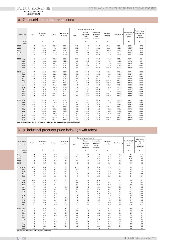## 6.17. Industrial producer price index

|              |              |                       |        |                             |       | Consumer goods industries                  |                                                |                         |               |                                         |                                                      |
|--------------|--------------|-----------------------|--------|-----------------------------|-------|--------------------------------------------|------------------------------------------------|-------------------------|---------------|-----------------------------------------|------------------------------------------------------|
| $2005 = 100$ | Total        | Intermediate<br>goods | Energy | Capital goods<br>industries | Total | Durable<br>consumer<br>goods<br>industries | Non-durable<br>consumer<br>goods<br>industries | Mining and<br>quarrying | Manufacturing | Electricity, gas<br>and steam<br>supply | Water supply,<br>sewerage and<br>waste<br>management |
| Column       | $\mathbf{1}$ | $\overline{2}$        | 3      | $\overline{4}$              | 5     | 6                                          | $\overline{7}$                                 | 8                       | 9             | 10                                      | 11                                                   |
| Code         |              |                       |        |                             |       |                                            |                                                |                         |               |                                         |                                                      |
| 2006         | 102.4        | 103.9                 | 102.8  | 100.2                       | 101.6 | 103.1                                      | 101.3                                          | 101.4                   | 102.4         | 104.1                                   | 97.7                                                 |
| 2007         | 108.0        | 110.9                 | 114.0  | 101.1                       | 104.8 | 110.7                                      | 103.8                                          | 106.1                   | 106.9         | 123.7                                   | 89.8                                                 |
| 2008         | 114.0        | 116.8                 | 122.7  | 104.7                       | 110.7 | 116.2                                      | 109.7                                          | 109.0                   | 112.5         | 136.0                                   | 92.9                                                 |
| 2009         | 113.6        | 113.0                 | 131.0  | 103.0                       | 110.2 | 123.4                                      | 108.1                                          | 112.4                   | 110.2         | 147.2                                   | 96.4                                                 |
| 2010         | 115.9        | 117.2                 | 131.5  | 102.6                       | 111.4 | 128.2                                      | 108.6                                          | 112.9                   | 112.6         | 145.3                                   | 104.6                                                |
|              |              |                       |        |                             |       |                                            |                                                |                         |               |                                         |                                                      |
| 2009 Aug     | 113.1        | 112.8                 | 130.2  | 102.7                       | 109.7 | 125.1                                      | 107.2                                          | 111.5                   | 109.9         | 147.1                                   | 94.4                                                 |
| Sep          | 113.4        | 113.3                 | 130.3  | 102.3                       | 110.0 | 125.0                                      | 107.6                                          | 111.5                   | 110.2         | 147.2                                   | 94.4                                                 |
| Oct          | 113.6        | 113.6                 | 130.2  | 102.1                       | 110.3 | 125.8                                      | 107.8                                          | 111.5                   | 110.4         | 147.0                                   | 94.6                                                 |
| Nov          | 113.5        | 112.4                 | 132.6  | 101.9                       | 110.2 | 125.2                                      | 107.7                                          | 112.0                   | 109.8         | 146.5                                   | 106.0                                                |
| Dec          | 113.5        | 112.4                 | 132.3  | 101.8                       | 110.5 | 125.2                                      | 108.0                                          | 112.0                   | 109.8         | 146.0                                   | 106.0                                                |
|              |              |                       |        |                             |       |                                            |                                                |                         |               |                                         |                                                      |
| 2010 Jan     | 113.7        | 112.6                 | 133.2  | 101.7                       | 110.8 | 126.3                                      | 108.2                                          | 112.1                   | 110.0         | 147.1                                   | 106.0                                                |
| Feb          | 114.1        | 113.3                 | 132.6  | 102.2                       | 110.8 | 126.1                                      | 108.2                                          | 113.6                   | 110.4         | 146.7                                   | 104.1                                                |
| Mar          | 114.6        | 114.5                 | 132.7  | 102.1                       | 110.8 | 126.3                                      | 108.2                                          | 113.1                   | 111.0         | 146.9                                   | 104.5                                                |
| Apr          | 114.8        | 115.6                 | 130.4  | 101.8                       | 110.7 | 126.6                                      | 108.1                                          | 113.1                   | 111.4         | 144.0                                   | 104.5                                                |
| May          | 116.2        | 117.8                 | 131.8  | 103.5                       | 110.9 | 126.6                                      | 108.2                                          | 113.0                   | 112.8         | 145.8                                   | 104.5                                                |
| Jun          | 116.5        | 118.0                 | 131.4  | 103.5                       | 111.6 | 129.4                                      | 108.6                                          | 113.0                   | 113.2         | 145.3                                   | 104.5                                                |
| Jul          | 116.3        | 118.2                 | 131.2  | 102.7                       | 111.3 | 129.7                                      | 108.2                                          | 112.8                   | 113.1         | 145.0                                   | 104.6                                                |
| Aug          | 116.4        | 118.2                 | 130.8  | 102.9                       | 111.7 | 129.5                                      | 108.7                                          | 112.6                   | 113.2         | 144.5                                   | 104.6                                                |
| Sep          | 116.6        | 118.6                 | 130.6  | 102.9                       | 111.8 | 129.3                                      | 108.9                                          | 113.1                   | 113.5         | 144.2                                   | 104.6                                                |
| Oct          | 117.1        | 119.3                 | 131.2  | 102.8                       | 112.1 | 129.0                                      | 109.3                                          | 112.9                   | 113.9         | 144.9                                   | 104.6                                                |
| Nov          | 117.1        | 119.6                 | 130.8  | 102.7                       | 111.9 | 129.6                                      | 109.0                                          | 112.7                   | 114.0         | 144.5                                   | 104.6                                                |
| Dec          | 117.4        | 120.2                 | 131.1  | 102.2                       | 112.2 | 129.8                                      | 109.2                                          | 113.0                   | 114.3         | 144.8                                   | 104.6                                                |
|              |              |                       |        |                             |       |                                            |                                                |                         |               |                                         |                                                      |
| 2011 Jan     | 118.2        | 121.6                 | 131.1  | 102.7                       | 112.6 | 129.8                                      | 109.8                                          | 112.2                   | 115.2         | 145.1                                   | 104.6                                                |
| Feb          | 119.5        | 123.5                 | 134.3  | 103.0                       | 113.0 | 130.3                                      | 110.1                                          | 112.6                   | 116.3         | 149.1                                   | 104.6                                                |
| Mar          | 120.1        | 124.4                 | 133.6  | 102.9                       | 113.6 | 131.7                                      | 110.6                                          | 113.4                   | 116.9         | 148.2                                   | 104.6                                                |
| Apr          | 120.5        | 124.8                 | 134.2  | 103.2                       | 114.2 | 132.1                                      | 111.2                                          | 113.4                   | 117.4         | 149.1                                   | 104.6                                                |
| May          | 120.3        | 124.6                 | 133.2  | 103.0                       | 114.2 | 132.6                                      | 111.2                                          | 113.3                   | 117.2         | 147.8                                   | 104.6                                                |
| Jun          | 120.8        | 125.2                 | 133.7  | 103.0                       | 114.9 | 133.3                                      | 111.8                                          | 113.5                   | 117.8         | 148.3                                   | 104.6                                                |
| Jul          | 120.6        | 124.9                 | 134.0  | 103.2                       | 114.3 | 134.1                                      | 110.9                                          | 113.5                   | 117.5         | 148.7                                   | 104.8                                                |
| Aug          | 120.8        | 125.4                 | 133.9  | 103.4                       | 114.3 | 134.1                                      | 111.0                                          | 113.2                   | 117.7         | 148.5                                   | 104.9                                                |
| Sep          | 120.8        | 125.1                 | 134.2  | 103.3                       | 114.7 | 134.7                                      | 111.3                                          | 113.2                   | 117.7         | 148.8                                   | 104.9                                                |
| Oct          | 120.7        | 124.9                 | 134.1  | 103.7                       | 114.3 | 134.7                                      | 110.9                                          | 113.4                   | 117.6         | 148.7                                   | 105.1                                                |

**Source: Statistical Office of the Republic of Slovenia and computations in Bank of Slovenia.**

## 6.18. Industrial producer price index (growth rates)

|                             |                |                       |        |                             | Consumer goods industries |                                            |                                                |                         |                |                                         |                                                      |
|-----------------------------|----------------|-----------------------|--------|-----------------------------|---------------------------|--------------------------------------------|------------------------------------------------|-------------------------|----------------|-----------------------------------------|------------------------------------------------------|
| Yearly growth<br>rates in % | Total          | Intermediate<br>goods | Energy | Capital goods<br>industries | Total                     | Durable<br>consumer<br>goods<br>industries | Non-durable<br>consumer<br>goods<br>industries | Mining and<br>quarrying | Manufacturing  | Electricity, gas<br>and steam<br>supply | Water supply,<br>sewerage and<br>waste<br>management |
| Column                      | $\overline{1}$ | $\overline{2}$        |        | $\overline{4}$              | $\overline{5}$            | 6                                          | $\overline{7}$                                 | 8                       | $\overline{9}$ | 10                                      | 11                                                   |
| Code                        |                |                       |        |                             |                           |                                            |                                                |                         |                |                                         |                                                      |
| 2006                        | 2.4            | 3.9                   | 2.8    | 0.2                         | 1.6                       | 3.1                                        | 1.3                                            | 1.4                     | 2.4            | 4.1                                     | $-2.3$                                               |
| 2007                        | 5.5            | 6.8                   | 10.9   | 0.9                         | 3.2                       | 7.4                                        | 2.4                                            | 4.6                     | 4.4            | 18.8                                    | $-8.1$                                               |
| 2008                        | 5.6            | 5.3                   | 7.6    | 3.6                         | 5.6                       | 4.9                                        | 5.7                                            | 2.7                     | 5.2            | 10.0                                    | 3.4                                                  |
| 2009                        | $-0.4$         | $-3.2$                | 6.8    | $-1.7$                      | $-0.4$                    | 6.2                                        | $-1.5$                                         | 3.1                     | $-2.0$         | 8.2                                     | 3.8                                                  |
| 2010                        | 2.0            | 3.7                   | 0.3    | $-0.4$                      | 1.0                       | 3.9                                        | 0.5                                            | 0.4                     | 2.1            | $-1.3$                                  | 8.5                                                  |
|                             |                |                       |        |                             |                           |                                            |                                                |                         |                |                                         |                                                      |
| 2009 Aug                    | $-1.7$         | $-4.9$                | 5.7    | $-3.4$                      | $-1.0$                    | 7.2                                        | $-2.5$                                         | 2.6                     | $-3.3$         | 7.5                                     | 1.0                                                  |
| Sep                         | $-1.6$         | $-4.5$                | 5.4    | $-4.5$                      | $-0.9$                    | 7.2                                        | $-2.3$                                         | 1.4                     | $-3.2$         | 7.4                                     | 1.0                                                  |
| Oct                         | $-1.4$         | $-3.7$                | 5.1    | $-4.4$                      | $-1.2$                    | 7.9                                        | $-2.8$                                         | 1.0                     | $-2.9$         | 7.1                                     | 1.2                                                  |
| Nov                         | $-1.1$         | $-3.4$                | 6.6    | $-4.4$                      | $-1.3$                    | 7.4                                        | $-2.8$                                         | 1.3                     | $-2.8$         | 6.1                                     | 13.3                                                 |
| <b>Dec</b>                  | $-0.7$         | $-2.6$                | 6.1    | $-3.4$                      | $-1.1$                    | 7.4                                        | $-2.6$                                         | 0.0                     | $-2.2$         | 6.1                                     | 12.1                                                 |
|                             |                |                       |        |                             |                           |                                            |                                                |                         |                |                                         |                                                      |
| 2010 Jan                    | $-0.1$         | $-1.5$                | 4.3    | $-3.1$                      | 0.4                       | 6.4                                        | $-0.6$                                         | $-1.7$                  | $-1.1$         | 3.9                                     | 12.1                                                 |
| Feb                         | 0.1            | $-0.5$                | 1.4    | $-2.2$                      | 0.6                       | 4.4                                        | $-0.1$                                         | 0.7                     | $-0.3$         | $-0.5$                                  | 10.0                                                 |
| Mar                         | 0.5            | 1.0                   | 0.5    | $-2.2$                      | 0.5                       | 4.7                                        | $-0.2$                                         | 0.3                     | 0.3            | $-1.6$                                  | 10.5                                                 |
| Apr                         | 0.7            | 1.5                   | $-1.1$ | $-1.0$                      | 0.5                       | 3.6                                        | $-0.1$                                         | 0.3                     | 0.7            | $-3.4$                                  | 10.5                                                 |
| May                         | 2.6            | 5.4                   | 0.1    | 0.8                         | 0.5                       | 3.2                                        | 0.0                                            | 0.1                     | 2.9            | $-2.1$                                  | 10.5                                                 |
| Jun                         | 2.7            | 5.3                   | 0.1    | 0.7                         | 0.5                       | 3.7                                        | $-0.2$                                         | 0.1                     | 2.9            | $-2.1$                                  | 10.7                                                 |
| Jul                         | 2.7            | 5.2                   | 0.0    | 0.1                         | 1.0                       | 3.9                                        | 0.5                                            | 0.5                     | 2.9            | $-2.3$                                  | 10.8                                                 |
| Aug                         | 2.9            | 4.8                   | 0.4    | 0.2                         | 1.8                       | 3.6                                        | 1.4                                            | 1.0                     | 3.1            | $-1.8$                                  | 10.8                                                 |
| Sep                         | 2.8            | 4.6                   | 0.2    | 0.5                         | 1.6                       | 3.5                                        | 1.2                                            | 1.4                     | 2.9            | $-2.1$                                  | 10.8                                                 |
| Oct                         | 3.1            | 5.0                   | 0.7    | 0.6                         | 1.6                       | 2.5                                        | 1.4                                            | 1.3                     | 3.1            | $-1.4$                                  | 10.6                                                 |
| Nov                         | 3.2            | 6.4                   | $-1.4$ | 0.7                         | 1.6                       | 3.6                                        | 1.2                                            | 0.6                     | 3.8            | $-1.4$                                  | $-1.3$                                               |
| Dec                         | 3.5            | 7.0                   | $-0.9$ | 0.4                         | 1.5                       | 3.7                                        | 1.1                                            | 0.9                     | 4.0            | $-0.8$                                  | $-1.3$                                               |
|                             |                |                       |        |                             |                           |                                            |                                                |                         |                |                                         |                                                      |
| 2010 Jan                    | 4.0            | 8.0                   | $-1.5$ | 1.0                         | 1.7                       | 2.8                                        | 1.5                                            | 0.1                     | 4.7            | $-1.3$                                  | $-1.3$                                               |
| Feb                         | 4.8            | 8.9                   | 1.3    | 0.8                         | 2.0                       | 3.4                                        | 1.7                                            | $-0.9$                  | 5.3            | 1.6                                     | 0.5                                                  |
| Mar                         | 4.8            | 8.7                   | 0.7    | 0.8                         | 2.5                       | 4.3                                        | 2.2                                            | 0.3                     | 5.3            | 0.9                                     | 0.1                                                  |
| Apr                         | 5.0            | 8.0                   | 2.9    | 1.3                         | 3.2                       | 4.4                                        | 2.9                                            | 0.2                     | 5.3            | 3.5                                     | 0.1                                                  |
| May                         | 3.6            | 5.7                   | 1.1    | $-0.5$                      | 3.1                       | 4.8                                        | 2.7                                            | 0.2                     | 3.9            | 1.4                                     | 0.1                                                  |
| Jun                         | 3.7            | 6.1                   | 1.7    | $-0.5$                      | 2.9                       | 3.0                                        | 2.9                                            | 0.4                     | 4.0            | 2.0                                     | 0.1                                                  |
| Jul                         | 3.7            | 5.7                   | 2.2    | 0.5                         | 2.7                       | 3.4                                        | 2.5                                            | 0.6                     | 3.9            | 2.5                                     | 0.2                                                  |
| Aug                         | 3.8            | 6.1                   | 2.4    | 0.5                         | 2.3                       | 3.5                                        | 2.1                                            | 0.6                     | 4.0            | 2.7                                     | 0.3                                                  |
| Sep                         | 3.6            | 5.5                   | 2.7    | 0.4                         | 2.6                       | 4.2                                        | 2.3                                            | 0.2                     | 3.7            | 3.2                                     | 0.3                                                  |
| Oct                         | 3.1            | 4.7                   | 2.3    | 0.9                         | 2.0                       | 4.4                                        | 1.5                                            | 0.4                     | 3.2            | 2.6                                     | 0.4                                                  |

Source: Statistical Office of the Republic of Slovenia.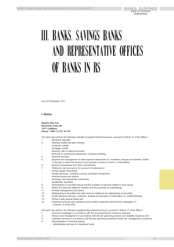# III. BANKS, SAVINGS BANKS AND REPRESENTATIVE OFFICES OF BANKS IN RS

as at 30 November 2011

#### **I. Banks**

**Abanka Vipa d.d. Slovenska cesta 58 1517 Ljubljana Phone: +386 (1) 471 81 00**

The bank may perform the following mutually recognized financial services, pursuant to Article 10 of the ZBan-1:

- 1. Receiving deposits<br>2. Granting credits that
- 2. Granting credits that also includes:
- consumer credits,
- mortgage credits.
- factoring, with or without recourse,
- financing of commercial transactions, including forfeiting,
- 4. Payment services;
- 5. Issuance and management of other payment instruments (i.e. travellers' cheques and bankers' drafts) in the part in which this service is not included in service of point 4. of this Article;
- 6. Issuing of guarantees and other commitments,
- 7. Trading for own account or for account of customers in:
- money market instruments,
- foreign exchange, including currency exchange transactions,
- financial futures and options,
- exchange and interest-rate instruments,
- transferable securities.
- 8. Participations in securities issues and the provision of services related to such issues,
- 9. Advice and services related to mergers and the purchase of undertakings,
- 11. Portfolio management and advice,
- 12. Safekeeping of securities and other services relating to the safekeeping of securities,<br>13. Credit reference services: collection, analysis and provision of information on creditw
- Credit reference services: collection, analysis and provision of information on creditworthiness,
- 14. Rental of safe deposit boxes and

15. Investment services and operations and ancillary investment services from paragraph (1) of Article 10 of the ZTFI.

The bank may perform the following supplementary financial services, pursuant to Article 11 of the ZBan-1:

- 1. Insurance brokerage in accordance with the act governing the insurance business,
- 3. Pension fund management in accordance with the act governing pension and disability insurance and
- 4. Custodian services in accordance with the law governing investment funds and management companies
- 6. Representation in financial leasing,
- administrative services for investment funds.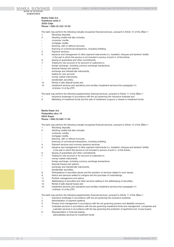#### **Banka Celje d.d. Vodnikova cesta 2 3000 Celje Phone: +386 (3) 422 10 00**

The bank may perform the following mutually recognized financial services, pursuant to Article 10 of the ZBan-1: 1. Receiving deposits,

- 2. Granting credits that also includes:
- consumer credits,
- mortgage credits,
- factoring, with or without recourse,
- financing of commercial transactions, including forfeiting
- 4. Payment services;
- 5. Issuance and management of other payment instruments (i.e. travellers' cheques and bankers' drafts) in the part in which this service is not included in service of point 4. of this Article;
- 6. Issuing of guarantees and other commitments,
- 7. Trading for own account or for account of customers in:
- foreign exchange, including currency exchange transactions,
- financial futures and options.
- exchange and interest-rate instruments,
- trading for own account:
- money market instruments
- transferable securities.
- 14. Rental of safe deposit boxes and
- 15. Investment services and operations and ancillary investment services from paragraph (1) of Article 10 of the ZTFI.

The bank may perform the following supplementary financial services, pursuant to Article 11 of the ZBan-1:

- 1. Insurance brokerage in accordance with the act governing the insurance business and
- 6. Marketing of investment funds and the sale of investment coupons or shares in investment funds.

#### **Banka Koper d.d. Pristaniška ulica 14 6502 Koper Phone: +386 (5) 666 11 00**

The bank may perform the following mutually recognized financial services, pursuant to Article 10 of the ZBan-1: 1. Receiving deposits,

- 2. Granting credits that also includes:
- consumer credits,
- mortgage credits.
- factoring, with or without recourse,
- financing of commercial transactions, including forfeiting,
- 4. Payment services and e-money issuance services;
- 5. Issuance and management of other payment instruments (i.e. travellers' cheques and bankers' drafts) in the part in which this service is not included in service of point 4. of this Article;
- 6. Issuing of guarantees and other commitments
- 7. Trading for own account or for account of customers in:
- money market instruments.
- foreign exchange, including currency exchange transactions,
- financial futures and options.
- exchange and interest-rate instruments,
- transferable securities
- 8. Participations in securities issues and the provision of services related to such issues,
- 9. Advice and services related to mergers and the purchase of undertakings,
- 11. Portfolio management and advice,
- 12. Safekeeping of securities and other services relating to the safekeeping of securities,
- 14. Rental of safe deposit boxes and
- 15. Investment services and operations and ancillary investment services from paragraph (1) of Article 10 of the ZTFI.

The bank may perform the following supplementary financial services, pursuant to Article 11 of the ZBan-1:

- 1. Insurance brokerage in accordance with the act governing the insurance business,
- 2. Administration of payment systems,
- 3. Pension fund management in accordance with the act governing pension and disability insurance,
- 4. Custodian services in accordance with the law governing investment funds and management companies and
	- custodian services in accordance with the law governing the protection of apartment and house buyers;
- 6. Representation in financial leasing,
- administrative services for investment funds.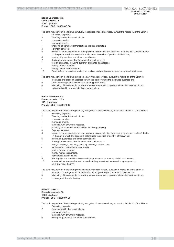

**Banka Sparkasse d.d. Cesta v Kleče 15 1000 Ljubljana Phone: +386 (1) 583 66 66**

The bank may perform the following mutually recognized financial services, pursuant to Article 10 of the ZBan-1: 1. Receiving deposits,

- 2. Granting credits that also includes:
- consumer credits,
- mortgage credits,
- financing of commercial transactions, including forfeiting,
- 4. Payment services;
- 5. Issuance and management of other payment instruments (i.e. travellers' cheques and bankers' drafts) in the part in which this service is not included in service of point 4. of this Article;
- 6. Issuing of guarantees and other commitments,
- 7. Trading for own account or for account of customers in:
- foreign exchange, including currency exchange transactions,
- trading for own account: money market instruments and
- 13. Credit reference services: collection, analysis and provision of information on creditworthiness.

The bank may perform the following supplementary financial services, pursuant to Article 11 of the ZBan-1: 1. Insurance brokerage in accordance with the act governing the insurance business and

- 5. Credit brokerage for consumer and other types of loans;
- 6. Marketing of investment funds and the sale of investment coupons or shares in investment funds,
- advice related to investments (investment advice).

**Banka Volksbank d.d. Dunajska cesta 128 a 1101 Ljubljana Phone: +386 (1) 530 74 00**

The bank may perform the following mutually recognized financial services, pursuant to Article 10 of the ZBan-1: 1. Receiving deposits,

- 2. Granting credits that also includes:
- 
- consumer credits,
- mortgage credits.
- factoring, with or without recourse,
- financing of commercial transactions, including forfeiting,<br>4. Payment services:
- Payment services;

5. Issuance and management of other payment instruments (i.e. travellers' cheques and bankers' drafts) in the part in which this service is not included in service of point 4. of this Article;

- 6. Issuing of guarantees and other commitments,
- 7. Trading for own account or for account of customers in:
- foreign exchange, including currency exchange transactions.
- exchange and interest-rate instruments,
- trading for own account:
- money market instruments,
- transferable securities and
- 8. Participations in securities issues and the provision of services related to such issues,
- 15. Investment services and operations and ancillary investment services from paragraph (1) of Article 10 of the ZTFI.

The bank may perform the following supplementary financial services, pursuant to Article 11 of the ZBan-1: 1. Insurance brokerage in accordance with the act governing the insurance business and

- 6. Marketing of investment funds and the sale of investment coupons or shares in investment funds,
- brokerage of financial leasing.

**BAWAG banka d.d. Bleiweisova cesta 30 1000 Ljubljana Phone: +386 (1) 230 07 06**

The bank may perform the following mutually recognized financial services, pursuant to Article 10 of the ZBan-1:

- 1. Receiving deposits,
- 2. Granting credits that also includes:
- mortgage credits.
- factoring, with or without recourse,<br>6. Saling of quarantees and other co
- 6. Issuing of guarantees and other commitments,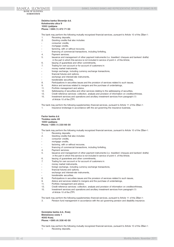**Deželna banka Slovenije d.d. Kolodvorska ulica 9 1000 Ljubljana Phone: +386 (1) 472 71 00**

The bank may perform the following mutually recognized financial services, pursuant to Article 10 of the ZBan-1:

- 1. Receiving deposits,
- 2. Granting credits that also includes:
- consumer credits.
- mortgage credits,
- factoring, with or without recourse.
- financing of commercial transactions, including forfeiting,
- 4. Payment services;
- 5. Issuance and management of other payment instruments (i.e. travellers' cheques and bankers' drafts) in the part in which this service is not included in service of point 4. of this Article;<br>6. Issuing of quarantees and other commitments.
- Issuing of guarantees and other commitments.
- 7. Trading for own account or for account of customers in:
- money market instruments.
- foreign exchange, including currency exchange transactions,
- financial futures and options.
- exchange and interest-rate instruments
- transferable securities,<br>8. Participations in securities
- Participations in securities issues and the provision of services related to such issues.
- 9. Advice and services related to mergers and the purchase of undertakings,
- 11. Portfolio management and advice,
- 12. Safekeeping of securities and other services relating to the safekeeping of securities,
- 13. Credit reference services: collection, analysis and provision of information on creditworthiness.
- 15. Investment services and operations and ancillary investment services from paragraph (1) of Article 10 of the ZTFI.

The bank may perform the following supplementary financial services, pursuant to Article 11 of the ZBan-1: 1. Insurance brokerage in accordance with the act governing the insurance business,

**Factor banka d.d. Tivolska cesta 48 1000 Ljubljana Phone: +386 (1) 230 66 00**

The bank may perform the following mutually recognized financial services, pursuant to Article 10 of the ZBan-1:

- 1. Receiving deposits<br>2. Granting credits that 2. Granting credits that also includes:
- consumer credits,
- mortgage credits.
- factoring, with or without recourse
- financing of commercial transactions, including forfeiting,
- 4. Payment services;
- 5. Issuance and management of other payment instruments (i.e. travellers' cheques and bankers' drafts) in the part in which this service is not included in service of point 4. of this Article;
- 6. Issuing of guarantees and other commitments,
- 7. Trading for own account or for account of customers in:
- money market instruments,
- foreign exchange, including currency exchange transactions,
- financial futures and options
- exchange and interest-rate instruments,
- transferable securities,
- 8. Participations in securities issues and the provision of services related to such issues,
- 9. Advice and services related to mergers and the purchase of undertakings,
- 11 Portfolio management and advice
- 13. Credit reference services: collection, analysis and provision of information on creditworthiness,
- 15. Investment services and operations and ancillary investment services from paragraph (1) of Article 10 of the ZTFI.

The bank may perform the following supplementary financial services, pursuant to Article 11 of the ZBan-1: 3. Pension fund management in accordance with the act governing pension and disability insurance.

**Gorenjska banka d.d., Kranj Bleiweisova cesta 1 4000 Kranj Phone: +386 (4) 208 40 00**

The bank may perform the following mutually recognized financial services, pursuant to Article 10 of the ZBan-1: 1. Receiving deposits,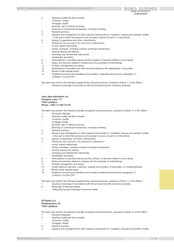

- 2. Granting credits that also includes:
- consumer credits,
- mortgage credits.
- factoring, with or without recourse,
- financing of commercial transactions, including forfeiting,
- 4. Payment services;
- 5. Issuance and management of other payment instruments (i.e. travellers' cheques and bankers' drafts) in the part in which this service is not included in service of point 4. of this Article;
- 6. Issuing of guarantees and other commitments,
- 7. Trading for own account or for account of customers in:
- money market instruments,
- foreign exchange, including currency exchange transactions,
- financial futures and options,
- exchange and interest-rate instruments,
- transferable securities.
- 8. Participations in securities issues and the provision of services related to such issues,
- 9. Advice and services related to mergers and the purchase of undertakings,
- 11. Portfolio management and advice,
- 12. Safekeeping of securities and other services relating to the safekeeping of securities,
- 14. Rental of safe deposit boxes
- 15. Investment services and operations and ancillary investment services from paragraph (1) of Article 10 of the ZTFI.

The bank may perform the following supplementary financial services, pursuant to Article 11 of the ZBan-1: 1. Insurance brokerage in accordance with the act governing the insurance business,

#### **Hypo Alpe-Adria-Bank d.d. Dunajska cesta 117 1000 Ljubljana Phone: +386 (1) 580 44 00**

The bank may perform the following mutually recognized financial services, pursuant to Article 10 of the ZBan-1:

- 1. Receiving deposits,
- 2. Granting credits that also includes:
- consumer credits, mortgage credits.
- 
- factoring, with or without recourse,
- financing of commercial transactions, including forfeiting,<br>4. Payment services:
- Payment services;
- 5. Issuance and management of other payment instruments (i.e. travellers' cheques and bankers' drafts) in the part in which this service is not included in service of point 4. of this Article;
- 6. Issuing of guarantees and other commitments,
- 7. Trading for own account or for account of customers in:
- money market instruments
- foreign exchange, including currency exchange transactions,
- financial futures and options
- exchange and interest-rate instruments,
- transferable securities,
- 8. Participations in securities issues and the provision of services related to such issues,
- 9. Advice and services related to mergers and the purchase of undertakings,
- 11. Portfolio management and advice,
- 13. Credit reference services: collection, analysis and provision of information on creditworthiness,
- 14. Rental of safe deposit boxes
- 15. Investment services and operations and ancillary investment services from paragraph (1) of Article 10 of the ZTFI.

The bank may perform the following supplementary financial services, pursuant to Article 11 of the ZBan-1:

- 1. Insurance brokerage in accordance with the act governing the insurance business,
- 6. Brokerage of financial leasing
- selling and buying brokerage in precious metals.

#### **KD Banka d.d. Neubergerjeva 30 1000 Ljubljana**

The bank may perform the following mutually recognized financial services, pursuant to Article 10 of the ZBan-1: 1. Receiving deposits,

- 2. Granting credits that also includes:
- consumer credits,
- mortgage credits,
- 4. Payment services;
- 5. Issuance and management of other payment instruments (i.e. travellers' cheques and bankers' drafts)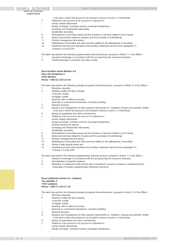- in the part in which this service is not included in service of point 4. of this Article;
- 7. Trading for own account or for account of customers in:
- money market instruments.
- foreign exchange, including currency exchange transactions,
- exchange and interest-rate instruments.
- transferable securities.
- 8. Participations in securities issues and the provision of services related to such issues,
- 9. Advice and services related to mergers and the purchase of undertakings,
- 11. Portfolio management and advice,
- 12. Safekeeping of securities and other services relating to the safekeeping of securities,
- 15. Investment services and operations and ancillary investment services from paragraph (1) of Article 10 of the ZTFI.

The bank may perform the following supplementary financial services, pursuant to Article 11 of the ZBan-1:

- 1. Insurance brokerage in accordance with the act governing the insurance business,
- 5. Credit brokerage in consumer and other credits.

**Nova Kreditna banka Maribor d.d. Ulica Vita Kraigherja 4 2505 Maribor Phone: +386 (2) 229 22 90**

The bank may perform the following mutually recognized financial services, pursuant to Article 10 of the ZBan-1:

- 1. Receiving deposits,
- 2. Granting credits that also includes:
- consumer credits,
- mortgage credits,
- factoring, with or without recourse,
- financing of commercial transactions, including forfeiting,
- 4. Payment services;
- 5. Issuance and management of other payment instruments (i.e. travellers' cheques and bankers' drafts) in the part in which this service is not included in service of point 4. of this Article;<br>6. Issuing of guarantees and other commitments,
- 6. Issuing of guarantees and other commitments,
- 7. Trading for own account or for account of customers in:
- money market instruments,
- foreign exchange, including currency exchange transactions,
- financial futures and options,
- exchange and interest-rate instruments,
- transferable securities
- 8. Participations in securities issues and the provision of services related to such issues,
- 9. Advice and services related to mergers and the purchase of undertakings,
- 11. Portfolio management and advice,
- 12. Safekeeping of securities and other services relating to the safekeeping of securities,
- 14. Rental of safe deposit boxes and
- 15. Investment services and operations and ancillary investment services from paragraph (1) of Article 10 of the ZTFI.

The bank may perform the following supplementary financial services, pursuant to Article 11 of the ZBan-1:

- 1. Insurance brokerage in accordance with the act governing the insurance business,
- 2. Administration of payment systems,
- 6. Marketing of investment funds and the sale of investment coupons or shares in investment funds:
- brokerage of voluntary supplementary retirement insurance.

**Nova Ljubljanska banka d.d., Ljubljana Trg republike 2 1520 Ljubljana Phone: +386 (1) 425 01 55**

The bank may perform the following mutually recognized financial services, pursuant to Article 10 of the ZBan-1: 1. Receiving deposits,

- 2. Granting credits that also includes:
- consumer credits,
- mortgage credits.
- factoring, with or without recourse,
- financing of commercial transactions, including forfeiting,
- 4. Payment services;
- 5. Issuance and management of other payment instruments (i.e. travellers' cheques and bankers' drafts) in the part in which this service is not included in service of point 4. of this Article;
- 6. Issuing of guarantees and other commitments,
- 7. Trading for own account or for account of customers in:
- money market instruments.
- foreign exchange, including currency exchange transactions,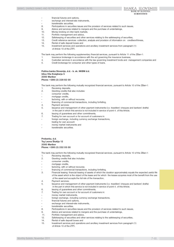

- financial futures and options,
- exchange and interest-rate instruments,
- transferable securities.
- 8. Participations in securities issues and the provision of services related to such issues,
- 9. Advice and services related to mergers and the purchase of undertakings,
- 10. Money broking on inter bank markets,
- 11 Portfolio management and advice
- 12. Safekeeping of securities and other services relating to the safekeeping of securities,
- 13. Credit reference services: collection, analysis and provision of information on creditworthiness,
- 14. Rental of safe deposit boxes and
- 15. Investment services and operations and ancillary investment services from paragraph (1) of Article 10 of the ZTFI.

The bank may perform the following supplementary financial services, pursuant to Article 11 of the ZBan-1:

- 1. Insurance brokerage in accordance with the act governing the insurance business,
- 4. Custodian services in accordance with the law governing investment funds and management companies and<br>5. Credit brokerage for consumer and other types of loans.
- 5. Credit brokerage for consumer and other types of loans.

**Poštna banka Slovenije, d.d. - b. sk. NKBM d.d. Ulica Vita Kraigherja 5 2000 Maribor Phone: +386 (2) 228 82 00**

The bank may perform the following mutually recognized financial services, pursuant to Article 10 of the ZBan-1:

- 1. Receiving deposits,
- 2. Granting credits that also includes:
- consumer credits,
- mortgage credits,
- factoring, with or without recourse,
- financing of commercial transactions, including forfeiting,
- 4. Payment services;
- 5. Issuance and management of other payment instruments (i.e. travellers' cheques and bankers' drafts) in the part in which this service is not included in service of point 4. of this Article;<br>6. Issuing of guarantees and other commitments,
- 6. Issuing of guarantees and other commitments,
- 7. Trading for own account or for account of customers in:
- foreign exchange, including currency exchange transactions, trading for own account:
- money market instruments and
- transferable securities.

**Probanka, d.d. Trg Leona Štuklja 12 2000 Maribor Phone: +386 (2) 252 05 00**

The bank may perform the following mutually recognized financial services, pursuant to Article 10 of the ZBan-1:

- 1. Receiving deposits,
- 2. Granting credits that also includes:
- consumer credits.
- mortgage credits,
- factoring, with or without recourse,
- financing of commercial transactions, including forfeiting,
- 3. Financial leasing: financial leasing of assets of which the duration approximately equals the expected useful life of the asset which is the object of the lease and for which the lessee acquires most of the benefit from the use of the asset and accepts the full risk of the transaction,
- 4. Payment services;
- 5. Issuance and management of other payment instruments (i.e. travellers' cheques and bankers' drafts) in the part in which this service is not included in service of point 4. of this Article;
- 6. Issuing of guarantees and other commitments,
- 7. Trading for own account or for account of customers in:
- money market instruments,
- foreign exchange, including currency exchange transactions,
- financial futures and options,
- exchange and interest-rate instruments,
- transferable securities,
- 8. Participations in securities issues and the provision of services related to such issues,
- 9. Advice and services related to mergers and the purchase of undertakings,
- 11. Portfolio management and advice,
- 12. Safekeeping of securities and other services relating to the safekeeping of securities,
- 14. Rental of safe deposit boxes and
- 15. Investment services and operations and ancillary investment services from paragraph (1) of Article 10 of the ZTFI.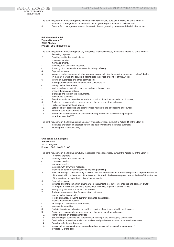The bank may perform the following supplementary financial services, pursuant to Article 11 of the ZBan-1: 1. Insurance brokerage in accordance with the act governing the insurance business and

3. Pension fund management in accordance with the act governing pension and disability insurance.

**Raiffeisen banka d.d. Zagrebška cesta 76 2000 Maribor Phone: +386 (2) 229 31 00**

The bank may perform the following mutually recognized financial services, pursuant to Article 10 of the ZBan-1: 1. Receiving deposits,

- 
- 2. Granting credits that also includes:
- consumer credits, mortgage credits.
- factoring, with or without recourse,
- financing of commercial transactions, including forfeiting,
- 4. Payment services;
- 5. Issuance and management of other payment instruments (i.e. travellers' cheques and bankers' drafts) in the part in which this service is not included in service of point 4. of this Article;
- 6. Issuing of guarantees and other commitments,
- 7. Trading for own account or for account of customers in:
- money market instruments,
- foreign exchange, including currency exchange transactions,
- financial futures and options,
- exchange and interest-rate instruments,
- transferable securities.
- 8. Participations in securities issues and the provision of services related to such issues,
- 9. Advice and services related to mergers and the purchase of undertakings,
- 11. Portfolio management and advice,
- 12. Safekeeping of securities and other services relating to the safekeeping of securities,
- 14. Rental of safe deposit boxes and
- 15. Investment services and operations and ancillary investment services from paragraph (1) of Article 10 of the ZTFI.

The bank may perform the following supplementary financial services, pursuant to Article 11 of the ZBan-1:

- 1. Insurance brokerage in accordance with the act governing the insurance business;
- 6. Brokerage of financial leasing.

**SKB Banka d.d. Ljubljana Ajdovščina 4 1513 Ljubljana Phone: +386 (1) 471 51 00**

The bank may perform the following mutually recognized financial services, pursuant to Article 10 of the ZBan-1:

- 1. Receiving deposits,
- 2. Granting credits that also includes:
- consumer credits.
- mortgage credits,
- factoring, with or without recourse,
- financing of commercial transactions, including forfeiting,
- 3. Financial leasing: financial leasing of assets of which the duration approximately equals the expected useful life of the asset which is the object of the lease and for which the lessee acquires most of the benefit from the use of the asset and accepts the full risk of the transaction,
- 4. Payment services;
- 5. Issuance and management of other payment instruments (i.e. travellers' cheques and bankers' drafts) in the part in which this service is not included in service of point 4. of this Article;
- 6. Issuing of guarantees and other commitments,
- 7. Trading for own account or for account of customers in:
- money market instruments,
- foreign exchange, including currency exchange transactions,
- financial futures and options,
- exchange and interest-rate instruments,
- transferable securities,
- 8. Participations in securities issues and the provision of services related to such issues,
- 9. Advice and services related to mergers and the purchase of undertakings,<br>10. Money broking on interbank markets,
- Money broking on interbank markets,
- 12. Safekeeping of securities and other services relating to the safekeeping of securities,
- 13. Credit reference services: collection, analysis and provision of information on creditworthiness,
- 14. Rental of safe deposit boxes and
- 15. Investment services and operations and ancillary investment services from paragraph (1) of Article 10 of the ZTFI.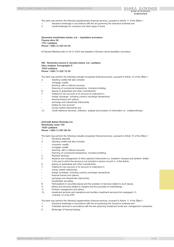BANKA SLOVENIJE BANK OF SLOVENIA **EUROSYSTEM**

The bank may perform the following supplementary financial services, pursuant to Article 11 of the ZBan-1: 1. Insurance brokerage in accordance with the act governing the insurance business and 5. Credit brokerage for consumer and other types of loans.

**Slovenska investicijska banka, d.d. – liquidation procedure Čopova ulica 38 1101 Ljubljana Phone: +386 (1) 242 03 00**

At General Meeting held on 29.12.2003 was adopted a Decision about liquidation procedure.

**SID - Slovenska izvozna in razvojna banka, d.d., Ljubljana Ulica Josipine Turnograjske 6 1000 Ljubljana Phone: +386 (1) 200 75 00**

The bank may perform the following mutually recognized financial services, pursuant to Article 10 of the ZBan-1: 2. Granting credits that also includes:

- mortgage credits.
- factoring, with or without recourse,
- financing of commercial transactions, including forfeiting,
- 6. Issuing of guarantees and other commitments,
- 7. Trading for own account or for account of customers in:
- foreign exchange, including currency exchange transactions,
- financial futures and options,
- exchange and interest-rate instruments.
- trading for own account:
- money market instruments and
- 13. Credit reference services: collection, analysis and provision of information on creditworthiness.

#### **UniCredit Banka Slovenija d.d. Šmartinska cesta 140 1000 Ljubljana Phone: +386 (1) 587 66 00**

The bank may perform the following mutually recognized financial services, pursuant to Article 10 of the ZBan-1:

- 1. Receiving deposits,
- 2. Granting credits that also includes:
- consumer credits,
- mortgage credits,
- factoring, with or without recourse.
- financing of commercial transactions, including forfeiting,
- 4. Payment services;
- 5. Issuance and management of other payment instruments (i.e. travellers' cheques and bankers' drafts) in the part in which this service is not included in service of point 4. of this Article;
- 6. Issuing of guarantees and other commitments,
- 7. Trading for own account or for account of customers in:
- money market instruments
- foreign exchange, including currency exchange transactions,
- financial futures and options,
- exchange and interest-rate instruments,
- transferable securities,
- 8. Participations in securities issues and the provision of services related to such issues,
- 9. Advice and services related to mergers and the purchase of undertakings,
- 11. Portfolio management and advice,
- 15. Investment services and operations and ancillary investment services from paragraph (1) of Article 10 of the ZTFI.

The bank may perform the following supplementary financial services, pursuant to Article 11 of the ZBan-1:

- 1. Insurance brokerage in accordance with the act governing the insurance business and
- 4. Custodian services in accordance with the law governing investment funds and management companies;
- 6. Brokerage of financial leasing.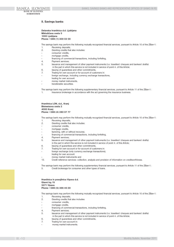#### **II. Savings banks**

**Delavska hranilnica d.d. Ljubljana Miklošičeva cesta 5 1000 Ljubljana Phone: +386 (1) 300 02 00**

The savings bank may perform the following mutually recognized financial services, pursuant to Article 10 of the ZBan-1:

- 1. Receiving deposits,
- 2. Granting credits that also includes:
- consumer credits,
- mortgage credits,
- financing of commercial transactions, including forfeiting,
- 4. Payment services;
- 5. Issuance and management of other payment instruments (i.e. travellers' cheques and bankers' drafts) in the part in which this service is not included in service of point 4. of this Article;
- 6. Issuing of guarantees and other commitments,
- 7. Trading for own account or for account of customers in:
- foreign exchange, including currency exchange transactions,
- trading for own account:
- money market instruments,
- transferable securities.

The savings bank may perform the following supplementary financial services, pursuant to Article 11 of the ZBan-1: 1. Insurance brokerage in accordance with the act governing the insurance business.

**Hranilnica LON, d.d., Kranj Bleiweisova cesta 2 4000 Kranj Phone: +386 (4) 280 07 77**

The savings bank may perform the following mutually recognized financial services, pursuant to Article 10 of the ZBan-1:

- 1. Receiving deposits,
- 2. Granting credits that also includes:
- consumer credits,
- mortgage credits,
- factoring, with or without recourse,
- financing of commercial transactions, including forfeiting,
- 4. Payment services;
- 5. Issuance and management of other payment instruments (i.e. travellers' cheques and bankers' drafts) in the part in which this service is not included in service of point 4. of this Article;<br>6. Issuing of guarantees and other commitments,
- 6. Issuing of guarantees and other commitments,
- 7. Trading for own account or for account of customers in:
- foreign exchange (only currency exchange transactions),
- trading for own account:
- money market instruments and
- 13. Credit reference services: collection, analysis and provision of information on creditworthiness.

The savings bank may perform the following supplementary financial services, pursuant to Article 11 of the ZBan-1: 5. Credit brokerage for consumer and other types of loans.

#### **Hranilnica in posojilnica Vipava d.d. Glavni trg 15 5271 Vipava Phone: +386 (5) 366 45 00**

The savings bank may perform the following mutually recognized financial services, pursuant to Article 10 of the ZBan-1:

- 1. Receiving deposits,
- 2. Granting credits that also includes:
- consumer credits,
- mortgage credits
- financing of commercial transactions, including forfeiting,
- 4. Payment services;
- 5. Issuance and management of other payment instruments (i.e. travellers' cheques and bankers' drafts) in the part in which this service is not included in service of point 4. of this Article;
- 6. Issuing of guarantees and other commitments,
- 7. Trading for own account in:
	- money market instruments.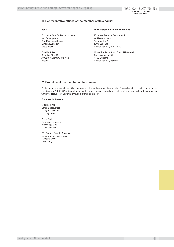BANKA SLOVENIJE BANK OF SLOVENIA **EUROSYSTEM**

#### **III. Representative offices of the member state's banks:**

#### **Bank Bank representative office address**

European Bank for Reconstruction European Bank for Reconstruction and Development and Development One Exchange Square Trg republike 3<br>
London EC2A 2JN 1000 Ljubljana London EC2A 2JN Great Britain **Phone: +386 (1) 426 36 00** 

St. Veiter Ring 43 Dunajska cesta 161 A-9020 Klagenfurt/ Celovec 1102 Ljubljana

BKS Bank AG **BKS** – Predstavništvo v Republiki Sloveniji Austria Phone: +386 (1) 589 09 10

#### **IV. Branches of the member state's banks:**

Banks, authorized in a Member State to carry out all or particular banking and other financial services, itemized in the Annex I of Directive 2006/48/ES (List of activities, for which mutual recognition is enforced) and may perform these activities within the Republic of Slovenia, through a branch or directly.

#### **Branches in Slovenia:**

BKS Bank AG Bančna podružnica Dunajska cesta 161 1102 Ljubljana

Zveza Bank Podružnica Ljubljana Bravničarjeva 13 1000 Ljubljana

RCI Banque Societe Anonyme Bančna podružnica Ljubljana Dunajska cesta 22 1511 Ljubljana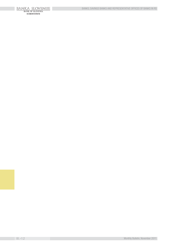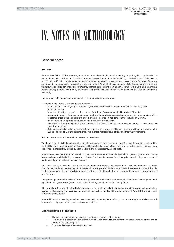## IV. NOTES ON METHODOLOGY

## **General notes**

#### **Sectors**

For data from 30 April 1999 onwards, a sectorization has been implemented according to the Regulation on Introduction and Implementation of Standard Classification of Institutional Sectors (hereinafter SKIS), published in the Official Gazette No. 56/98. SKIS, which implemented a national standard for economic sectorization, based on the European System of Accounts 95 and is in accordance with the System of National Accounts 93. According to SKIS, the economy is divided into the following sectors: non-financial corporations, financial corporations (central bank, commercial banks, and other financial institutions), general government, households, non-profit institutions serving households, and the external sector (nonresidents).

The external sector comprises non-residents; the domestic sector, residents.

Residents of the Republic of Slovenia are defined as:

- companies and other legal entities with a registered office in the Republic of Slovenia, not including their branches abroad;
- branches of foreign companies entered in the Register of Companies of the Republic of Slovenia;
- sole proprietors or natural persons independently performing business activities as their primary occupation, with a registered office in the Republic of Slovenia or having permanent residence in the Republic of Slovenia;
- natural persons with permanent residence in the Republic of Slovenia;
- natural persons temporarily residing in the Republic of Slovenia, holding a residential or working visa valid for no less than six months; and
- diplomatic, consular and other representative offices of the Republic of Slovenia abroad which are financed from the Budget, as well as Slovene citizens employed at these representative offices and their family members.

All other persons and entities shall be deemed non-residents.

The domestic sector is broken down to the monetary sector and non-monetary sectors. The monetary sector consists of the Bank of Slovenia and other monetary financial institutions (banks, savings banks and money market funds). Domestic monetary financial institutions, owned by both residents and non-residents, are included.

Non-monetary sectors are: non-financial corporations, non-monetary financial institutions, general government, households, and non-profit institutions serving households. Non-financial corporations (enterprises) are legal persons – market producers of goods and non-financial services.

The non-monetary financial institutions sector comprises other financial institutions. Other financial institutions are: other financial intermediaries, except insurance corporations and pension funds (mutual funds, investment funds and financial leasing companies), financial auxiliaries (securities brokers/dealers, stock exchanges) and insurance corporations and pension funds.

The general government consists of the central government (administrative departments of state and central government agencies), local government (local administration, local agencies) and social security funds.

"Households" refers to resident individuals as consumers, resident individuals as sole proprietorships, and partnerships being market producers and having no independent legal status. The data of the latter, prior to 30 April 1999, were included in the enterprises sector.

Non-profit institutions serving households are clubs, political parties, trade unions, churches or religious societies, humanitarian and charity organizations, and professional societies.

#### **Characteristics of the data**

- The data present stocks of assets and liabilities at the end of the period.
- Data on stocks denominated in foreign currencies are converted into domestic currency using the official end-ofperiod middle exchange rate.
- Data in tables are not seasonally adjusted.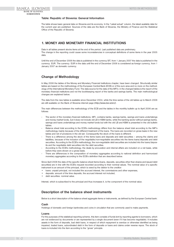#### **Table: Republic of Slovenia: General Information**

The table shows basic general data on Slovenia and its economy. In the "Latest actual" column, the latest available data for the current year are published. Sources of the data are the Bank of Slovenia, the Ministry of Finance and the Statistical Office of the Republic of Slovenia.

## **1. MONEY AND MONETARY FINANCIAL INSTITUTIONS**

Data in all tables present stocks items at the end of the period. Last published data are preliminary. The change in the reporting could cause some inconsistencies in conceptual definitions of some items in the year 2005 data.

Until the end of December 2006 the data is published in the currency SIT, from 1 January 2007 the data is published in the currency EUR. The currency EUR in the data until the end of December 2006 is considered as foreign currency, from 1 January 2007 as domestic currency.

## **Change of Methodology**

In May 2006 the tables of the Money and Monetary Financial Institutions chapter, have been changed. Structurally similar tables are based on the methodology of the European Central Bank (ECB) or of the euro area and no more on the methodology of the International Monetary Fund. The data source for the data of the MFI's in the changed tables is the report of the monetary financial institutions and not the bookkeeping report of the banks and savings banks. The main methodological changes are explained below.

The data from the new tables is available since December 2004, while the time series of the old tables up to March 2006 are still available on the Bank of Slovenia internet page (*http://www.bsi.si/en/*).

The main differences between the methodology of the ECB and the tables in the monthly bulletin up to April 2006 are as follows:

- The sector of the monetary financial institutions, MFI, contains banks, savings banks, savings and loans undertakings and money market funds, but it does not include old LB in KBM banks, while the banking sector without savings banks, savings and loans undertakings and money market funds but with the old LB and KBM is presented in the old bulletin tables.
- Balance sheet total according to the ECB's methodology differs from the balance sheet total according to the IMF's methodology mainly because of the different treatment of the loans. The loans are recorded on gross basis in the new tables and net of provisions in the old set. Consequently the stock of the loans is different.
- There is a difference among the stock of the items loans and deposits and debt securities among the claims and liabilities, because of the inclusion of the negotiable/non-negotiable securities into the items loans/deposits and debt securities. According to the ECB's methodology, the non-negotiable debt securities are included into the loans/deposits and the negotiable debt securities into the debt securities.
- According to the ECB's methodology, the deals by procuration and internal affairs are included on a net basis, while before they were shown on a gross basis.
- There are differences in the composition of monetary aggregates according to national definition and harmonized monetary aggregates according to the ECB's definition that are described below.

Since April 2006 the data of the specific balance sheet items (loans, deposits, securities other than shares and issued debt securities) are in line with the ECB's request recorded according to their nominal values. The nominal value of a specific instrument is an amount of the principal, which is owed by the debtor to the creditor:

- loans: unpaid principal, not included the accrued interest, the commissions and other expenses,
- deposits: amount of the time deposits, the accrued interest not included,
- debt securities: nominal value.

Interest, which is subscribed to the principal and thus increases it, is the component of the nominal value.

## **Description of the balance sheet instruments**

Below is a short description of the balance sheet aggregate items or instruments, as defined by the European Central bank:

#### **Cash**

Holdings of domestic and foreign banknotes and coins in circulation that are commonly used to make payments.

#### **Loans**

For the purposes of the statistical reporting scheme, this item consists of funds lent by reporting agents to borrowers, which are not evidenced by documents or are represented by a single document (even if it has become negotiable). It includes assets in the form of deposits, bad debt loans, in respect of which repayment is overdue or otherwise identified as being impaired, traded loans, subordinated debt in the form of deposits or loans and claims under reverse repos. The stock of loans is included into the item according to the "gross" principle.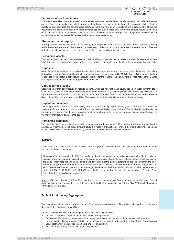#### BANKA SLOVENIJE BANK OF SLOVENIA **EUROSYSTEM**

#### **Securities other than shares**

Holdings of securities other than shares or other equity, which are negotiable and usually traded on secondary markets or can be offset on the market, and which do not grant the holder any ownership rights over the issuing institution. Besides negotiable debt securities this item includes: negotiable loans that have been restructured into a large number of identical documents and that can be traded on secondary markets and subordinated debt in the form of debt securities. The item does not include the accrued interest – which are classified into the item remaining assets, except when the separation is not possible (when the interest is the inseparable part of the market price).

#### **Shares and other equity**

Holdings of securities which represent property rights in corporations or quasi-corporations. These securities generally entitle the holders to a share in the profits of corporations or quasi-corporations and to a share in their own funds in the event of liquidation. Mutual fund shares and money market fund shares/units are included here.

#### **Remaining assets**

This item may also include: financial derivative positions with gross positive market values, non-financial assets (tangible or intangible), accrued interest receivable on loans and securities, the surplus from the deals by procuration, internal affairs.

#### **Deposits**

Amounts owed to creditors by reporting agents, other than those arising from the issue of negotiable debt securities. Deposits also cover loans as liabilities of MFIs, which represent amounts received by MFIs that are not structured in the form of deposits, non-negotiable debt securities issued, liabilities for the loans received and where they are not separately stated also deposits redeemable at notice, repos and traded loans.

#### **Debt securities issued**

Securities other than equity issued by reporting agents, which are negotiable and usually traded on secondary markets or which can be offset on the market, and which do not grant the holder any ownership rights over the issuing institution, and the subordinated debt issued by MFI's in the form of the debt securities. The accrued interest are not included in the stock data, but classified to the remaining liabilities. The amount of debt securities is shown net of own purchase.

#### **Capital and reserves**

This category comprises the amounts arising from the issue of equity capital, including also non-distributed benefits or funds, specific and general provisions against loans, securities and other types of assets. The item is adequately netted for the own shares owned. This item also includes the difference between the revenues and expenditures during the year and the money market fund shares/units issued.

#### **Remaining liabilities**

The remaining liabilities consist of accrued interest payable on deposits and debt securities, provisions representing the liabilities vis-ŕ-vis third persons, gross amounts payable in respect of transit items, financial derivative positions. The surplus of the liabilities over claims from the deals by procuration, internal affairs is also included here.

## **Tables**

In May 2006 the tables from 1.1. to 1.8 have been changed and substituted with the new ones, which enables partial continuity of the old time series.

The entry to the euro area (on 1,1.2007) caused a break in the time series of the statistical tables in the Monthly bulletin in cases where the "currency" is an attribute. An expected reclassification of the data between the individual columns in the tables, which keep the same name takes place, for example of the stock of outstanding loans in euros from the time series of "foreign currency" before the introduction to the time series of "domestic currency" after the introduction of euro. To enable easier reconstruction of this change, the shares of the Euro amounts in stocks of the foreign currency on 31.12.2004, 31.12.2005 and 31.12.2006 are published in the Methodological notes for the tables 1.3, 1.4, 1.5 in 1.6, where the reclassification occurred.

*Note 1:* With the publication of April 2011data the corrected time series on Deposit with agreed maturity and Deposit redeemable at notice (Tables 1.2., 1.4., 1.6.) were published for the period January 2009 to May 2010 due to the change on the source of the data.

#### **Table 1.1.: Monetary Aggregates**

The table shows stock data at the end of month for monetary aggregates M1, M2 and M3, calculated according to the definition of the European Central Bank.

The main characteristics of monetary aggregates under the ECB's definition:

- Inclusion of liabilities of MFI sectors to EMU non-monetary sectors,
- Exclusion of the monetary neutral sector (the central government has the status of a monetary neutral sector),
- Limited maturity of items included (liabilities of up to 2 years and deposits redeemable at notice of up to 3 months only),
- Equal treatment of the liabilities in domestic and foreign currency,
- Inclusion of the money market fund shares/units into M3.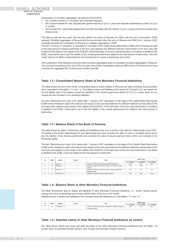Composition of monetary aggregates, as defined by the ECB is:

- M1 contains currency in circulation and overnight deposits,
- M2 includes beside M1 also deposits with agreed maturity of up to 2 years and deposits redeemable at notice of up to 3 months,
- M3 includes M2, repurchase agreements and debt securities with the maturity of up to 2 years and money market fund shares/units.

The table is split into two parts: the first part (before the entry of Slovenia into EMU until the end of December 2006) presents Monetary aggregates of Slovenia and the second part (after the entry of Slovenia into EMU from 1 January 2007 onwards) presents the contribution of Slovenia to monetary aggregates of EMU.

The item 'Currency in circulation' is calculated on the basis of the Capital Share Mechanism (CSM) which foresees the split of the total amount of issued banknotes in the euro area between the different national central banks of the euro area with respect to their share in the capital of the ECB (8% of the total value of the euro area banknotes in circulation is allotted to the ECB). Coins (which are in fact the liability of the central government) are added to the total amount of banknotes. The item 'Cash' held by the MFIs is deducted from the total amount of currency (banknotes and coins).

The contribution of the Slovenia to the euro area monetary aggregates does not represent monetary aggregates of Slovenia. The concept of residency is the one of the euro area. Due to the consolidation within the MFI sector on the level of euro area countries the aggregate M3 could become smaller than M2.

#### **Table 1.2.: Consolidated Balance Sheet of the Monetary Financial Institutions**

The table shows the end of the month consolidated balance sheet of Bank of Slovenia and other monetary financial institutions, presented in the tables 1.3. and 1.4. The bilateral claims and liabilities of the sectors S.122 and S.121 are netted out. On the liability side of the balance sheet the liabilities to the central government sector (S.1311) in certain items are excluded and are included in the remaining liabilities.

The item 'Banknotes and coins' is for series after 1 January 2007 calculated on the basis of the Capital Share Mechanism (CSM) which foresees to split of the total amount issued in the euro area between the different National central banks of the euro area with respect to their share in the capital of the ECB (8% of the total value of the euro area banknotes in circulation is allotted to the ECB). Coins (which are in fact the liability of the central government) are added to the total amount of banknotes.

#### **Table 1.3.: Balance Sheet of the Bank of Slovenia**

The table shows the Bank of Slovenia's assets and liabilities at the end of month in line with the methodology of the ECB. According to the ECB's methodology the item 'Banknotes and coins' includes the data of coins in circulation (which are in fact the liability of the central government) and excludes the data of issued payment notes, which are included in the remaining assets.

The item 'Banknotes and coins' is for series after 1 January 2007 calculated on the basis of the Capital Share Mechanism (CSM) which foresees to split of the total amount issued in the euro area between the different National central banks of the euro area with respect to their share in the capital of the ECB (8% of the total value of the euro area banknotes in circulation is allotted to the ECB). Coins are added to the total amount of banknotes.

| no. | table | column         | sector | title                                                            | share of euro |            |            |
|-----|-------|----------------|--------|------------------------------------------------------------------|---------------|------------|------------|
|     |       |                |        |                                                                  | 31.12.2004    | 31.12.2005 | 31.12.2006 |
|     | 1.3   | assets/3       |        | Claims on foreign sectors (foreign assets)/ Foreign cash         | 58%           | 48%        | 54%        |
|     | 1.3   | liabilities/4  |        | Liabilities / Deposits / Domestic sectors / Other MFIs / Foreign | 100%          | 100%       |            |
|     |       |                |        | currency                                                         |               |            |            |
| з   | 1.3.  | liabilities/8  |        | Liabilities / Deposits / Domestic sectors / General government/  | 74%           | 72%        | 82%        |
|     |       |                |        | Foreign currency                                                 |               |            |            |
|     | 1.3   | liabilities/15 |        | Liabilties/ Securities issued/ Foreion currency                  | 92%           | 89%        | 100%       |

#### **Table 1.4.: Balance Sheet of other Monetary Financial Institutions**

The table summarizes data on assets and liabilities of other Monetary Financial Institutions, i.e. banks, savings banks, savings and loans undertakings and money market funds, at the end of the month. Detailed survey of assets and liabilities of the monetary financial institutions is in the tables 1.5. and 1.6.

|     | table | column             | sector | title                                                              | share of euro |            |            |
|-----|-------|--------------------|--------|--------------------------------------------------------------------|---------------|------------|------------|
| no. |       |                    |        |                                                                    | 31.12.2004    | 31.12.2005 | 31.12.2006 |
|     | 1.4.  | . liabilities/ $7$ |        | Liabilities to domestic sectors/ Liabilities to non-MFIs/ Deposits | 88%           | 88%        | 90%        |
|     |       |                    |        | in foreign currency                                                |               |            |            |

#### **Table 1.5.: Selected claims of other Monetary Financial Institutions by sectors**

The table shows claims from loans and debt securities of the Other Monetary Financial Institutions (from the table 1.4) broken down by domestic/foreign sectors, type of loans and domestic/foreign currency.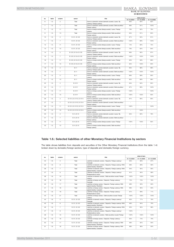#### BANKA SLOVENIJE BANK OF SLOVENIA

## **EUROSYSTEM**

|                | table | column           | sector                 | title                                                                                 | share of euro |            |            |
|----------------|-------|------------------|------------------------|---------------------------------------------------------------------------------------|---------------|------------|------------|
| no.            |       |                  |                        |                                                                                       | 31.12.2004    | 31.12.2005 | 31.12.2006 |
| 6              | 1.5.  | $\overline{c}$   | Total                  | Claims on domestic sectors (domestic assets)/ Loans/ By<br>currency/ Foreign currency | 95%           | 94%        | 92%        |
| $\overline{7}$ | 1.5.  | $\overline{7}$   | Total                  | Claims on domestic sectors (domestic assets)/ Debt securities/<br>Foreign currency    | 98%           | 91%        | 100%       |
| 8              | 1.5.  | 11               | Total                  | Claims on foreign sectors (foreign assets)/ Loans/ Foreign<br>currency                | 76%           | 82%        | 79%        |
| 9              | 1.5.  | 13               | Total                  | Claims on foreign sectors (foreign assets)/ Debt securities/<br>Foreign currency      | 84%           | 91%        | 93%        |
| 10             | 1.5.  | $\mathfrak{p}$   | S.121, S.122           | Claims on domestic sectors (domestic assets)/ Loans/ By<br>currency/ Foreign currency | 87%           | 94%        | 91%        |
| 11             | 1.5.  | $\boldsymbol{7}$ | S.121, S.122           | Claims on domestic sectors (domestic assets)/ Debt securities/<br>Foreign currency    | 100%          | 89%        | 100%       |
| 12             | 1.5.  | 11               | S.121, S.122           | Claims on foreign sectors (foreign assets)/ Loans/ Foreign<br>currency                | 74%           | 80%        | 75%        |
| 13             | 1.5.  | 13               | S.121, S.122           | Claims on foreign sectors (foreign assets)/ Debt securities/<br>Foreign currency      | 76%           | 82%        | 94%        |
| 14             | 1.5.  | $\overline{c}$   | S.123, S.124, S.125    | Claims on domestic sectors (domestic assets)/ Loans/ By<br>currency/ Foreign currency | 96%           | 95%        | 97%        |
| 15             | 1.5.  | $\overline{7}$   | S.123, S.124, S.125    | Claims on domestic sectors (domestic assets)/ Debt securities/<br>Foreign currency    | 100%          | 100%       | 100%       |
| 16             | 1.5.  | 11               | S.123, S.124, S.125    | Claims on foreign sectors (foreign assets)/ Loans/ Foreign<br>currency                | 63%           | 58%        | 69%        |
| 17             | 1.5.  | 13               | S.123, S.124, S.125    | Claims on foreign sectors (foreign assets)/ Debt securities/<br>Foreign currency      | 82%           | 100%       | 93%        |
| 18             | 1.5.  | $\overline{2}$   | S.11                   | Claims on domestic sectors (domestic assets)/ Loans/ By<br>currency/ Foreign currency | 95%           | 96%        | 96%        |
| 19             | 1.5.  | $\overline{7}$   | S.11                   | Claims on domestic sectors (domestic assets)/ Debt securities/<br>Foreign currency    | 100%          | 100%       | 100%       |
| 20             | 1.5.  | 11               | S.11                   | Claims on foreign sectors (foreign assets)/ Loans/ Foreign<br>currency                | 86%           | 89%        | 90%        |
| 21             | 1.5.  | 13               | S.11                   | Claims on foreign sectors (foreign assets)/ Debt securities/<br>Foreign currency      | 92%           | 89%        | 96%        |
| 22             | 1.5.  | $\overline{c}$   | S.1311                 | Claims on domestic sectors (domestic assets)/ Loans/ By<br>currency/ Foreign currency | 94%           | 94%        | 92%        |
| 23             | 1.5.  | $\overline{7}$   | S.1311                 | Claims on domestic sectors (domestic assets)/ Debt securities/<br>Foreign currency    | 97%           | 99%        | 100%       |
| 24             | 1.5.  | 11               | S.1311                 | Claims on foreign sectors (foreign assets)/ Loans/ Foreign<br>currency                | 100%          |            | 100%       |
| 25             | 1.5.  | 13               | S.1311                 | Claims on foreign sectors (foreign assets)/ Debt securities/<br>Foreign currency      | 100%          | 100%       | 93%        |
| 26             | 1.5.  | $\overline{c}$   | S.1312, S.1313, S.1314 | Claims on domestic sectors (domestic assets)/ Loans/ By<br>currency/ Foreign currency | 97%           | 90%        | 90%        |
| 27             | 1.5.  | $\overline{7}$   | S.1312, S.1313, S.1314 | Claims on domestic sectors (domestic assets)/ Debt securities/<br>Foreign currency    |               | ÷.         |            |
| 28             | 1.5.  | 11               | S.1312, S.1313, S.1314 | Claims on foreign sectors (foreign assets)/ Loans/ Foreign<br>currency                | 100%          | ٠          | 100%       |
| 29             | 1.5.  | 13               | S.1312, S.1313, S.1314 | Claims on foreign sectors (foreign assets)/ Debt securities/<br>Foreign currency      |               | 100%       |            |
| 30             | 1.5.  | $\overline{c}$   | S.14, S.15             | Claims on domestic sectors (domestic assets)/ Loans/ By<br>currency/ Foreign currency | 94%           | 85%        | 78%        |
| 31             | 1.5.  | $\overline{7}$   | S.14, S.15             | Claims on domestic sectors (domestic assets)/ Debt securities/<br>Foreign currency    |               | ٠          |            |
| 32             | 1.5.  | 11               | S.14, S.15             | Claims on foreign sectors (foreign assets)/ Loans/ Foreign<br>currency                | 100%          | 100%       | 92%        |
| 33             | 1.5.  | 13               | S.14, S.15             | Claims on foreign sectors (foreign assets)/ Debt securities/<br>Foreign currency      |               |            |            |

#### **Table 1.6.: Selected liabilities of other Monetary Financial Institutions by sectors**

The table shows liabilities from deposits and securities of the Other Monetary Financial Institutions (from the table 1.4) broken down by domestic/foreign sectors, type of deposits and domestic/foreign currency.

| no. | table | column         | sector       | title                                                               | share of euro |            |            |
|-----|-------|----------------|--------------|---------------------------------------------------------------------|---------------|------------|------------|
|     |       |                |              |                                                                     | 31.12.2004    | 31.12.2005 | 31.12.2006 |
| 34  | 1.6.  | 5              | Total        | Liabilities to domestic sectors / Deposits/ Foreign currency/       | 85%           | 86%        | 87%        |
|     |       |                |              | Ovemight                                                            |               |            |            |
| 35  | 1.6.  | 6              | Total        | Liabilities to domestic sectors / Deposits/ Foreign currency/ With  | 88%           | 89%        | 90%        |
|     |       |                |              | agreed maturity/ Short-term                                         |               |            |            |
| 36  | 1.6.  | $\overline{7}$ | Total        | Liabilities to domestic sectors / Deposits/ Foreign currency/ With  | 94%           | 94%        | 95%        |
|     |       |                |              | agreed maturity/ Long-term                                          |               |            |            |
| 37  | 1.6.  | 8              | Total        | Liabilities to domestic sectors / Deposits/ Foreign currency/       | 91%           | 94%        | 88%        |
|     |       |                |              | Redeeemable at notice                                               |               |            |            |
| 38  | 1.6.  | 10             | Total        | Liabilities to domestic sectors / Debt securities issued/ Foreign   | 100%          | 100%       | 100%       |
|     |       |                |              | currency                                                            |               |            |            |
| 39  | 1.6.  | 16             | Total        | Liabilities to foreign sectors / Deposits/ Foreign currency/        | 73%           | 73%        | 78%        |
|     |       |                |              | Ovemight                                                            |               |            |            |
| 40  | 1.6.  | 17             | Total        | Liabilities to foreign sectors / Deposits/ Foreign currency/ With   | 89%           | 93%        | 93%        |
|     |       |                |              | agreed maturity/ Short-term                                         |               |            |            |
| 41  | 1.6.  | 18             | Total        | Liabilities to foreign sectors / Deposits/ Foreign currency/ With   | 96%           | 95%        | 93%        |
|     |       |                |              | agreed maturity/ Long-term                                          |               |            |            |
| 42  | 1.6.  | 19             | Total        | Liabilities to foreign sectors / Deposits/ Foreign currency/        | 97%           | 99%        | 71%        |
|     |       |                |              | Redeeemable at notice                                               |               |            |            |
| 43  | 1.6.  | 21             | Total        | Liabilities to foreign sectors / Debt securities issued/ Foreign    | 100%          | 100%       | 100%       |
|     |       |                |              | currency                                                            |               |            |            |
| 44  | 1.6.  | 5              | S.121, S.122 | Liabilities to domestic sectors / Deposits/ Foreign currency/       | 62%           | 77%        | 78%        |
|     |       |                |              | Ovemiaht                                                            |               |            |            |
| 45  | 1.6.  | 6              | S.121.S.122  | Liabilities to domestic sectors / Deposits / Foreign currency/ With | 86%           | 94%        | 79%        |
|     |       |                |              | agreed maturity/ Short-term                                         |               |            |            |
| 46  | 1.6.  | $\overline{7}$ | S.121.S.122  | Liabilities to domestic sectors / Deposits/ Foreign currency/ With  | 93%           | 95%        | 96%        |
|     |       |                |              | agreed maturity/ Long-term                                          |               |            |            |
| 47  | 1.6.  | 8              | S.121. S.122 | Liabilities to domestic sectors / Deposits/ Foreign currency/       | 100%          | ٠          | ٠          |
|     |       |                |              | Redeeemable at notice                                               |               |            |            |
| 48  | 1.6.  | 10             | S.121, S.122 | Liabilities to domestic sectors / Debt securities issued/ Foreign   | 100%          | 100%       | 100%       |
|     |       |                |              | currency                                                            |               |            |            |
| 49  | 1.6.  | 16             | S.121, S.122 | Liabilities to foreign sectors / Deposits/ Foreign currency/        | 65%           | 73%        | 79%        |
|     |       |                |              | Ovemight                                                            |               |            |            |
| 50  | 1.6.  | 17             | S.121, S.122 | Liabilities to foreign sectors / Deposits/ Foreign currency/ With   | 96%           | 94%        | 94%        |
|     |       |                |              | agreed maturity/ Short-term                                         |               |            |            |
| 51  | 1.6.  | 18             | S.121, S.122 | Liabilities to foreign sectors / Deposits/ Foreign currency/ With   | 98%           | 96%        | 93%        |
|     |       |                |              | agreed maturity/ Long-term                                          |               |            |            |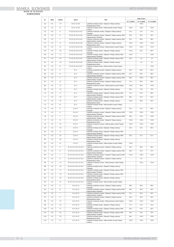#### BANK OF SLOVENIA **EUROSYSTEM**

| table<br>column<br>sector<br>title<br>no.<br>31.12.2004<br>31.12.2005<br>31.12.2006<br>S.121, S.122<br>100%<br>52<br>1.6.<br>19<br>Liabilities to foreign sectors / Deposits/ Foreign currency/<br>Redeeemable at notice<br>53<br>1.6.<br>21<br>S.121, S.122<br>Liabilities to foreign sectors / Debt securities issued/ Foreign<br>100%<br>100%<br>100%<br>currency<br>5<br>54<br>1.6.<br>S.123, S.124, S.125<br>Liabilities to domestic sectors / Deposits/ Foreign currency/<br>91%<br>74%<br>72%<br>Ovemight<br>6<br>55<br>1.6.<br>S.123, S.124, S.125<br>Liabilities to domestic sectors / Deposits/ Foreign currency/ With<br>82%<br>93%<br>93%<br>agreed maturity/ Short-term<br>$\overline{7}$<br>97%<br>99%<br>56<br>1.6.<br>S.123, S.124, S.125<br>Liabilities to domestic sectors / Deposits/ Foreign currency/ With<br>98%<br>agreed maturity/ Long-term<br>57<br>1.6.<br>8<br>S.123, S.124, S.125<br>Liabilities to domestic sectors / Deposits/ Foreign currency/<br>100%<br>100%<br>100%<br>Redeeemable at notice<br>58<br>1.6.<br>10<br>S.123, S.124, S.125<br>Liabilities to domestic sectors / Debt securities issued/ Foreign<br>100%<br>100%<br>100%<br>currency<br>1.6.<br>16<br>S.123, S.124, S.125<br>100%<br>99%<br>59<br>Liabilities to foreign sectors / Deposits/ Foreign currency/<br>20%<br>Ovemight<br>1.6.<br>17<br>100%<br>60<br>S.123, S.124, S.125<br>Liabilities to foreign sectors / Deposits/ Foreign currency/ With<br>100%<br>÷,<br>agreed maturity/ Short-term<br>61<br>1.6.<br>18<br>S.123, S.124, S.125<br>Liabilities to foreign sectors / Deposits/ Foreign currency/ With<br>24%<br>0%<br>$O\%$<br>agreed maturity/ Long-term<br>62<br>1.6.<br>19<br>S.123, S.124, S.125<br>0%<br>$O\%$<br>Liabilities to foreign sectors / Deposits/ Foreign currency/<br>$\overline{\phantom{a}}$<br>Redeeemable at notice<br>21<br>100%<br>63<br>1.6.<br>S.123, S.124, S.125<br>Liabilities to foreign sectors / Debt securities issued/ Foreign<br>×<br>currency<br>64<br>1.6.<br>5<br>S.11<br>84%<br>85%<br>84%<br>Liabilities to domestic sectors / Deposits/ Foreign currency/<br>Ovemight<br>6<br>65<br>1.6.<br>S.11<br>Liabilities to domestic sectors / Deposits/ Foreign currency/ With<br>81%<br>85%<br>89%<br>agreed maturity/ Short-term<br>$\overline{7}$<br>66<br>1.6.<br>S.11<br>Liabilities to domestic sectors / Deposits/ Foreign currency/ With<br>99%<br>100%<br>99%<br>agreed maturity/ Long-term<br>1.6.<br>8<br>S.11<br>Liabilities to domestic sectors / Deposits/ Foreign currency/<br>74%<br>69%<br>67<br>98%<br>Redeeemable at notice<br>10<br>100%<br>68<br>1.6.<br>S.11<br>Liabilities to domestic sectors / Debt securities issued/ Foreign<br>100%<br>99%<br>currency<br>85%<br>79%<br>69<br>1.6.<br>16<br>S.11<br>Liabilities to foreign sectors / Deposits/ Foreign currency/<br>78%<br>Ovemight<br>70<br>1.6.<br>17<br>S.11<br>Liabilities to foreign sectors / Deposits/ Foreign currency/ With<br>70%<br>53%<br>89%<br>agreed maturity/ Short-term<br>71<br>1.6.<br>18<br>S.11<br>Liabilities to foreign sectors / Deposits/ Foreign currency/ With<br>86%<br>20%<br>82%<br>agreed maturity/ Long-term<br>72<br>1.6.<br>19<br>S.11<br>100%<br>80%<br>Liabilities to foreign sectors / Deposits/ Foreign currency/<br>99%<br>Redeeemable at notice<br>S.11<br>73<br>1.6.<br>21<br>Liabilities to foreign sectors / Debt securities issued/ Foreign<br>×.<br>$\sim$<br>currency<br>74<br>1.6.<br>5<br>S.1311<br>Liabilities to domestic sectors / Deposits/ Foreign currency/<br>91%<br>91%<br>96%<br>Overnight<br>6<br>75<br>1.6.<br>S.1311<br>Liabilities to domestic sectors / Deposits/ Foreign currency/ With<br>100%<br>100%<br>100%<br>agreed maturity/ Short-term<br>76<br>$\overline{7}$<br>Liabilities to domestic sectors / Deposits/ Foreign currency/ With<br>1.6.<br>S.1311<br>49%<br>55%<br>100%<br>agreed maturity/ Long-term<br>8<br>100%<br>77<br>1.6.<br>S.1311<br>Liabilities to domestic sectors / Deposits/ Foreign currency/<br>100%<br>100%<br>Redeeemable at notice<br>78<br>1.6.<br>10<br>S.1311<br>Liabilities to domestic sectors / Debt securities issued/ Foreign<br>100%<br>100%<br>100%<br>currency<br>52%<br>69%<br>79<br>1.6.<br>16<br>S.1311<br>Liabilities to foreign sectors / Deposits/ Foreign currency/<br>33%<br>Overnight<br>80<br>1.6.<br>17<br>S.1311<br>Liabilities to foreign sectors / Deposits/ Foreign currency/ With<br>×,<br>٠<br>agreed maturity/ Short-term<br>53%<br>81<br>1.6.<br>18<br>S.1311<br>Liabilities to foreign sectors / Deposits/ Foreign currency/ With<br>51%<br>61%<br>agreed maturity/ Long-term<br>82<br>1.6.<br>19<br>S.1311<br>Liabilities to foreign sectors / Deposits/ Foreign currency/<br>÷,<br>÷<br>÷<br>Redeeemable at notice<br>83<br>21<br>S.1311<br>Liabilities to foreign sectors / Debt securities issued/ Foreign<br>100%<br>1.6.<br>currency<br>1.6.<br>S.1312, S.1313, S.1314<br>48%<br>98%<br>84<br>5<br>Liabilities to domestic sectors / Deposits/ Foreign currency/<br>69%<br>Overnight<br>S.1312, S.1313, S.1314<br>85<br>1.6.<br>6<br>Liabilities to domestic sectors / Deposits/ Foreign currency/ With<br>59%<br>35%<br>37%<br>agreed maturity/ Short-term<br>86<br>1.6.<br>$\overline{7}$<br>S.1312, S.1313, S.1314<br>Liabilities to domestic sectors / Deposits/ Foreign currency/ With<br>100%<br>100%<br>100%<br>agreed maturity/ Long-term<br>87<br>1.6.<br>8<br>S.1312, S.1313, S.1314<br>Liabilities to domestic sectors / Deposits/ Foreign currency/<br>O%<br>$\overline{\phantom{a}}$<br>÷<br>Redeeemable at notice<br>10<br>S.1312, S.1313, S.1314<br>Liabilities to domestic sectors / Debt securities issued/ Foreign<br>100%<br>88<br>1.6.<br>100%<br>ä,<br>currency<br>16<br>S.1312, S.1313, S.1314<br>Liabilities to foreign sectors / Deposits/ Foreign currency/<br>89<br>1.6.<br>ä,<br>Overnight<br>Liabilities to foreign sectors / Deposits/ Foreign currency/ With<br>90<br>1.6.<br>17<br>S.1312, S.1313, S.1314<br>agreed maturity/ Short-term<br>91<br>1.6.<br>18<br>S.1312, S.1313, S.1314<br>Liabilities to foreign sectors / Deposits/ Foreign currency/ With<br>$\overline{\phantom{a}}$<br>÷<br>$\overline{\phantom{a}}$<br>agreed maturity/ Long-term<br>1.6.<br>19<br>Liabilities to foreign sectors / Deposits/ Foreign currency/<br>92<br>S.1312, S.1313, S.1314<br>÷,<br>÷,<br>÷.<br>Redeeemable at notice<br>21<br>93<br>1.6.<br>S.1312, S.1313, S.1314<br>Liabilities to foreign sectors / Debt securities issued/ Foreign<br>ä,<br>$\sim$<br>÷,<br>currency<br>S.14, S.15<br>Liabilities to domestic sectors / Deposits/ Foreign currency/<br>94<br>1.6.<br>5<br>86%<br>86%<br>88%<br>Overnight<br>95<br>1.6.<br>6<br>S.14, S.15<br>Liabilities to domestic sectors / Deposits/ Foreign currency/ With<br>89%<br>89%<br>90%<br>agreed maturity/ Short-term<br>$\overline{\mathfrak{c}}$<br>1.6.<br>S.14, S.15<br>Liabilities to domestic sectors / Deposits/ Foreign currency/ With<br>91%<br>90%<br>90%<br>96<br>agreed maturity/ Long-term<br>8<br>93%<br>93%<br>97<br>1.6.<br>S.14, S.15<br>Liabilities to domestic sectors / Deposits/ Foreign currency/<br>93%<br>Redeeemable at notice<br>10<br>S.14, S.15<br>100%<br>100%<br>100%<br>98<br>1.6.<br>Liabilities to domestic sectors / Debt securities issued/ Foreign<br>currency<br>99<br>1.6.<br>16<br>S.14, S.15<br>Liabilities to foreign sectors / Deposits/ Foreign currency/<br>71%<br>72%<br>78%<br>Overnight<br>17<br>Liabilities to foreign sectors / Deposits/ Foreign currency/ With<br>63%<br>82%<br>100<br>1.6.<br>S.14, S.15<br>78%<br>agreed maturity/ Short-term<br>101<br>1.6.<br>18<br>S.14, S.15<br>Liabilities to foreign sectors / Deposits/ Foreign currency/ With<br>84%<br>76%<br>76%<br>agreed maturity/ Long-term<br>102<br>1.6.<br>19<br>S.14, S.15<br>Liabilities to foreign sectors / Deposits/ Foreign currency/<br>94%<br>100%<br>100%<br>Redeeemable at notice<br>103<br>1.6.<br>21<br>S.14, S.15<br>Liabilities to foreign sectors / Debt securities issued/ Foreign<br>100%<br>100%<br>100%<br>currency |  |  |  | share of euro |  |
|---------------------------------------------------------------------------------------------------------------------------------------------------------------------------------------------------------------------------------------------------------------------------------------------------------------------------------------------------------------------------------------------------------------------------------------------------------------------------------------------------------------------------------------------------------------------------------------------------------------------------------------------------------------------------------------------------------------------------------------------------------------------------------------------------------------------------------------------------------------------------------------------------------------------------------------------------------------------------------------------------------------------------------------------------------------------------------------------------------------------------------------------------------------------------------------------------------------------------------------------------------------------------------------------------------------------------------------------------------------------------------------------------------------------------------------------------------------------------------------------------------------------------------------------------------------------------------------------------------------------------------------------------------------------------------------------------------------------------------------------------------------------------------------------------------------------------------------------------------------------------------------------------------------------------------------------------------------------------------------------------------------------------------------------------------------------------------------------------------------------------------------------------------------------------------------------------------------------------------------------------------------------------------------------------------------------------------------------------------------------------------------------------------------------------------------------------------------------------------------------------------------------------------------------------------------------------------------------------------------------------------------------------------------------------------------------------------------------------------------------------------------------------------------------------------------------------------------------------------------------------------------------------------------------------------------------------------------------------------------------------------------------------------------------------------------------------------------------------------------------------------------------------------------------------------------------------------------------------------------------------------------------------------------------------------------------------------------------------------------------------------------------------------------------------------------------------------------------------------------------------------------------------------------------------------------------------------------------------------------------------------------------------------------------------------------------------------------------------------------------------------------------------------------------------------------------------------------------------------------------------------------------------------------------------------------------------------------------------------------------------------------------------------------------------------------------------------------------------------------------------------------------------------------------------------------------------------------------------------------------------------------------------------------------------------------------------------------------------------------------------------------------------------------------------------------------------------------------------------------------------------------------------------------------------------------------------------------------------------------------------------------------------------------------------------------------------------------------------------------------------------------------------------------------------------------------------------------------------------------------------------------------------------------------------------------------------------------------------------------------------------------------------------------------------------------------------------------------------------------------------------------------------------------------------------------------------------------------------------------------------------------------------------------------------------------------------------------------------------------------------------------------------------------------------------------------------------------------------------------------------------------------------------------------------------------------------------------------------------------------------------------------------------------------------------------------------------------------------------------------------------------------------------------------------------------------------------------------------------------------------------------------------------------------------------------------------------------------------------------------------------------------------------------------------------------------------------------------------------------------------------------------------------------------------------------------------------------------------------------------------------------------------------------------------------------------------------------------------------------------------------------------------------------------------------------------------------------------------------------------------------------------------------------------------------------------------------------------------------------------------------------------------------------------------------------------------------------------------------------------------------------------------------------------------------------------------------------------------------------------------------------------------------------------------------------------------------------------------------------------------------------------------------------------------------------------------------------------------------------------------------------------------------------------------------------------------------------------------------------------------------------------------------------------------------------------------------------------------------------------------------------------------------------------------------------------------------------------------------------------------------------------------------------------------------------------------------------------------------------------------------------------------------------------------------------------------------------------------------------------------------------------------------------------------------------------------------------------------------------------------------------------------------------------------------------------------------------------------------------------------------------------------------------------------------------------------------------------------------|--|--|--|---------------|--|
|                                                                                                                                                                                                                                                                                                                                                                                                                                                                                                                                                                                                                                                                                                                                                                                                                                                                                                                                                                                                                                                                                                                                                                                                                                                                                                                                                                                                                                                                                                                                                                                                                                                                                                                                                                                                                                                                                                                                                                                                                                                                                                                                                                                                                                                                                                                                                                                                                                                                                                                                                                                                                                                                                                                                                                                                                                                                                                                                                                                                                                                                                                                                                                                                                                                                                                                                                                                                                                                                                                                                                                                                                                                                                                                                                                                                                                                                                                                                                                                                                                                                                                                                                                                                                                                                                                                                                                                                                                                                                                                                                                                                                                                                                                                                                                                                                                                                                                                                                                                                                                                                                                                                                                                                                                                                                                                                                                                                                                                                                                                                                                                                                                                                                                                                                                                                                                                                                                                                                                                                                                                                                                                                                                                                                                                                                                                                                                                                                                                                                                                                                                                                                                                                                                                                                                                                                                                                                                                                                                                                                                                                                                                                                                                                                                                                                                                                                                                                                                                                                                                                                                                                                                                                                                                                                                                                                                                                                                                                                                                                                                                                                                         |  |  |  |               |  |
|                                                                                                                                                                                                                                                                                                                                                                                                                                                                                                                                                                                                                                                                                                                                                                                                                                                                                                                                                                                                                                                                                                                                                                                                                                                                                                                                                                                                                                                                                                                                                                                                                                                                                                                                                                                                                                                                                                                                                                                                                                                                                                                                                                                                                                                                                                                                                                                                                                                                                                                                                                                                                                                                                                                                                                                                                                                                                                                                                                                                                                                                                                                                                                                                                                                                                                                                                                                                                                                                                                                                                                                                                                                                                                                                                                                                                                                                                                                                                                                                                                                                                                                                                                                                                                                                                                                                                                                                                                                                                                                                                                                                                                                                                                                                                                                                                                                                                                                                                                                                                                                                                                                                                                                                                                                                                                                                                                                                                                                                                                                                                                                                                                                                                                                                                                                                                                                                                                                                                                                                                                                                                                                                                                                                                                                                                                                                                                                                                                                                                                                                                                                                                                                                                                                                                                                                                                                                                                                                                                                                                                                                                                                                                                                                                                                                                                                                                                                                                                                                                                                                                                                                                                                                                                                                                                                                                                                                                                                                                                                                                                                                                                         |  |  |  |               |  |
|                                                                                                                                                                                                                                                                                                                                                                                                                                                                                                                                                                                                                                                                                                                                                                                                                                                                                                                                                                                                                                                                                                                                                                                                                                                                                                                                                                                                                                                                                                                                                                                                                                                                                                                                                                                                                                                                                                                                                                                                                                                                                                                                                                                                                                                                                                                                                                                                                                                                                                                                                                                                                                                                                                                                                                                                                                                                                                                                                                                                                                                                                                                                                                                                                                                                                                                                                                                                                                                                                                                                                                                                                                                                                                                                                                                                                                                                                                                                                                                                                                                                                                                                                                                                                                                                                                                                                                                                                                                                                                                                                                                                                                                                                                                                                                                                                                                                                                                                                                                                                                                                                                                                                                                                                                                                                                                                                                                                                                                                                                                                                                                                                                                                                                                                                                                                                                                                                                                                                                                                                                                                                                                                                                                                                                                                                                                                                                                                                                                                                                                                                                                                                                                                                                                                                                                                                                                                                                                                                                                                                                                                                                                                                                                                                                                                                                                                                                                                                                                                                                                                                                                                                                                                                                                                                                                                                                                                                                                                                                                                                                                                                                         |  |  |  |               |  |
|                                                                                                                                                                                                                                                                                                                                                                                                                                                                                                                                                                                                                                                                                                                                                                                                                                                                                                                                                                                                                                                                                                                                                                                                                                                                                                                                                                                                                                                                                                                                                                                                                                                                                                                                                                                                                                                                                                                                                                                                                                                                                                                                                                                                                                                                                                                                                                                                                                                                                                                                                                                                                                                                                                                                                                                                                                                                                                                                                                                                                                                                                                                                                                                                                                                                                                                                                                                                                                                                                                                                                                                                                                                                                                                                                                                                                                                                                                                                                                                                                                                                                                                                                                                                                                                                                                                                                                                                                                                                                                                                                                                                                                                                                                                                                                                                                                                                                                                                                                                                                                                                                                                                                                                                                                                                                                                                                                                                                                                                                                                                                                                                                                                                                                                                                                                                                                                                                                                                                                                                                                                                                                                                                                                                                                                                                                                                                                                                                                                                                                                                                                                                                                                                                                                                                                                                                                                                                                                                                                                                                                                                                                                                                                                                                                                                                                                                                                                                                                                                                                                                                                                                                                                                                                                                                                                                                                                                                                                                                                                                                                                                                                         |  |  |  |               |  |
|                                                                                                                                                                                                                                                                                                                                                                                                                                                                                                                                                                                                                                                                                                                                                                                                                                                                                                                                                                                                                                                                                                                                                                                                                                                                                                                                                                                                                                                                                                                                                                                                                                                                                                                                                                                                                                                                                                                                                                                                                                                                                                                                                                                                                                                                                                                                                                                                                                                                                                                                                                                                                                                                                                                                                                                                                                                                                                                                                                                                                                                                                                                                                                                                                                                                                                                                                                                                                                                                                                                                                                                                                                                                                                                                                                                                                                                                                                                                                                                                                                                                                                                                                                                                                                                                                                                                                                                                                                                                                                                                                                                                                                                                                                                                                                                                                                                                                                                                                                                                                                                                                                                                                                                                                                                                                                                                                                                                                                                                                                                                                                                                                                                                                                                                                                                                                                                                                                                                                                                                                                                                                                                                                                                                                                                                                                                                                                                                                                                                                                                                                                                                                                                                                                                                                                                                                                                                                                                                                                                                                                                                                                                                                                                                                                                                                                                                                                                                                                                                                                                                                                                                                                                                                                                                                                                                                                                                                                                                                                                                                                                                                                         |  |  |  |               |  |
|                                                                                                                                                                                                                                                                                                                                                                                                                                                                                                                                                                                                                                                                                                                                                                                                                                                                                                                                                                                                                                                                                                                                                                                                                                                                                                                                                                                                                                                                                                                                                                                                                                                                                                                                                                                                                                                                                                                                                                                                                                                                                                                                                                                                                                                                                                                                                                                                                                                                                                                                                                                                                                                                                                                                                                                                                                                                                                                                                                                                                                                                                                                                                                                                                                                                                                                                                                                                                                                                                                                                                                                                                                                                                                                                                                                                                                                                                                                                                                                                                                                                                                                                                                                                                                                                                                                                                                                                                                                                                                                                                                                                                                                                                                                                                                                                                                                                                                                                                                                                                                                                                                                                                                                                                                                                                                                                                                                                                                                                                                                                                                                                                                                                                                                                                                                                                                                                                                                                                                                                                                                                                                                                                                                                                                                                                                                                                                                                                                                                                                                                                                                                                                                                                                                                                                                                                                                                                                                                                                                                                                                                                                                                                                                                                                                                                                                                                                                                                                                                                                                                                                                                                                                                                                                                                                                                                                                                                                                                                                                                                                                                                                         |  |  |  |               |  |
|                                                                                                                                                                                                                                                                                                                                                                                                                                                                                                                                                                                                                                                                                                                                                                                                                                                                                                                                                                                                                                                                                                                                                                                                                                                                                                                                                                                                                                                                                                                                                                                                                                                                                                                                                                                                                                                                                                                                                                                                                                                                                                                                                                                                                                                                                                                                                                                                                                                                                                                                                                                                                                                                                                                                                                                                                                                                                                                                                                                                                                                                                                                                                                                                                                                                                                                                                                                                                                                                                                                                                                                                                                                                                                                                                                                                                                                                                                                                                                                                                                                                                                                                                                                                                                                                                                                                                                                                                                                                                                                                                                                                                                                                                                                                                                                                                                                                                                                                                                                                                                                                                                                                                                                                                                                                                                                                                                                                                                                                                                                                                                                                                                                                                                                                                                                                                                                                                                                                                                                                                                                                                                                                                                                                                                                                                                                                                                                                                                                                                                                                                                                                                                                                                                                                                                                                                                                                                                                                                                                                                                                                                                                                                                                                                                                                                                                                                                                                                                                                                                                                                                                                                                                                                                                                                                                                                                                                                                                                                                                                                                                                                                         |  |  |  |               |  |
|                                                                                                                                                                                                                                                                                                                                                                                                                                                                                                                                                                                                                                                                                                                                                                                                                                                                                                                                                                                                                                                                                                                                                                                                                                                                                                                                                                                                                                                                                                                                                                                                                                                                                                                                                                                                                                                                                                                                                                                                                                                                                                                                                                                                                                                                                                                                                                                                                                                                                                                                                                                                                                                                                                                                                                                                                                                                                                                                                                                                                                                                                                                                                                                                                                                                                                                                                                                                                                                                                                                                                                                                                                                                                                                                                                                                                                                                                                                                                                                                                                                                                                                                                                                                                                                                                                                                                                                                                                                                                                                                                                                                                                                                                                                                                                                                                                                                                                                                                                                                                                                                                                                                                                                                                                                                                                                                                                                                                                                                                                                                                                                                                                                                                                                                                                                                                                                                                                                                                                                                                                                                                                                                                                                                                                                                                                                                                                                                                                                                                                                                                                                                                                                                                                                                                                                                                                                                                                                                                                                                                                                                                                                                                                                                                                                                                                                                                                                                                                                                                                                                                                                                                                                                                                                                                                                                                                                                                                                                                                                                                                                                                                         |  |  |  |               |  |
|                                                                                                                                                                                                                                                                                                                                                                                                                                                                                                                                                                                                                                                                                                                                                                                                                                                                                                                                                                                                                                                                                                                                                                                                                                                                                                                                                                                                                                                                                                                                                                                                                                                                                                                                                                                                                                                                                                                                                                                                                                                                                                                                                                                                                                                                                                                                                                                                                                                                                                                                                                                                                                                                                                                                                                                                                                                                                                                                                                                                                                                                                                                                                                                                                                                                                                                                                                                                                                                                                                                                                                                                                                                                                                                                                                                                                                                                                                                                                                                                                                                                                                                                                                                                                                                                                                                                                                                                                                                                                                                                                                                                                                                                                                                                                                                                                                                                                                                                                                                                                                                                                                                                                                                                                                                                                                                                                                                                                                                                                                                                                                                                                                                                                                                                                                                                                                                                                                                                                                                                                                                                                                                                                                                                                                                                                                                                                                                                                                                                                                                                                                                                                                                                                                                                                                                                                                                                                                                                                                                                                                                                                                                                                                                                                                                                                                                                                                                                                                                                                                                                                                                                                                                                                                                                                                                                                                                                                                                                                                                                                                                                                                         |  |  |  |               |  |
|                                                                                                                                                                                                                                                                                                                                                                                                                                                                                                                                                                                                                                                                                                                                                                                                                                                                                                                                                                                                                                                                                                                                                                                                                                                                                                                                                                                                                                                                                                                                                                                                                                                                                                                                                                                                                                                                                                                                                                                                                                                                                                                                                                                                                                                                                                                                                                                                                                                                                                                                                                                                                                                                                                                                                                                                                                                                                                                                                                                                                                                                                                                                                                                                                                                                                                                                                                                                                                                                                                                                                                                                                                                                                                                                                                                                                                                                                                                                                                                                                                                                                                                                                                                                                                                                                                                                                                                                                                                                                                                                                                                                                                                                                                                                                                                                                                                                                                                                                                                                                                                                                                                                                                                                                                                                                                                                                                                                                                                                                                                                                                                                                                                                                                                                                                                                                                                                                                                                                                                                                                                                                                                                                                                                                                                                                                                                                                                                                                                                                                                                                                                                                                                                                                                                                                                                                                                                                                                                                                                                                                                                                                                                                                                                                                                                                                                                                                                                                                                                                                                                                                                                                                                                                                                                                                                                                                                                                                                                                                                                                                                                                                         |  |  |  |               |  |
|                                                                                                                                                                                                                                                                                                                                                                                                                                                                                                                                                                                                                                                                                                                                                                                                                                                                                                                                                                                                                                                                                                                                                                                                                                                                                                                                                                                                                                                                                                                                                                                                                                                                                                                                                                                                                                                                                                                                                                                                                                                                                                                                                                                                                                                                                                                                                                                                                                                                                                                                                                                                                                                                                                                                                                                                                                                                                                                                                                                                                                                                                                                                                                                                                                                                                                                                                                                                                                                                                                                                                                                                                                                                                                                                                                                                                                                                                                                                                                                                                                                                                                                                                                                                                                                                                                                                                                                                                                                                                                                                                                                                                                                                                                                                                                                                                                                                                                                                                                                                                                                                                                                                                                                                                                                                                                                                                                                                                                                                                                                                                                                                                                                                                                                                                                                                                                                                                                                                                                                                                                                                                                                                                                                                                                                                                                                                                                                                                                                                                                                                                                                                                                                                                                                                                                                                                                                                                                                                                                                                                                                                                                                                                                                                                                                                                                                                                                                                                                                                                                                                                                                                                                                                                                                                                                                                                                                                                                                                                                                                                                                                                                         |  |  |  |               |  |
|                                                                                                                                                                                                                                                                                                                                                                                                                                                                                                                                                                                                                                                                                                                                                                                                                                                                                                                                                                                                                                                                                                                                                                                                                                                                                                                                                                                                                                                                                                                                                                                                                                                                                                                                                                                                                                                                                                                                                                                                                                                                                                                                                                                                                                                                                                                                                                                                                                                                                                                                                                                                                                                                                                                                                                                                                                                                                                                                                                                                                                                                                                                                                                                                                                                                                                                                                                                                                                                                                                                                                                                                                                                                                                                                                                                                                                                                                                                                                                                                                                                                                                                                                                                                                                                                                                                                                                                                                                                                                                                                                                                                                                                                                                                                                                                                                                                                                                                                                                                                                                                                                                                                                                                                                                                                                                                                                                                                                                                                                                                                                                                                                                                                                                                                                                                                                                                                                                                                                                                                                                                                                                                                                                                                                                                                                                                                                                                                                                                                                                                                                                                                                                                                                                                                                                                                                                                                                                                                                                                                                                                                                                                                                                                                                                                                                                                                                                                                                                                                                                                                                                                                                                                                                                                                                                                                                                                                                                                                                                                                                                                                                                         |  |  |  |               |  |
|                                                                                                                                                                                                                                                                                                                                                                                                                                                                                                                                                                                                                                                                                                                                                                                                                                                                                                                                                                                                                                                                                                                                                                                                                                                                                                                                                                                                                                                                                                                                                                                                                                                                                                                                                                                                                                                                                                                                                                                                                                                                                                                                                                                                                                                                                                                                                                                                                                                                                                                                                                                                                                                                                                                                                                                                                                                                                                                                                                                                                                                                                                                                                                                                                                                                                                                                                                                                                                                                                                                                                                                                                                                                                                                                                                                                                                                                                                                                                                                                                                                                                                                                                                                                                                                                                                                                                                                                                                                                                                                                                                                                                                                                                                                                                                                                                                                                                                                                                                                                                                                                                                                                                                                                                                                                                                                                                                                                                                                                                                                                                                                                                                                                                                                                                                                                                                                                                                                                                                                                                                                                                                                                                                                                                                                                                                                                                                                                                                                                                                                                                                                                                                                                                                                                                                                                                                                                                                                                                                                                                                                                                                                                                                                                                                                                                                                                                                                                                                                                                                                                                                                                                                                                                                                                                                                                                                                                                                                                                                                                                                                                                                         |  |  |  |               |  |
|                                                                                                                                                                                                                                                                                                                                                                                                                                                                                                                                                                                                                                                                                                                                                                                                                                                                                                                                                                                                                                                                                                                                                                                                                                                                                                                                                                                                                                                                                                                                                                                                                                                                                                                                                                                                                                                                                                                                                                                                                                                                                                                                                                                                                                                                                                                                                                                                                                                                                                                                                                                                                                                                                                                                                                                                                                                                                                                                                                                                                                                                                                                                                                                                                                                                                                                                                                                                                                                                                                                                                                                                                                                                                                                                                                                                                                                                                                                                                                                                                                                                                                                                                                                                                                                                                                                                                                                                                                                                                                                                                                                                                                                                                                                                                                                                                                                                                                                                                                                                                                                                                                                                                                                                                                                                                                                                                                                                                                                                                                                                                                                                                                                                                                                                                                                                                                                                                                                                                                                                                                                                                                                                                                                                                                                                                                                                                                                                                                                                                                                                                                                                                                                                                                                                                                                                                                                                                                                                                                                                                                                                                                                                                                                                                                                                                                                                                                                                                                                                                                                                                                                                                                                                                                                                                                                                                                                                                                                                                                                                                                                                                                         |  |  |  |               |  |
|                                                                                                                                                                                                                                                                                                                                                                                                                                                                                                                                                                                                                                                                                                                                                                                                                                                                                                                                                                                                                                                                                                                                                                                                                                                                                                                                                                                                                                                                                                                                                                                                                                                                                                                                                                                                                                                                                                                                                                                                                                                                                                                                                                                                                                                                                                                                                                                                                                                                                                                                                                                                                                                                                                                                                                                                                                                                                                                                                                                                                                                                                                                                                                                                                                                                                                                                                                                                                                                                                                                                                                                                                                                                                                                                                                                                                                                                                                                                                                                                                                                                                                                                                                                                                                                                                                                                                                                                                                                                                                                                                                                                                                                                                                                                                                                                                                                                                                                                                                                                                                                                                                                                                                                                                                                                                                                                                                                                                                                                                                                                                                                                                                                                                                                                                                                                                                                                                                                                                                                                                                                                                                                                                                                                                                                                                                                                                                                                                                                                                                                                                                                                                                                                                                                                                                                                                                                                                                                                                                                                                                                                                                                                                                                                                                                                                                                                                                                                                                                                                                                                                                                                                                                                                                                                                                                                                                                                                                                                                                                                                                                                                                         |  |  |  |               |  |
|                                                                                                                                                                                                                                                                                                                                                                                                                                                                                                                                                                                                                                                                                                                                                                                                                                                                                                                                                                                                                                                                                                                                                                                                                                                                                                                                                                                                                                                                                                                                                                                                                                                                                                                                                                                                                                                                                                                                                                                                                                                                                                                                                                                                                                                                                                                                                                                                                                                                                                                                                                                                                                                                                                                                                                                                                                                                                                                                                                                                                                                                                                                                                                                                                                                                                                                                                                                                                                                                                                                                                                                                                                                                                                                                                                                                                                                                                                                                                                                                                                                                                                                                                                                                                                                                                                                                                                                                                                                                                                                                                                                                                                                                                                                                                                                                                                                                                                                                                                                                                                                                                                                                                                                                                                                                                                                                                                                                                                                                                                                                                                                                                                                                                                                                                                                                                                                                                                                                                                                                                                                                                                                                                                                                                                                                                                                                                                                                                                                                                                                                                                                                                                                                                                                                                                                                                                                                                                                                                                                                                                                                                                                                                                                                                                                                                                                                                                                                                                                                                                                                                                                                                                                                                                                                                                                                                                                                                                                                                                                                                                                                                                         |  |  |  |               |  |
|                                                                                                                                                                                                                                                                                                                                                                                                                                                                                                                                                                                                                                                                                                                                                                                                                                                                                                                                                                                                                                                                                                                                                                                                                                                                                                                                                                                                                                                                                                                                                                                                                                                                                                                                                                                                                                                                                                                                                                                                                                                                                                                                                                                                                                                                                                                                                                                                                                                                                                                                                                                                                                                                                                                                                                                                                                                                                                                                                                                                                                                                                                                                                                                                                                                                                                                                                                                                                                                                                                                                                                                                                                                                                                                                                                                                                                                                                                                                                                                                                                                                                                                                                                                                                                                                                                                                                                                                                                                                                                                                                                                                                                                                                                                                                                                                                                                                                                                                                                                                                                                                                                                                                                                                                                                                                                                                                                                                                                                                                                                                                                                                                                                                                                                                                                                                                                                                                                                                                                                                                                                                                                                                                                                                                                                                                                                                                                                                                                                                                                                                                                                                                                                                                                                                                                                                                                                                                                                                                                                                                                                                                                                                                                                                                                                                                                                                                                                                                                                                                                                                                                                                                                                                                                                                                                                                                                                                                                                                                                                                                                                                                                         |  |  |  |               |  |
|                                                                                                                                                                                                                                                                                                                                                                                                                                                                                                                                                                                                                                                                                                                                                                                                                                                                                                                                                                                                                                                                                                                                                                                                                                                                                                                                                                                                                                                                                                                                                                                                                                                                                                                                                                                                                                                                                                                                                                                                                                                                                                                                                                                                                                                                                                                                                                                                                                                                                                                                                                                                                                                                                                                                                                                                                                                                                                                                                                                                                                                                                                                                                                                                                                                                                                                                                                                                                                                                                                                                                                                                                                                                                                                                                                                                                                                                                                                                                                                                                                                                                                                                                                                                                                                                                                                                                                                                                                                                                                                                                                                                                                                                                                                                                                                                                                                                                                                                                                                                                                                                                                                                                                                                                                                                                                                                                                                                                                                                                                                                                                                                                                                                                                                                                                                                                                                                                                                                                                                                                                                                                                                                                                                                                                                                                                                                                                                                                                                                                                                                                                                                                                                                                                                                                                                                                                                                                                                                                                                                                                                                                                                                                                                                                                                                                                                                                                                                                                                                                                                                                                                                                                                                                                                                                                                                                                                                                                                                                                                                                                                                                                         |  |  |  |               |  |
|                                                                                                                                                                                                                                                                                                                                                                                                                                                                                                                                                                                                                                                                                                                                                                                                                                                                                                                                                                                                                                                                                                                                                                                                                                                                                                                                                                                                                                                                                                                                                                                                                                                                                                                                                                                                                                                                                                                                                                                                                                                                                                                                                                                                                                                                                                                                                                                                                                                                                                                                                                                                                                                                                                                                                                                                                                                                                                                                                                                                                                                                                                                                                                                                                                                                                                                                                                                                                                                                                                                                                                                                                                                                                                                                                                                                                                                                                                                                                                                                                                                                                                                                                                                                                                                                                                                                                                                                                                                                                                                                                                                                                                                                                                                                                                                                                                                                                                                                                                                                                                                                                                                                                                                                                                                                                                                                                                                                                                                                                                                                                                                                                                                                                                                                                                                                                                                                                                                                                                                                                                                                                                                                                                                                                                                                                                                                                                                                                                                                                                                                                                                                                                                                                                                                                                                                                                                                                                                                                                                                                                                                                                                                                                                                                                                                                                                                                                                                                                                                                                                                                                                                                                                                                                                                                                                                                                                                                                                                                                                                                                                                                                         |  |  |  |               |  |
|                                                                                                                                                                                                                                                                                                                                                                                                                                                                                                                                                                                                                                                                                                                                                                                                                                                                                                                                                                                                                                                                                                                                                                                                                                                                                                                                                                                                                                                                                                                                                                                                                                                                                                                                                                                                                                                                                                                                                                                                                                                                                                                                                                                                                                                                                                                                                                                                                                                                                                                                                                                                                                                                                                                                                                                                                                                                                                                                                                                                                                                                                                                                                                                                                                                                                                                                                                                                                                                                                                                                                                                                                                                                                                                                                                                                                                                                                                                                                                                                                                                                                                                                                                                                                                                                                                                                                                                                                                                                                                                                                                                                                                                                                                                                                                                                                                                                                                                                                                                                                                                                                                                                                                                                                                                                                                                                                                                                                                                                                                                                                                                                                                                                                                                                                                                                                                                                                                                                                                                                                                                                                                                                                                                                                                                                                                                                                                                                                                                                                                                                                                                                                                                                                                                                                                                                                                                                                                                                                                                                                                                                                                                                                                                                                                                                                                                                                                                                                                                                                                                                                                                                                                                                                                                                                                                                                                                                                                                                                                                                                                                                                                         |  |  |  |               |  |
|                                                                                                                                                                                                                                                                                                                                                                                                                                                                                                                                                                                                                                                                                                                                                                                                                                                                                                                                                                                                                                                                                                                                                                                                                                                                                                                                                                                                                                                                                                                                                                                                                                                                                                                                                                                                                                                                                                                                                                                                                                                                                                                                                                                                                                                                                                                                                                                                                                                                                                                                                                                                                                                                                                                                                                                                                                                                                                                                                                                                                                                                                                                                                                                                                                                                                                                                                                                                                                                                                                                                                                                                                                                                                                                                                                                                                                                                                                                                                                                                                                                                                                                                                                                                                                                                                                                                                                                                                                                                                                                                                                                                                                                                                                                                                                                                                                                                                                                                                                                                                                                                                                                                                                                                                                                                                                                                                                                                                                                                                                                                                                                                                                                                                                                                                                                                                                                                                                                                                                                                                                                                                                                                                                                                                                                                                                                                                                                                                                                                                                                                                                                                                                                                                                                                                                                                                                                                                                                                                                                                                                                                                                                                                                                                                                                                                                                                                                                                                                                                                                                                                                                                                                                                                                                                                                                                                                                                                                                                                                                                                                                                                                         |  |  |  |               |  |
|                                                                                                                                                                                                                                                                                                                                                                                                                                                                                                                                                                                                                                                                                                                                                                                                                                                                                                                                                                                                                                                                                                                                                                                                                                                                                                                                                                                                                                                                                                                                                                                                                                                                                                                                                                                                                                                                                                                                                                                                                                                                                                                                                                                                                                                                                                                                                                                                                                                                                                                                                                                                                                                                                                                                                                                                                                                                                                                                                                                                                                                                                                                                                                                                                                                                                                                                                                                                                                                                                                                                                                                                                                                                                                                                                                                                                                                                                                                                                                                                                                                                                                                                                                                                                                                                                                                                                                                                                                                                                                                                                                                                                                                                                                                                                                                                                                                                                                                                                                                                                                                                                                                                                                                                                                                                                                                                                                                                                                                                                                                                                                                                                                                                                                                                                                                                                                                                                                                                                                                                                                                                                                                                                                                                                                                                                                                                                                                                                                                                                                                                                                                                                                                                                                                                                                                                                                                                                                                                                                                                                                                                                                                                                                                                                                                                                                                                                                                                                                                                                                                                                                                                                                                                                                                                                                                                                                                                                                                                                                                                                                                                                                         |  |  |  |               |  |
|                                                                                                                                                                                                                                                                                                                                                                                                                                                                                                                                                                                                                                                                                                                                                                                                                                                                                                                                                                                                                                                                                                                                                                                                                                                                                                                                                                                                                                                                                                                                                                                                                                                                                                                                                                                                                                                                                                                                                                                                                                                                                                                                                                                                                                                                                                                                                                                                                                                                                                                                                                                                                                                                                                                                                                                                                                                                                                                                                                                                                                                                                                                                                                                                                                                                                                                                                                                                                                                                                                                                                                                                                                                                                                                                                                                                                                                                                                                                                                                                                                                                                                                                                                                                                                                                                                                                                                                                                                                                                                                                                                                                                                                                                                                                                                                                                                                                                                                                                                                                                                                                                                                                                                                                                                                                                                                                                                                                                                                                                                                                                                                                                                                                                                                                                                                                                                                                                                                                                                                                                                                                                                                                                                                                                                                                                                                                                                                                                                                                                                                                                                                                                                                                                                                                                                                                                                                                                                                                                                                                                                                                                                                                                                                                                                                                                                                                                                                                                                                                                                                                                                                                                                                                                                                                                                                                                                                                                                                                                                                                                                                                                                         |  |  |  |               |  |
|                                                                                                                                                                                                                                                                                                                                                                                                                                                                                                                                                                                                                                                                                                                                                                                                                                                                                                                                                                                                                                                                                                                                                                                                                                                                                                                                                                                                                                                                                                                                                                                                                                                                                                                                                                                                                                                                                                                                                                                                                                                                                                                                                                                                                                                                                                                                                                                                                                                                                                                                                                                                                                                                                                                                                                                                                                                                                                                                                                                                                                                                                                                                                                                                                                                                                                                                                                                                                                                                                                                                                                                                                                                                                                                                                                                                                                                                                                                                                                                                                                                                                                                                                                                                                                                                                                                                                                                                                                                                                                                                                                                                                                                                                                                                                                                                                                                                                                                                                                                                                                                                                                                                                                                                                                                                                                                                                                                                                                                                                                                                                                                                                                                                                                                                                                                                                                                                                                                                                                                                                                                                                                                                                                                                                                                                                                                                                                                                                                                                                                                                                                                                                                                                                                                                                                                                                                                                                                                                                                                                                                                                                                                                                                                                                                                                                                                                                                                                                                                                                                                                                                                                                                                                                                                                                                                                                                                                                                                                                                                                                                                                                                         |  |  |  |               |  |
|                                                                                                                                                                                                                                                                                                                                                                                                                                                                                                                                                                                                                                                                                                                                                                                                                                                                                                                                                                                                                                                                                                                                                                                                                                                                                                                                                                                                                                                                                                                                                                                                                                                                                                                                                                                                                                                                                                                                                                                                                                                                                                                                                                                                                                                                                                                                                                                                                                                                                                                                                                                                                                                                                                                                                                                                                                                                                                                                                                                                                                                                                                                                                                                                                                                                                                                                                                                                                                                                                                                                                                                                                                                                                                                                                                                                                                                                                                                                                                                                                                                                                                                                                                                                                                                                                                                                                                                                                                                                                                                                                                                                                                                                                                                                                                                                                                                                                                                                                                                                                                                                                                                                                                                                                                                                                                                                                                                                                                                                                                                                                                                                                                                                                                                                                                                                                                                                                                                                                                                                                                                                                                                                                                                                                                                                                                                                                                                                                                                                                                                                                                                                                                                                                                                                                                                                                                                                                                                                                                                                                                                                                                                                                                                                                                                                                                                                                                                                                                                                                                                                                                                                                                                                                                                                                                                                                                                                                                                                                                                                                                                                                                         |  |  |  |               |  |
|                                                                                                                                                                                                                                                                                                                                                                                                                                                                                                                                                                                                                                                                                                                                                                                                                                                                                                                                                                                                                                                                                                                                                                                                                                                                                                                                                                                                                                                                                                                                                                                                                                                                                                                                                                                                                                                                                                                                                                                                                                                                                                                                                                                                                                                                                                                                                                                                                                                                                                                                                                                                                                                                                                                                                                                                                                                                                                                                                                                                                                                                                                                                                                                                                                                                                                                                                                                                                                                                                                                                                                                                                                                                                                                                                                                                                                                                                                                                                                                                                                                                                                                                                                                                                                                                                                                                                                                                                                                                                                                                                                                                                                                                                                                                                                                                                                                                                                                                                                                                                                                                                                                                                                                                                                                                                                                                                                                                                                                                                                                                                                                                                                                                                                                                                                                                                                                                                                                                                                                                                                                                                                                                                                                                                                                                                                                                                                                                                                                                                                                                                                                                                                                                                                                                                                                                                                                                                                                                                                                                                                                                                                                                                                                                                                                                                                                                                                                                                                                                                                                                                                                                                                                                                                                                                                                                                                                                                                                                                                                                                                                                                                         |  |  |  |               |  |
|                                                                                                                                                                                                                                                                                                                                                                                                                                                                                                                                                                                                                                                                                                                                                                                                                                                                                                                                                                                                                                                                                                                                                                                                                                                                                                                                                                                                                                                                                                                                                                                                                                                                                                                                                                                                                                                                                                                                                                                                                                                                                                                                                                                                                                                                                                                                                                                                                                                                                                                                                                                                                                                                                                                                                                                                                                                                                                                                                                                                                                                                                                                                                                                                                                                                                                                                                                                                                                                                                                                                                                                                                                                                                                                                                                                                                                                                                                                                                                                                                                                                                                                                                                                                                                                                                                                                                                                                                                                                                                                                                                                                                                                                                                                                                                                                                                                                                                                                                                                                                                                                                                                                                                                                                                                                                                                                                                                                                                                                                                                                                                                                                                                                                                                                                                                                                                                                                                                                                                                                                                                                                                                                                                                                                                                                                                                                                                                                                                                                                                                                                                                                                                                                                                                                                                                                                                                                                                                                                                                                                                                                                                                                                                                                                                                                                                                                                                                                                                                                                                                                                                                                                                                                                                                                                                                                                                                                                                                                                                                                                                                                                                         |  |  |  |               |  |
|                                                                                                                                                                                                                                                                                                                                                                                                                                                                                                                                                                                                                                                                                                                                                                                                                                                                                                                                                                                                                                                                                                                                                                                                                                                                                                                                                                                                                                                                                                                                                                                                                                                                                                                                                                                                                                                                                                                                                                                                                                                                                                                                                                                                                                                                                                                                                                                                                                                                                                                                                                                                                                                                                                                                                                                                                                                                                                                                                                                                                                                                                                                                                                                                                                                                                                                                                                                                                                                                                                                                                                                                                                                                                                                                                                                                                                                                                                                                                                                                                                                                                                                                                                                                                                                                                                                                                                                                                                                                                                                                                                                                                                                                                                                                                                                                                                                                                                                                                                                                                                                                                                                                                                                                                                                                                                                                                                                                                                                                                                                                                                                                                                                                                                                                                                                                                                                                                                                                                                                                                                                                                                                                                                                                                                                                                                                                                                                                                                                                                                                                                                                                                                                                                                                                                                                                                                                                                                                                                                                                                                                                                                                                                                                                                                                                                                                                                                                                                                                                                                                                                                                                                                                                                                                                                                                                                                                                                                                                                                                                                                                                                                         |  |  |  |               |  |
|                                                                                                                                                                                                                                                                                                                                                                                                                                                                                                                                                                                                                                                                                                                                                                                                                                                                                                                                                                                                                                                                                                                                                                                                                                                                                                                                                                                                                                                                                                                                                                                                                                                                                                                                                                                                                                                                                                                                                                                                                                                                                                                                                                                                                                                                                                                                                                                                                                                                                                                                                                                                                                                                                                                                                                                                                                                                                                                                                                                                                                                                                                                                                                                                                                                                                                                                                                                                                                                                                                                                                                                                                                                                                                                                                                                                                                                                                                                                                                                                                                                                                                                                                                                                                                                                                                                                                                                                                                                                                                                                                                                                                                                                                                                                                                                                                                                                                                                                                                                                                                                                                                                                                                                                                                                                                                                                                                                                                                                                                                                                                                                                                                                                                                                                                                                                                                                                                                                                                                                                                                                                                                                                                                                                                                                                                                                                                                                                                                                                                                                                                                                                                                                                                                                                                                                                                                                                                                                                                                                                                                                                                                                                                                                                                                                                                                                                                                                                                                                                                                                                                                                                                                                                                                                                                                                                                                                                                                                                                                                                                                                                                                         |  |  |  |               |  |
|                                                                                                                                                                                                                                                                                                                                                                                                                                                                                                                                                                                                                                                                                                                                                                                                                                                                                                                                                                                                                                                                                                                                                                                                                                                                                                                                                                                                                                                                                                                                                                                                                                                                                                                                                                                                                                                                                                                                                                                                                                                                                                                                                                                                                                                                                                                                                                                                                                                                                                                                                                                                                                                                                                                                                                                                                                                                                                                                                                                                                                                                                                                                                                                                                                                                                                                                                                                                                                                                                                                                                                                                                                                                                                                                                                                                                                                                                                                                                                                                                                                                                                                                                                                                                                                                                                                                                                                                                                                                                                                                                                                                                                                                                                                                                                                                                                                                                                                                                                                                                                                                                                                                                                                                                                                                                                                                                                                                                                                                                                                                                                                                                                                                                                                                                                                                                                                                                                                                                                                                                                                                                                                                                                                                                                                                                                                                                                                                                                                                                                                                                                                                                                                                                                                                                                                                                                                                                                                                                                                                                                                                                                                                                                                                                                                                                                                                                                                                                                                                                                                                                                                                                                                                                                                                                                                                                                                                                                                                                                                                                                                                                                         |  |  |  |               |  |
|                                                                                                                                                                                                                                                                                                                                                                                                                                                                                                                                                                                                                                                                                                                                                                                                                                                                                                                                                                                                                                                                                                                                                                                                                                                                                                                                                                                                                                                                                                                                                                                                                                                                                                                                                                                                                                                                                                                                                                                                                                                                                                                                                                                                                                                                                                                                                                                                                                                                                                                                                                                                                                                                                                                                                                                                                                                                                                                                                                                                                                                                                                                                                                                                                                                                                                                                                                                                                                                                                                                                                                                                                                                                                                                                                                                                                                                                                                                                                                                                                                                                                                                                                                                                                                                                                                                                                                                                                                                                                                                                                                                                                                                                                                                                                                                                                                                                                                                                                                                                                                                                                                                                                                                                                                                                                                                                                                                                                                                                                                                                                                                                                                                                                                                                                                                                                                                                                                                                                                                                                                                                                                                                                                                                                                                                                                                                                                                                                                                                                                                                                                                                                                                                                                                                                                                                                                                                                                                                                                                                                                                                                                                                                                                                                                                                                                                                                                                                                                                                                                                                                                                                                                                                                                                                                                                                                                                                                                                                                                                                                                                                                                         |  |  |  |               |  |
|                                                                                                                                                                                                                                                                                                                                                                                                                                                                                                                                                                                                                                                                                                                                                                                                                                                                                                                                                                                                                                                                                                                                                                                                                                                                                                                                                                                                                                                                                                                                                                                                                                                                                                                                                                                                                                                                                                                                                                                                                                                                                                                                                                                                                                                                                                                                                                                                                                                                                                                                                                                                                                                                                                                                                                                                                                                                                                                                                                                                                                                                                                                                                                                                                                                                                                                                                                                                                                                                                                                                                                                                                                                                                                                                                                                                                                                                                                                                                                                                                                                                                                                                                                                                                                                                                                                                                                                                                                                                                                                                                                                                                                                                                                                                                                                                                                                                                                                                                                                                                                                                                                                                                                                                                                                                                                                                                                                                                                                                                                                                                                                                                                                                                                                                                                                                                                                                                                                                                                                                                                                                                                                                                                                                                                                                                                                                                                                                                                                                                                                                                                                                                                                                                                                                                                                                                                                                                                                                                                                                                                                                                                                                                                                                                                                                                                                                                                                                                                                                                                                                                                                                                                                                                                                                                                                                                                                                                                                                                                                                                                                                                                         |  |  |  |               |  |
|                                                                                                                                                                                                                                                                                                                                                                                                                                                                                                                                                                                                                                                                                                                                                                                                                                                                                                                                                                                                                                                                                                                                                                                                                                                                                                                                                                                                                                                                                                                                                                                                                                                                                                                                                                                                                                                                                                                                                                                                                                                                                                                                                                                                                                                                                                                                                                                                                                                                                                                                                                                                                                                                                                                                                                                                                                                                                                                                                                                                                                                                                                                                                                                                                                                                                                                                                                                                                                                                                                                                                                                                                                                                                                                                                                                                                                                                                                                                                                                                                                                                                                                                                                                                                                                                                                                                                                                                                                                                                                                                                                                                                                                                                                                                                                                                                                                                                                                                                                                                                                                                                                                                                                                                                                                                                                                                                                                                                                                                                                                                                                                                                                                                                                                                                                                                                                                                                                                                                                                                                                                                                                                                                                                                                                                                                                                                                                                                                                                                                                                                                                                                                                                                                                                                                                                                                                                                                                                                                                                                                                                                                                                                                                                                                                                                                                                                                                                                                                                                                                                                                                                                                                                                                                                                                                                                                                                                                                                                                                                                                                                                                                         |  |  |  |               |  |
|                                                                                                                                                                                                                                                                                                                                                                                                                                                                                                                                                                                                                                                                                                                                                                                                                                                                                                                                                                                                                                                                                                                                                                                                                                                                                                                                                                                                                                                                                                                                                                                                                                                                                                                                                                                                                                                                                                                                                                                                                                                                                                                                                                                                                                                                                                                                                                                                                                                                                                                                                                                                                                                                                                                                                                                                                                                                                                                                                                                                                                                                                                                                                                                                                                                                                                                                                                                                                                                                                                                                                                                                                                                                                                                                                                                                                                                                                                                                                                                                                                                                                                                                                                                                                                                                                                                                                                                                                                                                                                                                                                                                                                                                                                                                                                                                                                                                                                                                                                                                                                                                                                                                                                                                                                                                                                                                                                                                                                                                                                                                                                                                                                                                                                                                                                                                                                                                                                                                                                                                                                                                                                                                                                                                                                                                                                                                                                                                                                                                                                                                                                                                                                                                                                                                                                                                                                                                                                                                                                                                                                                                                                                                                                                                                                                                                                                                                                                                                                                                                                                                                                                                                                                                                                                                                                                                                                                                                                                                                                                                                                                                                                         |  |  |  |               |  |
|                                                                                                                                                                                                                                                                                                                                                                                                                                                                                                                                                                                                                                                                                                                                                                                                                                                                                                                                                                                                                                                                                                                                                                                                                                                                                                                                                                                                                                                                                                                                                                                                                                                                                                                                                                                                                                                                                                                                                                                                                                                                                                                                                                                                                                                                                                                                                                                                                                                                                                                                                                                                                                                                                                                                                                                                                                                                                                                                                                                                                                                                                                                                                                                                                                                                                                                                                                                                                                                                                                                                                                                                                                                                                                                                                                                                                                                                                                                                                                                                                                                                                                                                                                                                                                                                                                                                                                                                                                                                                                                                                                                                                                                                                                                                                                                                                                                                                                                                                                                                                                                                                                                                                                                                                                                                                                                                                                                                                                                                                                                                                                                                                                                                                                                                                                                                                                                                                                                                                                                                                                                                                                                                                                                                                                                                                                                                                                                                                                                                                                                                                                                                                                                                                                                                                                                                                                                                                                                                                                                                                                                                                                                                                                                                                                                                                                                                                                                                                                                                                                                                                                                                                                                                                                                                                                                                                                                                                                                                                                                                                                                                                                         |  |  |  |               |  |
|                                                                                                                                                                                                                                                                                                                                                                                                                                                                                                                                                                                                                                                                                                                                                                                                                                                                                                                                                                                                                                                                                                                                                                                                                                                                                                                                                                                                                                                                                                                                                                                                                                                                                                                                                                                                                                                                                                                                                                                                                                                                                                                                                                                                                                                                                                                                                                                                                                                                                                                                                                                                                                                                                                                                                                                                                                                                                                                                                                                                                                                                                                                                                                                                                                                                                                                                                                                                                                                                                                                                                                                                                                                                                                                                                                                                                                                                                                                                                                                                                                                                                                                                                                                                                                                                                                                                                                                                                                                                                                                                                                                                                                                                                                                                                                                                                                                                                                                                                                                                                                                                                                                                                                                                                                                                                                                                                                                                                                                                                                                                                                                                                                                                                                                                                                                                                                                                                                                                                                                                                                                                                                                                                                                                                                                                                                                                                                                                                                                                                                                                                                                                                                                                                                                                                                                                                                                                                                                                                                                                                                                                                                                                                                                                                                                                                                                                                                                                                                                                                                                                                                                                                                                                                                                                                                                                                                                                                                                                                                                                                                                                                                         |  |  |  |               |  |
|                                                                                                                                                                                                                                                                                                                                                                                                                                                                                                                                                                                                                                                                                                                                                                                                                                                                                                                                                                                                                                                                                                                                                                                                                                                                                                                                                                                                                                                                                                                                                                                                                                                                                                                                                                                                                                                                                                                                                                                                                                                                                                                                                                                                                                                                                                                                                                                                                                                                                                                                                                                                                                                                                                                                                                                                                                                                                                                                                                                                                                                                                                                                                                                                                                                                                                                                                                                                                                                                                                                                                                                                                                                                                                                                                                                                                                                                                                                                                                                                                                                                                                                                                                                                                                                                                                                                                                                                                                                                                                                                                                                                                                                                                                                                                                                                                                                                                                                                                                                                                                                                                                                                                                                                                                                                                                                                                                                                                                                                                                                                                                                                                                                                                                                                                                                                                                                                                                                                                                                                                                                                                                                                                                                                                                                                                                                                                                                                                                                                                                                                                                                                                                                                                                                                                                                                                                                                                                                                                                                                                                                                                                                                                                                                                                                                                                                                                                                                                                                                                                                                                                                                                                                                                                                                                                                                                                                                                                                                                                                                                                                                                                         |  |  |  |               |  |
|                                                                                                                                                                                                                                                                                                                                                                                                                                                                                                                                                                                                                                                                                                                                                                                                                                                                                                                                                                                                                                                                                                                                                                                                                                                                                                                                                                                                                                                                                                                                                                                                                                                                                                                                                                                                                                                                                                                                                                                                                                                                                                                                                                                                                                                                                                                                                                                                                                                                                                                                                                                                                                                                                                                                                                                                                                                                                                                                                                                                                                                                                                                                                                                                                                                                                                                                                                                                                                                                                                                                                                                                                                                                                                                                                                                                                                                                                                                                                                                                                                                                                                                                                                                                                                                                                                                                                                                                                                                                                                                                                                                                                                                                                                                                                                                                                                                                                                                                                                                                                                                                                                                                                                                                                                                                                                                                                                                                                                                                                                                                                                                                                                                                                                                                                                                                                                                                                                                                                                                                                                                                                                                                                                                                                                                                                                                                                                                                                                                                                                                                                                                                                                                                                                                                                                                                                                                                                                                                                                                                                                                                                                                                                                                                                                                                                                                                                                                                                                                                                                                                                                                                                                                                                                                                                                                                                                                                                                                                                                                                                                                                                                         |  |  |  |               |  |
|                                                                                                                                                                                                                                                                                                                                                                                                                                                                                                                                                                                                                                                                                                                                                                                                                                                                                                                                                                                                                                                                                                                                                                                                                                                                                                                                                                                                                                                                                                                                                                                                                                                                                                                                                                                                                                                                                                                                                                                                                                                                                                                                                                                                                                                                                                                                                                                                                                                                                                                                                                                                                                                                                                                                                                                                                                                                                                                                                                                                                                                                                                                                                                                                                                                                                                                                                                                                                                                                                                                                                                                                                                                                                                                                                                                                                                                                                                                                                                                                                                                                                                                                                                                                                                                                                                                                                                                                                                                                                                                                                                                                                                                                                                                                                                                                                                                                                                                                                                                                                                                                                                                                                                                                                                                                                                                                                                                                                                                                                                                                                                                                                                                                                                                                                                                                                                                                                                                                                                                                                                                                                                                                                                                                                                                                                                                                                                                                                                                                                                                                                                                                                                                                                                                                                                                                                                                                                                                                                                                                                                                                                                                                                                                                                                                                                                                                                                                                                                                                                                                                                                                                                                                                                                                                                                                                                                                                                                                                                                                                                                                                                                         |  |  |  |               |  |
|                                                                                                                                                                                                                                                                                                                                                                                                                                                                                                                                                                                                                                                                                                                                                                                                                                                                                                                                                                                                                                                                                                                                                                                                                                                                                                                                                                                                                                                                                                                                                                                                                                                                                                                                                                                                                                                                                                                                                                                                                                                                                                                                                                                                                                                                                                                                                                                                                                                                                                                                                                                                                                                                                                                                                                                                                                                                                                                                                                                                                                                                                                                                                                                                                                                                                                                                                                                                                                                                                                                                                                                                                                                                                                                                                                                                                                                                                                                                                                                                                                                                                                                                                                                                                                                                                                                                                                                                                                                                                                                                                                                                                                                                                                                                                                                                                                                                                                                                                                                                                                                                                                                                                                                                                                                                                                                                                                                                                                                                                                                                                                                                                                                                                                                                                                                                                                                                                                                                                                                                                                                                                                                                                                                                                                                                                                                                                                                                                                                                                                                                                                                                                                                                                                                                                                                                                                                                                                                                                                                                                                                                                                                                                                                                                                                                                                                                                                                                                                                                                                                                                                                                                                                                                                                                                                                                                                                                                                                                                                                                                                                                                                         |  |  |  |               |  |
|                                                                                                                                                                                                                                                                                                                                                                                                                                                                                                                                                                                                                                                                                                                                                                                                                                                                                                                                                                                                                                                                                                                                                                                                                                                                                                                                                                                                                                                                                                                                                                                                                                                                                                                                                                                                                                                                                                                                                                                                                                                                                                                                                                                                                                                                                                                                                                                                                                                                                                                                                                                                                                                                                                                                                                                                                                                                                                                                                                                                                                                                                                                                                                                                                                                                                                                                                                                                                                                                                                                                                                                                                                                                                                                                                                                                                                                                                                                                                                                                                                                                                                                                                                                                                                                                                                                                                                                                                                                                                                                                                                                                                                                                                                                                                                                                                                                                                                                                                                                                                                                                                                                                                                                                                                                                                                                                                                                                                                                                                                                                                                                                                                                                                                                                                                                                                                                                                                                                                                                                                                                                                                                                                                                                                                                                                                                                                                                                                                                                                                                                                                                                                                                                                                                                                                                                                                                                                                                                                                                                                                                                                                                                                                                                                                                                                                                                                                                                                                                                                                                                                                                                                                                                                                                                                                                                                                                                                                                                                                                                                                                                                                         |  |  |  |               |  |
|                                                                                                                                                                                                                                                                                                                                                                                                                                                                                                                                                                                                                                                                                                                                                                                                                                                                                                                                                                                                                                                                                                                                                                                                                                                                                                                                                                                                                                                                                                                                                                                                                                                                                                                                                                                                                                                                                                                                                                                                                                                                                                                                                                                                                                                                                                                                                                                                                                                                                                                                                                                                                                                                                                                                                                                                                                                                                                                                                                                                                                                                                                                                                                                                                                                                                                                                                                                                                                                                                                                                                                                                                                                                                                                                                                                                                                                                                                                                                                                                                                                                                                                                                                                                                                                                                                                                                                                                                                                                                                                                                                                                                                                                                                                                                                                                                                                                                                                                                                                                                                                                                                                                                                                                                                                                                                                                                                                                                                                                                                                                                                                                                                                                                                                                                                                                                                                                                                                                                                                                                                                                                                                                                                                                                                                                                                                                                                                                                                                                                                                                                                                                                                                                                                                                                                                                                                                                                                                                                                                                                                                                                                                                                                                                                                                                                                                                                                                                                                                                                                                                                                                                                                                                                                                                                                                                                                                                                                                                                                                                                                                                                                         |  |  |  |               |  |
|                                                                                                                                                                                                                                                                                                                                                                                                                                                                                                                                                                                                                                                                                                                                                                                                                                                                                                                                                                                                                                                                                                                                                                                                                                                                                                                                                                                                                                                                                                                                                                                                                                                                                                                                                                                                                                                                                                                                                                                                                                                                                                                                                                                                                                                                                                                                                                                                                                                                                                                                                                                                                                                                                                                                                                                                                                                                                                                                                                                                                                                                                                                                                                                                                                                                                                                                                                                                                                                                                                                                                                                                                                                                                                                                                                                                                                                                                                                                                                                                                                                                                                                                                                                                                                                                                                                                                                                                                                                                                                                                                                                                                                                                                                                                                                                                                                                                                                                                                                                                                                                                                                                                                                                                                                                                                                                                                                                                                                                                                                                                                                                                                                                                                                                                                                                                                                                                                                                                                                                                                                                                                                                                                                                                                                                                                                                                                                                                                                                                                                                                                                                                                                                                                                                                                                                                                                                                                                                                                                                                                                                                                                                                                                                                                                                                                                                                                                                                                                                                                                                                                                                                                                                                                                                                                                                                                                                                                                                                                                                                                                                                                                         |  |  |  |               |  |
|                                                                                                                                                                                                                                                                                                                                                                                                                                                                                                                                                                                                                                                                                                                                                                                                                                                                                                                                                                                                                                                                                                                                                                                                                                                                                                                                                                                                                                                                                                                                                                                                                                                                                                                                                                                                                                                                                                                                                                                                                                                                                                                                                                                                                                                                                                                                                                                                                                                                                                                                                                                                                                                                                                                                                                                                                                                                                                                                                                                                                                                                                                                                                                                                                                                                                                                                                                                                                                                                                                                                                                                                                                                                                                                                                                                                                                                                                                                                                                                                                                                                                                                                                                                                                                                                                                                                                                                                                                                                                                                                                                                                                                                                                                                                                                                                                                                                                                                                                                                                                                                                                                                                                                                                                                                                                                                                                                                                                                                                                                                                                                                                                                                                                                                                                                                                                                                                                                                                                                                                                                                                                                                                                                                                                                                                                                                                                                                                                                                                                                                                                                                                                                                                                                                                                                                                                                                                                                                                                                                                                                                                                                                                                                                                                                                                                                                                                                                                                                                                                                                                                                                                                                                                                                                                                                                                                                                                                                                                                                                                                                                                                                         |  |  |  |               |  |
|                                                                                                                                                                                                                                                                                                                                                                                                                                                                                                                                                                                                                                                                                                                                                                                                                                                                                                                                                                                                                                                                                                                                                                                                                                                                                                                                                                                                                                                                                                                                                                                                                                                                                                                                                                                                                                                                                                                                                                                                                                                                                                                                                                                                                                                                                                                                                                                                                                                                                                                                                                                                                                                                                                                                                                                                                                                                                                                                                                                                                                                                                                                                                                                                                                                                                                                                                                                                                                                                                                                                                                                                                                                                                                                                                                                                                                                                                                                                                                                                                                                                                                                                                                                                                                                                                                                                                                                                                                                                                                                                                                                                                                                                                                                                                                                                                                                                                                                                                                                                                                                                                                                                                                                                                                                                                                                                                                                                                                                                                                                                                                                                                                                                                                                                                                                                                                                                                                                                                                                                                                                                                                                                                                                                                                                                                                                                                                                                                                                                                                                                                                                                                                                                                                                                                                                                                                                                                                                                                                                                                                                                                                                                                                                                                                                                                                                                                                                                                                                                                                                                                                                                                                                                                                                                                                                                                                                                                                                                                                                                                                                                                                         |  |  |  |               |  |
|                                                                                                                                                                                                                                                                                                                                                                                                                                                                                                                                                                                                                                                                                                                                                                                                                                                                                                                                                                                                                                                                                                                                                                                                                                                                                                                                                                                                                                                                                                                                                                                                                                                                                                                                                                                                                                                                                                                                                                                                                                                                                                                                                                                                                                                                                                                                                                                                                                                                                                                                                                                                                                                                                                                                                                                                                                                                                                                                                                                                                                                                                                                                                                                                                                                                                                                                                                                                                                                                                                                                                                                                                                                                                                                                                                                                                                                                                                                                                                                                                                                                                                                                                                                                                                                                                                                                                                                                                                                                                                                                                                                                                                                                                                                                                                                                                                                                                                                                                                                                                                                                                                                                                                                                                                                                                                                                                                                                                                                                                                                                                                                                                                                                                                                                                                                                                                                                                                                                                                                                                                                                                                                                                                                                                                                                                                                                                                                                                                                                                                                                                                                                                                                                                                                                                                                                                                                                                                                                                                                                                                                                                                                                                                                                                                                                                                                                                                                                                                                                                                                                                                                                                                                                                                                                                                                                                                                                                                                                                                                                                                                                                                         |  |  |  |               |  |
|                                                                                                                                                                                                                                                                                                                                                                                                                                                                                                                                                                                                                                                                                                                                                                                                                                                                                                                                                                                                                                                                                                                                                                                                                                                                                                                                                                                                                                                                                                                                                                                                                                                                                                                                                                                                                                                                                                                                                                                                                                                                                                                                                                                                                                                                                                                                                                                                                                                                                                                                                                                                                                                                                                                                                                                                                                                                                                                                                                                                                                                                                                                                                                                                                                                                                                                                                                                                                                                                                                                                                                                                                                                                                                                                                                                                                                                                                                                                                                                                                                                                                                                                                                                                                                                                                                                                                                                                                                                                                                                                                                                                                                                                                                                                                                                                                                                                                                                                                                                                                                                                                                                                                                                                                                                                                                                                                                                                                                                                                                                                                                                                                                                                                                                                                                                                                                                                                                                                                                                                                                                                                                                                                                                                                                                                                                                                                                                                                                                                                                                                                                                                                                                                                                                                                                                                                                                                                                                                                                                                                                                                                                                                                                                                                                                                                                                                                                                                                                                                                                                                                                                                                                                                                                                                                                                                                                                                                                                                                                                                                                                                                                         |  |  |  |               |  |
|                                                                                                                                                                                                                                                                                                                                                                                                                                                                                                                                                                                                                                                                                                                                                                                                                                                                                                                                                                                                                                                                                                                                                                                                                                                                                                                                                                                                                                                                                                                                                                                                                                                                                                                                                                                                                                                                                                                                                                                                                                                                                                                                                                                                                                                                                                                                                                                                                                                                                                                                                                                                                                                                                                                                                                                                                                                                                                                                                                                                                                                                                                                                                                                                                                                                                                                                                                                                                                                                                                                                                                                                                                                                                                                                                                                                                                                                                                                                                                                                                                                                                                                                                                                                                                                                                                                                                                                                                                                                                                                                                                                                                                                                                                                                                                                                                                                                                                                                                                                                                                                                                                                                                                                                                                                                                                                                                                                                                                                                                                                                                                                                                                                                                                                                                                                                                                                                                                                                                                                                                                                                                                                                                                                                                                                                                                                                                                                                                                                                                                                                                                                                                                                                                                                                                                                                                                                                                                                                                                                                                                                                                                                                                                                                                                                                                                                                                                                                                                                                                                                                                                                                                                                                                                                                                                                                                                                                                                                                                                                                                                                                                                         |  |  |  |               |  |
|                                                                                                                                                                                                                                                                                                                                                                                                                                                                                                                                                                                                                                                                                                                                                                                                                                                                                                                                                                                                                                                                                                                                                                                                                                                                                                                                                                                                                                                                                                                                                                                                                                                                                                                                                                                                                                                                                                                                                                                                                                                                                                                                                                                                                                                                                                                                                                                                                                                                                                                                                                                                                                                                                                                                                                                                                                                                                                                                                                                                                                                                                                                                                                                                                                                                                                                                                                                                                                                                                                                                                                                                                                                                                                                                                                                                                                                                                                                                                                                                                                                                                                                                                                                                                                                                                                                                                                                                                                                                                                                                                                                                                                                                                                                                                                                                                                                                                                                                                                                                                                                                                                                                                                                                                                                                                                                                                                                                                                                                                                                                                                                                                                                                                                                                                                                                                                                                                                                                                                                                                                                                                                                                                                                                                                                                                                                                                                                                                                                                                                                                                                                                                                                                                                                                                                                                                                                                                                                                                                                                                                                                                                                                                                                                                                                                                                                                                                                                                                                                                                                                                                                                                                                                                                                                                                                                                                                                                                                                                                                                                                                                                                         |  |  |  |               |  |
|                                                                                                                                                                                                                                                                                                                                                                                                                                                                                                                                                                                                                                                                                                                                                                                                                                                                                                                                                                                                                                                                                                                                                                                                                                                                                                                                                                                                                                                                                                                                                                                                                                                                                                                                                                                                                                                                                                                                                                                                                                                                                                                                                                                                                                                                                                                                                                                                                                                                                                                                                                                                                                                                                                                                                                                                                                                                                                                                                                                                                                                                                                                                                                                                                                                                                                                                                                                                                                                                                                                                                                                                                                                                                                                                                                                                                                                                                                                                                                                                                                                                                                                                                                                                                                                                                                                                                                                                                                                                                                                                                                                                                                                                                                                                                                                                                                                                                                                                                                                                                                                                                                                                                                                                                                                                                                                                                                                                                                                                                                                                                                                                                                                                                                                                                                                                                                                                                                                                                                                                                                                                                                                                                                                                                                                                                                                                                                                                                                                                                                                                                                                                                                                                                                                                                                                                                                                                                                                                                                                                                                                                                                                                                                                                                                                                                                                                                                                                                                                                                                                                                                                                                                                                                                                                                                                                                                                                                                                                                                                                                                                                                                         |  |  |  |               |  |
|                                                                                                                                                                                                                                                                                                                                                                                                                                                                                                                                                                                                                                                                                                                                                                                                                                                                                                                                                                                                                                                                                                                                                                                                                                                                                                                                                                                                                                                                                                                                                                                                                                                                                                                                                                                                                                                                                                                                                                                                                                                                                                                                                                                                                                                                                                                                                                                                                                                                                                                                                                                                                                                                                                                                                                                                                                                                                                                                                                                                                                                                                                                                                                                                                                                                                                                                                                                                                                                                                                                                                                                                                                                                                                                                                                                                                                                                                                                                                                                                                                                                                                                                                                                                                                                                                                                                                                                                                                                                                                                                                                                                                                                                                                                                                                                                                                                                                                                                                                                                                                                                                                                                                                                                                                                                                                                                                                                                                                                                                                                                                                                                                                                                                                                                                                                                                                                                                                                                                                                                                                                                                                                                                                                                                                                                                                                                                                                                                                                                                                                                                                                                                                                                                                                                                                                                                                                                                                                                                                                                                                                                                                                                                                                                                                                                                                                                                                                                                                                                                                                                                                                                                                                                                                                                                                                                                                                                                                                                                                                                                                                                                                         |  |  |  |               |  |
|                                                                                                                                                                                                                                                                                                                                                                                                                                                                                                                                                                                                                                                                                                                                                                                                                                                                                                                                                                                                                                                                                                                                                                                                                                                                                                                                                                                                                                                                                                                                                                                                                                                                                                                                                                                                                                                                                                                                                                                                                                                                                                                                                                                                                                                                                                                                                                                                                                                                                                                                                                                                                                                                                                                                                                                                                                                                                                                                                                                                                                                                                                                                                                                                                                                                                                                                                                                                                                                                                                                                                                                                                                                                                                                                                                                                                                                                                                                                                                                                                                                                                                                                                                                                                                                                                                                                                                                                                                                                                                                                                                                                                                                                                                                                                                                                                                                                                                                                                                                                                                                                                                                                                                                                                                                                                                                                                                                                                                                                                                                                                                                                                                                                                                                                                                                                                                                                                                                                                                                                                                                                                                                                                                                                                                                                                                                                                                                                                                                                                                                                                                                                                                                                                                                                                                                                                                                                                                                                                                                                                                                                                                                                                                                                                                                                                                                                                                                                                                                                                                                                                                                                                                                                                                                                                                                                                                                                                                                                                                                                                                                                                                         |  |  |  |               |  |
|                                                                                                                                                                                                                                                                                                                                                                                                                                                                                                                                                                                                                                                                                                                                                                                                                                                                                                                                                                                                                                                                                                                                                                                                                                                                                                                                                                                                                                                                                                                                                                                                                                                                                                                                                                                                                                                                                                                                                                                                                                                                                                                                                                                                                                                                                                                                                                                                                                                                                                                                                                                                                                                                                                                                                                                                                                                                                                                                                                                                                                                                                                                                                                                                                                                                                                                                                                                                                                                                                                                                                                                                                                                                                                                                                                                                                                                                                                                                                                                                                                                                                                                                                                                                                                                                                                                                                                                                                                                                                                                                                                                                                                                                                                                                                                                                                                                                                                                                                                                                                                                                                                                                                                                                                                                                                                                                                                                                                                                                                                                                                                                                                                                                                                                                                                                                                                                                                                                                                                                                                                                                                                                                                                                                                                                                                                                                                                                                                                                                                                                                                                                                                                                                                                                                                                                                                                                                                                                                                                                                                                                                                                                                                                                                                                                                                                                                                                                                                                                                                                                                                                                                                                                                                                                                                                                                                                                                                                                                                                                                                                                                                                         |  |  |  |               |  |
|                                                                                                                                                                                                                                                                                                                                                                                                                                                                                                                                                                                                                                                                                                                                                                                                                                                                                                                                                                                                                                                                                                                                                                                                                                                                                                                                                                                                                                                                                                                                                                                                                                                                                                                                                                                                                                                                                                                                                                                                                                                                                                                                                                                                                                                                                                                                                                                                                                                                                                                                                                                                                                                                                                                                                                                                                                                                                                                                                                                                                                                                                                                                                                                                                                                                                                                                                                                                                                                                                                                                                                                                                                                                                                                                                                                                                                                                                                                                                                                                                                                                                                                                                                                                                                                                                                                                                                                                                                                                                                                                                                                                                                                                                                                                                                                                                                                                                                                                                                                                                                                                                                                                                                                                                                                                                                                                                                                                                                                                                                                                                                                                                                                                                                                                                                                                                                                                                                                                                                                                                                                                                                                                                                                                                                                                                                                                                                                                                                                                                                                                                                                                                                                                                                                                                                                                                                                                                                                                                                                                                                                                                                                                                                                                                                                                                                                                                                                                                                                                                                                                                                                                                                                                                                                                                                                                                                                                                                                                                                                                                                                                                                         |  |  |  |               |  |
|                                                                                                                                                                                                                                                                                                                                                                                                                                                                                                                                                                                                                                                                                                                                                                                                                                                                                                                                                                                                                                                                                                                                                                                                                                                                                                                                                                                                                                                                                                                                                                                                                                                                                                                                                                                                                                                                                                                                                                                                                                                                                                                                                                                                                                                                                                                                                                                                                                                                                                                                                                                                                                                                                                                                                                                                                                                                                                                                                                                                                                                                                                                                                                                                                                                                                                                                                                                                                                                                                                                                                                                                                                                                                                                                                                                                                                                                                                                                                                                                                                                                                                                                                                                                                                                                                                                                                                                                                                                                                                                                                                                                                                                                                                                                                                                                                                                                                                                                                                                                                                                                                                                                                                                                                                                                                                                                                                                                                                                                                                                                                                                                                                                                                                                                                                                                                                                                                                                                                                                                                                                                                                                                                                                                                                                                                                                                                                                                                                                                                                                                                                                                                                                                                                                                                                                                                                                                                                                                                                                                                                                                                                                                                                                                                                                                                                                                                                                                                                                                                                                                                                                                                                                                                                                                                                                                                                                                                                                                                                                                                                                                                                         |  |  |  |               |  |
|                                                                                                                                                                                                                                                                                                                                                                                                                                                                                                                                                                                                                                                                                                                                                                                                                                                                                                                                                                                                                                                                                                                                                                                                                                                                                                                                                                                                                                                                                                                                                                                                                                                                                                                                                                                                                                                                                                                                                                                                                                                                                                                                                                                                                                                                                                                                                                                                                                                                                                                                                                                                                                                                                                                                                                                                                                                                                                                                                                                                                                                                                                                                                                                                                                                                                                                                                                                                                                                                                                                                                                                                                                                                                                                                                                                                                                                                                                                                                                                                                                                                                                                                                                                                                                                                                                                                                                                                                                                                                                                                                                                                                                                                                                                                                                                                                                                                                                                                                                                                                                                                                                                                                                                                                                                                                                                                                                                                                                                                                                                                                                                                                                                                                                                                                                                                                                                                                                                                                                                                                                                                                                                                                                                                                                                                                                                                                                                                                                                                                                                                                                                                                                                                                                                                                                                                                                                                                                                                                                                                                                                                                                                                                                                                                                                                                                                                                                                                                                                                                                                                                                                                                                                                                                                                                                                                                                                                                                                                                                                                                                                                                                         |  |  |  |               |  |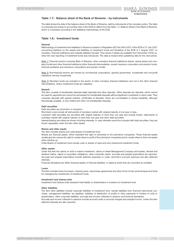#### **Table 1.7.: Balance sheet of the Bank of Slovenia – by instruments**

The table shows the data of the balance sheet of the Bank of Slovenia, split by instruments of the monetary policy. The table is composed according to accounting rules of the ECB an differs from the table 1.3. Balance Sheet of the Bank of Slovenia, which is composed according to the statistical methodology of the ECB.

#### **Table 1.8.: Investment funds**

#### **General**

Methodology of investment fund statistics in Slovenia is based on Regulation (EC) No 958/2007 of the ECB of 27 July 2007 concerning statistics on the assets and liabilities of investment funds and Guideline of the ECB of 1 August 2007 on monetary, financial institutions and markets statistics (recast). Time series in tables are available from December 2008 on, when the new reporting of investment funds was introduced. The data is revised when publishing data for the next period.

*Note 1:* Financial sectors comprise Bank of Slovenia, other monetary financial institutions (banks, saving banks and monetary funds) and other financial institutions (other financial intermediaries, except insurance corporation and pension funds, financial auxiliaries and insurance corporations and pension funds).

*Note 2:* Non-financial sectors are formed by non-financial corporations, general government, households and non-profit institutions serving households.

*Note 3:* Monetary funds are included in the sector of other monetary financial institutions and not in the other financial intermediaries, where investment funds are classified.

#### **Deposit**

This item consists of transferable deposits (sight deposits) and other deposits. Other deposits are deposits, which cannot be used for payments and cannot be exchanged for transferable deposits without significant constraints or extra costs. They comprise deposits with agreed maturity, certificates of deposits, which are non-tradable or whose tradability, although theoretically possible, is very limited and other non-transferable deposits.

#### **Debt securities**

Debt securities are short-term or long-term.

Short-term ones include all instruments of monetary market with original maturity of one year or less.

Long-term debt securities are securities with original maturity of more than one year and include bonds, instruments of monetary market with original maturity of more than one year and other debt securities.

Interest-bearing securities are shown including interests. In case interests cannot be included with debt securities, they are shown separately under the item other assets.

#### **Shares and other equity**

The item includes shares and units/shares of investment fund.

Shares are financial assets, which represent the right of ownership to the joint-stock companies. These financial assets usually give the owners the right to certain share in profit of the joint-stock companies and to certain share in their net assets when winding up.

Units/shares of investment fund include units or shares of open-end and closed-end investment funds.

#### **Other assets**

Under this item the claims on sold or mature investment, claims on Asset Management Company and trustee, interest and dividend claims, claims on securities' obligations, other corporate claims, accruals and prepaid expenditure are reported. Accruals and prepaid expenditure include deferred expenses or costs, short-term accrued revenues and also deferred interests.

Financial derivatives are either financial assets or financial liabilities; in balance sheet they are recorded as unnetted.

#### **Loans**

The item includes loans borrowed, covering loans, repurchase agreements and other forms of loan as techniques and tools for managing the investments of investment funds.

#### **Investment fund shares/units**

Investment fund shares/units represent total liability to shareholders or investors of investment fund.

#### **Other liabilities**

The item other liabilities include corporate liabilities of investment fund, namely liabilities from financial instruments' purchase, management liabilities, tax liabilities, liabilities of distribution of profits or other payments to holders of units or shareholders, other corporate liabilities, accruals and income collected in advance and financial derivatives. Accruals and income collected in advance include accrued costs or accrued charges and prepaid income. Under this item

deferred interests are also reported.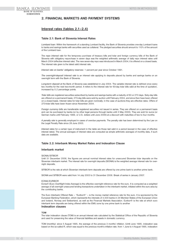## **2. FINANCIAL MARKETS AND PAYMENT SYSTEMS**

## **Interest rates (tables 2.1–2.4)**

#### **Table 2.1: Bank of Slovenia Interest Rates**

*Lombard loan*: Within the framework of a standing Lombard facility, the Bank of Slovenia provides one-day Lombard loans to banks and savings banks with securities used as collateral. The pledged securities should amount to 110% of the amount of the Lombard loan.

The *repo interest rate* for the temporary purchase of treasury bills and tolar and foreign currency bills of the Bank of Slovenia with obligatory repurchase in seven days was the weighted arithmetic average of daily repo interest rates until March 2004 (effective interest rate). The new seven-day repo was introduced in March 2004; it is offered on a closed basis. The interest rate given is the latest valid interest rate.

*Interest rate on banks' obligatory reserves*: 1 percent per year since October 1991.

*The overnight-deposit interest rate* is an interest rate applying to deposits placed by banks and savings banks on an overnight term with the Bank of Slovenia.

*Long-term deposit* at the Bank of Slovenia was established in July 2004. The variable interest rate is defined once every two months for the next two-month period. It refers to the interest rate for 60-day tolar bills valid at the time of quotation, increased by 0.2 percentage points.

*Tolar bills* are registered securities subscribed by banks and savings banks with a maturity of 60 or 270 days. Sixty-day bills are offered on a permanent basis; 270-day bills were sold by auction until February 2004, and since then have been offered on a closed basis. Interest rates for tolar bills are given nominally; in the case of auctions they are effective rates. Offers of 270-tolar bills have been frozen since November 2004.

*Foreign currency bills* are transferable registered securities not issued in series. They are offered on a permanent basis and can be purchased by banks (or by other legal persons through banks until 3 May 2000). They are sold for euros (or German marks until February 1999, or U.S. dollars until June 2006) at a discount with maturities of two to four months.

*A penalty rate* is generally employed in cases of overdue payments. The penalty rate has been determined by the Law on the Legal Penalty Rate since 28 June 2003.

*Interest rates* for a certain type of instrument in the table are those last valid in a period (except in the case of effective interest rates). The annual averages of interest rates are computed as simple arithmetic averages of monthly data, if such data are available.

#### **Table 2.2: Interbank Money Market Rates and Indexation Clause**

#### **Interbank market**

#### SIONIA/SITIBOR

Until 31 December 2006, the figures are annual nominal interest rates for unsecured Slovenian tolar deposits on the Slovenian interbank market. The interest rate for overnight deposits (SIONIA) is the weighted average interest rate for overnight deposits.

SITIBOR is the rate at which Slovenian interbank term deposits are offered by one prime bank to another prime bank.

SIONIA and SITIBOR were valid from 14 July 2003 to 31 December 2006. Break of series in January 2007.

#### EONIA/EURIBOR

Eonia® (Euro OverNight Index Average) is the effective overnight reference rate for the euro. It is computed as a weighted average of all overnight unsecured lending transactions undertaken in the interbank market, initiated within the euro area by the contributing banks.

The Euro Interbank Offered Rate – "Euribor®" – is the money market reference rate for the euro. It is sponsored by the European Banking Federation, which represents the interests of 4,500 banks in 24 Member States of the European Union and Iceland, Norway and Switzerland, as well as the Financial Markets Association. Euribor® is the rate at which euro interbank term deposits are being offered within the EMU zone by one prime bank to another **Indexation clauses**

#### **TOM**

The tolar indexation clause (TOM) is an annual interest rate calculated by the Statistical Office of the Republic of Slovenia and used for preserving the value of financial liabilities and assets in domestic currency.

TOM (monthly): since 5 August 1995, the average of the previous 3 months' inflation. (Until June 1995, indexation was based on the so-called R, which was equal to the previous month's inflation rate; from 1 June to 4 August 1995, indexation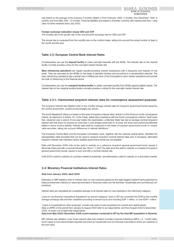was based on the average of the previous 3 months' inflation.) From February 1996, 4 months; from December 1996, 6 months; and from May 1997, 12 months. Financial liabilities and assets in domestic currency with maturity less than 1 year have not been revalued since July 2002.

#### **Foreign exchange indexation clause USD and CHF**

The monthly rate is the growth rate of the end-of-month exchange rate for USD and CHF.

The annual rate is computed from the monthly rate on the conform basis, taking into account the actual number of days in the month and the year.

#### **Table 2.3: European Central Bank Interest Rates**

Counterparties can use the **deposit facility** to make overnight deposits with the NCBs. The interest rate on the deposit facility normally provides a floor for the overnight market interest rate.

**Main refinancing operations** are regular liquidity-providing reverse transactions with a frequency and maturity of one week. They are executed by the NCBs on the basis of standard tenders and according to a pre-specified calendar. The main refinancing operations play a pivotal role in fulfilling the aims of the Eurosystem's open market operations and provide the bulk of refinancing to the financial sector.

Counterparties can use the **marginal lending facility** to obtain overnight liquidity from NCBs against eligible assets. The interest rate on the marginal lending facility normally provides a ceiling for the overnight market interest rate.

#### **Table 2.3.1.: Harmonised long-term interest rates for convergence assessment purposes**

The long-term interest rate statistics refer to the monthly average interest rates for long-term government bonds issued by the central government, quoted as percentages per annum.

The fourth Maastricht criterion is based on the level of long-term interest rates. Article 4 of the Protocol on the convergence criteria, as referred to in Article 121 of the Treaty, states that compliance with the fourth convergence criterion "shall mean that, observed over a period of one year before the examination, a Member State has had an average nominal long-term interest rate that does not exceed by more than 2 percentage points that of, at most, the three best performing Member States in terms of price stability. Interest rates shall be measured on the basis of long-term government bonds or comparable securities, taking into account differences in national definitions."

The European Central Bank and the European Commission have, together with the national central banks, identified the representative debt securities that can be used to measure long-term nominal interest rates and, if necessary, alternative long-term interest rate indicators where suitable government bonds are not available

Data until December 2006 refer to the yield to maturity on a reference long-term general government bond, issued in Slovenian tolars and with a nominal interest rate. Since 1.1.2007 the data show the yield to maturity on a basket of long-term general government bonds, issued in euro and with a nominal interest rate.

Until 2003 a yield to maturity on a primary market is presented, and afterwards a yield to maturity on a secondary market.

#### **2.4: Monetary Financial Institutions Interest Rates**

#### **Data from January 2003–April 2005**

Estimates on MIR statistics refer to interest rates on new business applied by the eight biggest resident banks (selected by balance-sheet-total criterion) to loans denominated in Slovenian tolars vis-ŕ-vis domestic households and non-financial corporations.

Interest rates are calculated as a weighted average of all interest rates on new business in the instrument category.

Loans to non-financial corporations (breakdown by amount category): loans in SIT are converted into EUR by the monthly average exchange rate and then classified according to amount up to and including EUR 1 million, or over EUR 1 million.

"Loans to households for other purposes" include only loans to sole proprietors for current and capital assets. Data on APRC in the period from January to August 2003 refer to six respondents, and from August 2003 to December 2003, to seven out of eight total respondents. **Data from May 2005–December 2006 covers business conducted in SIT by the total MFI population in Slovenia.**

MFI interest rate statistics cover those interest rates that resident monetary financial institutions (MFIs, i.e. "credit institutions") apply to euro-denominated deposits and loans by households and non-financial corporations which are residents of the euro area.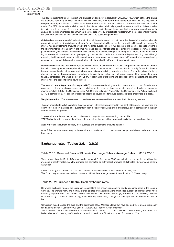The legal requirements for MFI interest rate statistics are laid down in Regulation ECB/2001/18, which defines the statistical standards according to which monetary financial institutions must report their interest rate statistics. This regulation is complemented by the Manual on MFI Interest Rate Statistics, which further clarifies and illustrates the statistical requirements. The MFI interest rate statistics refer to the interest rates individually agreed between a credit institution or other institution and its customer. They are converted to an annual basis, taking into account the frequency of interest payments, and are quoted in percentages per annum. At the euro area level 45 interest rate indicators with the corresponding volumes are collected, of which 31 refer to new business and 14 to outstanding amounts.

**Outstanding amounts** are defined as the stock of all deposits placed by customers, i.e. households and non-financial corporations, with credit institutions or other MFIs, and the stock of all loans granted by credit institutions to customers. An interest rate on outstanding amounts reflects the weighted average interest rate applied to the stock of deposits or loans in the relevant instrument category in the time reference period. Interest rates on outstanding deposits cover all deposits placed and not yet withdrawn by customers in all periods up to and including the reporting date. Interest rates on outstanding loans cover all loans used and not yet repaid by customers in all periods up to and including the reporting date, although excluding bad loans and loans for debt restructuring at rates below market conditions. MFI interest rates on outstanding amounts are hence statistics on the interest rates actually applied to all "open" deposits and loans.

**New business** is defined as any new agreement between the household or non-financial corporation and the credit or other institution. New agreements comprise all financial contracts, the terms and conditions of which specify for the first time the interest rate on the deposit or loan, and all new negotiations of existing deposits and loans. The prolongation of existing deposit and loan contracts which are carried out automatically, i.e. without any active involvement of the household or nonfinancial corporation, and which do not involve any renegotiating of the terms and conditions of the contracts, including the interest rate, are not considered new business.

**The annual percentage rate of charge (APRC)** is an effective lending rate that covers the total cost of credit to the consumer, i.e. the interest payments as well as all other related charges. It covers the total cost of credit to the consumer, as defined in Article 18(2) of the Consumer Credit Act. Charges defined in Article 18 of the Consumer Credit Act are excluded. APRC is compiled only for consumer credit and loans to households for house purchases (sole proprietors excluded).

**Weighting method**: The interest rates on new business are weighted by the size of the individual agreement.

The new interest rate statistics replace the average bank interest rates published by the Bank of Slovenia. The coverage and definition of the new statistics differ substantially from those previously published. Therefore, a direct comparison of the new and old rates is not possible.

\* Households = sole proprietorships + individuals + non-profit institutions serving households

\*\*APRC data includes households without sole proprietorships and without non-profit institutions serving households

**Note 1:** For this instrument category, new business and outstanding amounts coincide.

*Note 2:* For this instrument category, households and non-financial corporations are merged and shown under the household sector.

## **Exchange rates (Tables 2.6.1–2.6.2)**

#### **Table 2.6.1: Selected Bank of Slovenia Exchange Rates – Average Rates to 31.12.2006**

These tables show the Bank of Slovenia middle rates until 31 December 2006. Annual rates are computed as arithmetical averages of monthly rates. Monthly averages are computed as arithmetical averages of daily rates (Sundays and holidays excluded).

A new currency, the Croatian kuna (= 1,000 former Croatian dinars) was introduced on 30 May 1994. The Polish złoty was denominated on 1 January 1995 at the exchange rate of 1 new złoty for 10,000 old złotys.

#### **Table 2.6.2: European Central Bank exchange rates**

Reference exchange rates of the European Central Bank are shown, representing middle exchange rates of the Bank of Slovenia. The average yearly and monthly exchange rates are calculated as the arithmetical average of daily exchange rates, excluding days on which the TARGET system was closed. This includes Saturdays, Sundays and the following holidays: New Year's Day (1 January), Good Friday, Easter Monday, Labour Day (1 May), Christmas (25 December) and 26 December.

Conversion rates between the euro and the currencies of EU Member States that have adopted the euro are irrevocably fixed and valid since 1 January 1999 (since 1 January 2001 for the Greek drachma).

The conversion rate for the Slovenian tolar is valid as of 1 January 2007, the conversion rate for the Cyprus pound and Maltese lira as of 1 January 2008 and the conversion rate for the Slovak koruna as of 1 January 2009.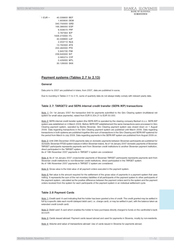- 
- 1 EUR = 40.339900 BEF 1.955830 DEM 340.750000 GRD 166.386000 ESP 6.559570 FRF 0.787564 IEP 1936.270000 ITL 40.339900 LUF 2.203710 NLG 13.760300 ATS 200.482000 PTE 5.945730 FIM 239.640000 SIT 0.585274 CYP 0.429300 MTL 30.126000 SKK

#### BANKA SLOVENIJE **BANK OF SLOVENIA EUROSYSTEM**

### **Payment systems (Tables 2.7 to 2.13)**

#### **General**

Data prior to 2007 are published in tolars; from 2007, data are published in euros.

Due to rounding in Tables 2.11 to 2.15, sums of quarterly data do not always totally comply with relevant yearly data.

#### **Table 2.7: TARGET2 and SEPA internal credit transfer (SEPA IKP) transactions**

*Note 1:* On 1st January 2007 the transaction limit for payments submitted to the Giro Clearing system (multilateral net system for small value payments), raised from EUR 8.354,21 to EUR 50.000.

*Note 2:* SEPA internal credit transfer system (the SEPA IKP) is operated by the clearing company Bankart d.o.o. SEPA IKP system was established on 4 March 2009. Before SEPA IKP establishement the same transactions were processed in Giro Clearing payment system, operated by Banka Slovenije. Giro Clearing payment system was closed down on 1 August 2009. Data regarding transactions in the Giro Clearing payment system are published until March 2009. Data regarding transactions in both systems are published together (the sum of transactions in the Giro Clearing and SEPA IKP systems) for the period from March to July 2009. Data regarding payments in the SEPA IKP system are published from August 2009 on.

*Note 3:* Until 29th December 2006 payments data on domestic payments between Slovenian participants are published for domestic Slovenian RTGS system (values in billion Slovenian tolars). As of 1st January 2007 domestic payments of Slovenian TARGET participants represents payments sent from Slovenian credit institutions to another Slovenian payment institution, direct participated in the TARGET system.

As of 19th November 2007 payments in TARGET 2 system are considered.

*Note 4:* As of 1st January 2007 cross-border payments of Slovenian TARGET participants represents payments sent from Slovenian credit institutions to non-Slovenian credit institutions, direct participated in the TARGET system. As of 19th November 2007 payments in TARGET 2 system are considered.

*Note 5:* Gross value is the total value of all payment orders executed in the payment system.

*Note 6:* Net value is the amount required for the settlement of the gross value of payments in a payment system that uses netting. It represents the sum of the net monetary liabilities of all participants of the payment system to other participants of the payment system, calculated as the positive difference between the payment orders sent to the system and the payment orders received from the system for each participants of the payment system in an individual settlement cycle.

#### **Table 2.8 Payment Cards**

*Note 1: Credit card*: A card indicating that the holder has been granted a line of credit. The credit granted may be settled in full by a specific date each month (delayed debit card, i.e. charge card), or may be settled in part, with the balance taken as extended credit (credit card).

*Note 2: Debit card*: A card which enables the holder to have purchases directly charged to funds on the cardholder's bank account.

*Note 3: Cards issued abroad*: Payment cards issued abroad and used for payments in Slovenia, mostly by non-residents.

*Note 4: Volume and value of transactions abroad*: Use of cards issued in Slovenia for payments abroad.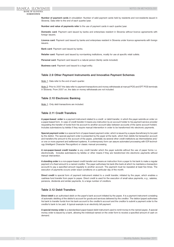#### BANKA SLOVENIJE BANK OF SLOVENIA

## **EUROSYSTEM**

**Number of payment cards** *in circulation*: Number of valid payment cards held by residents and non-residents issued in Slovenia. Data refer to the end of each quarter/year.

**Number and value of payments refer** to the use of payment cards in each quarter/year.

**Domestic card**: Payment card issued by banks and enterprises resident in Slovenia without licence agreements with foreign issuers.

**Licence card**: Payment card issued by banks and enterprises resident in Slovenia under licence agreements with foreign issuers.

**Bank card**: Payment card issued by banks.

**Retailer card**: Payment card issued by non-banking institutions, mostly for use at specific retail outlets.

Personal card: Payment card issued to a natural person (family cards included).

**Business card**: Payment card issued to a legal entity.

#### **Table 2.9 Other Payment Instruments and Innovative Payment Schemes**

*Note 1*: Data refer to the end of each quarter.

*Note 2*: Prior to 2007 the data refer to payment transactions and money withdrawals at manual POS and EFT POS terminals in Slovenia. From 2007 on, the data on money withdrawals are not included.

#### **Table 2.10 Electronic Banking**

*Note 1*: Only debt transactions are included.

#### **Table 2.11 Credit Transfers**

**A paper-based order** is a payment instrument related to a credit or debit transfer, in which the payer submits an order on a paper-based form. In case of credit transfer it means any instruction by an account holder to his payment service provider requesting the transfer of funds from his account to another account (also between accounts of the same account holder). Includes submissions by telefax if they require manual intervention in order to be transformed into electronic payments.

**Special payment order** is a special form of paper-based payment order, which is issued by a payee (beneficiary) to be paid by the debtor. The special payment order is presented by the payer at the bank, which then debits his transaction account and transfers the amount to the account of the payee, potentially via several other credit institutions as intermediaries and/ or one or more payment and settlement systems. A contemporary form can assure automated processing with ICR technology (Intelligent Character Recognition) or classic manual processing.

**A non-paper-based credit transfer** is any credit transfer which the payer submits without the use of paper forms i.e. electronically. Includes submissions by telefax or other means if they are transformed into electronic payments without manual intervention.

**A standing order** is a non-paper-based credit transfer and means an instruction from a payer to his bank to make a regular payment of a fixed amount to a named creditor. The payer authorises his bank (the bank at which he maintains a transaction account) to pay a specified amount regularly to another account. The payment must be repeated at least five times. The execution of payments occurs under exact conditions on a particular day of the month.

**Direct credit** is special form of payment instrument related to a credit transfer, initiated by the payer, which enables a cashless fund transfer from payer to payee. Direct credit is used for the execution of small value payments, e.g., salaries, pensions, dividends and similar payments, to a large number of creditors.

#### **Table 2.12 Debit Transfers**

**Direct debit** is an authorised debit on the payer's bank account initiated by the payee. It is a payment instrument consisting of automatic debiting of the debtor's account for goods and services delivered by the creditor. The debtor (payer) authorises his bank to transfer funds from his bank account to the creditor's account and the creditor to submit a payment order to the creditor's bank to be paid. A typical example is an electricity bill payment.

**A special money order** is a standardised paper-based debit instrument used to remit money to the named payee. A special money order is issued by a bank, allowing the individual named on the order form to receive a specified amount of cash on demand.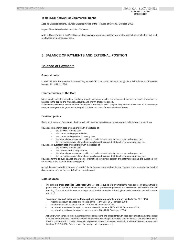#### **Table 2.13: Network of Commercial Banks**

*Note 1*: Statistical regions, source: Statistical Office of the Republic of Slovenia, 31March 2000.

Map of Slovenia by Geodetic Institute of Slovenia

*Note 2*: Data referring to the Post Bank of Slovenia do not include units of the Post of Slovenia that operate for the Post Bank of Slovenia on a contractual basis.

## **3. BALANCE OF PAYMENTS AND EXTERNAL POSITION**

## **Balance of Payments**

#### **General notes**

In most respects the Slovenian Balance of Payments (BOP) conforms to the methodology of the IMF's Balance of Payments Manual, fifth edition (1993).

#### **Characteristics of the Data**

Minus sign (-) indicates imports or surplus of imports over exports in the current account, increase in assets or decrease in liabilities in the capital and financial accounts, and growth of reserve assets. Data on transactions are converted from the original currencies to EUR using the daily Bank of Slovenia or ECB's exchange rates, or average exchange rates for the period if the exact date of transaction is not known.

#### **Revision policy**

Revision of balance of payments, the international investment position and gross external debt data occur as follows:

Revisions in **monthly data** are published with the release of:

- the following month's data;
- the corresponding quarterly data;
- the corresponding revised quarterly data;
- the international investment position and external debt data for the corresponding year; and
- the revised international investment position and external debt data for the corresponding year.

Revisions in **quarterly data** are published with the release of:

- the following month's data;
- the data on the following quarter;
- the international investment position and external debt data for the corresponding year; and
- the revised international investment position and external debt data for the corresponding year.

Revisions for the **annual** balance of payments, international investment position and external debt data are published with the release of the data for the following years.

Annual data are revised for the year t-1 and t-2. In the case of major methodological changes or discrepancies among the data sources, data for the year t-3 will be revised as well.

#### **Data sources**

- · **The external trade statistics (Statistical Office of the Republic of Slovenia)** is the main source of data on trade in goods. Since 1 May 2004, the source of data on trade in goods among Slovenia and EU Member States is the Intrastat reporting. The source of data on trade in goods with other countries is the single administrative document (Exstrastat reporting).
- · **Reports on account balances and transactions between residents and non-residents (C, PPT, PPV):**
	- report on account balances at domestic banks PPV (until 31 December 2004),
	- report on account balances abroad C (until 31 December 2006),
	- report on transactions through accounts at domestic banks PPT (until 31 December 2008),
	- report on transactions through accounts abroad C (until 31 December 2008).

All banks which conducted international payment transactions and all residents with open accounts abroad were obliged to report. The resident issuer/beneficiary of the payment was obliged to forward data on the type of transaction. Since 2009 only banks which conduct international payment transactions report transactions with nonresidents that exceed threshold EUR 50.000. Data are used for quality control purposes only.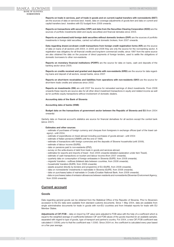- · **Reports on trade in services, part of trade in goods and on current/capital transfers with nonresidents (BST)** are the sources of data on services (excl. travel), data on coverage adjustments of goods item and data on current and capital transfers (excl. transfers with EU budget) from 2008 onwards.
- **Reports on transactions with securities (VRP) and data from the Securities Clearing Corporation (KDD)** are the sources of portfolio investments (debt and equity securities) and financial derivates since 2004.
- · **Reports on purchased/sold foreign debt securities without domestic brokers (DVP)** are the sources of portfolio investments in foreign debt securities, carried out without domestic brokers, from 2007 onwards.
- Data regarding drawn/un-drawn credit transactions from foreign credit registration forms (KR) are the source of data on loans of all sectors until 2004; in 2005 and 2006 they are only the source for the non-banking sector. A registration was obligatory for all financial credits and long-term commercial credits; since 1997 from the same source are also obtained the data on the purpose of direct payments of foreign lenders, used to settle the obligations of domestic borrowers to other non-residents.
- · **Reports on monetary financial institutions (PORFI)** are the source for data on loans, cash and deposits of the banking sector since 2005.
- · **Reports on credits received and granted and deposits with non-residents (KRD)** are the source for data regarding loans and deposit of all sectors, except banks, since 2007.
- · **Reports on short-term receivables and liabilities from operations with non-residents (SKV)** are the source for short-term trade credits and advances since 2002.
- · **Reports on investments (SN)** are until 2007 the source for reinvested earnings of direct investments. From 2008 onwards these reports are source also for all other direct investment transactions in equity and related income as well as for portfolio equity transactions without involvement of domestic dealers.
- · **Accounting data of the Bank of Slovenia**
- · **Accounting data of banks (KNB)**
- · **Budget data on the transactions of government sector between the Republic of Slovenia and EU** (from 2004 onwards)

Qarterly data on financial account's statistics are source for financial derivatives for all sectors except the central bank (since 2007).

- **Estimates and other sources** 
	- estimate of purchases of foreign currency and cheques from foreigners in exchange offices (part of the travel category) - until 2004,
	- estimate of expenditures on travel abroad including purchases of goods abroad until 2004
	- estimate of Italian pensions (UMAR) until the end of 1998,
	- estimate of transactions with foreign currencies and the deposits of Slovene households (until 2006),
	- estimate of labour income (SURS),
	- data on pensions paid to non-residents (ZPIZ),
	- survey on the write-downs of debt from trade in goods and services abroad,
	- estimates for exports and imports of travel from 2005 onwards (detailed explanation under item Travel),
	- estimate of cash transactions on tourism and labour income (from 2007 onwards),
	- quarterly data on consumption of foreign embassies in Slovenia (SURS, from 2008 onwards),
	- migrants' transfers outflows (bilateral data between countries, from 2008 onwards),
	- households' transfers (SURS, from 2008 onwards),
	- assets acquired directly by tenders and programms of EU (SURS, from 2008 onwards),
	- data on nonresidents' investments in real-estate in Slovenia (GURS, from 2008 onwards),
	- data on purchases/sales of real-estate in Croatia (Croatian National Bank, from 2008 onwards),

- data on purchases/sales of emission allowances between residents and nonresidents (Slovenian Environment Agency, from 2008 onwards).

### **Current account**

#### **Goods**

Data regarding general goods can be obtained from the Statistical Office of the Republic of Slovenia. Prior to Slovenia's accession to the EU data were available from standard customs documents. Since 1 May 2004, data are available from single administrative documents for trade in goods with non-EU countries and from Intrastat reports for trade with EU Member States.

**Adjustments of CIF/FOB** – data on import by CIF value were adjusted to FOB value with the help of a coefficient which is equal to the weighted average of coefficients between CIF and FOB values of the goods imported (in an available sample), separated with regard to type of goods, type of transport and partner's country. For 2004, a new CIF/FOB coefficient was calculated (1.0306); prior to that the coefficient was 1.0393. Since 2004 on, the coefficient is calculated every year based on a five year average.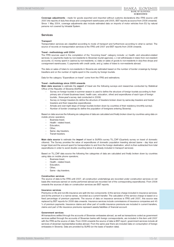#### BANKA SLOVENIJE BANK OF SLOVENIA **EUROSYSTEM**

**Coverage adjustments** - made for goods exported and imported without customs declarations (the ITRS source until 2007,the reports of duty free shops and consignment warehouses until 2005, BST reports as source from 2008 onwards). Since 1 May 2004, coverage adjustments also include estimated data on imports of motor vehicles from EU by natural persons not covered by Intrastat System.

#### **Services**

#### **Transport**

Transportation services are classified according to mode of transport and furthermore according to what is carried. The source of records on transportation services is the ITRS until 2007 and BST reports from 2008 onwards.

#### **Travel - methodology until 2004**

The ITRS sources used in the compilation of the "Incoming travel" category include: a.) health- and education-related services; b.) payments made by non-residents to Slovenian tourist agencies; c.) net withdrawals in tolars from non-resident accounts; d.) money spent in casinos by non-residents; e.) data on sales of goods to non-residents in duty-free shops and consignment warehouses; f.) payments with credit cards; and g.) sales of tolars to non-residents abroad.

The data on sales of tolars to non-residents in Slovenia are estimated based on the number of border crossings by foreign travellers and on the number of nights spent in the country by foreign tourists.

Data for the category "Expenditure on travel" come from the ITRS and estimations.

#### **Travel - methodology since 2005 onwards**

**Main data sources** to estimate the **export** of travel are the following surveys and researches conducted by Statistical Office of the Republic of Slovenia (SURS):

- Survey on foreign tourists in summer season is used to define the structure of foreign tourists according to their primary aim of travel (business travel, health care, education, other) and expenditures of each type of foreign tourists ; three-year's survey -last conducted in 2009)
- Survey on foreign travelers (to define the structure of travelers broken down by same-day travelers and transit travelers and their respective expenditures).
- Arrivals and over-night stays of foreign tourists broken down by countries of their residency (monthly survey).
- Number of border crossings (to define the population of foreigners entering Slovenia).

Based on data sources the following six categories of data are calculated and finally broken down by countries using data on mobile phone operators;

- Business travel,
- Health related travel,
- Education,
- Other.
- Same- day travelers,
- Transit travelers.

**Main data source** to estimate the **import** of travel is SURS's survey TU\_ČAP (Quarterly survey on travel of domestic citizens). The Survey provides the value of expenditures of domestic population traveling abroad (same - day trips and longer trips) and the amount spent for transportation to and from the foreign destination, which is then subtracted from total expenditures in order to avoid double counting (since it is already included in transport services).

Based on TU\_ČAP data source the following five categories of data are calculated and finally broken down by countries using data on mobile phone operators;

- Business travel
- Health related travel,
- Education.
- Other,
- Same day travelers.

#### **Construction services**

The source of data is the ITRS until 2007, all construction undertakings are recorded under construction services on net basis (the revenues earned on works performed abroad are recorded net of the corresponding expenditures). From 2008 onwards the sources of data on construction services are BST reports.

#### **Insurance services**

Premiums on life and non-life insurance are split into two components: (i) the service charge included in insurance services; and (ii) the premium in a narrow sense, recorded as a current transfer. The calculation of the service charge is based on a fixed percentage of premium payments. The source of data on insurance services is ITRS until 2007, this source was replaced by BST reports for 2008 data onwards. Insurance services include commissions of insurance companies and 45 % of premium payments. Insurance claims and other part of nonlife insurance premiums are included in current transfers, claims and part of life insurance premiums represent assets/liabilities of financial account.

#### **Government services**

All transactions settled through the accounts of Slovenian embassies abroad, as well as transactions coded as government services settled through the accounts of Slovenian banks with foreign correspondents, are included in this item until 2007 with the ITRS as the source of data. From 2008 onwards the source of data is BST report, government services include all services of slovenian representative bodies abroad. From the same year there are included data on consumption of foreign embassies in Slovenia. Data are provided by SURS (on the basis of taxation data).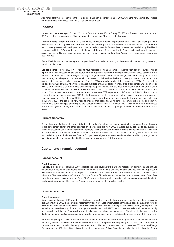Also for all other types of services the ITRS source has been discontinued as of 2008, when the new source (BST report) for data on trade in services (excl. travel) has been introduced.

#### **Income**

**Labour income** – **receipts**. Since 2002, data from the Labour Force Survey (SURS) and Eurostat data have replaced ITRS and estimates as sources of labour income for the work of Slovene residents abroad.

**Labour income - expenditures.** ITRS is the source for labour income - expenditures until 2004. Data relating to 2005 onwards are provided by SURS on the basis of Labour Office register for the number of nonresidents, who at the end of each quarter possess valid work permits and who actually worked in Slovenia less than one year and data by The Health Insurance Institute of Slovenia for nonresidents, who at the end of each quarter don't need valid work permits and who actually worked in Slovenia less than one year. Data on daily migrant workers from Austria, Italy, Hungary and Croatia are also included.

Since 2002, labour income (receipts and expenditures) is included according to the gross principle (including taxes and social contributions).

**Capital income** – Since 2004, VRP reports have replaced ITRS as a source for income from equity securities. Annual reports on capital investments are the source for data regarding reinvested earnings. Data on reinvested earnings in the current year are estimated - (a three year monthly average of actual data on total earnings, less extraordinary incomes [the source being annual reports on investments], is decreased by dividends and other incomes, paid in the current month (the source being monthly reports on investments from 1.1.2008 onwards, previously the source was ITRS). The estimate is replaced by actual data only when these data are available. Data on disproportionally large exceptional payments of profits relative to the recent level of dividends and earnings (superdividends) are excluded from income and included in direct investment as withdrawals of equity (from 2008 onwards). Until 2003, the source of income from debt securities was ITRS; since 2004 the sources are reports on securities transactions (VRP reports) and KDD data. Until 2004, the source on income from other investments was ITRS for the banking sector; the source was later changed to reports on monetary financial institutions (PORFI). Until 2006, the source on income from other investments for the non-banking sector was ITRS; since 2007, the source is KDD reports. Income from loans (including long-tern commercial credits) and cash reserves have been managed according to the accrual principle since 2002; since 2007, total income from other investments is managed according to the same principle. Since 2004, the accrual principle is used for income from bonds and notes.

#### **Current transfers**

Current transfers of other sectors are subdivided into workers' remittances, insurance and other transfers. Current transfers of the government sector and other transfers of other sectors are from 2002 onwards subdivided into taxes, subsidies, social contributions, social benefits and other transfers. The main data sources are the ITRS and estimates until 2007, from 2008 onwards the sources are BST reports and from 2004 onwards, data on EU transfers of the government sector are obtained directly from the Ministry of Finance (budget data). Migrants' transfers - outflows (data provided by foreign central banks) and transfers of households (SURS survey) are included from 2008 onwards.

## **Capital and financial account**

#### **Capital account**

#### **Capital transfers**

The ITRS is the source of data until 2007. Migrants' transfers cover not only payments recorded by domestic banks, but also the changes in residency of accounts held with these banks. From 2008 onwards data are obtained from BST reports, but data on capital transfers between the Republic of Slovenia and the EU are from 2004 onwards obtained directly from the Ministry of Finance (budget data). Since 2002, the Bank of Slovenia also estimates the value of write-downs of debt from trade in goods and services abroad. From 2008 onwards, there are also included data on assets acquired directly by tenders and programms of EU (SURS, Annual survey on investment in tangible assets).

#### **Financial account**

#### **Direct investment**

Direct investment is until 2007 recorded on the basis of reported payments through domestic banks and data from customs declarations, from 2008 the source is direct monthly report SN. Data on reinvested earnings are based on yearly surveys on balance and transactions with affiliated enterprises (SN) and are included monthly as one-twelfth of the yearly figure. Data regarding reinvested earnings for the current year are estimated. Until 1997, the purchase and sale of all shares and equity were included in this item. Data on disproportionally large exceptional payments of profits relative to the recent level of dividends and earnings (superdividends) are included in direct investment as withdrawals of equity (from 2008 onwards).

From the beginning of 1997, purchase and sale of shares that assure more than 50 percent of a company's equity (a controlling interest of shares) and shares issued by domestic companies on the primary markets with the purpose of increasing the nominal capital of the company are included in this item, due to capital control measures. With the new Foreign Exchange Act in 1999, the 10% rule is applied to direct investment. Data of Surveying and Mapping Authority of the Repub-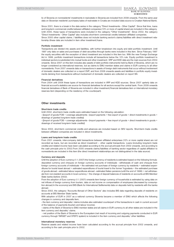#### BANKA SLOVENIJE BANK OF SLOVENIA **EUROSYSTEM**

lic of Slovenia on nonresidents' investments in real-estate in Slovenia are included from 2008 onwards. From the same year data on Slovenian residents' purchases/sales of real-estate in Croatia are included (data source is Croatian National Bank).

Since 2001, there is a break in the data series in the category "Direct Investments - Other Capital". Since that time, loans and long-term commercial credits between affiliated companies (10% or more of capital share) are included in this category. Until 2000, these types of transactions were included in the category "Other Investments". Since 2002, the category "Direct Investments - Other Capital" also includes short-term commercial credits between affiliated companies. Since 2005 other capital claims / liabilities does not include banking sector's claims/liabilities with direct investment relationship (these data are included in item other investment/loans.

#### **Portfolio investment**

Transactions are divided into assets and liabilities, with further breakdown into equity and debt portfolio investment. Until 1997 only data on sales and purchases of debt securities through banks were included in this item. Since February 1997 the equity securities with the exception of direct investment are included in this item too. With the new Foreign Exchange Act in 1999, portfolio investment transactions include all transactions below the 10% rule. Equity portfolio investment to individual sectors is subdivided into mutual funds and other investment. VRP and KDD data are the main sources from 2004 onwards. Since 2007 on this item includes also assets of debt portfolio instruments held by Bank of Slovenia, which are no longer considered as international reserves, but as claims to EMU member states and claims in EUR currency to all other nonresidents. From 2007 onwards data on transactions in assets of foreign debt instruments that occur without involvement of domestic dealers are collected on a report DVP, and from 2008 onwards assets and liabilities in portfolio equity investments deriving from transactions without involvement of domestic dealers are collected on report SN.

#### **Financial derivatives**

From 2004 until 2006 these types of transactions are included in VRP and KDD sources. Since 2007 qarterly data on financial account's statistics are source for financial derivatives for all sectors except the central bank. From 2009 onwards financial derivatives of Bank of Slovenia are included in other investment/financial derivatives item or international monetary reserves item (depending on the residency of the counterpart).

#### **Other investments**

#### **Short-term trade credits**

Until 2002, short-term trade credits were estimated based on the following calculation:

- {[export of goods FOB + coverage adjustments - (export payments + free export of goods + direct investments in goods + drawings of granted long-term trade credits)]

- {[import of goods FOB + coverage adjustments - (import payments + free import of goods + direct investments in goods + drawings of received long-term trade credits)]

Since 2002, short-term commercial credits and advances are included based on SKV reports. Short-term trade credits between affiliated companies are included in direct investments.

#### **Loans and long-term trade credits**

From 2001 onwards, inter-company debt transactions between affiliated enterprises (10% or more capital share) are not recorded as loans, but are recorded as direct investment – other capital transactions. Loans (including long-term trade credits) and related income have been calculated according to the accrual principle from 2002 onwards, and according to the cash principle prior to 2002.From 2005 onwards claims/liabilities of banking sector regardless of capital affiliation to nonresidents are included in this item (the direct investment relationships are not distinguished in the data source).

#### **Currency and deposits**

Until the adoption of Euro currency (1.1.2007) the foreign currency of residents is estimated based on the following formula: deposited currency and cheques on foreign currency accounts of individuals - withdrawals of cash and cheques from foreign currency accounts of individuals + the estimated net purchase of foreign currency by residents + estimated expenditures for tourist travel abroad + estimated expenditures of tourist travel to the former Yugoslavia + the estimated purchase of goods abroad - estimated labour expenditures abroad - estimated Italian pensions (until the end of 1998) + net withdrawals from non-resident accounts in local currency + the change of deposit balances of residents on accounts at BIS Member State banks (before 2002).

From the adoption of Euro currency (1.1.2007) onwards item foreign currency of households is estimated by using data on net inflows of foreign currency from tourism, data on net income on compensation of employees (decreased by consumption abroad/in the economy) and BIS (Bank for International Settlements) data on deposits held by residents with the banks abroad.

Since 2002, the category "Accounts Abroad of Other Sectors" also includes BIS data regarding deposits of residents on accounts at BIS Member State banks.

With adoption of EUR in 2007 as a national currency Slovenia became a member of EMU which affects the following changes in currency and deposits item;

- the item currency and deposits/ claims includes also estimated counterpart of the transactions in cash in current account of the balance of payments (tourism and labour income),

- claims of the Bank of Slovenia to EMU member states and all claims in EUR currency to all other states are included in the item currency and deposits/ claims.

 - net position of the Bank of Slovenia to the Eurosystem (net result of incoming and outgoing payments conducted in EUR currency through TARGET and STEP2 system) is included in the item currency and deposits/ other liabilities.

#### **International monetary reserves**

Reserve assets and related income have been calculated according to the accrual principle from 2002 onwards, and according to the cash principle prior to 2002.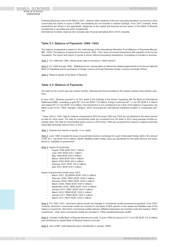Following Slovenia's entry to the EMU in 2007, claims to other residents of the euro area (denominated in euros and in other currencies) and claims in euros to EMU non-residents are not included in reserve holdings. From 2007 onwards, these transactions are shown in the appropriate categories of the capital and financial account sector of the Bank of Slovenia (investments in securities and other investments).

International monetary reserves item includes also financial derivatives (from 2009 onwards).

#### **Table 3.1: Balance of Payments 1988–1993**

The balance of payments is based on the methodology of the International Monetary Fund (Balance of Payments Manual, IMF, 1993). The balance of payments for the period 1998 - 1991 does not include transactions with republics of the former Yugoslavia. The import and export of goods is shown without processing transactions, processing is included in services.

*Note 1*: For 1988 and 1989, official sector data is included in "Other sectors".

*Note 2*: For 1988 through 1990, "Statistical errors" include sales of claims from bilateral agreements to the former National Bank of Yugoslavia and its purchases of foreign currency through Slovenian foreign currency exchange offices.

*Note 3*: Reserve assets of the Bank of Slovenia.

#### **Table 3.2: Balance of Payments**

The data for the current year are revised monthly. Data become final according to the revision practice (see revision practice).

In June 2001, Slovenia acquired a 16.39% share in the holdings of the former Yugoslavia with the Bank for International Settlements (BIS), consisting of gold SIT 16.9 mio (EUR 77.8 million), foreign currencies SIT 1.1 mio SIT (EUR 5.3 million) and shares SIT 3.0 mio (EUR 13.8 million). This transaction is not considered to be a flow of the balance of payments, but rather a part of the "Other changes" category, which reconciles the international investment position in consecutive periods.

\* Years 1994 in 1995: Data for balance of payments in ECU for years 1994 and 1995 are not obtained in the same manner as data for other years. The data for merchandise trade are converted from US dollar to ECU using average monthly exchange rates. The data for merchandise trade in Euros or ECU since 1996 are computed from values in original currencies using daily exchange rates for Euro or ECU.

*Note 1*: Exports and imports of goods - f.o.b. parity

*Note 2*: June 1996: Includes the issue of government bonds in exchange for a part of allocated foreign debt in the amount of SIT 63.7 mio (EUR 374.9 million). Banks' liabilities under foreign loans are decreased for the same amount and transferred to "Liabilities to government".

*Note 3*: Issues of eurobonds:

- August 1996 (EUR 253.7 million)
- June 1997 (EUR 205.1 million)
- May 1998 (EUR 500.0 million)
- March 1999 (EUR 400.0 million)
- March 2000 (EUR 400.0 million)
- February 2001 (EUR 100.0 million)
- April 2001 (EUR 450.0 million)

Issues of government bonds since 2007:

- March 2007, SLOVEN4 (EUR 1000.0 million)
- February 2008, RS63 (EUR 1000.0 million)
- February 2009, RS64 (EUR 1000.0 million)
- March 2009, RS65 (EUR 1500.0 million)
- September 2009, RS66 (EUR 1500.0 million)
- January 2010, RS67 (EUR 1500.0 million)
- March 2010, RS68 (EUR 1000.0 million)
- January 2011, RS69 (EUR 1000.0 million)
- March 2011, RS70 (EUR 1000.0 million)

*Note 4*: For 1993–2001, short-term claims include net changes in commercial credits (received and granted). From 2002 onwards, short-term commercial credits are included on the basis of SKV reports on the assets and liabilities side of the balance of payments. Short-term commercial credits between affiliated enterprises are included under the heading "Direct investments", while other commercial credits are included in "Other investments/trade credits".

*Note 5*: Includes mostly Bank of Slovenia fiduciary accounts. In June 1996 the amount of 21.2 mio SIT (EUR 124.9 million) was transferred to regular Bank of Slovenia reserve accounts.

*Note 6*: Use of IMF credit (assumed upon membership in January 1993).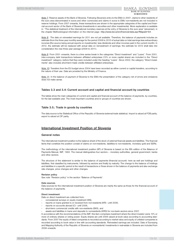#### BANKA SLOVENIJE BANK OF SLOVENIA **EUROSYSTEM**

*Note 7*: Reserve assets of the Bank of Slovenia. Following Slovenia's entry to the EMU in 2007, claims to other residents of the euro area (denominated in euros and other currencies) and claims in euros to EMU non-residents are not included in reserve holdings. From 2007 onwards, these transactions are shown in the appropriate categories of the capital and financial account sector of the Bank of Slovenia (investments in securities and other investments). More explanation is available in: "The statistical treatment of the international monetary reserves at the entry of Slovenia to the euro area" (slovenian), in the chapter Methodological information on the internet page: *http://www.bsi.si/en/financial-data.asp?MapaId=64* .

*Note 8*: The data on reinvested earnings for 2011 are not yet available. Therefore, the balance of payments includes an estimate (from the three year monthly average for the period 2008 to 2010 of actual data on total earnings less extraordinary incomes [the source being annual reports on investments], less dividends and other incomes paid in the current month). In 2012, the estimate will be replaced with actual data on reinvestment of earnings; the estimate for 2012 shall take into consideration the new three year average (2009 to 2011).

*Note 9*: From 2001 onwards, there is a time series break in the categories "Direct investment" and "Loans". From 2001, inter-company debt transactions between affiliated enterprises (10% or more capital share) are included in the "Direct investment" category; before that they were included under the heading "Loans". Since 2002, the category "Direct investments" also includes short-term trade credits between affiliated enterprises.

*Note 10*: Transfers from the EU budget since 2004 have been recorded as either current or capital transfers, according to the nature of their use. Data are provided by the Ministry of Finance.

*Note 11*: In the balance of payment of Slovenia to the EMU the presentation of the category net of errors and omissions does not make sense.

# **Tables 3.3 and 3.4: Current account and capital and financial account by countries**

The tables show the main categories of current and capital and financial account of the balance of payments, by countries, for the last available year. The most important countries and/or groups of countries are shown.

## **Table 3.5.: Trade in goods by countries**

The data source is the Statistical Office of the Republic of Slovenia (external trade statistics). Import is valued at FOB parity; export is valued at CIF parity.

# **International Investment Position of Slovenia**

#### **General notes**

The international investment position is the balance sheet of the stock of external financial assets and liabilities. The financial items that constitute the position consist of claims on non-residents, liabilities to non-residents, monetary gold and SDRs.

The methodology of the international investment position (IIP) of Slovenia is based on the fifth edition of the Balance of Payments Manual, IMF, 1993. The manual distinguishes four sectors – monetary authorities, general government, banks and other sectors.

The structure of the statement is similar to the balance of payments (financial account): here as well are holdings and liabilities, first classified by instruments, followed by sectors and finally by maturity. The change to the balance of holdings and liabilities in a specific period is the result of transactions or flows shown in the balance of payments and also exchange rate changes, price changes and other changes.

#### **Revision policy**

See note "Revision policy" in the section "Balance of Payments".

#### **Data sources**

Data sources for the international investment position of Slovenia are mainly the same as those for the financial account of the balance of payments.

#### **Direct investment**

Data on direct investment are collected from:

- concessional surveys on equity investment (SN),
- reports on loans granted to or received from non-residents (KR) until 2006,
- reports on accounts abroad (C) until 2006,
- short-term commercial credits with non-residents (SKV), and
- assets and liabilities in loans and deposits to nonresidents (KRD) for non-bank sectors since 2007.

In accordance with the recommendations of the IMF, this item comprises investment where the direct investor owns 10% or more of ordinary shares or voting power. Equity shares are until 2006 valued at book value according to accounting standards. From 2007 the equity of listed companies is recorded according to market value and equity of unlisted companies is recorded according to book value in line with accounting standards. Reinvested earnings are included. Data of Surveying and Mapping Authority of the Republic of Slovenia on nonresidents' investments in real-estate in Slovenia are included from 2008 onwards.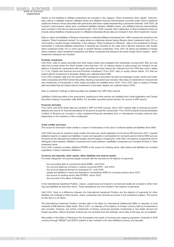# **EUROSYSTEM**

Claims on and liabilities to affiliated enterprises are included in the category "Direct investment–other capital". Intercompany claims or liabilities between affiliated banks and affiliated financial intermediaries recorded under direct investment capital are limited to those associated with permanent debt (loan capital respresenting a permanent interest). Until 2000, all long-term intercompany claims were considered liabilities between affiliated banks, and affiliated financial intermediaries were included in this item as well as permanent debt. From 2005 onwards other capital item of direct investment does not include claims/liabilities of banking sector to affiliated enterprises (those data are included in item other investment/ loans).

Data on claims and liabilities of Slovene enterprises in indirectly-affiliated enterprises from 1996 onwards are included in the category "Direct investment abroad" (in cases where an enterprise abroad having Slovene direct investment holds 10% or more equity in another foreign enterprise). In the category "Direct investment in Slovenia", data on the investment of foreign enterprises in indirectly-affiliated enterprises in Slovenia are included (in the case that a Slovene enterprise with foreign direct investment holds 10% or more equity in another Slovene enterprise). From 2007 all claims and liabilities to foreign direct investors/ direct investment enterprise and fellow companies that belong to the same foreign direct investor / direct investment enterprise are included.

#### **Portfolio investment**

Until 2002, data on equity securities and other equity shares were available from enterprises' surveys (form SN), but only data from surveys where the direct investor owns less than 10% of ordinary shares or voting power are included. (In the balance of payments, transactions with equity securities and other shares are collected from the ITRS [see note to tables 3.1–3.4] /Capital and financial account/Portofolio investment.) From 2007 data on equity shares bellow 10% that are traded without involvement of domestic dealers are collected (report SN).

From 2003 onwards, data from the reports VRP (operations in securities reported by brokerage houses, banks and investment companies) and KDD (Central Securities Clearing Corporation) are included. Also data on investments in mutual funds and investments of households in other equity securities are available since 2003. From 2007 data on assets of foreign debt secuirities that are traded without involvement of domestic dealers are collected (report DVP).

Data on residents' holdings of debt securities are available from VRP direct reports.

Liabilities of debt securities of the government, banking and other sectors are available from credit registration and Central Securities Clearing Corporation data (KDD). For domestic securities issued abroad, the source is VRP reports.

#### **Financial derivates**

From 2004 until 2006 these data are included in VRP and KDD sources. Since 2007 qarterly data on financial account's statistics are source for financial derivatives for all sectors except the central bank. From 2009 onwards financial derivatives of Bank of Slovenia are included in other investment/financial derivatives item or international monetary reserves item (depending on the residency of the counterpart).

#### **Trade credits and loans**

The source for short-term trade credits is a report of enterprises on the stock of external assets and liabilities (form SKV).

Until 2006 sources for long-term trade credits and loans are credit registration forms (forms KR) and from 2007 onwards statistical reports on assets and liabilities in loans and deposits to nonresidents for non-bank sectors (forms KRD) and are the same for the international investment position and the balance of payments. Until 2000, the balance of payments did not distinguish loans between affiliated companies from loans between unaffiliated companies and included all loans in other investment items.

From 2005 onwards monetary statistics (PORFI) is the source for banking sector data (claims and liabilities are included regardless of direct investment affiliation).

#### **Currency and deposits, other assets, other liabilities and reserve assets**

For these categories, the sources largely coincide with the sources for the balance of payments:

- the accounting data of commercial banks (KNB) until 2004,
- the account balances of banks in original currencies (PPV) until 2004,
- the account balances abroad of companies (C) until 2006,
- assets and liabilities in loans and deposits to nonresidents (KRD) for non-bank sectors since 2007
- the source for banking sector data (PORFI) since 2005,
- the accounts of the Bank of Slovenia.

In the International Investment Position, mature, unpaid loans and long-term commercial credits are included in other holdings and liabilities as short-term items. These transactions are not included in the balance of payments.

Until 2002, there is a difference between the International Investment Position and the balance of payments for other liabilities and holdings of other sectors, where contractual joint ventures are shown in the investment position. The source for this item is a JV report.

The International Investment Position includes data of the Bank for International Settlements (BIS) on deposits of local residents at BIS Member State banks. Since 2001, an estimate of the balance of foreign currency held by households is also included. However, any further investments of foreign currencies (primarily investments in real estate abroad and foreign securities, without domestic brokers) are not excluded from this estimate, since data of this type are not available.

Net position of the Bank of Slovenia to the Eurosystem (net result of incoming and outgoing payments conducted in EUR currency through TARGET and STEP2 system) is also included in the item liabilities/currency and deposits.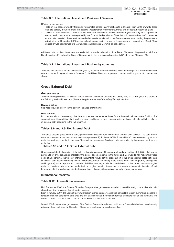# **Table 3.6: International Investment Position of Slovenia**

IIP data do not include:

- data on real estate owned by Slovenian households abroad (mainly real estate in Croatia); from 2001 onwards, these data are partially included under the heading "Assets/other investment/currency and deposits/households"; and
- claims on other countries in the territory of the former Socialist Federal Republic of Yugoslavia, subject to negotiations on succession (except the part reported by the Fund of the Republic of Slovenia for Succession from 2001 onwards), expropriated assets in these territories and other assets transferred to the Slovenian government during the process of privatization. In December 2006 claims subject to succession to former Yugoslavia were revalued and 'Sklad RS za sukcesijo' was transformed into 'Javna Agencija Republike Slovenije za nasledstvo'.

Additional data on direct investment are available in a special publication of the Bank of Slovenia: "Neposredne naložbe – Direct Investment", and on the Bank of Slovenia Web site: http://www.bsi.si/iskalniki/ecb\_en.asp?MapaId=714.

## **Table 3.7: International Investment Position by countries**

The table includes data for the last available year by countries in which Slovenes invest (in holdings) and includes data from which countries foreigners invest in Slovenia (in liabilities). The most important countries and/or groups of countries are shown.

# **Gross External Debt**

#### **General notes**

The methodology is based on External Debt Statistics: Guide for Compilers and Users, IMF, 2003. The guide is available at the following Web address: *http://www.imf.org/external/pubs/ft/eds/Eng/Guide/index.htm*.

#### **Revision policy**

See note "Revision policy" in the section "Balance of Payments".

#### **Data sources**

In order to maintain consistency, the data sources are the same as those for the International Investment Position. The sources for equities and financial derivates are not used because these types of instruments are not included in the balance of external debt according to the IMF definition.

## **Tables 3.8 and 3.9: Net External Debt**

The tables present gross external debt, gross external assets in debt instruments, and net debt position. The data are the same as presented in the international investment position (IIP). In the table "Net External Debt", data are sorted by sectors, maturities and instruments; in the table "International Investment Position", data are sorted by instrument, sectors and maturities.

#### **Tables 3.10 and 3.11: Gross External Debt**

Gross external debt, at any given data, is the outstanding amount of those current, and not contingent, liabilities that require payment(s) of principal and/or interest by the debtor at some point(s) in the future and are owed to non-residents by residents of an economy. The types of financial instruments included in the presentation of the gross external debt position are as follows: debt securities (money market instruments, bonds and notes), trade credits (short- and long-term), loans (shortand long-term), cash, deposits and other debt liabilities. Maturity of debt liabilities is based on the formal criterion of original maturity. Long-term debt is defined as debt with an original maturity of more than one year or with no maturity stated. Shortterm debt, which includes cash, is debt repayable at notice or with an original maturity of one year or less.

#### **International reserves**

# **Table 3.12.: International reserves**

Until December 2006, the Bank of Slovenia's foreign exchange reserves included convertible foreign currencies, deposits abroad and first-class securities of foreign issuers.

From 1 January 2007, the Bank of Slovenia's foreign exchange reserves include convertible foreign currencies, deposits in foreign currencies outside the euro area and first-class securities in foreign currencies of issuers outside the euro area. The decline of value presented in the data is due to Slovenia's inclusion in the EMU.

Since 2009 foreign exchange reserves of the Bank of Slovenia include also positions on financial derivatives based on daily pricing of these instruments. The value of financial derivatives may also be negative.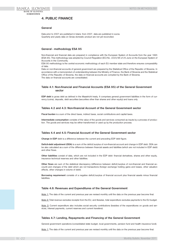**EUROSYSTEM**

# **4. PUBLIC FINANCE**

# **General**

Data prior to 2007 are published in tolars; from 2007, data are published in euros. Quarterly and yearly data on Gross domestic product are not yet reconciled.

#### **General - methodology ESA 95**

Non-financial and financial data are prepared in compliance with the European System of Accounts from the year 1995 (ESA 95). This methodology was adopted by Council Regulation (EC) No. 2223/96 of 25 June on the European System of Accounts in the Community.

ESA 95 methodology is the central economic methodology of each EU member state and therefore ensures comparability of data.

Data on non-financial accounts of general government are prepared by the Statistical Office of the Republic of Slovenia. In accordance with a memorandum of understanding between the Ministry of Finance, the Bank of Slovenia and the Statistical Office of the Republic of Slovenia, the data on financial accounts are compiled by the Bank of Slovenia. The data on financial accounts are consolidated.

# **Table 4.1: Non-financial and Financial Accounts (ESA 95) of the General Government sector**

**EDP debt** is gross debt as defined in the Maastricht treaty. It comprises general government liabilities in the form of currency (coins), deposits, debt securities (securities other than shares and other equity) and loans only.

# **Tables 4.2 and 4.3: Non-financial Account of the General Government sector**

Fiscal burden is a sum of the direct taxes, indirect taxes, social contributions and capital taxes.

**Intermediate consumption** consists of the value of the goods and services consumed as inputs by a process of production. The goods and services may be either transformed or used up by the production process.

# **Tables 4.4 and 4.5: Financial Account of the General Government sector**

**Change in EDP** debt is a difference between the current and preceding EDP debt figure.

**Deficit-debt adjustment (DDA)** is a sum of the deficit/surplus of non-financial account and change in EDP debt. DDA can be also calculated as a sum of the difference between financial assets and liabilities (which are not included in EDP debt) and other flows.

**Other liabilities** consist of data, which are not included in the EDP debt: financial derivatives, shares and other equity, insurance technical reserves and other liabilities.

**Other flows** are sum of the statistical discrepancy (difference between deficit/surplus of non-financial and financial account) and changes of the debt which are not transactions (foreign exchange holding gains and losses, other valuation effects, other changes in volume of debt).

**Borrowing requirement** consists of a negative deficit/surplus of financial account plus financial assets minus financial liabilities.

#### **Table 4.6: Revenues and Expenditures of the General Government**

*Note 1:* The data of the current and previous year are revised monthly until the data on the previous year become final.

*Note 2:* Total revenue excludes receipts from the EU, and likewise, total expenditure excludes payments to the EU budget.

*Note 3:* Current expenditure also includes social security contributions (besides of the expenditures on goods and services, interest payments, current reserves and current transfers).

#### **Tables 4.7: Lending, Repayments and Financing of the General Government**

General government operations (consolidated state budget, local governments, pension fund and health insurance fund).

*Note 1:* The data of the current and previous year are revised monthly until the data on the previous year become final.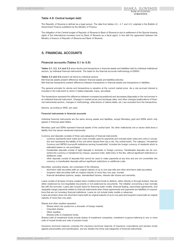#### BANKA SLOVENIJE BANK OF SLOVENIA **EUROSYSTEM**

# **Table 4.8: Central budget debt**

The Republic of Slovenia is defined as a legal person. The data from tables 4.6., 4.7. and 4.8. originate in the Bulletin of Government Finance published by the Ministry of Finance.

The obligation of the Central budget of Republic of Slovenia to Bank of Slovenia is due to settlement of the Special drawing rights of the International monetary fund by Bank of Slovenia as a fiscal agent, in line with the agreement between the Ministry of finance of Republic of Slovenia and Bank of Slovenia.

# **5. FINANCIAL ACCOUNTS**

### **Financial accounts (Tables 5.1 to 5.6)**

**Tables 5.1, 5.2, 5.4 and 5.5** show stocks and transactions in financial assets and liabilities held by individual institutional sectors, by individual financial instruments. The basis for the financial accounts methodology is ESA95.

#### **Tables 5.3 and 5.6** present net items by individual sectors.

Net financial assets present difference between financial assets and liabilities (stocks). Net financial transactions present difference between transactions in financial assets and transactions in liabilities.

The general principle for stocks and transactions is valuation at the current market price. As a rule accrued interest is included in the instrument to which it relates (deposits, loans, securities).

The transactions represent the difference between increases (acquisitions) and decreases (disposals) or the net turnover in an individual financial instrument. Changes in market prices and exchange rates, and other changes (reallocations of financial instruments/sectors, changes in methodology, write-downs of claims/debts, etc.) are excluded from the transactions.

Sectors, according to SKIS, are used.

#### **Financial instruments in financial accounts**

Individual financial instruments are the same among assets and liabilities, except Monetary gold and SDRs which only appear in financial asset tables.

Monetary gold and SDRs represent financial assets of the central bank. No other institutional unit or sector shall show a liability from the above mentioned instruments.

Currency and deposits consists of three sub-categories of financial instruments:

- currency represents bank notes and coins normally used for payments and includes bank notes and coins in circulation and represents the liability of the unit which issued them (as a rule, the central bank). The category "Household Currency and NIPSH (non-profit institutions serving households)" includes the foreign currency of residents which is estimated based on net purchases.
- transferable deposits consist of sight deposits in domestic or foreign currency. Transferable deposits can be converted into currency or transferred by cheque, payment order, debit entry or the like, without significant restrictions or additional costs.
- other deposits consist of deposits that cannot be used to make payments at any time and are not convertible into currency or transferable deposits without significant restrictions or additional costs.

Securities, excluding shares, are comprised of the following:

- short-term debt securities (with an original maturity of up to one year bills and other short-term debt securities);
- long-term debt securities (with an original maturity of more than one year: bonds);
- financial derivatives (options, swaps, standardised futures, interest rate futures and warrants).

Loans consist of all types of loans created when creditors lend funds to debtors, either directly or through brokers, that are either evidenced by non-negotiable documents or not evidenced by documents. The initiative concerning a loan normally lies with the borrower. Loans also include loans for financing trade credits, financial leasing, repurchase agreements, and repayable margin payments related to financial instruments when these agreements and payments are liabilities of corporations that are not monetary financial institutions. Loans do not include trade credits or advances.

Loans are broken down into short-term loans (with an original maturity of up to one year) and long-term loans (with an original maturity of more than one year).

Shares and other equities represent:

- Shares which are quoted (on a domestic of foreign market);
- Unquoted shares;
- Other equities:
- Shares/units of investment funds.

Shares/units of investment funds include shares of investment companies, investment coupons (referring to one or more units of mutual funds) and units of pension funds.

Insurance technical reserves comprise the insurance technical reserves of insurance corporations and pension funds against policyholders and beneficiaries, and are divided into three sub-categories of financial instruments.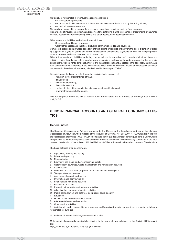**EUROSYSTEM**

Net equity of households in life insurance reserves including:

- net life insurance provisions;
- net provisions for life insurance policies where the investment risk is borne by the policyholders;

net health insurance provisions. Net equity of households in pension fund reserves consists of provisions deriving from pensions. Prepayments of insurance premiums and reserves for outstanding claims represent net prepayments of insurance policies, net reserves for outstanding claims and other net insurance technical reserves.

Other assets and liabilities are broken down as follows:

- Commercial credits and advances;
- Other (other assets and liabilities, excluding commercial credits and advances).

Commercial credits and advances consist of financial claims or liabilities arising from the direct extension of credit by suppliers or buyers for goods and services transactions, and advance payments for work that is in progress or to be undertaken and associated with such transactions.

Other (other assets and liabilities excluding commercial credits and advances) consists of all other claims and liabilities arising from timing differences between transactions and payments made in respect of taxes, social contributions, wages, rents, dividends, interest and transactions in financial assets on the secondary market. As a rule, accrued interest is included in the instrument to which it relates. However, should it be impossible to include the interest in the relevant instrument, it is disclosed in the category "Other".

Financial accounts data may differ from other statistical data because of:

- valuation method (current market value),
- data sources,
- time of data recording,
- time of data revision,
- methodological differences in financial instrument classification and
- other methodological differences.

Data for the period before the 1st of January 2007 are converted into EUR based on exchange rate 1 EUR = 239,64 SIT.

# **6. NON-FINANCIAL ACCOUNTS AND GENERAL ECONOMIC STATIS-TICS**

#### **General notes**

The Standard Classification of Activities is defined by the Decree on the Introduction and Use of the Standard Classification of Activities (Official Gazette of the Republic of Slovenia, No. 69/2007, 17/2008) and is in line with the classification of activities NACE Rev.2(Nomenclature statistique des activités économiques dans la Communanté européenne) as a compulsory statistical standard of the European Union, which is directly connected to the international classification of the activities of United Nations ISIC Rev. 4(International Standard Industrial Classification).

The basic activities of an economy are:

- A Agriculture, forestry and fishing
- B Mining and quarrying
- C Manufacturing
- D Electricity, gas steam and air conditioning supply
- E Water supply, sewerage, waste management and remediation activities
- F Construction
- G Wholesale and retail trade; repair of motor vehicles and motorcycles
- H Transportation and storage
- I Accommodation and food service
- J Information and communication
- K Financial and insurance activities
- L Real estate activities
- M Professional, scientific and technical activities
- N Administrative and support service activities
- O Public administration and defence, compulsory social security
- P Education
- Q Human health and social work activities
- R Arts, entertainment and recreation
- S Other service activities

T Activities of private households as employers, undifferentiated goods- and services- production activities of households for own use

U Activities of extraterritorial organizations and bodies

Methodological notes and a detailed classification for the real sector are published on the Statistical Office's Web site:

http://www.stat.si/skd\_nace\_2008.asp (in Slovene).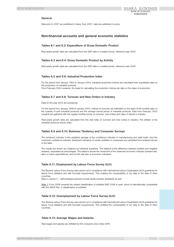# **General**

Data prior to 2007 are published in tolars; from 2007, data are published in euros.

# **Non-financial accounts and general economic statistics**

## **Tables 6.1 and 6.2: Expenditure of Gross Domestic Product**

Real yearly growth rates are calculated from the GDP data in constant prices, reference year 2005.

## **Tables 6.3 and 6.4: Gross Domestic Product by Activity**

Real yearly growth rates are calculated from the GDP data in constant prices, reference year 2005.

## **Tables 6.5 and 6.6: Industrial Production Index**

For the period from January 1992 to January 2004, industrial production indices are calculated from quantitative data on the production of industrial products. From February 2004 onwards, the basis for calculating the production indices are data on the value of production.

# **Tables 6.7 and 6.8: Turnover and New Orders in Industry**

Data for the year 2010 are provisional.

For the period from January 1998 to January 2003, indices on turnover are estimated on the basis of the monthly data on the quantity of sold industrial products and the average annual prices of industrial products. Data from February 2003 onwards are gathered with the regular monthly survey on turnover, new orders and value of stocks in industry.

Real yearly growth rates are calculated from the real index on turnover and new orders in industry. The deflator is the industrial producer prices index.

#### **Tables 6.9 and 6.10: Business Tendency and Consumer Surveys**

The sentiment indicator is the weighted average of the confidence indicator in manufacturing and retail trade, plus the consumer confidence indicator. Sentiment indicators of certain activities or consumers are calculated from answers shown in the table.

The results are shown as a balance by individual questions. The balance is the difference between positive and negative answers, expressed as percentages. The balance shows the movement of the observed economic indicator (present situation or future expectations), and not the real size of economic indicators.

#### **Table 6.11: Employment by Labour Force Survey (ILO)**

The Slovene Labour Force Survey was carried out in compliance with International Labour Organisation (ILO) guidelines for labour force statistics and with Eurostat requirements. This enables the comparability of our data to the data of other countries.

Data in column 5 – self-employed persons include family-member assistants as well.

*Note 1:* From 2008 onwards the revised classification of activities SKD 2008 is used, which is internationally comparable with the NACE Rev. 2 classification of activities.

#### **Table 6.12: Unemployment by Labour Force Survey (ILO)**

The Slovene Labour Force Survey was carried out in compliance with International Labour Organisation (ILO) guidelines for labour force statistics and with Eurostat requirements. This enables the comparability of our data to the data of other countries.

#### **Table 6.13: Average Wages and Salaries**

Real wages and salaries are deflated by the consumer price index (CPI).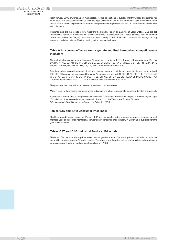From January 2005 onwards a new methodology for the calculations of average monthly wages and salaries has been used. The statistical survey also includes legal entities with one or two persons in paid employment in the private sector. Individual private entrepreneurs and persons employed by them, own account workers and farmers are not covered.

Published data are the results of new research: the Monthly Report on Earnings at Legal Entities. Data are collected by the Agency of the Republic of Slovenia for Public Legal Records and Related Services (with the common questionnaire (Form 1–ZAP/M). Statistical work was done by SORS. SORS also calculated the average monthly wages and salaries data for 2004 according to the new methodology.

# **Table 6.14 Nominal effective exchange rate and Real harmonised competitiveness indicators**

Nominal effective exchange rate, Euro area-17 countries vis-a-vis the EER-40 group of trading partners (AU, CA, DK, HK, JP, NO, SG, KR, SE, CH, GB, US, BG, CZ, LV, LT, HU, PL, RO, CN, DZ, AR, BR, CL, HR, IS, IN, ID, IL, MY, MX, MA, NZ, PH, RU, ZA, TW, TH, TR, VE); Currency denominator: Euro.

Real harmonised competitiveness indicators consumer prices and unit labour costs in total economy deflated; ECB EER-20 group of currencies and Euro area 17 country currencies (FR, BE, LU, NL, DE, IT, IE, PT, ES, FI, AT, GR, SI, AU, CA, CN, DK, HK, JP, NO, SG, KR, SE, CH, GB, US, CY, CZ, EE, HU, LV, LT, MT, PL, SK, BG, RO); Currency denominator: until 31.12.2006 Slovenian tolar, from 01.01.2007 Euro.

The growth of the index value represents decrease of competitiveness.

*Note 1:* Data for harmonised competitiveness indicators unit labour costs in total economy deflated are quarterly.

Explanations to harmonised competitiveness indicators calculations are available in special methodological paper "Calculations of harmonised competitiveness indicators", on the Web site of Bank of Slovenia: *http://www.bsi.si/publikacije-in-raziskave.asp?MapaId=1039.*

#### **Tables 6.15 and 6.16: Consumer Price Index**

The Harmonized Index of Consumer Prices (HICP) is a comparable index of consumer prices produced by each Member State and used for international comparison of consumer price inflation. In Slovenia it is available from the year 2001 onwards.

### **Tables 6.17 and 6.18: Industrial Producer Price Index**

The index of industrial producer prices measures changes in the level of producer prices of industrial products that are sold by producers on the Slovenian market. The tables show the price indices and growth rates by end-use of products , as well as by main divisions of activities, v2 (2008).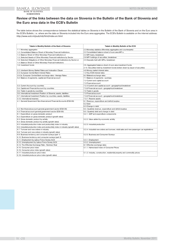BANKA SLOVENIJE

BANK OF SLOVENIA **EUROSYSTEM**

# **Review of the links between the data on Slovenia in the Bulletin of the Bank of Slovenia and the Euro area data in the ECB's Bulletin**

The table below shows the correspondence between the statistical tables on Slovenia in the Bulletin of the Bank of Slovenia and on the Euro area in the ECB's Bulletin, i.e. where are the data on Slovenia included into the Euro area aggregates. The ECB's Bulletin is available on the internet address: *http://www.ecb.int/pub/mb/html/index.en.html*.

| Tabels in Monthly Bulletin of the Bank of Slovenia                                 | Tabels in Monthly Bulletin of the ECB                                                       |  |  |
|------------------------------------------------------------------------------------|---------------------------------------------------------------------------------------------|--|--|
| 1.1. Monetary aggregates                                                           | 2.3 Monetary statistics (Monetary aggregates and counterparts)                              |  |  |
| 1.2. Consolidated Balance Sheet of Monetary Financial Institutions                 | 2.2 Consolidated balance sheet of euro area MFI s                                           |  |  |
| 1.4. Balance Sheet of Other Monetary Financial Institutions or                     | 2.4 MFI loans, breakdown                                                                    |  |  |
| 1.5. Selected Assets of Other Monetary Financial Institutions by Sector            | 2.6 MFI holdings of securities, breakdown                                                   |  |  |
| 1.6. Selected Obligations of Other Monetary Financial Institutions by Sector or    | 2.5 Deposits held with MFIs, breakdown                                                      |  |  |
| 1.4. Balance Sheet of Other Monetary Financial Institutions                        |                                                                                             |  |  |
| 1.8. Investment funds                                                              | 2.9. Aggregated balance sheet of euro area investment funds                                 |  |  |
|                                                                                    | 2.10. Securities held by investment funds broken down by issuer of securities               |  |  |
| 2.2. Interbank Money Market Rates and Indexation Clause                            | 4.6 Money market interest rates                                                             |  |  |
| 2.3. European Central Bank Interest Rates                                          | 1.2 Key ECB interest rates                                                                  |  |  |
| 2.6.2a. European Central Bank exchange rates - Average Rates                       | 8.2 Bilateral exchange rates                                                                |  |  |
| 3.2. Balance of payments, capital and financial account                            | 7.1 Balance of payments - summary                                                           |  |  |
|                                                                                    | 7.2 Current and capital account                                                             |  |  |
|                                                                                    | 7.3 Financial account                                                                       |  |  |
| 3.3. Current Account by countries                                                  | 7.2.3 Current and capital account - geographical breakdown                                  |  |  |
| 3.4. Capital and Financial Account by countries                                    | 7.3.8 Financial account - geographical breakdown                                            |  |  |
| 3.5. Trade in goods by countries                                                   | 7.5 Trade in goods                                                                          |  |  |
| 3.6. International Investment Position of Slovenia; assets, liabilities            | 7.3 Financial account                                                                       |  |  |
| 3.7. International Investment Position by countries; assets, liabilities           | 7.3.8 Financial account - geographical breakdown                                            |  |  |
| 3.12. International reserves                                                       | 7.3.7. Reserve assets                                                                       |  |  |
| 4.1. General Government Non-financial and Financial Accounts (ESA 95)              | 6.1 Revenue, expenditure and deficit/surplus                                                |  |  |
|                                                                                    | 6.2 Debt                                                                                    |  |  |
|                                                                                    | 6.3 Change in debt                                                                          |  |  |
| 4.2. Non-financial account general government sector (ESA 95)                      | 6.4. Quarterly revenue, expenditure and deficit/surplus                                     |  |  |
| 4.4. Financial account general government sector (ESA 95)                          | 6.5. Quarterly debt and change in debt                                                      |  |  |
| 6.1. Expenditure on gross domestic product                                         | 5.2.1. GDP and expenditure components                                                       |  |  |
| 6.2. Expenditure on gross domestic product (growth rates)                          |                                                                                             |  |  |
| 6.3. Gross domestic product by activity                                            | 5.2.2. Value added by economic activity                                                     |  |  |
| 6.4. Gross domestic product by activity (growth rates)                             |                                                                                             |  |  |
| 6.5. Industrial production index and productivity index in industry                | 5.2.3. Industrial production                                                                |  |  |
| 6.6. Industrial production index and productivity index in industry (growth rates) |                                                                                             |  |  |
| 6.7. Tumover and new orders in industry                                            | 5.2.4. Industrial new orders and turnover, retail sales and new passenger car registrations |  |  |
| 6.8. Tumover and new orders in industry (growth rates)                             |                                                                                             |  |  |
| 6.9. Business tendency and consumer surveys (part 1)                               | 5.2.5. Business and Consumer Surveys                                                        |  |  |
| 6.10. Business tendency and consumer surveys (part 2)                              |                                                                                             |  |  |
| 6.11. Employment by Labour Force Survey (ILO)                                      | 5.3.1. Employment                                                                           |  |  |
| 6.12. Unemployment by Labour Force Survey (ILO)                                    | 5.3.2. Unemployment                                                                         |  |  |
| 6.14. The Effective Exchange Rate - Nominal, Real                                  | 8.1 Effective exchange rates                                                                |  |  |
| 6.15. Consumer price index                                                         | 5.1.1. Harmonised Index of Consumer Prices                                                  |  |  |
| 6.16. Consumer price index (growth rates)                                          |                                                                                             |  |  |
| 6.17. Industrial producer price index                                              | 5.1.2. Industry, construction, residential property and commodity prices                    |  |  |
| 6.18. Industrial producer price index (growth rates)                               |                                                                                             |  |  |